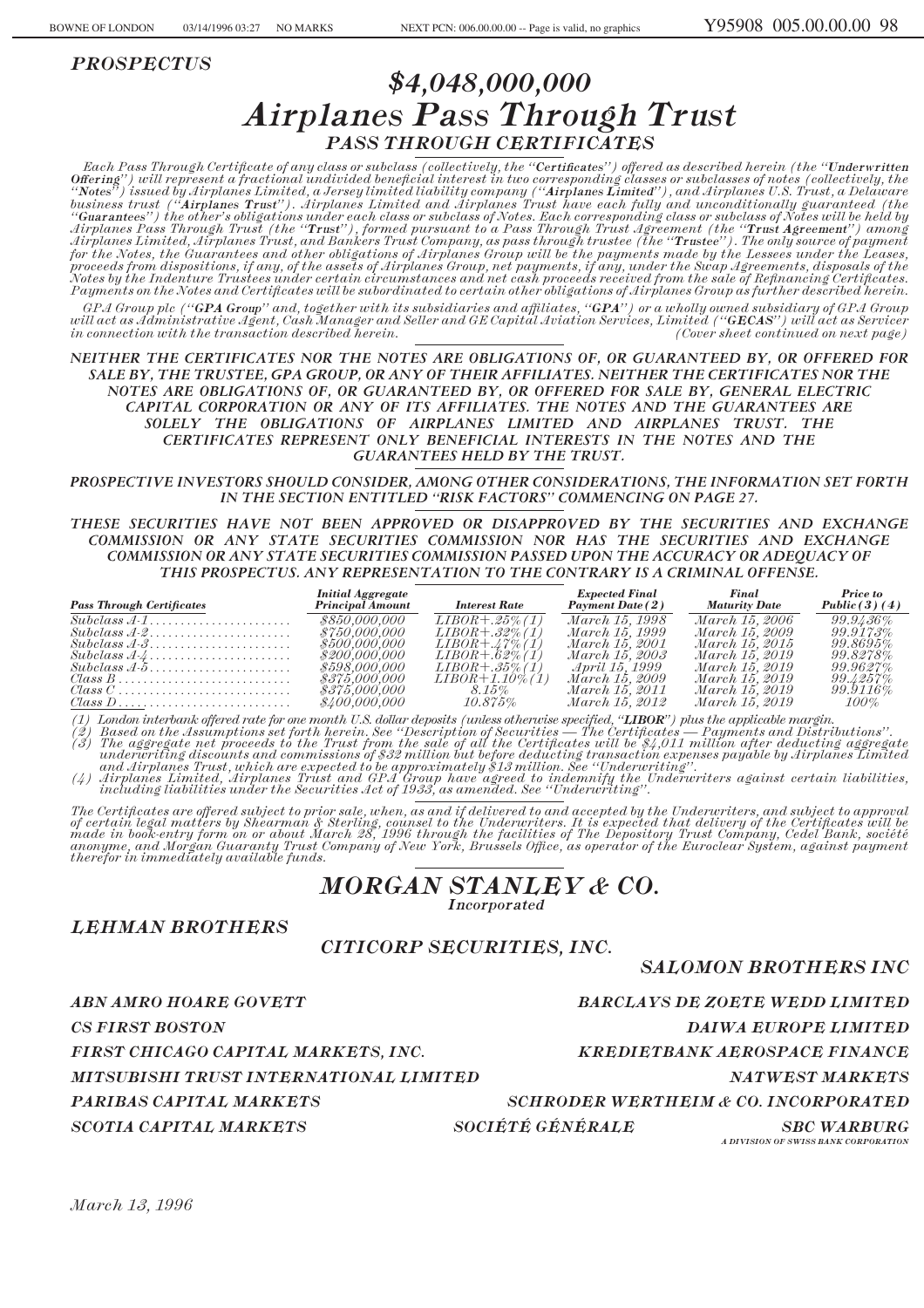*PROSPECTUS*

# *\$4,048,000,000 Airplanes Pass Through Trust PASS THROUGH CERTIFICATES*

 $Each \textit{Pass} \textit{Through} \textit{Certificance}$  of any class or subclass (collectively, the "**Certificates**") offered as described herein (the "Underwritten  $0$ ffering'') will represent a fractional undivided beneficial interest in two corresponding classes or subclasses of notes (collectively, the *""Notes'') issued by Airplanes Limited, a Jersey limited liability company (""Airplanes Limited''), and Airplanes U.S. Trust, a Delaware business trust (""Airplanes Trust''). Airplanes Limited and Airplanes Trust have each fully and unconditionally guaranteed (the ""Guarantees'') the other's obligations under each class or subclass of Notes. Each corresponding class or subclass of Notes will be held by Airplanes Pass Through Trust (the ""Trust''), formed pursuant to a Pass Through Trust Agreement (the ""Trust Agreement'') among Airplanes Limited, Airplanes Trust, and Bankers Trust Company, as pass through trustee (the ""Trustee''). The only source of payment for the Notes, the Guarantees and other obligations of Airplanes Group will be the payments made by the Lessees under the Leases, proceeds from dispositions, if any, of the assets of Airplanes Group, net payments, if any, under the Swap Agreements, disposals of the Notes by the Indenture Trustees under certain circumstances and net cash proceeds received from the sale of ReÑnancing CertiÑcates. Payments on the Notes and Certificates will be subordinated to certain other obligations of Airplanes Group as further described herein. GPA Group plc (""GPA Group'' and, together with its subsidiaries and aÇliates, ""GPA'') or a wholly owned subsidiary of GPA Group*

*will act as Administrative Agent, Cash Manager and Seller and GE Capital Aviation Services, Limited (""GECAS'') will act as Servicer in connection with the transaction described herein. (Cover sheet continued on next page)*

*NEITHER THE CERTIFICATES NOR THE NOTES ARE OBLIGATIONS OF, OR GUARANTEED BY, OR OFFERED FOR SALE BY, THE TRUSTEE, GPA GROUP, OR ANY OF THEIR AFFILIATES. NEITHER THE CERTIFICATES NOR THE NOTES ARE OBLIGATIONS OF, OR GUARANTEED BY, OR OFFERED FOR SALE BY, GENERAL ELECTRIC CAPITAL CORPORATION OR ANY OF ITS AFFILIATES. THE NOTES AND THE GUARANTEES ARE SOLELY THE OBLIGATIONS OF AIRPLANES LIMITED AND AIRPLANES TRUST. THE CERTIFICATES REPRESENT ONLY BENEFICIAL INTERESTS IN THE NOTES AND THE GUARANTEES HELD BY THE TRUST.*

*PROSPECTIVE INVESTORS SHOULD CONSIDER, AMONG OTHER CONSIDERATIONS, THE INFORMATION SET FORTH IN THE SECTION ENTITLED ""RISK FACTORS'' COMMENCING ON PAGE 27.*

*THESE SECURITIES HAVE NOT BEEN APPROVED OR DISAPPROVED BY THE SECURITIES AND EXCHANGE COMMISSION OR ANY STATE SECURITIES COMMISSION NOR HAS THE SECURITIES AND EXCHANGE COMMISSION OR ANY STATE SECURITIES COMMISSION PASSED UPON THE ACCURACY OR ADEQUACY OF THIS PROSPECTUS. ANY REPRESENTATION TO THE CONTRARY IS A CRIMINAL OFFENSE.*

| <b>Pass Through Certificates</b>                                          | <b>Initial Aggregate</b><br><b>Principal Amount</b> | <b>Interest Rate</b>      | <b>Expected Final</b><br><b>Payment Date (2)</b> | Final<br><b>Maturity Date</b> | Price to<br>Public(3)(4) |
|---------------------------------------------------------------------------|-----------------------------------------------------|---------------------------|--------------------------------------------------|-------------------------------|--------------------------|
| $Subclass A-1, \ldots, \ldots, \ldots, \ldots, \ldots$                    | \$850,000,000                                       | $LIBOR + .25\% (1)$       | <i>March</i> 15, 1998                            | March 15, 2006                | $99.9436\%$              |
|                                                                           | \$750.000.000                                       | $LIBOR + .32\% (1)$       | March 15, 1999                                   | March 15, 2009.               | $99.9173\%$              |
|                                                                           | \$500.000.000                                       | $LIBOR + \lambda 7\% (1)$ | March 15, 2001                                   | March 15, 2015.               | $99.8695\%$              |
| $Subclass A.4 \ldots \ldots \ldots \ldots \ldots \ldots$                  | \$200.000.000                                       | $LIBOR + .62\% (1)$       | March 15, 2003                                   | March 15, 2019                | 99.8278%                 |
|                                                                           | \$598.000.000                                       | $LIBOR + .35\% (1)$       | April 15, 1999                                   | March 15, 2019.               | $99.9627\%$              |
| $\textit{Class } B \dots \dots \dots \dots \dots \dots \dots \dots \dots$ | \$375,000,000                                       | $LIBOR+1.10\%$ (1)        | <i>March</i> 15, 2009                            | March 15, 2019                | $99.4257\%$              |
|                                                                           | \$375,000,000                                       | 8.15%                     | March 15, 2011                                   | March 15, 2019                | 99.9116%                 |
|                                                                           | \$400.000.000                                       | $10.875\%$                | March 15, 2012                                   | March 15, 2019                | 100%                     |

(1) London interbank offered rate for one month U.S. dollar deposits (unless otherwise specified, "**LIBOR**") plus the applicable margin.<br>(2) Based on the Assumptions set forth herein. See "Description of Securities — The C (3) The aggregate net proceeds to the Trust from the sale of all the Certificates will be \$4,011 million after deducting aggregate<br>underwriting discounts and commissions of \$32 million but before deducting transaction expe

and Airplanes Trust, which are expected to be approximately \$13 million. See "Underwriting".<br>(4) Airplanes Limited, Airplanes Trust and GPA Group have agreed to indemnify the Underwriters against certain liabilities,<br>inclu

The Certificates are offered subject to prior sale, when, as and if delivered to and accepted by the Underwriters, and subject to approval<br>of certain legal matters by Shearman & Sterling, counsel to the Underwriters. It is made in book-entry form on or about March 28, 1996 through the facilities of The Depository Trust Company, Cedel Bank, société<br>anonyme, and Morgan Guaranty Trust Company of New York, Brussels Office, as operator of the Eur

# *MORGAN STANLEY & CO. Incorporated*

*LEHMAN BROTHERS*

# *CITICORP SECURITIES, INC.*

# *SALOMON BROTHERS INC*

*ABN AMRO HOARE GOVETT BARCLAYS DE ZOETE WEDD LIMITED*

*CS FIRST BOSTON DAIWA EUROPE LIMITED*

*FIRST CHICAGO CAPITAL MARKETS, INC. KREDIETBANK AEROSPACE FINANCE*

*MITSUBISHI TRUST INTERNATIONAL LIMITED NATWEST MARKETS*

 $SCOTIA~CAPITAL~MARKETS$   $SOCIÉTÉ~GÉNÉRALE$  SBC WARBURG

*PARIBAS CAPITAL MARKETS SCHRODER WERTHEIM & CO. INCORPORATED*

*A DIVISION OF SWISS BANK CORPORATION*

*March 13, 1996*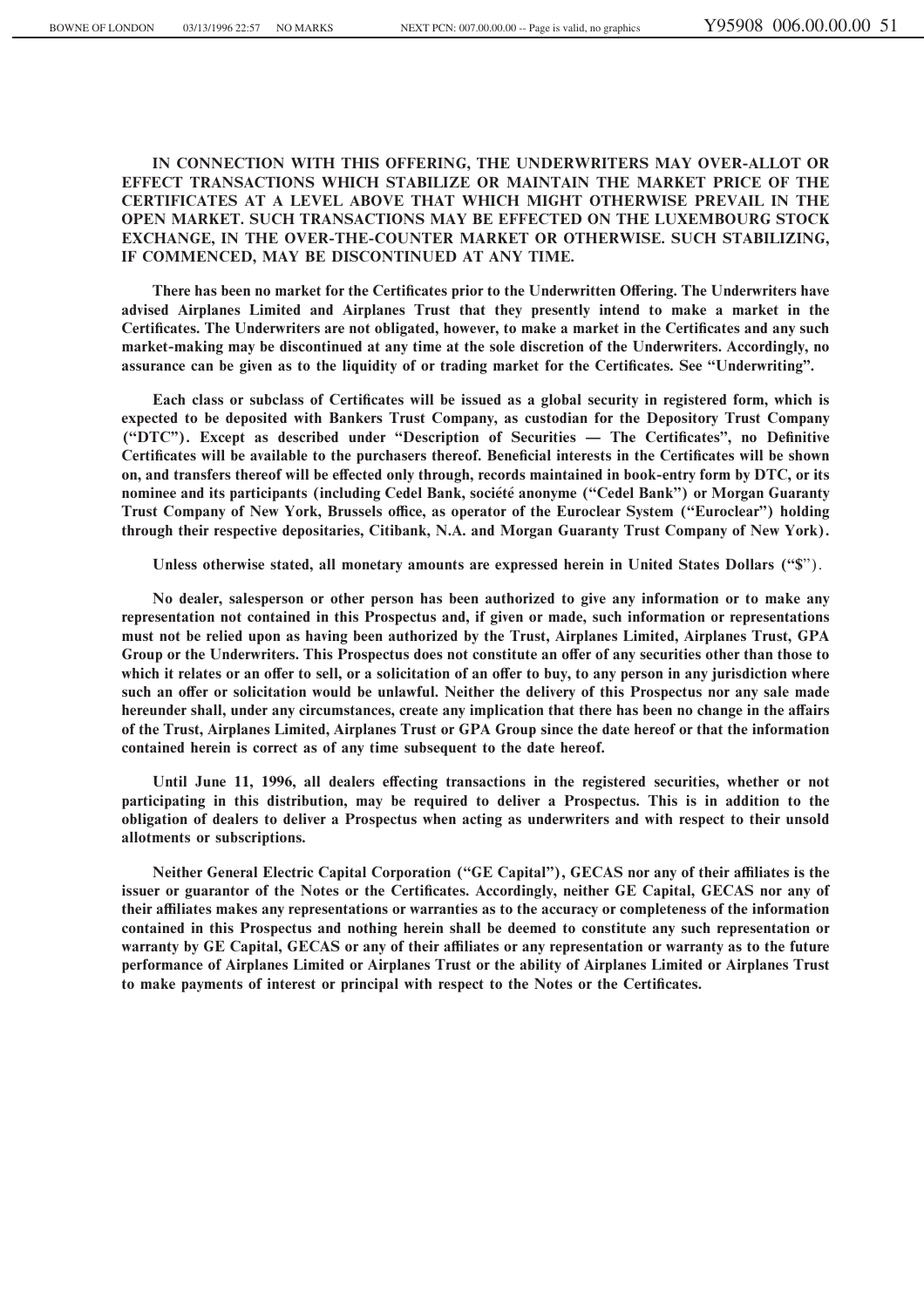**IN CONNECTION WITH THIS OFFERING, THE UNDERWRITERS MAY OVER-ALLOT OR EFFECT TRANSACTIONS WHICH STABILIZE OR MAINTAIN THE MARKET PRICE OF THE CERTIFICATES AT A LEVEL ABOVE THAT WHICH MIGHT OTHERWISE PREVAIL IN THE OPEN MARKET. SUCH TRANSACTIONS MAY BE EFFECTED ON THE LUXEMBOURG STOCK EXCHANGE, IN THE OVER-THE-COUNTER MARKET OR OTHERWISE. SUCH STABILIZING, IF COMMENCED, MAY BE DISCONTINUED AT ANY TIME.**

There has been no market for the Certificates prior to the Underwritten Offering. The Underwriters have **advised Airplanes Limited and Airplanes Trust that they presently intend to make a market in the** Certificates. The Underwriters are not obligated, however, to make a market in the Certificates and any such **market-making may be discontinued at any time at the sole discretion of the Underwriters. Accordingly, no** assurance can be given as to the liquidity of or trading market for the Certificates. See "Underwriting".

Each class or subclass of Certificates will be issued as a global security in registered form, which is **expected to be deposited with Bankers Trust Company, as custodian for the Depository Trust Company** ("DTC"). Except as described under "Description of Securities — The Certificates", no Definitive Certificates will be available to the purchasers thereof. Beneficial interests in the Certificates will be shown on, and transfers thereof will be effected only through, records maintained in book-entry form by DTC, or its **nominee and its participants (including Cedel Bank, société anonyme ("Cedel Bank") or Morgan Guaranty** Trust Company of New York, Brussels office, as operator of the Euroclear System ("Euroclear") holding **through their respective depositaries, Citibank, N.A. and Morgan Guaranty Trust Company of New York).**

Unless otherwise stated, all monetary amounts are expressed herein in United States Dollars ("\$").

**No dealer, salesperson or other person has been authorized to give any information or to make any representation not contained in this Prospectus and, if given or made, such information or representations must not be relied upon as having been authorized by the Trust, Airplanes Limited, Airplanes Trust, GPA** Group or the Underwriters. This Prospectus does not constitute an offer of any securities other than those to which it relates or an offer to sell, or a solicitation of an offer to buy, to any person in any jurisdiction where such an offer or solicitation would be unlawful. Neither the delivery of this Prospectus nor any sale made **hereunder shall, under any circumstances, create any implication that there has been no change in the affairs of the Trust, Airplanes Limited, Airplanes Trust or GPA Group since the date hereof or that the information contained herein is correct as of any time subsequent to the date hereof.**

Until June 11, 1996, all dealers effecting transactions in the registered securities, whether or not **participating in this distribution, may be required to deliver a Prospectus. This is in addition to the obligation of dealers to deliver a Prospectus when acting as underwriters and with respect to their unsold allotments or subscriptions.**

Neither General Electric Capital Corporation ("GE Capital"), GECAS nor any of their affiliates is the issuer or guarantor of the Notes or the Certificates. Accordingly, neither GE Capital, GECAS nor any of **their aÇliates makes any representations or warranties as to the accuracy or completeness of the information contained in this Prospectus and nothing herein shall be deemed to constitute any such representation or** warranty by GE Capital, GECAS or any of their affiliates or any representation or warranty as to the future **performance of Airplanes Limited or Airplanes Trust or the ability of Airplanes Limited or Airplanes Trust** to make payments of interest or principal with respect to the Notes or the Certificates.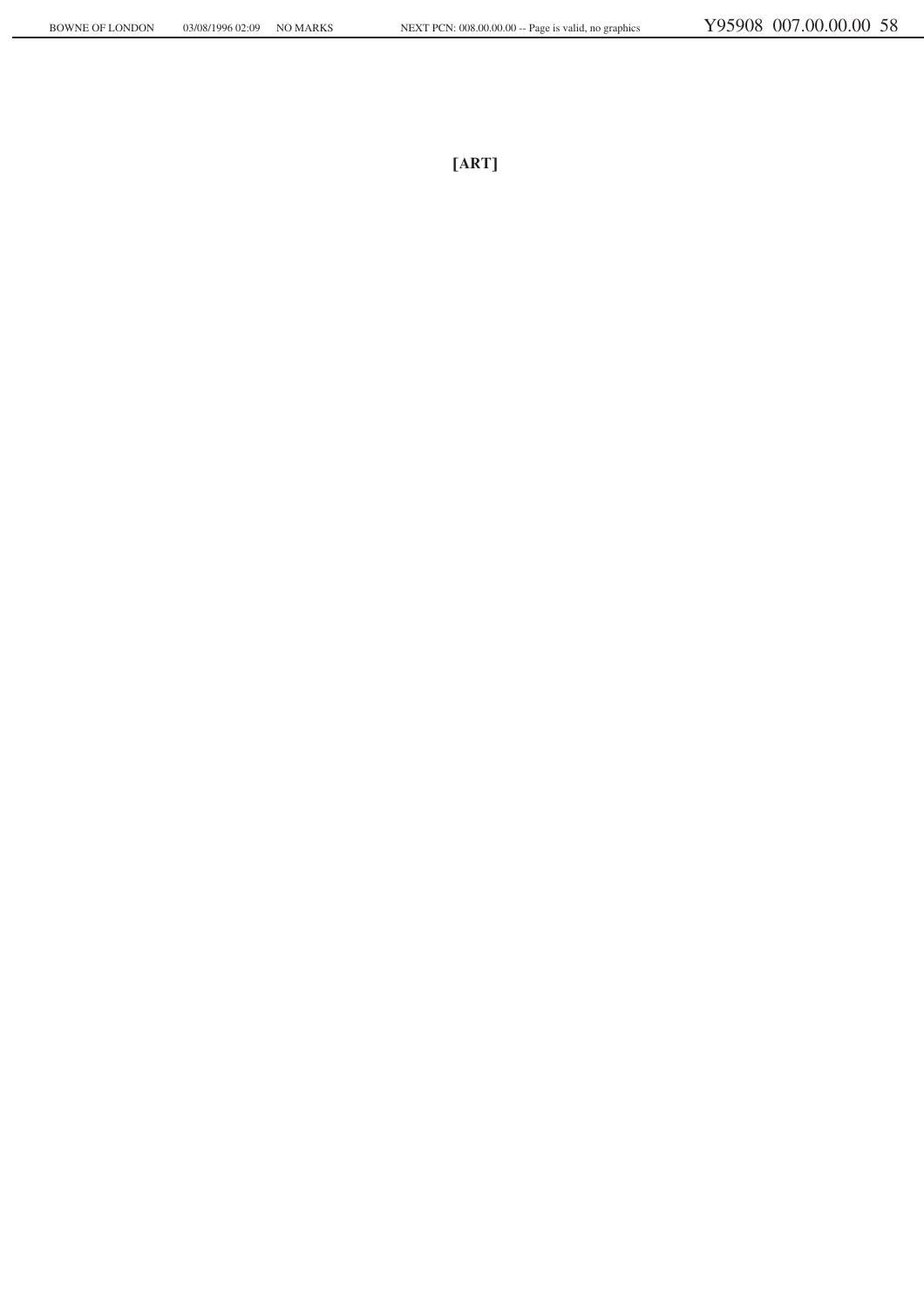**®ART©**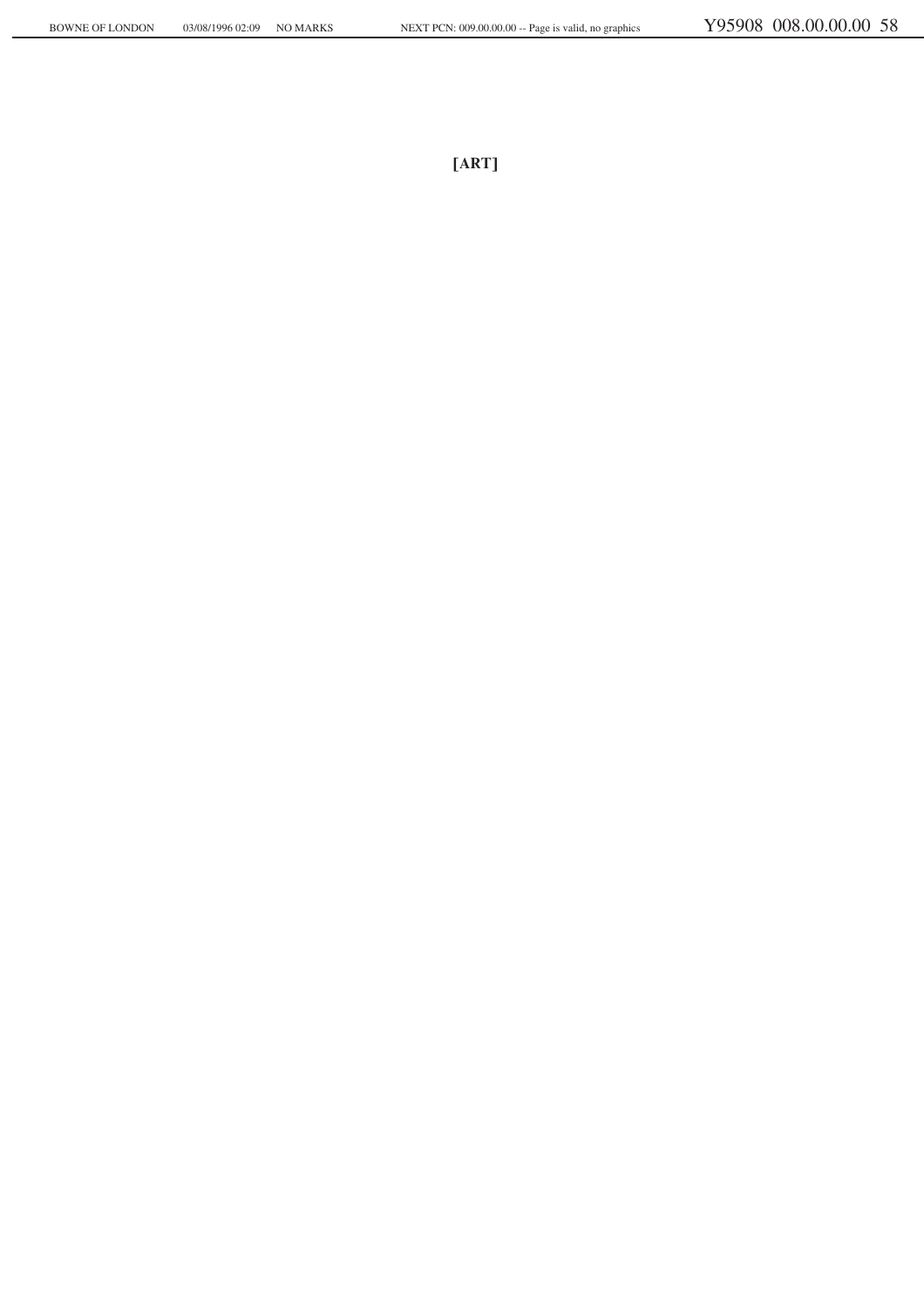**®ART©**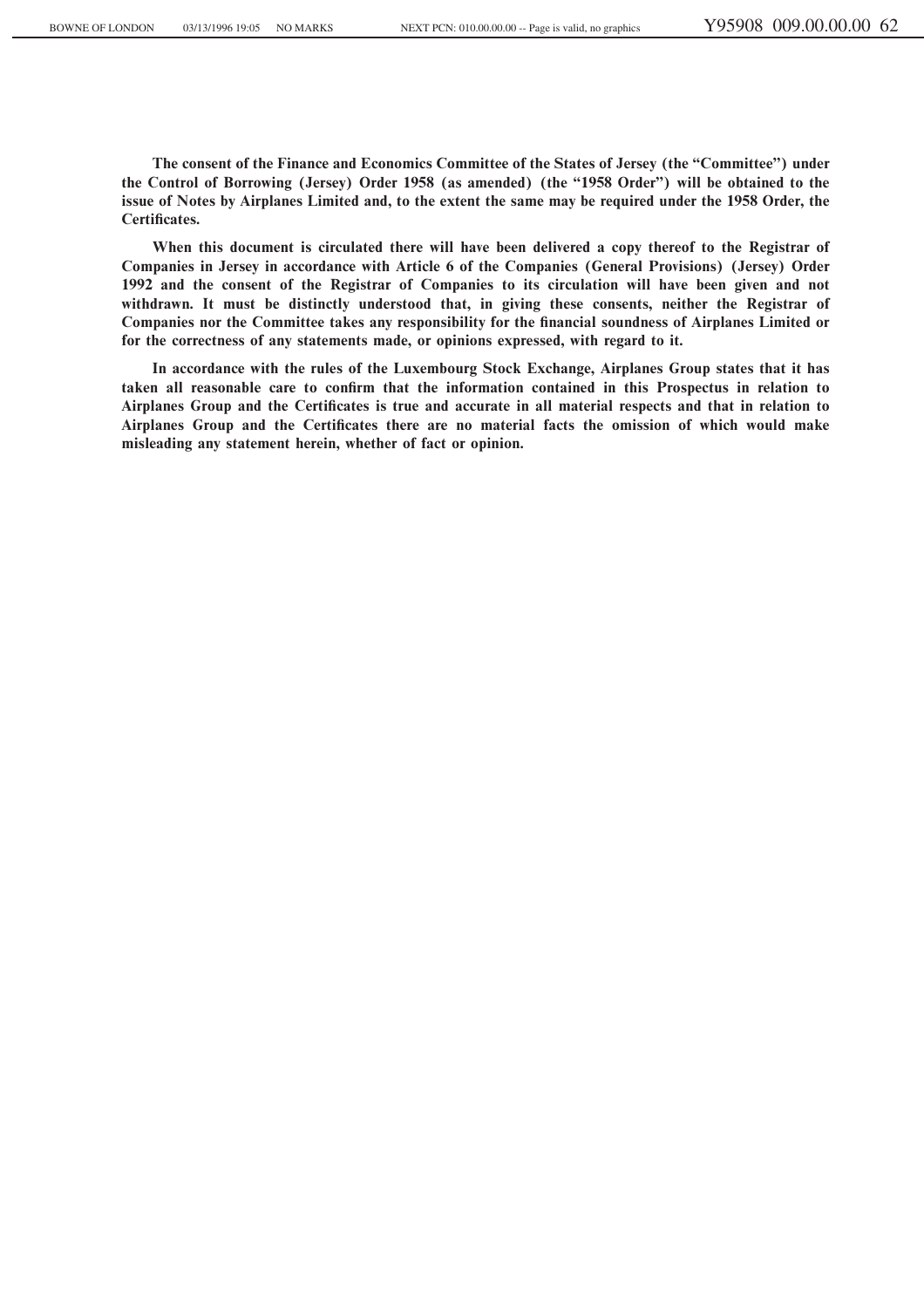**The consent of the Finance and Economics Committee of the States of Jersey (the ""Committee'') under the Control of Borrowing (Jersey) Order 1958 (as amended) (the ""1958 Order'') will be obtained to the issue of Notes by Airplanes Limited and, to the extent the same may be required under the 1958 Order, the** Certificates.

**When this document is circulated there will have been delivered a copy thereof to the Registrar of Companies in Jersey in accordance with Article 6 of the Companies (General Provisions) (Jersey) Order 1992 and the consent of the Registrar of Companies to its circulation will have been given and not withdrawn. It must be distinctly understood that, in giving these consents, neither the Registrar of** Companies nor the Committee takes any responsibility for the financial soundness of Airplanes Limited or **for the correctness of any statements made, or opinions expressed, with regard to it.**

**In accordance with the rules of the Luxembourg Stock Exchange, Airplanes Group states that it has** taken all reasonable care to confirm that the information contained in this Prospectus in relation to Airplanes Group and the Certificates is true and accurate in all material respects and that in relation to Airplanes Group and the Certificates there are no material facts the omission of which would make **misleading any statement herein, whether of fact or opinion.**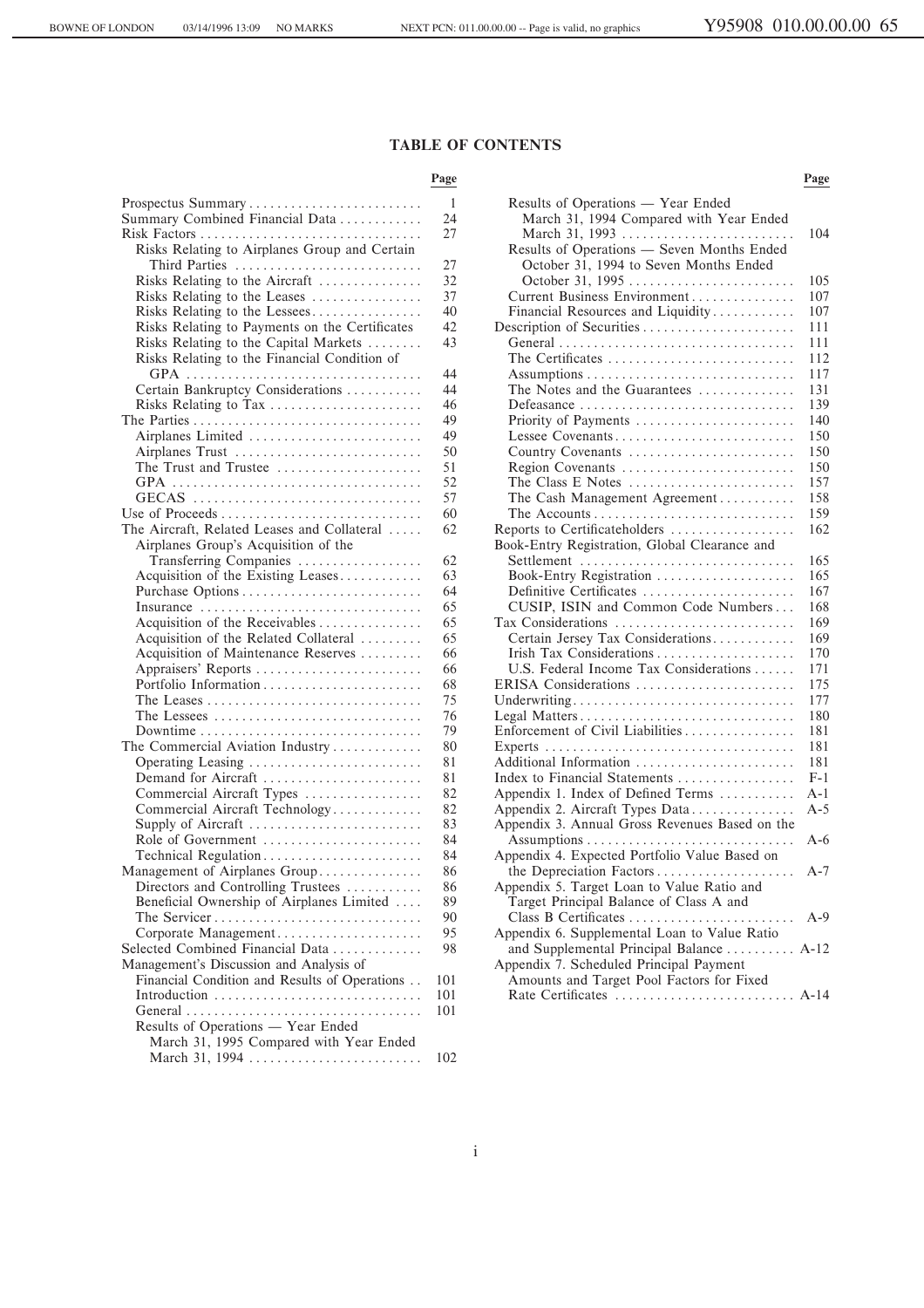# **TABLE OF CONTENTS**

#### Page Page **Page**

| Prospectus Summary                                                           | $\mathbf{1}$ | Results of Operations - Year Ended                |       |
|------------------------------------------------------------------------------|--------------|---------------------------------------------------|-------|
| Summary Combined Financial Data                                              | 24           | March 31, 1994 Compared with Year Ended           |       |
| Risk Factors                                                                 | 27           | March 31, 1993                                    | 104   |
| Risks Relating to Airplanes Group and Certain                                |              | Results of Operations - Seven Months Ended        |       |
| Third Parties                                                                | 27           | October 31, 1994 to Seven Months Ended            |       |
| Risks Relating to the Aircraft                                               | 32           | October 31, 1995                                  | 105   |
| Risks Relating to the Leases                                                 | 37           | Current Business Environment                      | 107   |
| Risks Relating to the Lessees                                                | 40           | Financial Resources and Liquidity                 | 107   |
| Risks Relating to Payments on the Certificates                               | 42           | Description of Securities                         | 111   |
| Risks Relating to the Capital Markets                                        | 43           |                                                   | 111   |
| Risks Relating to the Financial Condition of                                 |              | The Certificates                                  | 112   |
|                                                                              | 44           |                                                   | 117   |
| Certain Bankruptcy Considerations                                            | 44           | The Notes and the Guarantees                      | 131   |
| Risks Relating to Tax                                                        | 46           | Defeasance                                        | 139   |
|                                                                              | 49           | Priority of Payments                              | 140   |
| Airplanes Limited                                                            | 49           | Lessee Covenants                                  | 150   |
| Airplanes Trust                                                              | 50           | Country Covenants                                 | 150   |
| The Trust and Trustee                                                        | 51           | Region Covenants                                  | 150   |
|                                                                              | 52           | The Class E Notes                                 | 157   |
| GECAS                                                                        | 57           | The Cash Management Agreement                     | 158   |
|                                                                              | 60           | The Accounts                                      | 159   |
| The Aircraft, Related Leases and Collateral                                  | 62           | Reports to Certificateholders                     | 162   |
| Airplanes Group's Acquisition of the                                         |              | Book-Entry Registration, Global Clearance and     |       |
| Transferring Companies                                                       | 62           | Settlement                                        | 165   |
| Acquisition of the Existing Leases                                           | 63           | Book-Entry Registration                           | 165   |
|                                                                              | 64           | Definitive Certificates                           | 167   |
| Insurance                                                                    | 65           | CUSIP, ISIN and Common Code Numbers               | 168   |
|                                                                              | 65           | Tax Considerations                                | 169   |
| Acquisition of the Receivables                                               | 65           | Certain Jersey Tax Considerations                 | 169   |
| Acquisition of the Related Collateral<br>Acquisition of Maintenance Reserves | 66           | Irish Tax Considerations                          | 170   |
| Appraisers' Reports                                                          | 66           | U.S. Federal Income Tax Considerations            | 171   |
|                                                                              | 68           | ERISA Considerations                              | 175   |
|                                                                              | 75           |                                                   | 177   |
|                                                                              | 76           | Underwriting                                      | 180   |
|                                                                              | 79           | Legal Matters<br>Enforcement of Civil Liabilities | 181   |
| Downtime                                                                     | 80           |                                                   | 181   |
| The Commercial Aviation Industry                                             | 81           | Additional Information                            | 181   |
| Operating Leasing                                                            |              |                                                   | $F-1$ |
| Demand for Aircraft                                                          | 81<br>82     | Index to Financial Statements                     | $A-1$ |
| Commercial Aircraft Types                                                    |              | Appendix 1. Index of Defined Terms                |       |
| Commercial Aircraft Technology                                               | 82           | Appendix 2. Aircraft Types Data                   | $A-5$ |
| Supply of Aircraft                                                           | 83           | Appendix 3. Annual Gross Revenues Based on the    |       |
| Role of Government                                                           | 84           |                                                   | $A-6$ |
| Technical Regulation                                                         | 84           | Appendix 4. Expected Portfolio Value Based on     |       |
| Management of Airplanes Group                                                | 86           | the Depreciation Factors                          | $A-7$ |
| Directors and Controlling Trustees                                           | 86           | Appendix 5. Target Loan to Value Ratio and        |       |
| Beneficial Ownership of Airplanes Limited                                    | 89           | Target Principal Balance of Class A and           |       |
| The Servicer                                                                 | 90           |                                                   | $A-9$ |
| Corporate Management                                                         | 95           | Appendix 6. Supplemental Loan to Value Ratio      |       |
| Selected Combined Financial Data                                             | 98           | and Supplemental Principal Balance  A-12          |       |
| Management's Discussion and Analysis of                                      |              | Appendix 7. Scheduled Principal Payment           |       |
| Financial Condition and Results of Operations                                | 101          | Amounts and Target Pool Factors for Fixed         |       |
| Introduction                                                                 | 101          |                                                   |       |
| General                                                                      | 101          |                                                   |       |
| Results of Operations - Year Ended                                           |              |                                                   |       |
| March 31, 1995 Compared with Year Ended                                      |              |                                                   |       |
| March 31, 1994                                                               | 102          |                                                   |       |

| Prospectus Summary                                          | $\mathbf{1}$ | Results of Operations — Year Ended                                |       |
|-------------------------------------------------------------|--------------|-------------------------------------------------------------------|-------|
| Summary Combined Financial Data                             | 24           | March 31, 1994 Compared with Year Ended                           |       |
| Risk Factors                                                | 27           | March 31, 1993                                                    | 104   |
| Risks Relating to Airplanes Group and Certain               |              | Results of Operations - Seven Months Ended                        |       |
| Third Parties                                               | 27           | October 31, 1994 to Seven Months Ended                            |       |
| Risks Relating to the Aircraft                              | 32           | October 31, 1995                                                  | 105   |
| Risks Relating to the Leases                                | 37           | Current Business Environment                                      | 107   |
| Risks Relating to the Lessees                               | 40           | Financial Resources and Liquidity                                 | 107   |
| Risks Relating to Payments on the Certificates              | 42           | Description of Securities                                         | 111   |
| Risks Relating to the Capital Markets                       | 43           |                                                                   | 111   |
| Risks Relating to the Financial Condition of                |              | The Certificates                                                  | 112   |
|                                                             | 44           |                                                                   | 117   |
| Certain Bankruptcy Considerations                           | 44           | The Notes and the Guarantees                                      | 131   |
| Risks Relating to Tax                                       | 46           |                                                                   | 139   |
|                                                             | 49           | Priority of Payments                                              | 140   |
| Airplanes Limited                                           | 49           | Lessee Covenants                                                  | 150   |
| Airplanes Trust                                             | 50           | Country Covenants                                                 | 150   |
| The Trust and Trustee $\dots\dots\dots\dots\dots\dots\dots$ | 51           | Region Covenants                                                  | 150   |
|                                                             | 52           | The Class E Notes $\dots\dots\dots\dots\dots\dots\dots\dots\dots$ | 157   |
| GECAS                                                       | 57           | The Cash Management Agreement                                     | 158   |
|                                                             | 60           |                                                                   | 159   |
| The Aircraft, Related Leases and Collateral                 | 62           | Reports to Certificateholders                                     | 162   |
| Airplanes Group's Acquisition of the                        |              | Book-Entry Registration, Global Clearance and                     |       |
| Transferring Companies                                      | 62           | Settlement                                                        | 165   |
| Acquisition of the Existing Leases                          | 63           | Book-Entry Registration                                           | 165   |
|                                                             | 64           | Definitive Certificates                                           | 167   |
| Insurance                                                   | 65           | CUSIP, ISIN and Common Code Numbers                               | 168   |
| Acquisition of the Receivables                              | 65           | Tax Considerations                                                | 169   |
| Acquisition of the Related Collateral                       | 65           | Certain Jersey Tax Considerations                                 | 169   |
| Acquisition of Maintenance Reserves                         | 66           | Irish Tax Considerations                                          | 170   |
| Appraisers' Reports                                         | 66           | U.S. Federal Income Tax Considerations                            | 171   |
|                                                             | 68           | ERISA Considerations                                              | 175   |
|                                                             | 75           | Underwriting                                                      | 177   |
|                                                             | 76           | Legal Matters                                                     | 180   |
| Downtime                                                    | 79           | Enforcement of Civil Liabilities                                  | 181   |
| The Commercial Aviation Industry                            | 80           |                                                                   | 181   |
| Operating Leasing                                           | 81           | Additional Information                                            | 181   |
| Demand for Aircraft                                         | 81           | Index to Financial Statements                                     | $F-1$ |
| Commercial Aircraft Types                                   | 82           | Appendix 1. Index of Defined Terms                                | A-1   |
| Commercial Aircraft Technology                              | 82           | Appendix 2. Aircraft Types Data                                   | $A-5$ |
| Supply of Aircraft                                          | 83           | Appendix 3. Annual Gross Revenues Based on the                    |       |
| Role of Government                                          | 84           |                                                                   | $A-6$ |
| Technical Regulation                                        | 84           | Appendix 4. Expected Portfolio Value Based on                     |       |
| Management of Airplanes Group                               | 86           | the Depreciation Factors                                          | $A-7$ |
| Directors and Controlling Trustees                          | 86           | Appendix 5. Target Loan to Value Ratio and                        |       |
| Beneficial Ownership of Airplanes Limited                   | 89           | Target Principal Balance of Class A and                           |       |
| The Servicer                                                | 90           |                                                                   | $A-9$ |
| Corporate Management                                        | 95           | Appendix 6. Supplemental Loan to Value Ratio                      |       |
| Selected Combined Financial Data                            | 98           | and Supplemental Principal Balance  A-12                          |       |
| Management's Discussion and Analysis of                     |              | Appendix 7. Scheduled Principal Payment                           |       |
| Financial Condition and Results of Operations               | 101          | Amounts and Target Pool Factors for Fixed                         |       |
|                                                             |              |                                                                   |       |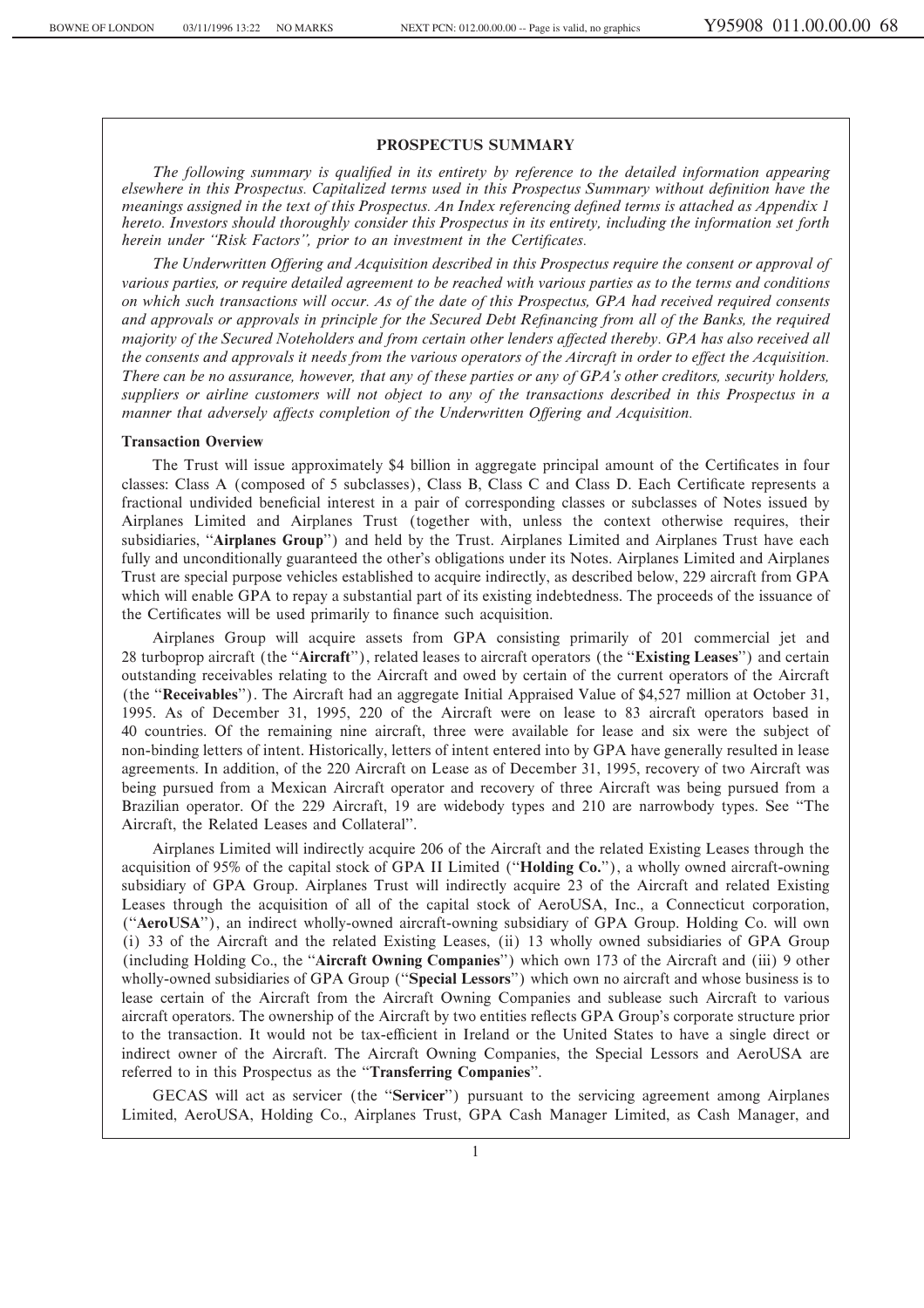#### **PROSPECTUS SUMMARY**

The following summary is qualified in its entirety by reference to the detailed information appearing *elsewhere in this Prospectus. Capitalized terms used in this Prospectus Summary without definition have the meanings assigned in the text of this Prospectus. An Index referencing defined terms is attached as Appendix 1 hereto. Investors should thoroughly consider this Prospectus in its entirety, including the information set forth herein under "Risk Factors", prior to an investment in the Certificates.* 

The Underwritten Offering and Acquisition described in this Prospectus require the consent or approval of *various parties, or require detailed agreement to be reached with various parties as to the terms and conditions on which such transactions will occur. As of the date of this Prospectus, GPA had received required consents* and approvals or approvals in principle for the Secured Debt Refinancing from all of the Banks, the required *majority of the Secured Noteholders and from certain other lenders affected thereby. GPA has also received all the consents and approvals it needs from the various operators of the Aircraft in order to effect the Acquisition. There can be no assurance, however, that any of these parties or any of GPA's other creditors, security holders, suppliers or airline customers will not object to any of the transactions described in this Prospectus in a manner that adversely affects completion of the Underwritten Offering and Acquisition.* 

#### **Transaction Overview**

The Trust will issue approximately \$4 billion in aggregate principal amount of the Certificates in four classes: Class A (composed of 5 subclasses), Class B, Class C and Class D. Each Certificate represents a fractional undivided beneficial interest in a pair of corresponding classes or subclasses of Notes issued by Airplanes Limited and Airplanes Trust (together with, unless the context otherwise requires, their subsidiaries, "Airplanes Group") and held by the Trust. Airplanes Limited and Airplanes Trust have each fully and unconditionally guaranteed the other's obligations under its Notes. Airplanes Limited and Airplanes Trust are special purpose vehicles established to acquire indirectly, as described below, 229 aircraft from GPA which will enable GPA to repay a substantial part of its existing indebtedness. The proceeds of the issuance of the Certificates will be used primarily to finance such acquisition.

Airplanes Group will acquire assets from GPA consisting primarily of 201 commercial jet and 28 turboprop aircraft (the ""**Aircraft**''), related leases to aircraft operators (the ""**Existing Leases**'') and certain outstanding receivables relating to the Aircraft and owed by certain of the current operators of the Aircraft (the ""**Receivables**''). The Aircraft had an aggregate Initial Appraised Value of \$4,527 million at October 31, 1995. As of December 31, 1995, 220 of the Aircraft were on lease to 83 aircraft operators based in 40 countries. Of the remaining nine aircraft, three were available for lease and six were the subject of non-binding letters of intent. Historically, letters of intent entered into by GPA have generally resulted in lease agreements. In addition, of the 220 Aircraft on Lease as of December 31, 1995, recovery of two Aircraft was being pursued from a Mexican Aircraft operator and recovery of three Aircraft was being pursued from a Brazilian operator. Of the 229 Aircraft, 19 are widebody types and 210 are narrowbody types. See "The Aircraft, the Related Leases and Collateral''.

Airplanes Limited will indirectly acquire 206 of the Aircraft and the related Existing Leases through the acquisition of 95% of the capital stock of GPA II Limited (""**Holding Co.**''), a wholly owned aircraft-owning subsidiary of GPA Group. Airplanes Trust will indirectly acquire 23 of the Aircraft and related Existing Leases through the acquisition of all of the capital stock of AeroUSA, Inc., a Connecticut corporation, (""**AeroUSA**''), an indirect wholly-owned aircraft-owning subsidiary of GPA Group. Holding Co. will own (i) 33 of the Aircraft and the related Existing Leases, (ii) 13 wholly owned subsidiaries of GPA Group (including Holding Co., the "**Aircraft Owning Companies**") which own 173 of the Aircraft and (iii) 9 other wholly-owned subsidiaries of GPA Group (""**Special Lessors**'') which own no aircraft and whose business is to lease certain of the Aircraft from the Aircraft Owning Companies and sublease such Aircraft to various aircraft operators. The ownership of the Aircraft by two entities reflects GPA Group's corporate structure prior to the transaction. It would not be tax-efficient in Ireland or the United States to have a single direct or indirect owner of the Aircraft. The Aircraft Owning Companies, the Special Lessors and AeroUSA are referred to in this Prospectus as the ""**Transferring Companies**''.

GECAS will act as servicer (the ""**Servicer**'') pursuant to the servicing agreement among Airplanes Limited, AeroUSA, Holding Co., Airplanes Trust, GPA Cash Manager Limited, as Cash Manager, and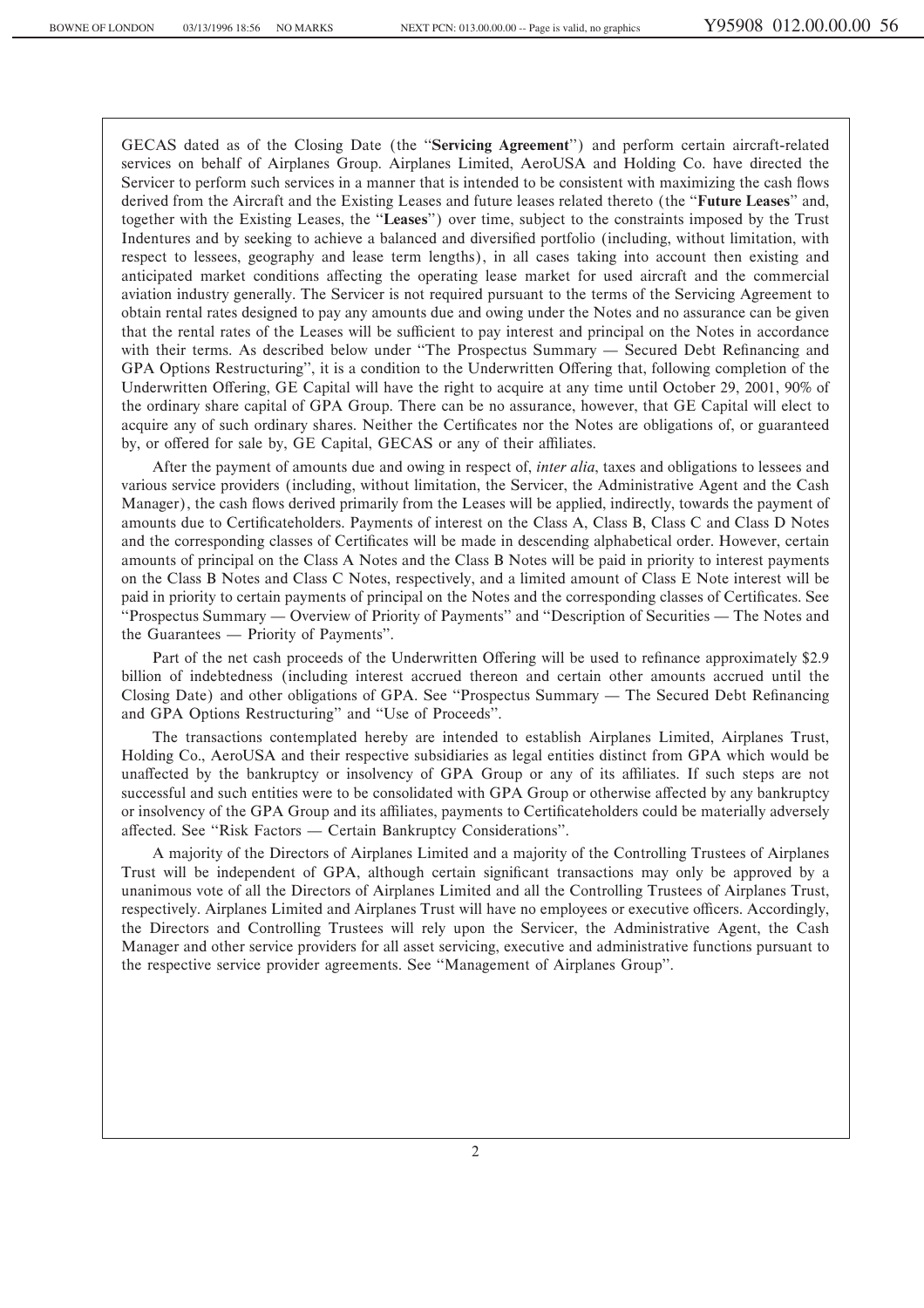GECAS dated as of the Closing Date (the ""**Servicing Agreement**'') and perform certain aircraft-related services on behalf of Airplanes Group. Airplanes Limited, AeroUSA and Holding Co. have directed the Servicer to perform such services in a manner that is intended to be consistent with maximizing the cash flows derived from the Aircraft and the Existing Leases and future leases related thereto (the ""**Future Leases**'' and, together with the Existing Leases, the ""**Leases**'') over time, subject to the constraints imposed by the Trust Indentures and by seeking to achieve a balanced and diversified portfolio (including, without limitation, with respect to lessees, geography and lease term lengths), in all cases taking into account then existing and anticipated market conditions affecting the operating lease market for used aircraft and the commercial aviation industry generally. The Servicer is not required pursuant to the terms of the Servicing Agreement to obtain rental rates designed to pay any amounts due and owing under the Notes and no assurance can be given that the rental rates of the Leases will be sufficient to pay interest and principal on the Notes in accordance with their terms. As described below under "The Prospectus Summary — Secured Debt Refinancing and GPA Options Restructuring", it is a condition to the Underwritten Offering that, following completion of the Underwritten Offering, GE Capital will have the right to acquire at any time until October 29, 2001, 90% of the ordinary share capital of GPA Group. There can be no assurance, however, that GE Capital will elect to acquire any of such ordinary shares. Neither the Certificates nor the Notes are obligations of, or guaranteed by, or offered for sale by, GE Capital, GECAS or any of their affiliates.

After the payment of amounts due and owing in respect of, *inter alia*, taxes and obligations to lessees and various service providers (including, without limitation, the Servicer, the Administrative Agent and the Cash Manager), the cash flows derived primarily from the Leases will be applied, indirectly, towards the payment of amounts due to Certificateholders. Payments of interest on the Class A, Class B, Class C and Class D Notes and the corresponding classes of Certificates will be made in descending alphabetical order. However, certain amounts of principal on the Class A Notes and the Class B Notes will be paid in priority to interest payments on the Class B Notes and Class C Notes, respectively, and a limited amount of Class E Note interest will be paid in priority to certain payments of principal on the Notes and the corresponding classes of Certificates. See "Prospectus Summary — Overview of Priority of Payments" and "Description of Securities — The Notes and the Guarantees — Priority of Payments".

Part of the net cash proceeds of the Underwritten Offering will be used to refinance approximately \$2.9 billion of indebtedness (including interest accrued thereon and certain other amounts accrued until the Closing Date) and other obligations of GPA. See "Prospectus Summary — The Secured Debt Refinancing and GPA Options Restructuring'' and ""Use of Proceeds''.

The transactions contemplated hereby are intended to establish Airplanes Limited, Airplanes Trust, Holding Co., AeroUSA and their respective subsidiaries as legal entities distinct from GPA which would be unaffected by the bankruptcy or insolvency of GPA Group or any of its affiliates. If such steps are not successful and such entities were to be consolidated with GPA Group or otherwise affected by any bankruptcy or insolvency of the GPA Group and its affiliates, payments to Certificateholders could be materially adversely affected. See "Risk Factors — Certain Bankruptcy Considerations".

A majority of the Directors of Airplanes Limited and a majority of the Controlling Trustees of Airplanes Trust will be independent of GPA, although certain significant transactions may only be approved by a unanimous vote of all the Directors of Airplanes Limited and all the Controlling Trustees of Airplanes Trust, respectively. Airplanes Limited and Airplanes Trust will have no employees or executive officers. Accordingly, the Directors and Controlling Trustees will rely upon the Servicer, the Administrative Agent, the Cash Manager and other service providers for all asset servicing, executive and administrative functions pursuant to the respective service provider agreements. See ""Management of Airplanes Group''.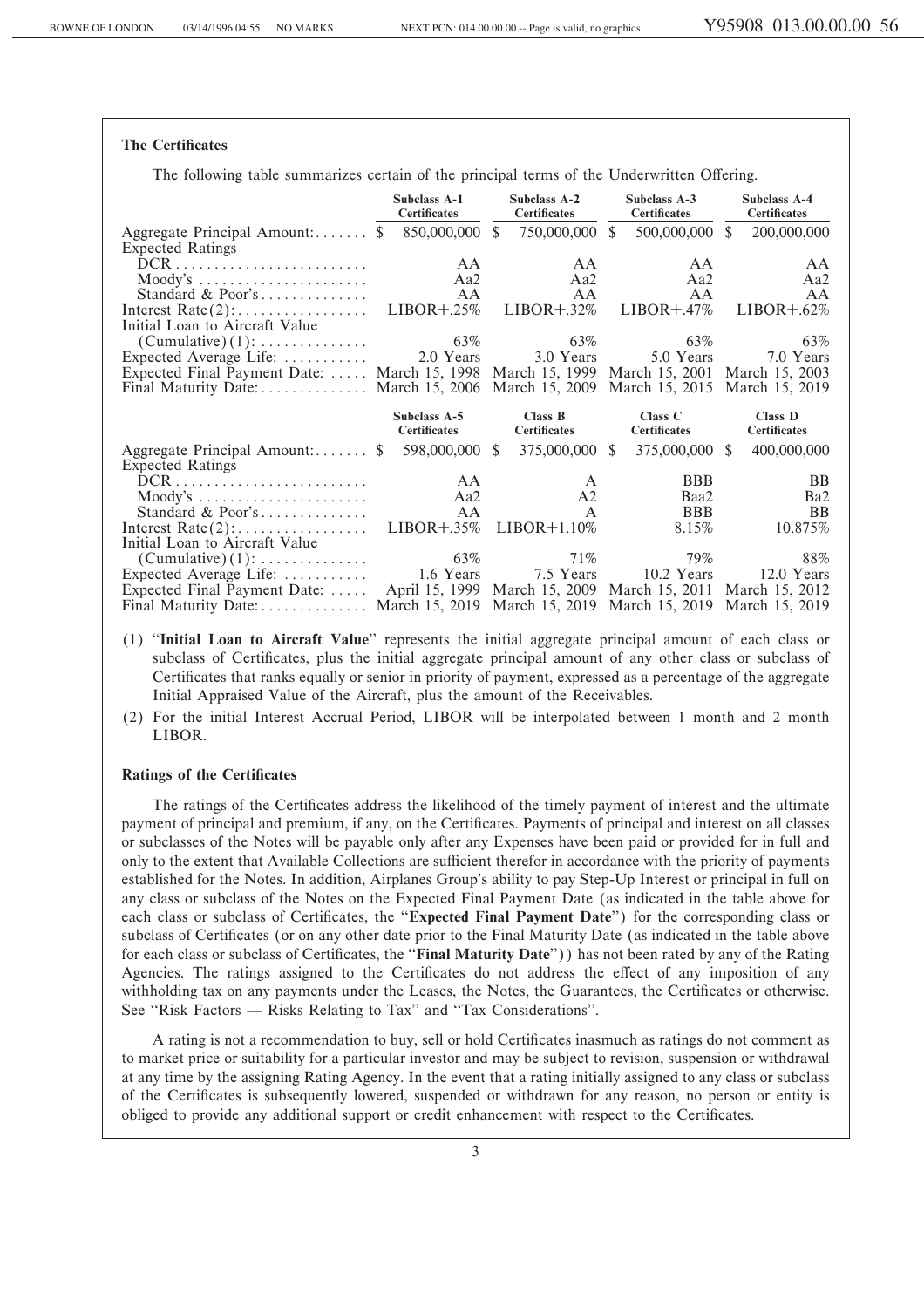## **The Certificates**

The following table summarizes certain of the principal terms of the Underwritten Offering.

|                                                                                                                  | <b>Subclass A-1</b><br><b>Certificates</b> | Subclass A-2<br><b>Certificates</b> | Subclass A-3<br><b>Certificates</b>                         | Subclass A-4<br><b>Certificates</b> |  |
|------------------------------------------------------------------------------------------------------------------|--------------------------------------------|-------------------------------------|-------------------------------------------------------------|-------------------------------------|--|
| Aggregate Principal Amount: $\$                                                                                  | 850,000,000                                | 750,000,000<br><sup>\$</sup>        | <sup>\$</sup><br>500,000,000                                | $\mathbb{S}$<br>200,000,000         |  |
| <b>Expected Ratings</b>                                                                                          |                                            |                                     |                                                             |                                     |  |
| $DCR$                                                                                                            | AA                                         | AA.                                 | AA.                                                         | AA                                  |  |
| $\text{Mody's}\dots \dots \dots \dots \dots \dots \dots$                                                         | Aa2                                        | Aa2                                 | Aa2                                                         | Aa2                                 |  |
| Standard & Poor's                                                                                                | AA                                         | AA                                  | AA                                                          | AA                                  |  |
|                                                                                                                  | $LIBOR + .25%$                             | $LIBOR + .32\%$                     | $LIBOR + .47\%$                                             | $LIBOR + .62\%$                     |  |
| Initial Loan to Aircraft Value                                                                                   |                                            |                                     |                                                             |                                     |  |
| $(Cumulative)$ (1):                                                                                              | 63%                                        | 63%                                 | 63%                                                         | 63%                                 |  |
| Expected Average Life:                                                                                           | 2.0 Years                                  | 3.0 Years                           | 5.0 Years                                                   | 7.0 Years                           |  |
| Expected Final Payment Date:  March 15, 1998 March 15, 1999 March 15, 2001 March 15, 2003                        |                                            |                                     |                                                             |                                     |  |
| Final Maturity Date: March 15, 2006 March 15, 2009 March 15, 2015 March 15, 2019                                 |                                            |                                     |                                                             |                                     |  |
|                                                                                                                  |                                            |                                     |                                                             |                                     |  |
|                                                                                                                  |                                            |                                     |                                                             |                                     |  |
|                                                                                                                  | Subclass A-5<br><b>Certificates</b>        | Class B<br><b>Certificates</b>      | Class $C$<br><b>Certificates</b>                            | Class D<br>Certificates             |  |
|                                                                                                                  | 598,000,000 \$                             | 375,000,000 \$                      | 375,000,000 \$                                              | 400,000,000                         |  |
| Aggregate Principal Amount: $\$                                                                                  |                                            |                                     |                                                             |                                     |  |
| <b>Expected Ratings</b><br>$DCR$                                                                                 | AA                                         | A                                   | <b>BBB</b>                                                  | <b>BB</b>                           |  |
|                                                                                                                  | Aa2                                        | A <sub>2</sub>                      | Baa2                                                        | Ba <sub>2</sub>                     |  |
| $\text{Mody's } \dots \dots \dots \dots \dots \dots \dots$<br>Standard & Poor's                                  | AA                                         | $\mathsf{A}$                        | <b>BBB</b>                                                  | <b>BB</b>                           |  |
|                                                                                                                  | $LIBOR + .35%$                             | $LIBOR+1.10\%$                      | 8.15%                                                       | 10.875%                             |  |
| Initial Loan to Aircraft Value                                                                                   |                                            |                                     |                                                             |                                     |  |
| $(Cumulative)$ (1):                                                                                              | 63%                                        | 71%                                 | 79%                                                         | 88%                                 |  |
| Expected Average Life:                                                                                           | 1.6 Years                                  | 7.5 Years                           | 10.2 Years                                                  | 12.0 Years                          |  |
| Expected Final Payment Date:<br>Final Maturity Date: March 15, 2019 March 15, 2019 March 15, 2019 March 15, 2019 |                                            |                                     | April 15, 1999 March 15, 2009 March 15, 2011 March 15, 2012 |                                     |  |

- (1) ""**Initial Loan to Aircraft Value**'' represents the initial aggregate principal amount of each class or subclass of Certificates, plus the initial aggregate principal amount of any other class or subclass of Certificates that ranks equally or senior in priority of payment, expressed as a percentage of the aggregate Initial Appraised Value of the Aircraft, plus the amount of the Receivables.
- (2) For the initial Interest Accrual Period, LIBOR will be interpolated between 1 month and 2 month LIBOR.

#### **Ratings of the Certificates**

The ratings of the Certificates address the likelihood of the timely payment of interest and the ultimate payment of principal and premium, if any, on the Certificates. Payments of principal and interest on all classes or subclasses of the Notes will be payable only after any Expenses have been paid or provided for in full and only to the extent that Available Collections are sufficient therefor in accordance with the priority of payments established for the Notes. In addition, Airplanes Group's ability to pay Step-Up Interest or principal in full on any class or subclass of the Notes on the Expected Final Payment Date (as indicated in the table above for each class or subclass of Certificates, the "**Expected Final Payment Date**") for the corresponding class or subclass of Certificates (or on any other date prior to the Final Maturity Date (as indicated in the table above for each class or subclass of Certificates, the "**Final Maturity Date**")) has not been rated by any of the Rating Agencies. The ratings assigned to the Certificates do not address the effect of any imposition of any withholding tax on any payments under the Leases, the Notes, the Guarantees, the Certificates or otherwise. See "Risk Factors — Risks Relating to Tax" and "Tax Considerations".

A rating is not a recommendation to buy, sell or hold Certificates inasmuch as ratings do not comment as to market price or suitability for a particular investor and may be subject to revision, suspension or withdrawal at any time by the assigning Rating Agency. In the event that a rating initially assigned to any class or subclass of the Certificates is subsequently lowered, suspended or withdrawn for any reason, no person or entity is obliged to provide any additional support or credit enhancement with respect to the Certificates.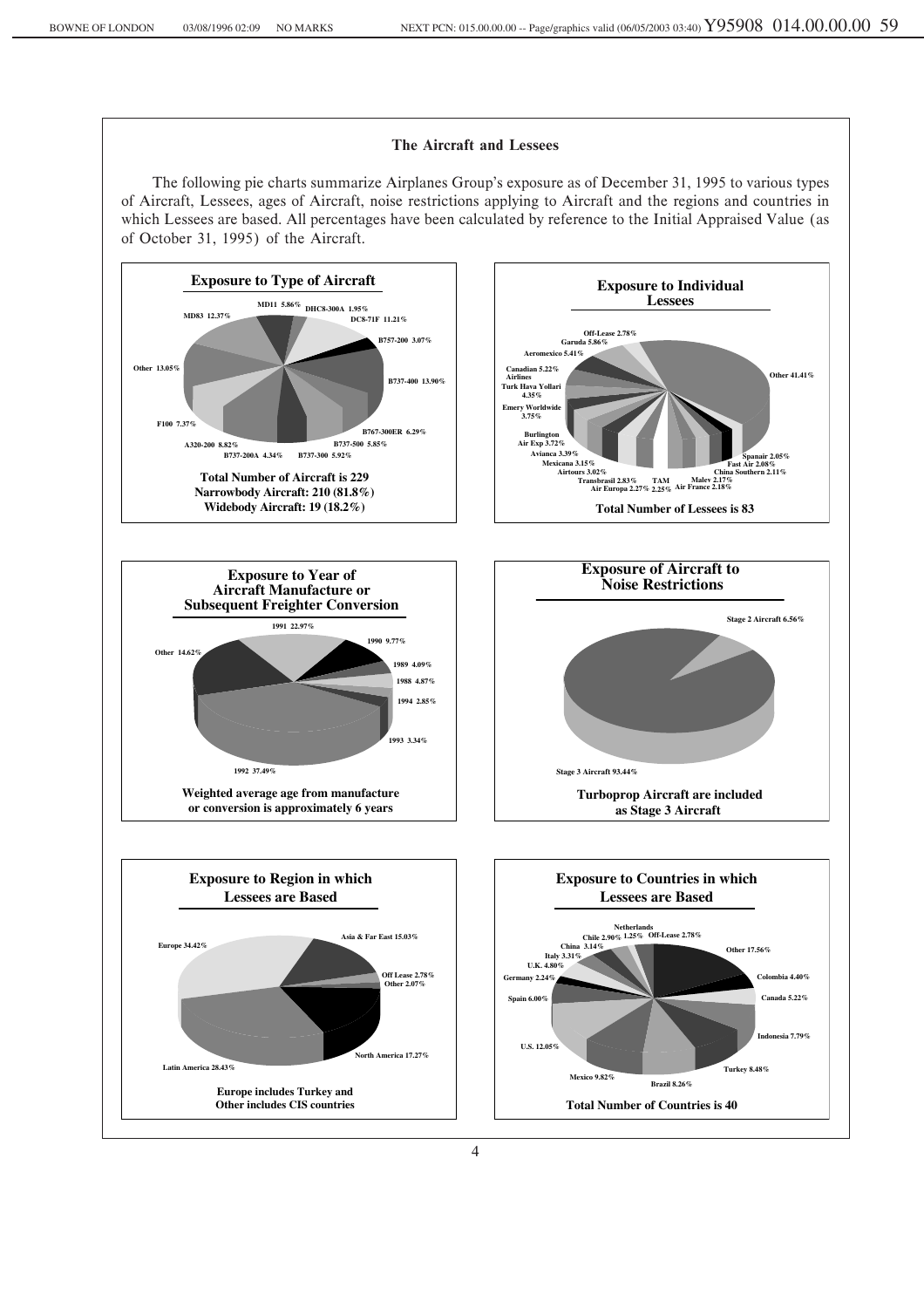## **The Aircraft and Lessees**

The following pie charts summarize Airplanes Group's exposure as of December 31, 1995 to various types of Aircraft, Lessees, ages of Aircraft, noise restrictions applying to Aircraft and the regions and countries in which Lessees are based. All percentages have been calculated by reference to the Initial Appraised Value (as of October 31, 1995) of the Aircraft.

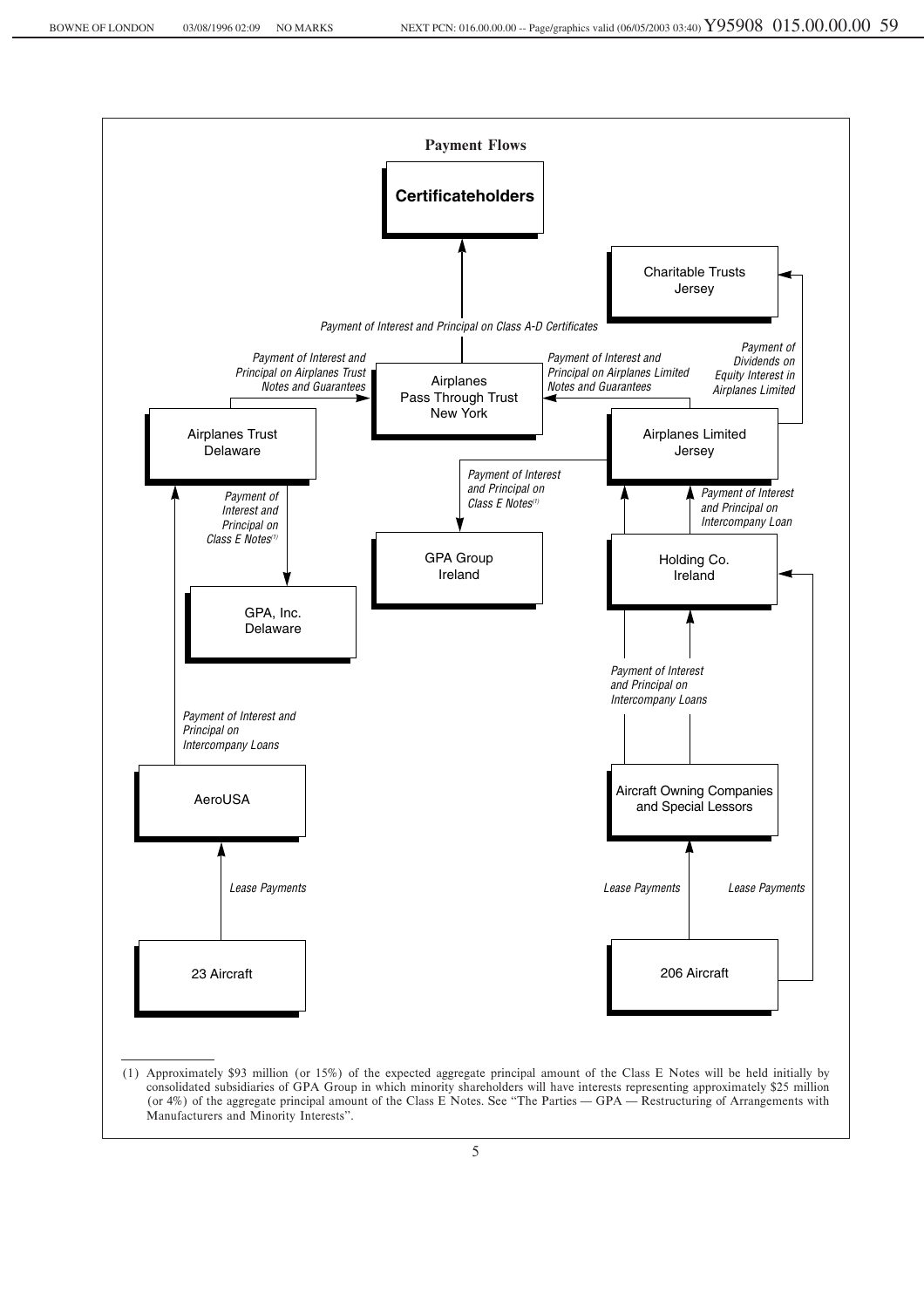

5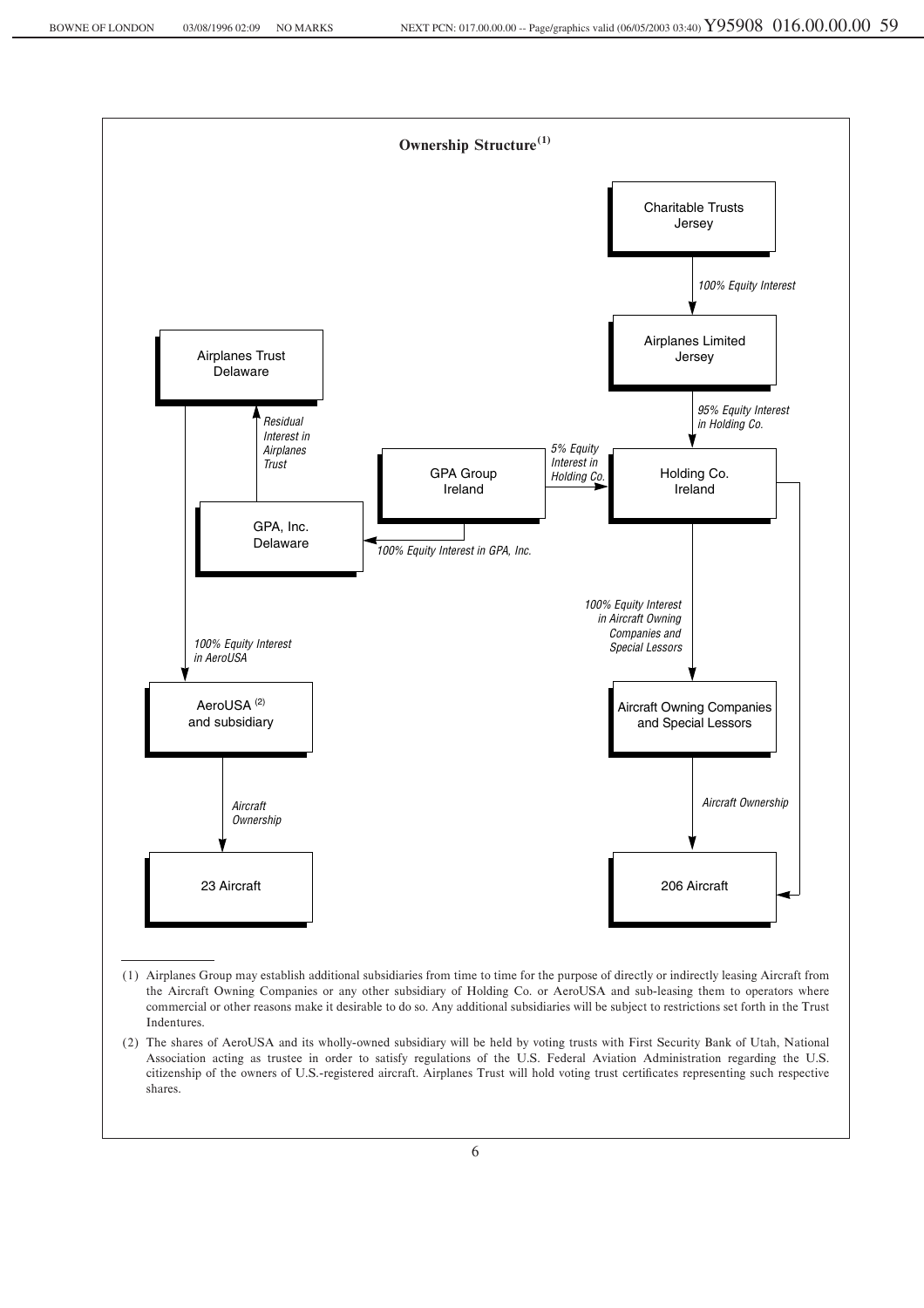

- (1) Airplanes Group may establish additional subsidiaries from time to time for the purpose of directly or indirectly leasing Aircraft from the Aircraft Owning Companies or any other subsidiary of Holding Co. or AeroUSA and sub-leasing them to operators where commercial or other reasons make it desirable to do so. Any additional subsidiaries will be subject to restrictions set forth in the Trust Indentures.
- (2) The shares of AeroUSA and its wholly-owned subsidiary will be held by voting trusts with First Security Bank of Utah, National Association acting as trustee in order to satisfy regulations of the U.S. Federal Aviation Administration regarding the U.S. citizenship of the owners of U.S.-registered aircraft. Airplanes Trust will hold voting trust certificates representing such respective shares.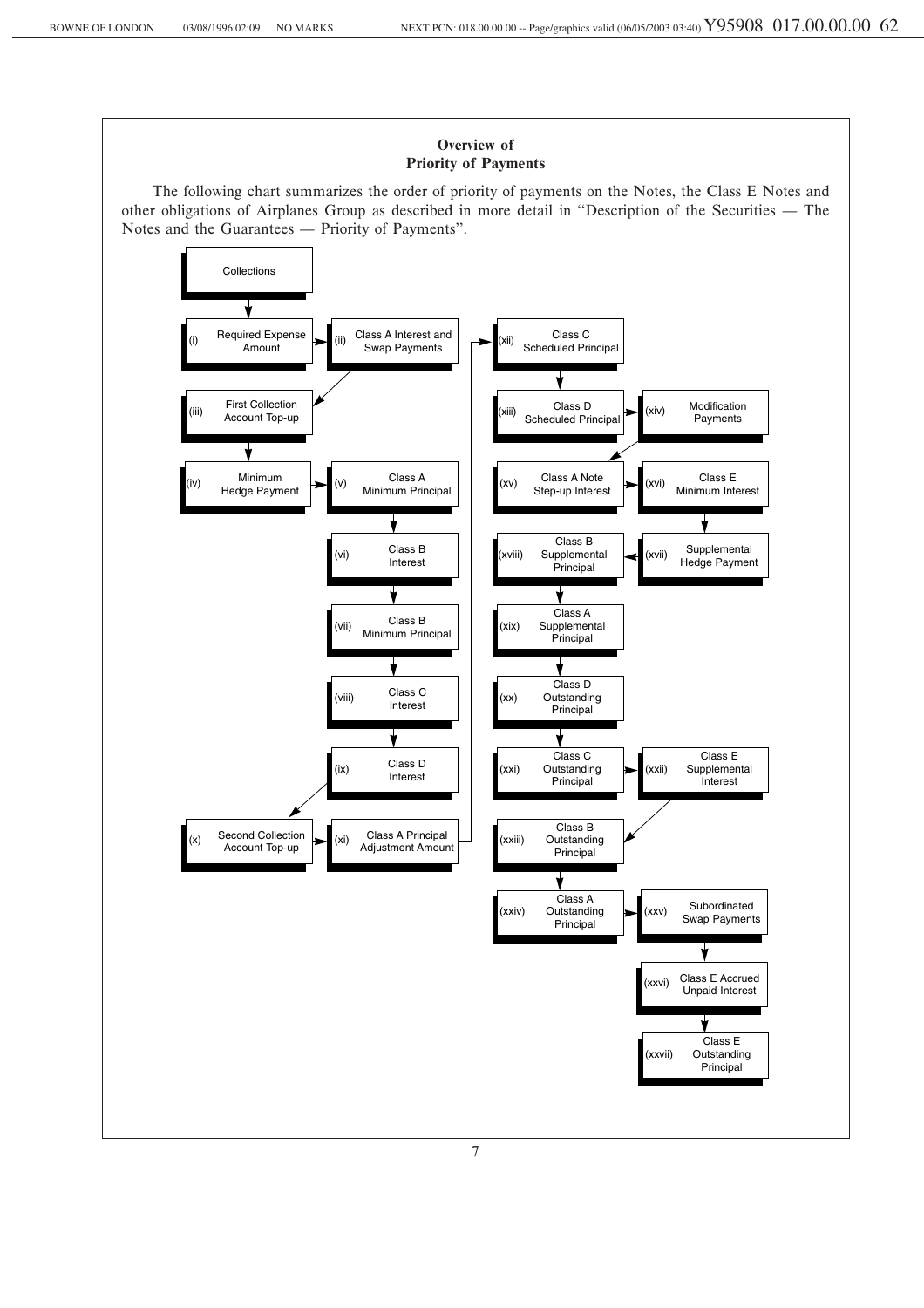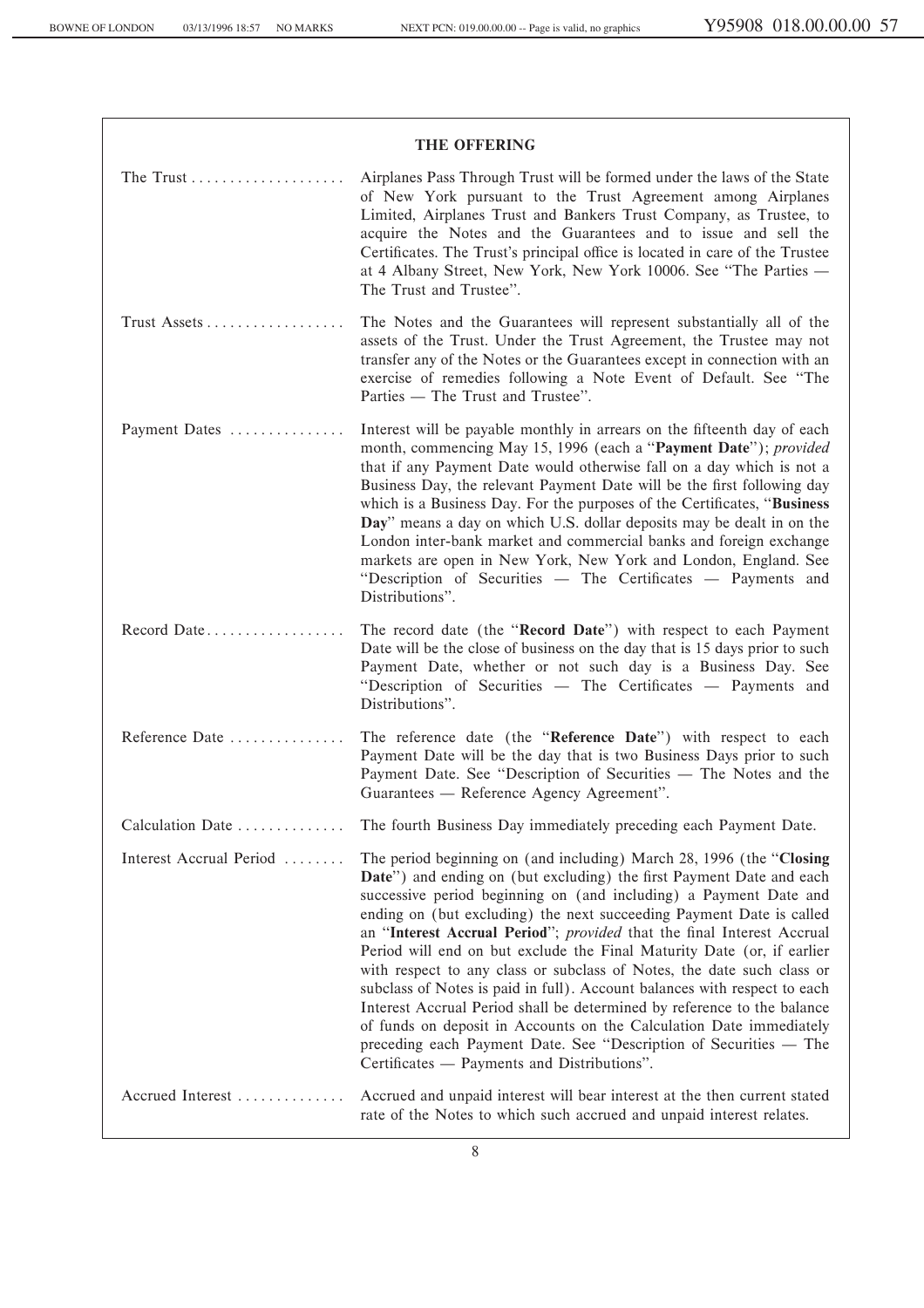| <b>THE OFFERING</b>     |                                                                                                                                                                                                                                                                                                                                                                                                                                                                                                                                                                                                                                                                                                                                                                                                                                                                            |  |  |  |
|-------------------------|----------------------------------------------------------------------------------------------------------------------------------------------------------------------------------------------------------------------------------------------------------------------------------------------------------------------------------------------------------------------------------------------------------------------------------------------------------------------------------------------------------------------------------------------------------------------------------------------------------------------------------------------------------------------------------------------------------------------------------------------------------------------------------------------------------------------------------------------------------------------------|--|--|--|
|                         | Airplanes Pass Through Trust will be formed under the laws of the State<br>of New York pursuant to the Trust Agreement among Airplanes<br>Limited, Airplanes Trust and Bankers Trust Company, as Trustee, to<br>acquire the Notes and the Guarantees and to issue and sell the<br>Certificates. The Trust's principal office is located in care of the Trustee<br>at 4 Albany Street, New York, New York 10006. See "The Parties -<br>The Trust and Trustee".                                                                                                                                                                                                                                                                                                                                                                                                              |  |  |  |
| $Trust$ Assets          | The Notes and the Guarantees will represent substantially all of the<br>assets of the Trust. Under the Trust Agreement, the Trustee may not<br>transfer any of the Notes or the Guarantees except in connection with an<br>exercise of remedies following a Note Event of Default. See "The<br>Parties — The Trust and Trustee".                                                                                                                                                                                                                                                                                                                                                                                                                                                                                                                                           |  |  |  |
| Payment Dates           | Interest will be payable monthly in arrears on the fifteenth day of each<br>month, commencing May 15, 1996 (each a "Payment Date"); provided<br>that if any Payment Date would otherwise fall on a day which is not a<br>Business Day, the relevant Payment Date will be the first following day<br>which is a Business Day. For the purposes of the Certificates, "Business<br>Day" means a day on which U.S. dollar deposits may be dealt in on the<br>London inter-bank market and commercial banks and foreign exchange<br>markets are open in New York, New York and London, England. See<br>"Description of Securities — The Certificates — Payments and<br>Distributions".                                                                                                                                                                                          |  |  |  |
| Record Date             | The record date (the "Record Date") with respect to each Payment<br>Date will be the close of business on the day that is 15 days prior to such<br>Payment Date, whether or not such day is a Business Day. See<br>"Description of Securities — The Certificates — Payments and<br>Distributions".                                                                                                                                                                                                                                                                                                                                                                                                                                                                                                                                                                         |  |  |  |
| Reference Date          | The reference date (the "Reference Date") with respect to each<br>Payment Date will be the day that is two Business Days prior to such<br>Payment Date. See "Description of Securities — The Notes and the<br>Guarantees - Reference Agency Agreement".                                                                                                                                                                                                                                                                                                                                                                                                                                                                                                                                                                                                                    |  |  |  |
| Calculation Date        | The fourth Business Day immediately preceding each Payment Date.                                                                                                                                                                                                                                                                                                                                                                                                                                                                                                                                                                                                                                                                                                                                                                                                           |  |  |  |
| Interest Accrual Period | The period beginning on (and including) March 28, 1996 (the "Closing<br>Date") and ending on (but excluding) the first Payment Date and each<br>successive period beginning on (and including) a Payment Date and<br>ending on (but excluding) the next succeeding Payment Date is called<br>an "Interest Accrual Period"; provided that the final Interest Accrual<br>Period will end on but exclude the Final Maturity Date (or, if earlier<br>with respect to any class or subclass of Notes, the date such class or<br>subclass of Notes is paid in full). Account balances with respect to each<br>Interest Accrual Period shall be determined by reference to the balance<br>of funds on deposit in Accounts on the Calculation Date immediately<br>preceding each Payment Date. See "Description of Securities — The<br>Certificates — Payments and Distributions". |  |  |  |
| Accrued Interest        | Accrued and unpaid interest will bear interest at the then current stated<br>rate of the Notes to which such accrued and unpaid interest relates.                                                                                                                                                                                                                                                                                                                                                                                                                                                                                                                                                                                                                                                                                                                          |  |  |  |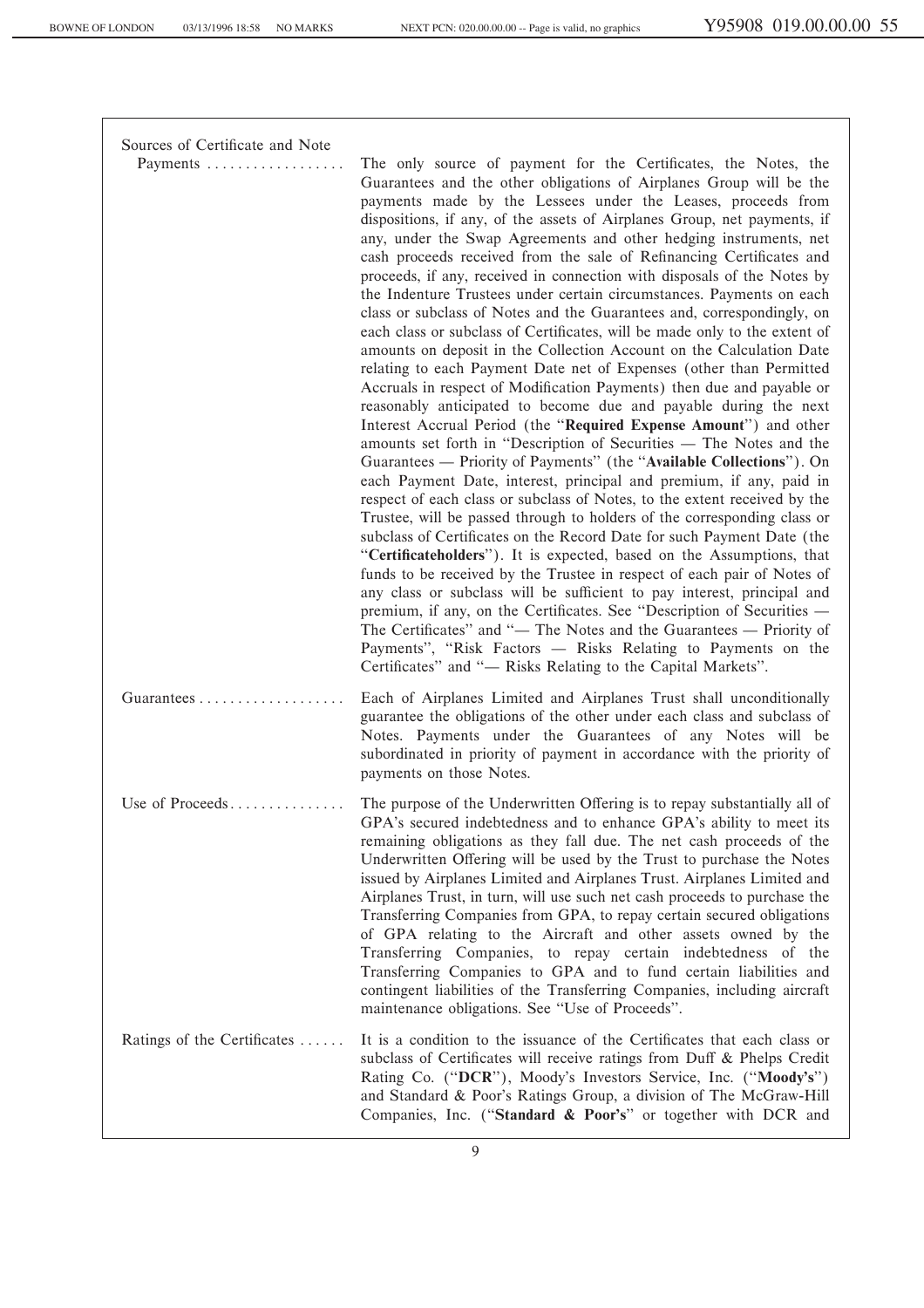| Sources of Certificate and Note |                                                                                                                                                                                                                                                                                                                                                                                                                                                                                                                                                                                                                                                                                                                                                                                                                                                                                                                                                                                                                                                                                                                                                                                                                                                                                                                                                                                                                                                                                                                                                                                                                                                                                                                                                                                                                                                                                                                                                                                                                                                                                      |
|---------------------------------|--------------------------------------------------------------------------------------------------------------------------------------------------------------------------------------------------------------------------------------------------------------------------------------------------------------------------------------------------------------------------------------------------------------------------------------------------------------------------------------------------------------------------------------------------------------------------------------------------------------------------------------------------------------------------------------------------------------------------------------------------------------------------------------------------------------------------------------------------------------------------------------------------------------------------------------------------------------------------------------------------------------------------------------------------------------------------------------------------------------------------------------------------------------------------------------------------------------------------------------------------------------------------------------------------------------------------------------------------------------------------------------------------------------------------------------------------------------------------------------------------------------------------------------------------------------------------------------------------------------------------------------------------------------------------------------------------------------------------------------------------------------------------------------------------------------------------------------------------------------------------------------------------------------------------------------------------------------------------------------------------------------------------------------------------------------------------------------|
| Payments                        | The only source of payment for the Certificates, the Notes, the<br>Guarantees and the other obligations of Airplanes Group will be the<br>payments made by the Lessees under the Leases, proceeds from<br>dispositions, if any, of the assets of Airplanes Group, net payments, if<br>any, under the Swap Agreements and other hedging instruments, net<br>cash proceeds received from the sale of Refinancing Certificates and<br>proceeds, if any, received in connection with disposals of the Notes by<br>the Indenture Trustees under certain circumstances. Payments on each<br>class or subclass of Notes and the Guarantees and, correspondingly, on<br>each class or subclass of Certificates, will be made only to the extent of<br>amounts on deposit in the Collection Account on the Calculation Date<br>relating to each Payment Date net of Expenses (other than Permitted<br>Accruals in respect of Modification Payments) then due and payable or<br>reasonably anticipated to become due and payable during the next<br>Interest Accrual Period (the "Required Expense Amount") and other<br>amounts set forth in "Description of Securities — The Notes and the<br>Guarantees — Priority of Payments" (the "Available Collections"). On<br>each Payment Date, interest, principal and premium, if any, paid in<br>respect of each class or subclass of Notes, to the extent received by the<br>Trustee, will be passed through to holders of the corresponding class or<br>subclass of Certificates on the Record Date for such Payment Date (the<br>"Certificateholders"). It is expected, based on the Assumptions, that<br>funds to be received by the Trustee in respect of each pair of Notes of<br>any class or subclass will be sufficient to pay interest, principal and<br>premium, if any, on the Certificates. See "Description of Securities —<br>The Certificates" and "- The Notes and the Guarantees - Priority of<br>Payments", "Risk Factors — Risks Relating to Payments on the<br>Certificates" and "- Risks Relating to the Capital Markets". |
|                                 | Each of Airplanes Limited and Airplanes Trust shall unconditionally<br>guarantee the obligations of the other under each class and subclass of<br>Notes. Payments under the Guarantees of any Notes will be<br>subordinated in priority of payment in accordance with the priority of<br>payments on those Notes.                                                                                                                                                                                                                                                                                                                                                                                                                                                                                                                                                                                                                                                                                                                                                                                                                                                                                                                                                                                                                                                                                                                                                                                                                                                                                                                                                                                                                                                                                                                                                                                                                                                                                                                                                                    |
| Use of Proceeds                 | The purpose of the Underwritten Offering is to repay substantially all of<br>GPA's secured indebtedness and to enhance GPA's ability to meet its<br>remaining obligations as they fall due. The net cash proceeds of the<br>Underwritten Offering will be used by the Trust to purchase the Notes<br>issued by Airplanes Limited and Airplanes Trust. Airplanes Limited and<br>Airplanes Trust, in turn, will use such net cash proceeds to purchase the<br>Transferring Companies from GPA, to repay certain secured obligations<br>of GPA relating to the Aircraft and other assets owned by the<br>Transferring Companies, to repay certain indebtedness of the<br>Transferring Companies to GPA and to fund certain liabilities and<br>contingent liabilities of the Transferring Companies, including aircraft<br>maintenance obligations. See "Use of Proceeds".                                                                                                                                                                                                                                                                                                                                                                                                                                                                                                                                                                                                                                                                                                                                                                                                                                                                                                                                                                                                                                                                                                                                                                                                               |
| Ratings of the Certificates     | It is a condition to the issuance of the Certificates that each class or<br>subclass of Certificates will receive ratings from Duff & Phelps Credit<br>Rating Co. ("DCR"), Moody's Investors Service, Inc. ("Moody's")<br>and Standard & Poor's Ratings Group, a division of The McGraw-Hill<br>Companies, Inc. ("Standard & Poor's" or together with DCR and                                                                                                                                                                                                                                                                                                                                                                                                                                                                                                                                                                                                                                                                                                                                                                                                                                                                                                                                                                                                                                                                                                                                                                                                                                                                                                                                                                                                                                                                                                                                                                                                                                                                                                                        |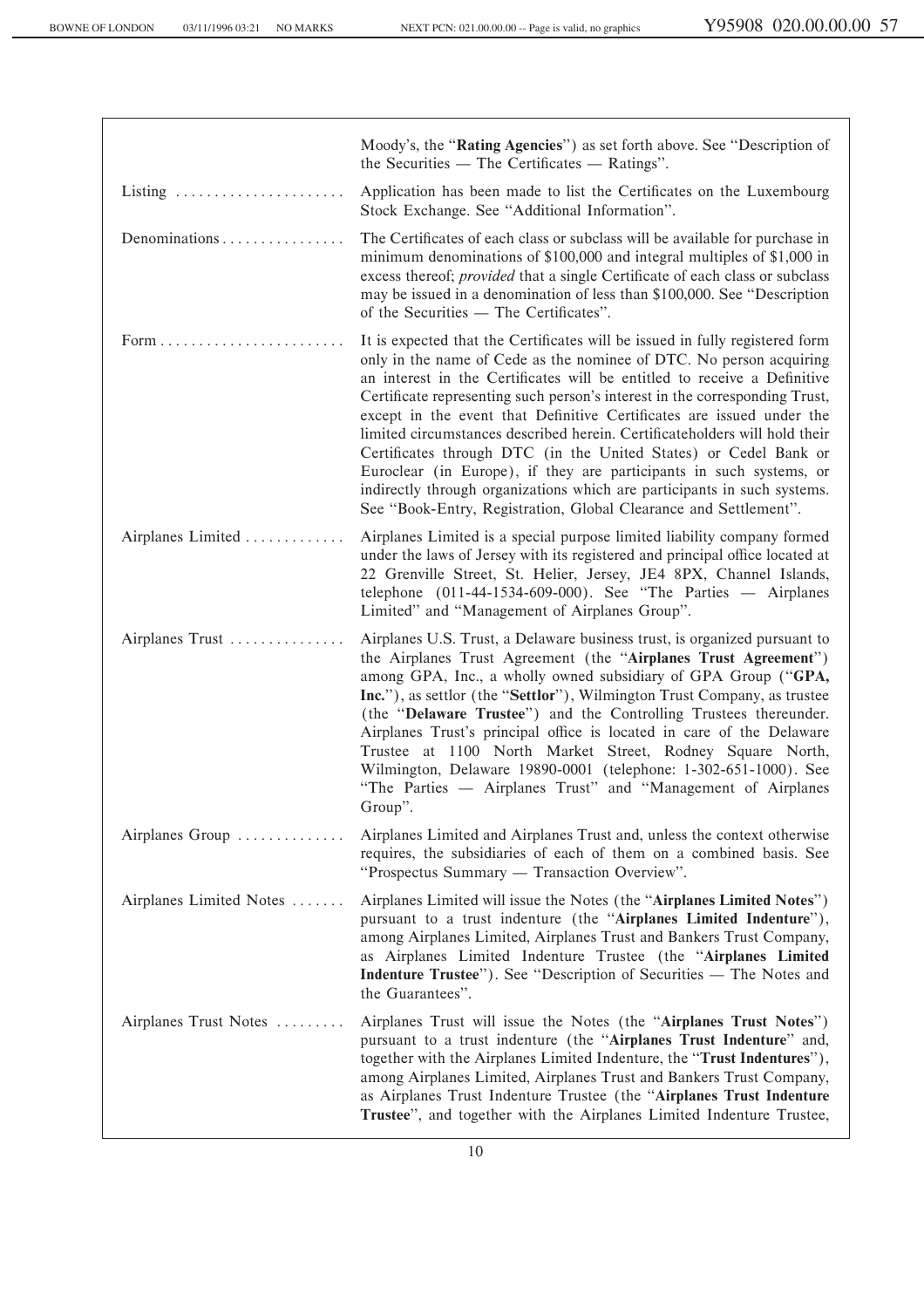|                         | Moody's, the "Rating Agencies") as set forth above. See "Description of<br>the Securities — The Certificates — Ratings".                                                                                                                                                                                                                                                                                                                                                                                                                                                                                                                                                                                                                                         |
|-------------------------|------------------------------------------------------------------------------------------------------------------------------------------------------------------------------------------------------------------------------------------------------------------------------------------------------------------------------------------------------------------------------------------------------------------------------------------------------------------------------------------------------------------------------------------------------------------------------------------------------------------------------------------------------------------------------------------------------------------------------------------------------------------|
| Listing                 | Application has been made to list the Certificates on the Luxembourg<br>Stock Exchange. See "Additional Information".                                                                                                                                                                                                                                                                                                                                                                                                                                                                                                                                                                                                                                            |
| Denominations           | The Certificates of each class or subclass will be available for purchase in<br>minimum denominations of \$100,000 and integral multiples of \$1,000 in<br>excess thereof; <i>provided</i> that a single Certificate of each class or subclass<br>may be issued in a denomination of less than \$100,000. See "Description<br>of the Securities — The Certificates".                                                                                                                                                                                                                                                                                                                                                                                             |
|                         | It is expected that the Certificates will be issued in fully registered form<br>only in the name of Cede as the nominee of DTC. No person acquiring<br>an interest in the Certificates will be entitled to receive a Definitive<br>Certificate representing such person's interest in the corresponding Trust,<br>except in the event that Definitive Certificates are issued under the<br>limited circumstances described herein. Certificateholders will hold their<br>Certificates through DTC (in the United States) or Cedel Bank or<br>Euroclear (in Europe), if they are participants in such systems, or<br>indirectly through organizations which are participants in such systems.<br>See "Book-Entry, Registration, Global Clearance and Settlement". |
| Airplanes Limited       | Airplanes Limited is a special purpose limited liability company formed<br>under the laws of Jersey with its registered and principal office located at<br>22 Grenville Street, St. Helier, Jersey, JE4 8PX, Channel Islands,<br>telephone $(011-44-1534-609-000)$ . See "The Parties — Airplanes<br>Limited" and "Management of Airplanes Group".                                                                                                                                                                                                                                                                                                                                                                                                               |
| Airplanes Trust         | Airplanes U.S. Trust, a Delaware business trust, is organized pursuant to<br>the Airplanes Trust Agreement (the "Airplanes Trust Agreement")<br>among GPA, Inc., a wholly owned subsidiary of GPA Group ("GPA,<br>Inc."), as settlor (the "Settlor"), Wilmington Trust Company, as trustee<br>(the "Delaware Trustee") and the Controlling Trustees thereunder.<br>Airplanes Trust's principal office is located in care of the Delaware<br>Trustee at 1100 North Market Street, Rodney Square North,<br>Wilmington, Delaware 19890-0001 (telephone: 1-302-651-1000). See<br>"The Parties - Airplanes Trust" and "Management of Airplanes<br>Group".                                                                                                             |
| Airplanes Group         | Airplanes Limited and Airplanes Trust and, unless the context otherwise<br>requires, the subsidiaries of each of them on a combined basis. See<br>"Prospectus Summary — Transaction Overview".                                                                                                                                                                                                                                                                                                                                                                                                                                                                                                                                                                   |
| Airplanes Limited Notes | Airplanes Limited will issue the Notes (the "Airplanes Limited Notes")<br>pursuant to a trust indenture (the "Airplanes Limited Indenture"),<br>among Airplanes Limited, Airplanes Trust and Bankers Trust Company,<br>as Airplanes Limited Indenture Trustee (the "Airplanes Limited<br>Indenture Trustee"). See "Description of Securities - The Notes and<br>the Guarantees".                                                                                                                                                                                                                                                                                                                                                                                 |
| Airplanes Trust Notes   | Airplanes Trust will issue the Notes (the "Airplanes Trust Notes")<br>pursuant to a trust indenture (the "Airplanes Trust Indenture" and,<br>together with the Airplanes Limited Indenture, the "Trust Indentures"),<br>among Airplanes Limited, Airplanes Trust and Bankers Trust Company,<br>as Airplanes Trust Indenture Trustee (the "Airplanes Trust Indenture<br>Trustee", and together with the Airplanes Limited Indenture Trustee,                                                                                                                                                                                                                                                                                                                      |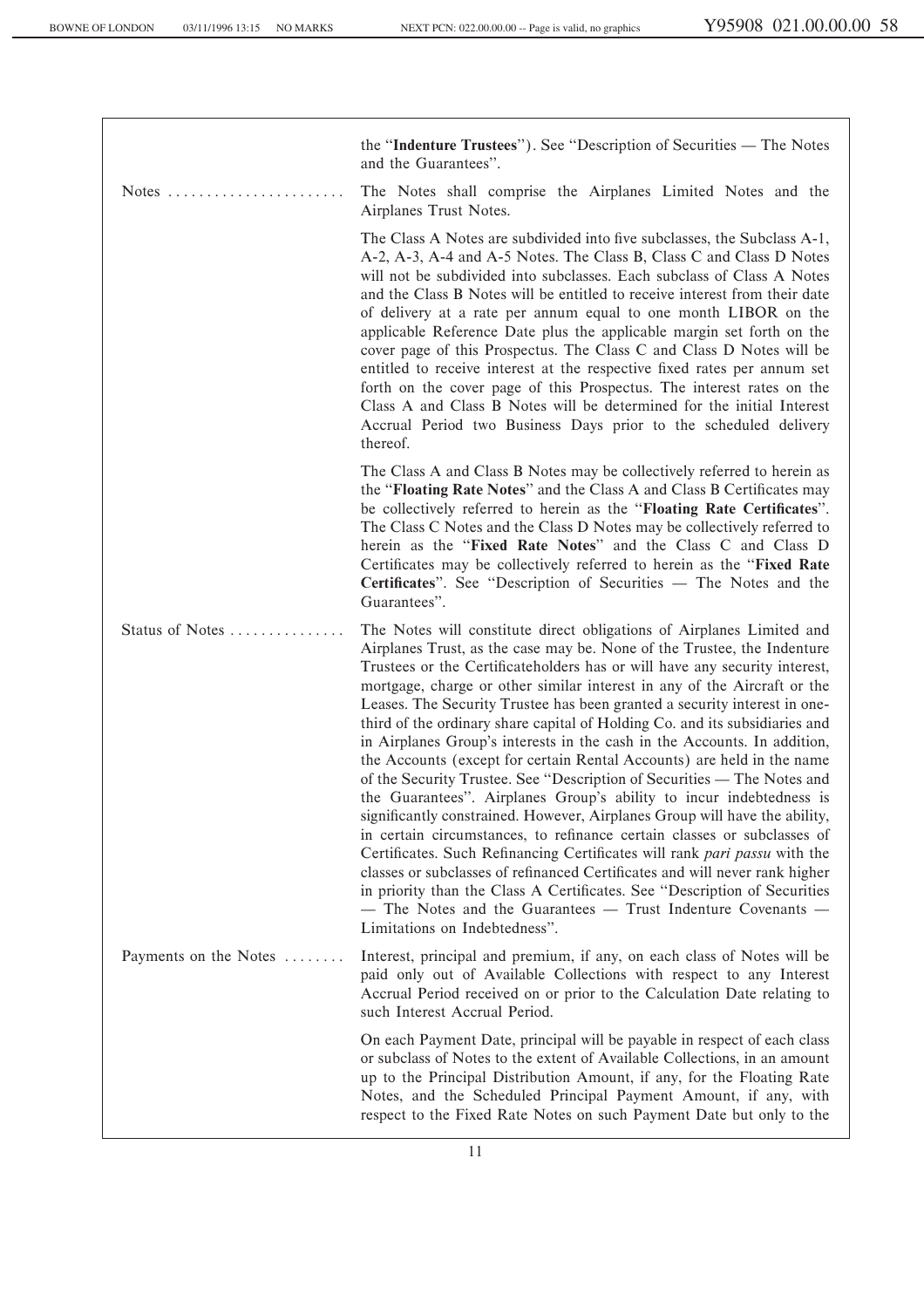the "Indenture Trustees"). See "Description of Securities — The Notes and the Guarantees''. Notes ÏÏÏÏÏÏÏÏÏÏÏÏÏÏÏÏÏÏÏÏÏÏÏ The Notes shall comprise the Airplanes Limited Notes and the Airplanes Trust Notes. The Class A Notes are subdivided into five subclasses, the Subclass A-1, A-2, A-3, A-4 and A-5 Notes. The Class B, Class C and Class D Notes will not be subdivided into subclasses. Each subclass of Class A Notes and the Class B Notes will be entitled to receive interest from their date of delivery at a rate per annum equal to one month LIBOR on the applicable Reference Date plus the applicable margin set forth on the cover page of this Prospectus. The Class C and Class D Notes will be entitled to receive interest at the respective Ñxed rates per annum set forth on the cover page of this Prospectus. The interest rates on the Class A and Class B Notes will be determined for the initial Interest Accrual Period two Business Days prior to the scheduled delivery thereof. The Class A and Class B Notes may be collectively referred to herein as the "**Floating Rate Notes**" and the Class A and Class B Certificates may be collectively referred to herein as the "Floating Rate Certificates". The Class C Notes and the Class D Notes may be collectively referred to herein as the "Fixed Rate Notes" and the Class C and Class D Certificates may be collectively referred to herein as the "Fixed Rate Certificates". See "Description of Securities — The Notes and the Guarantees''. Status of Notes ÏÏÏÏÏÏÏÏÏÏÏÏÏÏÏ The Notes will constitute direct obligations of Airplanes Limited and Airplanes Trust, as the case may be. None of the Trustee, the Indenture Trustees or the Certificateholders has or will have any security interest, mortgage, charge or other similar interest in any of the Aircraft or the Leases. The Security Trustee has been granted a security interest in onethird of the ordinary share capital of Holding Co. and its subsidiaries and in Airplanes Group's interests in the cash in the Accounts. In addition, the Accounts (except for certain Rental Accounts) are held in the name of the Security Trustee. See "Description of Securities — The Notes and the Guarantees''. Airplanes Group's ability to incur indebtedness is significantly constrained. However, Airplanes Group will have the ability, in certain circumstances, to refinance certain classes or subclasses of Certificates. Such Refinancing Certificates will rank *pari passu* with the classes or subclasses of refinanced Certificates and will never rank higher in priority than the Class A Certificates. See "Description of Securities  $-$  The Notes and the Guarantees  $-$  Trust Indenture Covenants  $-$ Limitations on Indebtedness''. Payments on the Notes ....... Interest, principal and premium, if any, on each class of Notes will be paid only out of Available Collections with respect to any Interest Accrual Period received on or prior to the Calculation Date relating to such Interest Accrual Period. On each Payment Date, principal will be payable in respect of each class or subclass of Notes to the extent of Available Collections, in an amount up to the Principal Distribution Amount, if any, for the Floating Rate Notes, and the Scheduled Principal Payment Amount, if any, with respect to the Fixed Rate Notes on such Payment Date but only to the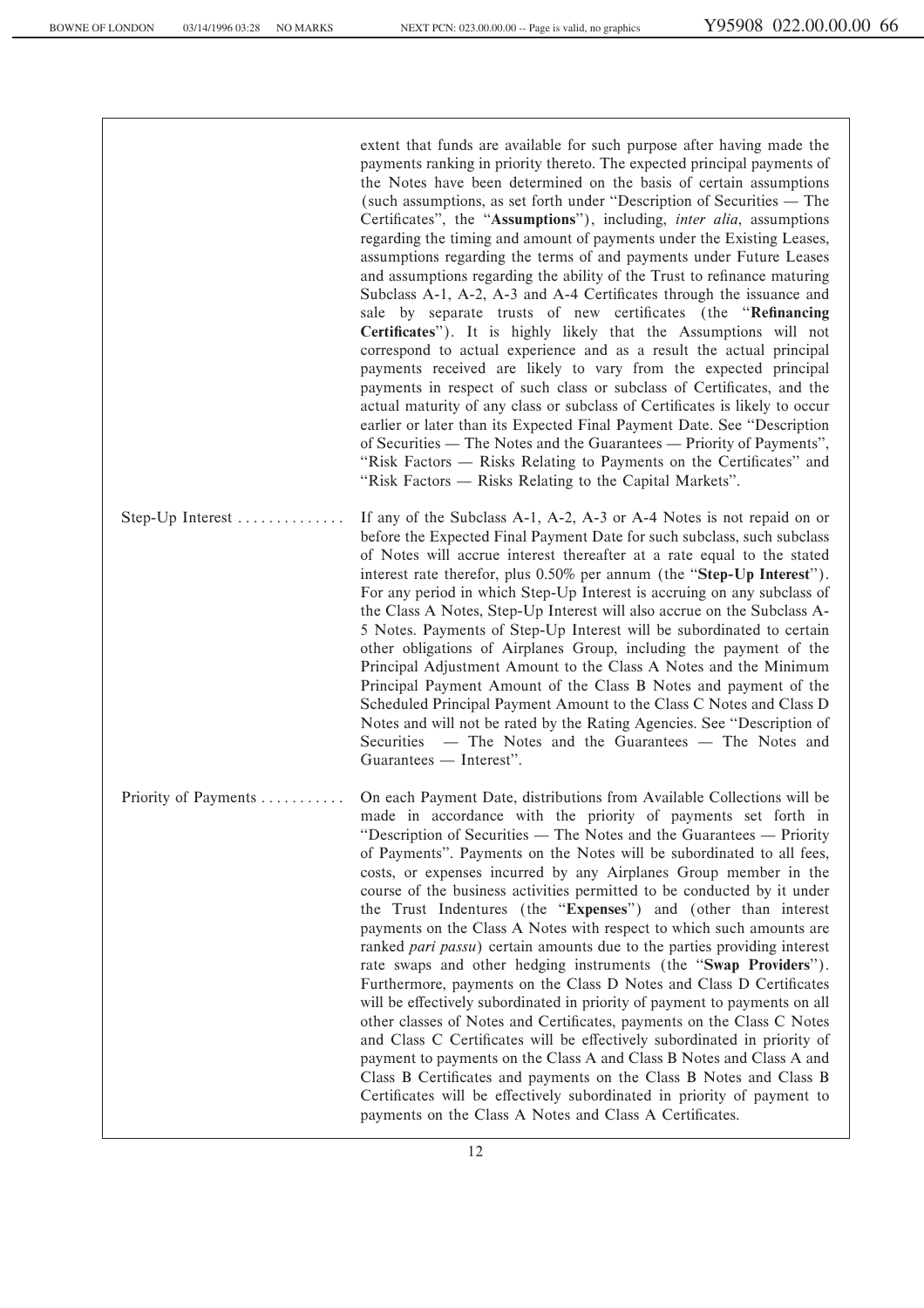extent that funds are available for such purpose after having made the payments ranking in priority thereto. The expected principal payments of the Notes have been determined on the basis of certain assumptions (such assumptions, as set forth under "Description of Securities  $-$  The Certificates", the "Assumptions"), including, *inter alia*, assumptions regarding the timing and amount of payments under the Existing Leases, assumptions regarding the terms of and payments under Future Leases and assumptions regarding the ability of the Trust to refinance maturing Subclass A-1, A-2, A-3 and A-4 Certificates through the issuance and sale by separate trusts of new certificates (the "Refinancing Certificates"). It is highly likely that the Assumptions will not correspond to actual experience and as a result the actual principal payments received are likely to vary from the expected principal payments in respect of such class or subclass of Certificates, and the actual maturity of any class or subclass of Certificates is likely to occur earlier or later than its Expected Final Payment Date. See "Description of Securities — The Notes and the Guarantees — Priority of Payments", "Risk Factors — Risks Relating to Payments on the Certificates" and "Risk Factors — Risks Relating to the Capital Markets".

Step-Up Interest  $\dots$   $\dots$   $\dots$   $\dots$  If any of the Subclass A-1, A-2, A-3 or A-4 Notes is not repaid on or before the Expected Final Payment Date for such subclass, such subclass of Notes will accrue interest thereafter at a rate equal to the stated interest rate therefor, plus 0.50% per annum (the "**Step-Up Interest**"). For any period in which Step-Up Interest is accruing on any subclass of the Class A Notes, Step-Up Interest will also accrue on the Subclass A-5 Notes. Payments of Step-Up Interest will be subordinated to certain other obligations of Airplanes Group, including the payment of the Principal Adjustment Amount to the Class A Notes and the Minimum Principal Payment Amount of the Class B Notes and payment of the Scheduled Principal Payment Amount to the Class C Notes and Class D Notes and will not be rated by the Rating Agencies. See "Description of Securities  $-$  The Notes and the Guarantees  $-$  The Notes and Guarantees — Interest".

Priority of Payments .......... On each Payment Date, distributions from Available Collections will be made in accordance with the priority of payments set forth in "Description of Securities  $-$  The Notes and the Guarantees  $-$  Priority of Payments''. Payments on the Notes will be subordinated to all fees, costs, or expenses incurred by any Airplanes Group member in the course of the business activities permitted to be conducted by it under the Trust Indentures (the "Expenses") and (other than interest payments on the Class A Notes with respect to which such amounts are ranked *pari passu*) certain amounts due to the parties providing interest rate swaps and other hedging instruments (the "**Swap Providers**"). Furthermore, payments on the Class D Notes and Class D Certificates will be effectively subordinated in priority of payment to payments on all other classes of Notes and Certificates, payments on the Class C Notes and Class C Certificates will be effectively subordinated in priority of payment to payments on the Class A and Class B Notes and Class A and Class B Certificates and payments on the Class B Notes and Class B Certificates will be effectively subordinated in priority of payment to payments on the Class A Notes and Class A Certificates.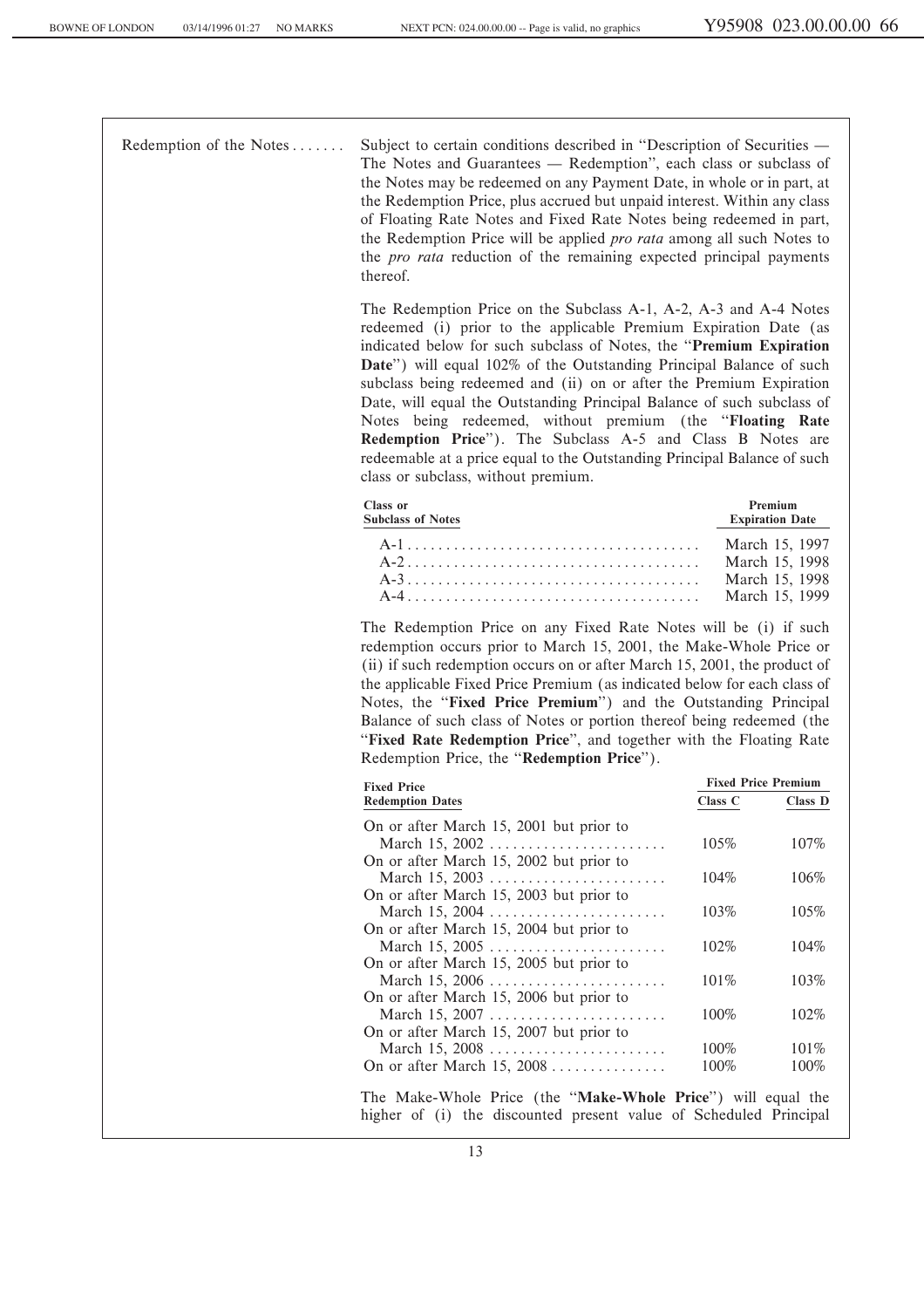Redemption of the Notes ....... Subject to certain conditions described in "Description of Securities — The Notes and Guarantees — Redemption", each class or subclass of the Notes may be redeemed on any Payment Date, in whole or in part, at the Redemption Price, plus accrued but unpaid interest. Within any class of Floating Rate Notes and Fixed Rate Notes being redeemed in part, the Redemption Price will be applied *pro rata* among all such Notes to the *pro rata* reduction of the remaining expected principal payments thereof.

> The Redemption Price on the Subclass A-1, A-2, A-3 and A-4 Notes redeemed (i) prior to the applicable Premium Expiration Date (as indicated below for such subclass of Notes, the ""**Premium Expiration Date**'') will equal 102% of the Outstanding Principal Balance of such subclass being redeemed and (ii) on or after the Premium Expiration Date, will equal the Outstanding Principal Balance of such subclass of Notes being redeemed, without premium (the ""**Floating Rate Redemption Price**''). The Subclass A-5 and Class B Notes are redeemable at a price equal to the Outstanding Principal Balance of such class or subclass, without premium.

| <b>Class or</b><br><b>Subclass of Notes</b> | Premium<br><b>Expiration Date</b> |
|---------------------------------------------|-----------------------------------|
|                                             | March 15, 1997                    |
|                                             | March 15, 1998                    |
|                                             | March 15, 1998                    |
|                                             | March 15, 1999                    |

The Redemption Price on any Fixed Rate Notes will be (i) if such redemption occurs prior to March 15, 2001, the Make-Whole Price or (ii) if such redemption occurs on or after March 15, 2001, the product of the applicable Fixed Price Premium (as indicated below for each class of Notes, the "**Fixed Price Premium**") and the Outstanding Principal Balance of such class of Notes or portion thereof being redeemed (the "Fixed Rate Redemption Price", and together with the Floating Rate Redemption Price, the ""**Redemption Price**'').

| <b>Fixed Price</b>                      | <b>Fixed Price Premium</b> |         |  |
|-----------------------------------------|----------------------------|---------|--|
| <b>Redemption Dates</b>                 | Class C                    | Class D |  |
| On or after March 15, 2001 but prior to |                            |         |  |
| March 15, 2002                          | 105%                       | $107\%$ |  |
| On or after March 15, 2002 but prior to |                            |         |  |
| March 15, 2003                          | $104\%$                    | 106%    |  |
| On or after March 15, 2003 but prior to |                            |         |  |
| March 15, 2004                          | 103%                       | 105%    |  |
| On or after March 15, 2004 but prior to |                            |         |  |
| March 15, 2005                          | $102\%$                    | $104\%$ |  |
| On or after March 15, 2005 but prior to |                            |         |  |
|                                         | $101\%$                    | 103%    |  |
| On or after March 15, 2006 but prior to |                            |         |  |
|                                         | $100\%$                    | 102%    |  |
| On or after March 15, 2007 but prior to |                            |         |  |
| March 15, 2008                          | 100%                       | 101%    |  |
| On or after March 15, 2008              | 100%                       | 100%    |  |
|                                         |                            |         |  |

The Make-Whole Price (the ""**Make-Whole Price**'') will equal the higher of (i) the discounted present value of Scheduled Principal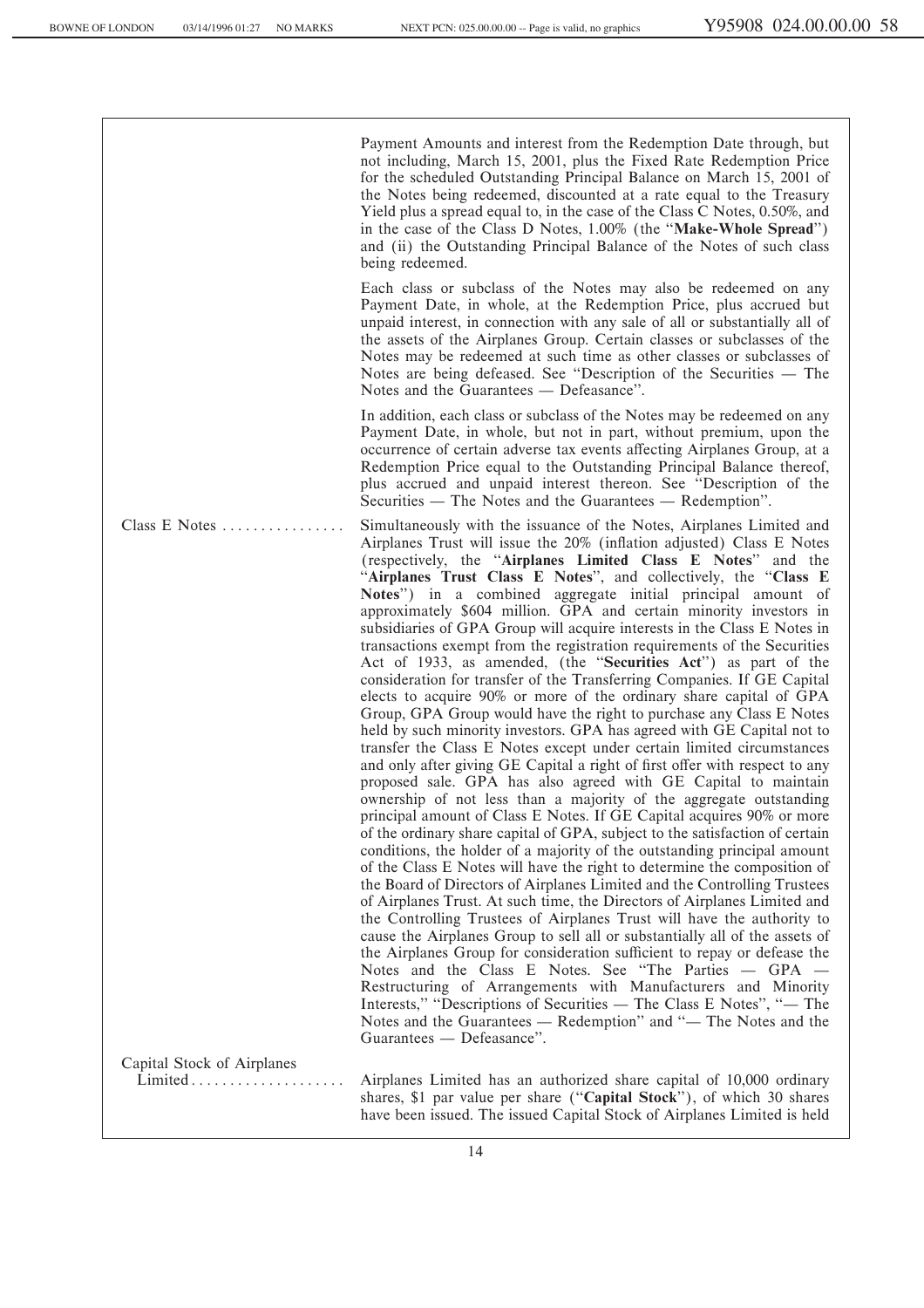Payment Amounts and interest from the Redemption Date through, but not including, March 15, 2001, plus the Fixed Rate Redemption Price for the scheduled Outstanding Principal Balance on March 15, 2001 of the Notes being redeemed, discounted at a rate equal to the Treasury Yield plus a spread equal to, in the case of the Class C Notes, 0.50%, and in the case of the Class D Notes, 1.00% (the "Make-Whole Spread") and (ii) the Outstanding Principal Balance of the Notes of such class being redeemed.

Each class or subclass of the Notes may also be redeemed on any Payment Date, in whole, at the Redemption Price, plus accrued but unpaid interest, in connection with any sale of all or substantially all of the assets of the Airplanes Group. Certain classes or subclasses of the Notes may be redeemed at such time as other classes or subclasses of Notes are being defeased. See "Description of the Securities — The Notes and the Guarantees — Defeasance".

In addition, each class or subclass of the Notes may be redeemed on any Payment Date, in whole, but not in part, without premium, upon the occurrence of certain adverse tax events affecting Airplanes Group, at a Redemption Price equal to the Outstanding Principal Balance thereof, plus accrued and unpaid interest thereon. See ""Description of the Securities — The Notes and the Guarantees — Redemption".

Class E Notes  $\dots$   $\dots$   $\dots$   $\dots$   $\dots$   $\dots$   $\dots$   $\dots$  Simultaneously with the issuance of the Notes, Airplanes Limited and Airplanes Trust will issue the 20% (inflation adjusted) Class E Notes (respectively, the "Airplanes Limited Class E Notes" and the "Airplanes Trust Class E Notes", and collectively, the "Class E **Notes**'') in a combined aggregate initial principal amount of approximately \$604 million. GPA and certain minority investors in subsidiaries of GPA Group will acquire interests in the Class E Notes in transactions exempt from the registration requirements of the Securities Act of 1933, as amended, (the "Securities Act") as part of the consideration for transfer of the Transferring Companies. If GE Capital elects to acquire 90% or more of the ordinary share capital of GPA Group, GPA Group would have the right to purchase any Class E Notes held by such minority investors. GPA has agreed with GE Capital not to transfer the Class E Notes except under certain limited circumstances and only after giving GE Capital a right of first offer with respect to any proposed sale. GPA has also agreed with GE Capital to maintain ownership of not less than a majority of the aggregate outstanding principal amount of Class E Notes. If GE Capital acquires 90% or more of the ordinary share capital of GPA, subject to the satisfaction of certain conditions, the holder of a majority of the outstanding principal amount of the Class E Notes will have the right to determine the composition of the Board of Directors of Airplanes Limited and the Controlling Trustees of Airplanes Trust. At such time, the Directors of Airplanes Limited and the Controlling Trustees of Airplanes Trust will have the authority to cause the Airplanes Group to sell all or substantially all of the assets of the Airplanes Group for consideration sufficient to repay or defease the Notes and the Class E Notes. See "The Parties  $-$  GPA  $-$ Restructuring of Arrangements with Manufacturers and Minority Interests," "Descriptions of Securities — The Class E Notes", "— The Notes and the Guarantees — Redemption" and "- The Notes and the Guarantees — Defeasance".

Capital Stock of Airplanes

Airplanes Limited has an authorized share capital of 10,000 ordinary shares, \$1 par value per share (""**Capital Stock**''), of which 30 shares have been issued. The issued Capital Stock of Airplanes Limited is held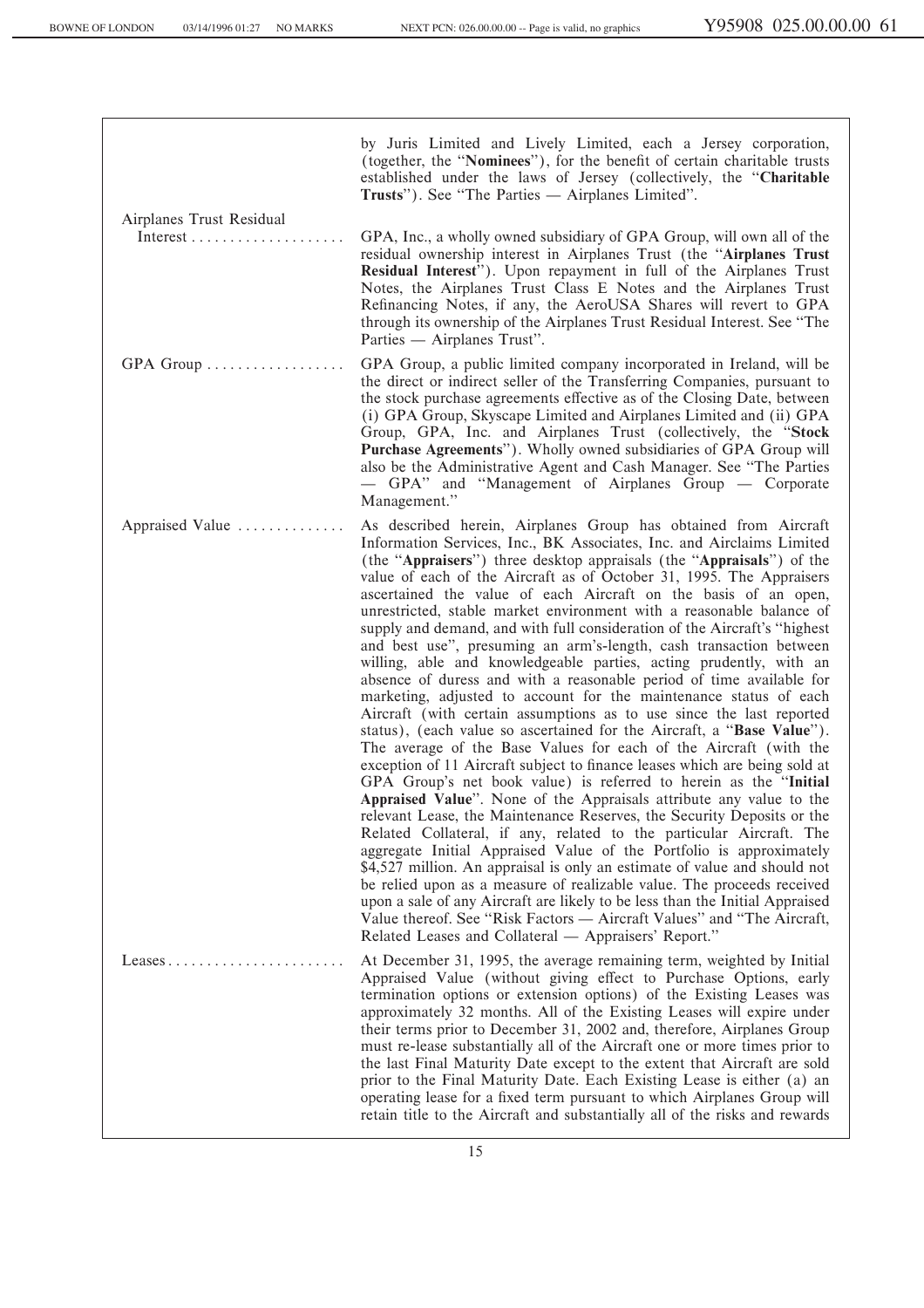by Juris Limited and Lively Limited, each a Jersey corporation, (together, the "Nominees"), for the benefit of certain charitable trusts established under the laws of Jersey (collectively, the ""**Charitable** Trusts"). See "The Parties — Airplanes Limited". Airplanes Trust Residual Interest ÏÏÏÏÏÏÏÏÏÏÏÏÏÏÏÏÏÏÏÏ GPA, Inc., a wholly owned subsidiary of GPA Group, will own all of the residual ownership interest in Airplanes Trust (the ""**Airplanes Trust Residual Interest**''). Upon repayment in full of the Airplanes Trust Notes, the Airplanes Trust Class E Notes and the Airplanes Trust Refinancing Notes, if any, the AeroUSA Shares will revert to GPA through its ownership of the Airplanes Trust Residual Interest. See ""The Parties — Airplanes Trust". GPA Group ÏÏÏÏÏÏÏÏÏÏÏÏÏÏÏÏÏÏ GPA Group, a public limited company incorporated in Ireland, will be the direct or indirect seller of the Transferring Companies, pursuant to the stock purchase agreements effective as of the Closing Date, between (i) GPA Group, Skyscape Limited and Airplanes Limited and (ii) GPA Group, GPA, Inc. and Airplanes Trust (collectively, the ""**Stock Purchase Agreements**''). Wholly owned subsidiaries of GPA Group will also be the Administrative Agent and Cash Manager. See ""The Parties  $-$  GPA" and "Management of Airplanes Group  $-$  Corporate Management.'' Appraised Value ............... As described herein, Airplanes Group has obtained from Aircraft Information Services, Inc., BK Associates, Inc. and Airclaims Limited (the "Appraisers") three desktop appraisals (the "Appraisals") of the value of each of the Aircraft as of October 31, 1995. The Appraisers ascertained the value of each Aircraft on the basis of an open, unrestricted, stable market environment with a reasonable balance of supply and demand, and with full consideration of the Aircraft's "highest" and best use'', presuming an arm's-length, cash transaction between willing, able and knowledgeable parties, acting prudently, with an absence of duress and with a reasonable period of time available for marketing, adjusted to account for the maintenance status of each Aircraft (with certain assumptions as to use since the last reported status), (each value so ascertained for the Aircraft, a ""**Base Value**''). The average of the Base Values for each of the Aircraft (with the exception of 11 Aircraft subject to finance leases which are being sold at GPA Group's net book value) is referred to herein as the ""**Initial Appraised Value**''. None of the Appraisals attribute any value to the relevant Lease, the Maintenance Reserves, the Security Deposits or the Related Collateral, if any, related to the particular Aircraft. The aggregate Initial Appraised Value of the Portfolio is approximately \$4,527 million. An appraisal is only an estimate of value and should not be relied upon as a measure of realizable value. The proceeds received upon a sale of any Aircraft are likely to be less than the Initial Appraised Value thereof. See "Risk Factors — Aircraft Values" and "The Aircraft, Related Leases and Collateral — Appraisers' Report." Leases  $\dots$  $\dots$  $\dots$  $\dots$  $\dots$  $\dots$  $\dots$  At December 31, 1995, the average remaining term, weighted by Initial Appraised Value (without giving effect to Purchase Options, early termination options or extension options) of the Existing Leases was approximately 32 months. All of the Existing Leases will expire under their terms prior to December 31, 2002 and, therefore, Airplanes Group must re-lease substantially all of the Aircraft one or more times prior to the last Final Maturity Date except to the extent that Aircraft are sold prior to the Final Maturity Date. Each Existing Lease is either (a) an operating lease for a fixed term pursuant to which Airplanes Group will retain title to the Aircraft and substantially all of the risks and rewards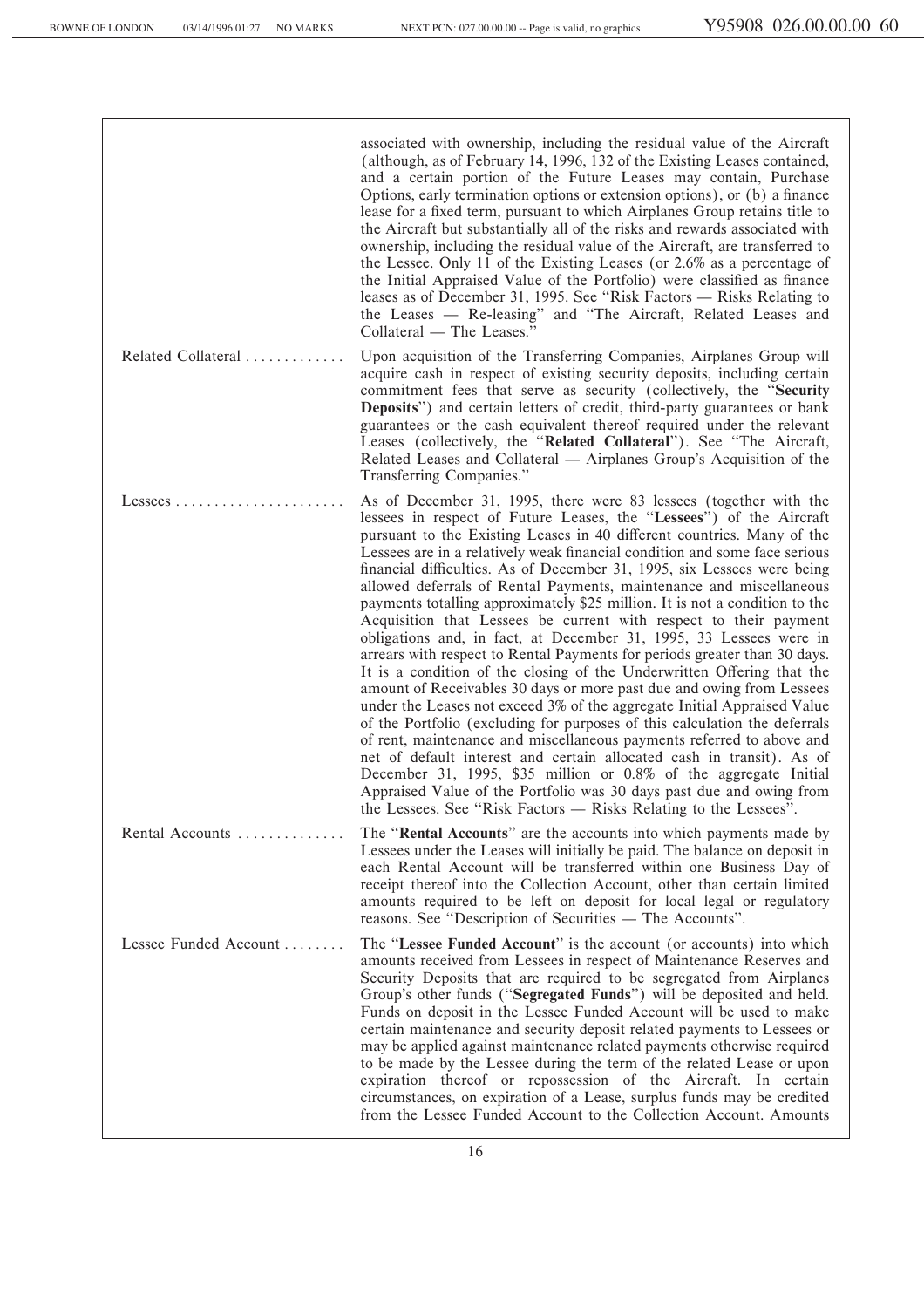|                       | associated with ownership, including the residual value of the Aircraft<br>(although, as of February 14, 1996, 132 of the Existing Leases contained,<br>and a certain portion of the Future Leases may contain, Purchase<br>Options, early termination options or extension options), or (b) a finance<br>lease for a fixed term, pursuant to which Airplanes Group retains title to<br>the Aircraft but substantially all of the risks and rewards associated with<br>ownership, including the residual value of the Aircraft, are transferred to<br>the Lessee. Only 11 of the Existing Leases (or 2.6% as a percentage of<br>the Initial Appraised Value of the Portfolio) were classified as finance<br>leases as of December 31, 1995. See "Risk Factors — Risks Relating to<br>the Leases — Re-leasing" and "The Aircraft, Related Leases and<br>Collateral — The Leases."                                                                                                                                                                                                                                                                                                                                                                                                                                                                                                                                                        |
|-----------------------|-----------------------------------------------------------------------------------------------------------------------------------------------------------------------------------------------------------------------------------------------------------------------------------------------------------------------------------------------------------------------------------------------------------------------------------------------------------------------------------------------------------------------------------------------------------------------------------------------------------------------------------------------------------------------------------------------------------------------------------------------------------------------------------------------------------------------------------------------------------------------------------------------------------------------------------------------------------------------------------------------------------------------------------------------------------------------------------------------------------------------------------------------------------------------------------------------------------------------------------------------------------------------------------------------------------------------------------------------------------------------------------------------------------------------------------------|
| Related Collateral    | Upon acquisition of the Transferring Companies, Airplanes Group will<br>acquire cash in respect of existing security deposits, including certain<br>commitment fees that serve as security (collectively, the "Security<br><b>Deposits</b> ") and certain letters of credit, third-party guarantees or bank<br>guarantees or the cash equivalent thereof required under the relevant<br>Leases (collectively, the "Related Collateral"). See "The Aircraft,<br>Related Leases and Collateral — Airplanes Group's Acquisition of the<br>Transferring Companies."                                                                                                                                                                                                                                                                                                                                                                                                                                                                                                                                                                                                                                                                                                                                                                                                                                                                         |
| $L$ essees            | As of December 31, 1995, there were 83 lessees (together with the<br>lessees in respect of Future Leases, the "Lessees") of the Aircraft<br>pursuant to the Existing Leases in 40 different countries. Many of the<br>Lessees are in a relatively weak financial condition and some face serious<br>financial difficulties. As of December 31, 1995, six Lessees were being<br>allowed deferrals of Rental Payments, maintenance and miscellaneous<br>payments totalling approximately \$25 million. It is not a condition to the<br>Acquisition that Lessees be current with respect to their payment<br>obligations and, in fact, at December 31, 1995, 33 Lessees were in<br>arrears with respect to Rental Payments for periods greater than 30 days.<br>It is a condition of the closing of the Underwritten Offering that the<br>amount of Receivables 30 days or more past due and owing from Lessees<br>under the Leases not exceed 3% of the aggregate Initial Appraised Value<br>of the Portfolio (excluding for purposes of this calculation the deferrals<br>of rent, maintenance and miscellaneous payments referred to above and<br>net of default interest and certain allocated cash in transit). As of<br>December 31, 1995, \$35 million or 0.8% of the aggregate Initial<br>Appraised Value of the Portfolio was 30 days past due and owing from<br>the Lessees. See "Risk Factors — Risks Relating to the Lessees". |
| Rental Accounts       | The "Rental Accounts" are the accounts into which payments made by<br>Lessees under the Leases will initially be paid. The balance on deposit in<br>each Rental Account will be transferred within one Business Day of<br>receipt thereof into the Collection Account, other than certain limited<br>amounts required to be left on deposit for local legal or regulatory<br>reasons. See "Description of Securities — The Accounts".                                                                                                                                                                                                                                                                                                                                                                                                                                                                                                                                                                                                                                                                                                                                                                                                                                                                                                                                                                                                   |
| Lessee Funded Account | The "Lessee Funded Account" is the account (or accounts) into which<br>amounts received from Lessees in respect of Maintenance Reserves and<br>Security Deposits that are required to be segregated from Airplanes<br>Group's other funds ("Segregated Funds") will be deposited and held.<br>Funds on deposit in the Lessee Funded Account will be used to make<br>certain maintenance and security deposit related payments to Lessees or<br>may be applied against maintenance related payments otherwise required<br>to be made by the Lessee during the term of the related Lease or upon<br>expiration thereof or repossession of the Aircraft. In certain<br>circumstances, on expiration of a Lease, surplus funds may be credited<br>from the Lessee Funded Account to the Collection Account. Amounts                                                                                                                                                                                                                                                                                                                                                                                                                                                                                                                                                                                                                         |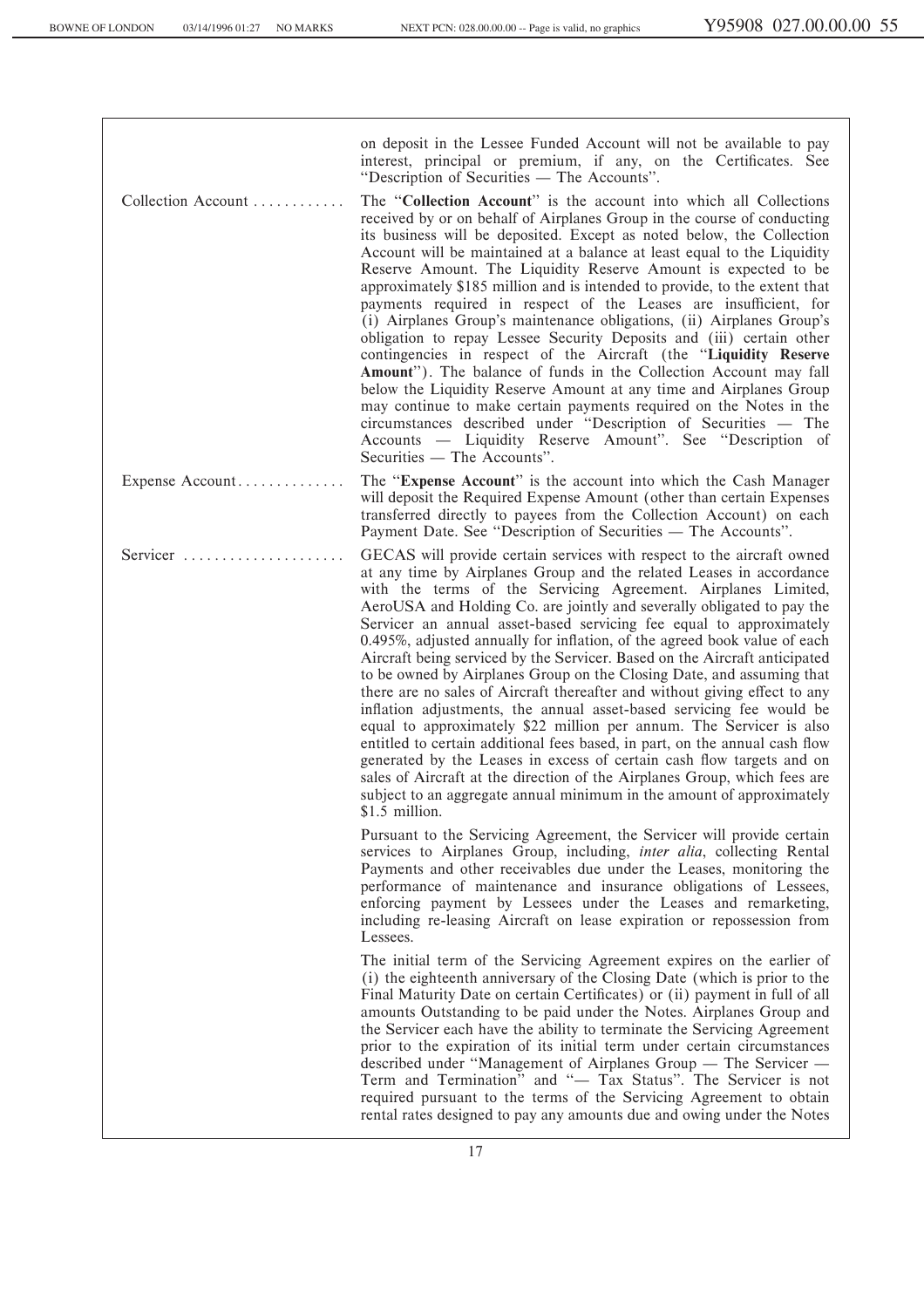on deposit in the Lessee Funded Account will not be available to pay interest, principal or premium, if any, on the Certificates. See "Description of Securities — The Accounts". Collection Account ............ The "**Collection Account**" is the account into which all Collections received by or on behalf of Airplanes Group in the course of conducting its business will be deposited. Except as noted below, the Collection Account will be maintained at a balance at least equal to the Liquidity Reserve Amount. The Liquidity Reserve Amount is expected to be approximately \$185 million and is intended to provide, to the extent that payments required in respect of the Leases are insufficient, for (i) Airplanes Group's maintenance obligations, (ii) Airplanes Group's obligation to repay Lessee Security Deposits and (iii) certain other contingencies in respect of the Aircraft (the "Liquidity Reserve **Amount**''). The balance of funds in the Collection Account may fall below the Liquidity Reserve Amount at any time and Airplanes Group may continue to make certain payments required on the Notes in the circumstances described under "Description of Securities — The Accounts — Liquidity Reserve Amount". See "Description of  $Securities$   $\longrightarrow$  The Accounts''. Expense Account.............. The "**Expense Account**" is the account into which the Cash Manager will deposit the Required Expense Amount (other than certain Expenses transferred directly to payees from the Collection Account) on each Payment Date. See "Description of Securities — The Accounts". Servicer  $\ldots$   $\ldots$   $\ldots$   $\ldots$   $\ldots$   $\ldots$  GECAS will provide certain services with respect to the aircraft owned at any time by Airplanes Group and the related Leases in accordance with the terms of the Servicing Agreement. Airplanes Limited, AeroUSA and Holding Co. are jointly and severally obligated to pay the Servicer an annual asset-based servicing fee equal to approximately 0.495%, adjusted annually for inflation, of the agreed book value of each Aircraft being serviced by the Servicer. Based on the Aircraft anticipated to be owned by Airplanes Group on the Closing Date, and assuming that there are no sales of Aircraft thereafter and without giving effect to any inflation adjustments, the annual asset-based servicing fee would be equal to approximately \$22 million per annum. The Servicer is also entitled to certain additional fees based, in part, on the annual cash flow generated by the Leases in excess of certain cash flow targets and on sales of Aircraft at the direction of the Airplanes Group, which fees are subject to an aggregate annual minimum in the amount of approximately \$1.5 million. Pursuant to the Servicing Agreement, the Servicer will provide certain services to Airplanes Group, including, *inter alia*, collecting Rental Payments and other receivables due under the Leases, monitoring the performance of maintenance and insurance obligations of Lessees, enforcing payment by Lessees under the Leases and remarketing, including re-leasing Aircraft on lease expiration or repossession from Lessees. The initial term of the Servicing Agreement expires on the earlier of (i) the eighteenth anniversary of the Closing Date (which is prior to the Final Maturity Date on certain Certificates) or (ii) payment in full of all amounts Outstanding to be paid under the Notes. Airplanes Group and the Servicer each have the ability to terminate the Servicing Agreement prior to the expiration of its initial term under certain circumstances described under "Management of Airplanes Group — The Servicer -Term and Termination" and "- Tax Status". The Servicer is not

required pursuant to the terms of the Servicing Agreement to obtain rental rates designed to pay any amounts due and owing under the Notes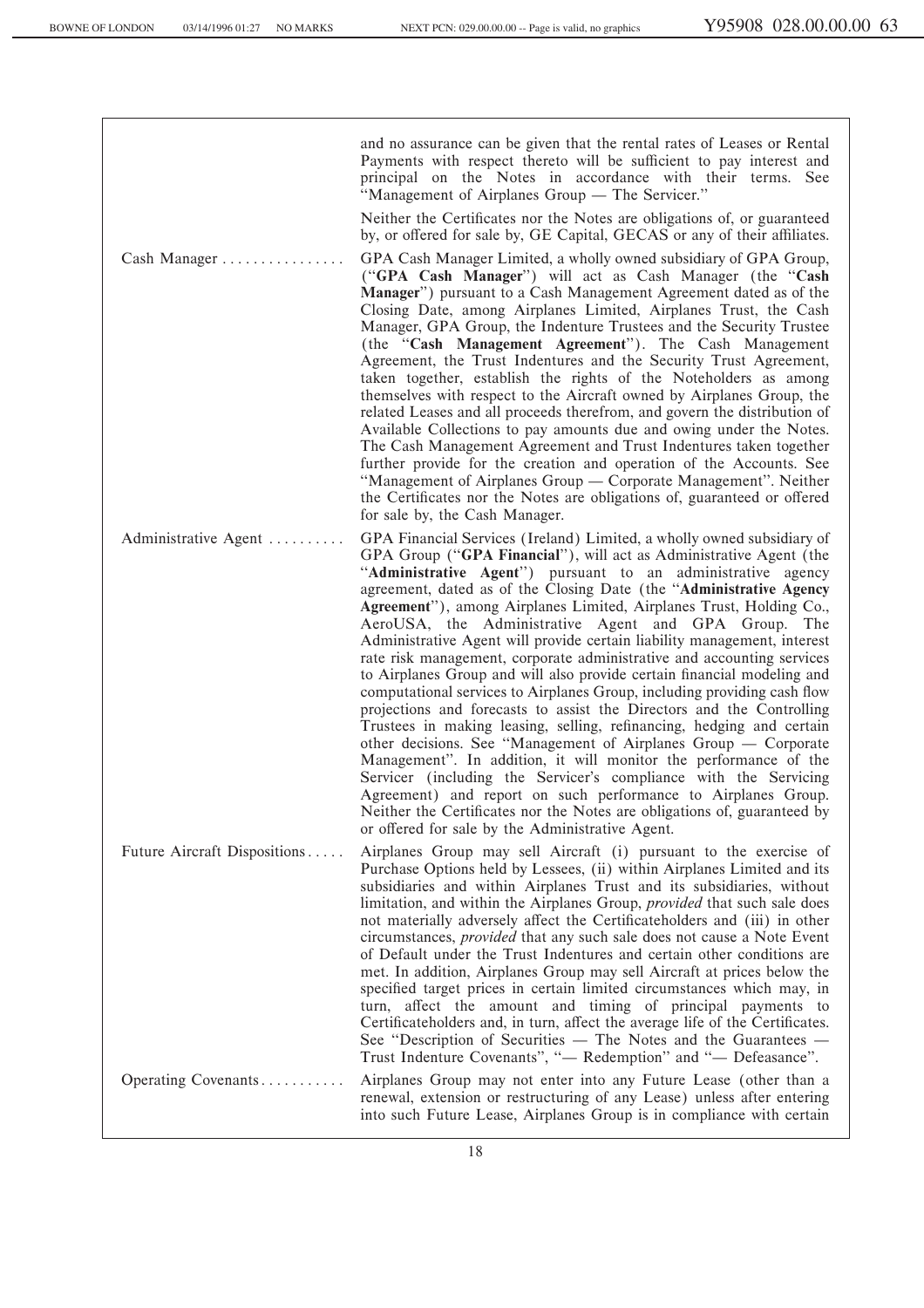and no assurance can be given that the rental rates of Leases or Rental Payments with respect thereto will be sufficient to pay interest and principal on the Notes in accordance with their terms. See "Management of Airplanes Group — The Servicer." Neither the Certificates nor the Notes are obligations of, or guaranteed by, or offered for sale by, GE Capital, GECAS or any of their affiliates. Cash Manager ............... GPA Cash Manager Limited, a wholly owned subsidiary of GPA Group, (""**GPA Cash Manager**'') will act as Cash Manager (the ""**Cash Manager**'') pursuant to a Cash Management Agreement dated as of the Closing Date, among Airplanes Limited, Airplanes Trust, the Cash Manager, GPA Group, the Indenture Trustees and the Security Trustee (the ""**Cash Management Agreement**''). The Cash Management Agreement, the Trust Indentures and the Security Trust Agreement, taken together, establish the rights of the Noteholders as among themselves with respect to the Aircraft owned by Airplanes Group, the related Leases and all proceeds therefrom, and govern the distribution of Available Collections to pay amounts due and owing under the Notes. The Cash Management Agreement and Trust Indentures taken together further provide for the creation and operation of the Accounts. See "Management of Airplanes Group — Corporate Management". Neither the Certificates nor the Notes are obligations of, guaranteed or offered for sale by, the Cash Manager. Administrative Agent ......... GPA Financial Services (Ireland) Limited, a wholly owned subsidiary of GPA Group ("GPA Financial"), will act as Administrative Agent (the "Administrative Agent") pursuant to an administrative agency agreement, dated as of the Closing Date (the ""**Administrative Agency Agreement**''), among Airplanes Limited, Airplanes Trust, Holding Co., AeroUSA, the Administrative Agent and GPA Group. The Administrative Agent will provide certain liability management, interest rate risk management, corporate administrative and accounting services to Airplanes Group and will also provide certain financial modeling and computational services to Airplanes Group, including providing cash flow projections and forecasts to assist the Directors and the Controlling Trustees in making leasing, selling, refinancing, hedging and certain other decisions. See "Management of Airplanes Group — Corporate Management''. In addition, it will monitor the performance of the Servicer (including the Servicer's compliance with the Servicing Agreement) and report on such performance to Airplanes Group. Neither the Certificates nor the Notes are obligations of, guaranteed by or offered for sale by the Administrative Agent. Future Aircraft Dispositions ..... Airplanes Group may sell Aircraft (i) pursuant to the exercise of Purchase Options held by Lessees, (ii) within Airplanes Limited and its subsidiaries and within Airplanes Trust and its subsidiaries, without limitation, and within the Airplanes Group, *provided* that such sale does not materially adversely affect the Certificateholders and (iii) in other circumstances, *provided* that any such sale does not cause a Note Event of Default under the Trust Indentures and certain other conditions are met. In addition, Airplanes Group may sell Aircraft at prices below the specified target prices in certain limited circumstances which may, in turn, affect the amount and timing of principal payments to Certificateholders and, in turn, affect the average life of the Certificates. See "Description of Securities  $-$  The Notes and the Guarantees  $-$ Trust Indenture Covenants", "- Redemption" and "- Defeasance". Operating Covenants $\ldots$ ......... Airplanes Group may not enter into any Future Lease (other than a renewal, extension or restructuring of any Lease) unless after entering into such Future Lease, Airplanes Group is in compliance with certain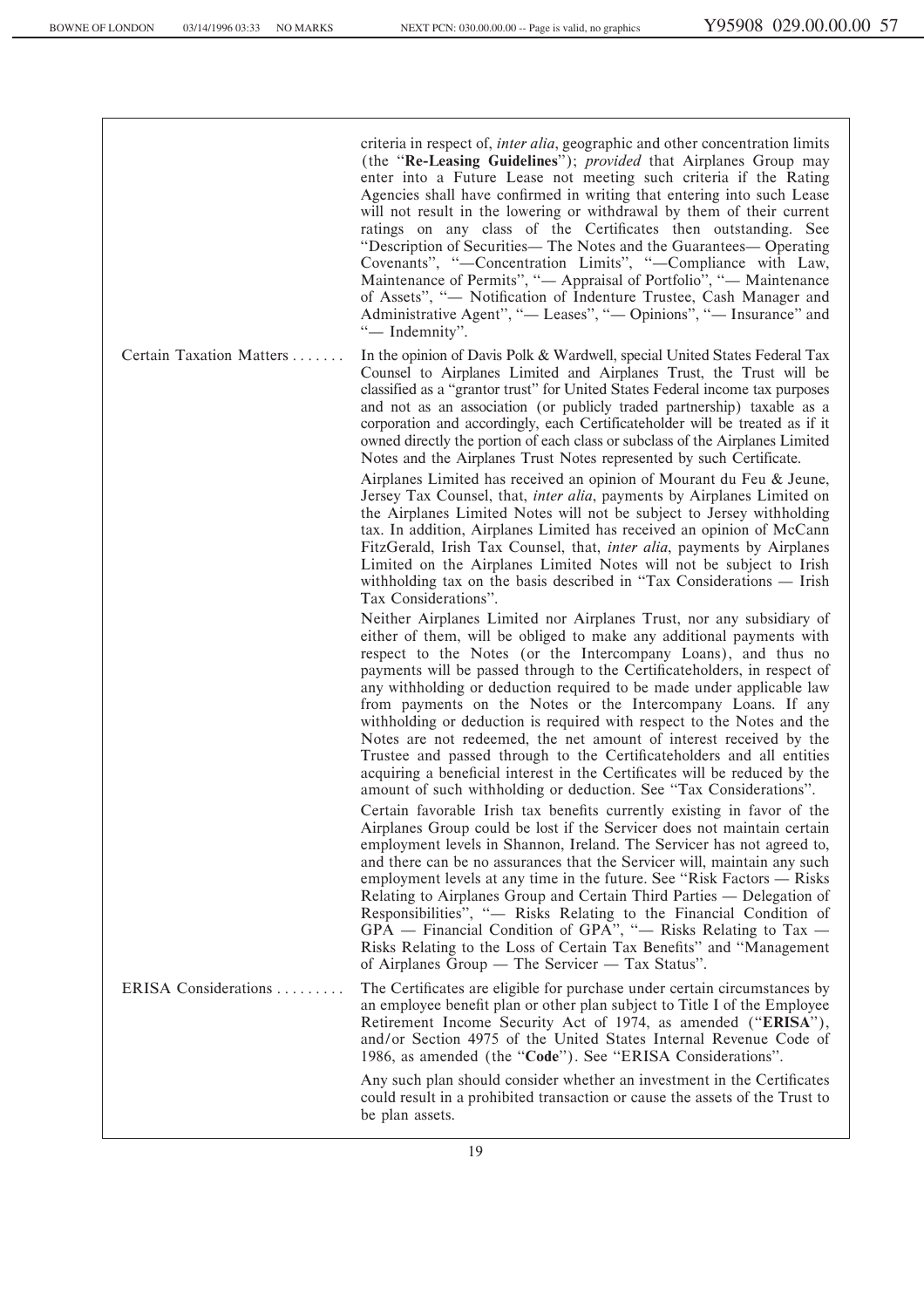criteria in respect of, *inter alia*, geographic and other concentration limits (the ""**Re-Leasing Guidelines**''); *provided* that Airplanes Group may enter into a Future Lease not meeting such criteria if the Rating Agencies shall have confirmed in writing that entering into such Lease will not result in the lowering or withdrawal by them of their current ratings on any class of the Certificates then outstanding. See "Description of Securities— The Notes and the Guarantees— Operating Covenants", "-Concentration Limits", "-Compliance with Law, Maintenance of Permits", "
— Appraisal of Portfolio<sup>"</sup>, "
— Maintenance of Assets", "- Notification of Indenture Trustee, Cash Manager and Administrative Agent", "— Leases", "— Opinions", "— Insurance" and "- Indemnity".

Certain Taxation Matters . . . . . . . In the opinion of Davis Polk & Wardwell, special United States Federal Tax Counsel to Airplanes Limited and Airplanes Trust, the Trust will be classified as a "grantor trust" for United States Federal income tax purposes and not as an association (or publicly traded partnership) taxable as a corporation and accordingly, each Certificateholder will be treated as if it owned directly the portion of each class or subclass of the Airplanes Limited Notes and the Airplanes Trust Notes represented by such Certificate.

> Airplanes Limited has received an opinion of Mourant du Feu & Jeune, Jersey Tax Counsel, that, *inter alia*, payments by Airplanes Limited on the Airplanes Limited Notes will not be subject to Jersey withholding tax. In addition, Airplanes Limited has received an opinion of McCann FitzGerald, Irish Tax Counsel, that, *inter alia*, payments by Airplanes Limited on the Airplanes Limited Notes will not be subject to Irish withholding tax on the basis described in "Tax Considerations — Irish Tax Considerations''.

> Neither Airplanes Limited nor Airplanes Trust, nor any subsidiary of either of them, will be obliged to make any additional payments with respect to the Notes (or the Intercompany Loans), and thus no payments will be passed through to the Certificateholders, in respect of any withholding or deduction required to be made under applicable law from payments on the Notes or the Intercompany Loans. If any withholding or deduction is required with respect to the Notes and the Notes are not redeemed, the net amount of interest received by the Trustee and passed through to the Certificateholders and all entities acquiring a beneficial interest in the Certificates will be reduced by the amount of such withholding or deduction. See "Tax Considerations".

> Certain favorable Irish tax benefits currently existing in favor of the Airplanes Group could be lost if the Servicer does not maintain certain employment levels in Shannon, Ireland. The Servicer has not agreed to, and there can be no assurances that the Servicer will, maintain any such employment levels at any time in the future. See "Risk Factors — Risks" Relating to Airplanes Group and Certain Third Parties — Delegation of Responsibilities", "
> Risks Relating to the Financial Condition of  $GPA$  – Financial Condition of GPA", "- Risks Relating to Tax -Risks Relating to the Loss of Certain Tax Benefits" and "Management" of Airplanes  $\tilde{G}$ roup — The Servicer — Tax Status''.

ERISA Considerations  $\dots$   $\dots$   $\dots$  The Certificates are eligible for purchase under certain circumstances by an employee benefit plan or other plan subject to Title I of the Employee Retirement Income Security Act of 1974, as amended ("**ERISA**"), and/or Section 4975 of the United States Internal Revenue Code of 1986, as amended (the "Code"). See "ERISA Considerations".

> Any such plan should consider whether an investment in the Certificates could result in a prohibited transaction or cause the assets of the Trust to be plan assets.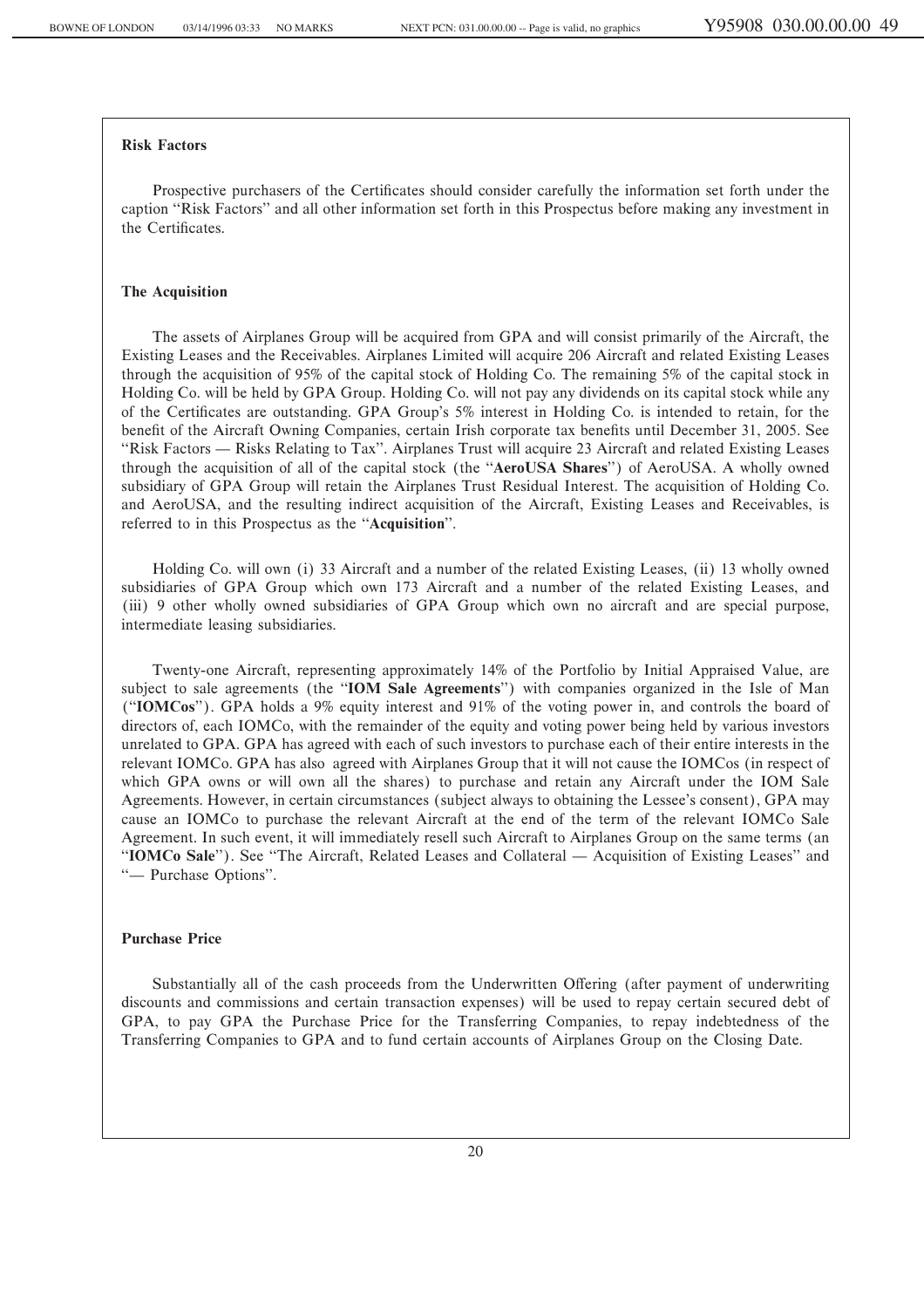### **Risk Factors**

Prospective purchasers of the Certificates should consider carefully the information set forth under the caption ""Risk Factors'' and all other information set forth in this Prospectus before making any investment in the Certificates.

#### **The Acquisition**

The assets of Airplanes Group will be acquired from GPA and will consist primarily of the Aircraft, the Existing Leases and the Receivables. Airplanes Limited will acquire 206 Aircraft and related Existing Leases through the acquisition of 95% of the capital stock of Holding Co. The remaining 5% of the capital stock in Holding Co. will be held by GPA Group. Holding Co. will not pay any dividends on its capital stock while any of the Certificates are outstanding. GPA Group's 5% interest in Holding Co. is intended to retain, for the benefit of the Aircraft Owning Companies, certain Irish corporate tax benefits until December 31, 2005. See "Risk Factors — Risks Relating to Tax". Airplanes Trust will acquire 23 Aircraft and related Existing Leases through the acquisition of all of the capital stock (the ""**AeroUSA Shares**'') of AeroUSA. A wholly owned subsidiary of GPA Group will retain the Airplanes Trust Residual Interest. The acquisition of Holding Co. and AeroUSA, and the resulting indirect acquisition of the Aircraft, Existing Leases and Receivables, is referred to in this Prospectus as the "Acquisition".

Holding Co. will own (i) 33 Aircraft and a number of the related Existing Leases, (ii) 13 wholly owned subsidiaries of GPA Group which own 173 Aircraft and a number of the related Existing Leases, and (iii) 9 other wholly owned subsidiaries of GPA Group which own no aircraft and are special purpose, intermediate leasing subsidiaries.

Twenty-one Aircraft, representing approximately 14% of the Portfolio by Initial Appraised Value, are subject to sale agreements (the ""**IOM Sale Agreements**'') with companies organized in the Isle of Man (""**IOMCos**''). GPA holds a 9% equity interest and 91% of the voting power in, and controls the board of directors of, each IOMCo, with the remainder of the equity and voting power being held by various investors unrelated to GPA. GPA has agreed with each of such investors to purchase each of their entire interests in the relevant IOMCo. GPA has also agreed with Airplanes Group that it will not cause the IOMCos (in respect of which GPA owns or will own all the shares) to purchase and retain any Aircraft under the IOM Sale Agreements. However, in certain circumstances (subject always to obtaining the Lessee's consent), GPA may cause an IOMCo to purchase the relevant Aircraft at the end of the term of the relevant IOMCo Sale Agreement. In such event, it will immediately resell such Aircraft to Airplanes Group on the same terms (an "IOMCo Sale"). See "The Aircraft, Related Leases and Collateral — Acquisition of Existing Leases" and "
— Purchase Options".

#### **Purchase Price**

Substantially all of the cash proceeds from the Underwritten Offering (after payment of underwriting discounts and commissions and certain transaction expenses) will be used to repay certain secured debt of GPA, to pay GPA the Purchase Price for the Transferring Companies, to repay indebtedness of the Transferring Companies to GPA and to fund certain accounts of Airplanes Group on the Closing Date.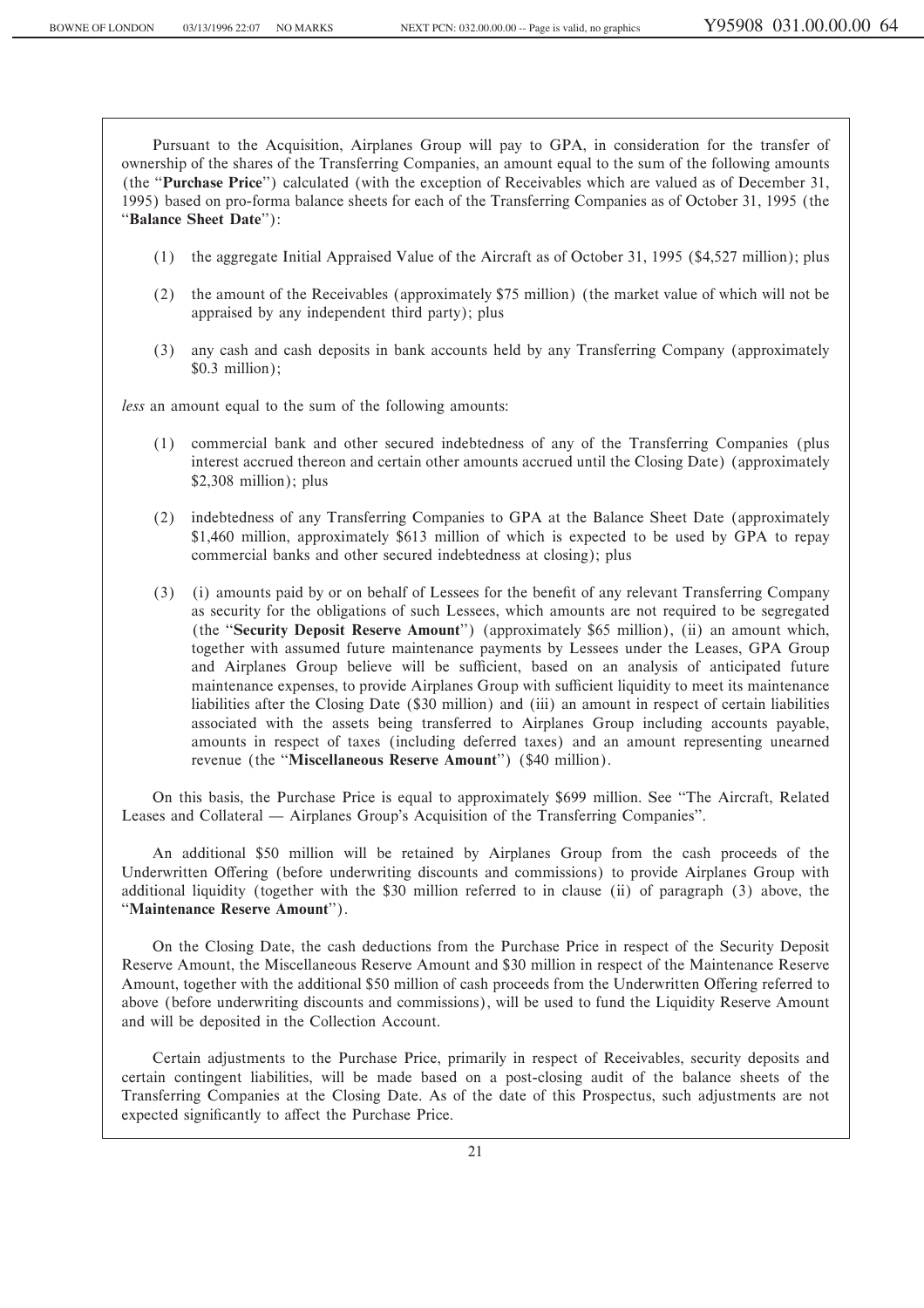Pursuant to the Acquisition, Airplanes Group will pay to GPA, in consideration for the transfer of ownership of the shares of the Transferring Companies, an amount equal to the sum of the following amounts (the ""**Purchase Price**'') calculated (with the exception of Receivables which are valued as of December 31, 1995) based on pro-forma balance sheets for each of the Transferring Companies as of October 31, 1995 (the ""**Balance Sheet Date**''):

- (1) the aggregate Initial Appraised Value of the Aircraft as of October 31, 1995 (\$4,527 million); plus
- (2) the amount of the Receivables (approximately \$75 million) (the market value of which will not be appraised by any independent third party); plus
- (3) any cash and cash deposits in bank accounts held by any Transferring Company (approximately \$0.3 million);

*less* an amount equal to the sum of the following amounts:

- (1) commercial bank and other secured indebtedness of any of the Transferring Companies (plus interest accrued thereon and certain other amounts accrued until the Closing Date) (approximately \$2,308 million); plus
- (2) indebtedness of any Transferring Companies to GPA at the Balance Sheet Date (approximately \$1,460 million, approximately \$613 million of which is expected to be used by GPA to repay commercial banks and other secured indebtedness at closing); plus
- (3) (i) amounts paid by or on behalf of Lessees for the benefit of any relevant Transferring Company as security for the obligations of such Lessees, which amounts are not required to be segregated (the ""**Security Deposit Reserve Amount**'') (approximately \$65 million), (ii) an amount which, together with assumed future maintenance payments by Lessees under the Leases, GPA Group and Airplanes Group believe will be sufficient, based on an analysis of anticipated future maintenance expenses, to provide Airplanes Group with sufficient liquidity to meet its maintenance liabilities after the Closing Date (\$30 million) and (iii) an amount in respect of certain liabilities associated with the assets being transferred to Airplanes Group including accounts payable, amounts in respect of taxes (including deferred taxes) and an amount representing unearned revenue (the "Miscellaneous Reserve Amount") (\$40 million).

On this basis, the Purchase Price is equal to approximately \$699 million. See ""The Aircraft, Related Leases and Collateral — Airplanes Group's Acquisition of the Transferring Companies''.

An additional \$50 million will be retained by Airplanes Group from the cash proceeds of the Underwritten Offering (before underwriting discounts and commissions) to provide Airplanes Group with additional liquidity (together with the \$30 million referred to in clause (ii) of paragraph (3) above, the "Maintenance Reserve Amount").

On the Closing Date, the cash deductions from the Purchase Price in respect of the Security Deposit Reserve Amount, the Miscellaneous Reserve Amount and \$30 million in respect of the Maintenance Reserve Amount, together with the additional \$50 million of cash proceeds from the Underwritten Offering referred to above (before underwriting discounts and commissions), will be used to fund the Liquidity Reserve Amount and will be deposited in the Collection Account.

Certain adjustments to the Purchase Price, primarily in respect of Receivables, security deposits and certain contingent liabilities, will be made based on a post-closing audit of the balance sheets of the Transferring Companies at the Closing Date. As of the date of this Prospectus, such adjustments are not expected significantly to affect the Purchase Price.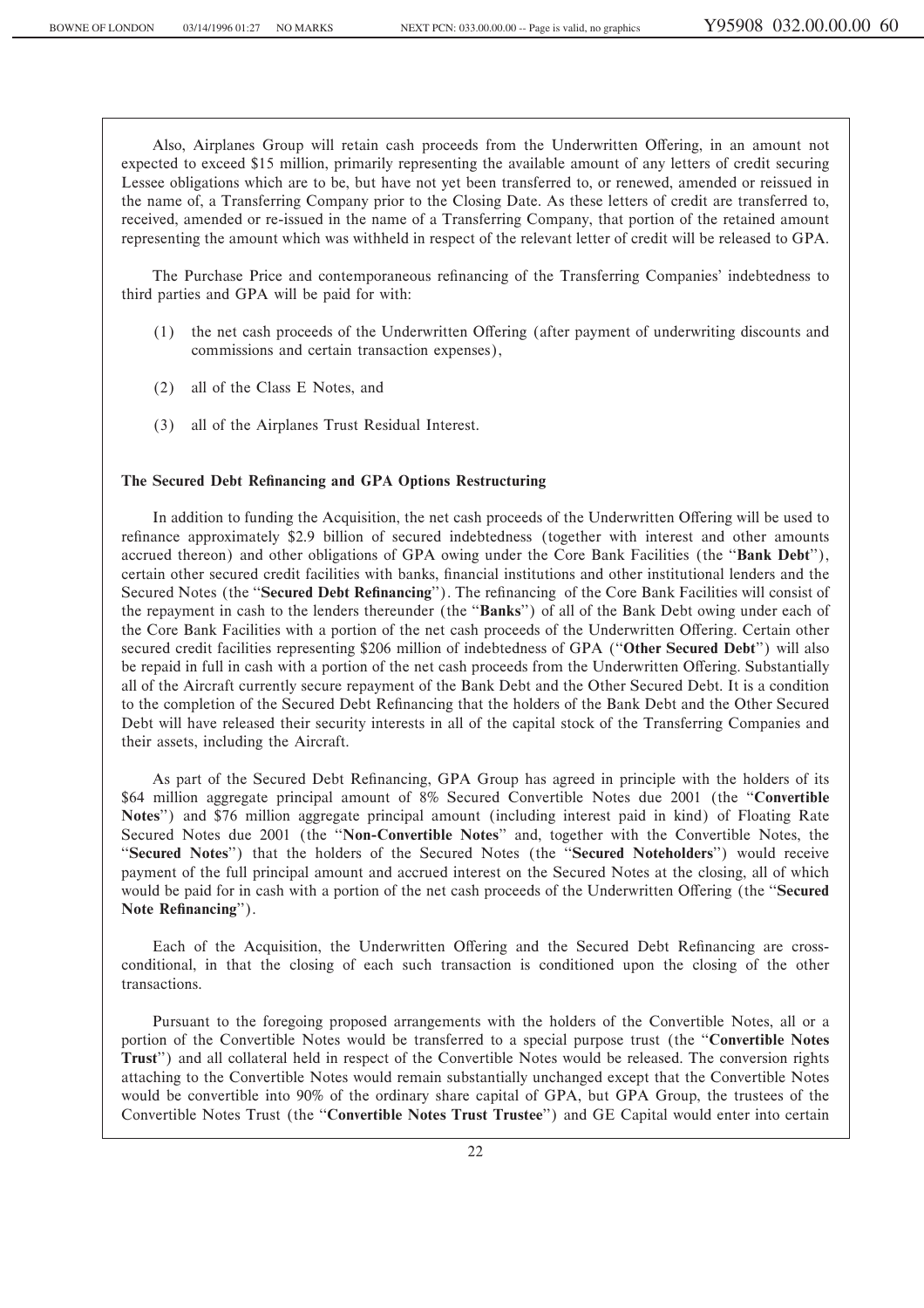Also, Airplanes Group will retain cash proceeds from the Underwritten Offering, in an amount not expected to exceed \$15 million, primarily representing the available amount of any letters of credit securing Lessee obligations which are to be, but have not yet been transferred to, or renewed, amended or reissued in the name of, a Transferring Company prior to the Closing Date. As these letters of credit are transferred to, received, amended or re-issued in the name of a Transferring Company, that portion of the retained amount representing the amount which was withheld in respect of the relevant letter of credit will be released to GPA.

The Purchase Price and contemporaneous refinancing of the Transferring Companies' indebtedness to third parties and GPA will be paid for with:

- (1) the net cash proceeds of the Underwritten Offering (after payment of underwriting discounts and commissions and certain transaction expenses),
- (2) all of the Class E Notes, and
- (3) all of the Airplanes Trust Residual Interest.

#### The Secured Debt Refinancing and GPA Options Restructuring

In addition to funding the Acquisition, the net cash proceeds of the Underwritten Offering will be used to refinance approximately \$2.9 billion of secured indebtedness (together with interest and other amounts accrued thereon) and other obligations of GPA owing under the Core Bank Facilities (the "Bank Debt"), certain other secured credit facilities with banks, financial institutions and other institutional lenders and the Secured Notes (the "**Secured Debt Refinancing**"). The refinancing of the Core Bank Facilities will consist of the repayment in cash to the lenders thereunder (the "Banks") of all of the Bank Debt owing under each of the Core Bank Facilities with a portion of the net cash proceeds of the Underwritten Offering. Certain other secured credit facilities representing \$206 million of indebtedness of GPA (""**Other Secured Debt**'') will also be repaid in full in cash with a portion of the net cash proceeds from the Underwritten Offering. Substantially all of the Aircraft currently secure repayment of the Bank Debt and the Other Secured Debt. It is a condition to the completion of the Secured Debt Refinancing that the holders of the Bank Debt and the Other Secured Debt will have released their security interests in all of the capital stock of the Transferring Companies and their assets, including the Aircraft.

As part of the Secured Debt Refinancing, GPA Group has agreed in principle with the holders of its \$64 million aggregate principal amount of 8% Secured Convertible Notes due 2001 (the "**Convertible Notes**'') and \$76 million aggregate principal amount (including interest paid in kind) of Floating Rate Secured Notes due 2001 (the ""**Non-Convertible Notes**'' and, together with the Convertible Notes, the "Secured Notes") that the holders of the Secured Notes (the "Secured Noteholders") would receive payment of the full principal amount and accrued interest on the Secured Notes at the closing, all of which would be paid for in cash with a portion of the net cash proceeds of the Underwritten Offering (the "Secured Note Refinancing").

Each of the Acquisition, the Underwritten Offering and the Secured Debt Refinancing are crossconditional, in that the closing of each such transaction is conditioned upon the closing of the other transactions.

Pursuant to the foregoing proposed arrangements with the holders of the Convertible Notes, all or a portion of the Convertible Notes would be transferred to a special purpose trust (the ""**Convertible Notes Trust**'') and all collateral held in respect of the Convertible Notes would be released. The conversion rights attaching to the Convertible Notes would remain substantially unchanged except that the Convertible Notes would be convertible into 90% of the ordinary share capital of GPA, but GPA Group, the trustees of the Convertible Notes Trust (the ""**Convertible Notes Trust Trustee**'') and GE Capital would enter into certain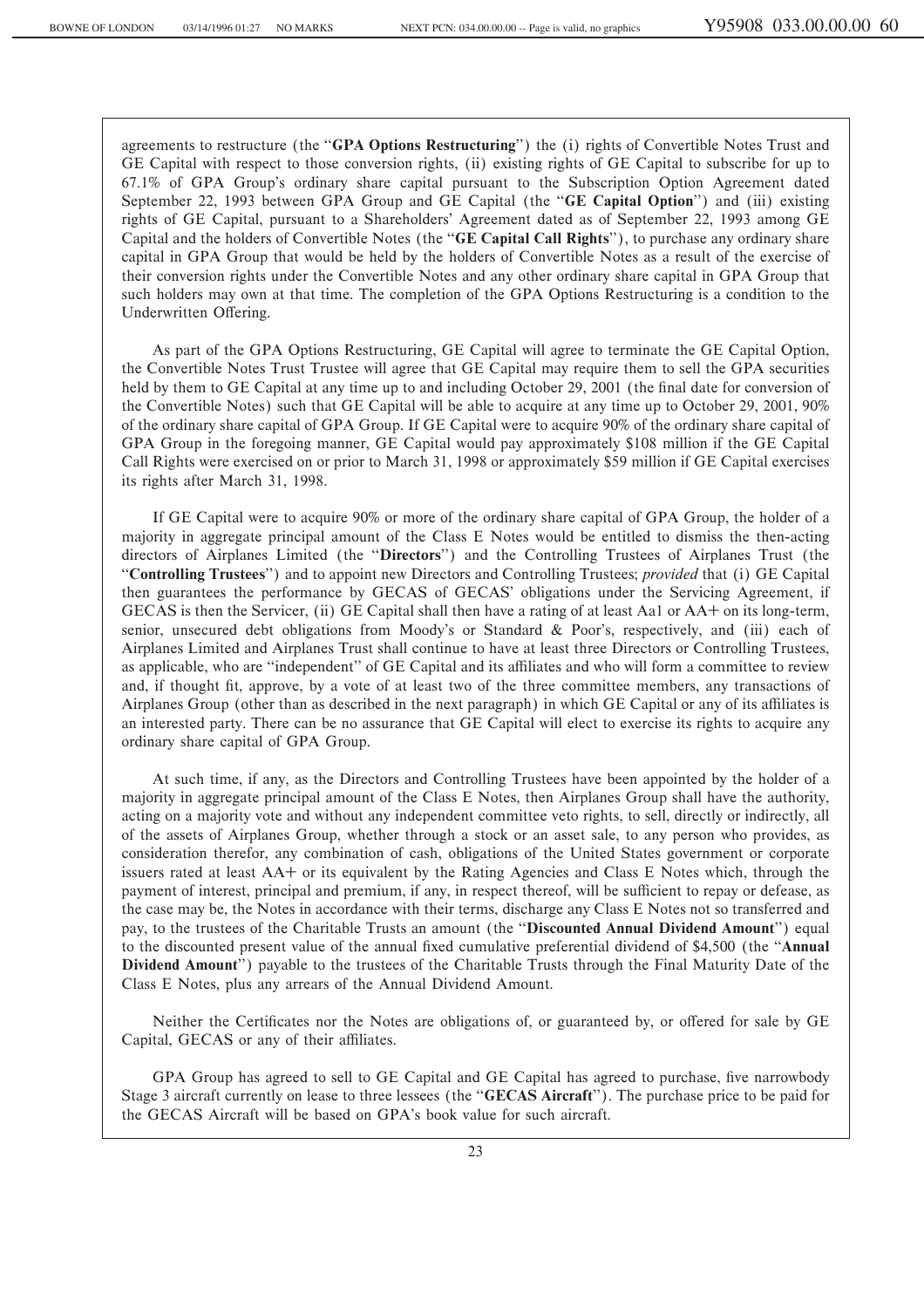agreements to restructure (the "GPA Options Restructuring") the (i) rights of Convertible Notes Trust and GE Capital with respect to those conversion rights, (ii) existing rights of GE Capital to subscribe for up to 67.1% of GPA Group's ordinary share capital pursuant to the Subscription Option Agreement dated September 22, 1993 between GPA Group and GE Capital (the "GE Capital Option") and (iii) existing rights of GE Capital, pursuant to a Shareholders' Agreement dated as of September 22, 1993 among GE Capital and the holders of Convertible Notes (the ""**GE Capital Call Rights**''), to purchase any ordinary share capital in GPA Group that would be held by the holders of Convertible Notes as a result of the exercise of their conversion rights under the Convertible Notes and any other ordinary share capital in GPA Group that such holders may own at that time. The completion of the GPA Options Restructuring is a condition to the Underwritten Offering.

As part of the GPA Options Restructuring, GE Capital will agree to terminate the GE Capital Option, the Convertible Notes Trust Trustee will agree that GE Capital may require them to sell the GPA securities held by them to GE Capital at any time up to and including October 29, 2001 (the final date for conversion of the Convertible Notes) such that GE Capital will be able to acquire at any time up to October 29, 2001, 90% of the ordinary share capital of GPA Group. If GE Capital were to acquire 90% of the ordinary share capital of GPA Group in the foregoing manner, GE Capital would pay approximately \$108 million if the GE Capital Call Rights were exercised on or prior to March 31, 1998 or approximately \$59 million if GE Capital exercises its rights after March 31, 1998.

If GE Capital were to acquire 90% or more of the ordinary share capital of GPA Group, the holder of a majority in aggregate principal amount of the Class E Notes would be entitled to dismiss the then-acting directors of Airplanes Limited (the "Directors") and the Controlling Trustees of Airplanes Trust (the ""**Controlling Trustees**'') and to appoint new Directors and Controlling Trustees; *provided* that (i) GE Capital then guarantees the performance by GECAS of GECAS' obligations under the Servicing Agreement, if GECAS is then the Servicer, (ii) GE Capital shall then have a rating of at least Aa1 or AA+ on its long-term, senior, unsecured debt obligations from Moody's or Standard & Poor's, respectively, and (iii) each of Airplanes Limited and Airplanes Trust shall continue to have at least three Directors or Controlling Trustees, as applicable, who are "independent" of GE Capital and its affiliates and who will form a committee to review and, if thought fit, approve, by a vote of at least two of the three committee members, any transactions of Airplanes Group (other than as described in the next paragraph) in which GE Capital or any of its affiliates is an interested party. There can be no assurance that GE Capital will elect to exercise its rights to acquire any ordinary share capital of GPA Group.

At such time, if any, as the Directors and Controlling Trustees have been appointed by the holder of a majority in aggregate principal amount of the Class E Notes, then Airplanes Group shall have the authority, acting on a majority vote and without any independent committee veto rights, to sell, directly or indirectly, all of the assets of Airplanes Group, whether through a stock or an asset sale, to any person who provides, as consideration therefor, any combination of cash, obligations of the United States government or corporate issuers rated at least AA<sup>+</sup> or its equivalent by the Rating Agencies and Class E Notes which, through the payment of interest, principal and premium, if any, in respect thereof, will be sufficient to repay or defease, as the case may be, the Notes in accordance with their terms, discharge any Class E Notes not so transferred and pay, to the trustees of the Charitable Trusts an amount (the "**Discounted Annual Dividend Amount**") equal to the discounted present value of the annual Ñxed cumulative preferential dividend of \$4,500 (the ""**Annual Dividend Amount**'') payable to the trustees of the Charitable Trusts through the Final Maturity Date of the Class E Notes, plus any arrears of the Annual Dividend Amount.

Neither the Certificates nor the Notes are obligations of, or guaranteed by, or offered for sale by GE Capital, GECAS or any of their affiliates.

GPA Group has agreed to sell to GE Capital and GE Capital has agreed to purchase, five narrowbody Stage 3 aircraft currently on lease to three lessees (the "**GECAS Aircraft**"). The purchase price to be paid for the GECAS Aircraft will be based on GPA's book value for such aircraft.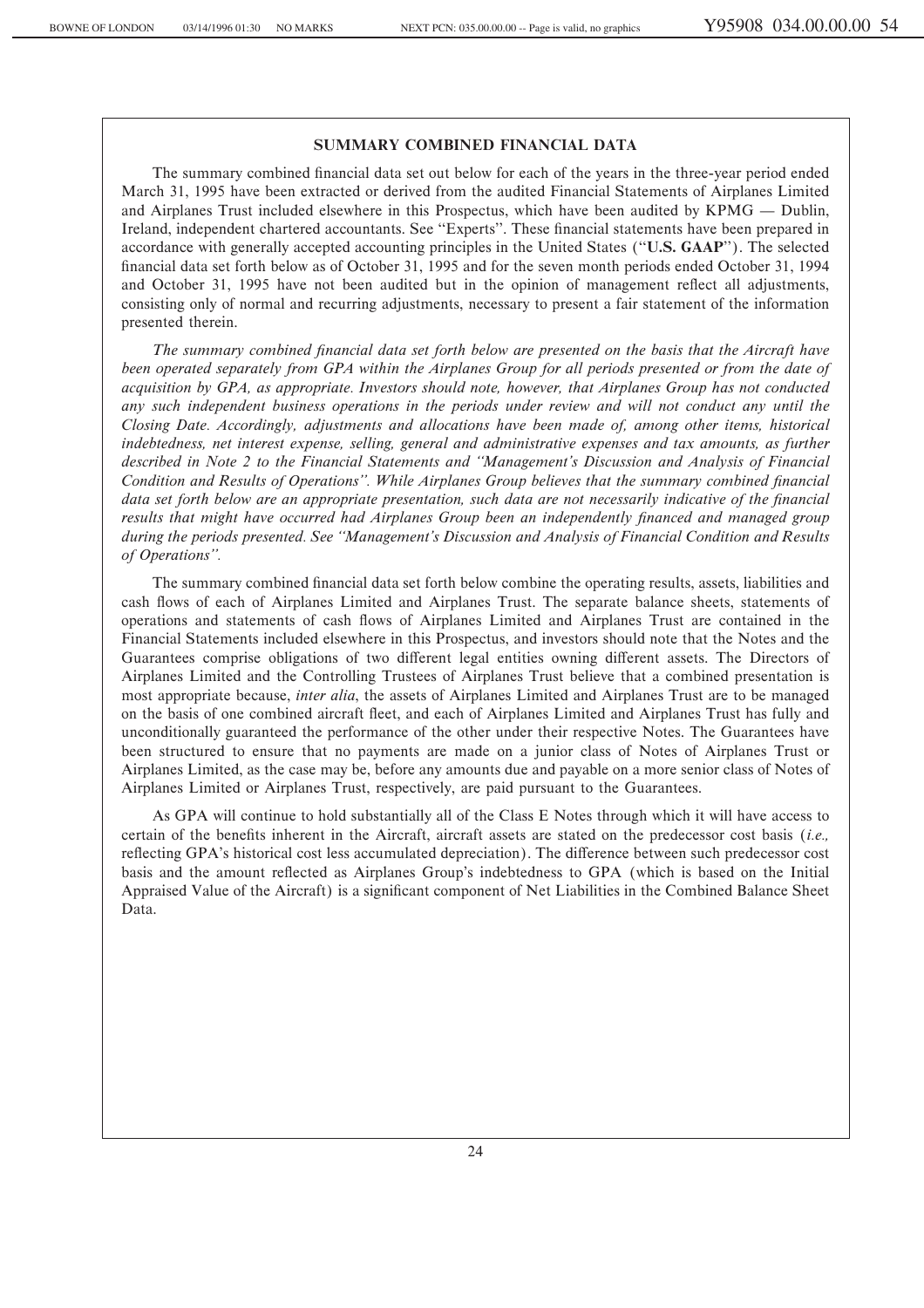#### **SUMMARY COMBINED FINANCIAL DATA**

The summary combined financial data set out below for each of the years in the three-year period ended March 31, 1995 have been extracted or derived from the audited Financial Statements of Airplanes Limited and Airplanes Trust included elsewhere in this Prospectus, which have been audited by KPMG — Dublin, Ireland, independent chartered accountants. See "Experts". These financial statements have been prepared in accordance with generally accepted accounting principles in the United States (""**U.S. GAAP**''). The selected financial data set forth below as of October 31, 1995 and for the seven month periods ended October 31, 1994 and October 31, 1995 have not been audited but in the opinion of management reflect all adjustments, consisting only of normal and recurring adjustments, necessary to present a fair statement of the information presented therein.

The summary combined financial data set forth below are presented on the basis that the Aircraft have *been operated separately from GPA within the Airplanes Group for all periods presented or from the date of acquisition by GPA, as appropriate. Investors should note, however, that Airplanes Group has not conducted any such independent business operations in the periods under review and will not conduct any until the Closing Date. Accordingly, adjustments and allocations have been made of, among other items, historical indebtedness, net interest expense, selling, general and administrative expenses and tax amounts, as further described in Note 2 to the Financial Statements and ""Management's Discussion and Analysis of Financial* Condition and Results of Operations". While Airplanes Group believes that the summary combined financial *data set forth below are an appropriate presentation, such data are not necessarily indicative of the financial* results that might have occurred had Airplanes Group been an independently financed and managed group *during the periods presented. See ""Management's Discussion and Analysis of Financial Condition and Results of Operations''.*

The summary combined Ñnancial data set forth below combine the operating results, assets, liabilities and cash Öows of each of Airplanes Limited and Airplanes Trust. The separate balance sheets, statements of operations and statements of cash Öows of Airplanes Limited and Airplanes Trust are contained in the Financial Statements included elsewhere in this Prospectus, and investors should note that the Notes and the Guarantees comprise obligations of two different legal entities owning different assets. The Directors of Airplanes Limited and the Controlling Trustees of Airplanes Trust believe that a combined presentation is most appropriate because, *inter alia*, the assets of Airplanes Limited and Airplanes Trust are to be managed on the basis of one combined aircraft Öeet, and each of Airplanes Limited and Airplanes Trust has fully and unconditionally guaranteed the performance of the other under their respective Notes. The Guarantees have been structured to ensure that no payments are made on a junior class of Notes of Airplanes Trust or Airplanes Limited, as the case may be, before any amounts due and payable on a more senior class of Notes of Airplanes Limited or Airplanes Trust, respectively, are paid pursuant to the Guarantees.

As GPA will continue to hold substantially all of the Class E Notes through which it will have access to certain of the benefits inherent in the Aircraft, aircraft assets are stated on the predecessor cost basis (*i.e.*, reflecting GPA's historical cost less accumulated depreciation). The difference between such predecessor cost basis and the amount reflected as Airplanes Group's indebtedness to GPA (which is based on the Initial Appraised Value of the Aircraft) is a significant component of Net Liabilities in the Combined Balance Sheet Data.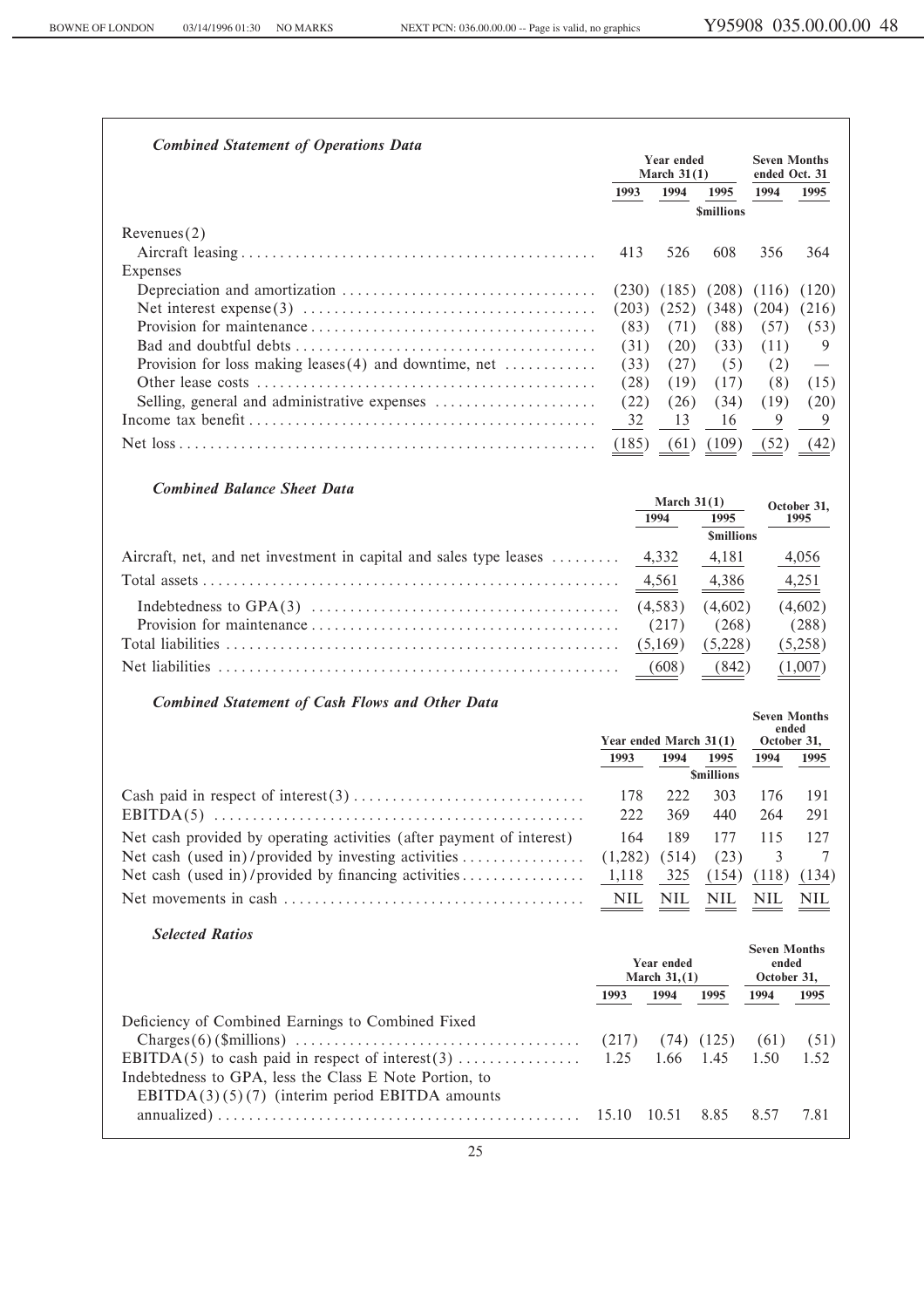| <b>Combined Statement of Operations Data</b>                                                                                 |                               | <b>Year ended</b>      |                                | <b>Seven Months</b>          |               |
|------------------------------------------------------------------------------------------------------------------------------|-------------------------------|------------------------|--------------------------------|------------------------------|---------------|
|                                                                                                                              |                               | March $31(1)$          |                                | ended Oct. 31                |               |
|                                                                                                                              | 1993                          | 1994                   | 1995                           | 1994                         | 1995          |
|                                                                                                                              |                               |                        | <b>Smillions</b>               |                              |               |
| Revenues(2)                                                                                                                  |                               |                        |                                |                              |               |
|                                                                                                                              | 413                           | 526                    | 608                            | 356                          | 364           |
| Expenses                                                                                                                     |                               |                        |                                |                              |               |
|                                                                                                                              | (230)<br>(203)                | (185)                  | (208)<br>(348)                 | (116)                        | (120)         |
|                                                                                                                              | (83)                          | (252)<br>(71)          | (88)                           | (204)<br>(57)                | (216)<br>(53) |
|                                                                                                                              | (31)                          | (20)                   | (33)                           | (11)                         | 9             |
| Provision for loss making leases $(4)$ and downtime, net                                                                     | (33)                          | (27)                   | (5)                            | (2)                          |               |
|                                                                                                                              | (28)                          | (19)                   | (17)                           | (8)                          | (15)          |
| Selling, general and administrative expenses                                                                                 | (22)                          | (26)                   | (34)                           | (19)                         | (20)          |
|                                                                                                                              | 32                            | 13                     | 16                             | 9                            | 9             |
|                                                                                                                              | (185)                         | (61)                   | (109)                          | (52)                         | (42)          |
|                                                                                                                              |                               |                        |                                |                              |               |
| <b>Combined Balance Sheet Data</b>                                                                                           |                               |                        |                                |                              |               |
|                                                                                                                              |                               | March $31(1)$          |                                |                              | October 31,   |
|                                                                                                                              |                               | 1994                   | 1995                           |                              | 1995          |
|                                                                                                                              |                               |                        | <b><i><u>Smillions</u></i></b> |                              |               |
| Aircraft, net, and net investment in capital and sales type leases                                                           |                               | 4,332                  | 4,181                          |                              | 4,056         |
|                                                                                                                              |                               | 4,561                  | 4,386                          |                              | 4,251         |
|                                                                                                                              |                               | (4,583)                | (4,602)                        |                              | (4,602)       |
|                                                                                                                              |                               | (217)                  | (268)                          |                              | (288)         |
|                                                                                                                              |                               | (5,169)                | (5,228)                        |                              | (5,258)       |
|                                                                                                                              |                               | (608)                  | (842)                          |                              | (1,007)       |
| <b>Combined Statement of Cash Flows and Other Data</b>                                                                       |                               |                        |                                |                              |               |
|                                                                                                                              |                               |                        |                                | <b>Seven Months</b><br>ended |               |
|                                                                                                                              |                               | Year ended March 31(1) |                                | October 31,                  |               |
|                                                                                                                              | 1993                          | 1994                   | 1995<br><b>Smillions</b>       | 1994                         | 1995          |
|                                                                                                                              | 178                           | 222                    | 303                            | 176                          | 191           |
|                                                                                                                              | 222                           | 369                    | 440                            | 264                          | 291           |
|                                                                                                                              |                               | 189                    |                                |                              |               |
| Net cash provided by operating activities (after payment of interest)<br>Net cash (used in)/provided by investing activities | 164<br>(1,282)                | (514)                  | 177<br>(23)                    | 115<br>3                     | 127<br>7      |
| Net cash (used in)/provided by financing activities                                                                          | 1,118                         | 325                    | (154)                          | (118)                        | (134)         |
|                                                                                                                              | <b>NIL</b>                    | NIL                    | $\underline{\text{NIL}}$       | NIL                          | NIL           |
|                                                                                                                              |                               |                        |                                |                              |               |
| <b>Selected Ratios</b>                                                                                                       |                               |                        |                                |                              |               |
|                                                                                                                              |                               |                        |                                | <b>Seven Months</b>          |               |
|                                                                                                                              | Year ended<br>March $31, (1)$ |                        | ended<br>October 31,           |                              |               |
|                                                                                                                              | 1993                          | 1994                   | 1995                           | 1994                         | 1995          |
| Deficiency of Combined Earnings to Combined Fixed                                                                            |                               |                        |                                |                              |               |
|                                                                                                                              | (217)                         | (74)                   | (125)                          | (61)                         | (51)          |
| EBITDA(5) to cash paid in respect of interest(3)                                                                             | 1.25                          | 1.66                   | 1.45                           | 1.50                         | 1.52          |
| Indebtedness to GPA, less the Class E Note Portion, to                                                                       |                               |                        |                                |                              |               |
| $EBITDA(3)(5)(7)$ (interim period EBITDA amounts                                                                             |                               |                        |                                |                              |               |
|                                                                                                                              | 15.10                         | 10.51                  | 8.85                           | 8.57                         | 7.81          |
|                                                                                                                              |                               |                        |                                |                              |               |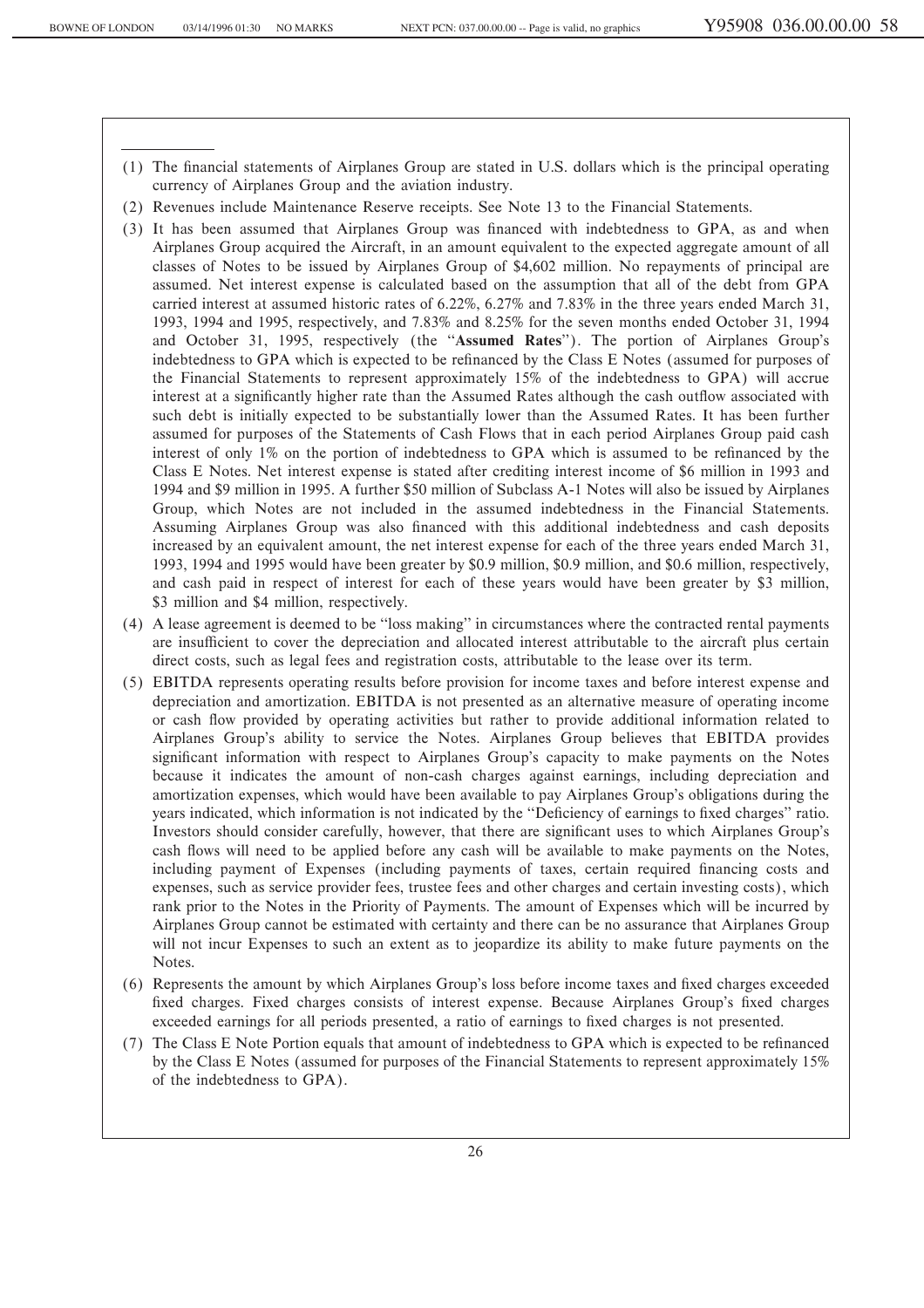- (1) The Ñnancial statements of Airplanes Group are stated in U.S. dollars which is the principal operating currency of Airplanes Group and the aviation industry.
- (2) Revenues include Maintenance Reserve receipts. See Note 13 to the Financial Statements.
- (3) It has been assumed that Airplanes Group was financed with indebtedness to GPA, as and when Airplanes Group acquired the Aircraft, in an amount equivalent to the expected aggregate amount of all classes of Notes to be issued by Airplanes Group of \$4,602 million. No repayments of principal are assumed. Net interest expense is calculated based on the assumption that all of the debt from GPA carried interest at assumed historic rates of 6.22%, 6.27% and 7.83% in the three years ended March 31, 1993, 1994 and 1995, respectively, and 7.83% and 8.25% for the seven months ended October 31, 1994 and October 31, 1995, respectively (the "Assumed Rates"). The portion of Airplanes Group's indebtedness to GPA which is expected to be refinanced by the Class E Notes (assumed for purposes of the Financial Statements to represent approximately 15% of the indebtedness to GPA) will accrue interest at a significantly higher rate than the Assumed Rates although the cash outflow associated with such debt is initially expected to be substantially lower than the Assumed Rates. It has been further assumed for purposes of the Statements of Cash Flows that in each period Airplanes Group paid cash interest of only 1% on the portion of indebtedness to GPA which is assumed to be refinanced by the Class E Notes. Net interest expense is stated after crediting interest income of \$6 million in 1993 and 1994 and \$9 million in 1995. A further \$50 million of Subclass A-1 Notes will also be issued by Airplanes Group, which Notes are not included in the assumed indebtedness in the Financial Statements. Assuming Airplanes Group was also financed with this additional indebtedness and cash deposits increased by an equivalent amount, the net interest expense for each of the three years ended March 31, 1993, 1994 and 1995 would have been greater by \$0.9 million, \$0.9 million, and \$0.6 million, respectively, and cash paid in respect of interest for each of these years would have been greater by \$3 million, \$3 million and \$4 million, respectively.
- (4) A lease agreement is deemed to be ""loss making'' in circumstances where the contracted rental payments are insufficient to cover the depreciation and allocated interest attributable to the aircraft plus certain direct costs, such as legal fees and registration costs, attributable to the lease over its term.
- (5) EBITDA represents operating results before provision for income taxes and before interest expense and depreciation and amortization. EBITDA is not presented as an alternative measure of operating income or cash flow provided by operating activities but rather to provide additional information related to Airplanes Group's ability to service the Notes. Airplanes Group believes that EBITDA provides significant information with respect to Airplanes Group's capacity to make payments on the Notes because it indicates the amount of non-cash charges against earnings, including depreciation and amortization expenses, which would have been available to pay Airplanes Group's obligations during the years indicated, which information is not indicated by the "Deficiency of earnings to fixed charges" ratio. Investors should consider carefully, however, that there are significant uses to which Airplanes Group's cash flows will need to be applied before any cash will be available to make payments on the Notes, including payment of Expenses (including payments of taxes, certain required financing costs and expenses, such as service provider fees, trustee fees and other charges and certain investing costs), which rank prior to the Notes in the Priority of Payments. The amount of Expenses which will be incurred by Airplanes Group cannot be estimated with certainty and there can be no assurance that Airplanes Group will not incur Expenses to such an extent as to jeopardize its ability to make future payments on the Notes.
- (6) Represents the amount by which Airplanes Group's loss before income taxes and Ñxed charges exceeded fixed charges. Fixed charges consists of interest expense. Because Airplanes Group's fixed charges exceeded earnings for all periods presented, a ratio of earnings to fixed charges is not presented.
- (7) The Class E Note Portion equals that amount of indebtedness to GPA which is expected to be refinanced by the Class E Notes (assumed for purposes of the Financial Statements to represent approximately 15% of the indebtedness to GPA).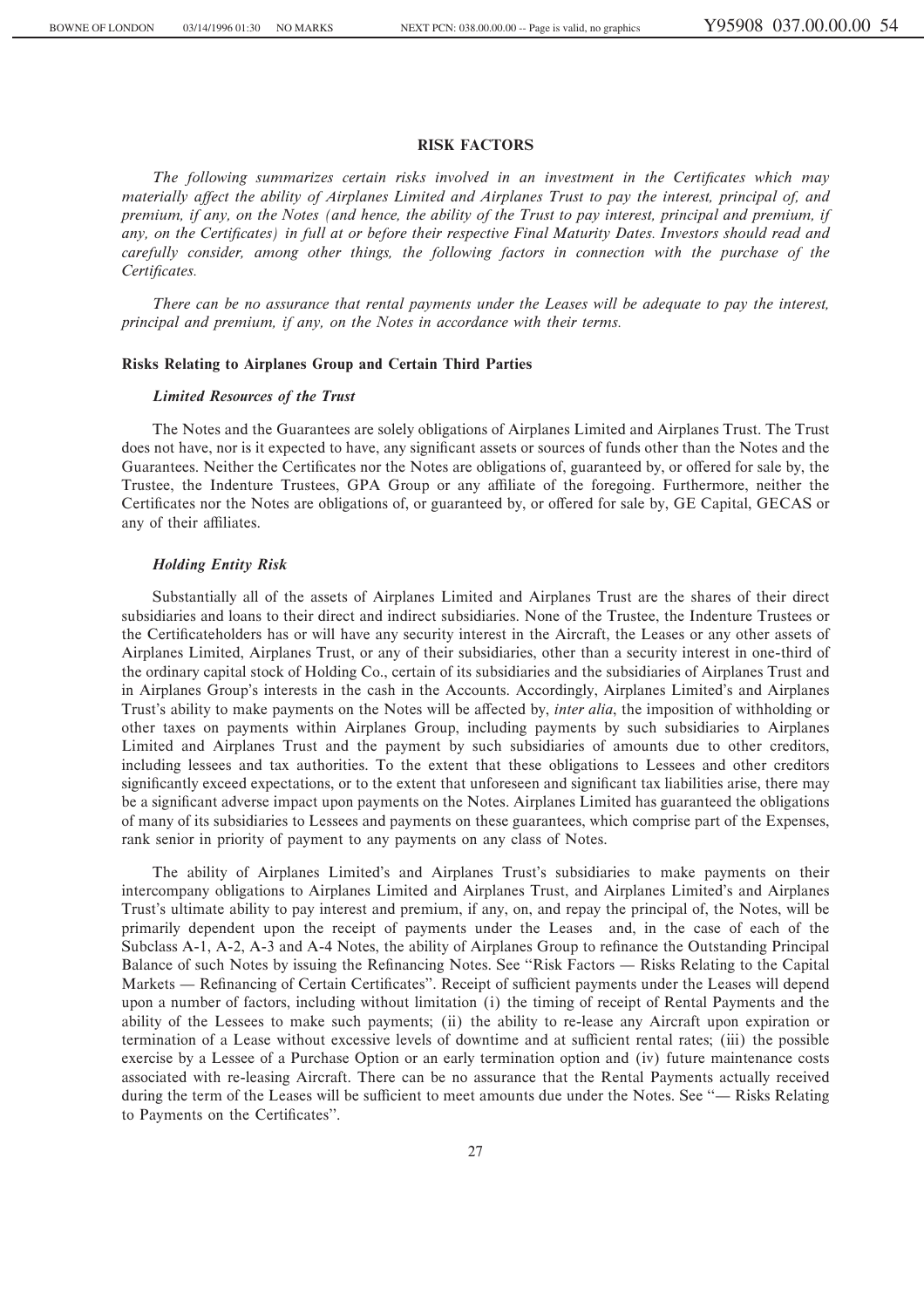#### **RISK FACTORS**

The following summarizes certain risks involved in an investment in the Certificates which may *materially aÅect the ability of Airplanes Limited and Airplanes Trust to pay the interest, principal of, and premium, if any, on the Notes (and hence, the ability of the Trust to pay interest, principal and premium, if* any, on the Certificates) in full at or before their respective Final Maturity Dates. Investors should read and *carefully consider, among other things, the following factors in connection with the purchase of the* Certificates.

*There can be no assurance that rental payments under the Leases will be adequate to pay the interest, principal and premium, if any, on the Notes in accordance with their terms.*

#### **Risks Relating to Airplanes Group and Certain Third Parties**

#### *Limited Resources of the Trust*

The Notes and the Guarantees are solely obligations of Airplanes Limited and Airplanes Trust. The Trust does not have, nor is it expected to have, any significant assets or sources of funds other than the Notes and the Guarantees. Neither the Certificates nor the Notes are obligations of, guaranteed by, or offered for sale by, the Trustee, the Indenture Trustees, GPA Group or any affiliate of the foregoing. Furthermore, neither the Certificates nor the Notes are obligations of, or guaranteed by, or offered for sale by, GE Capital, GECAS or any of their affiliates.

#### *Holding Entity Risk*

Substantially all of the assets of Airplanes Limited and Airplanes Trust are the shares of their direct subsidiaries and loans to their direct and indirect subsidiaries. None of the Trustee, the Indenture Trustees or the Certificateholders has or will have any security interest in the Aircraft, the Leases or any other assets of Airplanes Limited, Airplanes Trust, or any of their subsidiaries, other than a security interest in one-third of the ordinary capital stock of Holding Co., certain of its subsidiaries and the subsidiaries of Airplanes Trust and in Airplanes Group's interests in the cash in the Accounts. Accordingly, Airplanes Limited's and Airplanes Trust's ability to make payments on the Notes will be affected by, *inter alia*, the imposition of withholding or other taxes on payments within Airplanes Group, including payments by such subsidiaries to Airplanes Limited and Airplanes Trust and the payment by such subsidiaries of amounts due to other creditors, including lessees and tax authorities. To the extent that these obligations to Lessees and other creditors significantly exceed expectations, or to the extent that unforeseen and significant tax liabilities arise, there may be a significant adverse impact upon payments on the Notes. Airplanes Limited has guaranteed the obligations of many of its subsidiaries to Lessees and payments on these guarantees, which comprise part of the Expenses, rank senior in priority of payment to any payments on any class of Notes.

The ability of Airplanes Limited's and Airplanes Trust's subsidiaries to make payments on their intercompany obligations to Airplanes Limited and Airplanes Trust, and Airplanes Limited's and Airplanes Trust's ultimate ability to pay interest and premium, if any, on, and repay the principal of, the Notes, will be primarily dependent upon the receipt of payments under the Leases and, in the case of each of the Subclass A-1, A-2, A-3 and A-4 Notes, the ability of Airplanes Group to refinance the Outstanding Principal Balance of such Notes by issuing the Refinancing Notes. See "Risk Factors — Risks Relating to the Capital Markets — Refinancing of Certain Certificates''. Receipt of sufficient payments under the Leases will depend upon a number of factors, including without limitation (i) the timing of receipt of Rental Payments and the ability of the Lessees to make such payments; (ii) the ability to re-lease any Aircraft upon expiration or termination of a Lease without excessive levels of downtime and at sufficient rental rates; (iii) the possible exercise by a Lessee of a Purchase Option or an early termination option and (iv) future maintenance costs associated with re-leasing Aircraft. There can be no assurance that the Rental Payments actually received during the term of the Leases will be sufficient to meet amounts due under the Notes. See "— Risks Relating to Payments on the Certificates".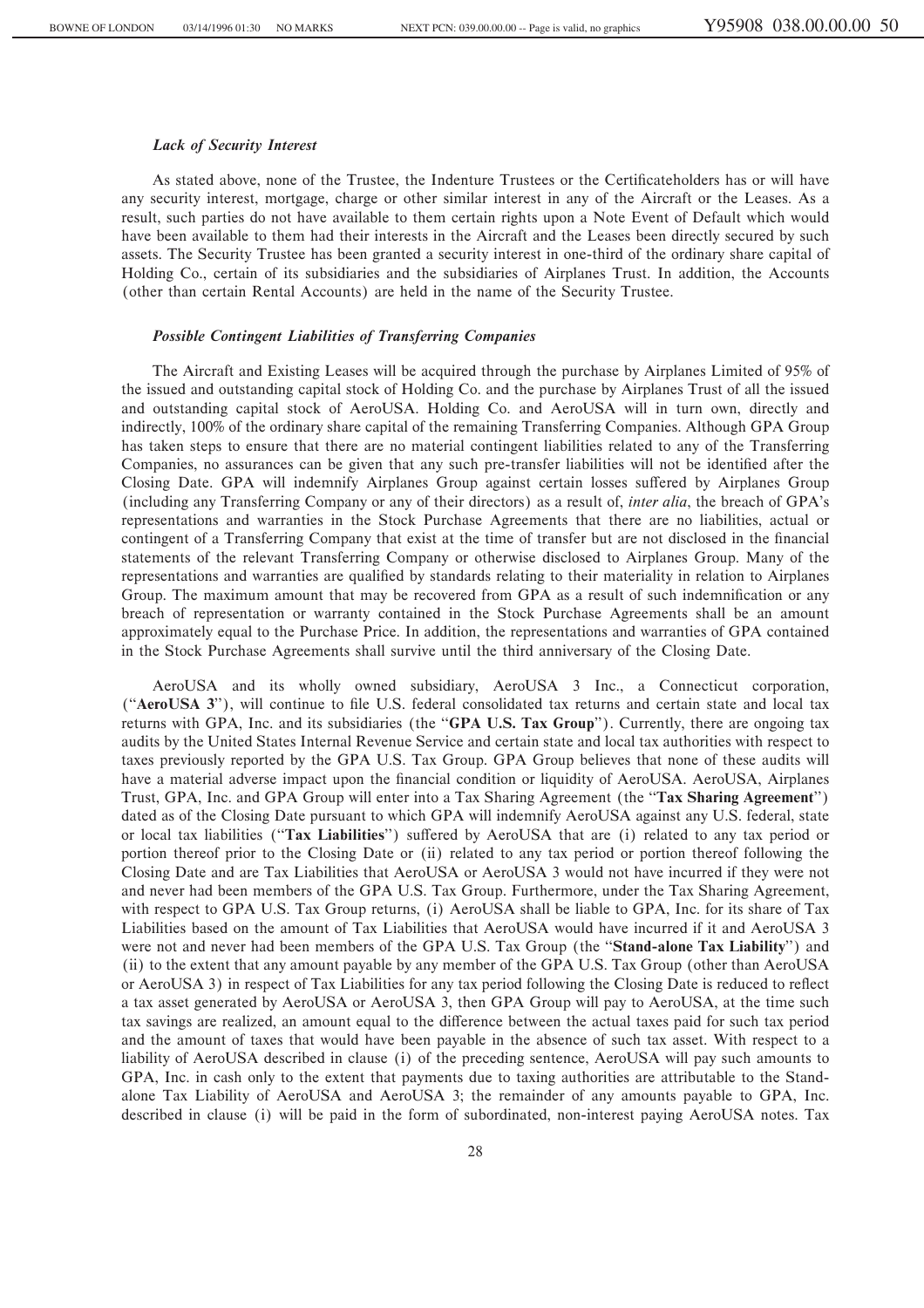#### *Lack of Security Interest*

As stated above, none of the Trustee, the Indenture Trustees or the Certificateholders has or will have any security interest, mortgage, charge or other similar interest in any of the Aircraft or the Leases. As a result, such parties do not have available to them certain rights upon a Note Event of Default which would have been available to them had their interests in the Aircraft and the Leases been directly secured by such assets. The Security Trustee has been granted a security interest in one-third of the ordinary share capital of Holding Co., certain of its subsidiaries and the subsidiaries of Airplanes Trust. In addition, the Accounts (other than certain Rental Accounts) are held in the name of the Security Trustee.

#### *Possible Contingent Liabilities of Transferring Companies*

The Aircraft and Existing Leases will be acquired through the purchase by Airplanes Limited of 95% of the issued and outstanding capital stock of Holding Co. and the purchase by Airplanes Trust of all the issued and outstanding capital stock of AeroUSA. Holding Co. and AeroUSA will in turn own, directly and indirectly, 100% of the ordinary share capital of the remaining Transferring Companies. Although GPA Group has taken steps to ensure that there are no material contingent liabilities related to any of the Transferring Companies, no assurances can be given that any such pre-transfer liabilities will not be identified after the Closing Date. GPA will indemnify Airplanes Group against certain losses suffered by Airplanes Group (including any Transferring Company or any of their directors) as a result of, *inter alia*, the breach of GPA's representations and warranties in the Stock Purchase Agreements that there are no liabilities, actual or contingent of a Transferring Company that exist at the time of transfer but are not disclosed in the financial statements of the relevant Transferring Company or otherwise disclosed to Airplanes Group. Many of the representations and warranties are qualified by standards relating to their materiality in relation to Airplanes Group. The maximum amount that may be recovered from GPA as a result of such indemnification or any breach of representation or warranty contained in the Stock Purchase Agreements shall be an amount approximately equal to the Purchase Price. In addition, the representations and warranties of GPA contained in the Stock Purchase Agreements shall survive until the third anniversary of the Closing Date.

AeroUSA and its wholly owned subsidiary, AeroUSA 3 Inc., a Connecticut corporation, ("AeroUSA 3"), will continue to file U.S. federal consolidated tax returns and certain state and local tax returns with GPA, Inc. and its subsidiaries (the "**GPA U.S. Tax Group**"). Currently, there are ongoing tax audits by the United States Internal Revenue Service and certain state and local tax authorities with respect to taxes previously reported by the GPA U.S. Tax Group. GPA Group believes that none of these audits will have a material adverse impact upon the financial condition or liquidity of AeroUSA. AeroUSA, Airplanes Trust, GPA, Inc. and GPA Group will enter into a Tax Sharing Agreement (the ""**Tax Sharing Agreement**'') dated as of the Closing Date pursuant to which GPA will indemnify AeroUSA against any U.S. federal, state or local tax liabilities ("Tax Liabilities") suffered by AeroUSA that are (i) related to any tax period or portion thereof prior to the Closing Date or (ii) related to any tax period or portion thereof following the Closing Date and are Tax Liabilities that AeroUSA or AeroUSA 3 would not have incurred if they were not and never had been members of the GPA U.S. Tax Group. Furthermore, under the Tax Sharing Agreement, with respect to GPA U.S. Tax Group returns, (i) AeroUSA shall be liable to GPA, Inc. for its share of Tax Liabilities based on the amount of Tax Liabilities that AeroUSA would have incurred if it and AeroUSA 3 were not and never had been members of the GPA U.S. Tax Group (the "**Stand-alone Tax Liability**") and (ii) to the extent that any amount payable by any member of the GPA U.S. Tax Group (other than AeroUSA or AeroUSA 3) in respect of Tax Liabilities for any tax period following the Closing Date is reduced to reflect a tax asset generated by AeroUSA or AeroUSA 3, then GPA Group will pay to AeroUSA, at the time such tax savings are realized, an amount equal to the difference between the actual taxes paid for such tax period and the amount of taxes that would have been payable in the absence of such tax asset. With respect to a liability of AeroUSA described in clause (i) of the preceding sentence, AeroUSA will pay such amounts to GPA, Inc. in cash only to the extent that payments due to taxing authorities are attributable to the Standalone Tax Liability of AeroUSA and AeroUSA 3; the remainder of any amounts payable to GPA, Inc. described in clause (i) will be paid in the form of subordinated, non-interest paying AeroUSA notes. Tax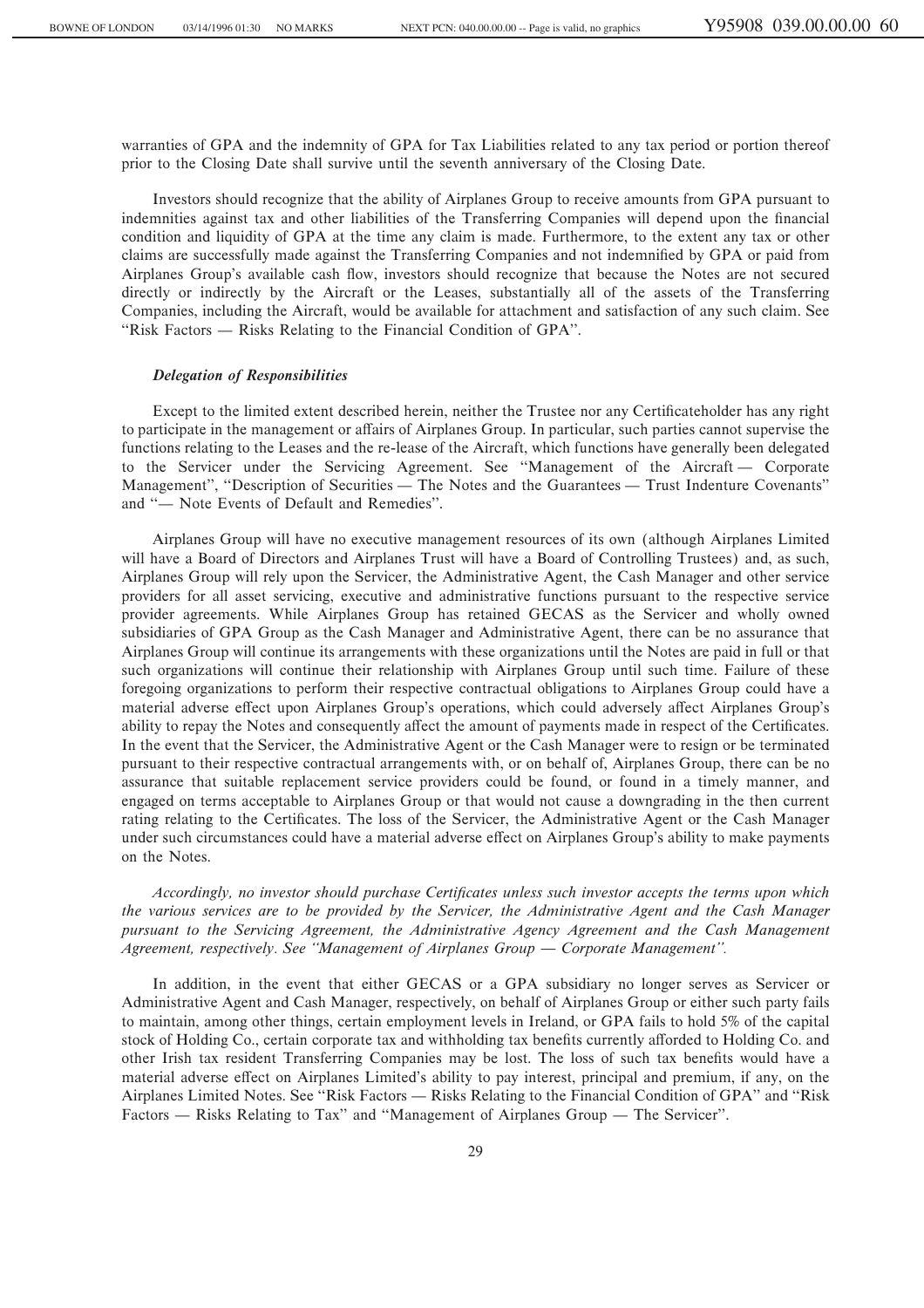warranties of GPA and the indemnity of GPA for Tax Liabilities related to any tax period or portion thereof prior to the Closing Date shall survive until the seventh anniversary of the Closing Date.

Investors should recognize that the ability of Airplanes Group to receive amounts from GPA pursuant to indemnities against tax and other liabilities of the Transferring Companies will depend upon the financial condition and liquidity of GPA at the time any claim is made. Furthermore, to the extent any tax or other claims are successfully made against the Transferring Companies and not indemnified by GPA or paid from Airplanes Group's available cash Öow, investors should recognize that because the Notes are not secured directly or indirectly by the Aircraft or the Leases, substantially all of the assets of the Transferring Companies, including the Aircraft, would be available for attachment and satisfaction of any such claim. See "Risk Factors — Risks Relating to the Financial Condition of GPA".

#### *Delegation of Responsibilities*

Except to the limited extent described herein, neither the Trustee nor any Certificateholder has any right to participate in the management or affairs of Airplanes Group. In particular, such parties cannot supervise the functions relating to the Leases and the re-lease of the Aircraft, which functions have generally been delegated to the Servicer under the Servicing Agreement. See "Management of the Aircraft — Corporate Management", "Description of Securities — The Notes and the Guarantees — Trust Indenture Covenants" and "
— Note Events of Default and Remedies".

Airplanes Group will have no executive management resources of its own (although Airplanes Limited will have a Board of Directors and Airplanes Trust will have a Board of Controlling Trustees) and, as such, Airplanes Group will rely upon the Servicer, the Administrative Agent, the Cash Manager and other service providers for all asset servicing, executive and administrative functions pursuant to the respective service provider agreements. While Airplanes Group has retained GECAS as the Servicer and wholly owned subsidiaries of GPA Group as the Cash Manager and Administrative Agent, there can be no assurance that Airplanes Group will continue its arrangements with these organizations until the Notes are paid in full or that such organizations will continue their relationship with Airplanes Group until such time. Failure of these foregoing organizations to perform their respective contractual obligations to Airplanes Group could have a material adverse effect upon Airplanes Group's operations, which could adversely affect Airplanes Group's ability to repay the Notes and consequently affect the amount of payments made in respect of the Certificates. In the event that the Servicer, the Administrative Agent or the Cash Manager were to resign or be terminated pursuant to their respective contractual arrangements with, or on behalf of, Airplanes Group, there can be no assurance that suitable replacement service providers could be found, or found in a timely manner, and engaged on terms acceptable to Airplanes Group or that would not cause a downgrading in the then current rating relating to the Certificates. The loss of the Servicer, the Administrative Agent or the Cash Manager under such circumstances could have a material adverse effect on Airplanes Group's ability to make payments on the Notes.

*Accordingly, no investor should purchase Certificates unless such investor accepts the terms upon which the various services are to be provided by the Servicer, the Administrative Agent and the Cash Manager pursuant to the Servicing Agreement, the Administrative Agency Agreement and the Cash Management Agreement, respectively. See "Management of Airplanes Group — Corporate Management".* 

In addition, in the event that either GECAS or a GPA subsidiary no longer serves as Servicer or Administrative Agent and Cash Manager, respectively, on behalf of Airplanes Group or either such party fails to maintain, among other things, certain employment levels in Ireland, or GPA fails to hold 5% of the capital stock of Holding Co., certain corporate tax and withholding tax benefits currently afforded to Holding Co. and other Irish tax resident Transferring Companies may be lost. The loss of such tax benefits would have a material adverse effect on Airplanes Limited's ability to pay interest, principal and premium, if any, on the Airplanes Limited Notes. See "Risk Factors — Risks Relating to the Financial Condition of GPA" and "Risk Factors  $\overline{\phantom{a}}$  Risks Relating to Tax" and "Management of Airplanes Group  $\overline{\phantom{a}}$  The Servicer".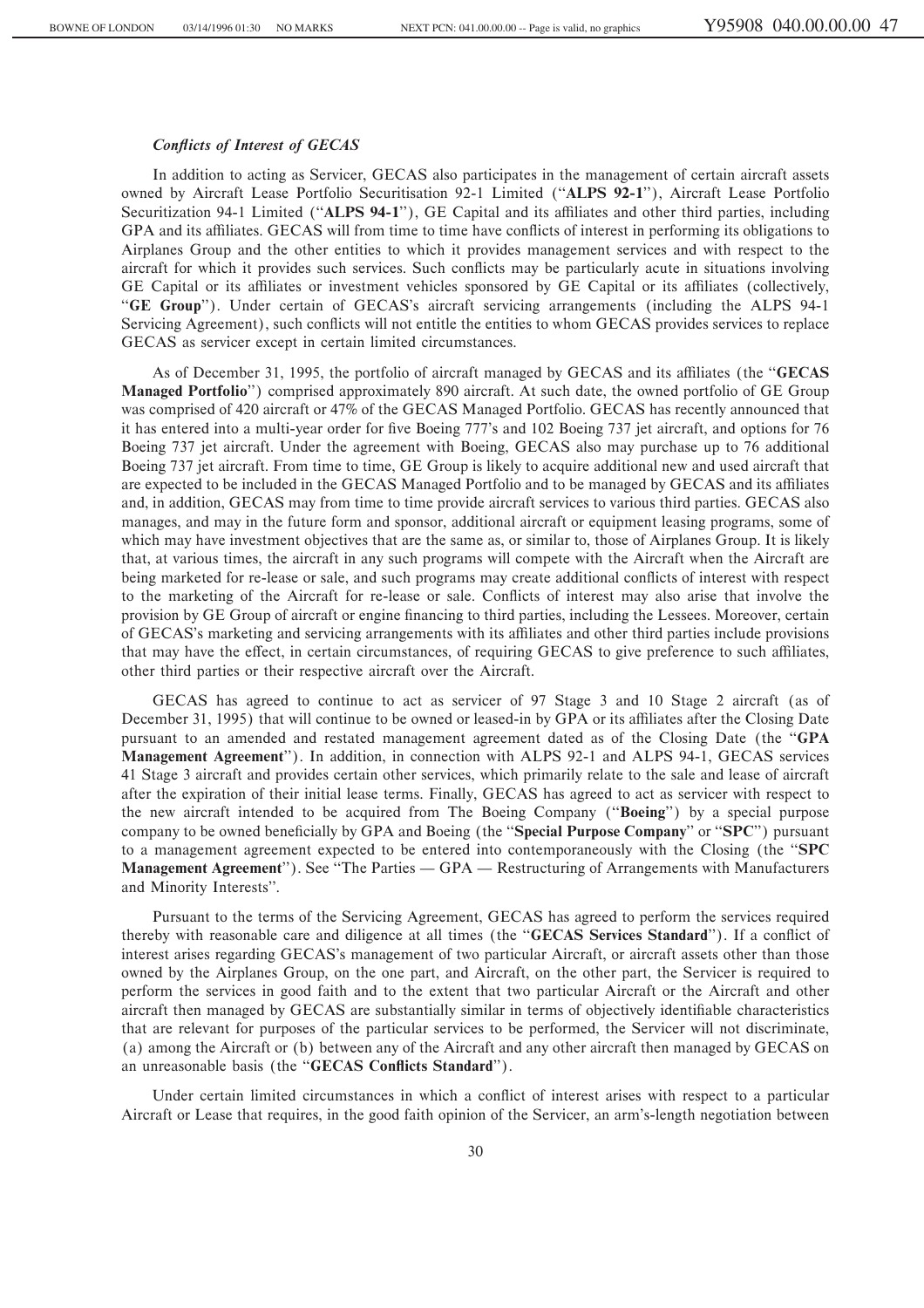## **Conflicts of Interest of GECAS**

In addition to acting as Servicer, GECAS also participates in the management of certain aircraft assets owned by Aircraft Lease Portfolio Securitisation 92-1 Limited (""**ALPS 92-1**''), Aircraft Lease Portfolio Securitization 94-1 Limited ("ALPS 94-1"), GE Capital and its affiliates and other third parties, including GPA and its affiliates. GECAS will from time to time have conflicts of interest in performing its obligations to Airplanes Group and the other entities to which it provides management services and with respect to the aircraft for which it provides such services. Such conflicts may be particularly acute in situations involving GE Capital or its affiliates or investment vehicles sponsored by GE Capital or its affiliates (collectively, "GE Group"). Under certain of GECAS's aircraft servicing arrangements (including the ALPS 94-1 Servicing Agreement), such conflicts will not entitle the entities to whom GECAS provides services to replace GECAS as servicer except in certain limited circumstances.

As of December 31, 1995, the portfolio of aircraft managed by GECAS and its affiliates (the "**GECAS Managed Portfolio**'') comprised approximately 890 aircraft. At such date, the owned portfolio of GE Group was comprised of 420 aircraft or 47% of the GECAS Managed Portfolio. GECAS has recently announced that it has entered into a multi-year order for Ñve Boeing 777's and 102 Boeing 737 jet aircraft, and options for 76 Boeing 737 jet aircraft. Under the agreement with Boeing, GECAS also may purchase up to 76 additional Boeing 737 jet aircraft. From time to time, GE Group is likely to acquire additional new and used aircraft that are expected to be included in the GECAS Managed Portfolio and to be managed by GECAS and its affiliates and, in addition, GECAS may from time to time provide aircraft services to various third parties. GECAS also manages, and may in the future form and sponsor, additional aircraft or equipment leasing programs, some of which may have investment objectives that are the same as, or similar to, those of Airplanes Group. It is likely that, at various times, the aircraft in any such programs will compete with the Aircraft when the Aircraft are being marketed for re-lease or sale, and such programs may create additional conflicts of interest with respect to the marketing of the Aircraft for re-lease or sale. Conflicts of interest may also arise that involve the provision by GE Group of aircraft or engine financing to third parties, including the Lessees. Moreover, certain of GECAS's marketing and servicing arrangements with its affiliates and other third parties include provisions that may have the effect, in certain circumstances, of requiring GECAS to give preference to such affiliates, other third parties or their respective aircraft over the Aircraft.

GECAS has agreed to continue to act as servicer of 97 Stage 3 and 10 Stage 2 aircraft (as of December 31, 1995) that will continue to be owned or leased-in by GPA or its affiliates after the Closing Date pursuant to an amended and restated management agreement dated as of the Closing Date (the ""**GPA Management Agreement**''). In addition, in connection with ALPS 92-1 and ALPS 94-1, GECAS services 41 Stage 3 aircraft and provides certain other services, which primarily relate to the sale and lease of aircraft after the expiration of their initial lease terms. Finally, GECAS has agreed to act as servicer with respect to the new aircraft intended to be acquired from The Boeing Company (""**Boeing**'') by a special purpose company to be owned beneficially by GPA and Boeing (the "**Special Purpose Company**' or "**SPC**") pursuant to a management agreement expected to be entered into contemporaneously with the Closing (the ""**SPC Management Agreement**"). See "The Parties — GPA — Restructuring of Arrangements with Manufacturers and Minority Interests''.

Pursuant to the terms of the Servicing Agreement, GECAS has agreed to perform the services required thereby with reasonable care and diligence at all times (the "**GECAS Services Standard**"). If a conflict of interest arises regarding GECAS's management of two particular Aircraft, or aircraft assets other than those owned by the Airplanes Group, on the one part, and Aircraft, on the other part, the Servicer is required to perform the services in good faith and to the extent that two particular Aircraft or the Aircraft and other aircraft then managed by GECAS are substantially similar in terms of objectively identifiable characteristics that are relevant for purposes of the particular services to be performed, the Servicer will not discriminate, (a) among the Aircraft or (b) between any of the Aircraft and any other aircraft then managed by GECAS on an unreasonable basis (the "GECAS Conflicts Standard").

Under certain limited circumstances in which a conflict of interest arises with respect to a particular Aircraft or Lease that requires, in the good faith opinion of the Servicer, an arm's-length negotiation between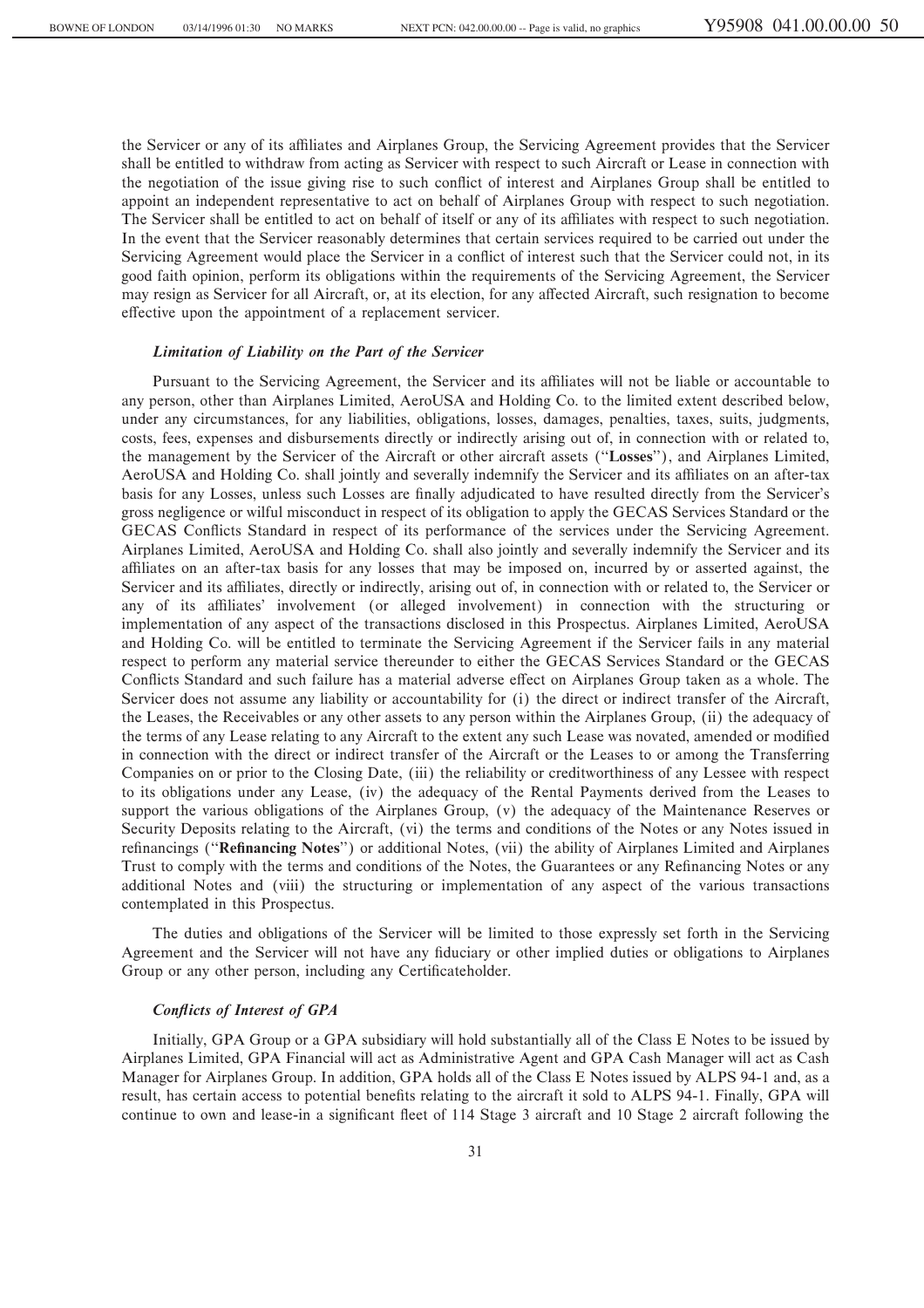the Servicer or any of its affiliates and Airplanes Group, the Servicing Agreement provides that the Servicer shall be entitled to withdraw from acting as Servicer with respect to such Aircraft or Lease in connection with the negotiation of the issue giving rise to such conflict of interest and Airplanes Group shall be entitled to appoint an independent representative to act on behalf of Airplanes Group with respect to such negotiation. The Servicer shall be entitled to act on behalf of itself or any of its affiliates with respect to such negotiation. In the event that the Servicer reasonably determines that certain services required to be carried out under the Servicing Agreement would place the Servicer in a conflict of interest such that the Servicer could not, in its good faith opinion, perform its obligations within the requirements of the Servicing Agreement, the Servicer may resign as Servicer for all Aircraft, or, at its election, for any affected Aircraft, such resignation to become effective upon the appointment of a replacement servicer.

#### *Limitation of Liability on the Part of the Servicer*

Pursuant to the Servicing Agreement, the Servicer and its affiliates will not be liable or accountable to any person, other than Airplanes Limited, AeroUSA and Holding Co. to the limited extent described below, under any circumstances, for any liabilities, obligations, losses, damages, penalties, taxes, suits, judgments, costs, fees, expenses and disbursements directly or indirectly arising out of, in connection with or related to, the management by the Servicer of the Aircraft or other aircraft assets (""**Losses**''), and Airplanes Limited, AeroUSA and Holding Co. shall jointly and severally indemnify the Servicer and its affiliates on an after-tax basis for any Losses, unless such Losses are finally adjudicated to have resulted directly from the Servicer's gross negligence or wilful misconduct in respect of its obligation to apply the GECAS Services Standard or the GECAS Conflicts Standard in respect of its performance of the services under the Servicing Agreement. Airplanes Limited, AeroUSA and Holding Co. shall also jointly and severally indemnify the Servicer and its affiliates on an after-tax basis for any losses that may be imposed on, incurred by or asserted against, the Servicer and its affiliates, directly or indirectly, arising out of, in connection with or related to, the Servicer or any of its affiliates' involvement (or alleged involvement) in connection with the structuring or implementation of any aspect of the transactions disclosed in this Prospectus. Airplanes Limited, AeroUSA and Holding Co. will be entitled to terminate the Servicing Agreement if the Servicer fails in any material respect to perform any material service thereunder to either the GECAS Services Standard or the GECAS Conflicts Standard and such failure has a material adverse effect on Airplanes Group taken as a whole. The Servicer does not assume any liability or accountability for (i) the direct or indirect transfer of the Aircraft, the Leases, the Receivables or any other assets to any person within the Airplanes Group, (ii) the adequacy of the terms of any Lease relating to any Aircraft to the extent any such Lease was novated, amended or modified in connection with the direct or indirect transfer of the Aircraft or the Leases to or among the Transferring Companies on or prior to the Closing Date, (iii) the reliability or creditworthiness of any Lessee with respect to its obligations under any Lease, (iv) the adequacy of the Rental Payments derived from the Leases to support the various obligations of the Airplanes Group, (v) the adequacy of the Maintenance Reserves or Security Deposits relating to the Aircraft, (vi) the terms and conditions of the Notes or any Notes issued in refinancings ("**Refinancing Notes**") or additional Notes, (vii) the ability of Airplanes Limited and Airplanes Trust to comply with the terms and conditions of the Notes, the Guarantees or any Refinancing Notes or any additional Notes and (viii) the structuring or implementation of any aspect of the various transactions contemplated in this Prospectus.

The duties and obligations of the Servicer will be limited to those expressly set forth in the Servicing Agreement and the Servicer will not have any fiduciary or other implied duties or obligations to Airplanes Group or any other person, including any Certificateholder.

## *ConÖicts of Interest of GPA*

Initially, GPA Group or a GPA subsidiary will hold substantially all of the Class E Notes to be issued by Airplanes Limited, GPA Financial will act as Administrative Agent and GPA Cash Manager will act as Cash Manager for Airplanes Group. In addition, GPA holds all of the Class E Notes issued by ALPS 94-1 and, as a result, has certain access to potential benefits relating to the aircraft it sold to ALPS 94-1. Finally, GPA will continue to own and lease-in a significant fleet of 114 Stage 3 aircraft and 10 Stage 2 aircraft following the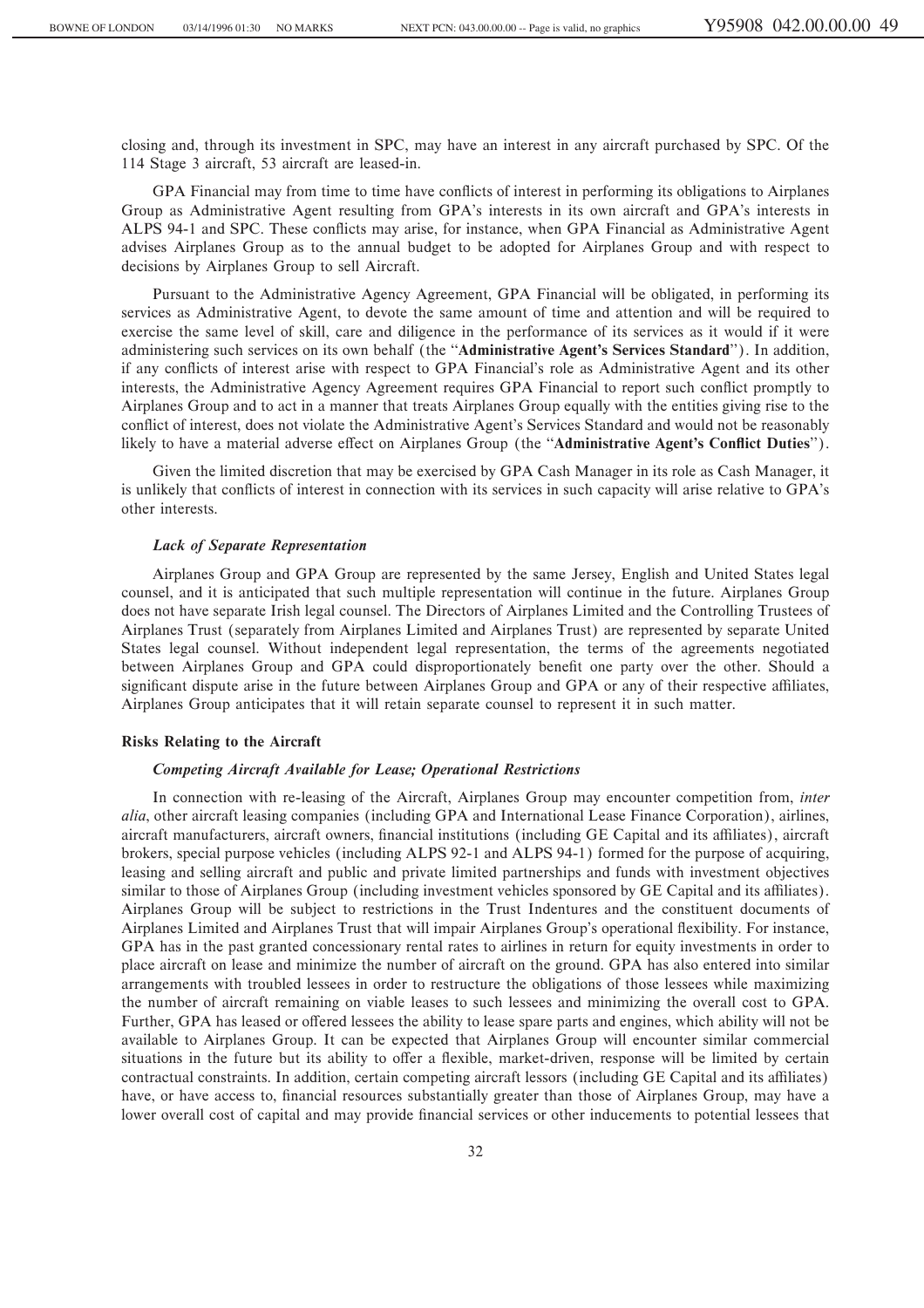closing and, through its investment in SPC, may have an interest in any aircraft purchased by SPC. Of the 114 Stage 3 aircraft, 53 aircraft are leased-in.

GPA Financial may from time to time have conflicts of interest in performing its obligations to Airplanes Group as Administrative Agent resulting from GPA's interests in its own aircraft and GPA's interests in ALPS 94-1 and SPC. These conflicts may arise, for instance, when GPA Financial as Administrative Agent advises Airplanes Group as to the annual budget to be adopted for Airplanes Group and with respect to decisions by Airplanes Group to sell Aircraft.

Pursuant to the Administrative Agency Agreement, GPA Financial will be obligated, in performing its services as Administrative Agent, to devote the same amount of time and attention and will be required to exercise the same level of skill, care and diligence in the performance of its services as it would if it were administering such services on its own behalf (the ""**Administrative Agent's Services Standard**''). In addition, if any conflicts of interest arise with respect to GPA Financial's role as Administrative Agent and its other interests, the Administrative Agency Agreement requires GPA Financial to report such conflict promptly to Airplanes Group and to act in a manner that treats Airplanes Group equally with the entities giving rise to the conflict of interest, does not violate the Administrative Agent's Services Standard and would not be reasonably likely to have a material adverse effect on Airplanes Group (the "Administrative Agent's Conflict Duties").

Given the limited discretion that may be exercised by GPA Cash Manager in its role as Cash Manager, it is unlikely that conflicts of interest in connection with its services in such capacity will arise relative to GPA's other interests.

#### *Lack of Separate Representation*

Airplanes Group and GPA Group are represented by the same Jersey, English and United States legal counsel, and it is anticipated that such multiple representation will continue in the future. Airplanes Group does not have separate Irish legal counsel. The Directors of Airplanes Limited and the Controlling Trustees of Airplanes Trust (separately from Airplanes Limited and Airplanes Trust) are represented by separate United States legal counsel. Without independent legal representation, the terms of the agreements negotiated between Airplanes Group and GPA could disproportionately benefit one party over the other. Should a significant dispute arise in the future between Airplanes Group and GPA or any of their respective affiliates, Airplanes Group anticipates that it will retain separate counsel to represent it in such matter.

## **Risks Relating to the Aircraft**

#### *Competing Aircraft Available for Lease; Operational Restrictions*

In connection with re-leasing of the Aircraft, Airplanes Group may encounter competition from, *inter alia*, other aircraft leasing companies (including GPA and International Lease Finance Corporation), airlines, aircraft manufacturers, aircraft owners, financial institutions (including GE Capital and its affiliates), aircraft brokers, special purpose vehicles (including ALPS 92-1 and ALPS 94-1) formed for the purpose of acquiring, leasing and selling aircraft and public and private limited partnerships and funds with investment objectives similar to those of Airplanes Group (including investment vehicles sponsored by GE Capital and its affiliates). Airplanes Group will be subject to restrictions in the Trust Indentures and the constituent documents of Airplanes Limited and Airplanes Trust that will impair Airplanes Group's operational flexibility. For instance, GPA has in the past granted concessionary rental rates to airlines in return for equity investments in order to place aircraft on lease and minimize the number of aircraft on the ground. GPA has also entered into similar arrangements with troubled lessees in order to restructure the obligations of those lessees while maximizing the number of aircraft remaining on viable leases to such lessees and minimizing the overall cost to GPA. Further, GPA has leased or offered lessees the ability to lease spare parts and engines, which ability will not be available to Airplanes Group. It can be expected that Airplanes Group will encounter similar commercial situations in the future but its ability to offer a flexible, market-driven, response will be limited by certain contractual constraints. In addition, certain competing aircraft lessors (including GE Capital and its affiliates) have, or have access to, financial resources substantially greater than those of Airplanes Group, may have a lower overall cost of capital and may provide financial services or other inducements to potential lessees that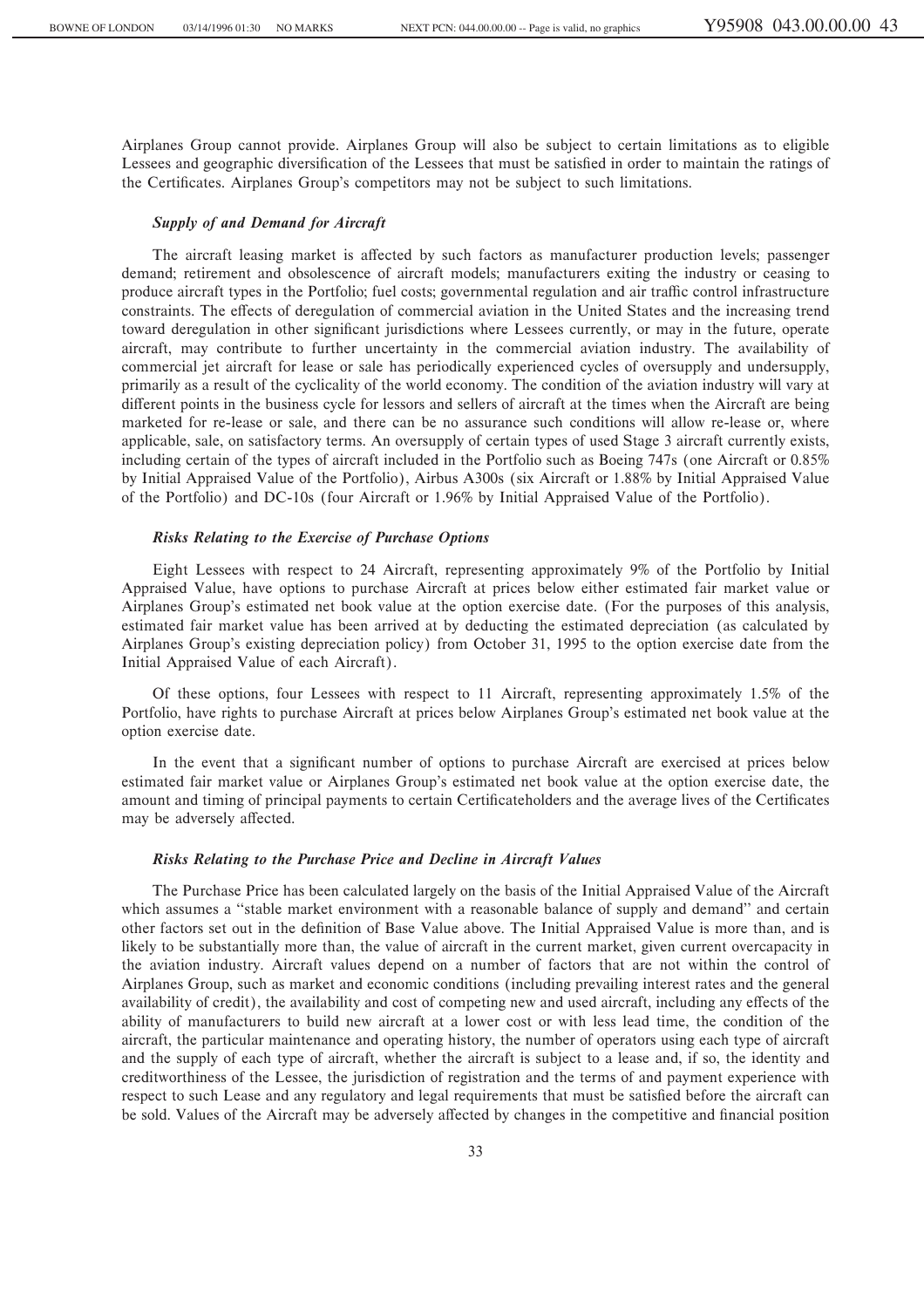Airplanes Group cannot provide. Airplanes Group will also be subject to certain limitations as to eligible Lessees and geographic diversification of the Lessees that must be satisfied in order to maintain the ratings of the Certificates. Airplanes Group's competitors may not be subject to such limitations.

## *Supply of and Demand for Aircraft*

The aircraft leasing market is affected by such factors as manufacturer production levels; passenger demand; retirement and obsolescence of aircraft models; manufacturers exiting the industry or ceasing to produce aircraft types in the Portfolio; fuel costs; governmental regulation and air traffic control infrastructure constraints. The effects of deregulation of commercial aviation in the United States and the increasing trend toward deregulation in other significant jurisdictions where Lessees currently, or may in the future, operate aircraft, may contribute to further uncertainty in the commercial aviation industry. The availability of commercial jet aircraft for lease or sale has periodically experienced cycles of oversupply and undersupply, primarily as a result of the cyclicality of the world economy. The condition of the aviation industry will vary at different points in the business cycle for lessors and sellers of aircraft at the times when the Aircraft are being marketed for re-lease or sale, and there can be no assurance such conditions will allow re-lease or, where applicable, sale, on satisfactory terms. An oversupply of certain types of used Stage 3 aircraft currently exists, including certain of the types of aircraft included in the Portfolio such as Boeing 747s (one Aircraft or 0.85% by Initial Appraised Value of the Portfolio), Airbus A300s (six Aircraft or 1.88% by Initial Appraised Value of the Portfolio) and DC-10s (four Aircraft or 1.96% by Initial Appraised Value of the Portfolio).

### *Risks Relating to the Exercise of Purchase Options*

Eight Lessees with respect to 24 Aircraft, representing approximately 9% of the Portfolio by Initial Appraised Value, have options to purchase Aircraft at prices below either estimated fair market value or Airplanes Group's estimated net book value at the option exercise date. (For the purposes of this analysis, estimated fair market value has been arrived at by deducting the estimated depreciation (as calculated by Airplanes Group's existing depreciation policy) from October 31, 1995 to the option exercise date from the Initial Appraised Value of each Aircraft).

Of these options, four Lessees with respect to 11 Aircraft, representing approximately 1.5% of the Portfolio, have rights to purchase Aircraft at prices below Airplanes Group's estimated net book value at the option exercise date.

In the event that a significant number of options to purchase Aircraft are exercised at prices below estimated fair market value or Airplanes Group's estimated net book value at the option exercise date, the amount and timing of principal payments to certain Certificateholders and the average lives of the Certificates may be adversely affected.

## *Risks Relating to the Purchase Price and Decline in Aircraft Values*

The Purchase Price has been calculated largely on the basis of the Initial Appraised Value of the Aircraft which assumes a "stable market environment with a reasonable balance of supply and demand" and certain other factors set out in the definition of Base Value above. The Initial Appraised Value is more than, and is likely to be substantially more than, the value of aircraft in the current market, given current overcapacity in the aviation industry. Aircraft values depend on a number of factors that are not within the control of Airplanes Group, such as market and economic conditions (including prevailing interest rates and the general availability of credit), the availability and cost of competing new and used aircraft, including any effects of the ability of manufacturers to build new aircraft at a lower cost or with less lead time, the condition of the aircraft, the particular maintenance and operating history, the number of operators using each type of aircraft and the supply of each type of aircraft, whether the aircraft is subject to a lease and, if so, the identity and creditworthiness of the Lessee, the jurisdiction of registration and the terms of and payment experience with respect to such Lease and any regulatory and legal requirements that must be satisfied before the aircraft can be sold. Values of the Aircraft may be adversely affected by changes in the competitive and financial position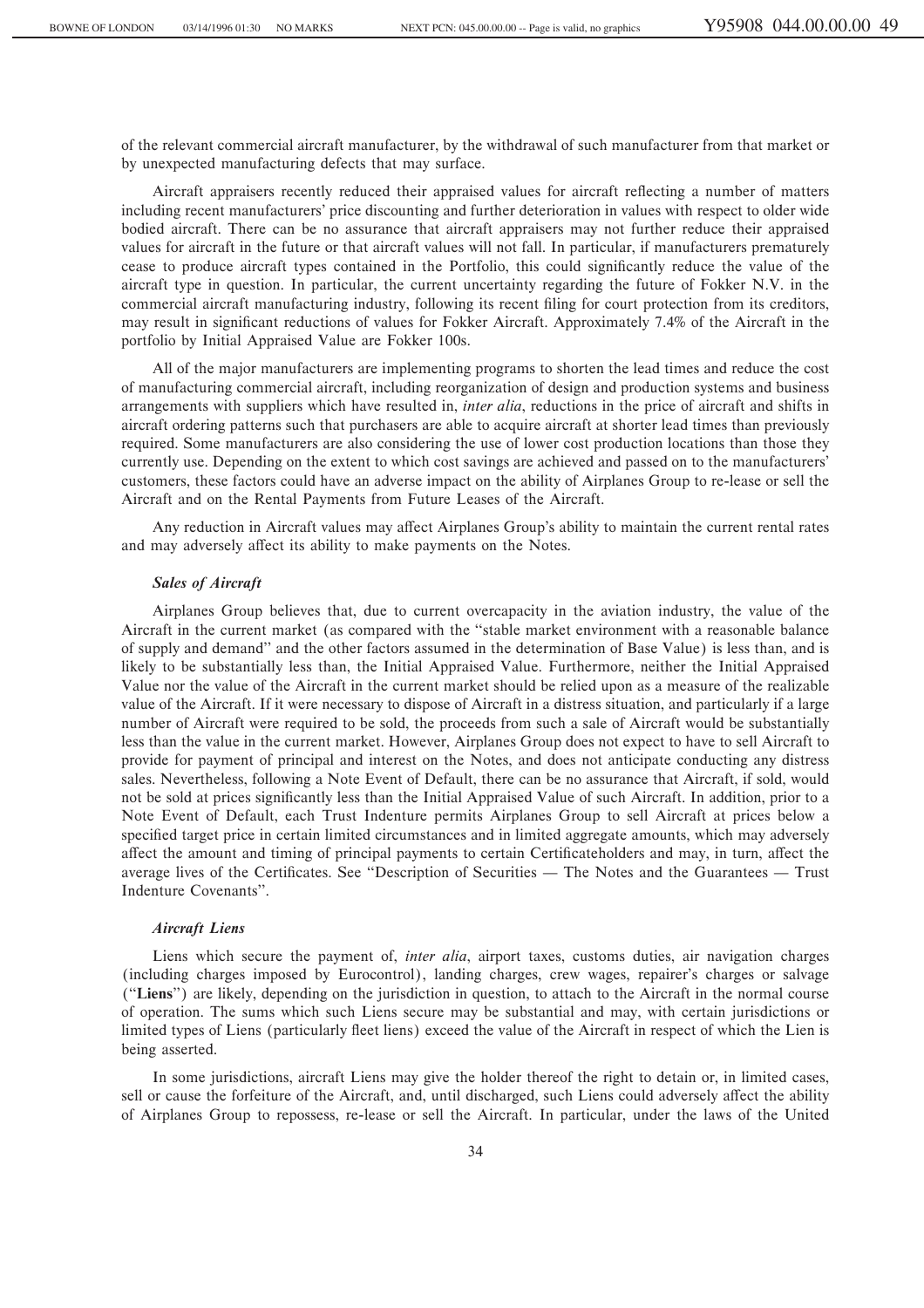of the relevant commercial aircraft manufacturer, by the withdrawal of such manufacturer from that market or by unexpected manufacturing defects that may surface.

Aircraft appraisers recently reduced their appraised values for aircraft reflecting a number of matters including recent manufacturers' price discounting and further deterioration in values with respect to older wide bodied aircraft. There can be no assurance that aircraft appraisers may not further reduce their appraised values for aircraft in the future or that aircraft values will not fall. In particular, if manufacturers prematurely cease to produce aircraft types contained in the Portfolio, this could significantly reduce the value of the aircraft type in question. In particular, the current uncertainty regarding the future of Fokker N.V. in the commercial aircraft manufacturing industry, following its recent filing for court protection from its creditors, may result in significant reductions of values for Fokker Aircraft. Approximately 7.4% of the Aircraft in the portfolio by Initial Appraised Value are Fokker 100s.

All of the major manufacturers are implementing programs to shorten the lead times and reduce the cost of manufacturing commercial aircraft, including reorganization of design and production systems and business arrangements with suppliers which have resulted in, *inter alia*, reductions in the price of aircraft and shifts in aircraft ordering patterns such that purchasers are able to acquire aircraft at shorter lead times than previously required. Some manufacturers are also considering the use of lower cost production locations than those they currently use. Depending on the extent to which cost savings are achieved and passed on to the manufacturers' customers, these factors could have an adverse impact on the ability of Airplanes Group to re-lease or sell the Aircraft and on the Rental Payments from Future Leases of the Aircraft.

Any reduction in Aircraft values may affect Airplanes Group's ability to maintain the current rental rates and may adversely affect its ability to make payments on the Notes.

### *Sales of Aircraft*

Airplanes Group believes that, due to current overcapacity in the aviation industry, the value of the Aircraft in the current market (as compared with the ""stable market environment with a reasonable balance of supply and demand'' and the other factors assumed in the determination of Base Value) is less than, and is likely to be substantially less than, the Initial Appraised Value. Furthermore, neither the Initial Appraised Value nor the value of the Aircraft in the current market should be relied upon as a measure of the realizable value of the Aircraft. If it were necessary to dispose of Aircraft in a distress situation, and particularly if a large number of Aircraft were required to be sold, the proceeds from such a sale of Aircraft would be substantially less than the value in the current market. However, Airplanes Group does not expect to have to sell Aircraft to provide for payment of principal and interest on the Notes, and does not anticipate conducting any distress sales. Nevertheless, following a Note Event of Default, there can be no assurance that Aircraft, if sold, would not be sold at prices significantly less than the Initial Appraised Value of such Aircraft. In addition, prior to a Note Event of Default, each Trust Indenture permits Airplanes Group to sell Aircraft at prices below a specified target price in certain limited circumstances and in limited aggregate amounts, which may adversely affect the amount and timing of principal payments to certain Certificateholders and may, in turn, affect the average lives of the Certificates. See "Description of Securities — The Notes and the Guarantees — Trust Indenture Covenants''.

## *Aircraft Liens*

Liens which secure the payment of, *inter alia*, airport taxes, customs duties, air navigation charges (including charges imposed by Eurocontrol), landing charges, crew wages, repairer's charges or salvage (""**Liens**'') are likely, depending on the jurisdiction in question, to attach to the Aircraft in the normal course of operation. The sums which such Liens secure may be substantial and may, with certain jurisdictions or limited types of Liens (particularly fleet liens) exceed the value of the Aircraft in respect of which the Lien is being asserted.

In some jurisdictions, aircraft Liens may give the holder thereof the right to detain or, in limited cases, sell or cause the forfeiture of the Aircraft, and, until discharged, such Liens could adversely affect the ability of Airplanes Group to repossess, re-lease or sell the Aircraft. In particular, under the laws of the United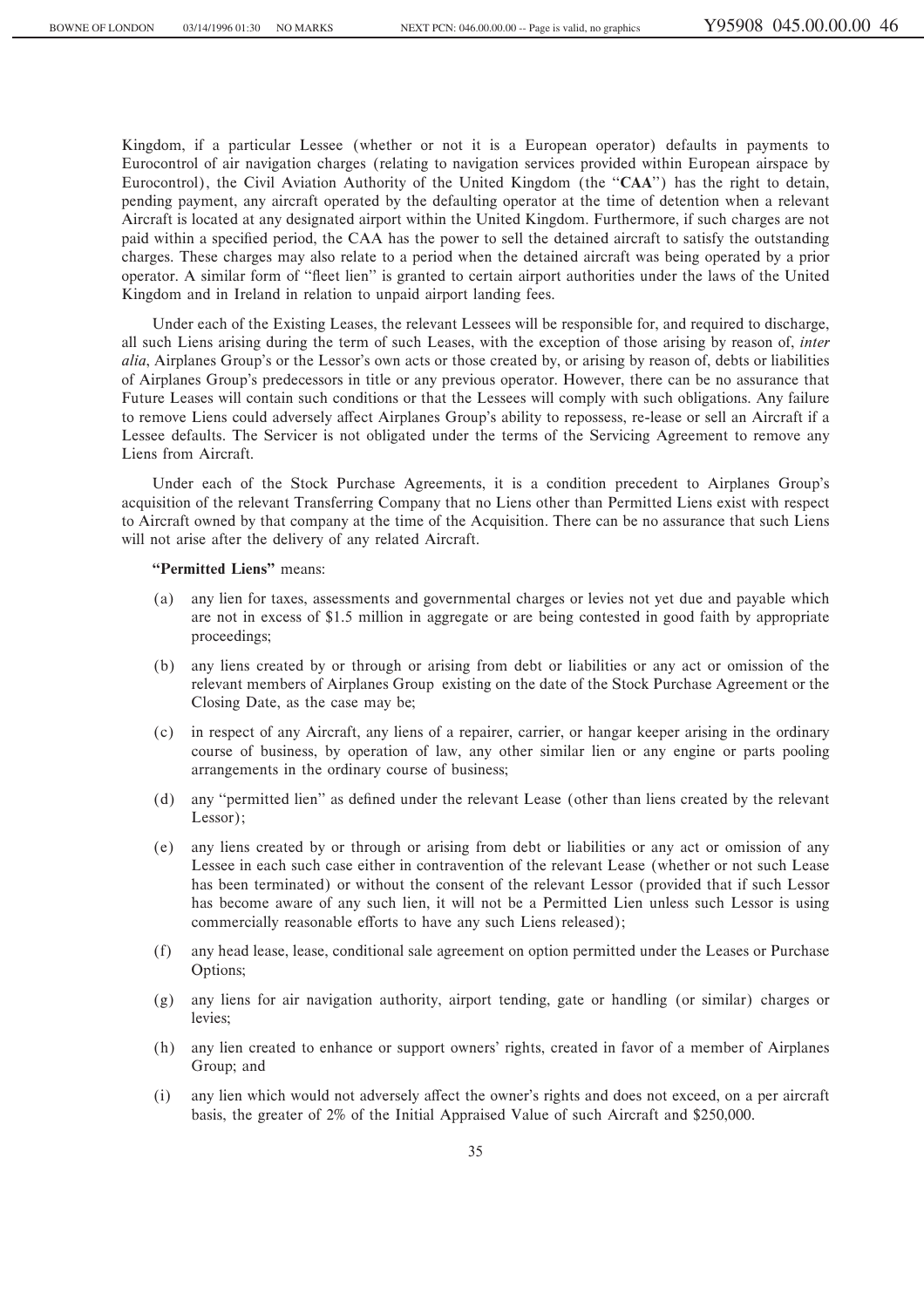Kingdom, if a particular Lessee (whether or not it is a European operator) defaults in payments to Eurocontrol of air navigation charges (relating to navigation services provided within European airspace by Eurocontrol), the Civil Aviation Authority of the United Kingdom (the "CAA") has the right to detain, pending payment, any aircraft operated by the defaulting operator at the time of detention when a relevant Aircraft is located at any designated airport within the United Kingdom. Furthermore, if such charges are not paid within a specified period, the CAA has the power to sell the detained aircraft to satisfy the outstanding charges. These charges may also relate to a period when the detained aircraft was being operated by a prior operator. A similar form of "fleet lien" is granted to certain airport authorities under the laws of the United Kingdom and in Ireland in relation to unpaid airport landing fees.

Under each of the Existing Leases, the relevant Lessees will be responsible for, and required to discharge, all such Liens arising during the term of such Leases, with the exception of those arising by reason of, *inter alia*, Airplanes Group's or the Lessor's own acts or those created by, or arising by reason of, debts or liabilities of Airplanes Group's predecessors in title or any previous operator. However, there can be no assurance that Future Leases will contain such conditions or that the Lessees will comply with such obligations. Any failure to remove Liens could adversely affect Airplanes Group's ability to repossess, re-lease or sell an Aircraft if a Lessee defaults. The Servicer is not obligated under the terms of the Servicing Agreement to remove any Liens from Aircraft.

Under each of the Stock Purchase Agreements, it is a condition precedent to Airplanes Group's acquisition of the relevant Transferring Company that no Liens other than Permitted Liens exist with respect to Aircraft owned by that company at the time of the Acquisition. There can be no assurance that such Liens will not arise after the delivery of any related Aircraft.

## "Permitted Liens" means:

- (a) any lien for taxes, assessments and governmental charges or levies not yet due and payable which are not in excess of \$1.5 million in aggregate or are being contested in good faith by appropriate proceedings;
- (b) any liens created by or through or arising from debt or liabilities or any act or omission of the relevant members of Airplanes Group existing on the date of the Stock Purchase Agreement or the Closing Date, as the case may be;
- (c) in respect of any Aircraft, any liens of a repairer, carrier, or hangar keeper arising in the ordinary course of business, by operation of law, any other similar lien or any engine or parts pooling arrangements in the ordinary course of business;
- (d) any "permitted lien" as defined under the relevant Lease (other than liens created by the relevant Lessor);
- (e) any liens created by or through or arising from debt or liabilities or any act or omission of any Lessee in each such case either in contravention of the relevant Lease (whether or not such Lease has been terminated) or without the consent of the relevant Lessor (provided that if such Lessor has become aware of any such lien, it will not be a Permitted Lien unless such Lessor is using commercially reasonable efforts to have any such Liens released);
- (f) any head lease, lease, conditional sale agreement on option permitted under the Leases or Purchase Options;
- (g) any liens for air navigation authority, airport tending, gate or handling (or similar) charges or levies;
- (h) any lien created to enhance or support owners' rights, created in favor of a member of Airplanes Group; and
- (i) any lien which would not adversely affect the owner's rights and does not exceed, on a per aircraft basis, the greater of 2% of the Initial Appraised Value of such Aircraft and \$250,000.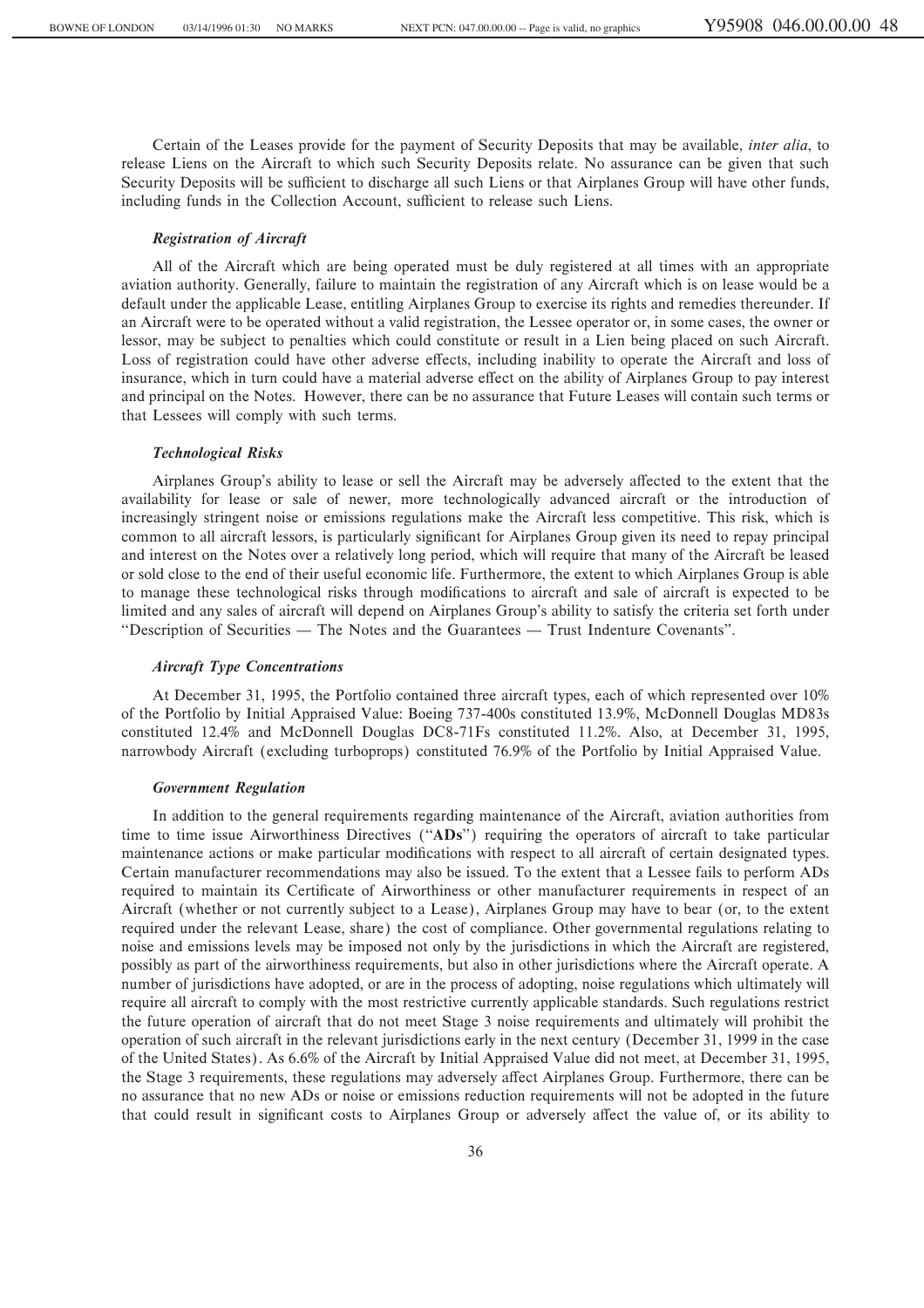Certain of the Leases provide for the payment of Security Deposits that may be available, *inter alia*, to release Liens on the Aircraft to which such Security Deposits relate. No assurance can be given that such Security Deposits will be sufficient to discharge all such Liens or that Airplanes Group will have other funds, including funds in the Collection Account, sufficient to release such Liens.

#### *Registration of Aircraft*

All of the Aircraft which are being operated must be duly registered at all times with an appropriate aviation authority. Generally, failure to maintain the registration of any Aircraft which is on lease would be a default under the applicable Lease, entitling Airplanes Group to exercise its rights and remedies thereunder. If an Aircraft were to be operated without a valid registration, the Lessee operator or, in some cases, the owner or lessor, may be subject to penalties which could constitute or result in a Lien being placed on such Aircraft. Loss of registration could have other adverse effects, including inability to operate the Aircraft and loss of insurance, which in turn could have a material adverse effect on the ability of Airplanes Group to pay interest and principal on the Notes. However, there can be no assurance that Future Leases will contain such terms or that Lessees will comply with such terms.

### *Technological Risks*

Airplanes Group's ability to lease or sell the Aircraft may be adversely affected to the extent that the availability for lease or sale of newer, more technologically advanced aircraft or the introduction of increasingly stringent noise or emissions regulations make the Aircraft less competitive. This risk, which is common to all aircraft lessors, is particularly significant for Airplanes Group given its need to repay principal and interest on the Notes over a relatively long period, which will require that many of the Aircraft be leased or sold close to the end of their useful economic life. Furthermore, the extent to which Airplanes Group is able to manage these technological risks through modifications to aircraft and sale of aircraft is expected to be limited and any sales of aircraft will depend on Airplanes Group's ability to satisfy the criteria set forth under "Description of Securities — The Notes and the Guarantees — Trust Indenture Covenants".

#### *Aircraft Type Concentrations*

At December 31, 1995, the Portfolio contained three aircraft types, each of which represented over 10% of the Portfolio by Initial Appraised Value: Boeing 737-400s constituted 13.9%, McDonnell Douglas MD83s constituted 12.4% and McDonnell Douglas DC8-71Fs constituted 11.2%. Also, at December 31, 1995, narrowbody Aircraft (excluding turboprops) constituted 76.9% of the Portfolio by Initial Appraised Value.

## *Government Regulation*

In addition to the general requirements regarding maintenance of the Aircraft, aviation authorities from time to time issue Airworthiness Directives (""**ADs**'') requiring the operators of aircraft to take particular maintenance actions or make particular modifications with respect to all aircraft of certain designated types. Certain manufacturer recommendations may also be issued. To the extent that a Lessee fails to perform ADs required to maintain its Certificate of Airworthiness or other manufacturer requirements in respect of an Aircraft (whether or not currently subject to a Lease), Airplanes Group may have to bear (or, to the extent required under the relevant Lease, share) the cost of compliance. Other governmental regulations relating to noise and emissions levels may be imposed not only by the jurisdictions in which the Aircraft are registered, possibly as part of the airworthiness requirements, but also in other jurisdictions where the Aircraft operate. A number of jurisdictions have adopted, or are in the process of adopting, noise regulations which ultimately will require all aircraft to comply with the most restrictive currently applicable standards. Such regulations restrict the future operation of aircraft that do not meet Stage 3 noise requirements and ultimately will prohibit the operation of such aircraft in the relevant jurisdictions early in the next century (December 31, 1999 in the case of the United States). As 6.6% of the Aircraft by Initial Appraised Value did not meet, at December 31, 1995, the Stage 3 requirements, these regulations may adversely affect Airplanes Group. Furthermore, there can be no assurance that no new ADs or noise or emissions reduction requirements will not be adopted in the future that could result in significant costs to Airplanes Group or adversely affect the value of, or its ability to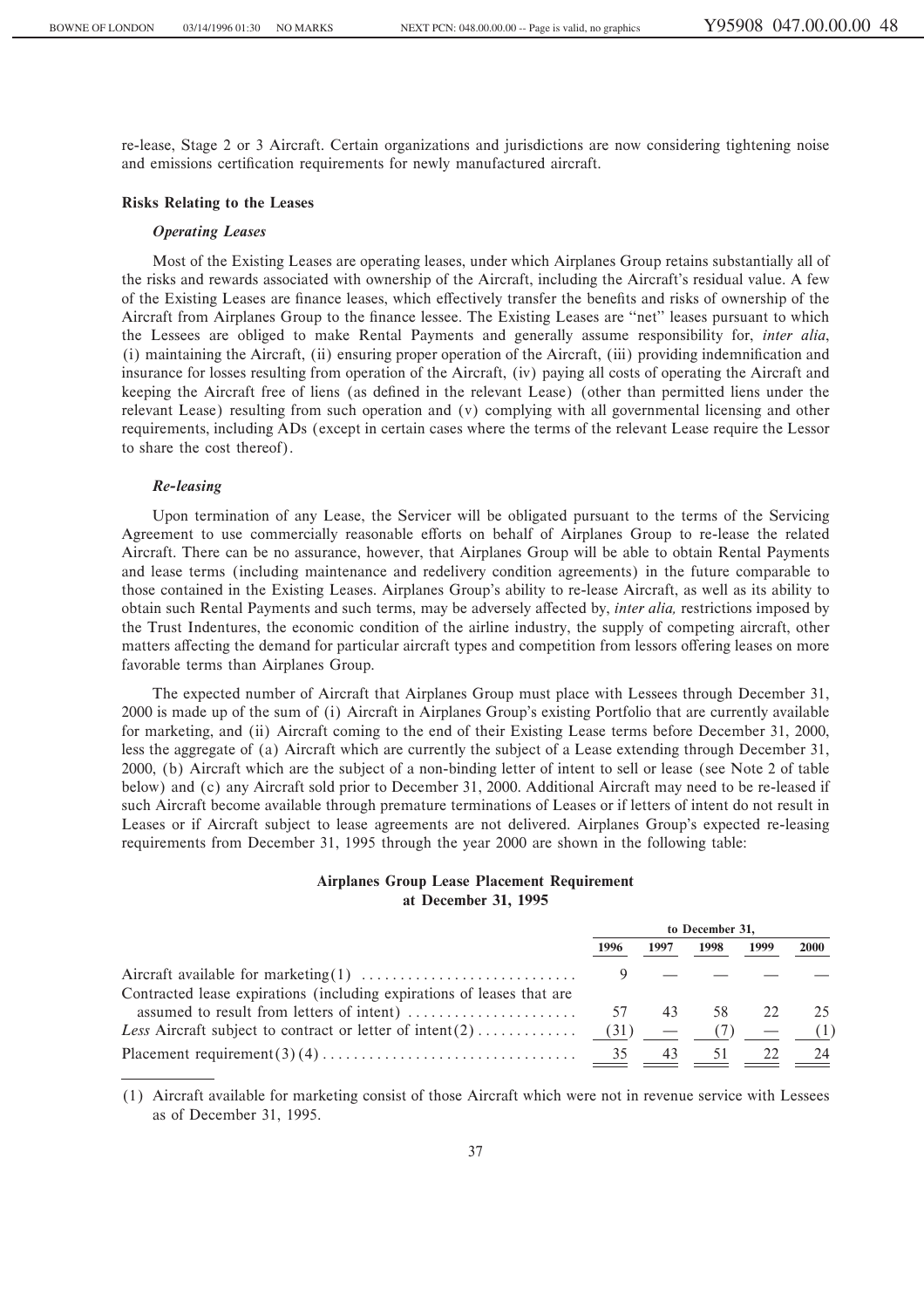re-lease, Stage 2 or 3 Aircraft. Certain organizations and jurisdictions are now considering tightening noise and emissions certification requirements for newly manufactured aircraft.

#### **Risks Relating to the Leases**

## *Operating Leases*

Most of the Existing Leases are operating leases, under which Airplanes Group retains substantially all of the risks and rewards associated with ownership of the Aircraft, including the Aircraft's residual value. A few of the Existing Leases are finance leases, which effectively transfer the benefits and risks of ownership of the Aircraft from Airplanes Group to the finance lessee. The Existing Leases are "net" leases pursuant to which the Lessees are obliged to make Rental Payments and generally assume responsibility for, *inter alia*, (i) maintaining the Aircraft, (ii) ensuring proper operation of the Aircraft, (iii) providing indemnification and insurance for losses resulting from operation of the Aircraft, (iv) paying all costs of operating the Aircraft and keeping the Aircraft free of liens (as defined in the relevant Lease) (other than permitted liens under the relevant Lease) resulting from such operation and (v) complying with all governmental licensing and other requirements, including ADs (except in certain cases where the terms of the relevant Lease require the Lessor to share the cost thereof).

#### *Re-leasing*

Upon termination of any Lease, the Servicer will be obligated pursuant to the terms of the Servicing Agreement to use commercially reasonable efforts on behalf of Airplanes Group to re-lease the related Aircraft. There can be no assurance, however, that Airplanes Group will be able to obtain Rental Payments and lease terms (including maintenance and redelivery condition agreements) in the future comparable to those contained in the Existing Leases. Airplanes Group's ability to re-lease Aircraft, as well as its ability to obtain such Rental Payments and such terms, may be adversely affected by, *inter alia*, restrictions imposed by the Trust Indentures, the economic condition of the airline industry, the supply of competing aircraft, other matters affecting the demand for particular aircraft types and competition from lessors offering leases on more favorable terms than Airplanes Group.

The expected number of Aircraft that Airplanes Group must place with Lessees through December 31, 2000 is made up of the sum of (i) Aircraft in Airplanes Group's existing Portfolio that are currently available for marketing, and (ii) Aircraft coming to the end of their Existing Lease terms before December 31, 2000, less the aggregate of (a) Aircraft which are currently the subject of a Lease extending through December 31, 2000, (b) Aircraft which are the subject of a non-binding letter of intent to sell or lease (see Note 2 of table below) and (c) any Aircraft sold prior to December 31, 2000. Additional Aircraft may need to be re-leased if such Aircraft become available through premature terminations of Leases or if letters of intent do not result in Leases or if Aircraft subject to lease agreements are not delivered. Airplanes Group's expected re-leasing requirements from December 31, 1995 through the year 2000 are shown in the following table:

# **Airplanes Group Lease Placement Requirement at December 31, 1995**

|                                                                        | to December 31, |      |           |      |             |
|------------------------------------------------------------------------|-----------------|------|-----------|------|-------------|
|                                                                        | 1996            | 1997 | 1998      | 1999 | <b>2000</b> |
|                                                                        |                 |      |           |      |             |
| Contracted lease expirations (including expirations of leases that are |                 |      |           |      |             |
|                                                                        | 57              | 43   | 58        |      |             |
|                                                                        |                 |      |           |      | (1)         |
|                                                                        | 35              | 43   | $\supset$ |      |             |

(1) Aircraft available for marketing consist of those Aircraft which were not in revenue service with Lessees as of December 31, 1995.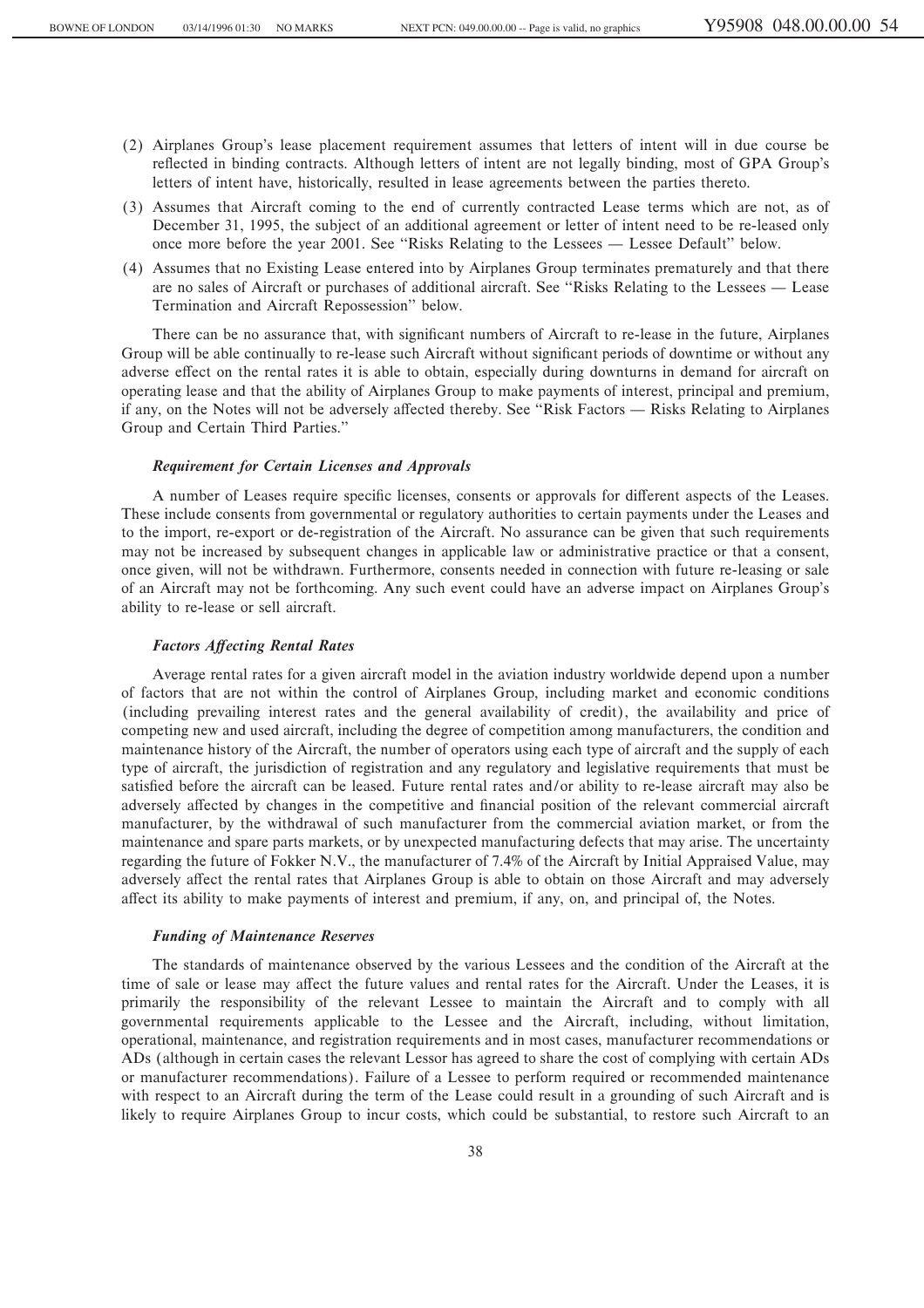- (2) Airplanes Group's lease placement requirement assumes that letters of intent will in due course be reflected in binding contracts. Although letters of intent are not legally binding, most of GPA Group's letters of intent have, historically, resulted in lease agreements between the parties thereto.
- (3) Assumes that Aircraft coming to the end of currently contracted Lease terms which are not, as of December 31, 1995, the subject of an additional agreement or letter of intent need to be re-leased only once more before the year 2001. See "Risks Relating to the Lessees — Lessee Default" below.
- (4) Assumes that no Existing Lease entered into by Airplanes Group terminates prematurely and that there are no sales of Aircraft or purchases of additional aircraft. See "Risks Relating to the Lessees — Lease Termination and Aircraft Repossession'' below.

There can be no assurance that, with significant numbers of Aircraft to re-lease in the future, Airplanes Group will be able continually to re-lease such Aircraft without significant periods of downtime or without any adverse effect on the rental rates it is able to obtain, especially during downturns in demand for aircraft on operating lease and that the ability of Airplanes Group to make payments of interest, principal and premium, if any, on the Notes will not be adversely affected thereby. See "Risk Factors — Risks Relating to Airplanes Group and Certain Third Parties.''

## *Requirement for Certain Licenses and Approvals*

A number of Leases require specific licenses, consents or approvals for different aspects of the Leases. These include consents from governmental or regulatory authorities to certain payments under the Leases and to the import, re-export or de-registration of the Aircraft. No assurance can be given that such requirements may not be increased by subsequent changes in applicable law or administrative practice or that a consent, once given, will not be withdrawn. Furthermore, consents needed in connection with future re-leasing or sale of an Aircraft may not be forthcoming. Any such event could have an adverse impact on Airplanes Group's ability to re-lease or sell aircraft.

### *Factors AÅecting Rental Rates*

Average rental rates for a given aircraft model in the aviation industry worldwide depend upon a number of factors that are not within the control of Airplanes Group, including market and economic conditions (including prevailing interest rates and the general availability of credit), the availability and price of competing new and used aircraft, including the degree of competition among manufacturers, the condition and maintenance history of the Aircraft, the number of operators using each type of aircraft and the supply of each type of aircraft, the jurisdiction of registration and any regulatory and legislative requirements that must be satisfied before the aircraft can be leased. Future rental rates and/or ability to re-lease aircraft may also be adversely affected by changes in the competitive and financial position of the relevant commercial aircraft manufacturer, by the withdrawal of such manufacturer from the commercial aviation market, or from the maintenance and spare parts markets, or by unexpected manufacturing defects that may arise. The uncertainty regarding the future of Fokker N.V., the manufacturer of 7.4% of the Aircraft by Initial Appraised Value, may adversely affect the rental rates that Airplanes Group is able to obtain on those Aircraft and may adversely affect its ability to make payments of interest and premium, if any, on, and principal of, the Notes.

#### *Funding of Maintenance Reserves*

The standards of maintenance observed by the various Lessees and the condition of the Aircraft at the time of sale or lease may affect the future values and rental rates for the Aircraft. Under the Leases, it is primarily the responsibility of the relevant Lessee to maintain the Aircraft and to comply with all governmental requirements applicable to the Lessee and the Aircraft, including, without limitation, operational, maintenance, and registration requirements and in most cases, manufacturer recommendations or ADs (although in certain cases the relevant Lessor has agreed to share the cost of complying with certain ADs or manufacturer recommendations). Failure of a Lessee to perform required or recommended maintenance with respect to an Aircraft during the term of the Lease could result in a grounding of such Aircraft and is likely to require Airplanes Group to incur costs, which could be substantial, to restore such Aircraft to an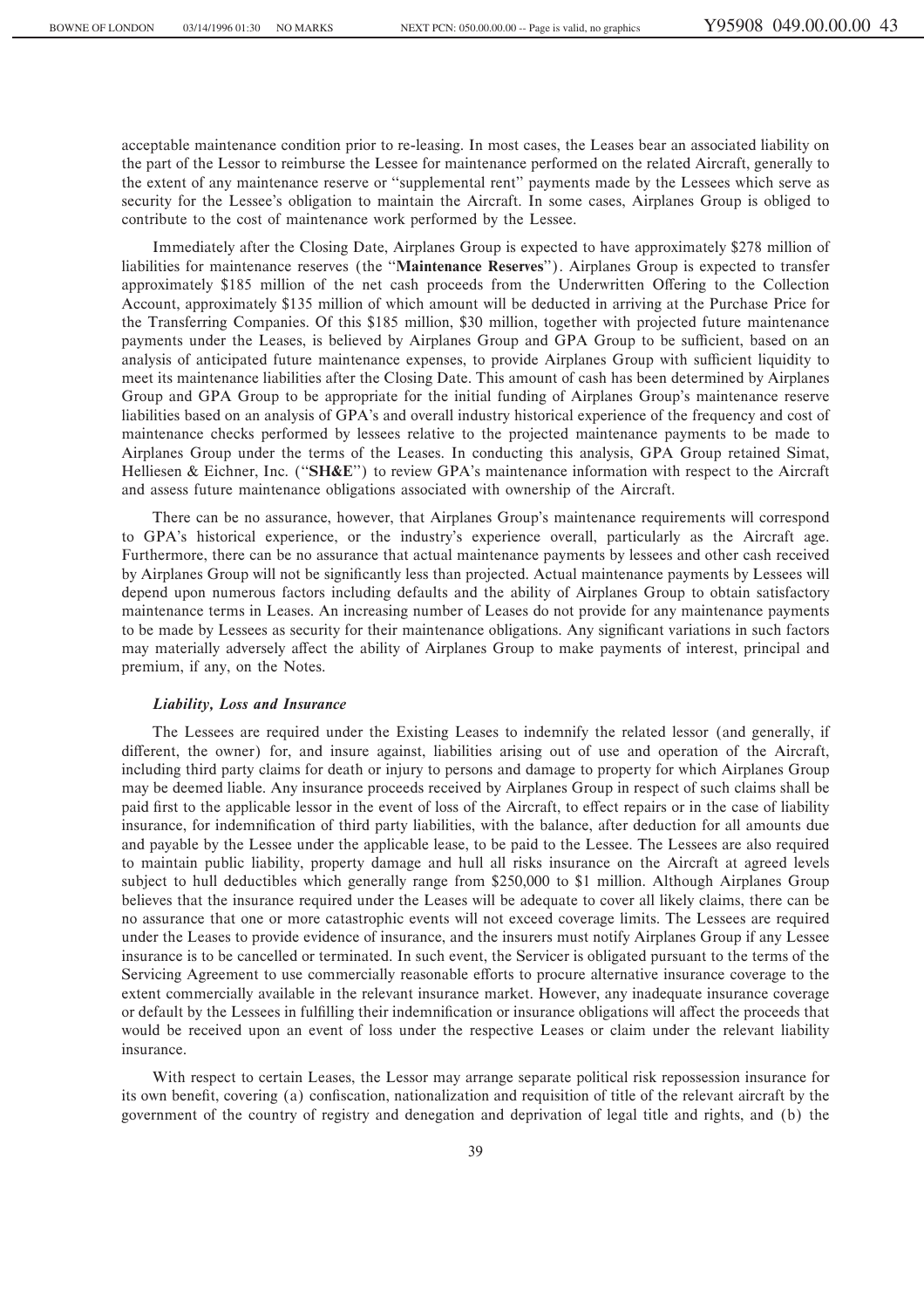acceptable maintenance condition prior to re-leasing. In most cases, the Leases bear an associated liability on the part of the Lessor to reimburse the Lessee for maintenance performed on the related Aircraft, generally to the extent of any maintenance reserve or "supplemental rent" payments made by the Lessees which serve as security for the Lessee's obligation to maintain the Aircraft. In some cases, Airplanes Group is obliged to contribute to the cost of maintenance work performed by the Lessee.

Immediately after the Closing Date, Airplanes Group is expected to have approximately \$278 million of liabilities for maintenance reserves (the ""**Maintenance Reserves**''). Airplanes Group is expected to transfer approximately \$185 million of the net cash proceeds from the Underwritten Offering to the Collection Account, approximately \$135 million of which amount will be deducted in arriving at the Purchase Price for the Transferring Companies. Of this \$185 million, \$30 million, together with projected future maintenance payments under the Leases, is believed by Airplanes Group and GPA Group to be sufficient, based on an analysis of anticipated future maintenance expenses, to provide Airplanes Group with sufficient liquidity to meet its maintenance liabilities after the Closing Date. This amount of cash has been determined by Airplanes Group and GPA Group to be appropriate for the initial funding of Airplanes Group's maintenance reserve liabilities based on an analysis of GPA's and overall industry historical experience of the frequency and cost of maintenance checks performed by lessees relative to the projected maintenance payments to be made to Airplanes Group under the terms of the Leases. In conducting this analysis, GPA Group retained Simat, Helliesen & Eichner, Inc. (""**SH&E**'') to review GPA's maintenance information with respect to the Aircraft and assess future maintenance obligations associated with ownership of the Aircraft.

There can be no assurance, however, that Airplanes Group's maintenance requirements will correspond to GPA's historical experience, or the industry's experience overall, particularly as the Aircraft age. Furthermore, there can be no assurance that actual maintenance payments by lessees and other cash received by Airplanes Group will not be significantly less than projected. Actual maintenance payments by Lessees will depend upon numerous factors including defaults and the ability of Airplanes Group to obtain satisfactory maintenance terms in Leases. An increasing number of Leases do not provide for any maintenance payments to be made by Lessees as security for their maintenance obligations. Any significant variations in such factors may materially adversely affect the ability of Airplanes Group to make payments of interest, principal and premium, if any, on the Notes.

#### *Liability, Loss and Insurance*

The Lessees are required under the Existing Leases to indemnify the related lessor (and generally, if different, the owner) for, and insure against, liabilities arising out of use and operation of the Aircraft, including third party claims for death or injury to persons and damage to property for which Airplanes Group may be deemed liable. Any insurance proceeds received by Airplanes Group in respect of such claims shall be paid first to the applicable lessor in the event of loss of the Aircraft, to effect repairs or in the case of liability insurance, for indemnification of third party liabilities, with the balance, after deduction for all amounts due and payable by the Lessee under the applicable lease, to be paid to the Lessee. The Lessees are also required to maintain public liability, property damage and hull all risks insurance on the Aircraft at agreed levels subject to hull deductibles which generally range from \$250,000 to \$1 million. Although Airplanes Group believes that the insurance required under the Leases will be adequate to cover all likely claims, there can be no assurance that one or more catastrophic events will not exceed coverage limits. The Lessees are required under the Leases to provide evidence of insurance, and the insurers must notify Airplanes Group if any Lessee insurance is to be cancelled or terminated. In such event, the Servicer is obligated pursuant to the terms of the Servicing Agreement to use commercially reasonable efforts to procure alternative insurance coverage to the extent commercially available in the relevant insurance market. However, any inadequate insurance coverage or default by the Lessees in fulfilling their indemnification or insurance obligations will affect the proceeds that would be received upon an event of loss under the respective Leases or claim under the relevant liability insurance.

With respect to certain Leases, the Lessor may arrange separate political risk repossession insurance for its own benefit, covering (a) confiscation, nationalization and requisition of title of the relevant aircraft by the government of the country of registry and denegation and deprivation of legal title and rights, and (b) the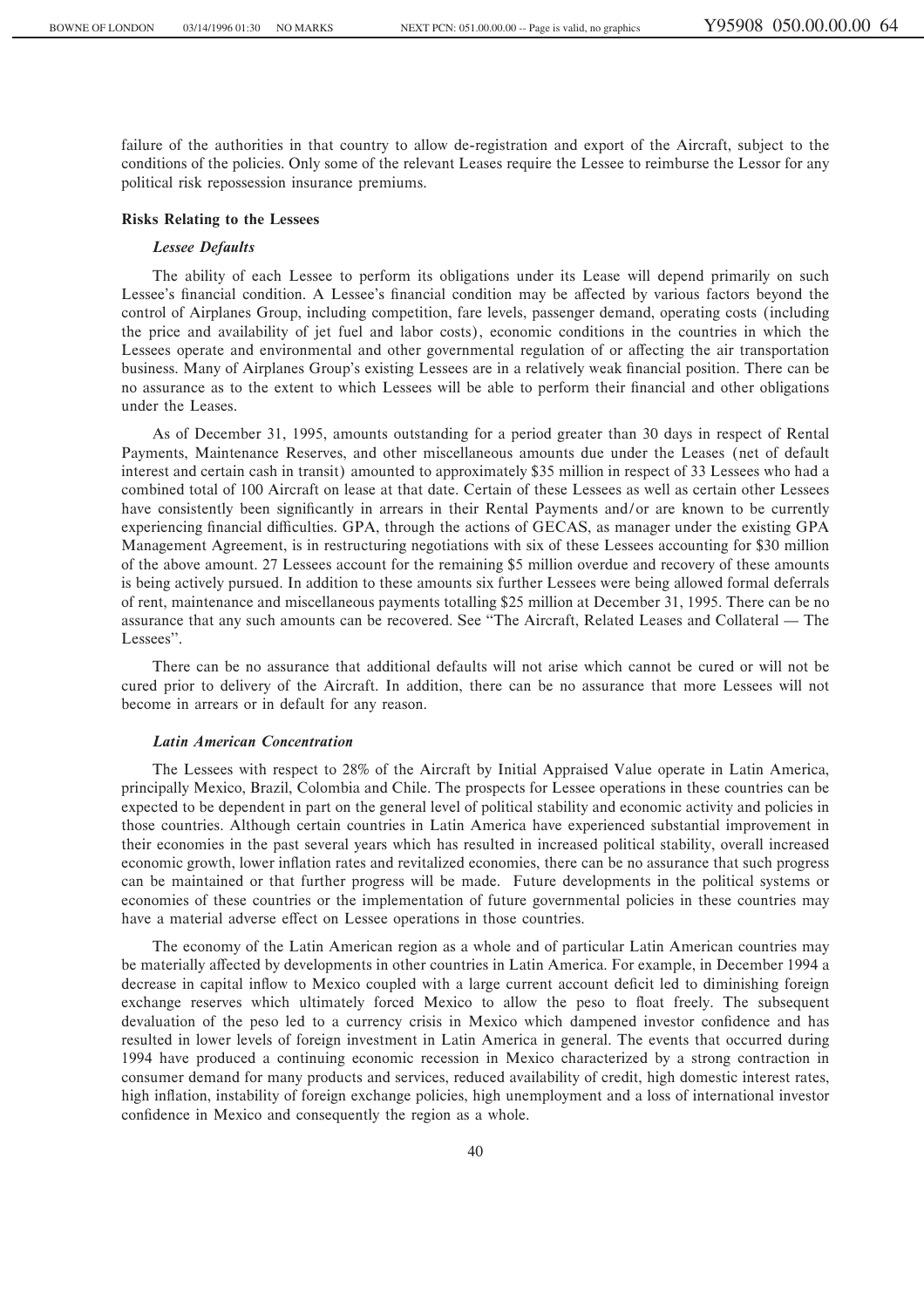failure of the authorities in that country to allow de-registration and export of the Aircraft, subject to the conditions of the policies. Only some of the relevant Leases require the Lessee to reimburse the Lessor for any political risk repossession insurance premiums.

#### **Risks Relating to the Lessees**

## *Lessee Defaults*

The ability of each Lessee to perform its obligations under its Lease will depend primarily on such Lessee's financial condition. A Lessee's financial condition may be affected by various factors beyond the control of Airplanes Group, including competition, fare levels, passenger demand, operating costs (including the price and availability of jet fuel and labor costs), economic conditions in the countries in which the Lessees operate and environmental and other governmental regulation of or affecting the air transportation business. Many of Airplanes Group's existing Lessees are in a relatively weak financial position. There can be no assurance as to the extent to which Lessees will be able to perform their financial and other obligations under the Leases.

As of December 31, 1995, amounts outstanding for a period greater than 30 days in respect of Rental Payments, Maintenance Reserves, and other miscellaneous amounts due under the Leases (net of default interest and certain cash in transit) amounted to approximately \$35 million in respect of 33 Lessees who had a combined total of 100 Aircraft on lease at that date. Certain of these Lessees as well as certain other Lessees have consistently been significantly in arrears in their Rental Payments and/or are known to be currently experiencing financial difficulties. GPA, through the actions of GECAS, as manager under the existing GPA Management Agreement, is in restructuring negotiations with six of these Lessees accounting for \$30 million of the above amount. 27 Lessees account for the remaining \$5 million overdue and recovery of these amounts is being actively pursued. In addition to these amounts six further Lessees were being allowed formal deferrals of rent, maintenance and miscellaneous payments totalling \$25 million at December 31, 1995. There can be no assurance that any such amounts can be recovered. See "The Aircraft, Related Leases and Collateral — The Lessees''.

There can be no assurance that additional defaults will not arise which cannot be cured or will not be cured prior to delivery of the Aircraft. In addition, there can be no assurance that more Lessees will not become in arrears or in default for any reason.

### *Latin American Concentration*

The Lessees with respect to 28% of the Aircraft by Initial Appraised Value operate in Latin America, principally Mexico, Brazil, Colombia and Chile. The prospects for Lessee operations in these countries can be expected to be dependent in part on the general level of political stability and economic activity and policies in those countries. Although certain countries in Latin America have experienced substantial improvement in their economies in the past several years which has resulted in increased political stability, overall increased economic growth, lower inflation rates and revitalized economies, there can be no assurance that such progress can be maintained or that further progress will be made. Future developments in the political systems or economies of these countries or the implementation of future governmental policies in these countries may have a material adverse effect on Lessee operations in those countries.

The economy of the Latin American region as a whole and of particular Latin American countries may be materially affected by developments in other countries in Latin America. For example, in December 1994 a decrease in capital inflow to Mexico coupled with a large current account deficit led to diminishing foreign exchange reserves which ultimately forced Mexico to allow the peso to float freely. The subsequent devaluation of the peso led to a currency crisis in Mexico which dampened investor confidence and has resulted in lower levels of foreign investment in Latin America in general. The events that occurred during 1994 have produced a continuing economic recession in Mexico characterized by a strong contraction in consumer demand for many products and services, reduced availability of credit, high domestic interest rates, high inflation, instability of foreign exchange policies, high unemployment and a loss of international investor confidence in Mexico and consequently the region as a whole.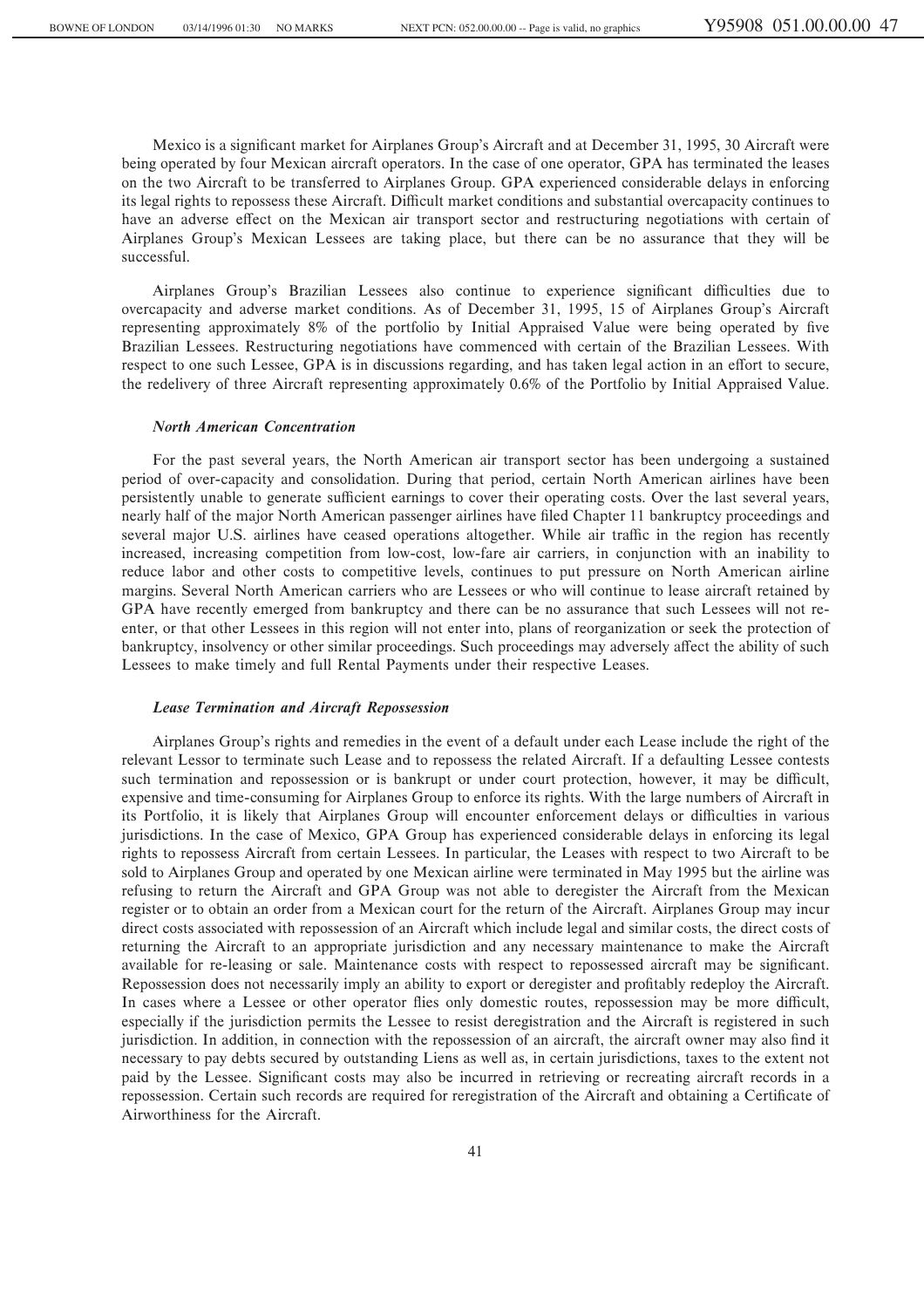Mexico is a significant market for Airplanes Group's Aircraft and at December 31, 1995, 30 Aircraft were being operated by four Mexican aircraft operators. In the case of one operator, GPA has terminated the leases on the two Aircraft to be transferred to Airplanes Group. GPA experienced considerable delays in enforcing its legal rights to repossess these Aircraft. Difficult market conditions and substantial overcapacity continues to have an adverse effect on the Mexican air transport sector and restructuring negotiations with certain of Airplanes Group's Mexican Lessees are taking place, but there can be no assurance that they will be successful.

Airplanes Group's Brazilian Lessees also continue to experience significant difficulties due to overcapacity and adverse market conditions. As of December 31, 1995, 15 of Airplanes Group's Aircraft representing approximately 8% of the portfolio by Initial Appraised Value were being operated by five Brazilian Lessees. Restructuring negotiations have commenced with certain of the Brazilian Lessees. With respect to one such Lessee, GPA is in discussions regarding, and has taken legal action in an effort to secure, the redelivery of three Aircraft representing approximately 0.6% of the Portfolio by Initial Appraised Value.

### *North American Concentration*

For the past several years, the North American air transport sector has been undergoing a sustained period of over-capacity and consolidation. During that period, certain North American airlines have been persistently unable to generate sufficient earnings to cover their operating costs. Over the last several years, nearly half of the major North American passenger airlines have filed Chapter 11 bankruptcy proceedings and several major U.S. airlines have ceased operations altogether. While air traffic in the region has recently increased, increasing competition from low-cost, low-fare air carriers, in conjunction with an inability to reduce labor and other costs to competitive levels, continues to put pressure on North American airline margins. Several North American carriers who are Lessees or who will continue to lease aircraft retained by GPA have recently emerged from bankruptcy and there can be no assurance that such Lessees will not reenter, or that other Lessees in this region will not enter into, plans of reorganization or seek the protection of bankruptcy, insolvency or other similar proceedings. Such proceedings may adversely affect the ability of such Lessees to make timely and full Rental Payments under their respective Leases.

### *Lease Termination and Aircraft Repossession*

Airplanes Group's rights and remedies in the event of a default under each Lease include the right of the relevant Lessor to terminate such Lease and to repossess the related Aircraft. If a defaulting Lessee contests such termination and repossession or is bankrupt or under court protection, however, it may be difficult, expensive and time-consuming for Airplanes Group to enforce its rights. With the large numbers of Aircraft in its Portfolio, it is likely that Airplanes Group will encounter enforcement delays or difficulties in various jurisdictions. In the case of Mexico, GPA Group has experienced considerable delays in enforcing its legal rights to repossess Aircraft from certain Lessees. In particular, the Leases with respect to two Aircraft to be sold to Airplanes Group and operated by one Mexican airline were terminated in May 1995 but the airline was refusing to return the Aircraft and GPA Group was not able to deregister the Aircraft from the Mexican register or to obtain an order from a Mexican court for the return of the Aircraft. Airplanes Group may incur direct costs associated with repossession of an Aircraft which include legal and similar costs, the direct costs of returning the Aircraft to an appropriate jurisdiction and any necessary maintenance to make the Aircraft available for re-leasing or sale. Maintenance costs with respect to repossessed aircraft may be significant. Repossession does not necessarily imply an ability to export or deregister and profitably redeploy the Aircraft. In cases where a Lessee or other operator flies only domestic routes, repossession may be more difficult, especially if the jurisdiction permits the Lessee to resist deregistration and the Aircraft is registered in such jurisdiction. In addition, in connection with the repossession of an aircraft, the aircraft owner may also find it necessary to pay debts secured by outstanding Liens as well as, in certain jurisdictions, taxes to the extent not paid by the Lessee. Significant costs may also be incurred in retrieving or recreating aircraft records in a repossession. Certain such records are required for reregistration of the Aircraft and obtaining a Certificate of Airworthiness for the Aircraft.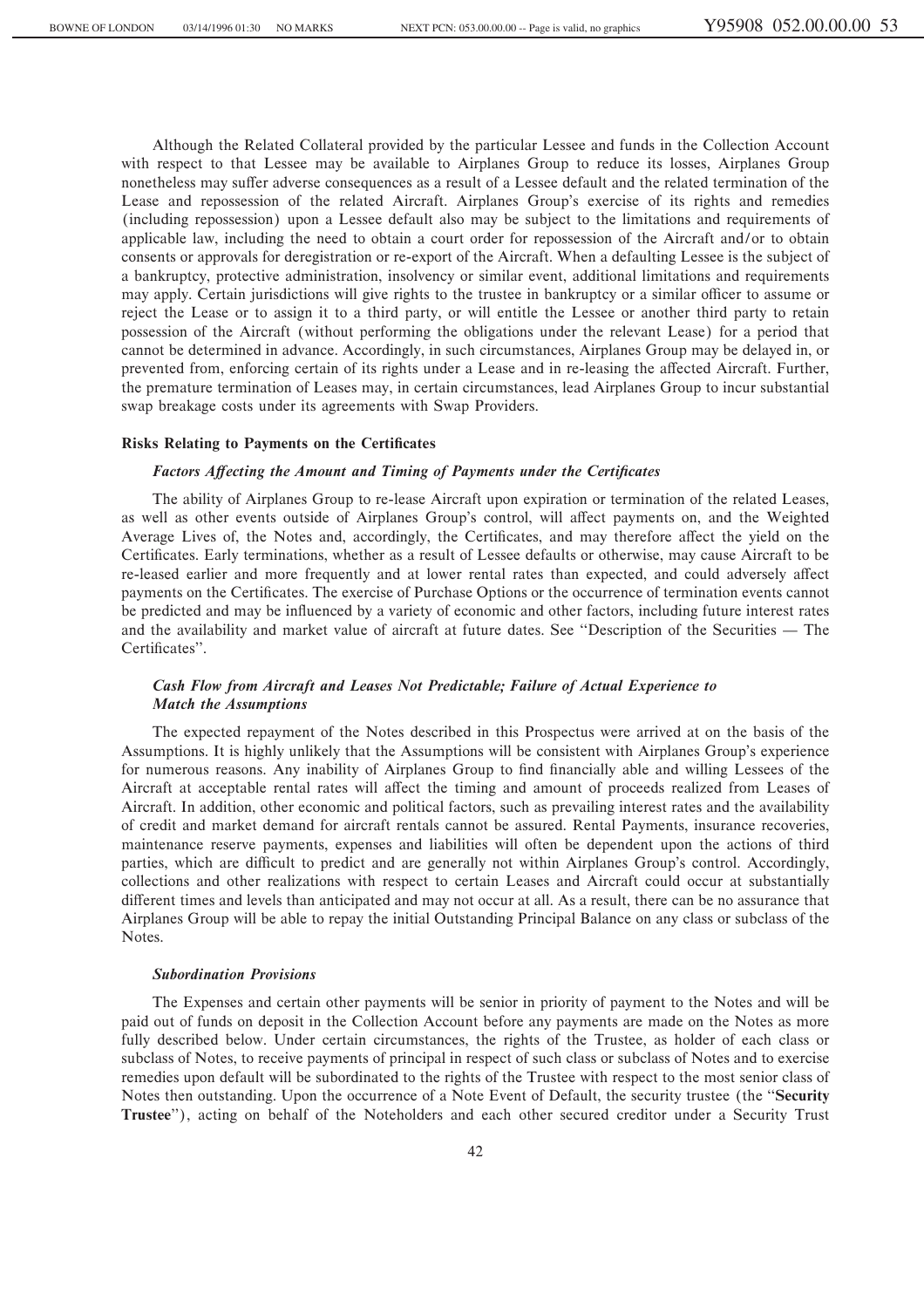Although the Related Collateral provided by the particular Lessee and funds in the Collection Account with respect to that Lessee may be available to Airplanes Group to reduce its losses, Airplanes Group nonetheless may suffer adverse consequences as a result of a Lessee default and the related termination of the Lease and repossession of the related Aircraft. Airplanes Group's exercise of its rights and remedies (including repossession) upon a Lessee default also may be subject to the limitations and requirements of applicable law, including the need to obtain a court order for repossession of the Aircraft and/or to obtain consents or approvals for deregistration or re-export of the Aircraft. When a defaulting Lessee is the subject of a bankruptcy, protective administration, insolvency or similar event, additional limitations and requirements may apply. Certain jurisdictions will give rights to the trustee in bankruptcy or a similar officer to assume or reject the Lease or to assign it to a third party, or will entitle the Lessee or another third party to retain possession of the Aircraft (without performing the obligations under the relevant Lease) for a period that cannot be determined in advance. Accordingly, in such circumstances, Airplanes Group may be delayed in, or prevented from, enforcing certain of its rights under a Lease and in re-leasing the affected Aircraft. Further, the premature termination of Leases may, in certain circumstances, lead Airplanes Group to incur substantial swap breakage costs under its agreements with Swap Providers.

#### **Risks Relating to Payments on the Certificates**

### Factors Affecting the Amount and Timing of Payments under the Certificates

The ability of Airplanes Group to re-lease Aircraft upon expiration or termination of the related Leases, as well as other events outside of Airplanes Group's control, will affect payments on, and the Weighted Average Lives of, the Notes and, accordingly, the Certificates, and may therefore affect the yield on the Certificates. Early terminations, whether as a result of Lessee defaults or otherwise, may cause Aircraft to be re-leased earlier and more frequently and at lower rental rates than expected, and could adversely affect payments on the Certificates. The exercise of Purchase Options or the occurrence of termination events cannot be predicted and may be influenced by a variety of economic and other factors, including future interest rates and the availability and market value of aircraft at future dates. See "Description of the Securities — The Certificates".

# *Cash Flow from Aircraft and Leases Not Predictable; Failure of Actual Experience to Match the Assumptions*

The expected repayment of the Notes described in this Prospectus were arrived at on the basis of the Assumptions. It is highly unlikely that the Assumptions will be consistent with Airplanes Group's experience for numerous reasons. Any inability of Airplanes Group to find financially able and willing Lessees of the Aircraft at acceptable rental rates will affect the timing and amount of proceeds realized from Leases of Aircraft. In addition, other economic and political factors, such as prevailing interest rates and the availability of credit and market demand for aircraft rentals cannot be assured. Rental Payments, insurance recoveries, maintenance reserve payments, expenses and liabilities will often be dependent upon the actions of third parties, which are difficult to predict and are generally not within Airplanes Group's control. Accordingly, collections and other realizations with respect to certain Leases and Aircraft could occur at substantially different times and levels than anticipated and may not occur at all. As a result, there can be no assurance that Airplanes Group will be able to repay the initial Outstanding Principal Balance on any class or subclass of the Notes.

#### *Subordination Provisions*

The Expenses and certain other payments will be senior in priority of payment to the Notes and will be paid out of funds on deposit in the Collection Account before any payments are made on the Notes as more fully described below. Under certain circumstances, the rights of the Trustee, as holder of each class or subclass of Notes, to receive payments of principal in respect of such class or subclass of Notes and to exercise remedies upon default will be subordinated to the rights of the Trustee with respect to the most senior class of Notes then outstanding. Upon the occurrence of a Note Event of Default, the security trustee (the ""**Security Trustee**''), acting on behalf of the Noteholders and each other secured creditor under a Security Trust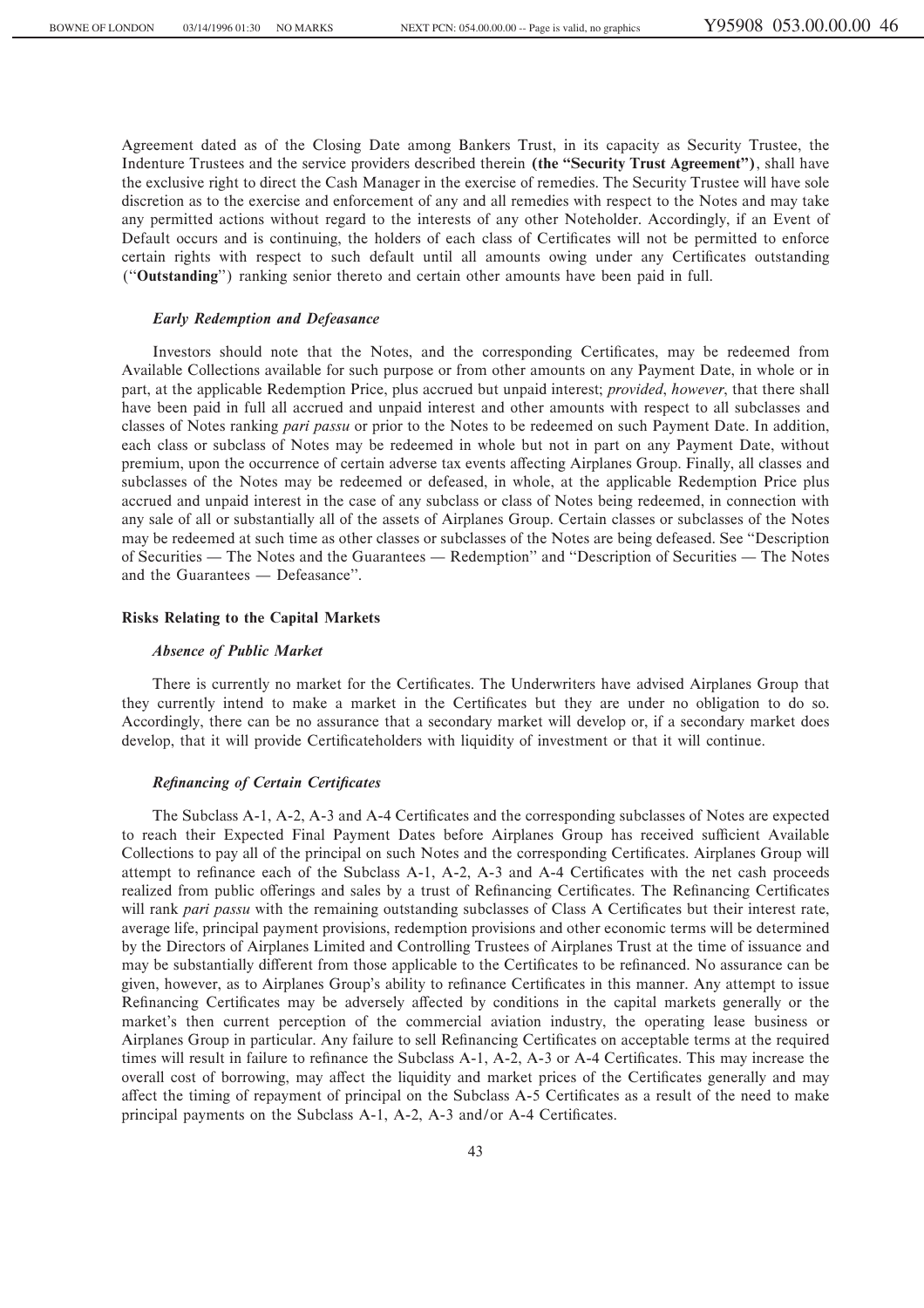Agreement dated as of the Closing Date among Bankers Trust, in its capacity as Security Trustee, the Indenture Trustees and the service providers described therein **(the ""Security Trust Agreement'')**, shall have the exclusive right to direct the Cash Manager in the exercise of remedies. The Security Trustee will have sole discretion as to the exercise and enforcement of any and all remedies with respect to the Notes and may take any permitted actions without regard to the interests of any other Noteholder. Accordingly, if an Event of Default occurs and is continuing, the holders of each class of Certificates will not be permitted to enforce certain rights with respect to such default until all amounts owing under any Certificates outstanding (""**Outstanding**'') ranking senior thereto and certain other amounts have been paid in full.

## *Early Redemption and Defeasance*

Investors should note that the Notes, and the corresponding Certificates, may be redeemed from Available Collections available for such purpose or from other amounts on any Payment Date, in whole or in part, at the applicable Redemption Price, plus accrued but unpaid interest; *provided*, *however*, that there shall have been paid in full all accrued and unpaid interest and other amounts with respect to all subclasses and classes of Notes ranking *pari passu* or prior to the Notes to be redeemed on such Payment Date. In addition, each class or subclass of Notes may be redeemed in whole but not in part on any Payment Date, without premium, upon the occurrence of certain adverse tax events affecting Airplanes Group. Finally, all classes and subclasses of the Notes may be redeemed or defeased, in whole, at the applicable Redemption Price plus accrued and unpaid interest in the case of any subclass or class of Notes being redeemed, in connection with any sale of all or substantially all of the assets of Airplanes Group. Certain classes or subclasses of the Notes may be redeemed at such time as other classes or subclasses of the Notes are being defeased. See "Description of Securities — The Notes and the Guarantees — Redemption'' and "Description of Securities — The Notes and the Guarantees — Defeasance".

## **Risks Relating to the Capital Markets**

### *Absence of Public Market*

There is currently no market for the Certificates. The Underwriters have advised Airplanes Group that they currently intend to make a market in the Certificates but they are under no obligation to do so. Accordingly, there can be no assurance that a secondary market will develop or, if a secondary market does develop, that it will provide Certificateholders with liquidity of investment or that it will continue.

#### **Refinancing of Certain Certificates**

The Subclass A-1, A-2, A-3 and A-4 Certificates and the corresponding subclasses of Notes are expected to reach their Expected Final Payment Dates before Airplanes Group has received sufficient Available Collections to pay all of the principal on such Notes and the corresponding Certificates. Airplanes Group will attempt to refinance each of the Subclass A-1, A-2, A-3 and A-4 Certificates with the net cash proceeds realized from public offerings and sales by a trust of Refinancing Certificates. The Refinancing Certificates will rank *pari passu* with the remaining outstanding subclasses of Class A Certificates but their interest rate, average life, principal payment provisions, redemption provisions and other economic terms will be determined by the Directors of Airplanes Limited and Controlling Trustees of Airplanes Trust at the time of issuance and may be substantially different from those applicable to the Certificates to be refinanced. No assurance can be given, however, as to Airplanes Group's ability to refinance Certificates in this manner. Any attempt to issue Refinancing Certificates may be adversely affected by conditions in the capital markets generally or the market's then current perception of the commercial aviation industry, the operating lease business or Airplanes Group in particular. Any failure to sell Refinancing Certificates on acceptable terms at the required times will result in failure to refinance the Subclass A-1, A-2, A-3 or A-4 Certificates. This may increase the overall cost of borrowing, may affect the liquidity and market prices of the Certificates generally and may affect the timing of repayment of principal on the Subclass A-5 Certificates as a result of the need to make principal payments on the Subclass A-1, A-2, A-3 and/or A-4 Certificates.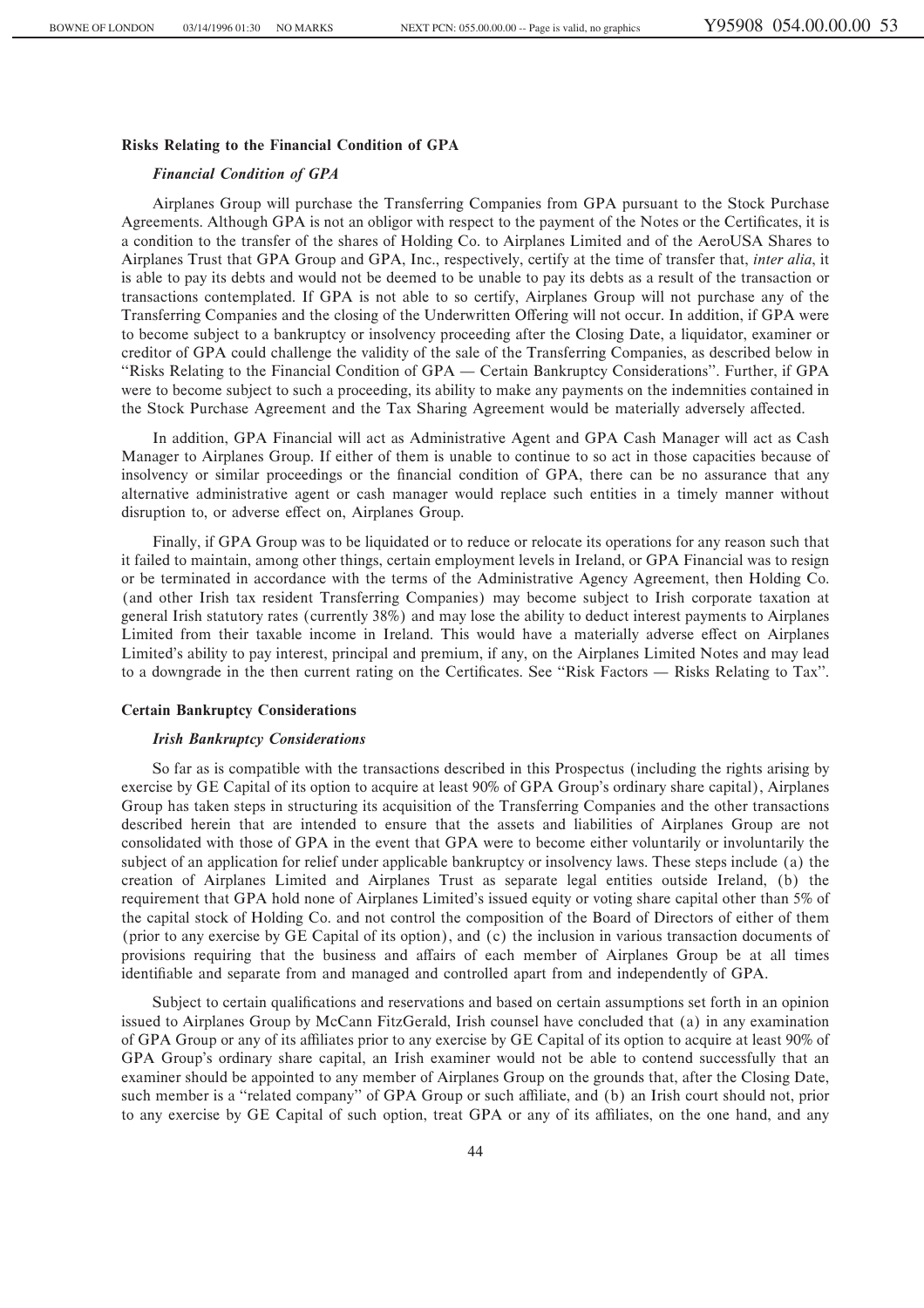## **Risks Relating to the Financial Condition of GPA**

#### *Financial Condition of GPA*

Airplanes Group will purchase the Transferring Companies from GPA pursuant to the Stock Purchase Agreements. Although GPA is not an obligor with respect to the payment of the Notes or the Certificates, it is a condition to the transfer of the shares of Holding Co. to Airplanes Limited and of the AeroUSA Shares to Airplanes Trust that GPA Group and GPA, Inc., respectively, certify at the time of transfer that, *inter alia*, it is able to pay its debts and would not be deemed to be unable to pay its debts as a result of the transaction or transactions contemplated. If GPA is not able to so certify, Airplanes Group will not purchase any of the Transferring Companies and the closing of the Underwritten Offering will not occur. In addition, if GPA were to become subject to a bankruptcy or insolvency proceeding after the Closing Date, a liquidator, examiner or creditor of GPA could challenge the validity of the sale of the Transferring Companies, as described below in "Risks Relating to the Financial Condition of GPA — Certain Bankruptcy Considerations". Further, if GPA were to become subject to such a proceeding, its ability to make any payments on the indemnities contained in the Stock Purchase Agreement and the Tax Sharing Agreement would be materially adversely affected.

In addition, GPA Financial will act as Administrative Agent and GPA Cash Manager will act as Cash Manager to Airplanes Group. If either of them is unable to continue to so act in those capacities because of insolvency or similar proceedings or the financial condition of GPA, there can be no assurance that any alternative administrative agent or cash manager would replace such entities in a timely manner without disruption to, or adverse effect on, Airplanes Group.

Finally, if GPA Group was to be liquidated or to reduce or relocate its operations for any reason such that it failed to maintain, among other things, certain employment levels in Ireland, or GPA Financial was to resign or be terminated in accordance with the terms of the Administrative Agency Agreement, then Holding Co. (and other Irish tax resident Transferring Companies) may become subject to Irish corporate taxation at general Irish statutory rates (currently 38%) and may lose the ability to deduct interest payments to Airplanes Limited from their taxable income in Ireland. This would have a materially adverse effect on Airplanes Limited's ability to pay interest, principal and premium, if any, on the Airplanes Limited Notes and may lead to a downgrade in the then current rating on the Certificates. See "Risk Factors — Risks Relating to Tax".

### **Certain Bankruptcy Considerations**

#### *Irish Bankruptcy Considerations*

So far as is compatible with the transactions described in this Prospectus (including the rights arising by exercise by GE Capital of its option to acquire at least 90% of GPA Group's ordinary share capital), Airplanes Group has taken steps in structuring its acquisition of the Transferring Companies and the other transactions described herein that are intended to ensure that the assets and liabilities of Airplanes Group are not consolidated with those of GPA in the event that GPA were to become either voluntarily or involuntarily the subject of an application for relief under applicable bankruptcy or insolvency laws. These steps include (a) the creation of Airplanes Limited and Airplanes Trust as separate legal entities outside Ireland, (b) the requirement that GPA hold none of Airplanes Limited's issued equity or voting share capital other than 5% of the capital stock of Holding Co. and not control the composition of the Board of Directors of either of them (prior to any exercise by GE Capital of its option), and (c) the inclusion in various transaction documents of provisions requiring that the business and affairs of each member of Airplanes Group be at all times identifiable and separate from and managed and controlled apart from and independently of GPA.

Subject to certain qualifications and reservations and based on certain assumptions set forth in an opinion issued to Airplanes Group by McCann FitzGerald, Irish counsel have concluded that (a) in any examination of GPA Group or any of its affiliates prior to any exercise by GE Capital of its option to acquire at least 90% of GPA Group's ordinary share capital, an Irish examiner would not be able to contend successfully that an examiner should be appointed to any member of Airplanes Group on the grounds that, after the Closing Date, such member is a "related company" of GPA Group or such affiliate, and (b) an Irish court should not, prior to any exercise by GE Capital of such option, treat GPA or any of its affiliates, on the one hand, and any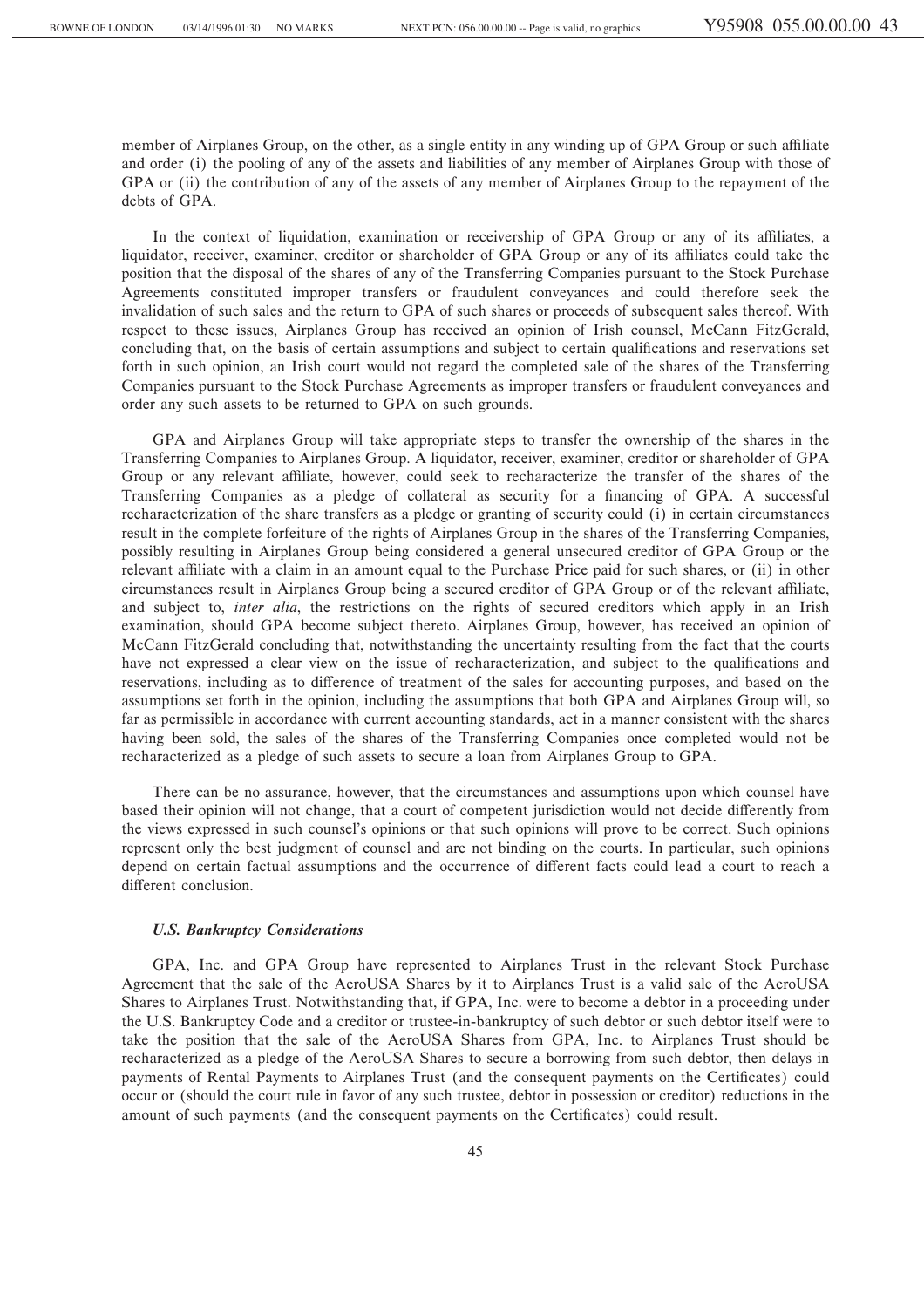member of Airplanes Group, on the other, as a single entity in any winding up of GPA Group or such affiliate and order (i) the pooling of any of the assets and liabilities of any member of Airplanes Group with those of GPA or (ii) the contribution of any of the assets of any member of Airplanes Group to the repayment of the debts of GPA.

In the context of liquidation, examination or receivership of GPA Group or any of its affiliates, a liquidator, receiver, examiner, creditor or shareholder of GPA Group or any of its affiliates could take the position that the disposal of the shares of any of the Transferring Companies pursuant to the Stock Purchase Agreements constituted improper transfers or fraudulent conveyances and could therefore seek the invalidation of such sales and the return to GPA of such shares or proceeds of subsequent sales thereof. With respect to these issues, Airplanes Group has received an opinion of Irish counsel, McCann FitzGerald, concluding that, on the basis of certain assumptions and subject to certain qualifications and reservations set forth in such opinion, an Irish court would not regard the completed sale of the shares of the Transferring Companies pursuant to the Stock Purchase Agreements as improper transfers or fraudulent conveyances and order any such assets to be returned to GPA on such grounds.

GPA and Airplanes Group will take appropriate steps to transfer the ownership of the shares in the Transferring Companies to Airplanes Group. A liquidator, receiver, examiner, creditor or shareholder of GPA Group or any relevant affiliate, however, could seek to recharacterize the transfer of the shares of the Transferring Companies as a pledge of collateral as security for a financing of GPA. A successful recharacterization of the share transfers as a pledge or granting of security could (i) in certain circumstances result in the complete forfeiture of the rights of Airplanes Group in the shares of the Transferring Companies, possibly resulting in Airplanes Group being considered a general unsecured creditor of GPA Group or the relevant affiliate with a claim in an amount equal to the Purchase Price paid for such shares, or (ii) in other circumstances result in Airplanes Group being a secured creditor of GPA Group or of the relevant affiliate, and subject to, *inter alia*, the restrictions on the rights of secured creditors which apply in an Irish examination, should GPA become subject thereto. Airplanes Group, however, has received an opinion of McCann FitzGerald concluding that, notwithstanding the uncertainty resulting from the fact that the courts have not expressed a clear view on the issue of recharacterization, and subject to the qualifications and reservations, including as to difference of treatment of the sales for accounting purposes, and based on the assumptions set forth in the opinion, including the assumptions that both GPA and Airplanes Group will, so far as permissible in accordance with current accounting standards, act in a manner consistent with the shares having been sold, the sales of the shares of the Transferring Companies once completed would not be recharacterized as a pledge of such assets to secure a loan from Airplanes Group to GPA.

There can be no assurance, however, that the circumstances and assumptions upon which counsel have based their opinion will not change, that a court of competent jurisdiction would not decide differently from the views expressed in such counsel's opinions or that such opinions will prove to be correct. Such opinions represent only the best judgment of counsel and are not binding on the courts. In particular, such opinions depend on certain factual assumptions and the occurrence of different facts could lead a court to reach a different conclusion.

## *U.S. Bankruptcy Considerations*

GPA, Inc. and GPA Group have represented to Airplanes Trust in the relevant Stock Purchase Agreement that the sale of the AeroUSA Shares by it to Airplanes Trust is a valid sale of the AeroUSA Shares to Airplanes Trust. Notwithstanding that, if GPA, Inc. were to become a debtor in a proceeding under the U.S. Bankruptcy Code and a creditor or trustee-in-bankruptcy of such debtor or such debtor itself were to take the position that the sale of the AeroUSA Shares from GPA, Inc. to Airplanes Trust should be recharacterized as a pledge of the AeroUSA Shares to secure a borrowing from such debtor, then delays in payments of Rental Payments to Airplanes Trust (and the consequent payments on the Certificates) could occur or (should the court rule in favor of any such trustee, debtor in possession or creditor) reductions in the amount of such payments (and the consequent payments on the Certificates) could result.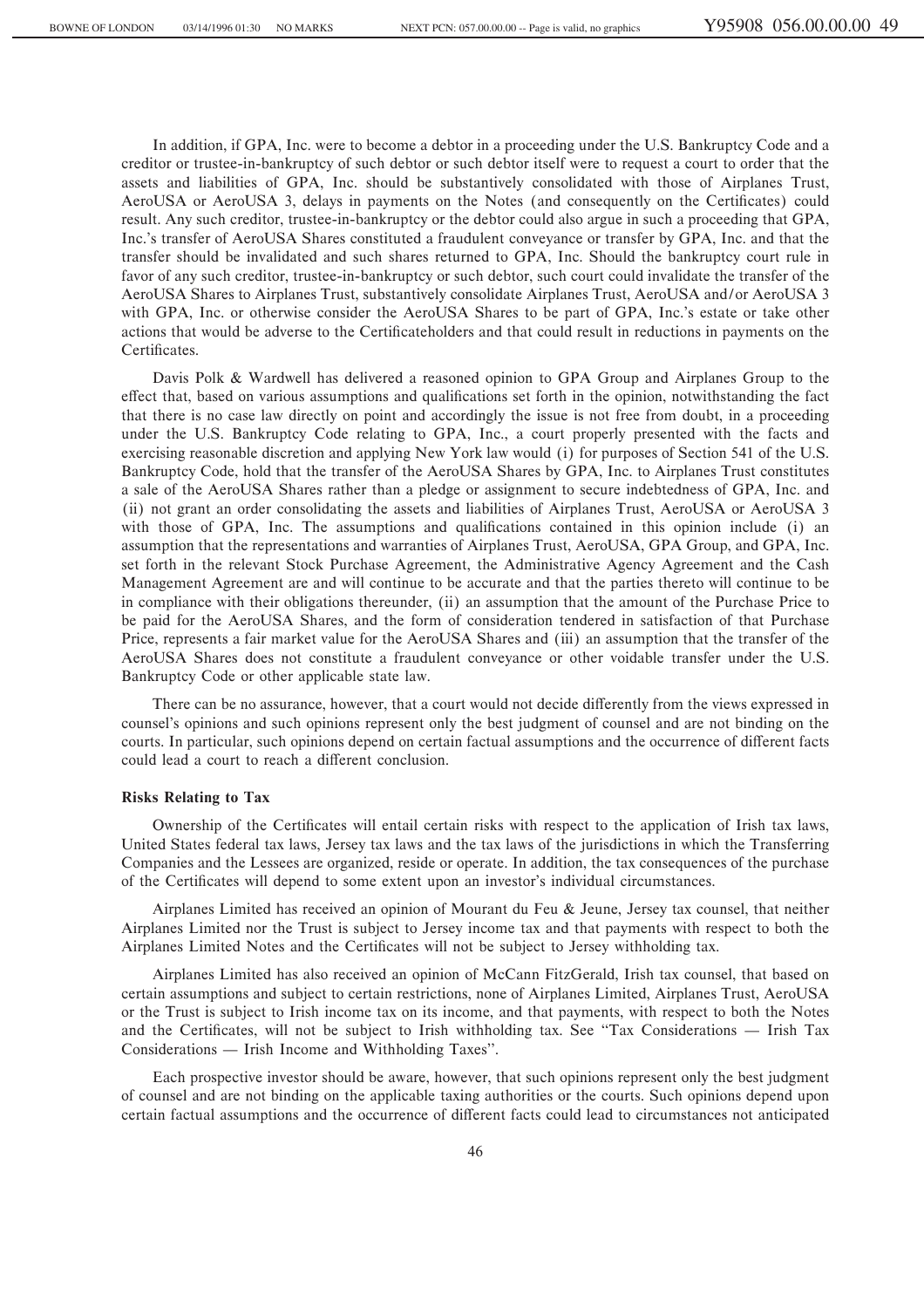In addition, if GPA, Inc. were to become a debtor in a proceeding under the U.S. Bankruptcy Code and a creditor or trustee-in-bankruptcy of such debtor or such debtor itself were to request a court to order that the assets and liabilities of GPA, Inc. should be substantively consolidated with those of Airplanes Trust, AeroUSA or AeroUSA 3, delays in payments on the Notes (and consequently on the Certificates) could result. Any such creditor, trustee-in-bankruptcy or the debtor could also argue in such a proceeding that GPA, Inc.'s transfer of AeroUSA Shares constituted a fraudulent conveyance or transfer by GPA, Inc. and that the transfer should be invalidated and such shares returned to GPA, Inc. Should the bankruptcy court rule in favor of any such creditor, trustee-in-bankruptcy or such debtor, such court could invalidate the transfer of the AeroUSA Shares to Airplanes Trust, substantively consolidate Airplanes Trust, AeroUSA and/or AeroUSA 3 with GPA, Inc. or otherwise consider the AeroUSA Shares to be part of GPA, Inc.'s estate or take other actions that would be adverse to the Certificateholders and that could result in reductions in payments on the Certificates.

Davis Polk & Wardwell has delivered a reasoned opinion to GPA Group and Airplanes Group to the effect that, based on various assumptions and qualifications set forth in the opinion, notwithstanding the fact that there is no case law directly on point and accordingly the issue is not free from doubt, in a proceeding under the U.S. Bankruptcy Code relating to GPA, Inc., a court properly presented with the facts and exercising reasonable discretion and applying New York law would (i) for purposes of Section 541 of the U.S. Bankruptcy Code, hold that the transfer of the AeroUSA Shares by GPA, Inc. to Airplanes Trust constitutes a sale of the AeroUSA Shares rather than a pledge or assignment to secure indebtedness of GPA, Inc. and (ii) not grant an order consolidating the assets and liabilities of Airplanes Trust, AeroUSA or AeroUSA 3 with those of GPA, Inc. The assumptions and qualifications contained in this opinion include (i) an assumption that the representations and warranties of Airplanes Trust, AeroUSA, GPA Group, and GPA, Inc. set forth in the relevant Stock Purchase Agreement, the Administrative Agency Agreement and the Cash Management Agreement are and will continue to be accurate and that the parties thereto will continue to be in compliance with their obligations thereunder, (ii) an assumption that the amount of the Purchase Price to be paid for the AeroUSA Shares, and the form of consideration tendered in satisfaction of that Purchase Price, represents a fair market value for the AeroUSA Shares and (iii) an assumption that the transfer of the AeroUSA Shares does not constitute a fraudulent conveyance or other voidable transfer under the U.S. Bankruptcy Code or other applicable state law.

There can be no assurance, however, that a court would not decide differently from the views expressed in counsel's opinions and such opinions represent only the best judgment of counsel and are not binding on the courts. In particular, such opinions depend on certain factual assumptions and the occurrence of different facts could lead a court to reach a different conclusion.

### **Risks Relating to Tax**

Ownership of the Certificates will entail certain risks with respect to the application of Irish tax laws, United States federal tax laws, Jersey tax laws and the tax laws of the jurisdictions in which the Transferring Companies and the Lessees are organized, reside or operate. In addition, the tax consequences of the purchase of the Certificates will depend to some extent upon an investor's individual circumstances.

Airplanes Limited has received an opinion of Mourant du Feu & Jeune, Jersey tax counsel, that neither Airplanes Limited nor the Trust is subject to Jersey income tax and that payments with respect to both the Airplanes Limited Notes and the Certificates will not be subject to Jersey withholding tax.

Airplanes Limited has also received an opinion of McCann FitzGerald, Irish tax counsel, that based on certain assumptions and subject to certain restrictions, none of Airplanes Limited, Airplanes Trust, AeroUSA or the Trust is subject to Irish income tax on its income, and that payments, with respect to both the Notes and the Certificates, will not be subject to Irish withholding tax. See "Tax Considerations — Irish Tax Considerations — Irish Income and Withholding Taxes".

Each prospective investor should be aware, however, that such opinions represent only the best judgment of counsel and are not binding on the applicable taxing authorities or the courts. Such opinions depend upon certain factual assumptions and the occurrence of different facts could lead to circumstances not anticipated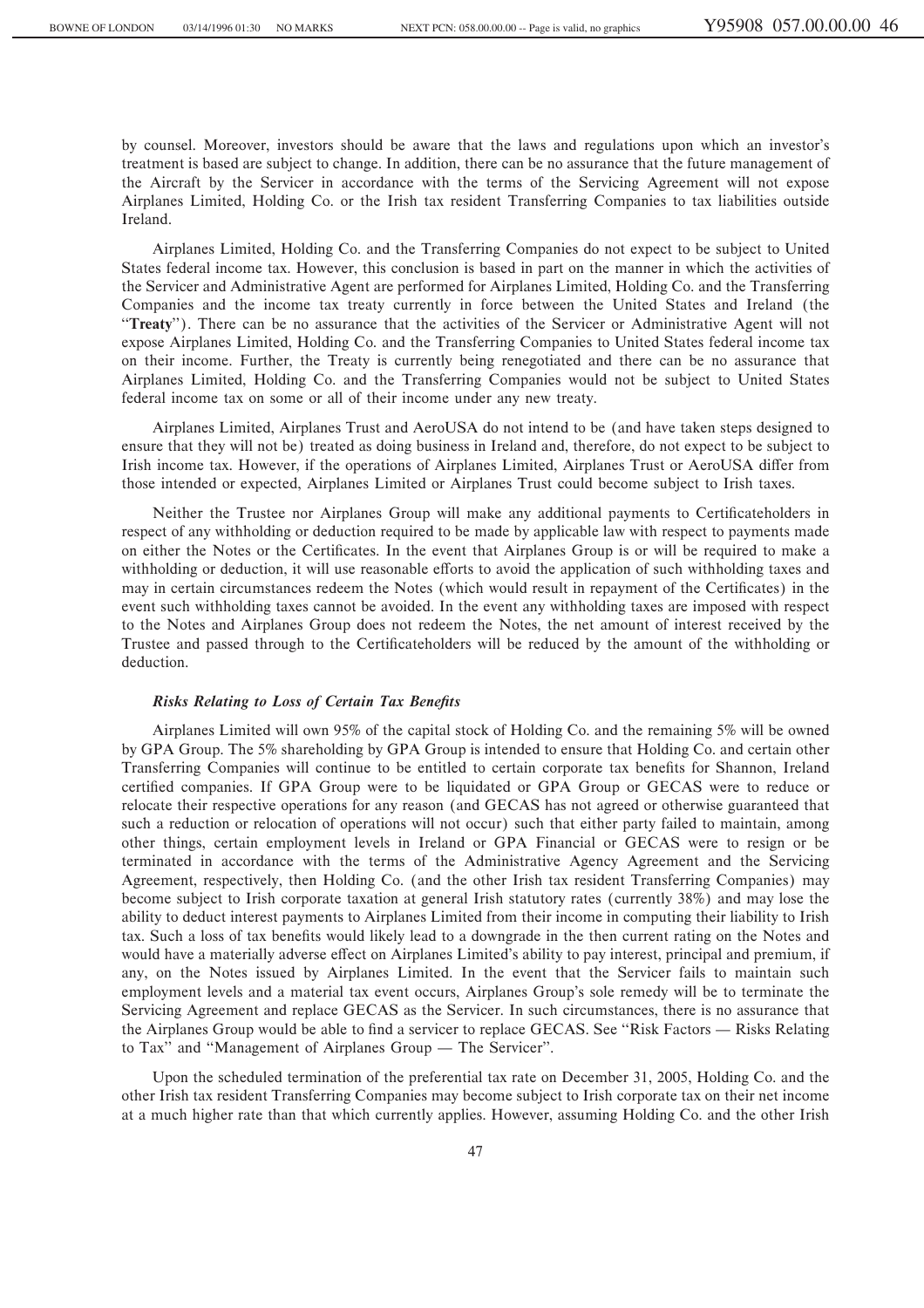by counsel. Moreover, investors should be aware that the laws and regulations upon which an investor's treatment is based are subject to change. In addition, there can be no assurance that the future management of the Aircraft by the Servicer in accordance with the terms of the Servicing Agreement will not expose Airplanes Limited, Holding Co. or the Irish tax resident Transferring Companies to tax liabilities outside Ireland.

Airplanes Limited, Holding Co. and the Transferring Companies do not expect to be subject to United States federal income tax. However, this conclusion is based in part on the manner in which the activities of the Servicer and Administrative Agent are performed for Airplanes Limited, Holding Co. and the Transferring Companies and the income tax treaty currently in force between the United States and Ireland (the "Treaty"). There can be no assurance that the activities of the Servicer or Administrative Agent will not expose Airplanes Limited, Holding Co. and the Transferring Companies to United States federal income tax on their income. Further, the Treaty is currently being renegotiated and there can be no assurance that Airplanes Limited, Holding Co. and the Transferring Companies would not be subject to United States federal income tax on some or all of their income under any new treaty.

Airplanes Limited, Airplanes Trust and AeroUSA do not intend to be (and have taken steps designed to ensure that they will not be) treated as doing business in Ireland and, therefore, do not expect to be subject to Irish income tax. However, if the operations of Airplanes Limited, Airplanes Trust or AeroUSA differ from those intended or expected, Airplanes Limited or Airplanes Trust could become subject to Irish taxes.

Neither the Trustee nor Airplanes Group will make any additional payments to Certificateholders in respect of any withholding or deduction required to be made by applicable law with respect to payments made on either the Notes or the Certificates. In the event that Airplanes Group is or will be required to make a withholding or deduction, it will use reasonable efforts to avoid the application of such withholding taxes and may in certain circumstances redeem the Notes (which would result in repayment of the Certificates) in the event such withholding taxes cannot be avoided. In the event any withholding taxes are imposed with respect to the Notes and Airplanes Group does not redeem the Notes, the net amount of interest received by the Trustee and passed through to the Certificateholders will be reduced by the amount of the withholding or deduction.

## **Risks Relating to Loss of Certain Tax Benefits**

Airplanes Limited will own 95% of the capital stock of Holding Co. and the remaining 5% will be owned by GPA Group. The 5% shareholding by GPA Group is intended to ensure that Holding Co. and certain other Transferring Companies will continue to be entitled to certain corporate tax benefits for Shannon, Ireland certified companies. If GPA Group were to be liquidated or GPA Group or GECAS were to reduce or relocate their respective operations for any reason (and GECAS has not agreed or otherwise guaranteed that such a reduction or relocation of operations will not occur) such that either party failed to maintain, among other things, certain employment levels in Ireland or GPA Financial or GECAS were to resign or be terminated in accordance with the terms of the Administrative Agency Agreement and the Servicing Agreement, respectively, then Holding Co. (and the other Irish tax resident Transferring Companies) may become subject to Irish corporate taxation at general Irish statutory rates (currently 38%) and may lose the ability to deduct interest payments to Airplanes Limited from their income in computing their liability to Irish tax. Such a loss of tax benefits would likely lead to a downgrade in the then current rating on the Notes and would have a materially adverse effect on Airplanes Limited's ability to pay interest, principal and premium, if any, on the Notes issued by Airplanes Limited. In the event that the Servicer fails to maintain such employment levels and a material tax event occurs, Airplanes Group's sole remedy will be to terminate the Servicing Agreement and replace GECAS as the Servicer. In such circumstances, there is no assurance that the Airplanes Group would be able to find a servicer to replace GECAS. See "Risk Factors — Risks Relating to Tax" and "Management of Airplanes Group — The Servicer".

Upon the scheduled termination of the preferential tax rate on December 31, 2005, Holding Co. and the other Irish tax resident Transferring Companies may become subject to Irish corporate tax on their net income at a much higher rate than that which currently applies. However, assuming Holding Co. and the other Irish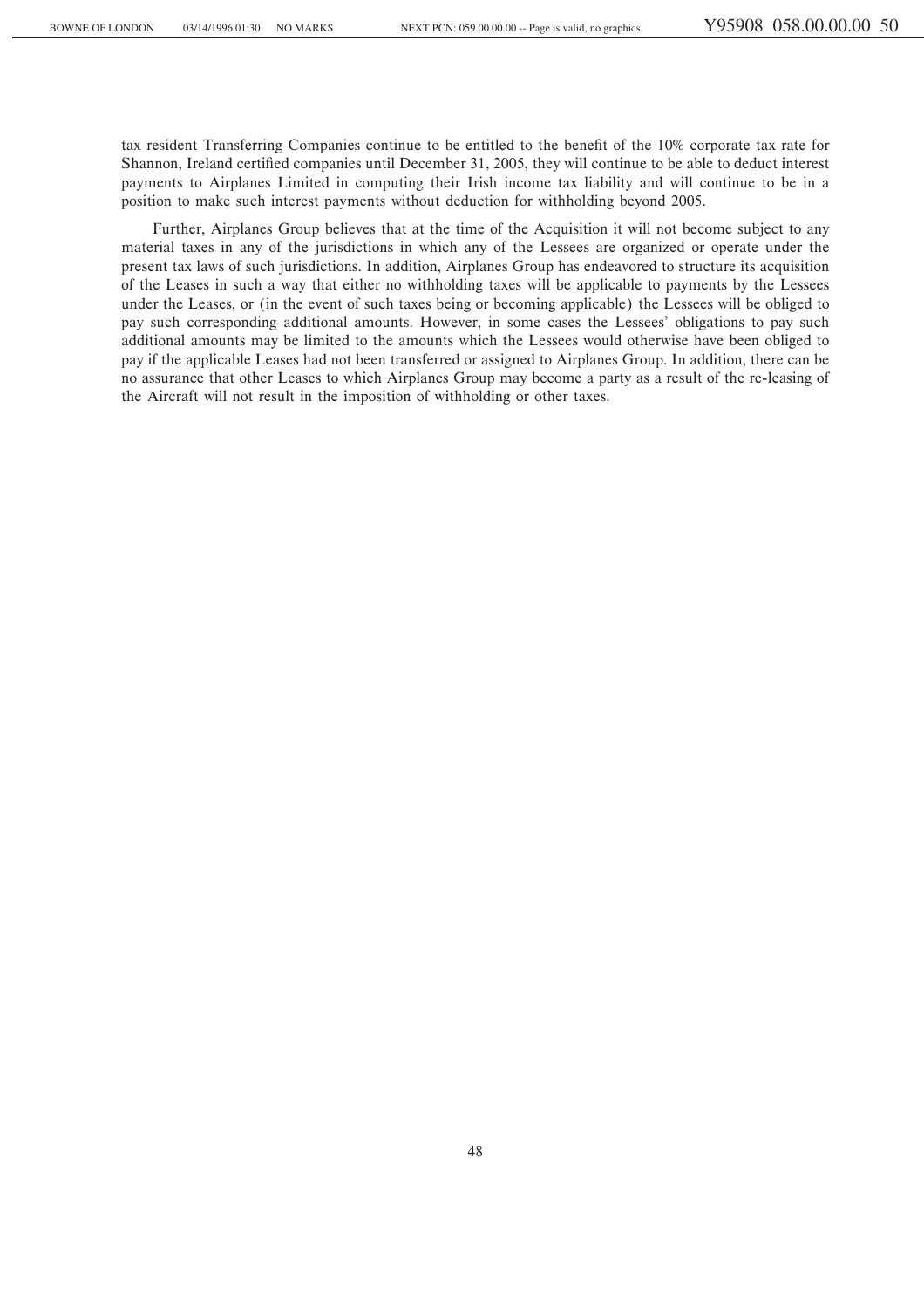tax resident Transferring Companies continue to be entitled to the benefit of the 10% corporate tax rate for Shannon, Ireland certified companies until December 31, 2005, they will continue to be able to deduct interest payments to Airplanes Limited in computing their Irish income tax liability and will continue to be in a position to make such interest payments without deduction for withholding beyond 2005.

Further, Airplanes Group believes that at the time of the Acquisition it will not become subject to any material taxes in any of the jurisdictions in which any of the Lessees are organized or operate under the present tax laws of such jurisdictions. In addition, Airplanes Group has endeavored to structure its acquisition of the Leases in such a way that either no withholding taxes will be applicable to payments by the Lessees under the Leases, or (in the event of such taxes being or becoming applicable) the Lessees will be obliged to pay such corresponding additional amounts. However, in some cases the Lessees' obligations to pay such additional amounts may be limited to the amounts which the Lessees would otherwise have been obliged to pay if the applicable Leases had not been transferred or assigned to Airplanes Group. In addition, there can be no assurance that other Leases to which Airplanes Group may become a party as a result of the re-leasing of the Aircraft will not result in the imposition of withholding or other taxes.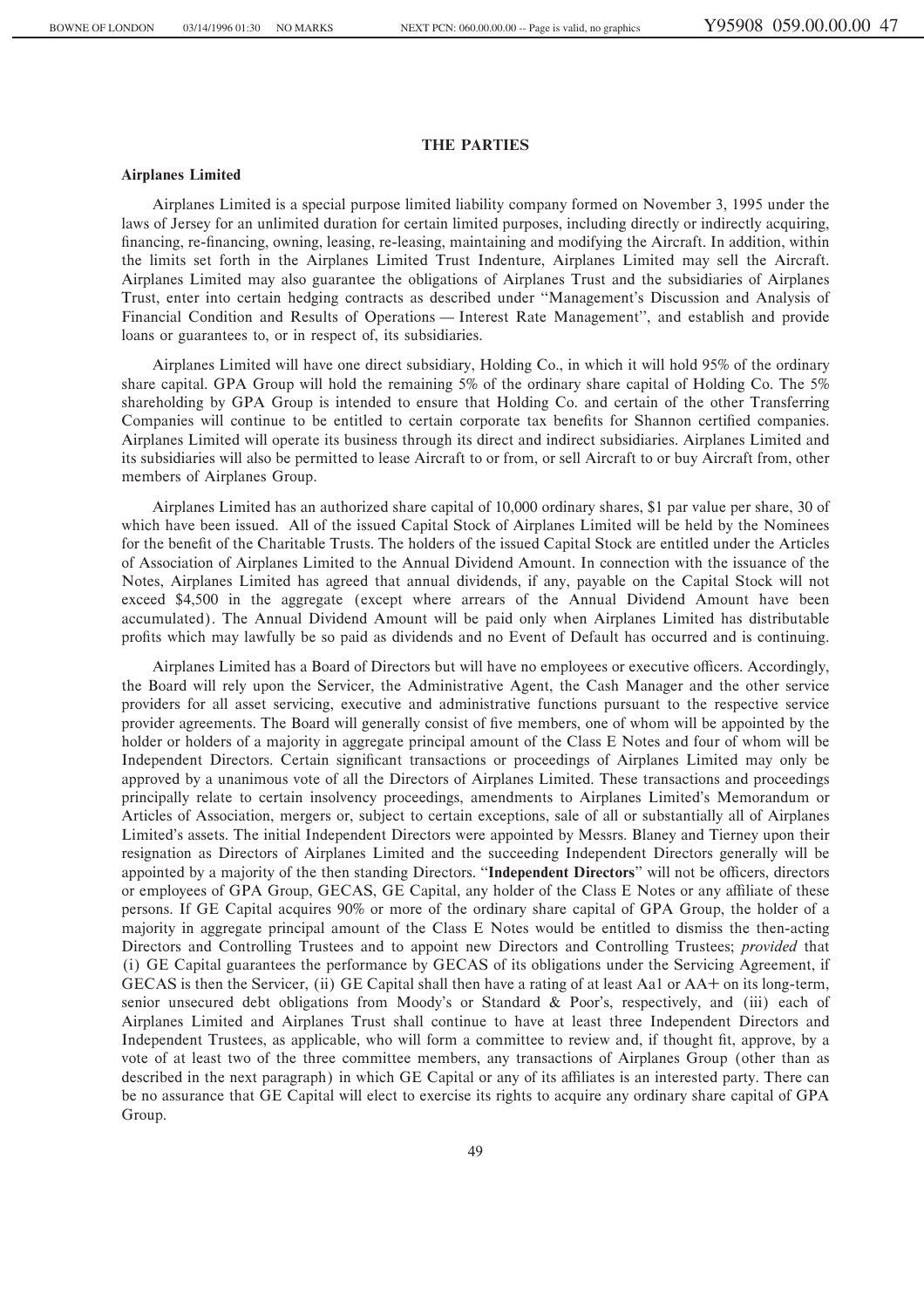## **THE PARTIES**

### **Airplanes Limited**

Airplanes Limited is a special purpose limited liability company formed on November 3, 1995 under the laws of Jersey for an unlimited duration for certain limited purposes, including directly or indirectly acquiring, financing, re-financing, owning, leasing, re-leasing, maintaining and modifying the Aircraft. In addition, within the limits set forth in the Airplanes Limited Trust Indenture, Airplanes Limited may sell the Aircraft. Airplanes Limited may also guarantee the obligations of Airplanes Trust and the subsidiaries of Airplanes Trust, enter into certain hedging contracts as described under ""Management's Discussion and Analysis of Financial Condition and Results of Operations — Interest Rate Management'', and establish and provide loans or guarantees to, or in respect of, its subsidiaries.

Airplanes Limited will have one direct subsidiary, Holding Co., in which it will hold 95% of the ordinary share capital. GPA Group will hold the remaining 5% of the ordinary share capital of Holding Co. The 5% shareholding by GPA Group is intended to ensure that Holding Co. and certain of the other Transferring Companies will continue to be entitled to certain corporate tax benefits for Shannon certified companies. Airplanes Limited will operate its business through its direct and indirect subsidiaries. Airplanes Limited and its subsidiaries will also be permitted to lease Aircraft to or from, or sell Aircraft to or buy Aircraft from, other members of Airplanes Group.

Airplanes Limited has an authorized share capital of 10,000 ordinary shares, \$1 par value per share, 30 of which have been issued. All of the issued Capital Stock of Airplanes Limited will be held by the Nominees for the benefit of the Charitable Trusts. The holders of the issued Capital Stock are entitled under the Articles of Association of Airplanes Limited to the Annual Dividend Amount. In connection with the issuance of the Notes, Airplanes Limited has agreed that annual dividends, if any, payable on the Capital Stock will not exceed \$4,500 in the aggregate (except where arrears of the Annual Dividend Amount have been accumulated). The Annual Dividend Amount will be paid only when Airplanes Limited has distributable profits which may lawfully be so paid as dividends and no Event of Default has occurred and is continuing.

Airplanes Limited has a Board of Directors but will have no employees or executive officers. Accordingly, the Board will rely upon the Servicer, the Administrative Agent, the Cash Manager and the other service providers for all asset servicing, executive and administrative functions pursuant to the respective service provider agreements. The Board will generally consist of Ñve members, one of whom will be appointed by the holder or holders of a majority in aggregate principal amount of the Class E Notes and four of whom will be Independent Directors. Certain significant transactions or proceedings of Airplanes Limited may only be approved by a unanimous vote of all the Directors of Airplanes Limited. These transactions and proceedings principally relate to certain insolvency proceedings, amendments to Airplanes Limited's Memorandum or Articles of Association, mergers or, subject to certain exceptions, sale of all or substantially all of Airplanes Limited's assets. The initial Independent Directors were appointed by Messrs. Blaney and Tierney upon their resignation as Directors of Airplanes Limited and the succeeding Independent Directors generally will be appointed by a majority of the then standing Directors. "Independent Directors" will not be officers, directors or employees of GPA Group, GECAS, GE Capital, any holder of the Class E Notes or any affiliate of these persons. If GE Capital acquires 90% or more of the ordinary share capital of GPA Group, the holder of a majority in aggregate principal amount of the Class E Notes would be entitled to dismiss the then-acting Directors and Controlling Trustees and to appoint new Directors and Controlling Trustees; *provided* that (i) GE Capital guarantees the performance by GECAS of its obligations under the Servicing Agreement, if GECAS is then the Servicer, (ii) GE Capital shall then have a rating of at least Aa1 or AA+ on its long-term, senior unsecured debt obligations from Moody's or Standard & Poor's, respectively, and (iii) each of Airplanes Limited and Airplanes Trust shall continue to have at least three Independent Directors and Independent Trustees, as applicable, who will form a committee to review and, if thought fit, approve, by a vote of at least two of the three committee members, any transactions of Airplanes Group (other than as described in the next paragraph) in which GE Capital or any of its affiliates is an interested party. There can be no assurance that GE Capital will elect to exercise its rights to acquire any ordinary share capital of GPA Group.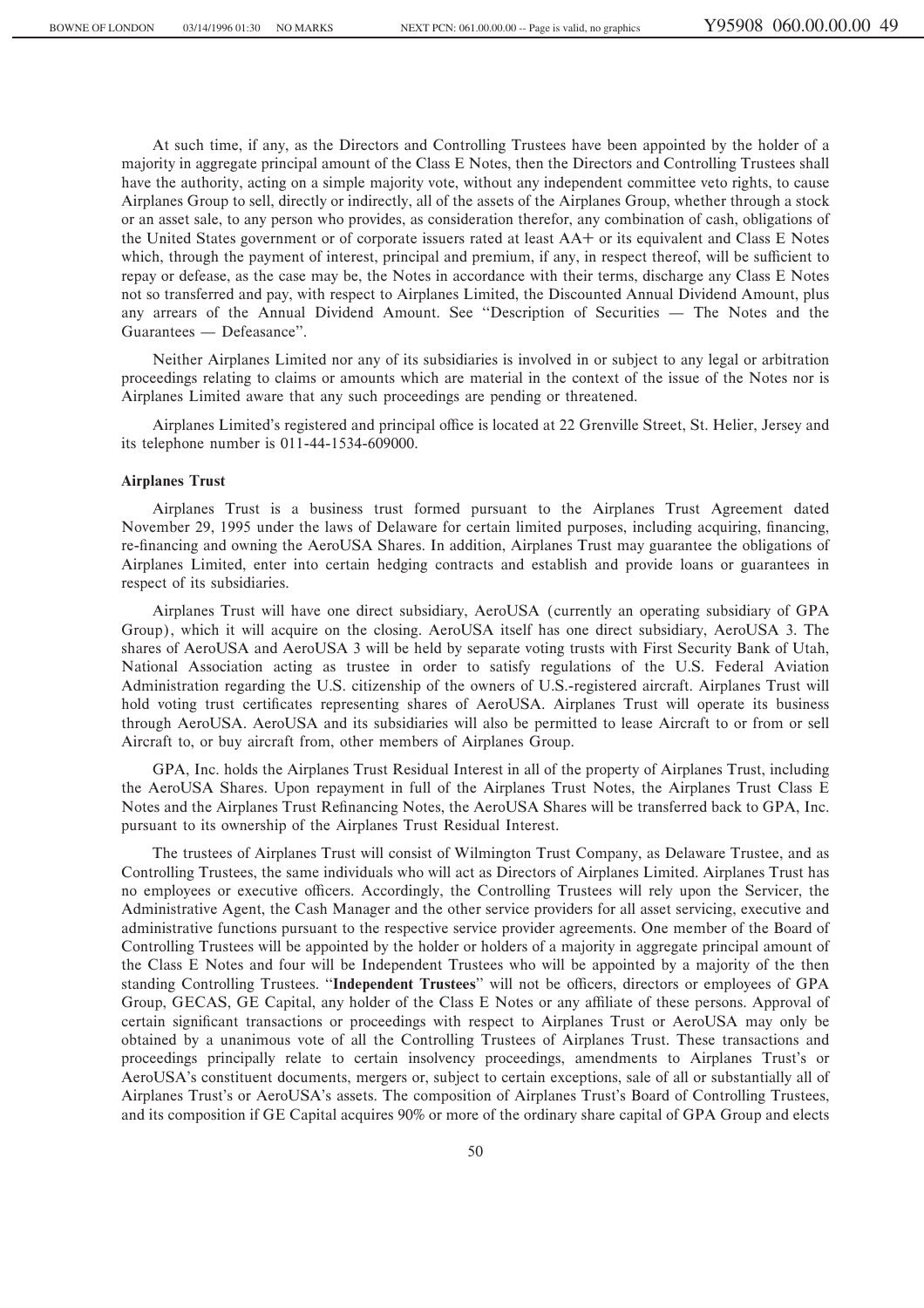At such time, if any, as the Directors and Controlling Trustees have been appointed by the holder of a majority in aggregate principal amount of the Class E Notes, then the Directors and Controlling Trustees shall have the authority, acting on a simple majority vote, without any independent committee veto rights, to cause Airplanes Group to sell, directly or indirectly, all of the assets of the Airplanes Group, whether through a stock or an asset sale, to any person who provides, as consideration therefor, any combination of cash, obligations of the United States government or of corporate issuers rated at least AA+ or its equivalent and Class E Notes which, through the payment of interest, principal and premium, if any, in respect thereof, will be sufficient to repay or defease, as the case may be, the Notes in accordance with their terms, discharge any Class E Notes not so transferred and pay, with respect to Airplanes Limited, the Discounted Annual Dividend Amount, plus any arrears of the Annual Dividend Amount. See "Description of Securities — The Notes and the Guarantees — Defeasance".

Neither Airplanes Limited nor any of its subsidiaries is involved in or subject to any legal or arbitration proceedings relating to claims or amounts which are material in the context of the issue of the Notes nor is Airplanes Limited aware that any such proceedings are pending or threatened.

Airplanes Limited's registered and principal office is located at 22 Grenville Street, St. Helier, Jersey and its telephone number is 011-44-1534-609000.

#### **Airplanes Trust**

Airplanes Trust is a business trust formed pursuant to the Airplanes Trust Agreement dated November 29, 1995 under the laws of Delaware for certain limited purposes, including acquiring, financing, re-financing and owning the AeroUSA Shares. In addition, Airplanes Trust may guarantee the obligations of Airplanes Limited, enter into certain hedging contracts and establish and provide loans or guarantees in respect of its subsidiaries.

Airplanes Trust will have one direct subsidiary, AeroUSA (currently an operating subsidiary of GPA Group), which it will acquire on the closing. AeroUSA itself has one direct subsidiary, AeroUSA 3. The shares of AeroUSA and AeroUSA 3 will be held by separate voting trusts with First Security Bank of Utah, National Association acting as trustee in order to satisfy regulations of the U.S. Federal Aviation Administration regarding the U.S. citizenship of the owners of U.S.-registered aircraft. Airplanes Trust will hold voting trust certificates representing shares of AeroUSA. Airplanes Trust will operate its business through AeroUSA. AeroUSA and its subsidiaries will also be permitted to lease Aircraft to or from or sell Aircraft to, or buy aircraft from, other members of Airplanes Group.

GPA, Inc. holds the Airplanes Trust Residual Interest in all of the property of Airplanes Trust, including the AeroUSA Shares. Upon repayment in full of the Airplanes Trust Notes, the Airplanes Trust Class E Notes and the Airplanes Trust Refinancing Notes, the AeroUSA Shares will be transferred back to GPA, Inc. pursuant to its ownership of the Airplanes Trust Residual Interest.

The trustees of Airplanes Trust will consist of Wilmington Trust Company, as Delaware Trustee, and as Controlling Trustees, the same individuals who will act as Directors of Airplanes Limited. Airplanes Trust has no employees or executive officers. Accordingly, the Controlling Trustees will rely upon the Servicer, the Administrative Agent, the Cash Manager and the other service providers for all asset servicing, executive and administrative functions pursuant to the respective service provider agreements. One member of the Board of Controlling Trustees will be appointed by the holder or holders of a majority in aggregate principal amount of the Class E Notes and four will be Independent Trustees who will be appointed by a majority of the then standing Controlling Trustees. "Independent Trustees" will not be officers, directors or employees of GPA Group, GECAS, GE Capital, any holder of the Class E Notes or any affiliate of these persons. Approval of certain significant transactions or proceedings with respect to Airplanes Trust or AeroUSA may only be obtained by a unanimous vote of all the Controlling Trustees of Airplanes Trust. These transactions and proceedings principally relate to certain insolvency proceedings, amendments to Airplanes Trust's or AeroUSA's constituent documents, mergers or, subject to certain exceptions, sale of all or substantially all of Airplanes Trust's or AeroUSA's assets. The composition of Airplanes Trust's Board of Controlling Trustees, and its composition if GE Capital acquires 90% or more of the ordinary share capital of GPA Group and elects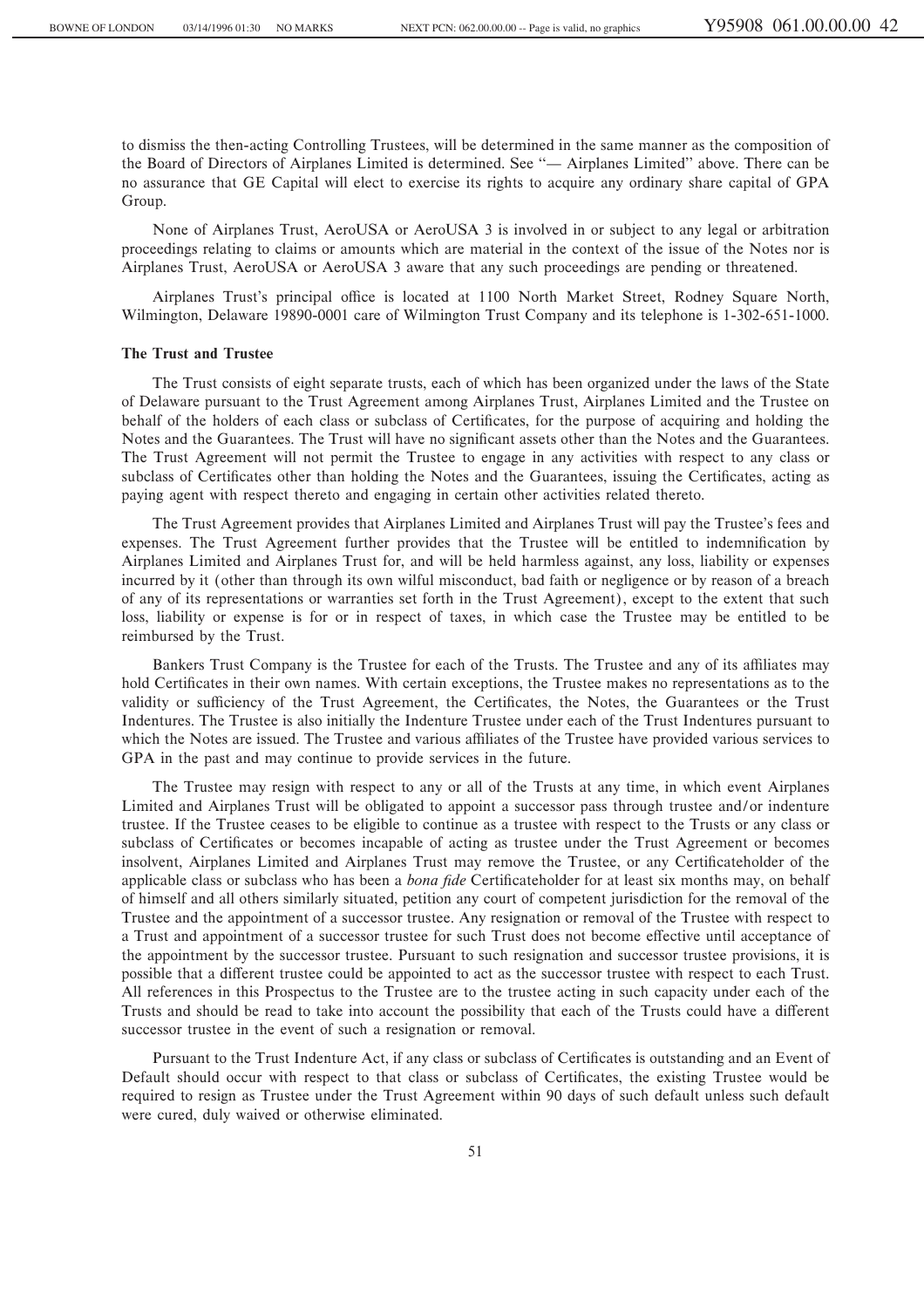to dismiss the then-acting Controlling Trustees, will be determined in the same manner as the composition of the Board of Directors of Airplanes Limited is determined. See "— Airplanes Limited" above. There can be no assurance that GE Capital will elect to exercise its rights to acquire any ordinary share capital of GPA Group.

None of Airplanes Trust, AeroUSA or AeroUSA 3 is involved in or subject to any legal or arbitration proceedings relating to claims or amounts which are material in the context of the issue of the Notes nor is Airplanes Trust, AeroUSA or AeroUSA 3 aware that any such proceedings are pending or threatened.

Airplanes Trust's principal office is located at 1100 North Market Street, Rodney Square North, Wilmington, Delaware 19890-0001 care of Wilmington Trust Company and its telephone is 1-302-651-1000.

### **The Trust and Trustee**

The Trust consists of eight separate trusts, each of which has been organized under the laws of the State of Delaware pursuant to the Trust Agreement among Airplanes Trust, Airplanes Limited and the Trustee on behalf of the holders of each class or subclass of Certificates, for the purpose of acquiring and holding the Notes and the Guarantees. The Trust will have no significant assets other than the Notes and the Guarantees. The Trust Agreement will not permit the Trustee to engage in any activities with respect to any class or subclass of Certificates other than holding the Notes and the Guarantees, issuing the Certificates, acting as paying agent with respect thereto and engaging in certain other activities related thereto.

The Trust Agreement provides that Airplanes Limited and Airplanes Trust will pay the Trustee's fees and expenses. The Trust Agreement further provides that the Trustee will be entitled to indemnification by Airplanes Limited and Airplanes Trust for, and will be held harmless against, any loss, liability or expenses incurred by it (other than through its own wilful misconduct, bad faith or negligence or by reason of a breach of any of its representations or warranties set forth in the Trust Agreement), except to the extent that such loss, liability or expense is for or in respect of taxes, in which case the Trustee may be entitled to be reimbursed by the Trust.

Bankers Trust Company is the Trustee for each of the Trusts. The Trustee and any of its affiliates may hold Certificates in their own names. With certain exceptions, the Trustee makes no representations as to the validity or sufficiency of the Trust Agreement, the Certificates, the Notes, the Guarantees or the Trust Indentures. The Trustee is also initially the Indenture Trustee under each of the Trust Indentures pursuant to which the Notes are issued. The Trustee and various affiliates of the Trustee have provided various services to GPA in the past and may continue to provide services in the future.

The Trustee may resign with respect to any or all of the Trusts at any time, in which event Airplanes Limited and Airplanes Trust will be obligated to appoint a successor pass through trustee and/or indenture trustee. If the Trustee ceases to be eligible to continue as a trustee with respect to the Trusts or any class or subclass of Certificates or becomes incapable of acting as trustee under the Trust Agreement or becomes insolvent, Airplanes Limited and Airplanes Trust may remove the Trustee, or any Certificateholder of the applicable class or subclass who has been a *bona fide* Certificateholder for at least six months may, on behalf of himself and all others similarly situated, petition any court of competent jurisdiction for the removal of the Trustee and the appointment of a successor trustee. Any resignation or removal of the Trustee with respect to a Trust and appointment of a successor trustee for such Trust does not become effective until acceptance of the appointment by the successor trustee. Pursuant to such resignation and successor trustee provisions, it is possible that a different trustee could be appointed to act as the successor trustee with respect to each Trust. All references in this Prospectus to the Trustee are to the trustee acting in such capacity under each of the Trusts and should be read to take into account the possibility that each of the Trusts could have a different successor trustee in the event of such a resignation or removal.

Pursuant to the Trust Indenture Act, if any class or subclass of Certificates is outstanding and an Event of Default should occur with respect to that class or subclass of Certificates, the existing Trustee would be required to resign as Trustee under the Trust Agreement within 90 days of such default unless such default were cured, duly waived or otherwise eliminated.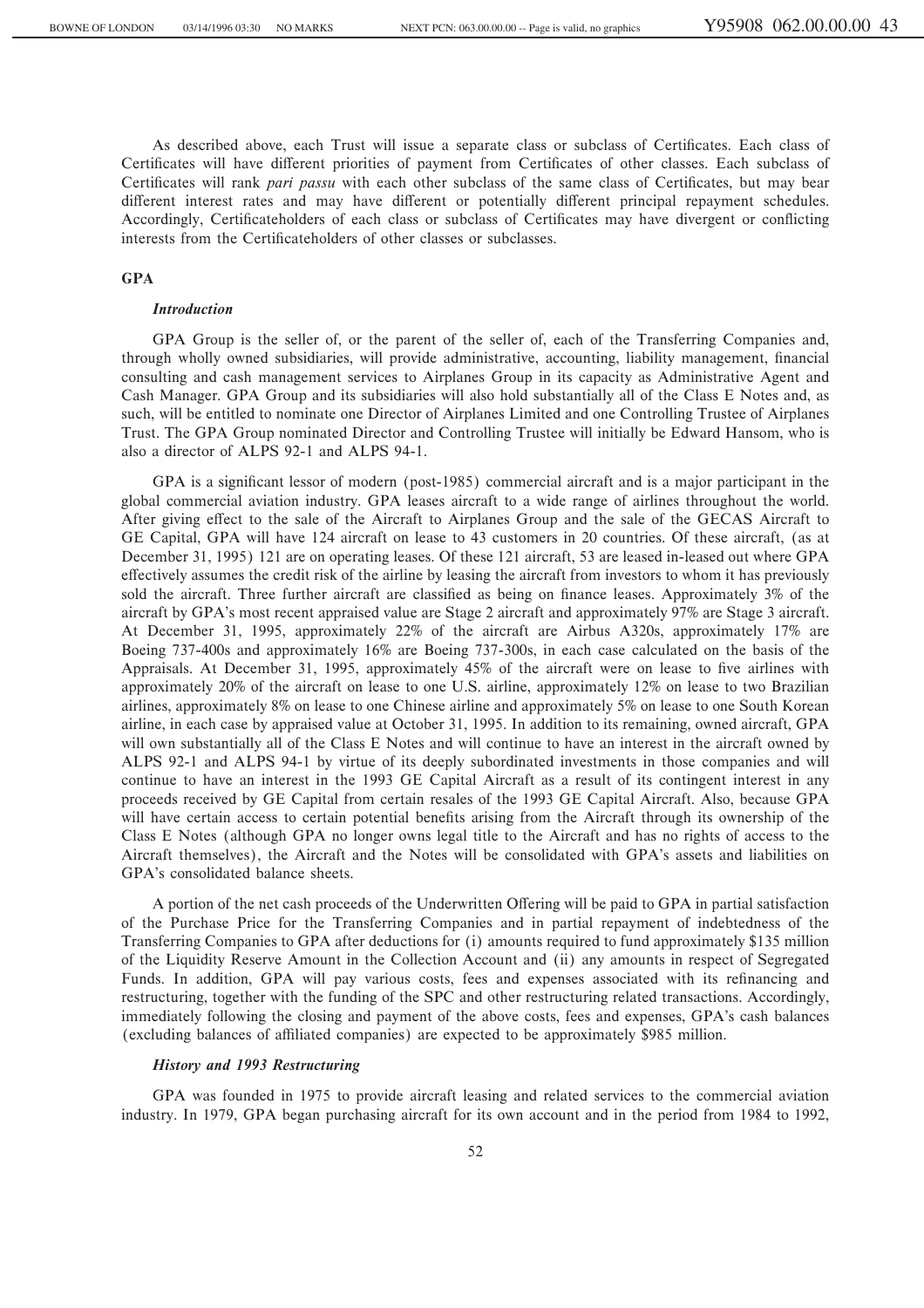As described above, each Trust will issue a separate class or subclass of Certificates. Each class of Certificates will have different priorities of payment from Certificates of other classes. Each subclass of Certificates will rank *pari passu* with each other subclass of the same class of Certificates, but may bear different interest rates and may have different or potentially different principal repayment schedules. Accordingly, Certificateholders of each class or subclass of Certificates may have divergent or conflicting interests from the Certificateholders of other classes or subclasses.

### **GPA**

#### *Introduction*

GPA Group is the seller of, or the parent of the seller of, each of the Transferring Companies and, through wholly owned subsidiaries, will provide administrative, accounting, liability management, financial consulting and cash management services to Airplanes Group in its capacity as Administrative Agent and Cash Manager. GPA Group and its subsidiaries will also hold substantially all of the Class E Notes and, as such, will be entitled to nominate one Director of Airplanes Limited and one Controlling Trustee of Airplanes Trust. The GPA Group nominated Director and Controlling Trustee will initially be Edward Hansom, who is also a director of ALPS 92-1 and ALPS 94-1.

GPA is a significant lessor of modern (post-1985) commercial aircraft and is a major participant in the global commercial aviation industry. GPA leases aircraft to a wide range of airlines throughout the world. After giving effect to the sale of the Aircraft to Airplanes Group and the sale of the GECAS Aircraft to GE Capital, GPA will have 124 aircraft on lease to 43 customers in 20 countries. Of these aircraft, (as at December 31, 1995) 121 are on operating leases. Of these 121 aircraft, 53 are leased in-leased out where GPA effectively assumes the credit risk of the airline by leasing the aircraft from investors to whom it has previously sold the aircraft. Three further aircraft are classified as being on finance leases. Approximately 3% of the aircraft by GPA's most recent appraised value are Stage 2 aircraft and approximately 97% are Stage 3 aircraft. At December 31, 1995, approximately 22% of the aircraft are Airbus A320s, approximately 17% are Boeing 737-400s and approximately 16% are Boeing 737-300s, in each case calculated on the basis of the Appraisals. At December 31, 1995, approximately 45% of the aircraft were on lease to five airlines with approximately 20% of the aircraft on lease to one U.S. airline, approximately 12% on lease to two Brazilian airlines, approximately 8% on lease to one Chinese airline and approximately 5% on lease to one South Korean airline, in each case by appraised value at October 31, 1995. In addition to its remaining, owned aircraft, GPA will own substantially all of the Class E Notes and will continue to have an interest in the aircraft owned by ALPS 92-1 and ALPS 94-1 by virtue of its deeply subordinated investments in those companies and will continue to have an interest in the 1993 GE Capital Aircraft as a result of its contingent interest in any proceeds received by GE Capital from certain resales of the 1993 GE Capital Aircraft. Also, because GPA will have certain access to certain potential benefits arising from the Aircraft through its ownership of the Class E Notes (although GPA no longer owns legal title to the Aircraft and has no rights of access to the Aircraft themselves), the Aircraft and the Notes will be consolidated with GPA's assets and liabilities on GPA's consolidated balance sheets.

A portion of the net cash proceeds of the Underwritten Offering will be paid to GPA in partial satisfaction of the Purchase Price for the Transferring Companies and in partial repayment of indebtedness of the Transferring Companies to GPA after deductions for (i) amounts required to fund approximately \$135 million of the Liquidity Reserve Amount in the Collection Account and (ii) any amounts in respect of Segregated Funds. In addition, GPA will pay various costs, fees and expenses associated with its refinancing and restructuring, together with the funding of the SPC and other restructuring related transactions. Accordingly, immediately following the closing and payment of the above costs, fees and expenses, GPA's cash balances (excluding balances of affiliated companies) are expected to be approximately \$985 million.

## *History and 1993 Restructuring*

GPA was founded in 1975 to provide aircraft leasing and related services to the commercial aviation industry. In 1979, GPA began purchasing aircraft for its own account and in the period from 1984 to 1992,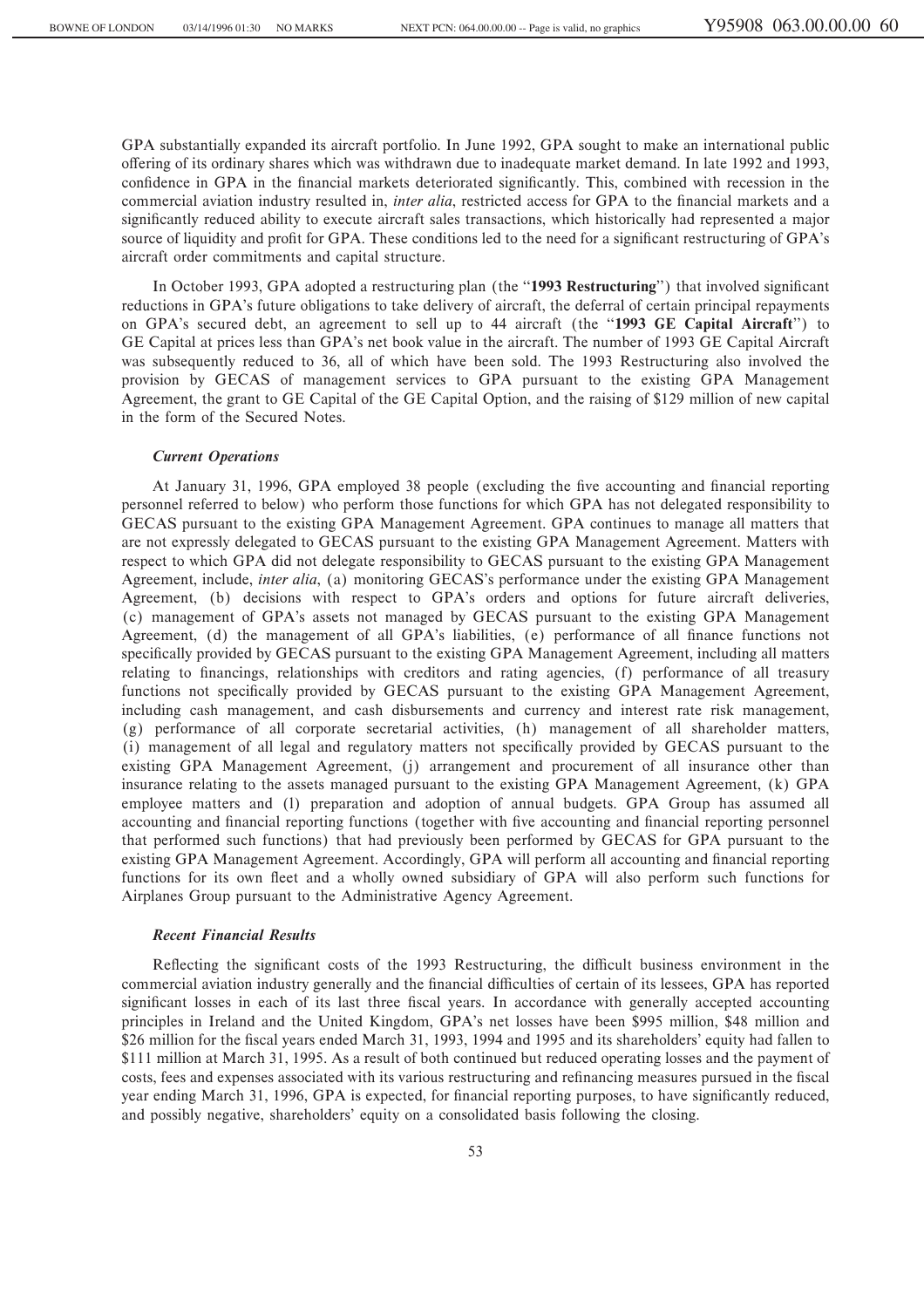GPA substantially expanded its aircraft portfolio. In June 1992, GPA sought to make an international public offering of its ordinary shares which was withdrawn due to inadequate market demand. In late 1992 and 1993, confidence in GPA in the financial markets deteriorated significantly. This, combined with recession in the commercial aviation industry resulted in, *inter alia*, restricted access for GPA to the financial markets and a significantly reduced ability to execute aircraft sales transactions, which historically had represented a major source of liquidity and profit for GPA. These conditions led to the need for a significant restructuring of GPA's aircraft order commitments and capital structure.

In October 1993, GPA adopted a restructuring plan (the "1993 Restructuring") that involved significant reductions in GPA's future obligations to take delivery of aircraft, the deferral of certain principal repayments on GPA's secured debt, an agreement to sell up to 44 aircraft (the ""**1993 GE Capital Aircraft**'') to GE Capital at prices less than GPA's net book value in the aircraft. The number of 1993 GE Capital Aircraft was subsequently reduced to 36, all of which have been sold. The 1993 Restructuring also involved the provision by GECAS of management services to GPA pursuant to the existing GPA Management Agreement, the grant to GE Capital of the GE Capital Option, and the raising of \$129 million of new capital in the form of the Secured Notes.

#### *Current Operations*

At January 31, 1996, GPA employed 38 people (excluding the five accounting and financial reporting personnel referred to below) who perform those functions for which GPA has not delegated responsibility to GECAS pursuant to the existing GPA Management Agreement. GPA continues to manage all matters that are not expressly delegated to GECAS pursuant to the existing GPA Management Agreement. Matters with respect to which GPA did not delegate responsibility to GECAS pursuant to the existing GPA Management Agreement, include, *inter alia*, (a) monitoring GECAS's performance under the existing GPA Management Agreement, (b) decisions with respect to GPA's orders and options for future aircraft deliveries, (c) management of GPA's assets not managed by GECAS pursuant to the existing GPA Management Agreement, (d) the management of all GPA's liabilities, (e) performance of all finance functions not specifically provided by GECAS pursuant to the existing GPA Management Agreement, including all matters relating to financings, relationships with creditors and rating agencies, (f) performance of all treasury functions not specifically provided by GECAS pursuant to the existing GPA Management Agreement, including cash management, and cash disbursements and currency and interest rate risk management, (g) performance of all corporate secretarial activities, (h) management of all shareholder matters, (i) management of all legal and regulatory matters not specifically provided by GECAS pursuant to the existing GPA Management Agreement, (j) arrangement and procurement of all insurance other than insurance relating to the assets managed pursuant to the existing GPA Management Agreement, (k) GPA employee matters and (l) preparation and adoption of annual budgets. GPA Group has assumed all accounting and financial reporting functions (together with five accounting and financial reporting personnel that performed such functions) that had previously been performed by GECAS for GPA pursuant to the existing GPA Management Agreement. Accordingly, GPA will perform all accounting and financial reporting functions for its own fleet and a wholly owned subsidiary of GPA will also perform such functions for Airplanes Group pursuant to the Administrative Agency Agreement.

### *Recent Financial Results*

Reflecting the significant costs of the 1993 Restructuring, the difficult business environment in the commercial aviation industry generally and the financial difficulties of certain of its lessees, GPA has reported significant losses in each of its last three fiscal years. In accordance with generally accepted accounting principles in Ireland and the United Kingdom, GPA's net losses have been \$995 million, \$48 million and \$26 million for the fiscal years ended March 31, 1993, 1994 and 1995 and its shareholders' equity had fallen to \$111 million at March 31, 1995. As a result of both continued but reduced operating losses and the payment of costs, fees and expenses associated with its various restructuring and refinancing measures pursued in the fiscal year ending March 31, 1996, GPA is expected, for financial reporting purposes, to have significantly reduced, and possibly negative, shareholders' equity on a consolidated basis following the closing.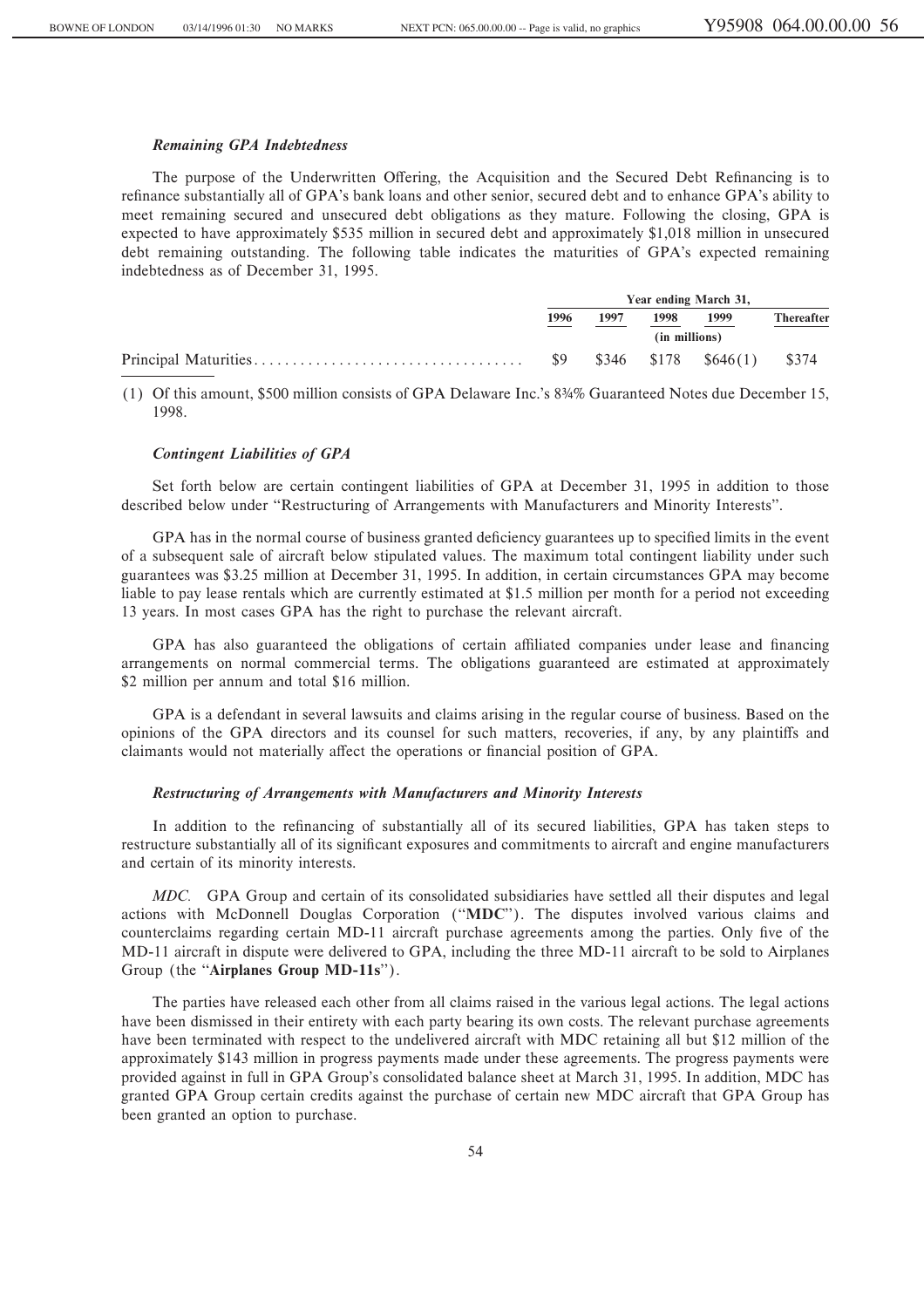### *Remaining GPA Indebtedness*

The purpose of the Underwritten Offering, the Acquisition and the Secured Debt Refinancing is to refinance substantially all of GPA's bank loans and other senior, secured debt and to enhance GPA's ability to meet remaining secured and unsecured debt obligations as they mature. Following the closing, GPA is expected to have approximately \$535 million in secured debt and approximately \$1,018 million in unsecured debt remaining outstanding. The following table indicates the maturities of GPA's expected remaining indebtedness as of December 31, 1995.

| Year ending March 31, |               |      |                                |                   |
|-----------------------|---------------|------|--------------------------------|-------------------|
| 1996                  | 1997          | 1998 | 1999                           | <b>Thereafter</b> |
|                       | (in millions) |      |                                |                   |
| - S9                  |               |      | $$346$ $$178$ $$646(1)$ $$374$ |                   |

(1) Of this amount, \$500 million consists of GPA Delaware Inc.'s 8∂% Guaranteed Notes due December 15, 1998.

### *Contingent Liabilities of GPA*

Set forth below are certain contingent liabilities of GPA at December 31, 1995 in addition to those described below under "Restructuring of Arrangements with Manufacturers and Minority Interests".

GPA has in the normal course of business granted deficiency guarantees up to specified limits in the event of a subsequent sale of aircraft below stipulated values. The maximum total contingent liability under such guarantees was \$3.25 million at December 31, 1995. In addition, in certain circumstances GPA may become liable to pay lease rentals which are currently estimated at \$1.5 million per month for a period not exceeding 13 years. In most cases GPA has the right to purchase the relevant aircraft.

GPA has also guaranteed the obligations of certain affiliated companies under lease and financing arrangements on normal commercial terms. The obligations guaranteed are estimated at approximately \$2 million per annum and total \$16 million.

GPA is a defendant in several lawsuits and claims arising in the regular course of business. Based on the opinions of the GPA directors and its counsel for such matters, recoveries, if any, by any plaintiffs and claimants would not materially affect the operations or financial position of GPA.

## *Restructuring of Arrangements with Manufacturers and Minority Interests*

In addition to the refinancing of substantially all of its secured liabilities, GPA has taken steps to restructure substantially all of its significant exposures and commitments to aircraft and engine manufacturers and certain of its minority interests.

*MDC.* GPA Group and certain of its consolidated subsidiaries have settled all their disputes and legal actions with McDonnell Douglas Corporation (""**MDC**''). The disputes involved various claims and counterclaims regarding certain MD-11 aircraft purchase agreements among the parties. Only five of the MD-11 aircraft in dispute were delivered to GPA, including the three MD-11 aircraft to be sold to Airplanes Group (the "Airplanes Group MD-11s").

The parties have released each other from all claims raised in the various legal actions. The legal actions have been dismissed in their entirety with each party bearing its own costs. The relevant purchase agreements have been terminated with respect to the undelivered aircraft with MDC retaining all but \$12 million of the approximately \$143 million in progress payments made under these agreements. The progress payments were provided against in full in GPA Group's consolidated balance sheet at March 31, 1995. In addition, MDC has granted GPA Group certain credits against the purchase of certain new MDC aircraft that GPA Group has been granted an option to purchase.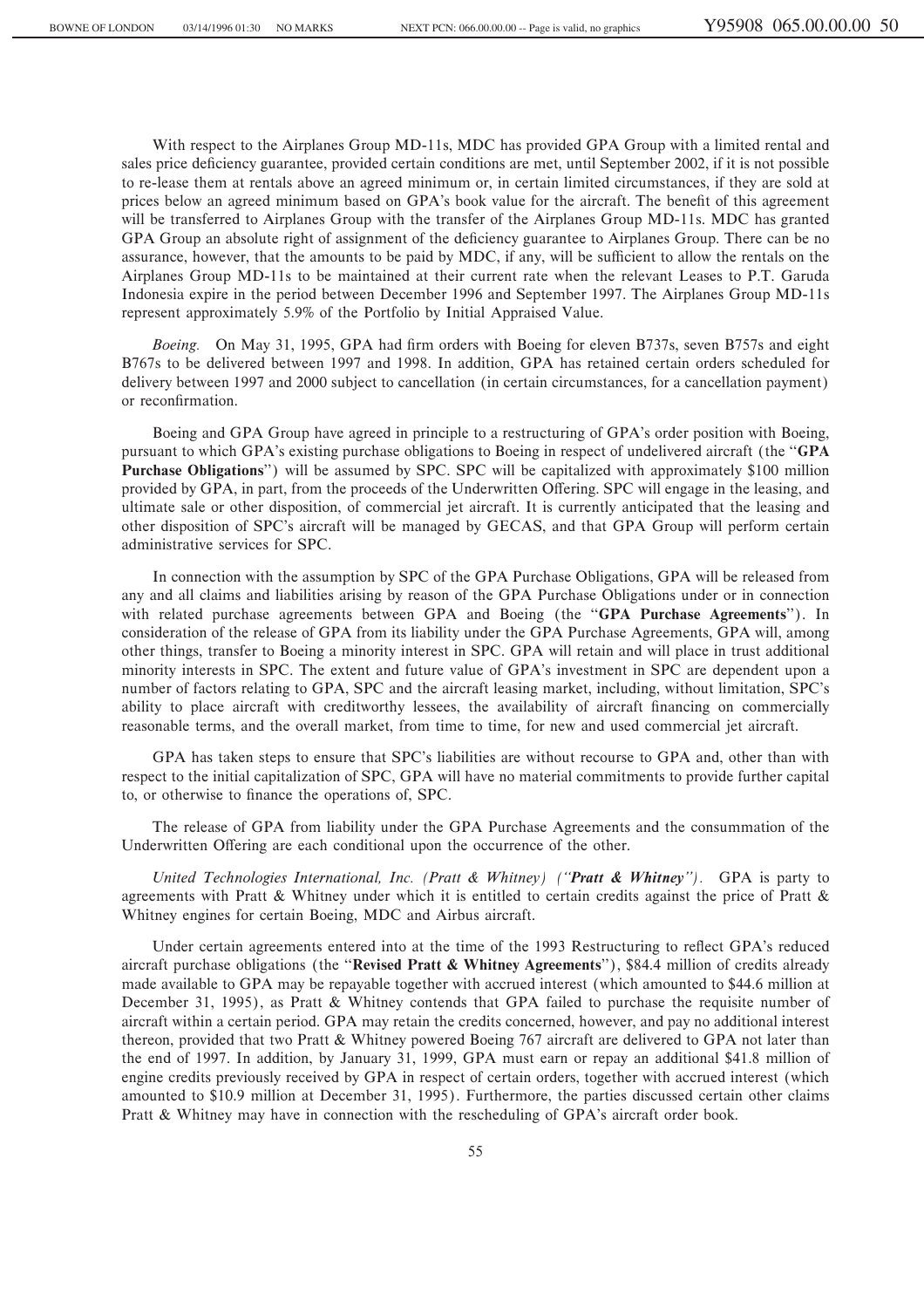With respect to the Airplanes Group MD-11s, MDC has provided GPA Group with a limited rental and sales price deficiency guarantee, provided certain conditions are met, until September 2002, if it is not possible to re-lease them at rentals above an agreed minimum or, in certain limited circumstances, if they are sold at prices below an agreed minimum based on GPA's book value for the aircraft. The benefit of this agreement will be transferred to Airplanes Group with the transfer of the Airplanes Group MD-11s. MDC has granted GPA Group an absolute right of assignment of the deficiency guarantee to Airplanes Group. There can be no assurance, however, that the amounts to be paid by MDC, if any, will be sufficient to allow the rentals on the Airplanes Group MD-11s to be maintained at their current rate when the relevant Leases to P.T. Garuda Indonesia expire in the period between December 1996 and September 1997. The Airplanes Group MD-11s represent approximately 5.9% of the Portfolio by Initial Appraised Value.

*Boeing.* On May 31, 1995, GPA had firm orders with Boeing for eleven B737s, seven B757s and eight B767s to be delivered between 1997 and 1998. In addition, GPA has retained certain orders scheduled for delivery between 1997 and 2000 subject to cancellation (in certain circumstances, for a cancellation payment) or reconfirmation.

Boeing and GPA Group have agreed in principle to a restructuring of GPA's order position with Boeing, pursuant to which GPA's existing purchase obligations to Boeing in respect of undelivered aircraft (the ""**GPA Purchase Obligations**'') will be assumed by SPC. SPC will be capitalized with approximately \$100 million provided by GPA, in part, from the proceeds of the Underwritten Offering. SPC will engage in the leasing, and ultimate sale or other disposition, of commercial jet aircraft. It is currently anticipated that the leasing and other disposition of SPC's aircraft will be managed by GECAS, and that GPA Group will perform certain administrative services for SPC.

In connection with the assumption by SPC of the GPA Purchase Obligations, GPA will be released from any and all claims and liabilities arising by reason of the GPA Purchase Obligations under or in connection with related purchase agreements between GPA and Boeing (the ""**GPA Purchase Agreements**''). In consideration of the release of GPA from its liability under the GPA Purchase Agreements, GPA will, among other things, transfer to Boeing a minority interest in SPC. GPA will retain and will place in trust additional minority interests in SPC. The extent and future value of GPA's investment in SPC are dependent upon a number of factors relating to GPA, SPC and the aircraft leasing market, including, without limitation, SPC's ability to place aircraft with creditworthy lessees, the availability of aircraft financing on commercially reasonable terms, and the overall market, from time to time, for new and used commercial jet aircraft.

GPA has taken steps to ensure that SPC's liabilities are without recourse to GPA and, other than with respect to the initial capitalization of SPC, GPA will have no material commitments to provide further capital to, or otherwise to finance the operations of, SPC.

The release of GPA from liability under the GPA Purchase Agreements and the consummation of the Underwritten Offering are each conditional upon the occurrence of the other.

*United Technologies International, Inc. (Pratt & Whitney) (""Pratt & Whitney'').* GPA is party to agreements with Pratt & Whitney under which it is entitled to certain credits against the price of Pratt & Whitney engines for certain Boeing, MDC and Airbus aircraft.

Under certain agreements entered into at the time of the 1993 Restructuring to reflect GPA's reduced aircraft purchase obligations (the ""**Revised Pratt & Whitney Agreements**''), \$84.4 million of credits already made available to GPA may be repayable together with accrued interest (which amounted to \$44.6 million at December 31, 1995), as Pratt & Whitney contends that GPA failed to purchase the requisite number of aircraft within a certain period. GPA may retain the credits concerned, however, and pay no additional interest thereon, provided that two Pratt & Whitney powered Boeing 767 aircraft are delivered to GPA not later than the end of 1997. In addition, by January 31, 1999, GPA must earn or repay an additional \$41.8 million of engine credits previously received by GPA in respect of certain orders, together with accrued interest (which amounted to \$10.9 million at December 31, 1995). Furthermore, the parties discussed certain other claims Pratt & Whitney may have in connection with the rescheduling of GPA's aircraft order book.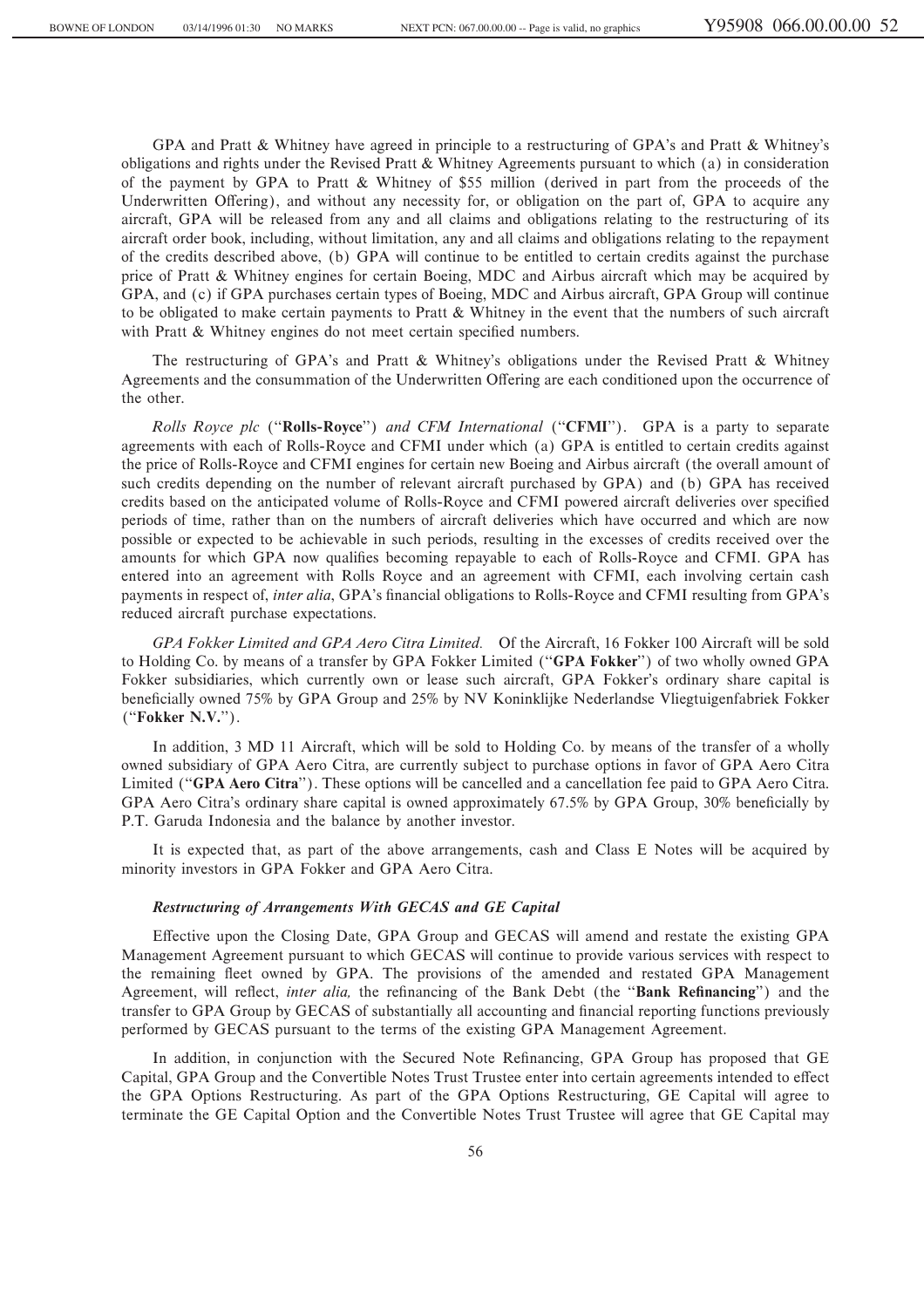GPA and Pratt & Whitney have agreed in principle to a restructuring of GPA's and Pratt & Whitney's obligations and rights under the Revised Pratt & Whitney Agreements pursuant to which (a) in consideration of the payment by GPA to Pratt & Whitney of \$55 million (derived in part from the proceeds of the Underwritten Offering), and without any necessity for, or obligation on the part of, GPA to acquire any aircraft, GPA will be released from any and all claims and obligations relating to the restructuring of its aircraft order book, including, without limitation, any and all claims and obligations relating to the repayment of the credits described above, (b) GPA will continue to be entitled to certain credits against the purchase price of Pratt & Whitney engines for certain Boeing, MDC and Airbus aircraft which may be acquired by GPA, and (c) if GPA purchases certain types of Boeing, MDC and Airbus aircraft, GPA Group will continue to be obligated to make certain payments to Pratt & Whitney in the event that the numbers of such aircraft with Pratt  $&$  Whitney engines do not meet certain specified numbers.

The restructuring of GPA's and Pratt & Whitney's obligations under the Revised Pratt & Whitney Agreements and the consummation of the Underwritten Offering are each conditioned upon the occurrence of the other.

*Rolls Royce plc* (""**Rolls-Royce**'') *and CFM International* (""**CFMI**''). GPA is a party to separate agreements with each of Rolls-Royce and CFMI under which (a) GPA is entitled to certain credits against the price of Rolls-Royce and CFMI engines for certain new Boeing and Airbus aircraft (the overall amount of such credits depending on the number of relevant aircraft purchased by GPA) and (b) GPA has received credits based on the anticipated volume of Rolls-Royce and CFMI powered aircraft deliveries over specified periods of time, rather than on the numbers of aircraft deliveries which have occurred and which are now possible or expected to be achievable in such periods, resulting in the excesses of credits received over the amounts for which GPA now qualifies becoming repayable to each of Rolls-Royce and CFMI. GPA has entered into an agreement with Rolls Royce and an agreement with CFMI, each involving certain cash payments in respect of, *inter alia*, GPA's financial obligations to Rolls-Royce and CFMI resulting from GPA's reduced aircraft purchase expectations.

*GPA Fokker Limited and GPA Aero Citra Limited.* Of the Aircraft, 16 Fokker 100 Aircraft will be sold to Holding Co. by means of a transfer by GPA Fokker Limited (""**GPA Fokker**'') of two wholly owned GPA Fokker subsidiaries, which currently own or lease such aircraft, GPA Fokker's ordinary share capital is beneficially owned 75% by GPA Group and 25% by NV Koninklijke Nederlandse Vliegtuigenfabriek Fokker (""**Fokker N.V.**'').

In addition, 3 MD 11 Aircraft, which will be sold to Holding Co. by means of the transfer of a wholly owned subsidiary of GPA Aero Citra, are currently subject to purchase options in favor of GPA Aero Citra Limited (""**GPA Aero Citra**''). These options will be cancelled and a cancellation fee paid to GPA Aero Citra. GPA Aero Citra's ordinary share capital is owned approximately 67.5% by GPA Group, 30% beneficially by P.T. Garuda Indonesia and the balance by another investor.

It is expected that, as part of the above arrangements, cash and Class E Notes will be acquired by minority investors in GPA Fokker and GPA Aero Citra.

### *Restructuring of Arrangements With GECAS and GE Capital*

Effective upon the Closing Date, GPA Group and GECAS will amend and restate the existing GPA Management Agreement pursuant to which GECAS will continue to provide various services with respect to the remaining fleet owned by GPA. The provisions of the amended and restated GPA Management Agreement, will reflect, *inter alia*, the refinancing of the Bank Debt (the "Bank Refinancing") and the transfer to GPA Group by GECAS of substantially all accounting and financial reporting functions previously performed by GECAS pursuant to the terms of the existing GPA Management Agreement.

In addition, in conjunction with the Secured Note Refinancing, GPA Group has proposed that GE Capital, GPA Group and the Convertible Notes Trust Trustee enter into certain agreements intended to effect the GPA Options Restructuring. As part of the GPA Options Restructuring, GE Capital will agree to terminate the GE Capital Option and the Convertible Notes Trust Trustee will agree that GE Capital may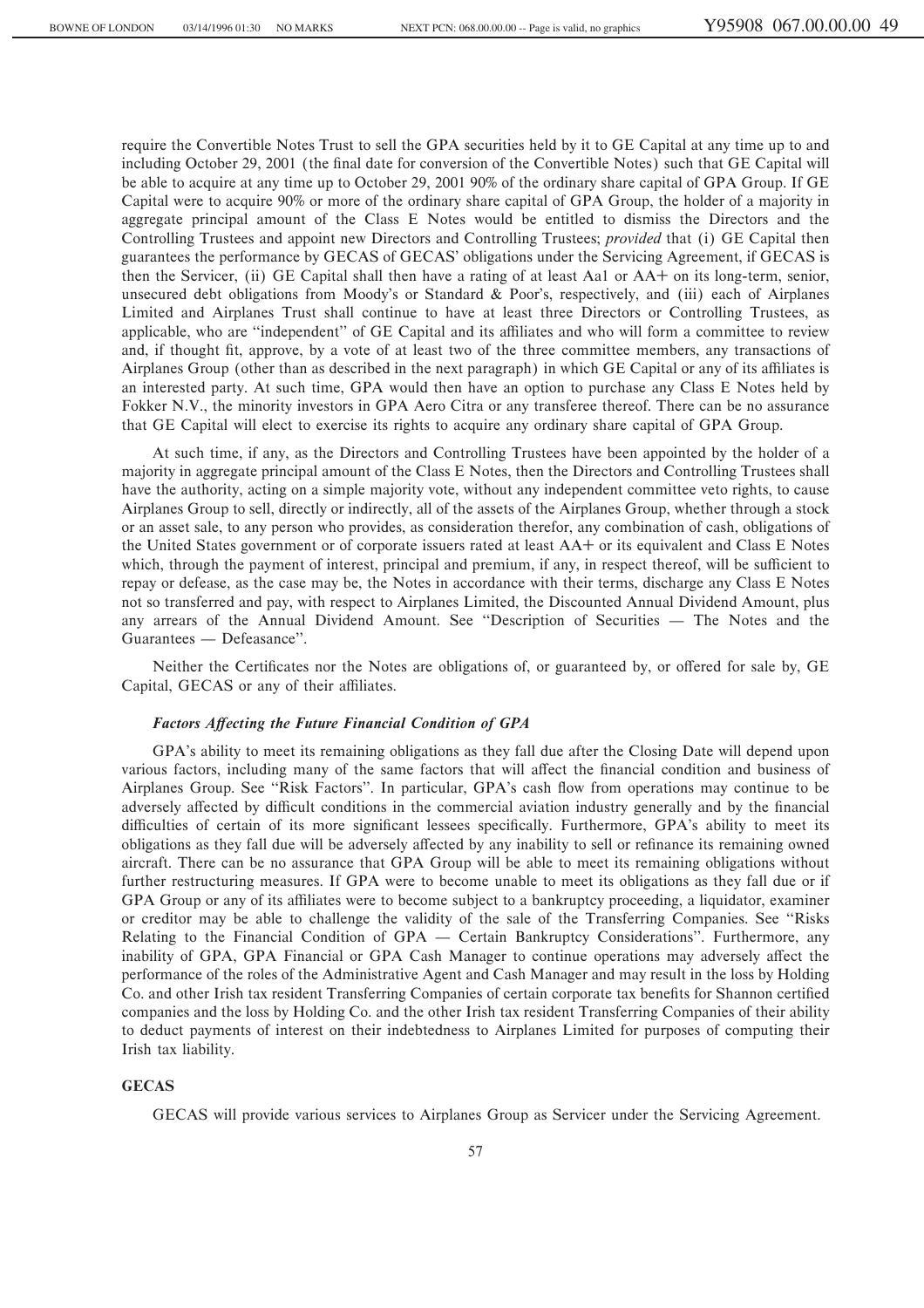require the Convertible Notes Trust to sell the GPA securities held by it to GE Capital at any time up to and including October 29, 2001 (the final date for conversion of the Convertible Notes) such that GE Capital will be able to acquire at any time up to October 29, 2001 90% of the ordinary share capital of GPA Group. If GE Capital were to acquire 90% or more of the ordinary share capital of GPA Group, the holder of a majority in aggregate principal amount of the Class E Notes would be entitled to dismiss the Directors and the Controlling Trustees and appoint new Directors and Controlling Trustees; *provided* that (i) GE Capital then guarantees the performance by GECAS of GECAS' obligations under the Servicing Agreement, if GECAS is then the Servicer, (ii) GE Capital shall then have a rating of at least Aa1 or AA+ on its long-term, senior, unsecured debt obligations from Moody's or Standard & Poor's, respectively, and (iii) each of Airplanes Limited and Airplanes Trust shall continue to have at least three Directors or Controlling Trustees, as applicable, who are "independent" of GE Capital and its affiliates and who will form a committee to review and, if thought fit, approve, by a vote of at least two of the three committee members, any transactions of Airplanes Group (other than as described in the next paragraph) in which GE Capital or any of its affiliates is an interested party. At such time, GPA would then have an option to purchase any Class E Notes held by Fokker N.V., the minority investors in GPA Aero Citra or any transferee thereof. There can be no assurance that GE Capital will elect to exercise its rights to acquire any ordinary share capital of GPA Group.

At such time, if any, as the Directors and Controlling Trustees have been appointed by the holder of a majority in aggregate principal amount of the Class E Notes, then the Directors and Controlling Trustees shall have the authority, acting on a simple majority vote, without any independent committee veto rights, to cause Airplanes Group to sell, directly or indirectly, all of the assets of the Airplanes Group, whether through a stock or an asset sale, to any person who provides, as consideration therefor, any combination of cash, obligations of the United States government or of corporate issuers rated at least AA+ or its equivalent and Class E Notes which, through the payment of interest, principal and premium, if any, in respect thereof, will be sufficient to repay or defease, as the case may be, the Notes in accordance with their terms, discharge any Class E Notes not so transferred and pay, with respect to Airplanes Limited, the Discounted Annual Dividend Amount, plus any arrears of the Annual Dividend Amount. See "Description of Securities — The Notes and the Guarantees — Defeasance".

Neither the Certificates nor the Notes are obligations of, or guaranteed by, or offered for sale by, GE Capital, GECAS or any of their affiliates.

### *Factors AÅecting the Future Financial Condition of GPA*

GPA's ability to meet its remaining obligations as they fall due after the Closing Date will depend upon various factors, including many of the same factors that will affect the financial condition and business of Airplanes Group. See "Risk Factors". In particular, GPA's cash flow from operations may continue to be adversely affected by difficult conditions in the commercial aviation industry generally and by the financial difficulties of certain of its more significant lessees specifically. Furthermore, GPA's ability to meet its obligations as they fall due will be adversely affected by any inability to sell or refinance its remaining owned aircraft. There can be no assurance that GPA Group will be able to meet its remaining obligations without further restructuring measures. If GPA were to become unable to meet its obligations as they fall due or if GPA Group or any of its affiliates were to become subject to a bankruptcy proceeding, a liquidator, examiner or creditor may be able to challenge the validity of the sale of the Transferring Companies. See ""Risks Relating to the Financial Condition of GPA  $-$  Certain Bankruptcy Considerations''. Furthermore, any inability of GPA, GPA Financial or GPA Cash Manager to continue operations may adversely affect the performance of the roles of the Administrative Agent and Cash Manager and may result in the loss by Holding Co. and other Irish tax resident Transferring Companies of certain corporate tax benefits for Shannon certified companies and the loss by Holding Co. and the other Irish tax resident Transferring Companies of their ability to deduct payments of interest on their indebtedness to Airplanes Limited for purposes of computing their Irish tax liability.

#### **GECAS**

GECAS will provide various services to Airplanes Group as Servicer under the Servicing Agreement.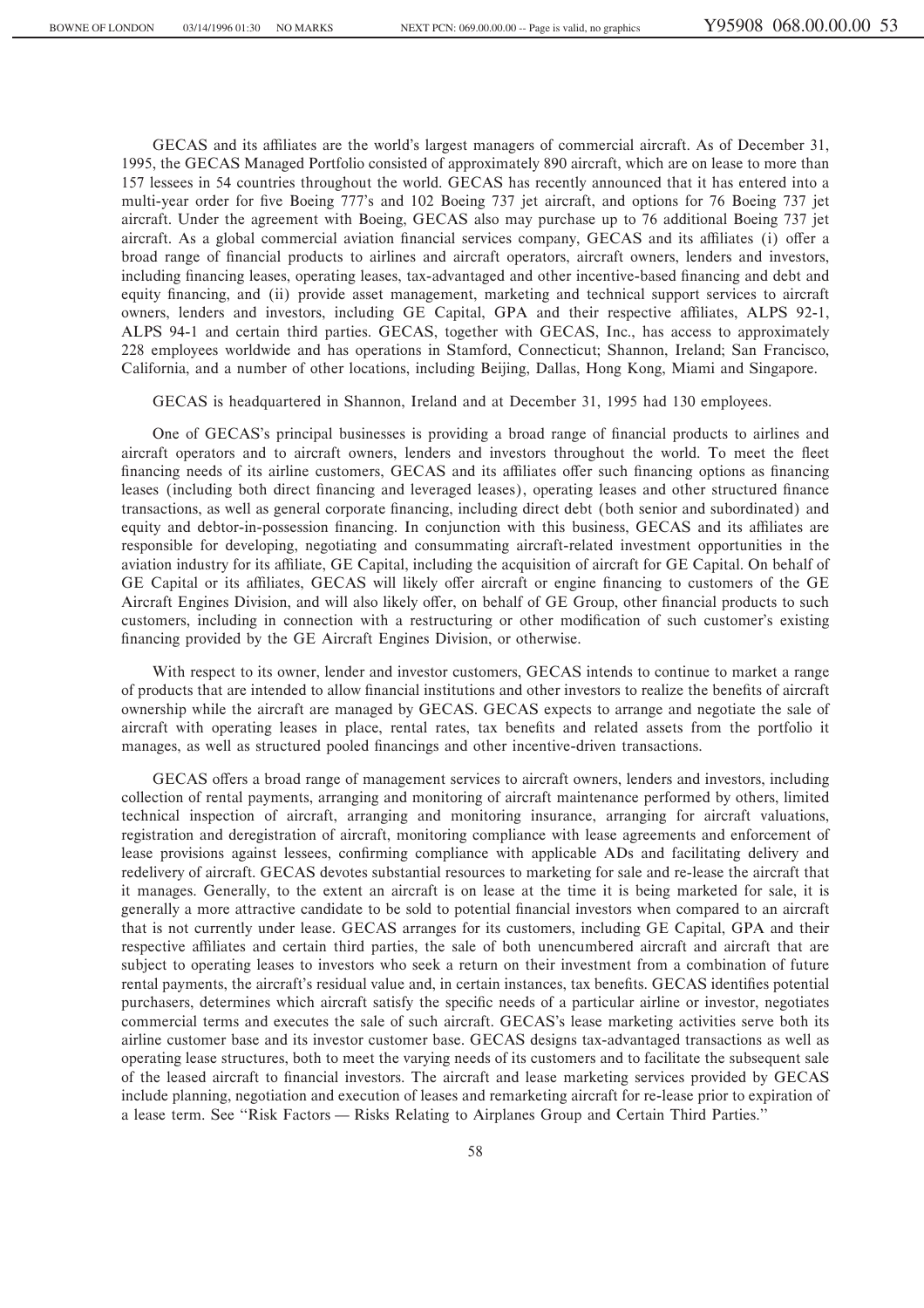GECAS and its affiliates are the world's largest managers of commercial aircraft. As of December 31, 1995, the GECAS Managed Portfolio consisted of approximately 890 aircraft, which are on lease to more than 157 lessees in 54 countries throughout the world. GECAS has recently announced that it has entered into a multi-year order for Ñve Boeing 777's and 102 Boeing 737 jet aircraft, and options for 76 Boeing 737 jet aircraft. Under the agreement with Boeing, GECAS also may purchase up to 76 additional Boeing 737 jet aircraft. As a global commercial aviation financial services company, GECAS and its affiliates (i) offer a broad range of financial products to airlines and aircraft operators, aircraft owners, lenders and investors, including financing leases, operating leases, tax-advantaged and other incentive-based financing and debt and equity financing, and (ii) provide asset management, marketing and technical support services to aircraft owners, lenders and investors, including GE Capital, GPA and their respective affiliates, ALPS 92-1, ALPS 94-1 and certain third parties. GECAS, together with GECAS, Inc., has access to approximately 228 employees worldwide and has operations in Stamford, Connecticut; Shannon, Ireland; San Francisco, California, and a number of other locations, including Beijing, Dallas, Hong Kong, Miami and Singapore.

GECAS is headquartered in Shannon, Ireland and at December 31, 1995 had 130 employees.

One of GECAS's principal businesses is providing a broad range of financial products to airlines and aircraft operators and to aircraft owners, lenders and investors throughout the world. To meet the fleet financing needs of its airline customers, GECAS and its affiliates offer such financing options as financing leases (including both direct financing and leveraged leases), operating leases and other structured finance transactions, as well as general corporate Ñnancing, including direct debt (both senior and subordinated) and equity and debtor-in-possession financing. In conjunction with this business, GECAS and its affiliates are responsible for developing, negotiating and consummating aircraft-related investment opportunities in the aviation industry for its affiliate, GE Capital, including the acquisition of aircraft for GE Capital. On behalf of GE Capital or its affiliates, GECAS will likely offer aircraft or engine financing to customers of the GE Aircraft Engines Division, and will also likely offer, on behalf of GE Group, other financial products to such customers, including in connection with a restructuring or other modification of such customer's existing financing provided by the GE Aircraft Engines Division, or otherwise.

With respect to its owner, lender and investor customers, GECAS intends to continue to market a range of products that are intended to allow financial institutions and other investors to realize the benefits of aircraft ownership while the aircraft are managed by GECAS. GECAS expects to arrange and negotiate the sale of aircraft with operating leases in place, rental rates, tax benefits and related assets from the portfolio it manages, as well as structured pooled financings and other incentive-driven transactions.

GECAS offers a broad range of management services to aircraft owners, lenders and investors, including collection of rental payments, arranging and monitoring of aircraft maintenance performed by others, limited technical inspection of aircraft, arranging and monitoring insurance, arranging for aircraft valuations, registration and deregistration of aircraft, monitoring compliance with lease agreements and enforcement of lease provisions against lessees, confirming compliance with applicable ADs and facilitating delivery and redelivery of aircraft. GECAS devotes substantial resources to marketing for sale and re-lease the aircraft that it manages. Generally, to the extent an aircraft is on lease at the time it is being marketed for sale, it is generally a more attractive candidate to be sold to potential financial investors when compared to an aircraft that is not currently under lease. GECAS arranges for its customers, including GE Capital, GPA and their respective affiliates and certain third parties, the sale of both unencumbered aircraft and aircraft that are subject to operating leases to investors who seek a return on their investment from a combination of future rental payments, the aircraft's residual value and, in certain instances, tax benefits. GECAS identifies potential purchasers, determines which aircraft satisfy the specific needs of a particular airline or investor, negotiates commercial terms and executes the sale of such aircraft. GECAS's lease marketing activities serve both its airline customer base and its investor customer base. GECAS designs tax-advantaged transactions as well as operating lease structures, both to meet the varying needs of its customers and to facilitate the subsequent sale of the leased aircraft to financial investors. The aircraft and lease marketing services provided by GECAS include planning, negotiation and execution of leases and remarketing aircraft for re-lease prior to expiration of a lease term. See "Risk Factors — Risks Relating to Airplanes Group and Certain Third Parties."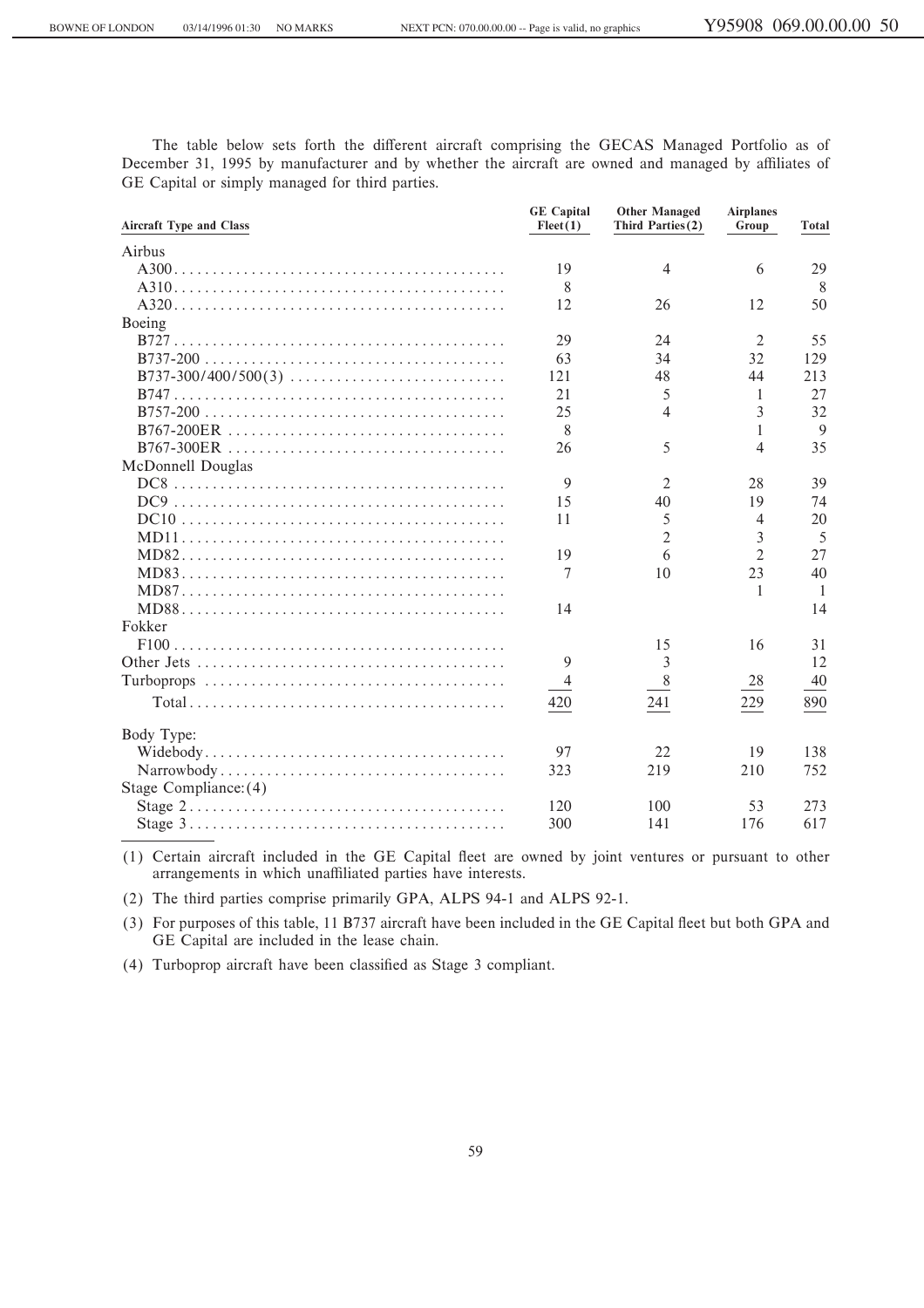The table below sets forth the different aircraft comprising the GECAS Managed Portfolio as of December 31, 1995 by manufacturer and by whether the aircraft are owned and managed by affiliates of GE Capital or simply managed for third parties.

| <b>Aircraft Type and Class</b>                                                                       | <b>GE</b> Capital<br>Fleet(1) | <b>Other Managed</b><br>Third Parties(2) | <b>Airplanes</b><br>Group | <b>Total</b>   |
|------------------------------------------------------------------------------------------------------|-------------------------------|------------------------------------------|---------------------------|----------------|
| Airbus                                                                                               |                               |                                          |                           |                |
|                                                                                                      | 19                            | $\overline{4}$                           | 6                         | 29             |
|                                                                                                      | 8                             |                                          |                           | 8              |
|                                                                                                      | 12                            | 26                                       | 12                        | 50             |
| Boeing                                                                                               |                               |                                          |                           |                |
|                                                                                                      | 29                            | 24                                       | $\overline{2}$            | 55             |
|                                                                                                      | 63                            | 34                                       | 32                        | 129            |
| B737-300/400/500(3)                                                                                  | 121                           | 48                                       | 44                        | 213            |
|                                                                                                      | 21                            | 5                                        | 1                         | 27             |
|                                                                                                      | 25                            | 4                                        | 3                         | 32             |
|                                                                                                      | 8                             |                                          | 1                         | 9              |
|                                                                                                      | 26                            | 5                                        | 4                         | 35             |
| McDonnell Douglas                                                                                    |                               |                                          |                           |                |
|                                                                                                      | 9                             | $\overline{2}$                           | 28                        | 39             |
|                                                                                                      | 15                            | 40                                       | 19                        | 74             |
|                                                                                                      | 11                            | 5                                        | 4                         | 20             |
|                                                                                                      |                               | $\overline{2}$                           | 3                         | 5              |
|                                                                                                      | 19                            | 6                                        | 2                         | 27             |
|                                                                                                      | 7                             | 10                                       | 23                        | 40             |
|                                                                                                      |                               |                                          | 1                         | $\overline{1}$ |
|                                                                                                      | 14                            |                                          |                           | 14             |
| Fokker                                                                                               |                               |                                          |                           |                |
|                                                                                                      |                               | 15                                       | 16                        | 31             |
|                                                                                                      | 9                             | 3                                        |                           | 12             |
|                                                                                                      | $\overline{4}$                | 8                                        | 28                        | 40             |
|                                                                                                      | 420                           | 241                                      | 229                       | 890            |
| Body Type:                                                                                           |                               |                                          |                           |                |
|                                                                                                      | 97                            | 22                                       | 19                        | 138            |
|                                                                                                      | 323                           | 219                                      | 210                       | 752            |
| Stage Compliance: (4)                                                                                |                               |                                          |                           |                |
| Stage $2 \ldots \ldots \ldots \ldots \ldots \ldots \ldots \ldots \ldots \ldots \ldots \ldots \ldots$ | 120                           | 100                                      | 53                        | 273            |
|                                                                                                      | 300                           | 141                                      | 176                       | 617            |

(1) Certain aircraft included in the GE Capital fleet are owned by joint ventures or pursuant to other arrangements in which unaffiliated parties have interests.

(2) The third parties comprise primarily GPA, ALPS 94-1 and ALPS 92-1.

(3) For purposes of this table, 11 B737 aircraft have been included in the GE Capital Öeet but both GPA and GE Capital are included in the lease chain.

(4) Turboprop aircraft have been classified as Stage 3 compliant.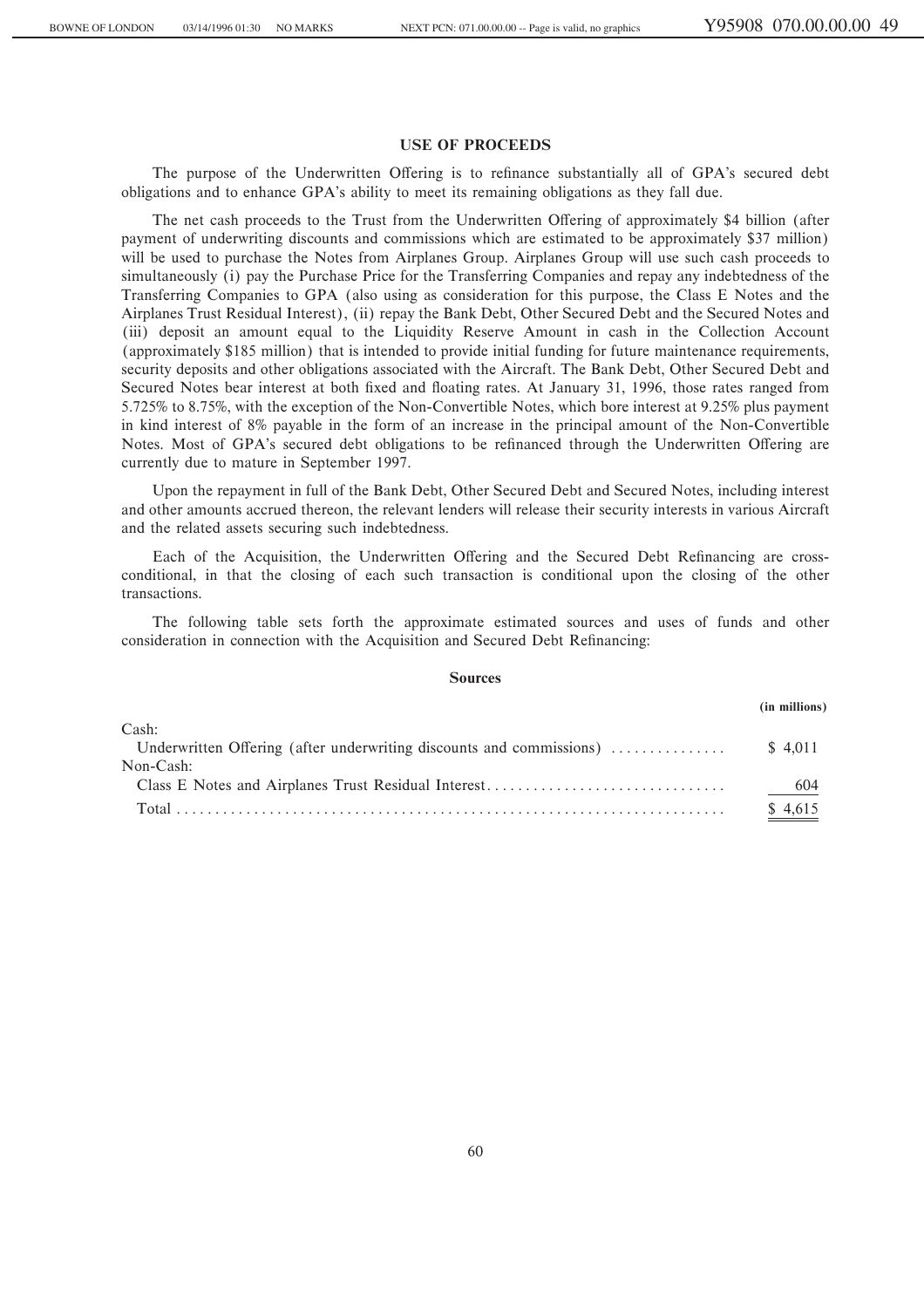## **USE OF PROCEEDS**

The purpose of the Underwritten Offering is to refinance substantially all of GPA's secured debt obligations and to enhance GPA's ability to meet its remaining obligations as they fall due.

The net cash proceeds to the Trust from the Underwritten Offering of approximately \$4 billion (after payment of underwriting discounts and commissions which are estimated to be approximately \$37 million) will be used to purchase the Notes from Airplanes Group. Airplanes Group will use such cash proceeds to simultaneously (i) pay the Purchase Price for the Transferring Companies and repay any indebtedness of the Transferring Companies to GPA (also using as consideration for this purpose, the Class E Notes and the Airplanes Trust Residual Interest), (ii) repay the Bank Debt, Other Secured Debt and the Secured Notes and (iii) deposit an amount equal to the Liquidity Reserve Amount in cash in the Collection Account (approximately \$185 million) that is intended to provide initial funding for future maintenance requirements, security deposits and other obligations associated with the Aircraft. The Bank Debt, Other Secured Debt and Secured Notes bear interest at both fixed and floating rates. At January 31, 1996, those rates ranged from 5.725% to 8.75%, with the exception of the Non-Convertible Notes, which bore interest at 9.25% plus payment in kind interest of 8% payable in the form of an increase in the principal amount of the Non-Convertible Notes. Most of GPA's secured debt obligations to be refinanced through the Underwritten Offering are currently due to mature in September 1997.

Upon the repayment in full of the Bank Debt, Other Secured Debt and Secured Notes, including interest and other amounts accrued thereon, the relevant lenders will release their security interests in various Aircraft and the related assets securing such indebtedness.

Each of the Acquisition, the Underwritten Offering and the Secured Debt Refinancing are crossconditional, in that the closing of each such transaction is conditional upon the closing of the other transactions.

The following table sets forth the approximate estimated sources and uses of funds and other consideration in connection with the Acquisition and Secured Debt Refinancing:

#### **Sources**

|           | (in millions) |
|-----------|---------------|
| Cash:     |               |
|           |               |
| Non-Cash: |               |
|           | 604           |
|           | \$4.615       |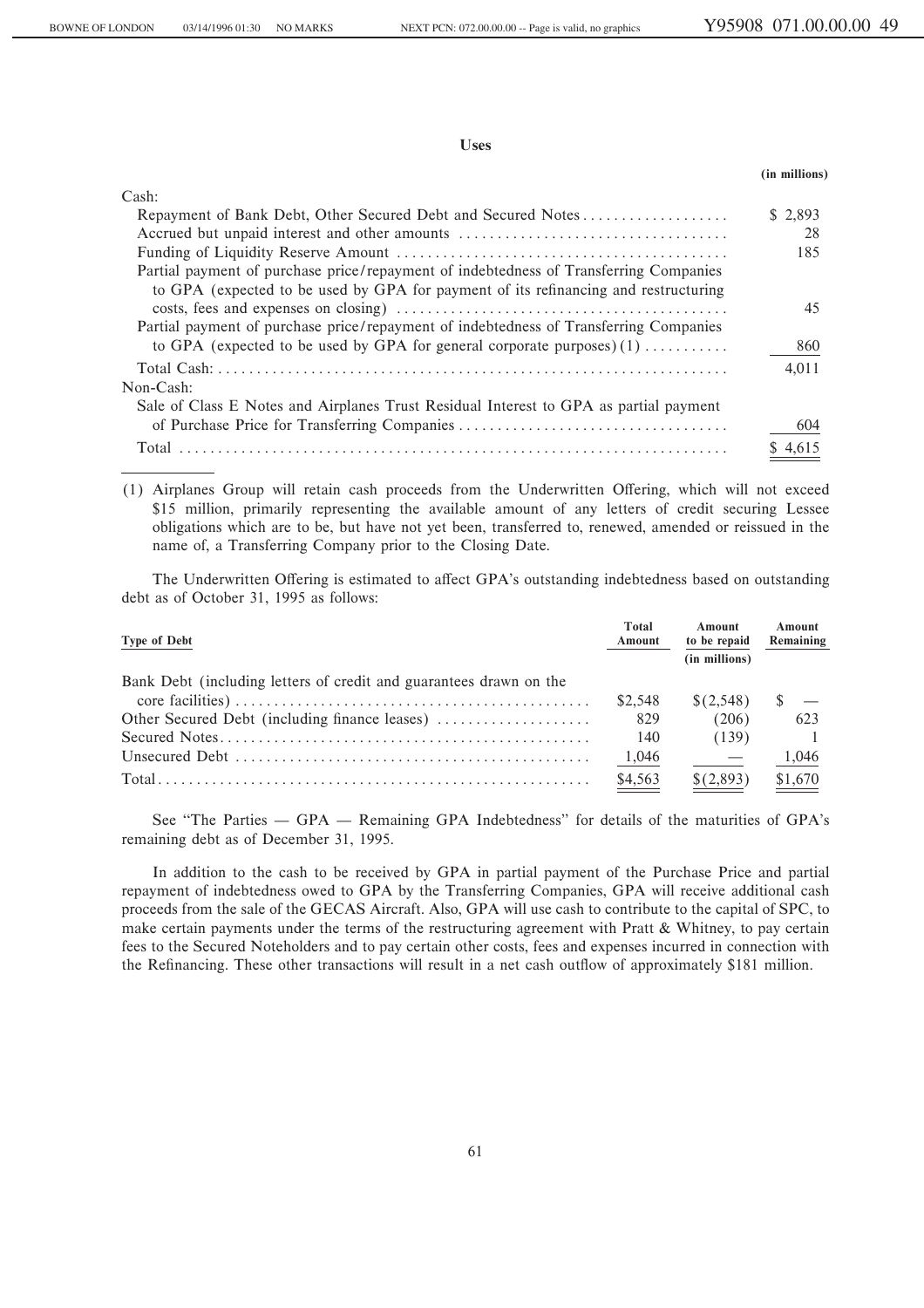**Uses**

|                                                                                                                                                                              | (in millions) |
|------------------------------------------------------------------------------------------------------------------------------------------------------------------------------|---------------|
| Cash:                                                                                                                                                                        |               |
| Repayment of Bank Debt, Other Secured Debt and Secured Notes                                                                                                                 | \$2,893       |
| Accrued but unpaid interest and other amounts                                                                                                                                | 28            |
|                                                                                                                                                                              | 185           |
| Partial payment of purchase price/repayment of indebtedness of Transferring Companies<br>to GPA (expected to be used by GPA for payment of its refinancing and restructuring |               |
| Partial payment of purchase price/repayment of indebtedness of Transferring Companies                                                                                        | 45            |
| to GPA (expected to be used by GPA for general corporate purposes) $(1)$                                                                                                     | 860           |
| Non-Cash:                                                                                                                                                                    | 4.011         |
| Sale of Class E Notes and Airplanes Trust Residual Interest to GPA as partial payment                                                                                        |               |
| of Purchase Price for Transferring Companies                                                                                                                                 | 604           |
|                                                                                                                                                                              | \$4.61        |

(1) Airplanes Group will retain cash proceeds from the Underwritten Offering, which will not exceed \$15 million, primarily representing the available amount of any letters of credit securing Lessee obligations which are to be, but have not yet been, transferred to, renewed, amended or reissued in the name of, a Transferring Company prior to the Closing Date.

The Underwritten Offering is estimated to affect GPA's outstanding indebtedness based on outstanding debt as of October 31, 1995 as follows:

| <b>Type of Debt</b>                                                | Total<br>Amount | Amount<br>to be repaid | Amount<br>Remaining |
|--------------------------------------------------------------------|-----------------|------------------------|---------------------|
|                                                                    |                 | (in millions)          |                     |
| Bank Debt (including letters of credit and guarantees drawn on the |                 |                        |                     |
|                                                                    | \$2.548         | \$(2.548)              |                     |
| Other Secured Debt (including finance leases)                      | 829             | (206)                  | 623                 |
|                                                                    | 140             | (139)                  |                     |
|                                                                    | 1,046           |                        | 1,046               |
|                                                                    | \$4,563         | \$(2,893)              | \$1,670             |

See "The Parties — GPA — Remaining GPA Indebtedness" for details of the maturities of GPA's remaining debt as of December 31, 1995.

In addition to the cash to be received by GPA in partial payment of the Purchase Price and partial repayment of indebtedness owed to GPA by the Transferring Companies, GPA will receive additional cash proceeds from the sale of the GECAS Aircraft. Also, GPA will use cash to contribute to the capital of SPC, to make certain payments under the terms of the restructuring agreement with Pratt & Whitney, to pay certain fees to the Secured Noteholders and to pay certain other costs, fees and expenses incurred in connection with the Refinancing. These other transactions will result in a net cash outflow of approximately \$181 million.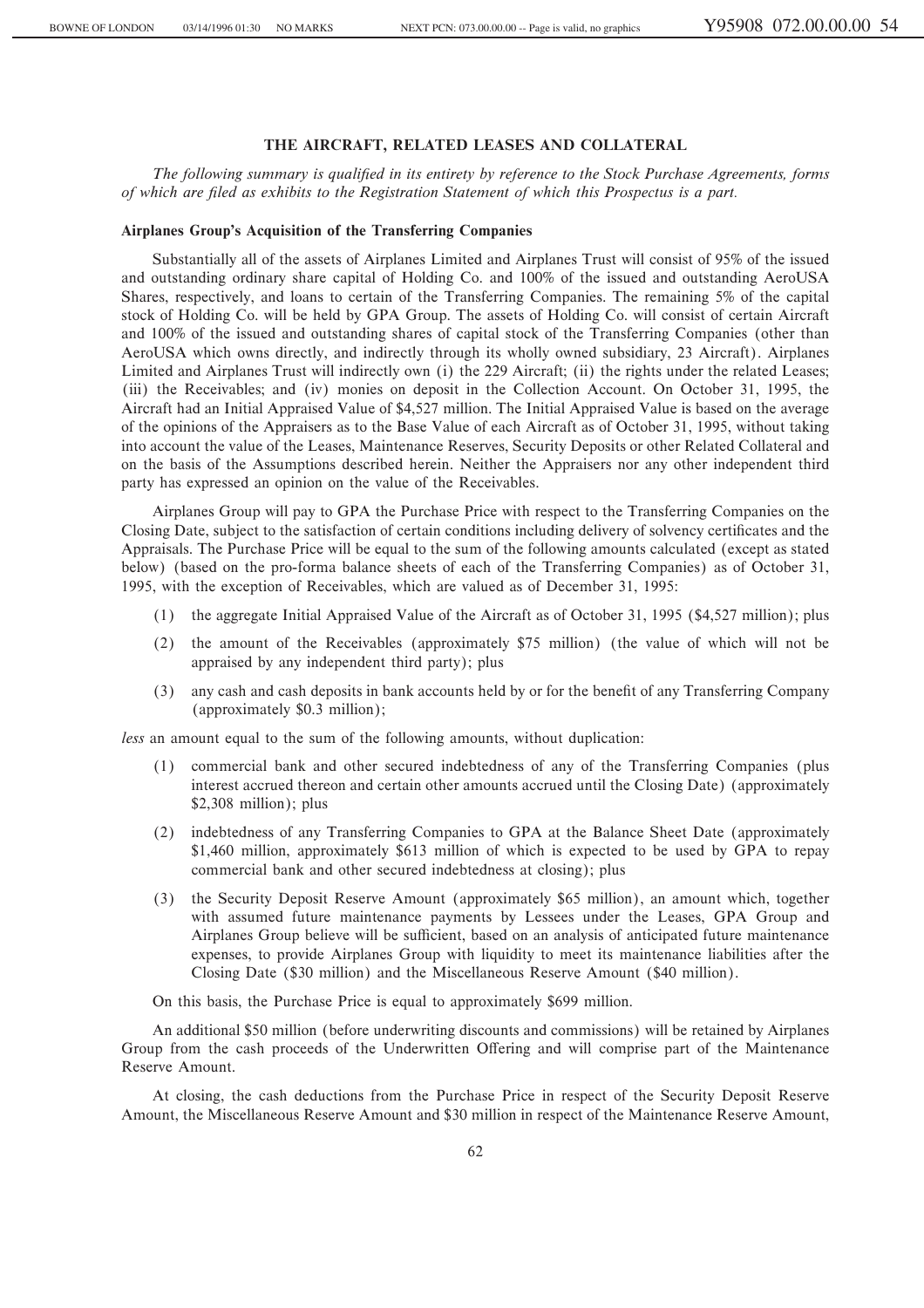## **THE AIRCRAFT, RELATED LEASES AND COLLATERAL**

The following summary is qualified in its entirety by reference to the Stock Purchase Agreements, forms *of which are Ñled as exhibits to the Registration Statement of which this Prospectus is a part.*

#### **Airplanes Group's Acquisition of the Transferring Companies**

Substantially all of the assets of Airplanes Limited and Airplanes Trust will consist of 95% of the issued and outstanding ordinary share capital of Holding Co. and 100% of the issued and outstanding AeroUSA Shares, respectively, and loans to certain of the Transferring Companies. The remaining 5% of the capital stock of Holding Co. will be held by GPA Group. The assets of Holding Co. will consist of certain Aircraft and 100% of the issued and outstanding shares of capital stock of the Transferring Companies (other than AeroUSA which owns directly, and indirectly through its wholly owned subsidiary, 23 Aircraft). Airplanes Limited and Airplanes Trust will indirectly own (i) the 229 Aircraft; (ii) the rights under the related Leases; (iii) the Receivables; and (iv) monies on deposit in the Collection Account. On October 31, 1995, the Aircraft had an Initial Appraised Value of \$4,527 million. The Initial Appraised Value is based on the average of the opinions of the Appraisers as to the Base Value of each Aircraft as of October 31, 1995, without taking into account the value of the Leases, Maintenance Reserves, Security Deposits or other Related Collateral and on the basis of the Assumptions described herein. Neither the Appraisers nor any other independent third party has expressed an opinion on the value of the Receivables.

Airplanes Group will pay to GPA the Purchase Price with respect to the Transferring Companies on the Closing Date, subject to the satisfaction of certain conditions including delivery of solvency certificates and the Appraisals. The Purchase Price will be equal to the sum of the following amounts calculated (except as stated below) (based on the pro-forma balance sheets of each of the Transferring Companies) as of October 31, 1995, with the exception of Receivables, which are valued as of December 31, 1995:

- (1) the aggregate Initial Appraised Value of the Aircraft as of October 31, 1995 (\$4,527 million); plus
- (2) the amount of the Receivables (approximately \$75 million) (the value of which will not be appraised by any independent third party); plus
- (3) any cash and cash deposits in bank accounts held by or for the beneÑt of any Transferring Company (approximately \$0.3 million);

*less* an amount equal to the sum of the following amounts, without duplication:

- (1) commercial bank and other secured indebtedness of any of the Transferring Companies (plus interest accrued thereon and certain other amounts accrued until the Closing Date) (approximately \$2,308 million); plus
- (2) indebtedness of any Transferring Companies to GPA at the Balance Sheet Date (approximately \$1,460 million, approximately \$613 million of which is expected to be used by GPA to repay commercial bank and other secured indebtedness at closing); plus
- (3) the Security Deposit Reserve Amount (approximately \$65 million), an amount which, together with assumed future maintenance payments by Lessees under the Leases, GPA Group and Airplanes Group believe will be sufficient, based on an analysis of anticipated future maintenance expenses, to provide Airplanes Group with liquidity to meet its maintenance liabilities after the Closing Date (\$30 million) and the Miscellaneous Reserve Amount (\$40 million).

On this basis, the Purchase Price is equal to approximately \$699 million.

An additional \$50 million (before underwriting discounts and commissions) will be retained by Airplanes Group from the cash proceeds of the Underwritten Offering and will comprise part of the Maintenance Reserve Amount.

At closing, the cash deductions from the Purchase Price in respect of the Security Deposit Reserve Amount, the Miscellaneous Reserve Amount and \$30 million in respect of the Maintenance Reserve Amount,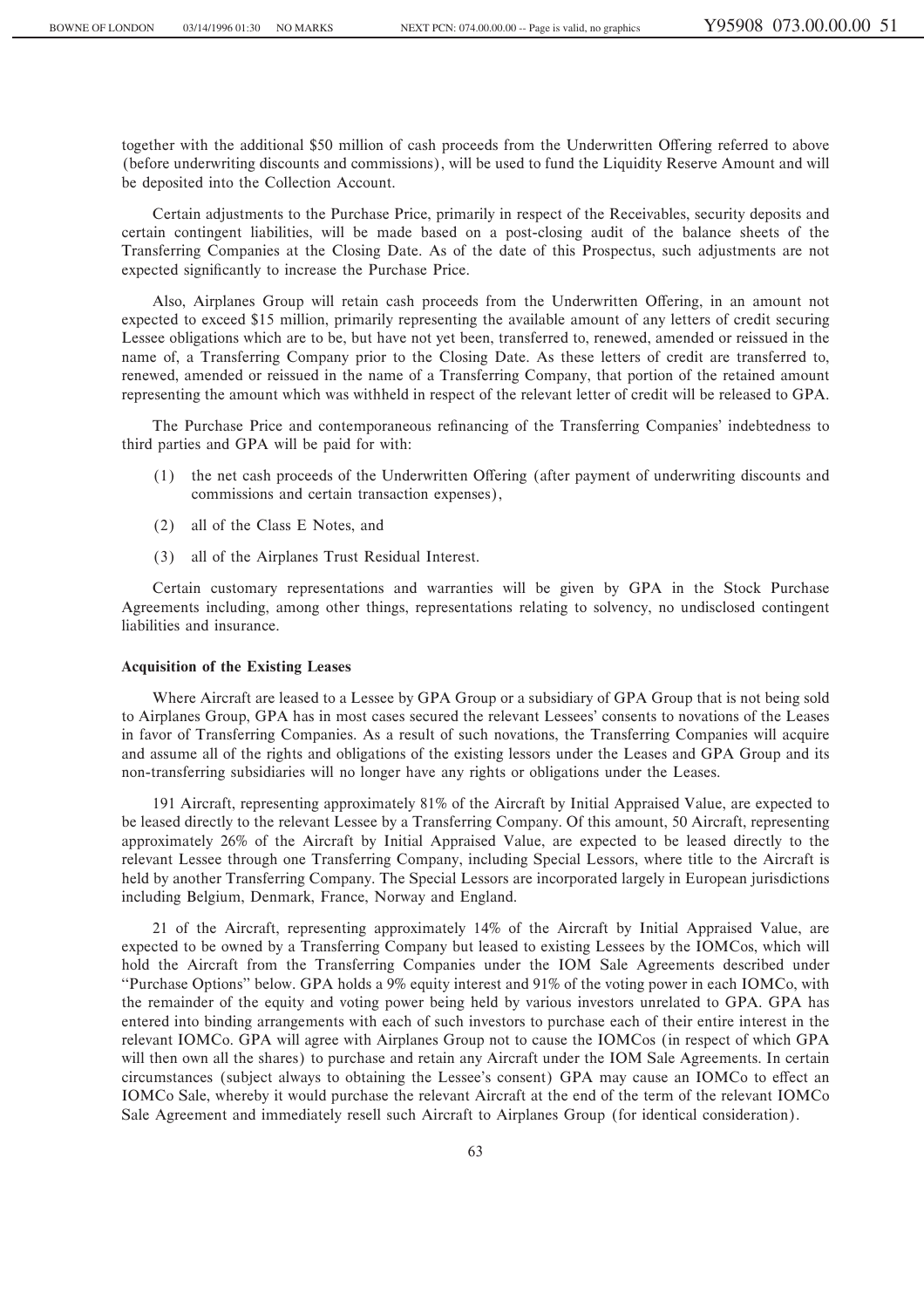together with the additional \$50 million of cash proceeds from the Underwritten Offering referred to above (before underwriting discounts and commissions), will be used to fund the Liquidity Reserve Amount and will be deposited into the Collection Account.

Certain adjustments to the Purchase Price, primarily in respect of the Receivables, security deposits and certain contingent liabilities, will be made based on a post-closing audit of the balance sheets of the Transferring Companies at the Closing Date. As of the date of this Prospectus, such adjustments are not expected significantly to increase the Purchase Price.

Also, Airplanes Group will retain cash proceeds from the Underwritten Offering, in an amount not expected to exceed \$15 million, primarily representing the available amount of any letters of credit securing Lessee obligations which are to be, but have not yet been, transferred to, renewed, amended or reissued in the name of, a Transferring Company prior to the Closing Date. As these letters of credit are transferred to, renewed, amended or reissued in the name of a Transferring Company, that portion of the retained amount representing the amount which was withheld in respect of the relevant letter of credit will be released to GPA.

The Purchase Price and contemporaneous refinancing of the Transferring Companies' indebtedness to third parties and GPA will be paid for with:

- (1) the net cash proceeds of the Underwritten Offering (after payment of underwriting discounts and commissions and certain transaction expenses),
- (2) all of the Class E Notes, and
- (3) all of the Airplanes Trust Residual Interest.

Certain customary representations and warranties will be given by GPA in the Stock Purchase Agreements including, among other things, representations relating to solvency, no undisclosed contingent liabilities and insurance.

#### **Acquisition of the Existing Leases**

Where Aircraft are leased to a Lessee by GPA Group or a subsidiary of GPA Group that is not being sold to Airplanes Group, GPA has in most cases secured the relevant Lessees' consents to novations of the Leases in favor of Transferring Companies. As a result of such novations, the Transferring Companies will acquire and assume all of the rights and obligations of the existing lessors under the Leases and GPA Group and its non-transferring subsidiaries will no longer have any rights or obligations under the Leases.

191 Aircraft, representing approximately 81% of the Aircraft by Initial Appraised Value, are expected to be leased directly to the relevant Lessee by a Transferring Company. Of this amount, 50 Aircraft, representing approximately 26% of the Aircraft by Initial Appraised Value, are expected to be leased directly to the relevant Lessee through one Transferring Company, including Special Lessors, where title to the Aircraft is held by another Transferring Company. The Special Lessors are incorporated largely in European jurisdictions including Belgium, Denmark, France, Norway and England.

21 of the Aircraft, representing approximately 14% of the Aircraft by Initial Appraised Value, are expected to be owned by a Transferring Company but leased to existing Lessees by the IOMCos, which will hold the Aircraft from the Transferring Companies under the IOM Sale Agreements described under "Purchase Options" below. GPA holds a 9% equity interest and 91% of the voting power in each IOMCo, with the remainder of the equity and voting power being held by various investors unrelated to GPA. GPA has entered into binding arrangements with each of such investors to purchase each of their entire interest in the relevant IOMCo. GPA will agree with Airplanes Group not to cause the IOMCos (in respect of which GPA will then own all the shares) to purchase and retain any Aircraft under the IOM Sale Agreements. In certain circumstances (subject always to obtaining the Lessee's consent) GPA may cause an IOMCo to effect an IOMCo Sale, whereby it would purchase the relevant Aircraft at the end of the term of the relevant IOMCo Sale Agreement and immediately resell such Aircraft to Airplanes Group (for identical consideration).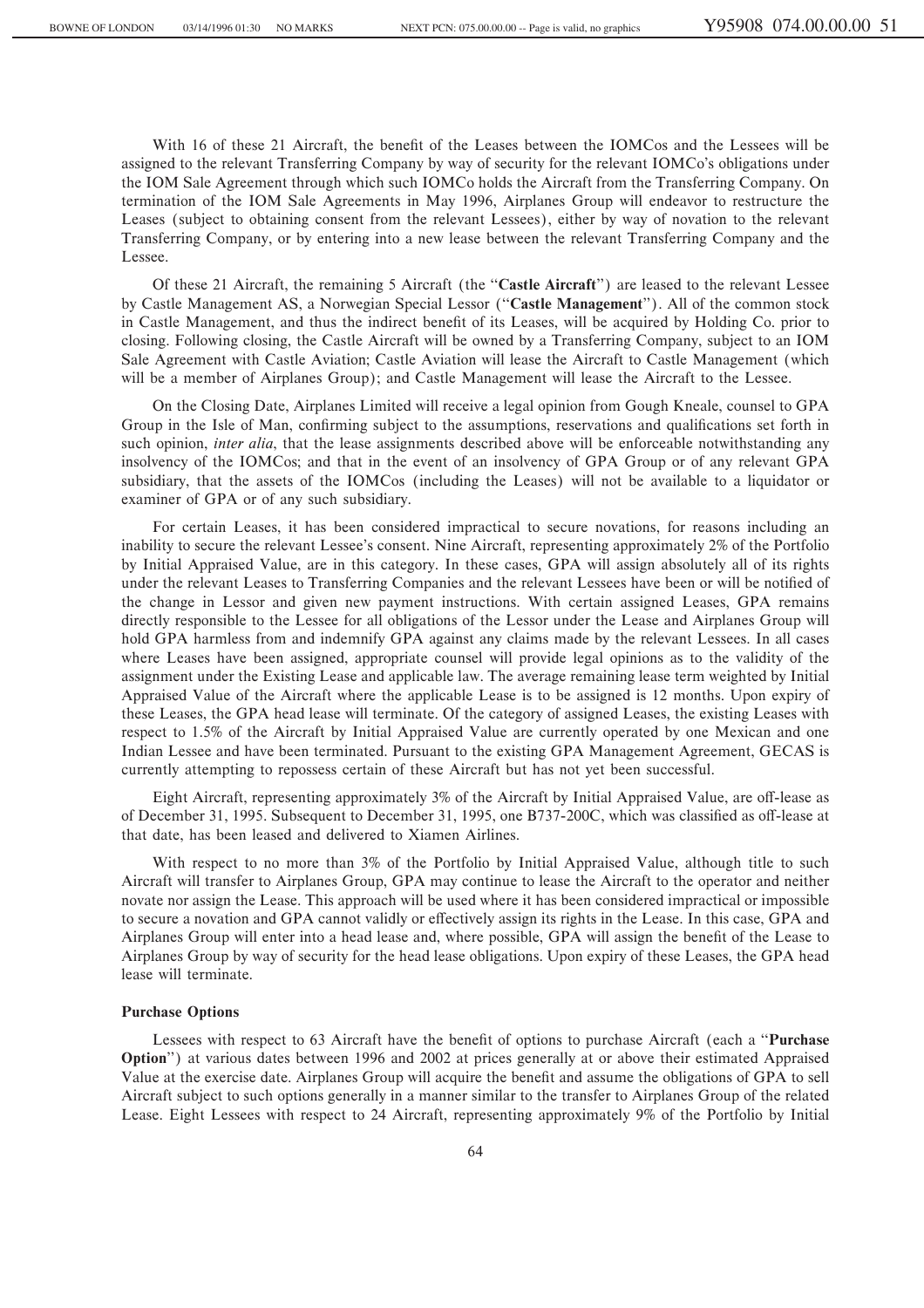With 16 of these 21 Aircraft, the benefit of the Leases between the IOMCos and the Lessees will be assigned to the relevant Transferring Company by way of security for the relevant IOMCo's obligations under the IOM Sale Agreement through which such IOMCo holds the Aircraft from the Transferring Company. On termination of the IOM Sale Agreements in May 1996, Airplanes Group will endeavor to restructure the Leases (subject to obtaining consent from the relevant Lessees), either by way of novation to the relevant Transferring Company, or by entering into a new lease between the relevant Transferring Company and the Lessee.

Of these 21 Aircraft, the remaining 5 Aircraft (the ""**Castle Aircraft**'') are leased to the relevant Lessee by Castle Management AS, a Norwegian Special Lessor (""**Castle Management**''). All of the common stock in Castle Management, and thus the indirect benefit of its Leases, will be acquired by Holding Co. prior to closing. Following closing, the Castle Aircraft will be owned by a Transferring Company, subject to an IOM Sale Agreement with Castle Aviation; Castle Aviation will lease the Aircraft to Castle Management (which will be a member of Airplanes Group); and Castle Management will lease the Aircraft to the Lessee.

On the Closing Date, Airplanes Limited will receive a legal opinion from Gough Kneale, counsel to GPA Group in the Isle of Man, confirming subject to the assumptions, reservations and qualifications set forth in such opinion, *inter alia*, that the lease assignments described above will be enforceable notwithstanding any insolvency of the IOMCos; and that in the event of an insolvency of GPA Group or of any relevant GPA subsidiary, that the assets of the IOMCos (including the Leases) will not be available to a liquidator or examiner of GPA or of any such subsidiary.

For certain Leases, it has been considered impractical to secure novations, for reasons including an inability to secure the relevant Lessee's consent. Nine Aircraft, representing approximately 2% of the Portfolio by Initial Appraised Value, are in this category. In these cases, GPA will assign absolutely all of its rights under the relevant Leases to Transferring Companies and the relevant Lessees have been or will be notified of the change in Lessor and given new payment instructions. With certain assigned Leases, GPA remains directly responsible to the Lessee for all obligations of the Lessor under the Lease and Airplanes Group will hold GPA harmless from and indemnify GPA against any claims made by the relevant Lessees. In all cases where Leases have been assigned, appropriate counsel will provide legal opinions as to the validity of the assignment under the Existing Lease and applicable law. The average remaining lease term weighted by Initial Appraised Value of the Aircraft where the applicable Lease is to be assigned is 12 months. Upon expiry of these Leases, the GPA head lease will terminate. Of the category of assigned Leases, the existing Leases with respect to 1.5% of the Aircraft by Initial Appraised Value are currently operated by one Mexican and one Indian Lessee and have been terminated. Pursuant to the existing GPA Management Agreement, GECAS is currently attempting to repossess certain of these Aircraft but has not yet been successful.

Eight Aircraft, representing approximately 3% of the Aircraft by Initial Appraised Value, are off-lease as of December 31, 1995. Subsequent to December 31, 1995, one B737-200C, which was classified as off-lease at that date, has been leased and delivered to Xiamen Airlines.

With respect to no more than 3% of the Portfolio by Initial Appraised Value, although title to such Aircraft will transfer to Airplanes Group, GPA may continue to lease the Aircraft to the operator and neither novate nor assign the Lease. This approach will be used where it has been considered impractical or impossible to secure a novation and GPA cannot validly or effectively assign its rights in the Lease. In this case, GPA and Airplanes Group will enter into a head lease and, where possible, GPA will assign the benefit of the Lease to Airplanes Group by way of security for the head lease obligations. Upon expiry of these Leases, the GPA head lease will terminate.

## **Purchase Options**

Lessees with respect to 63 Aircraft have the benefit of options to purchase Aircraft (each a "Purchase **Option**'') at various dates between 1996 and 2002 at prices generally at or above their estimated Appraised Value at the exercise date. Airplanes Group will acquire the benefit and assume the obligations of GPA to sell Aircraft subject to such options generally in a manner similar to the transfer to Airplanes Group of the related Lease. Eight Lessees with respect to 24 Aircraft, representing approximately 9% of the Portfolio by Initial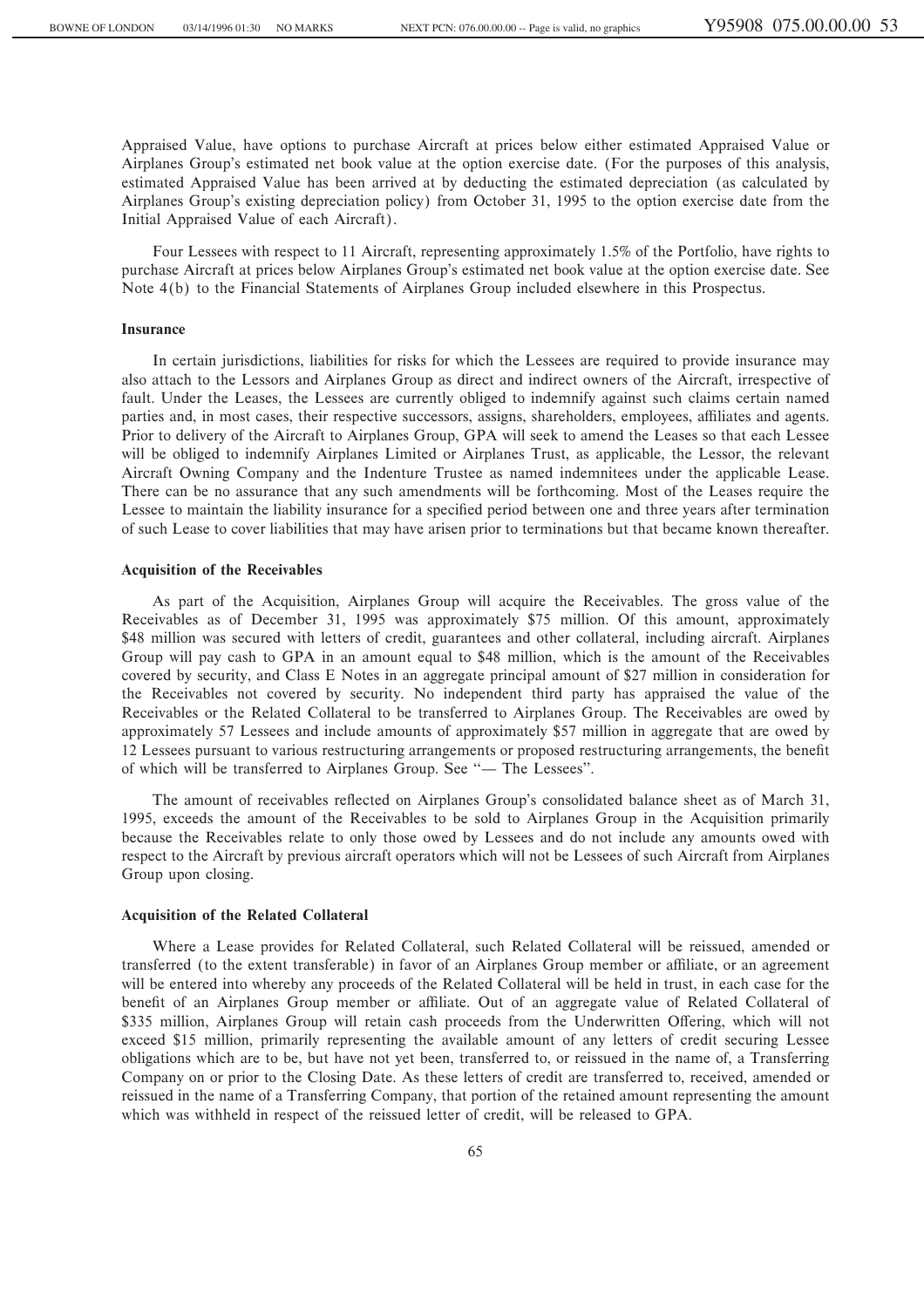Appraised Value, have options to purchase Aircraft at prices below either estimated Appraised Value or Airplanes Group's estimated net book value at the option exercise date. (For the purposes of this analysis, estimated Appraised Value has been arrived at by deducting the estimated depreciation (as calculated by Airplanes Group's existing depreciation policy) from October 31, 1995 to the option exercise date from the Initial Appraised Value of each Aircraft).

Four Lessees with respect to 11 Aircraft, representing approximately 1.5% of the Portfolio, have rights to purchase Aircraft at prices below Airplanes Group's estimated net book value at the option exercise date. See Note 4(b) to the Financial Statements of Airplanes Group included elsewhere in this Prospectus.

## **Insurance**

In certain jurisdictions, liabilities for risks for which the Lessees are required to provide insurance may also attach to the Lessors and Airplanes Group as direct and indirect owners of the Aircraft, irrespective of fault. Under the Leases, the Lessees are currently obliged to indemnify against such claims certain named parties and, in most cases, their respective successors, assigns, shareholders, employees, affiliates and agents. Prior to delivery of the Aircraft to Airplanes Group, GPA will seek to amend the Leases so that each Lessee will be obliged to indemnify Airplanes Limited or Airplanes Trust, as applicable, the Lessor, the relevant Aircraft Owning Company and the Indenture Trustee as named indemnitees under the applicable Lease. There can be no assurance that any such amendments will be forthcoming. Most of the Leases require the Lessee to maintain the liability insurance for a specified period between one and three years after termination of such Lease to cover liabilities that may have arisen prior to terminations but that became known thereafter.

#### **Acquisition of the Receivables**

As part of the Acquisition, Airplanes Group will acquire the Receivables. The gross value of the Receivables as of December 31, 1995 was approximately \$75 million. Of this amount, approximately \$48 million was secured with letters of credit, guarantees and other collateral, including aircraft. Airplanes Group will pay cash to GPA in an amount equal to \$48 million, which is the amount of the Receivables covered by security, and Class E Notes in an aggregate principal amount of \$27 million in consideration for the Receivables not covered by security. No independent third party has appraised the value of the Receivables or the Related Collateral to be transferred to Airplanes Group. The Receivables are owed by approximately 57 Lessees and include amounts of approximately \$57 million in aggregate that are owed by 12 Lessees pursuant to various restructuring arrangements or proposed restructuring arrangements, the benefit of which will be transferred to Airplanes Group. See "- The Lessees".

The amount of receivables reflected on Airplanes Group's consolidated balance sheet as of March 31, 1995, exceeds the amount of the Receivables to be sold to Airplanes Group in the Acquisition primarily because the Receivables relate to only those owed by Lessees and do not include any amounts owed with respect to the Aircraft by previous aircraft operators which will not be Lessees of such Aircraft from Airplanes Group upon closing.

### **Acquisition of the Related Collateral**

Where a Lease provides for Related Collateral, such Related Collateral will be reissued, amended or transferred (to the extent transferable) in favor of an Airplanes Group member or affiliate, or an agreement will be entered into whereby any proceeds of the Related Collateral will be held in trust, in each case for the benefit of an Airplanes Group member or affiliate. Out of an aggregate value of Related Collateral of \$335 million, Airplanes Group will retain cash proceeds from the Underwritten Offering, which will not exceed \$15 million, primarily representing the available amount of any letters of credit securing Lessee obligations which are to be, but have not yet been, transferred to, or reissued in the name of, a Transferring Company on or prior to the Closing Date. As these letters of credit are transferred to, received, amended or reissued in the name of a Transferring Company, that portion of the retained amount representing the amount which was withheld in respect of the reissued letter of credit, will be released to GPA.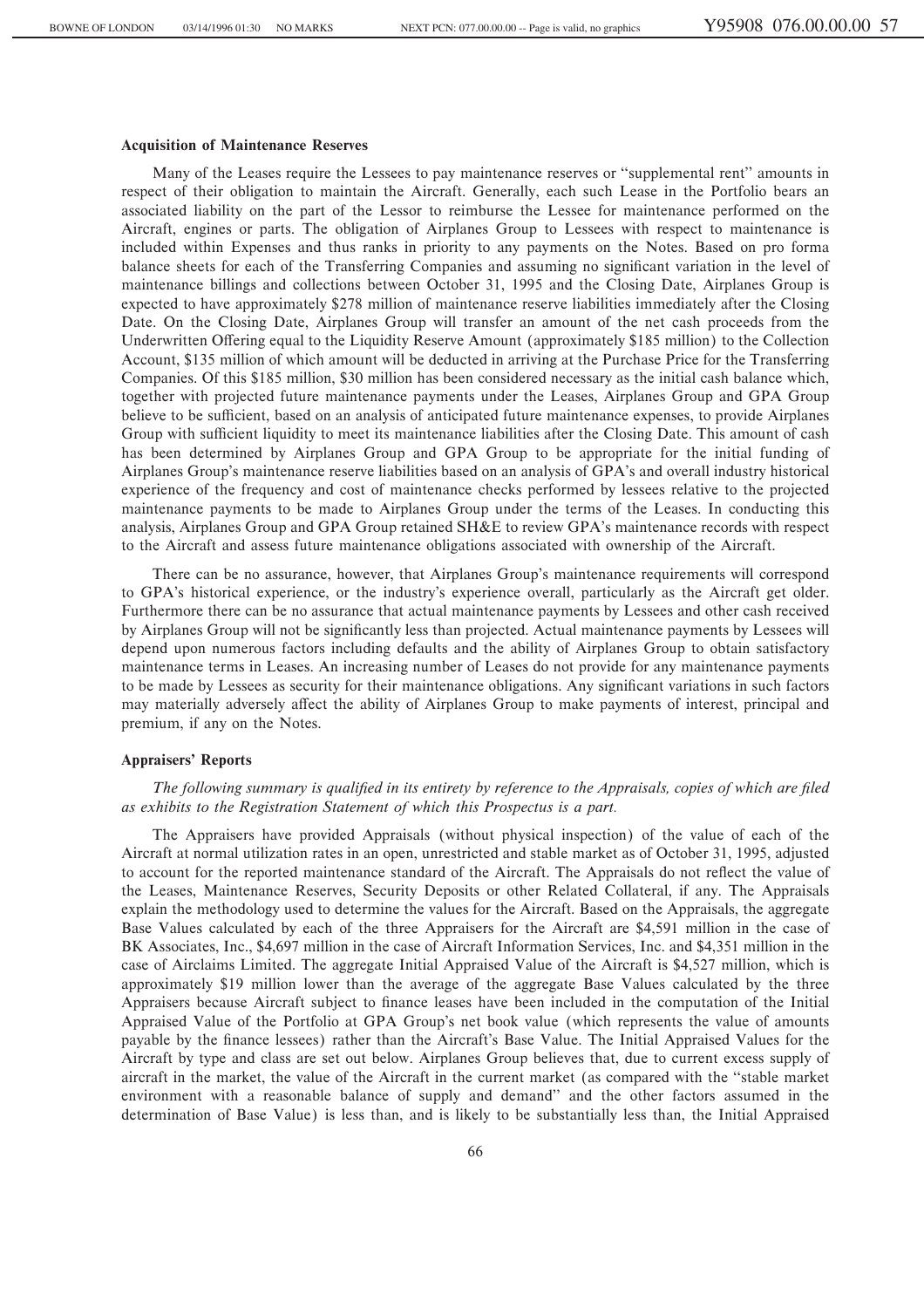#### **Acquisition of Maintenance Reserves**

Many of the Leases require the Lessees to pay maintenance reserves or ""supplemental rent'' amounts in respect of their obligation to maintain the Aircraft. Generally, each such Lease in the Portfolio bears an associated liability on the part of the Lessor to reimburse the Lessee for maintenance performed on the Aircraft, engines or parts. The obligation of Airplanes Group to Lessees with respect to maintenance is included within Expenses and thus ranks in priority to any payments on the Notes. Based on pro forma balance sheets for each of the Transferring Companies and assuming no significant variation in the level of maintenance billings and collections between October 31, 1995 and the Closing Date, Airplanes Group is expected to have approximately \$278 million of maintenance reserve liabilities immediately after the Closing Date. On the Closing Date, Airplanes Group will transfer an amount of the net cash proceeds from the Underwritten Offering equal to the Liquidity Reserve Amount (approximately \$185 million) to the Collection Account, \$135 million of which amount will be deducted in arriving at the Purchase Price for the Transferring Companies. Of this \$185 million, \$30 million has been considered necessary as the initial cash balance which, together with projected future maintenance payments under the Leases, Airplanes Group and GPA Group believe to be sufficient, based on an analysis of anticipated future maintenance expenses, to provide Airplanes Group with sufficient liquidity to meet its maintenance liabilities after the Closing Date. This amount of cash has been determined by Airplanes Group and GPA Group to be appropriate for the initial funding of Airplanes Group's maintenance reserve liabilities based on an analysis of GPA's and overall industry historical experience of the frequency and cost of maintenance checks performed by lessees relative to the projected maintenance payments to be made to Airplanes Group under the terms of the Leases. In conducting this analysis, Airplanes Group and GPA Group retained SH&E to review GPA's maintenance records with respect to the Aircraft and assess future maintenance obligations associated with ownership of the Aircraft.

There can be no assurance, however, that Airplanes Group's maintenance requirements will correspond to GPA's historical experience, or the industry's experience overall, particularly as the Aircraft get older. Furthermore there can be no assurance that actual maintenance payments by Lessees and other cash received by Airplanes Group will not be significantly less than projected. Actual maintenance payments by Lessees will depend upon numerous factors including defaults and the ability of Airplanes Group to obtain satisfactory maintenance terms in Leases. An increasing number of Leases do not provide for any maintenance payments to be made by Lessees as security for their maintenance obligations. Any significant variations in such factors may materially adversely affect the ability of Airplanes Group to make payments of interest, principal and premium, if any on the Notes.

#### **Appraisers' Reports**

# *The following summary is qualified in its entirety by reference to the Appraisals, copies of which are filed as exhibits to the Registration Statement of which this Prospectus is a part.*

The Appraisers have provided Appraisals (without physical inspection) of the value of each of the Aircraft at normal utilization rates in an open, unrestricted and stable market as of October 31, 1995, adjusted to account for the reported maintenance standard of the Aircraft. The Appraisals do not reflect the value of the Leases, Maintenance Reserves, Security Deposits or other Related Collateral, if any. The Appraisals explain the methodology used to determine the values for the Aircraft. Based on the Appraisals, the aggregate Base Values calculated by each of the three Appraisers for the Aircraft are \$4,591 million in the case of BK Associates, Inc., \$4,697 million in the case of Aircraft Information Services, Inc. and \$4,351 million in the case of Airclaims Limited. The aggregate Initial Appraised Value of the Aircraft is \$4,527 million, which is approximately \$19 million lower than the average of the aggregate Base Values calculated by the three Appraisers because Aircraft subject to finance leases have been included in the computation of the Initial Appraised Value of the Portfolio at GPA Group's net book value (which represents the value of amounts payable by the finance lessees) rather than the Aircraft's Base Value. The Initial Appraised Values for the Aircraft by type and class are set out below. Airplanes Group believes that, due to current excess supply of aircraft in the market, the value of the Aircraft in the current market (as compared with the ""stable market environment with a reasonable balance of supply and demand'' and the other factors assumed in the determination of Base Value) is less than, and is likely to be substantially less than, the Initial Appraised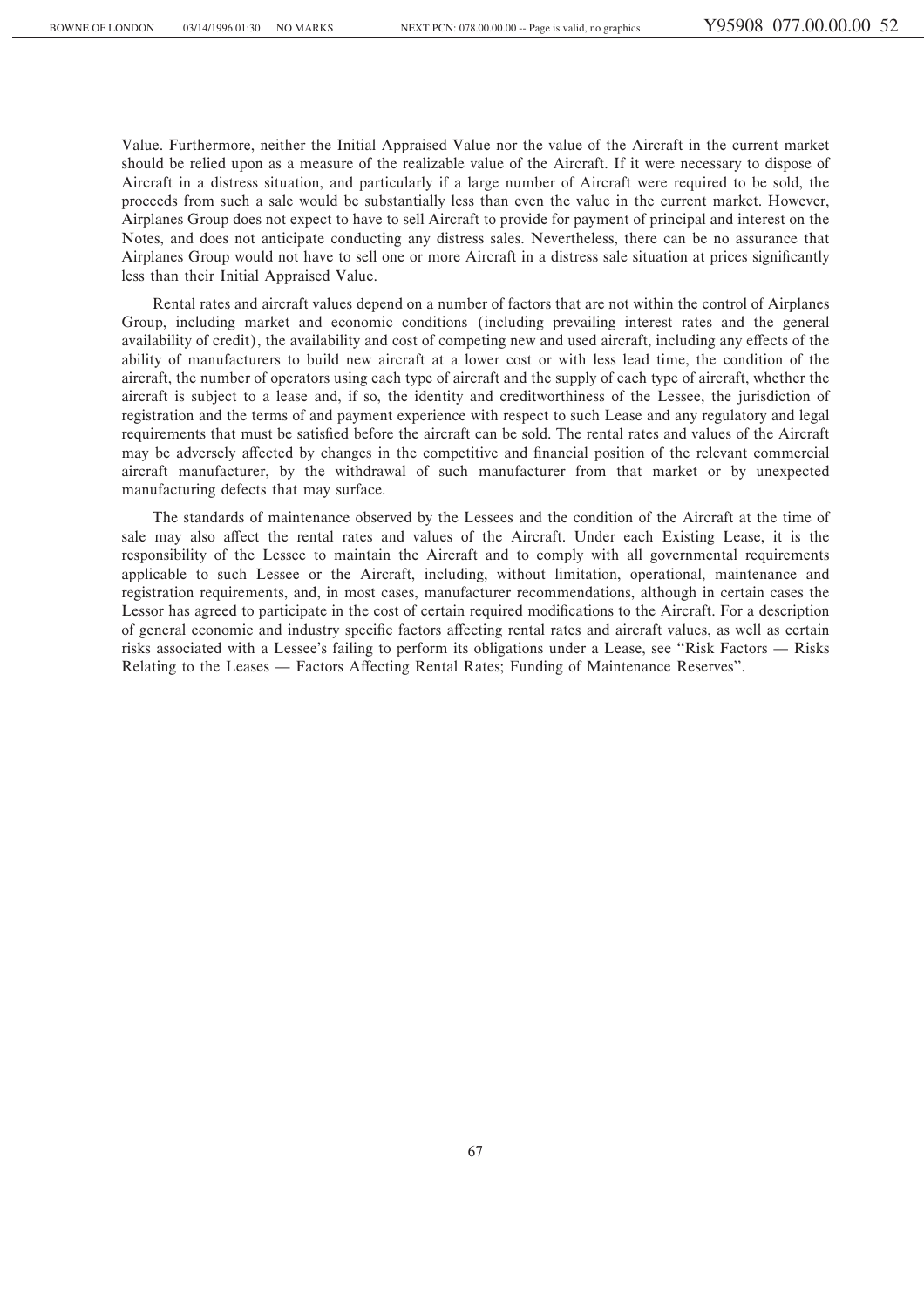Value. Furthermore, neither the Initial Appraised Value nor the value of the Aircraft in the current market should be relied upon as a measure of the realizable value of the Aircraft. If it were necessary to dispose of Aircraft in a distress situation, and particularly if a large number of Aircraft were required to be sold, the proceeds from such a sale would be substantially less than even the value in the current market. However, Airplanes Group does not expect to have to sell Aircraft to provide for payment of principal and interest on the Notes, and does not anticipate conducting any distress sales. Nevertheless, there can be no assurance that Airplanes Group would not have to sell one or more Aircraft in a distress sale situation at prices significantly less than their Initial Appraised Value.

Rental rates and aircraft values depend on a number of factors that are not within the control of Airplanes Group, including market and economic conditions (including prevailing interest rates and the general availability of credit), the availability and cost of competing new and used aircraft, including any effects of the ability of manufacturers to build new aircraft at a lower cost or with less lead time, the condition of the aircraft, the number of operators using each type of aircraft and the supply of each type of aircraft, whether the aircraft is subject to a lease and, if so, the identity and creditworthiness of the Lessee, the jurisdiction of registration and the terms of and payment experience with respect to such Lease and any regulatory and legal requirements that must be satisfied before the aircraft can be sold. The rental rates and values of the Aircraft may be adversely affected by changes in the competitive and financial position of the relevant commercial aircraft manufacturer, by the withdrawal of such manufacturer from that market or by unexpected manufacturing defects that may surface.

The standards of maintenance observed by the Lessees and the condition of the Aircraft at the time of sale may also affect the rental rates and values of the Aircraft. Under each Existing Lease, it is the responsibility of the Lessee to maintain the Aircraft and to comply with all governmental requirements applicable to such Lessee or the Aircraft, including, without limitation, operational, maintenance and registration requirements, and, in most cases, manufacturer recommendations, although in certain cases the Lessor has agreed to participate in the cost of certain required modifications to the Aircraft. For a description of general economic and industry specific factors affecting rental rates and aircraft values, as well as certain risks associated with a Lessee's failing to perform its obligations under a Lease, see "Risk Factors  $-$  Risks" Relating to the Leases — Factors Affecting Rental Rates; Funding of Maintenance Reserves".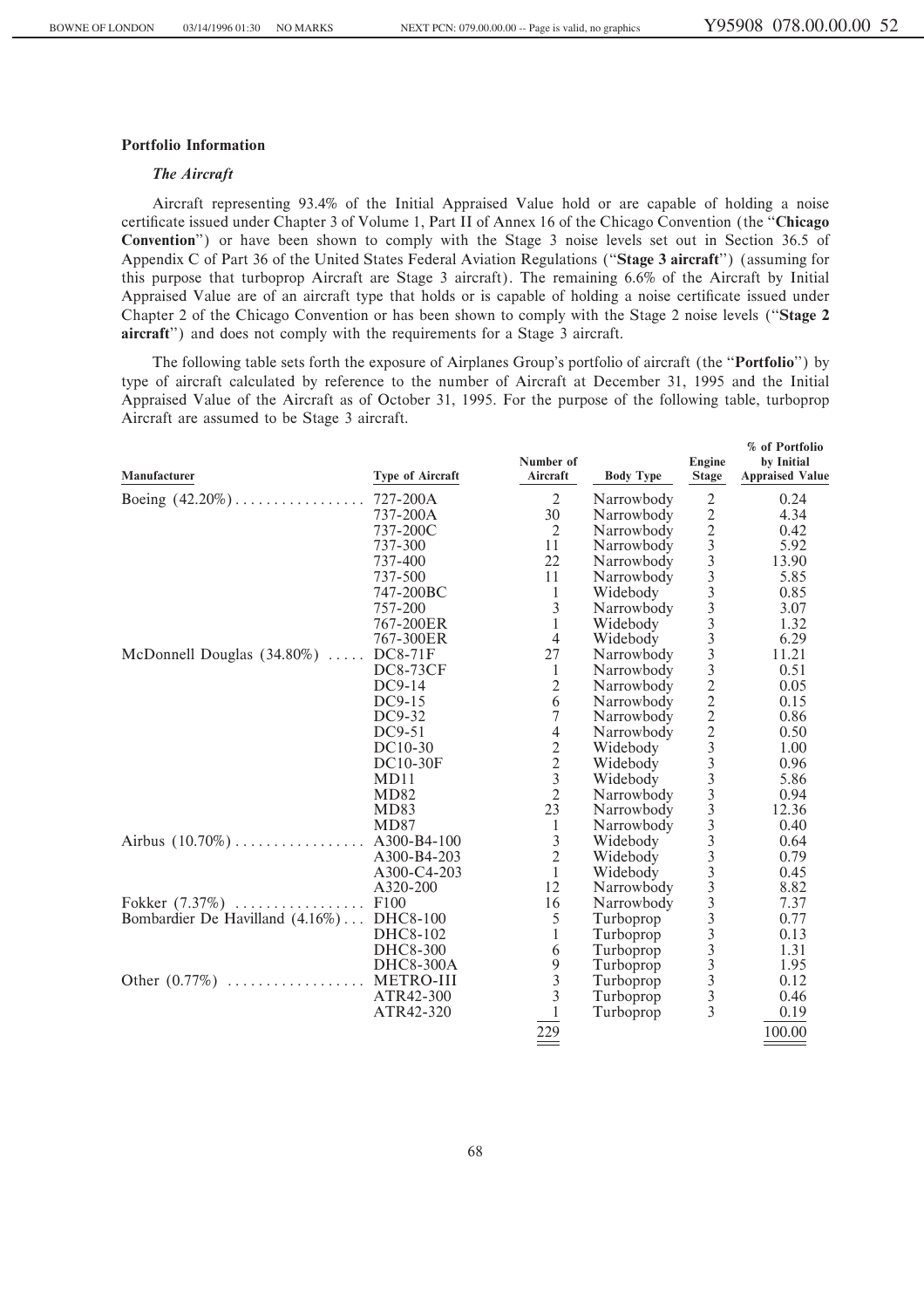**% of Portfolio**

# **Portfolio Information**

# *The Aircraft*

Aircraft representing 93.4% of the Initial Appraised Value hold or are capable of holding a noise certificate issued under Chapter 3 of Volume 1, Part II of Annex 16 of the Chicago Convention (the "Chicago **Convention**'') or have been shown to comply with the Stage 3 noise levels set out in Section 36.5 of Appendix C of Part 36 of the United States Federal Aviation Regulations (""**Stage 3 aircraft**'') (assuming for this purpose that turboprop Aircraft are Stage 3 aircraft). The remaining 6.6% of the Aircraft by Initial Appraised Value are of an aircraft type that holds or is capable of holding a noise certificate issued under Chapter 2 of the Chicago Convention or has been shown to comply with the Stage 2 noise levels (""**Stage 2 aircraft**'') and does not comply with the requirements for a Stage 3 aircraft.

The following table sets forth the exposure of Airplanes Group's portfolio of aircraft (the ""**Portfolio**'') by type of aircraft calculated by reference to the number of Aircraft at December 31, 1995 and the Initial Appraised Value of the Aircraft as of October 31, 1995. For the purpose of the following table, turboprop Aircraft are assumed to be Stage 3 aircraft.

| Manufacturer                             | Type of Aircraft | Number of<br>Aircraft                      | <b>Body Type</b> | Engine<br><b>Stage</b>                               | by Initial<br><b>Appraised Value</b> |
|------------------------------------------|------------------|--------------------------------------------|------------------|------------------------------------------------------|--------------------------------------|
|                                          |                  | $\overline{2}$                             | Narrowbody       | $\overline{2}$                                       | 0.24                                 |
|                                          | 737-200A         | 30                                         | Narrowbody       |                                                      | 4.34                                 |
|                                          | 737-200C         | 2                                          | Narrowbody       | 2233333332222333                                     | 0.42                                 |
|                                          | 737-300          | 11                                         | Narrowbody       |                                                      | 5.92                                 |
|                                          | 737-400          | 22                                         | Narrowbody       |                                                      | 13.90                                |
|                                          | 737-500          | 11                                         | Narrowbody       |                                                      | 5.85                                 |
|                                          | 747-200BC        | $\mathbf{1}$                               | Widebody         |                                                      | 0.85                                 |
|                                          | 757-200          | $\mathfrak{Z}$                             | Narrowbody       |                                                      | 3.07                                 |
|                                          | 767-200ER        | $\mathbf{1}$                               | Widebody         |                                                      | 1.32                                 |
|                                          | 767-300ER        | $\overline{4}$                             | Widebody         |                                                      | 6.29                                 |
| McDonnell Douglas $(34.80\%)$            | <b>DC8-71F</b>   | 27                                         | Narrowbody       |                                                      | 11.21                                |
|                                          | <b>DC8-73CF</b>  | 1                                          | Narrowbody       |                                                      | 0.51                                 |
|                                          | $DC9-14$         | $\mathbf{2}$                               | Narrowbody       |                                                      | 0.05                                 |
|                                          | $DC9-15$         | 6                                          | Narrowbody       |                                                      | 0.15                                 |
|                                          | $DC9-32$         | $\tau$                                     | Narrowbody       |                                                      | 0.86                                 |
|                                          | DC9-51           | $\overline{4}$                             | Narrowbody       |                                                      | 0.50                                 |
|                                          | DC10-30          | $\sqrt{2}$                                 | Widebody         |                                                      | 1.00                                 |
|                                          | <b>DC10-30F</b>  | $\frac{2}{3}$                              | Widebody         |                                                      | 0.96                                 |
|                                          | MD11             |                                            | Widebody         |                                                      | 5.86                                 |
|                                          | <b>MD82</b>      | $\overline{2}$                             | Narrowbody       | $\frac{3}{3}$                                        | 0.94                                 |
|                                          | MD83             | 23                                         | Narrowbody       |                                                      | 12.36                                |
|                                          | <b>MD87</b>      | $\mathbf{1}$                               | Narrowbody       | $\overline{3}$                                       | 0.40                                 |
|                                          |                  | $\begin{array}{c} 3 \\ 2 \\ 1 \end{array}$ | Widebody         | $\overline{3}$                                       | 0.64                                 |
|                                          | A300-B4-203      |                                            | Widebody         |                                                      | 0.79                                 |
|                                          | A300-C4-203      |                                            | Widebody         | $\frac{3}{3}$                                        | 0.45                                 |
|                                          | A320-200         | 12                                         | Narrowbody       | $\overline{3}$                                       | 8.82                                 |
|                                          |                  | 16                                         | Narrowbody       | $\overline{3}$                                       | 7.37                                 |
| Bombardier De Havilland (4.16%) DHC8-100 |                  | 5                                          | Turboprop        | $\overline{3}$                                       | 0.77                                 |
|                                          | DHC8-102         | $\mathbf{1}$                               | Turboprop        | $\begin{array}{c} 3 \\ 3 \\ 3 \\ 3 \\ 3 \end{array}$ | 0.13                                 |
|                                          | DHC8-300         | 6                                          | Turboprop        |                                                      | 1.31                                 |
|                                          | DHC8-300A        | 9                                          | Turboprop        |                                                      | 1.95                                 |
| Other $(0.77\%)$ METRO-III               |                  | $\overline{3}$                             | Turboprop        |                                                      | 0.12                                 |
|                                          | ATR42-300        | 3                                          | Turboprop        |                                                      | 0.46                                 |
|                                          | ATR42-320        | 1                                          | Turboprop        | $\overline{3}$                                       | 0.19                                 |
|                                          |                  | 229                                        |                  |                                                      | 100.00                               |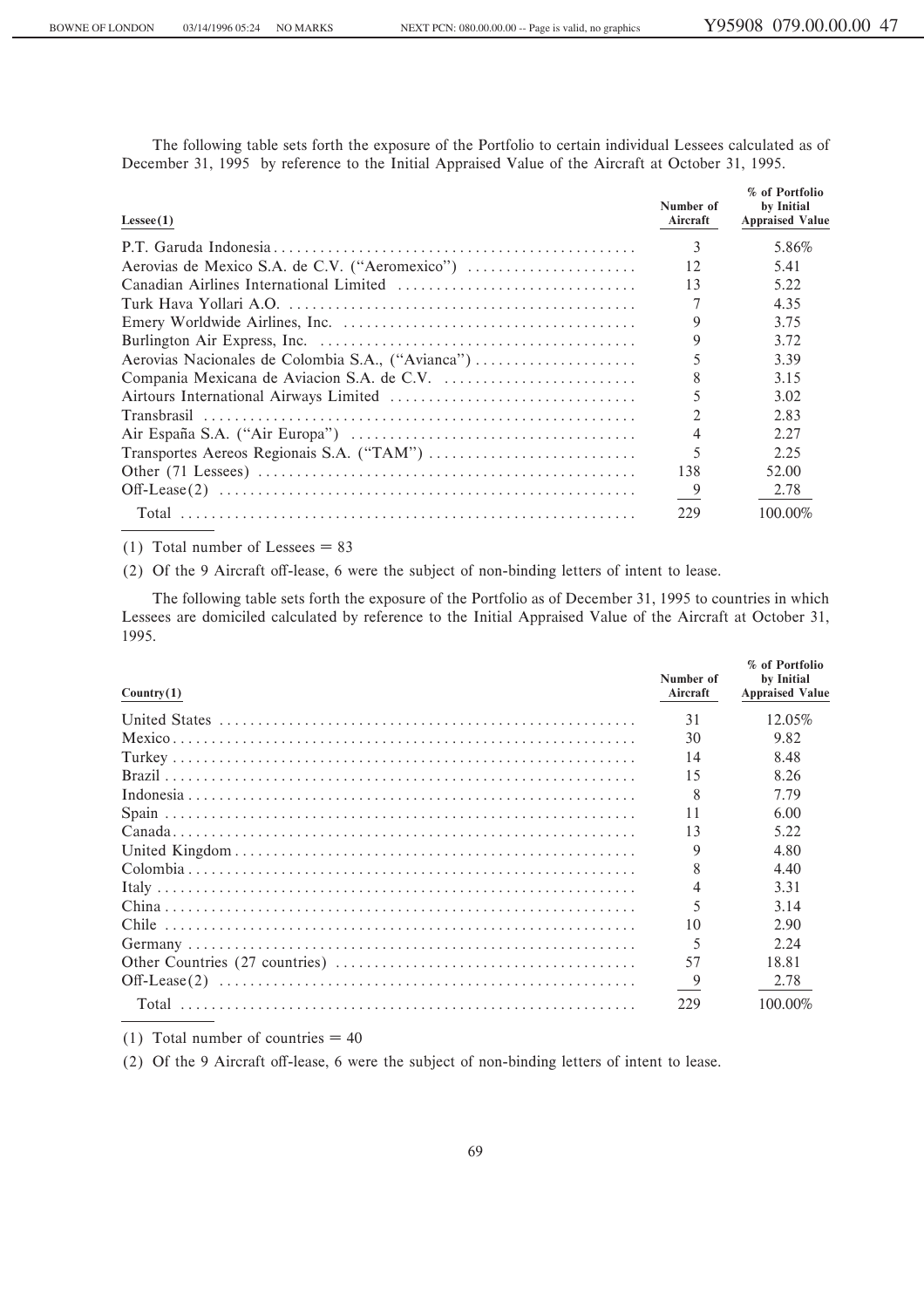The following table sets forth the exposure of the Portfolio to certain individual Lessees calculated as of December 31, 1995 by reference to the Initial Appraised Value of the Aircraft at October 31, 1995.

| Lesse(1) | Number of<br>Aircraft | % of Portfolio<br>by Initial<br><b>Appraised Value</b> |
|----------|-----------------------|--------------------------------------------------------|
|          | 3                     | 5.86%                                                  |
|          | 12                    | 5.41                                                   |
|          | 13                    | 5.22                                                   |
|          |                       | 4.35                                                   |
|          |                       | 3.75                                                   |
|          |                       | 3.72                                                   |
|          |                       | 3.39                                                   |
|          | 8                     | 3.15                                                   |
|          | 5                     | 3.02                                                   |
|          | $\mathfrak{D}$        | 2.83                                                   |
|          |                       | 2.27                                                   |
|          | 5                     | 2.25                                                   |
|          | 138                   | 52.00                                                  |
|          |                       | 2.78                                                   |
|          | 229                   | 100.00%                                                |

(1) Total number of Lessees  $= 83$ 

(2) Of the 9 Aircraft off-lease, 6 were the subject of non-binding letters of intent to lease.

The following table sets forth the exposure of the Portfolio as of December 31, 1995 to countries in which Lessees are domiciled calculated by reference to the Initial Appraised Value of the Aircraft at October 31, 1995.

| Country(1) | Number of<br>Aircraft | % of Portfolio<br>by Initial<br><b>Appraised Value</b> |
|------------|-----------------------|--------------------------------------------------------|
|            | 31                    | 12.05%                                                 |
|            | 30                    | 9.82                                                   |
|            | 14                    | 8.48                                                   |
|            | 15                    | 8.26                                                   |
|            | -8                    | 7.79                                                   |
|            | 11                    | 6.00                                                   |
|            | 13                    | 5.22                                                   |
|            |                       | 4.80                                                   |
|            |                       | 4.40                                                   |
|            |                       | 3.31                                                   |
|            |                       | 3.14                                                   |
|            | 10                    | 2.90                                                   |
|            | -5                    | 2.24                                                   |
|            | 57                    | 18.81                                                  |
|            |                       | 2.78                                                   |
|            | 229                   | 100.00%                                                |

(1) Total number of countries  $=$  40

(2) Of the 9 Aircraft off-lease, 6 were the subject of non-binding letters of intent to lease.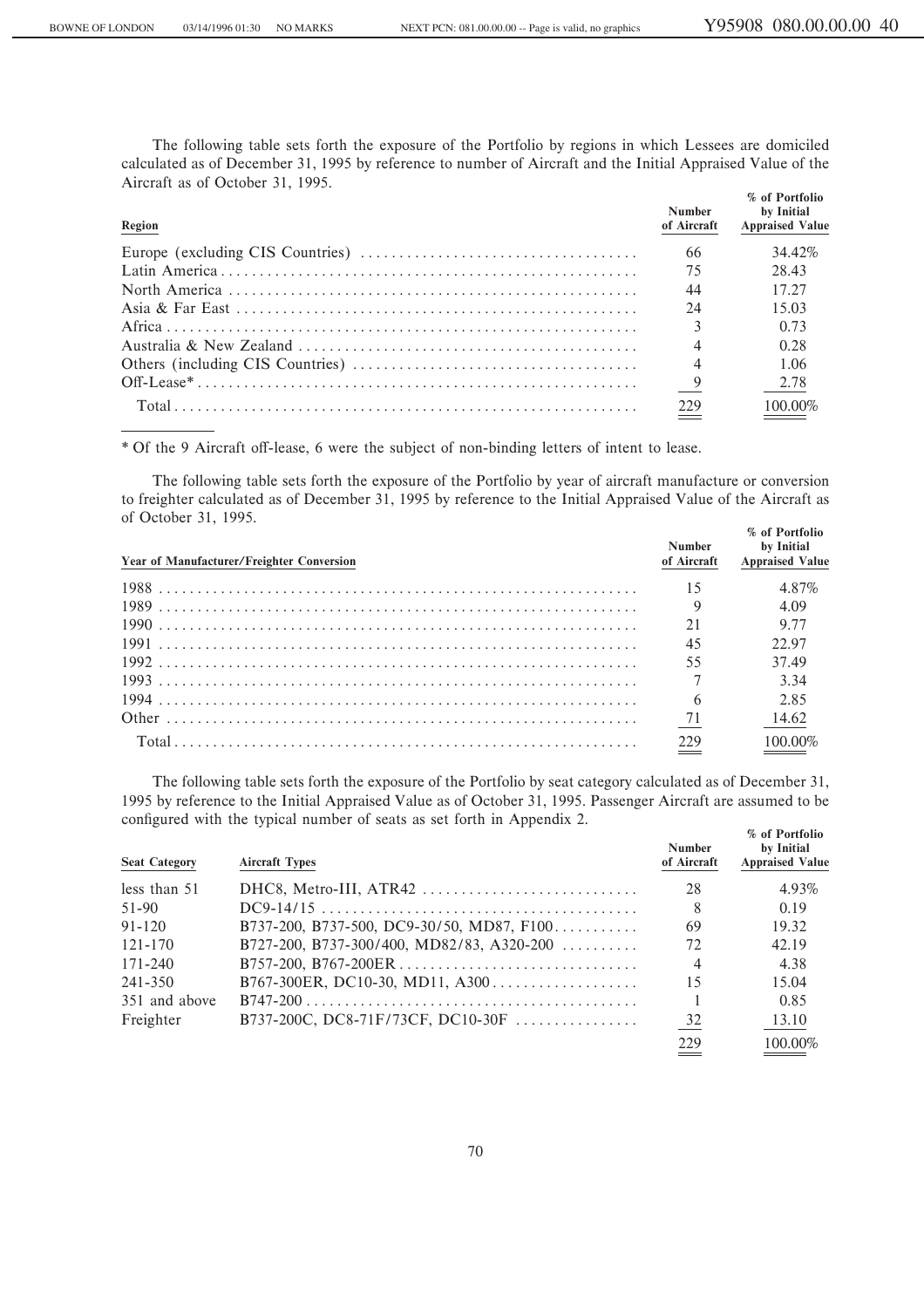The following table sets forth the exposure of the Portfolio by regions in which Lessees are domiciled calculated as of December 31, 1995 by reference to number of Aircraft and the Initial Appraised Value of the Aircraft as of October 31, 1995.

| Region | <b>Number</b><br>of Aircraft | % of Portfolio<br>by Initial<br><b>Appraised Value</b> |
|--------|------------------------------|--------------------------------------------------------|
|        |                              | 34.42%                                                 |
|        | 75                           | 28.43                                                  |
|        | 44                           | 17.27                                                  |
|        | 24                           | 15.03                                                  |
|        |                              | 0.73                                                   |
|        |                              | 0.28                                                   |
|        |                              | - 1.06                                                 |
|        |                              | $-2.78$                                                |
|        | 229<br>$\!=$                 | 100.00%                                                |

\* Of the 9 Aircraft off-lease, 6 were the subject of non-binding letters of intent to lease.

The following table sets forth the exposure of the Portfolio by year of aircraft manufacture or conversion to freighter calculated as of December 31, 1995 by reference to the Initial Appraised Value of the Aircraft as of October 31, 1995. **% of Portfolio**

| Year of Manufacturer/Freighter Conversion |     | % of Portiguo<br>Number by Initial<br>of Aircraft Appraised Value |
|-------------------------------------------|-----|-------------------------------------------------------------------|
|                                           |     | 4.87%                                                             |
|                                           |     | 4.09                                                              |
|                                           | 21  | 9.77                                                              |
|                                           | 45  | 22.97                                                             |
|                                           | 55  | 37.49                                                             |
|                                           |     | 3.34                                                              |
|                                           |     | 2.85                                                              |
|                                           |     | 14.62                                                             |
|                                           | 229 | 100 00%                                                           |

The following table sets forth the exposure of the Portfolio by seat category calculated as of December 31, 1995 by reference to the Initial Appraised Value as of October 31, 1995. Passenger Aircraft are assumed to be configured with the typical number of seats as set forth in Appendix 2.

| <b>Seat Category</b> | <b>Aircraft Types</b>                                                     | <b>Number</b><br>of Aircraft | % of Portfolio<br>by Initial<br><b>Appraised Value</b> |
|----------------------|---------------------------------------------------------------------------|------------------------------|--------------------------------------------------------|
| less than 51         | $DHC8, Metro-III, ATR42 \ldots \ldots \ldots \ldots \ldots \ldots \ldots$ | 28                           | 4.93%                                                  |
| 51-90                |                                                                           | 8                            | 0.19                                                   |
| $91 - 120$           | B737-200, B737-500, DC9-30/50, MD87, F100                                 | 69                           | 19.32                                                  |
| $121 - 170$          | B727-200, B737-300/400, MD82/83, A320-200                                 | 72                           | 42.19                                                  |
| $171 - 240$          | B757-200, B767-200ER                                                      | $\overline{4}$               | 4.38                                                   |
| 241-350              | B767-300ER, DC10-30, MD11, A300                                           | 15                           | 15.04                                                  |
| 351 and above        |                                                                           |                              | 0.85                                                   |
| Freighter            | B737-200C, DC8-71F/73CF, DC10-30F                                         | 32                           | 13.10                                                  |
|                      |                                                                           | 229                          | 100.00%                                                |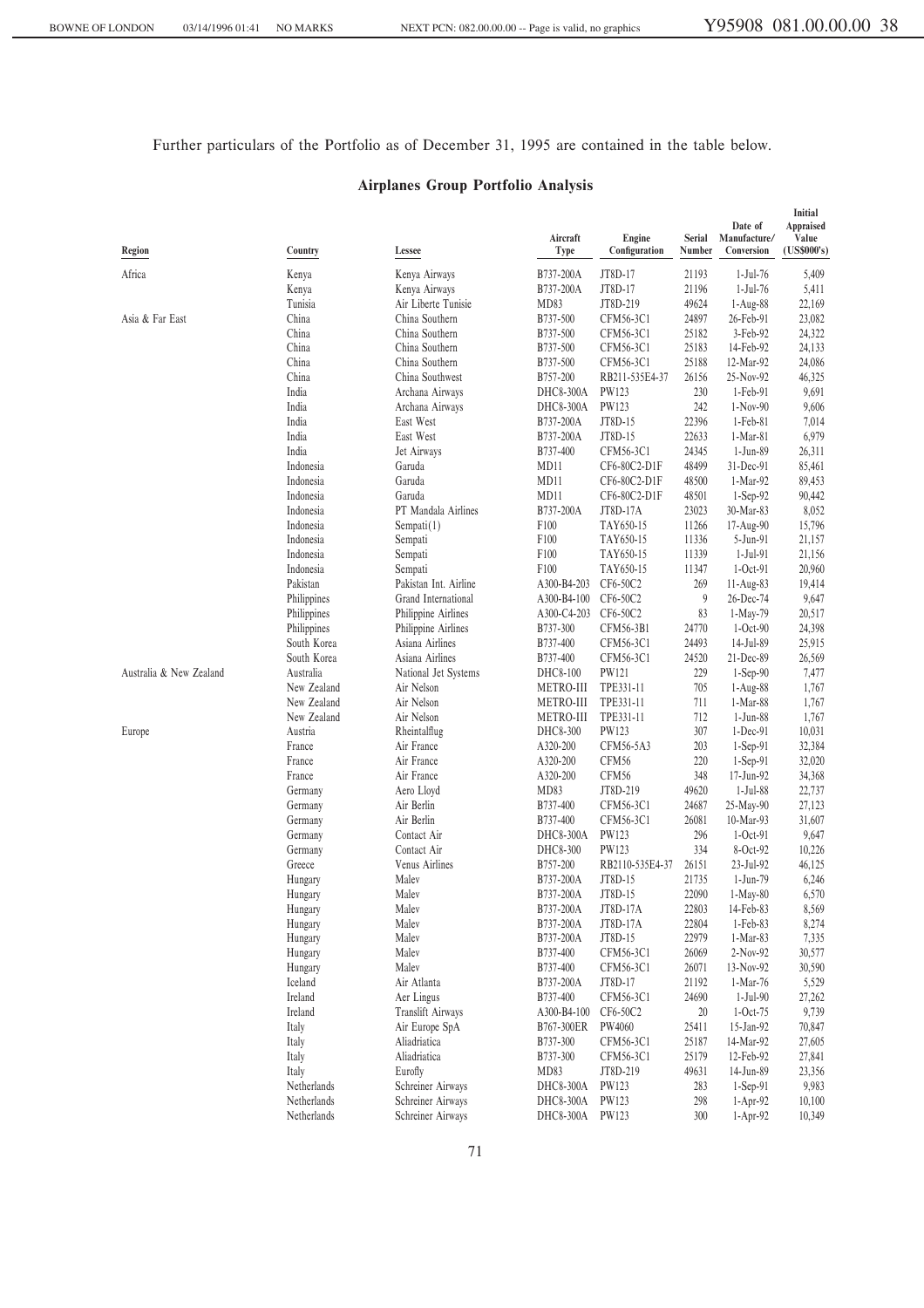Further particulars of the Portfolio as of December 31, 1995 are contained in the table below.

# **Airplanes Group Portfolio Analysis**

| Region                  | Country                    | Lessee                                 | Aircraft<br>Type     | Engine<br>Configuration | Serial<br>Number | Date of<br>Manufacture/<br>Conversion | Initial<br>Appraised<br>Value<br>(US\$000's) |
|-------------------------|----------------------------|----------------------------------------|----------------------|-------------------------|------------------|---------------------------------------|----------------------------------------------|
| Africa                  |                            | Kenya Airways                          | B737-200A            | JT8D-17                 | 21193            | $1-Jul-76$                            | 5,409                                        |
|                         | Kenya<br>Kenya             | Kenya Airways                          | B737-200A            | JT8D-17                 | 21196            | $1-Jul-76$                            | 5,411                                        |
|                         | Tunisia                    | Air Liberte Tunisie                    | MD83                 | JT8D-219                | 49624            | $1-Aug-88$                            | 22,169                                       |
| Asia & Far East         | China                      | China Southern                         | B737-500             | CFM56-3C1               | 24897            | 26-Feb-91                             | 23,082                                       |
|                         | China                      | China Southern                         | B737-500             | CFM56-3C1               | 25182            | 3-Feb-92                              | 24,322                                       |
|                         | China                      | China Southern                         | B737-500             | CFM56-3C1               | 25183            | 14-Feb-92                             | 24,133                                       |
|                         | China                      | China Southern                         | B737-500             | CFM56-3C1               | 25188            | 12-Mar-92                             | 24,086                                       |
|                         | China                      | China Southwest                        | B757-200             | RB211-535E4-37          | 26156            | 25-Nov-92                             | 46,325                                       |
|                         | India                      | Archana Airways                        | DHC8-300A            | PW123                   | 230              | 1-Feb-91                              | 9,691                                        |
|                         | India                      | Archana Airways                        | DHC8-300A            | PW123                   | 242              | $1-Nov-90$                            | 9,606                                        |
|                         | India                      | East West                              | B737-200A            | JT8D-15                 | 22396            | $1-Feb-81$                            | 7,014                                        |
|                         | India                      | East West                              | B737-200A            | JT8D-15                 | 22633            | $1-Mar-81$                            | 6,979                                        |
|                         | India                      | Jet Airways                            | B737-400             | CFM56-3C1               | 24345            | 1-Jun-89                              | 26,311                                       |
|                         | Indonesia                  | Garuda                                 | MD11                 | CF6-80C2-D1F            | 48499            | 31-Dec-91                             | 85,461                                       |
|                         | Indonesia                  | Garuda                                 | MD11                 | CF6-80C2-D1F            | 48500            | 1-Mar-92                              | 89,453                                       |
|                         | Indonesia                  | Garuda                                 | MD11                 | CF6-80C2-D1F            | 48501            | $1-Sep-92$                            | 90,442                                       |
|                         | Indonesia                  | PT Mandala Airlines                    | B737-200A            | JT8D-17A                | 23023            | 30-Mar-83                             | 8,052                                        |
|                         | Indonesia                  | Sempati(1)                             | F100                 | TAY650-15               | 11266            | 17-Aug-90                             | 15,796                                       |
|                         | Indonesia                  | Sempati                                | F100                 | TAY650-15               | 11336            | 5-Jun-91                              | 21,157                                       |
|                         | Indonesia                  | Sempati                                | F100                 | TAY650-15               | 11339            | $1-Jul-91$                            | 21,156                                       |
|                         | Indonesia                  | Sempati                                | F100                 | TAY650-15               | 11347            | $1-Oct-91$                            | 20,960                                       |
|                         | Pakistan                   | Pakistan Int. Airline                  | A300-B4-203          | CF6-50C2                | 269              | $11-Aug-83$                           | 19,414                                       |
|                         | Philippines                | Grand International                    | A300-B4-100          | CF6-50C2                | 9                | 26-Dec-74                             | 9,647                                        |
|                         | Philippines                | Philippine Airlines                    | A300-C4-203          | CF6-50C2                | 83               | 1-May-79                              | 20,517                                       |
|                         | Philippines<br>South Korea | Philippine Airlines<br>Asiana Airlines | B737-300<br>B737-400 | CFM56-3B1               | 24770<br>24493   | $1-Oct-90$<br>14-Jul-89               | 24,398                                       |
|                         | South Korea                | Asiana Airlines                        | B737-400             | CFM56-3C1<br>CFM56-3C1  | 24520            | 21-Dec-89                             | 25,915<br>26,569                             |
| Australia & New Zealand | Australia                  | National Jet Systems                   | DHC8-100             | PW121                   | 229              | $1-Sep-90$                            | 7,477                                        |
|                         | New Zealand                | Air Nelson                             | <b>METRO-III</b>     | TPE331-11               | 705              | $1-Aug-88$                            | 1,767                                        |
|                         | New Zealand                | Air Nelson                             | <b>METRO-III</b>     | TPE331-11               | 711              | 1-Mar-88                              | 1,767                                        |
|                         | New Zealand                | Air Nelson                             | METRO-III            | TPE331-11               | 712              | $1-Jun-88$                            | 1,767                                        |
| Europe                  | Austria                    | Rheintalflug                           | DHC8-300             | PW123                   | 307              | $1-Dec-91$                            | 10,031                                       |
|                         | France                     | Air France                             | A320-200             | CFM56-5A3               | 203              | $1-Sep-91$                            | 32,384                                       |
|                         | France                     | Air France                             | A320-200             | CFM56                   | 220              | $1-Sep-91$                            | 32,020                                       |
|                         | France                     | Air France                             | A320-200             | CFM56                   | 348              | 17-Jun-92                             | 34,368                                       |
|                         | Germany                    | Aero Lloyd                             | MD83                 | JT8D-219                | 49620            | $1-Jul-88$                            | 22,737                                       |
|                         | Germany                    | Air Berlin                             | B737-400             | CFM56-3C1               | 24687            | 25-May-90                             | 27,123                                       |
|                         | Germany                    | Air Berlin                             | B737-400             | CFM56-3C1               | 26081            | 10-Mar-93                             | 31,607                                       |
|                         | Germany                    | Contact Air                            | DHC8-300A            | PW123                   | 296              | $1-Oct-91$                            | 9,647                                        |
|                         | Germany                    | Contact Air                            | DHC8-300             | PW123                   | 334              | 8-Oct-92                              | 10,226                                       |
|                         | Greece                     | Venus Airlines                         | B757-200             | RB2110-535E4-37         | 26151            | 23-Jul-92                             | 46,125                                       |
|                         | Hungary                    | Malev                                  | B737-200A            | JT8D-15                 | 21735            | 1-Jun-79                              | 6,246                                        |
|                         | Hungary                    | Malev                                  | B737-200A            | JT8D-15                 | 22090            | $1-May-80$                            | 6,570                                        |
|                         | Hungary                    | Malev                                  | B737-200A            | JT8D-17A                | 22803            | 14-Feb-83                             | 8,569                                        |
|                         | Hungary                    | Malev                                  | B737-200A            | JT8D-17A                | 22804            | $1-Feb-83$                            | 8,274                                        |
|                         | Hungary                    | Malev                                  | B737-200A            | JT8D-15                 | 22979            | $1-Mar-83$                            | 7,335                                        |
|                         | Hungary                    | Malev                                  | B737-400             | CFM56-3C1               | 26069            | $2-Nov-92$                            | 30,577                                       |
|                         | Hungary                    | Malev                                  | B737-400             | CFM56-3C1               | 26071            | 13-Nov-92                             | 30,590                                       |
|                         | Iceland                    | Air Atlanta                            | B737-200A            | JT8D-17                 | 21192            | 1-Mar-76                              | 5,529                                        |
|                         | Ireland                    | Aer Lingus                             | B737-400             | CFM56-3C1               | 24690            | $1-Jul-90$                            | 27,262                                       |
|                         | Ireland                    | <b>Translift Airways</b>               | A300-B4-100          | CF6-50C2                | 20               | $1-Oct-75$                            | 9,739                                        |
|                         | Italy                      | Air Europe SpA                         | B767-300ER           | PW4060                  | 25411            | 15-Jan-92                             | 70,847                                       |
|                         | Italy                      | Aliadriatica<br>Aliadriatica           | B737-300<br>B737-300 | CFM56-3C1               | 25187            | 14-Mar-92                             | 27,605                                       |
|                         | Italy                      | Eurofly                                |                      | CFM56-3C1               | 25179            | 12-Feb-92                             | 27,841                                       |
|                         | Italy<br>Netherlands       | Schreiner Airways                      | MD83<br>DHC8-300A    | JT8D-219<br>PW123       | 49631<br>283     | 14-Jun-89<br>$1-Sep-91$               | 23,356<br>9,983                              |
|                         | Netherlands                | Schreiner Airways                      | DHC8-300A            | PW123                   | 298              | 1-Apr-92                              | 10,100                                       |
|                         | Netherlands                | Schreiner Airways                      | DHC8-300A            | PW123                   | 300              | 1-Apr-92                              | 10,349                                       |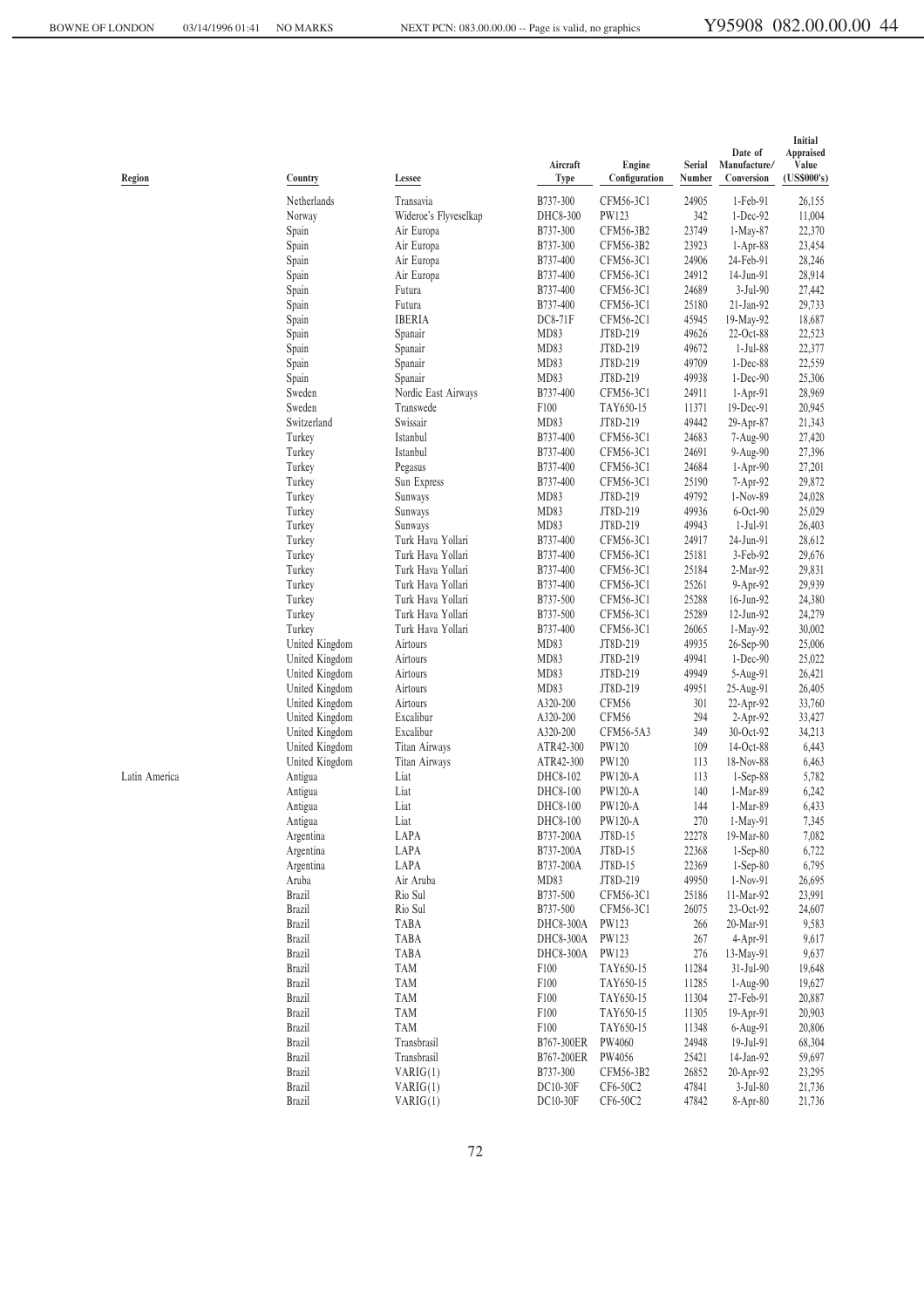**Initial Date of Appraised<br>
anufacture/** Value Aircraft **Engine** Serial Manufacture/ Value<br> **Type Configuration Number Conversion (US\$000's) Region Country Lessee Type ConÑguration Number Conversion (US\$000's)** Netherlands Transavia B737-300 CFM56-3C1 24905 1-Feb-91 26,155 Norway Mideroe's Flyveselkap DHC8-300 PW123 342 1-Dec-92 11,004<br>
Spain Air Europa B737-300 CFM56-3B2 23749 1-May-87 22,370 Spain Air Europa B737-300 CFM56-3B2 23749 1-May-87 22,370 Spain Air Europa B737-300 CFM56-3B2 23923 1-Apr-88 23,454 Spain Air Europa B737-400 CFM56-3C1 24906 24-Feb-91 28,246 Spain Air Europa B737-400 CFM56-3C1 24912 14-Jun-91 28,914 Spain Futura B737-400 CFM56-3C1 24689 3-Jul-90 27,442 Spain Futura B737-400 CFM56-3C1 25180 21-Jan-92 29,733 Spain IBERIA DC8-71F CFM56-2C1 45945 19-May-92 18,687 Spain Spanair MD83 JT8D-219 49626 22-Oct-88 22,523 Spain Spanair MD83 JT8D-219 49672 1-Jul-88 22,377 Spain Spanair MD83 JT8D-219 49709 1-Dec-88 22,559 Spain Spanair MD83 JT8D-219 49938 1-Dec-90 25,306 Sweden Nordic East Airways B737-400 CFM56-3C1 24911 1-Apr-91 28,969 Sweden Transwede F100 TAY650-15 11371 19-Dec-91 20,945 Switzerland Swissair MD83 JT8D-219 49442 29-Apr-87 21,343 Turkey Istanbul B737-400 CFM56-3C1 24683 7-Aug-90 27,420 Turkey Istanbul B737-400 CFM56-3C1 24691 9-Aug-90 27,396 Turkey Pegasus B737-400 CFM56-3C1 24684 1-Apr-90 27,201 Turkey Sun Express B737-400 CFM56-3C1 25190 7-Apr-92 29,872 Turkey Sunways MD83 JT8D-219 49792 1-Nov-89 24,028 Turkey Sunways MD83 JT8D-219 49936 6-Oct-90 25,029 Turkey Sunways MD83 JT8D-219 49943 1-Jul-91 26,403 Turkey Turk Hava Yollari B737-400 CFM56-3C1 24917 24-Jun-91 28,612 Turkey Turk Hava Yollari B737-400 CFM56-3C1 25181 3-Feb-92 29,676 Turkey Turk Hava Yollari B737-400 CFM56-3C1 25184 2-Mar-92 29,831 Turk Hava Yollari Turkey Turk Hava Yollari B737-500 CFM56-3C1 25288 16-Jun-92 24,380 Turkey Turk Hava Yollari B737-500 CFM56-3C1 25289 12-Jun-92 24,279 Turkey Turk Hava Yollari B737-400 CFM56-3C1 26065 1-May-92 30,002 United Kingdom Airtours MD83 JT8D-219 49935 26-Sep-90 25,006 United Kingdom Airtours MD83 JT8D-219 49941 1-Dec-90 25,022 United Kingdom Airtours MD83 JT8D-219 49949 5-Aug-91 26,421 United Kingdom Airtours MD83 JT8D-219 49951 25-Aug-91 26,405<br>
United Kingdom Airtours A320-200 CFM56 301 22-Apr-92 33.760 United Kingdom Airtours A320-200 CFM56 301 22-Apr-92 33,760 United Kingdom Excalibur A320-200 CFM56 294 2-Apr-92 33,427 United Kingdom Excalibur A320-200 CFM56-5A3 349 30-Oct-92 34,213 United Kingdom Titan Airways ATR42-300 PW120 109 14-Oct-88 6,443 United Kingdom Titan Airways ATR42-300 PW120 113 18-Nov-88 6,463 Latin America Antigua Liat DHC8-102 PW120-A 113 1-Sep-88 5,782 Antigua Liat DHC8-100 PW120-A 140 1-Mar-89 6,242 Antigua Liat DHC8-100 PW120-A 144 1-Mar-89 6,433 Antigua Liat DHC8-100 PW120-A 270 1-May-91 7,345 Argentina LAPA B737-200A JT8D-15 22278 19-Mar-80 7,082 Argentina LAPA B737-200A JT8D-15 22368 1-Sep-80 6,722 Argentina LAPA B737-200A JT8D-15 22369 1-Sep-80 6,795 Aruba Air Aruba MD83 JT8D-219 49950 1-Nov-91 26,695 Brazil Rio Sul B737-500 CFM56-3C1 25186 11-Mar-92 23,991 Brazil Rio Sul B737-500 CFM56-3C1 26075 23-Oct-92 24,607 Brazil TABA DHC8-300A PW123 266 20-Mar-91 9,583 Brazil TABA DHC8-300A PW123 267 4-Apr-91 9,617 Brazil TABA DHC8-300A PW123 276 13-May-91 9,637 Brazil TAM F100 TAY650-15 11284 31-Jul-90 19,648 Brazil TAM F100 TAY650-15 11285 1-Aug-90 19,627 Brazil TAM F100 TAY650-15 11304 27-Feb-91 20,887 Brazil TAM F100 TAY650-15 11305 19-Apr-91 20,903 Brazil TAM F100 TAY650-15 11348 6-Aug-91 20,806 Brazil Transbrasil B767-300ER PW4060 24948 19-Jul-91 68,304 Brazil Transbrasil B767-200ER PW4056 25421 14-Jan-92 59,697 Brazil VARIG(1) B737-300 CFM56-3B2 26852 20-Apr-92 23,295 Brazil VARIG(1) DC10-30F CF6-50C2 47841 3-Jul-80 21,736 Brazil VARIG(1) DC10-30F CF6-50C2 47842 8-Apr-80 21,736

72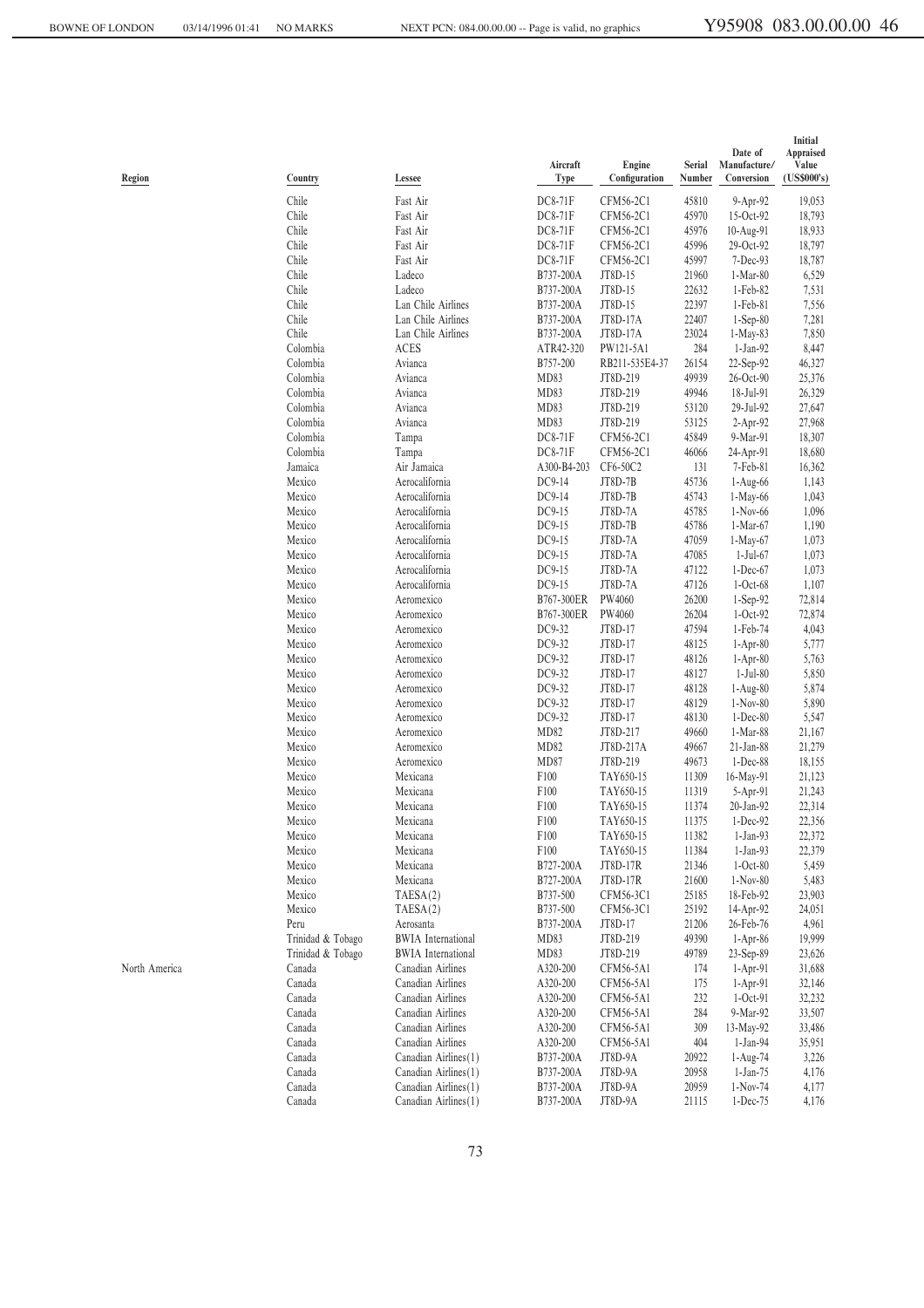| Region        | Country           | Lessee                           | Aircraft<br><b>Type</b> | Engine<br>Configuration | Serial<br>Number | Date of<br>Manufacture/<br>Conversion | Initial<br>Appraised<br>Value<br>(US\$000's) |
|---------------|-------------------|----------------------------------|-------------------------|-------------------------|------------------|---------------------------------------|----------------------------------------------|
|               | Chile             | Fast Air                         | DC8-71F                 | CFM56-2C1               | 45810            | 9-Apr-92                              | 19,053                                       |
|               | Chile             | Fast Air                         | DC8-71F                 | CFM56-2C1               | 45970            | 15-Oct-92                             | 18,793                                       |
|               | Chile             | Fast Air                         | DC8-71F                 | CFM56-2C1               | 45976            | 10-Aug-91                             | 18,933                                       |
|               | Chile             | Fast Air                         | DC8-71F                 | CFM56-2C1               | 45996            | 29-Oct-92                             | 18,797                                       |
|               | Chile             | Fast Air                         | DC8-71F                 | CFM56-2C1               | 45997            | $7-Dec-93$                            | 18,787                                       |
|               | Chile             | Ladeco                           | B737-200A               | JT8D-15                 | 21960            | 1-Mar-80                              | 6,529                                        |
|               | Chile             | Ladeco                           | B737-200A               | JT8D-15                 | 22632            | $1-Feb-82$                            | 7,531                                        |
|               | Chile             | Lan Chile Airlines               | B737-200A               | JT8D-15                 | 22397            | $1-Feb-81$                            | 7,556                                        |
|               | Chile             | Lan Chile Airlines               | B737-200A               | JT8D-17A                | 22407            | $1-Sep-80$                            | 7,281                                        |
|               | Chile             | Lan Chile Airlines               | B737-200A               | JT8D-17A                | 23024            | $1-May-83$                            | 7,850                                        |
|               | Colombia          | ACES                             | ATR42-320               | PW121-5A1               | 284              | $1-Jan-92$                            | 8,447                                        |
|               | Colombia          | Avianca                          | B757-200                | RB211-535E4-37          | 26154            | 22-Sep-92                             | 46,327                                       |
|               | Colombia          | Avianca                          | MD83                    | JT8D-219                | 49939            | 26-Oct-90                             | 25,376                                       |
|               | Colombia          | Avianca                          | MD83                    | JT8D-219                | 49946            | 18-Jul-91                             | 26,329                                       |
|               | Colombia          | Avianca                          | MD83                    | JT8D-219                | 53120            | 29-Jul-92                             | 27,647                                       |
|               | Colombia          | Avianca                          | MD83                    | JT8D-219                | 53125            | 2-Apr-92                              | 27,968                                       |
|               | Colombia          | Tampa                            | DC8-71F                 | CFM56-2C1               | 45849            | 9-Mar-91                              | 18,307                                       |
|               | Colombia          | Tampa                            | DC8-71F                 | CFM56-2C1               | 46066            | 24-Apr-91                             | 18,680                                       |
|               | Jamaica           | Air Jamaica                      | A300-B4-203             | CF6-50C2                | 131              | 7-Feb-81                              | 16,362                                       |
|               | Mexico            | Aerocalifornia                   | DC9-14                  | JT8D-7B                 | 45736            | $1-Aug-66$                            | 1,143                                        |
|               | Mexico<br>Mexico  | Aerocalifornia                   | DC9-14<br>DC9-15        | JT8D-7B<br>JT8D-7A      | 45743            | 1-May-66                              | 1,043                                        |
|               | Mexico            | Aerocalifornia<br>Aerocalifornia | DC9-15                  | JT8D-7B                 | 45785<br>45786   | $1-Nov-66$<br>1-Mar-67                | 1,096<br>1,190                               |
|               |                   | Aerocalifornia                   | DC9-15                  | JT8D-7A                 |                  |                                       |                                              |
|               | Mexico<br>Mexico  | Aerocalifornia                   | DC9-15                  | JT8D-7A                 | 47059<br>47085   | 1-May-67<br>1-Jul-67                  | 1,073<br>1,073                               |
|               | Mexico            | Aerocalifornia                   | DC9-15                  | JT8D-7A                 | 47122            | $1-Dec-67$                            | 1,073                                        |
|               | Mexico            | Aerocalifornia                   | DC9-15                  | JT8D-7A                 | 47126            | $1-Oct-68$                            | 1,107                                        |
|               | Mexico            | Aeromexico                       | B767-300ER              | PW4060                  | 26200            | 1-Sep-92                              | 72,814                                       |
|               | Mexico            | Aeromexico                       | B767-300ER              | PW4060                  | 26204            | $1-Oct-92$                            | 72,874                                       |
|               | Mexico            | Aeromexico                       | DC9-32                  | JT8D-17                 | 47594            | 1-Feb-74                              | 4,043                                        |
|               | Mexico            | Aeromexico                       | DC9-32                  | JT8D-17                 | 48125            | $1-Apr-80$                            | 5,777                                        |
|               | Mexico            | Aeromexico                       | DC9-32                  | JT8D-17                 | 48126            | $1-Apr-80$                            | 5,763                                        |
|               | Mexico            | Aeromexico                       | DC9-32                  | JT8D-17                 | 48127            | $1-Jul-80$                            | 5,850                                        |
|               | Mexico            | Aeromexico                       | DC9-32                  | JT8D-17                 | 48128            | $1-Aug-80$                            | 5,874                                        |
|               | Mexico            | Aeromexico                       | DC9-32                  | JT8D-17                 | 48129            | $1-Nov-80$                            | 5,890                                        |
|               | Mexico            | Aeromexico                       | DC9-32                  | JT8D-17                 | 48130            | $1-Dec-80$                            | 5,547                                        |
|               | Mexico            | Aeromexico                       | MD82                    | JT8D-217                | 49660            | $1-Mar-88$                            | 21,167                                       |
|               | Mexico            | Aeromexico                       | MD82                    | JT8D-217A               | 49667            | 21-Jan-88                             | 21,279                                       |
|               | Mexico            | Aeromexico                       | MD87                    | JT8D-219                | 49673            | $1-Dec-88$                            | 18,155                                       |
|               | Mexico            | Mexicana                         | F100                    | TAY650-15               | 11309            | 16-May-91                             | 21,123                                       |
|               | Mexico            | Mexicana                         | F100                    | TAY650-15               | 11319            | 5-Apr-91                              | 21,243                                       |
|               | Mexico            | Mexicana                         | F100                    | TAY650-15               | 11374            | 20-Jan-92                             | 22,314                                       |
|               | Mexico            | Mexicana                         | F100                    | TAY650-15               | 11375            | $1-Dec-92$                            | 22,356                                       |
|               | Mexico            | Mexicana                         | F <sub>100</sub>        | TAY650-15               | 11382            | $1-Jan-93$                            | 22,372                                       |
|               | Mexico            | Mexicana                         | F100                    | TAY650-15               | 11384            | $1-Jan-93$                            | 22,379                                       |
|               | Mexico            | Mexicana                         | B727-200A               | JT8D-17R                | 21346            | $1-Oct-80$                            | 5,459                                        |
|               | Mexico            | Mexicana                         | B727-200A               | JT8D-17R                | 21600            | 1-Nov-80                              | 5,483                                        |
|               | Mexico            | TAESA(2)                         | B737-500                | CFM56-3C1               | 25185            | 18-Feb-92                             | 23,903                                       |
|               | Mexico            | TAESA(2)                         | B737-500                | CFM56-3C1               | 25192            | 14-Apr-92                             | 24,051                                       |
|               | Peru              | Aerosanta                        | B737-200A               | JT8D-17                 | 21206            | 26-Feb-76                             | 4,961                                        |
|               | Trinidad & Tobago | <b>BWIA</b> International        | MD83                    | JT8D-219                | 49390            | $1-Apr-86$                            | 19,999                                       |
|               | Trinidad & Tobago | <b>BWIA</b> International        | MD83                    | JT8D-219                | 49789            | $23-Sep-89$                           | 23,626                                       |
| North America | Canada            | Canadian Airlines                | A320-200                | CFM56-5A1               | 174              | $1-Apr-91$                            | 31,688                                       |
|               | Canada            | Canadian Airlines                | A320-200                | CFM56-5A1               | 175              | $1-Apr-91$                            | 32,146                                       |
|               | Canada            | Canadian Airlines                | A320-200                | CFM56-5A1               | 232              | $1-Oct-91$                            | 32,232                                       |
|               | Canada            | Canadian Airlines                | A320-200                | CFM56-5A1               | 284              | 9-Mar-92                              | 33,507                                       |
|               | Canada            | Canadian Airlines                | A320-200                | CFM56-5A1               | 309              | 13-May-92                             | 33,486                                       |
|               | Canada            | Canadian Airlines                | A320-200                | CFM56-5A1               | 404              | $1-Jan-94$                            | 35,951                                       |
|               | Canada            | Canadian Airlines (1)            | B737-200A               | JT8D-9A                 | 20922            | 1-Aug-74                              | 3,226                                        |
|               | Canada            | Canadian Airlines (1)            | B737-200A               | JT8D-9A                 | 20958            | 1-Jan-75                              | 4,176                                        |
|               | Canada            | Canadian Airlines (1)            | B737-200A               | JT8D-9A                 | 20959            | $1-Nov-74$                            | 4,177                                        |
|               | Canada            | Canadian Airlines (1)            | B737-200A               | JT8D-9A                 | 21115            | 1-Dec-75                              | 4,176                                        |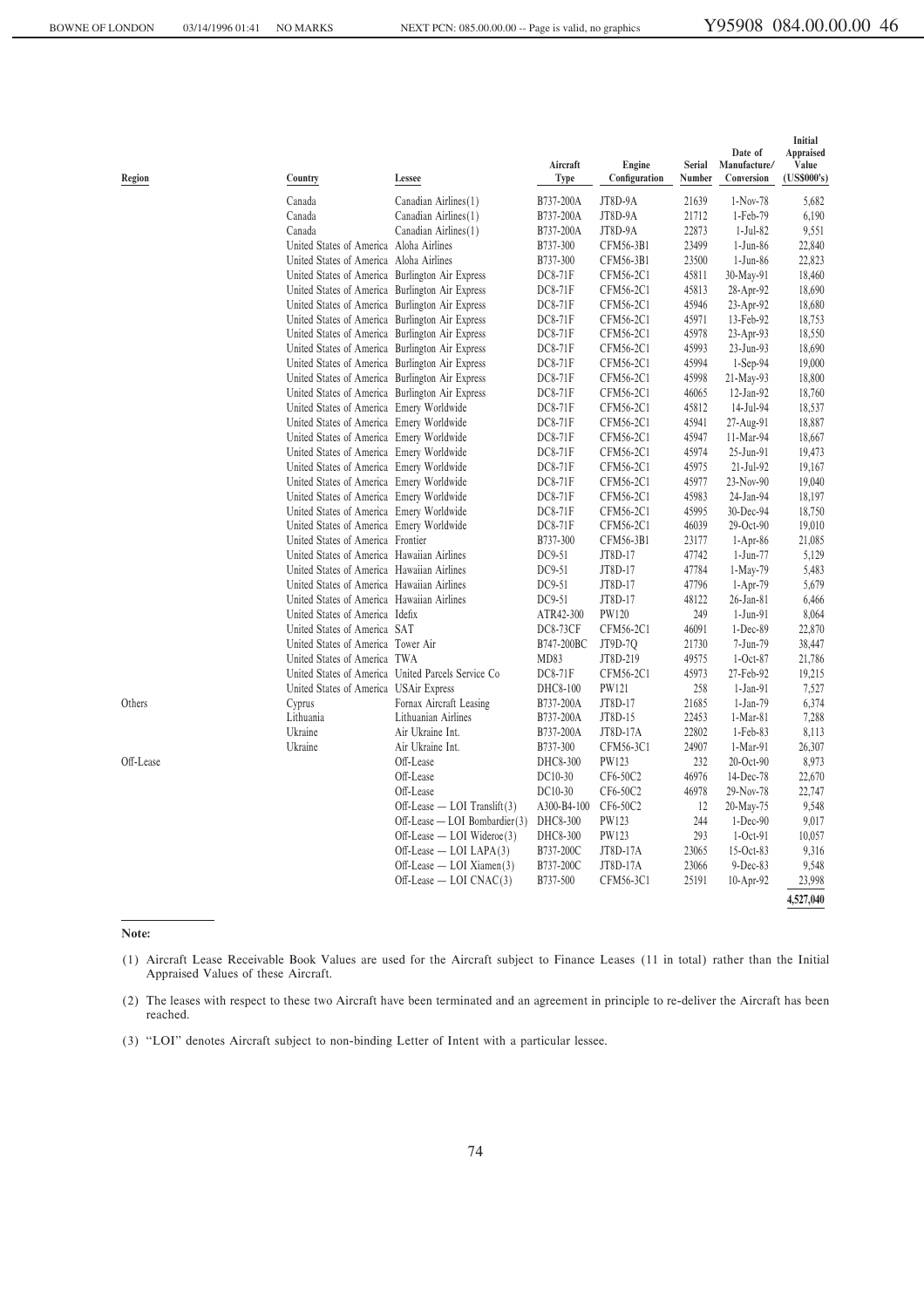| Region    | Country                                         | Lessee                                             | Aircraft<br>Type | Engine<br>Configuration | <b>Serial</b><br>Number | Date of<br>Manufacture/<br>Conversion | Initial<br>Appraised<br>Value<br>(US\$000's) |
|-----------|-------------------------------------------------|----------------------------------------------------|------------------|-------------------------|-------------------------|---------------------------------------|----------------------------------------------|
|           | Canada                                          | Canadian Airlines(1)                               | B737-200A        | JT8D-9A                 | 21639                   | 1-Nov-78                              | 5,682                                        |
|           | Canada                                          | Canadian Airlines(1)                               | B737-200A        | JT8D-9A                 | 21712                   | 1-Feb-79                              | 6,190                                        |
|           | Canada                                          | Canadian Airlines(1)                               | B737-200A        | JT8D-9A                 | 22873                   | $1-Jul-82$                            | 9,551                                        |
|           | United States of America                        | Aloha Airlines                                     | B737-300         | CFM56-3B1               | 23499                   | $1-Jun-86$                            | 22,840                                       |
|           | United States of America                        | Aloha Airlines                                     | B737-300         | CFM56-3B1               | 23500                   | $1-Jun-86$                            | 22,823                                       |
|           | United States of America Burlington Air Express |                                                    | DC8-71F          | CFM56-2C1               | 45811                   | 30-May-91                             | 18,460                                       |
|           | United States of America Burlington Air Express |                                                    | DC8-71F          | CFM56-2C1               | 45813                   | 28-Apr-92                             | 18,690                                       |
|           | United States of America Burlington Air Express |                                                    | DC8-71F          | CFM56-2C1               | 45946                   | 23-Apr-92                             | 18,680                                       |
|           | United States of America Burlington Air Express |                                                    | <b>DC8-71F</b>   | CFM56-2C1               | 45971                   | 13-Feb-92                             | 18,753                                       |
|           | United States of America Burlington Air Express |                                                    | DC8-71F          | CFM56-2C1               | 45978                   | 23-Apr-93                             | 18,550                                       |
|           | United States of America Burlington Air Express |                                                    | DC8-71F          | CFM56-2C1               | 45993                   | 23-Jun-93                             | 18,690                                       |
|           | United States of America Burlington Air Express |                                                    | DC8-71F          | CFM56-2C1               | 45994                   | $1-Sep-94$                            | 19,000                                       |
|           | United States of America Burlington Air Express |                                                    | DC8-71F          | CFM56-2C1               | 45998                   | 21-May-93                             | 18,800                                       |
|           | United States of America Burlington Air Express |                                                    | DC8-71F          | CFM56-2C1               | 46065                   | 12-Jan-92                             | 18,760                                       |
|           | United States of America Emery Worldwide        |                                                    | <b>DC8-71F</b>   | CFM56-2C1               | 45812                   | 14-Jul-94                             | 18,537                                       |
|           | United States of America Emery Worldwide        |                                                    | DC8-71F          | CFM56-2C1               | 45941                   | 27-Aug-91                             | 18,887                                       |
|           | United States of America Emery Worldwide        |                                                    | DC8-71F          | CFM56-2C1               | 45947                   | 11-Mar-94                             | 18,667                                       |
|           | United States of America Emery Worldwide        |                                                    | DC8-71F          | CFM56-2C1               | 45974                   | 25-Jun-91                             | 19,473                                       |
|           | United States of America Emery Worldwide        |                                                    | DC8-71F          | CFM56-2C1               | 45975                   | $21-Jul-92$                           | 19,167                                       |
|           | United States of America Emery Worldwide        |                                                    | DC8-71F          | CFM56-2C1               | 45977                   | 23-Nov-90                             | 19,040                                       |
|           | United States of America Emery Worldwide        |                                                    | DC8-71F          | CFM56-2C1               | 45983                   | 24-Jan-94                             | 18,197                                       |
|           | United States of America Emery Worldwide        |                                                    | DC8-71F          | CFM56-2C1               | 45995                   | 30-Dec-94                             | 18,750                                       |
|           | United States of America Emery Worldwide        |                                                    | DC8-71F          | CFM56-2C1               | 46039                   | 29-Oct-90                             | 19,010                                       |
|           | United States of America Frontier               |                                                    | B737-300         | CFM56-3B1               | 23177                   | $1-Apr-86$                            | 21,085                                       |
|           | United States of America Hawaiian Airlines      |                                                    | DC9-51           | JT8D-17                 | 47742                   | $1-Jun-77$                            | 5,129                                        |
|           | United States of America Hawaiian Airlines      |                                                    | DC9-51           | JT8D-17                 | 47784                   | 1-May-79                              | 5,483                                        |
|           | United States of America Hawaiian Airlines      |                                                    | DC9-51           | JT8D-17                 | 47796                   | $1-Apr-79$                            | 5,679                                        |
|           | United States of America Hawaiian Airlines      |                                                    | DC9-51           | JT8D-17                 | 48122                   | $26$ -Jan-81                          | 6,466                                        |
|           | United States of America Idefix                 |                                                    | ATR42-300        | PW120                   | 249                     | $1-Jun-91$                            | 8,064                                        |
|           | United States of America SAT                    |                                                    | <b>DC8-73CF</b>  | CFM56-2C1               | 46091                   | $1-Dec-89$                            | 22,870                                       |
|           | United States of America Tower Air              |                                                    | B747-200BC       | JT9D-70                 | 21730                   | 7-Jun-79                              | 38,447                                       |
|           | United States of America TWA                    |                                                    | MD83             | JT8D-219                | 49575                   | $1-Oct-87$                            | 21,786                                       |
|           |                                                 | United States of America United Parcels Service Co | DC8-71F          | CFM56-2C1               | 45973                   | 27-Feb-92                             | 19,215                                       |
|           | United States of America USAir Express          |                                                    | DHC8-100         | PW121                   | 258                     | $1-Jan-91$                            | 7,527                                        |
| Others    | Cyprus                                          | Fornax Aircraft Leasing                            | B737-200A        | JT8D-17                 | 21685                   | 1-Jan-79                              | 6,374                                        |
|           | Lithuania                                       | Lithuanian Airlines                                | B737-200A        | JT8D-15                 | 22453                   | $1-Mar-81$                            | 7,288                                        |
|           | Ukraine                                         | Air Ukraine Int.                                   | B737-200A        | JT8D-17A                | 22802                   | 1-Feb-83                              | 8,113                                        |
|           | Ukraine                                         | Air Ukraine Int.                                   | B737-300         | CFM56-3C1               | 24907                   | 1-Mar-91                              | 26,307                                       |
| Off-Lease |                                                 | Off-Lease                                          | DHC8-300         | PW123                   | 232                     | 20-Oct-90                             | 8,973                                        |
|           |                                                 | Off-Lease                                          | DC10-30          | CF6-50C2                | 46976                   | 14-Dec-78                             | 22,670                                       |
|           |                                                 | Off-Lease                                          | DC10-30          | CF6-50C2                | 46978                   | 29-Nov-78                             | 22,747                                       |
|           |                                                 | $Off\text{-}\text{Lease}$ - LOI Translift(3)       | A300-B4-100      | CF6-50C2                | 12                      | 20-May-75                             | 9,548                                        |
|           |                                                 | Off-Lease - LOI Bombardier(3)                      | DHC8-300         | PW123                   | 244                     | $1-Dec-90$                            | 9,017                                        |
|           |                                                 | $Off\text{-}Lease$ - LOI Wideroe(3)                | DHC8-300         | PW123                   | 293                     | $1-Oct-91$                            | 10,057                                       |
|           |                                                 | $Off\text{-}\text{Lease}$ $\sim$ LOI LAPA(3)       | B737-200C        | JT8D-17A                | 23065                   | 15-Oct-83                             | 9,316                                        |
|           |                                                 | $Off\text{-}Lease - LOI Xiamen(3)$                 | B737-200C        | JT8D-17A                | 23066                   | $9-Dec-83$                            | 9,548                                        |
|           |                                                 | $Off\text{-}\text{Lease} - \text{LOI CNAC}(3)$     | B737-500         | CFM56-3C1               | 25191                   | 10-Apr-92                             | 23,998                                       |
|           |                                                 |                                                    |                  |                         |                         |                                       |                                              |
|           |                                                 |                                                    |                  |                         |                         |                                       | 4,527,040                                    |

**Note:**

(1) Aircraft Lease Receivable Book Values are used for the Aircraft subject to Finance Leases (11 in total) rather than the Initial Appraised Values of these Aircraft.

<sup>(2)</sup> The leases with respect to these two Aircraft have been terminated and an agreement in principle to re-deliver the Aircraft has been reached.

<sup>(3) &</sup>quot;"LOI'' denotes Aircraft subject to non-binding Letter of Intent with a particular lessee.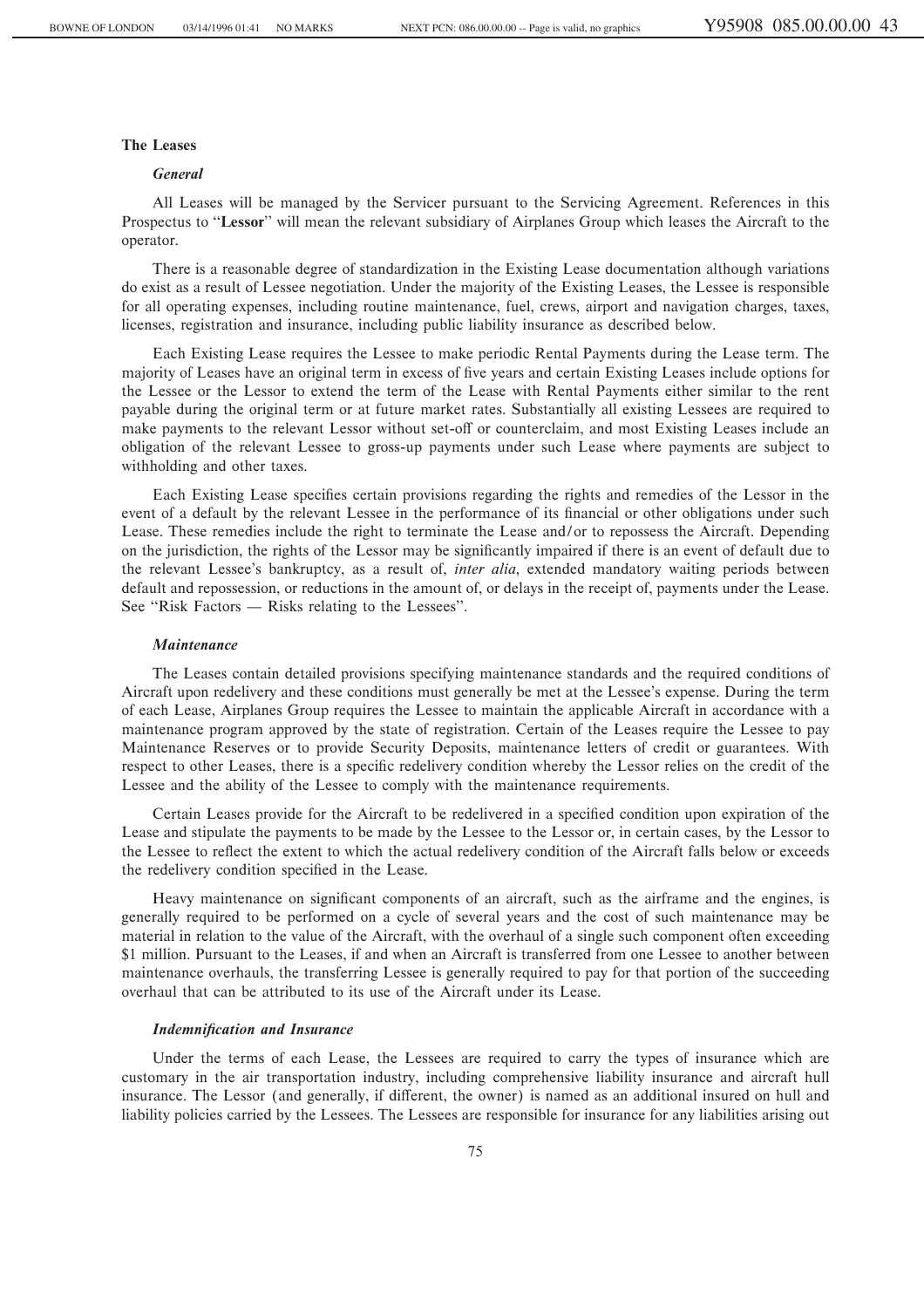# **The Leases**

#### *General*

All Leases will be managed by the Servicer pursuant to the Servicing Agreement. References in this Prospectus to "Lessor" will mean the relevant subsidiary of Airplanes Group which leases the Aircraft to the operator.

There is a reasonable degree of standardization in the Existing Lease documentation although variations do exist as a result of Lessee negotiation. Under the majority of the Existing Leases, the Lessee is responsible for all operating expenses, including routine maintenance, fuel, crews, airport and navigation charges, taxes, licenses, registration and insurance, including public liability insurance as described below.

Each Existing Lease requires the Lessee to make periodic Rental Payments during the Lease term. The majority of Leases have an original term in excess of five years and certain Existing Leases include options for the Lessee or the Lessor to extend the term of the Lease with Rental Payments either similar to the rent payable during the original term or at future market rates. Substantially all existing Lessees are required to make payments to the relevant Lessor without set-off or counterclaim, and most Existing Leases include an obligation of the relevant Lessee to gross-up payments under such Lease where payments are subject to withholding and other taxes.

Each Existing Lease specifies certain provisions regarding the rights and remedies of the Lessor in the event of a default by the relevant Lessee in the performance of its financial or other obligations under such Lease. These remedies include the right to terminate the Lease and/or to repossess the Aircraft. Depending on the jurisdiction, the rights of the Lessor may be significantly impaired if there is an event of default due to the relevant Lessee's bankruptcy, as a result of, *inter alia*, extended mandatory waiting periods between default and repossession, or reductions in the amount of, or delays in the receipt of, payments under the Lease. See "Risk Factors — Risks relating to the Lessees".

## *Maintenance*

The Leases contain detailed provisions specifying maintenance standards and the required conditions of Aircraft upon redelivery and these conditions must generally be met at the Lessee's expense. During the term of each Lease, Airplanes Group requires the Lessee to maintain the applicable Aircraft in accordance with a maintenance program approved by the state of registration. Certain of the Leases require the Lessee to pay Maintenance Reserves or to provide Security Deposits, maintenance letters of credit or guarantees. With respect to other Leases, there is a specific redelivery condition whereby the Lessor relies on the credit of the Lessee and the ability of the Lessee to comply with the maintenance requirements.

Certain Leases provide for the Aircraft to be redelivered in a specified condition upon expiration of the Lease and stipulate the payments to be made by the Lessee to the Lessor or, in certain cases, by the Lessor to the Lessee to reflect the extent to which the actual redelivery condition of the Aircraft falls below or exceeds the redelivery condition specified in the Lease.

Heavy maintenance on significant components of an aircraft, such as the airframe and the engines, is generally required to be performed on a cycle of several years and the cost of such maintenance may be material in relation to the value of the Aircraft, with the overhaul of a single such component often exceeding \$1 million. Pursuant to the Leases, if and when an Aircraft is transferred from one Lessee to another between maintenance overhauls, the transferring Lessee is generally required to pay for that portion of the succeeding overhaul that can be attributed to its use of the Aircraft under its Lease.

# **Indemnification and Insurance**

Under the terms of each Lease, the Lessees are required to carry the types of insurance which are customary in the air transportation industry, including comprehensive liability insurance and aircraft hull insurance. The Lessor (and generally, if different, the owner) is named as an additional insured on hull and liability policies carried by the Lessees. The Lessees are responsible for insurance for any liabilities arising out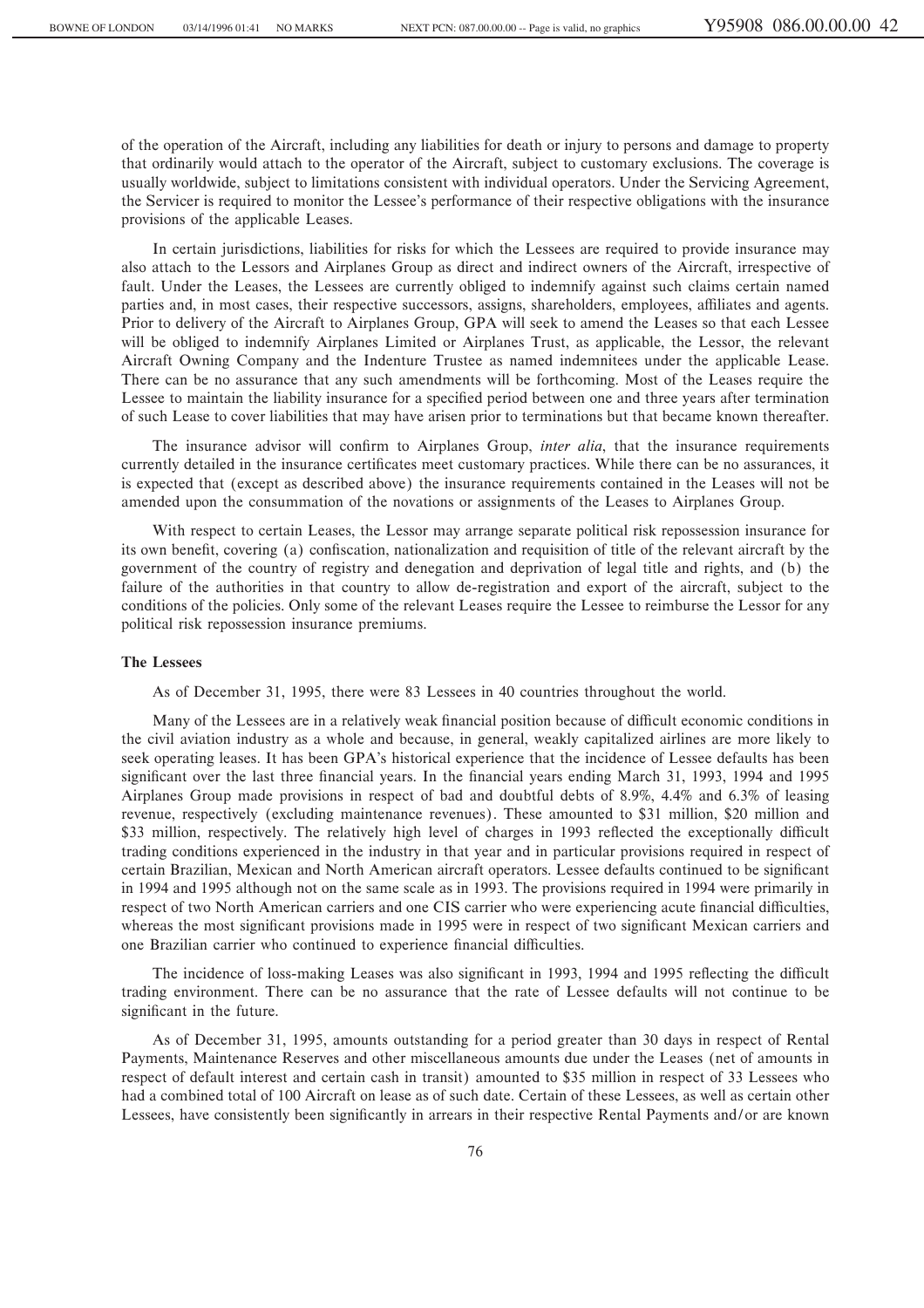of the operation of the Aircraft, including any liabilities for death or injury to persons and damage to property that ordinarily would attach to the operator of the Aircraft, subject to customary exclusions. The coverage is usually worldwide, subject to limitations consistent with individual operators. Under the Servicing Agreement, the Servicer is required to monitor the Lessee's performance of their respective obligations with the insurance provisions of the applicable Leases.

In certain jurisdictions, liabilities for risks for which the Lessees are required to provide insurance may also attach to the Lessors and Airplanes Group as direct and indirect owners of the Aircraft, irrespective of fault. Under the Leases, the Lessees are currently obliged to indemnify against such claims certain named parties and, in most cases, their respective successors, assigns, shareholders, employees, affiliates and agents. Prior to delivery of the Aircraft to Airplanes Group, GPA will seek to amend the Leases so that each Lessee will be obliged to indemnify Airplanes Limited or Airplanes Trust, as applicable, the Lessor, the relevant Aircraft Owning Company and the Indenture Trustee as named indemnitees under the applicable Lease. There can be no assurance that any such amendments will be forthcoming. Most of the Leases require the Lessee to maintain the liability insurance for a specified period between one and three years after termination of such Lease to cover liabilities that may have arisen prior to terminations but that became known thereafter.

The insurance advisor will confirm to Airplanes Group, *inter alia*, that the insurance requirements currently detailed in the insurance certificates meet customary practices. While there can be no assurances, it is expected that (except as described above) the insurance requirements contained in the Leases will not be amended upon the consummation of the novations or assignments of the Leases to Airplanes Group.

With respect to certain Leases, the Lessor may arrange separate political risk repossession insurance for its own benefit, covering (a) confiscation, nationalization and requisition of title of the relevant aircraft by the government of the country of registry and denegation and deprivation of legal title and rights, and (b) the failure of the authorities in that country to allow de-registration and export of the aircraft, subject to the conditions of the policies. Only some of the relevant Leases require the Lessee to reimburse the Lessor for any political risk repossession insurance premiums.

# **The Lessees**

As of December 31, 1995, there were 83 Lessees in 40 countries throughout the world.

Many of the Lessees are in a relatively weak financial position because of difficult economic conditions in the civil aviation industry as a whole and because, in general, weakly capitalized airlines are more likely to seek operating leases. It has been GPA's historical experience that the incidence of Lessee defaults has been significant over the last three financial years. In the financial years ending March 31, 1993, 1994 and 1995 Airplanes Group made provisions in respect of bad and doubtful debts of 8.9%, 4.4% and 6.3% of leasing revenue, respectively (excluding maintenance revenues). These amounted to \$31 million, \$20 million and \$33 million, respectively. The relatively high level of charges in 1993 reflected the exceptionally difficult trading conditions experienced in the industry in that year and in particular provisions required in respect of certain Brazilian, Mexican and North American aircraft operators. Lessee defaults continued to be significant in 1994 and 1995 although not on the same scale as in 1993. The provisions required in 1994 were primarily in respect of two North American carriers and one CIS carrier who were experiencing acute financial difficulties, whereas the most significant provisions made in 1995 were in respect of two significant Mexican carriers and one Brazilian carrier who continued to experience financial difficulties.

The incidence of loss-making Leases was also significant in 1993, 1994 and 1995 reflecting the difficult trading environment. There can be no assurance that the rate of Lessee defaults will not continue to be significant in the future.

As of December 31, 1995, amounts outstanding for a period greater than 30 days in respect of Rental Payments, Maintenance Reserves and other miscellaneous amounts due under the Leases (net of amounts in respect of default interest and certain cash in transit) amounted to \$35 million in respect of 33 Lessees who had a combined total of 100 Aircraft on lease as of such date. Certain of these Lessees, as well as certain other Lessees, have consistently been significantly in arrears in their respective Rental Payments and/or are known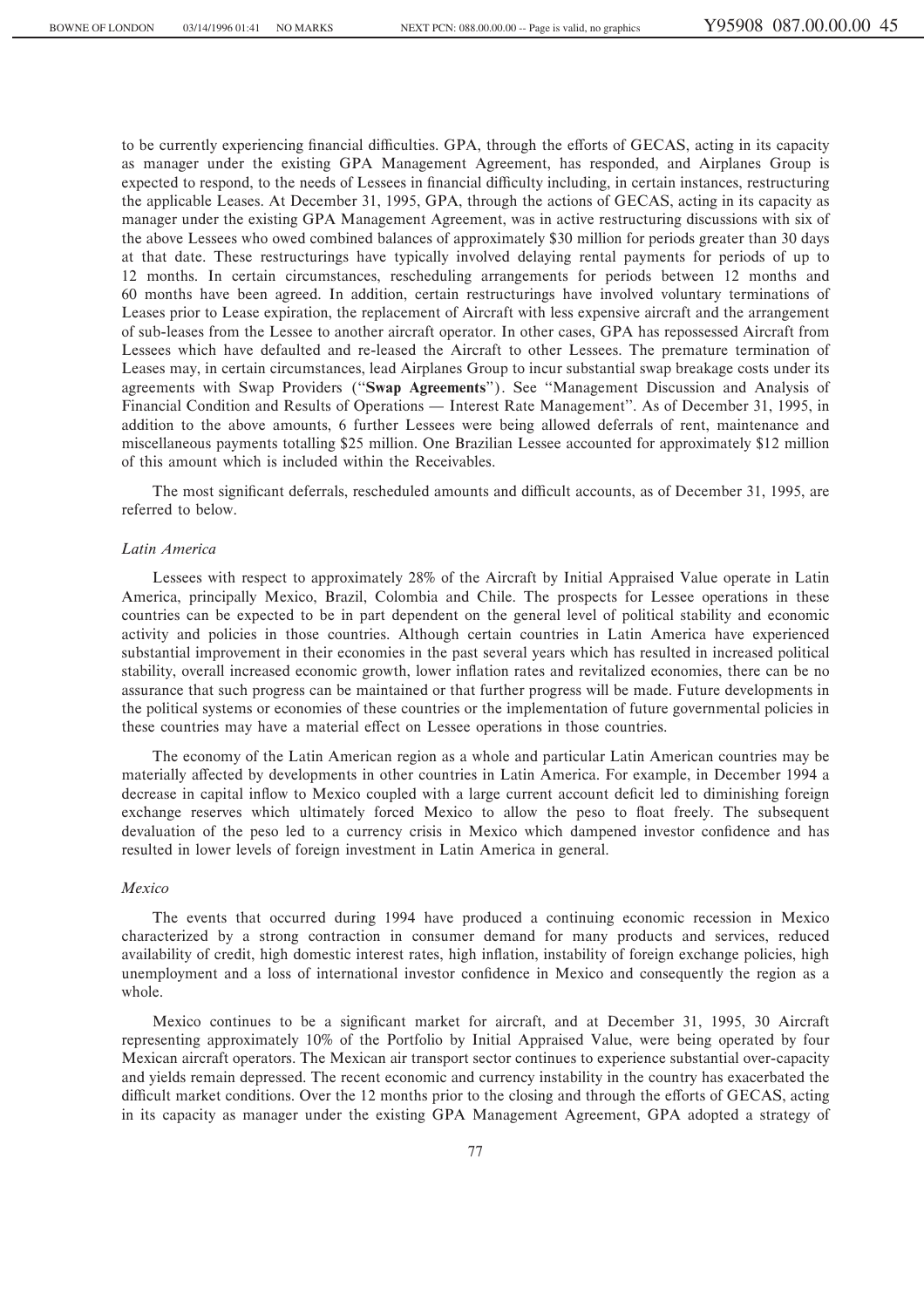to be currently experiencing financial difficulties. GPA, through the efforts of GECAS, acting in its capacity as manager under the existing GPA Management Agreement, has responded, and Airplanes Group is expected to respond, to the needs of Lessees in financial difficulty including, in certain instances, restructuring the applicable Leases. At December 31, 1995, GPA, through the actions of GECAS, acting in its capacity as manager under the existing GPA Management Agreement, was in active restructuring discussions with six of the above Lessees who owed combined balances of approximately \$30 million for periods greater than 30 days at that date. These restructurings have typically involved delaying rental payments for periods of up to 12 months. In certain circumstances, rescheduling arrangements for periods between 12 months and 60 months have been agreed. In addition, certain restructurings have involved voluntary terminations of Leases prior to Lease expiration, the replacement of Aircraft with less expensive aircraft and the arrangement of sub-leases from the Lessee to another aircraft operator. In other cases, GPA has repossessed Aircraft from Lessees which have defaulted and re-leased the Aircraft to other Lessees. The premature termination of Leases may, in certain circumstances, lead Airplanes Group to incur substantial swap breakage costs under its agreements with Swap Providers (""**Swap Agreements**''). See ""Management Discussion and Analysis of Financial Condition and Results of Operations — Interest Rate Management''. As of December 31, 1995, in addition to the above amounts, 6 further Lessees were being allowed deferrals of rent, maintenance and miscellaneous payments totalling \$25 million. One Brazilian Lessee accounted for approximately \$12 million of this amount which is included within the Receivables.

The most significant deferrals, rescheduled amounts and difficult accounts, as of December 31, 1995, are referred to below.

## *Latin America*

Lessees with respect to approximately 28% of the Aircraft by Initial Appraised Value operate in Latin America, principally Mexico, Brazil, Colombia and Chile. The prospects for Lessee operations in these countries can be expected to be in part dependent on the general level of political stability and economic activity and policies in those countries. Although certain countries in Latin America have experienced substantial improvement in their economies in the past several years which has resulted in increased political stability, overall increased economic growth, lower inflation rates and revitalized economies, there can be no assurance that such progress can be maintained or that further progress will be made. Future developments in the political systems or economies of these countries or the implementation of future governmental policies in these countries may have a material effect on Lessee operations in those countries.

The economy of the Latin American region as a whole and particular Latin American countries may be materially affected by developments in other countries in Latin America. For example, in December 1994 a decrease in capital inflow to Mexico coupled with a large current account deficit led to diminishing foreign exchange reserves which ultimately forced Mexico to allow the peso to float freely. The subsequent devaluation of the peso led to a currency crisis in Mexico which dampened investor confidence and has resulted in lower levels of foreign investment in Latin America in general.

#### *Mexico*

The events that occurred during 1994 have produced a continuing economic recession in Mexico characterized by a strong contraction in consumer demand for many products and services, reduced availability of credit, high domestic interest rates, high inflation, instability of foreign exchange policies, high unemployment and a loss of international investor confidence in Mexico and consequently the region as a whole.

Mexico continues to be a significant market for aircraft, and at December 31, 1995, 30 Aircraft representing approximately 10% of the Portfolio by Initial Appraised Value, were being operated by four Mexican aircraft operators. The Mexican air transport sector continues to experience substantial over-capacity and yields remain depressed. The recent economic and currency instability in the country has exacerbated the difficult market conditions. Over the 12 months prior to the closing and through the efforts of GECAS, acting in its capacity as manager under the existing GPA Management Agreement, GPA adopted a strategy of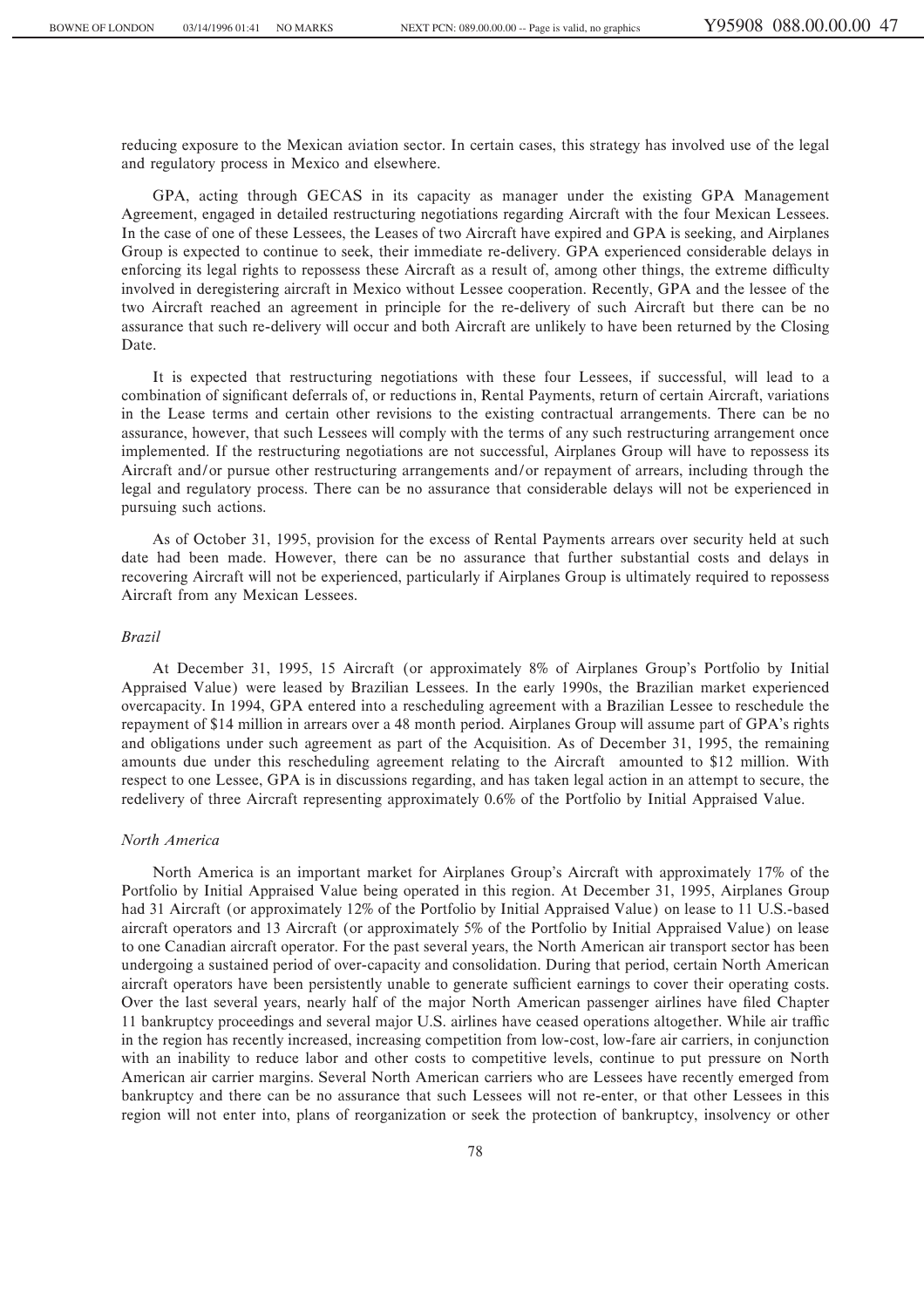reducing exposure to the Mexican aviation sector. In certain cases, this strategy has involved use of the legal and regulatory process in Mexico and elsewhere.

GPA, acting through GECAS in its capacity as manager under the existing GPA Management Agreement, engaged in detailed restructuring negotiations regarding Aircraft with the four Mexican Lessees. In the case of one of these Lessees, the Leases of two Aircraft have expired and GPA is seeking, and Airplanes Group is expected to continue to seek, their immediate re-delivery. GPA experienced considerable delays in enforcing its legal rights to repossess these Aircraft as a result of, among other things, the extreme difficulty involved in deregistering aircraft in Mexico without Lessee cooperation. Recently, GPA and the lessee of the two Aircraft reached an agreement in principle for the re-delivery of such Aircraft but there can be no assurance that such re-delivery will occur and both Aircraft are unlikely to have been returned by the Closing Date.

It is expected that restructuring negotiations with these four Lessees, if successful, will lead to a combination of significant deferrals of, or reductions in, Rental Payments, return of certain Aircraft, variations in the Lease terms and certain other revisions to the existing contractual arrangements. There can be no assurance, however, that such Lessees will comply with the terms of any such restructuring arrangement once implemented. If the restructuring negotiations are not successful, Airplanes Group will have to repossess its Aircraft and/or pursue other restructuring arrangements and/or repayment of arrears, including through the legal and regulatory process. There can be no assurance that considerable delays will not be experienced in pursuing such actions.

As of October 31, 1995, provision for the excess of Rental Payments arrears over security held at such date had been made. However, there can be no assurance that further substantial costs and delays in recovering Aircraft will not be experienced, particularly if Airplanes Group is ultimately required to repossess Aircraft from any Mexican Lessees.

# *Brazil*

At December 31, 1995, 15 Aircraft (or approximately 8% of Airplanes Group's Portfolio by Initial Appraised Value) were leased by Brazilian Lessees. In the early 1990s, the Brazilian market experienced overcapacity. In 1994, GPA entered into a rescheduling agreement with a Brazilian Lessee to reschedule the repayment of \$14 million in arrears over a 48 month period. Airplanes Group will assume part of GPA's rights and obligations under such agreement as part of the Acquisition. As of December 31, 1995, the remaining amounts due under this rescheduling agreement relating to the Aircraft amounted to \$12 million. With respect to one Lessee, GPA is in discussions regarding, and has taken legal action in an attempt to secure, the redelivery of three Aircraft representing approximately 0.6% of the Portfolio by Initial Appraised Value.

# *North America*

North America is an important market for Airplanes Group's Aircraft with approximately 17% of the Portfolio by Initial Appraised Value being operated in this region. At December 31, 1995, Airplanes Group had 31 Aircraft (or approximately 12% of the Portfolio by Initial Appraised Value) on lease to 11 U.S.-based aircraft operators and 13 Aircraft (or approximately 5% of the Portfolio by Initial Appraised Value) on lease to one Canadian aircraft operator. For the past several years, the North American air transport sector has been undergoing a sustained period of over-capacity and consolidation. During that period, certain North American aircraft operators have been persistently unable to generate sufficient earnings to cover their operating costs. Over the last several years, nearly half of the major North American passenger airlines have filed Chapter 11 bankruptcy proceedings and several major U.S. airlines have ceased operations altogether. While air traffic in the region has recently increased, increasing competition from low-cost, low-fare air carriers, in conjunction with an inability to reduce labor and other costs to competitive levels, continue to put pressure on North American air carrier margins. Several North American carriers who are Lessees have recently emerged from bankruptcy and there can be no assurance that such Lessees will not re-enter, or that other Lessees in this region will not enter into, plans of reorganization or seek the protection of bankruptcy, insolvency or other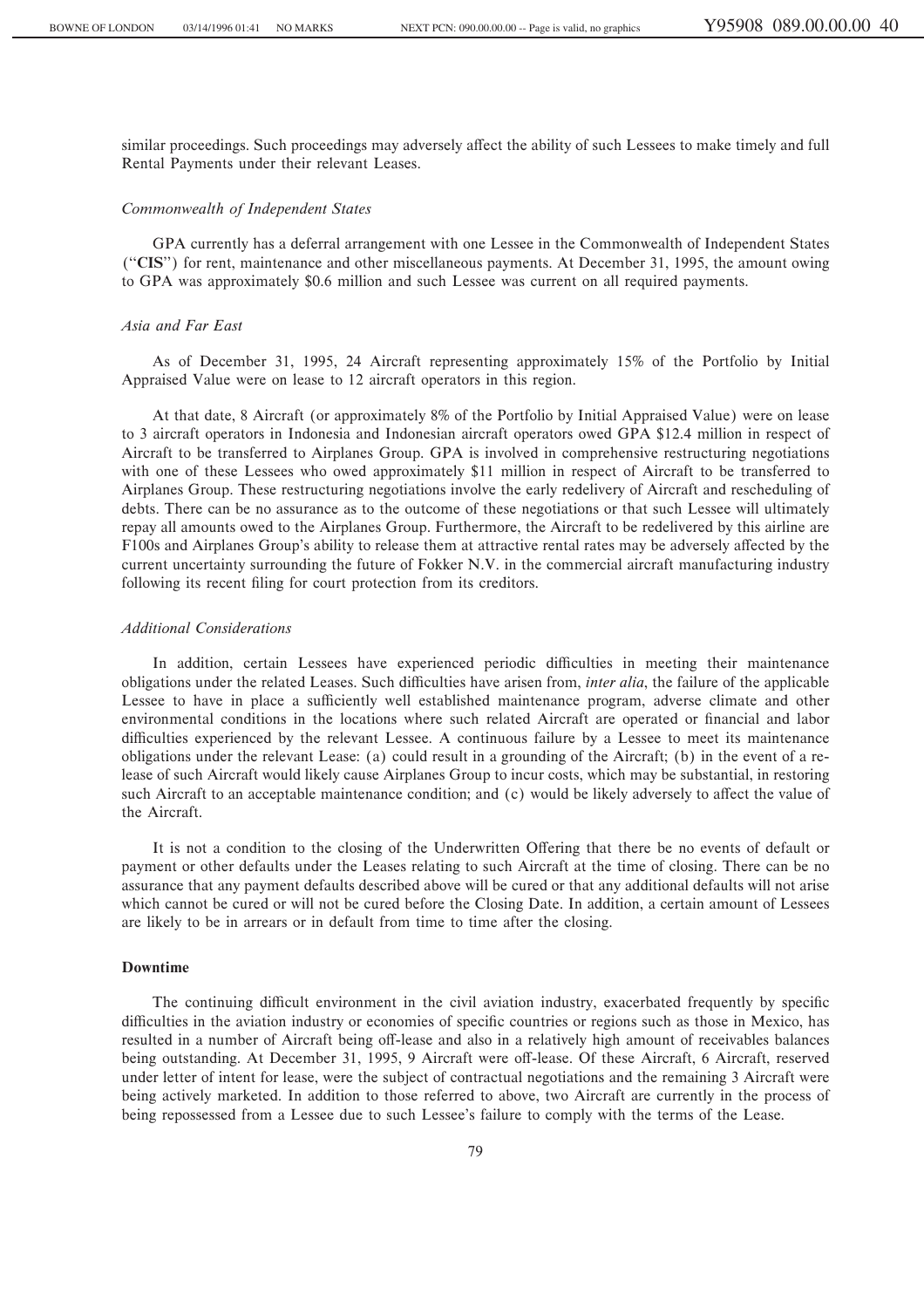similar proceedings. Such proceedings may adversely affect the ability of such Lessees to make timely and full Rental Payments under their relevant Leases.

#### *Commonwealth of Independent States*

GPA currently has a deferral arrangement with one Lessee in the Commonwealth of Independent States ("CIS") for rent, maintenance and other miscellaneous payments. At December 31, 1995, the amount owing to GPA was approximately \$0.6 million and such Lessee was current on all required payments.

# *Asia and Far East*

As of December 31, 1995, 24 Aircraft representing approximately 15% of the Portfolio by Initial Appraised Value were on lease to 12 aircraft operators in this region.

At that date, 8 Aircraft (or approximately 8% of the Portfolio by Initial Appraised Value) were on lease to 3 aircraft operators in Indonesia and Indonesian aircraft operators owed GPA \$12.4 million in respect of Aircraft to be transferred to Airplanes Group. GPA is involved in comprehensive restructuring negotiations with one of these Lessees who owed approximately \$11 million in respect of Aircraft to be transferred to Airplanes Group. These restructuring negotiations involve the early redelivery of Aircraft and rescheduling of debts. There can be no assurance as to the outcome of these negotiations or that such Lessee will ultimately repay all amounts owed to the Airplanes Group. Furthermore, the Aircraft to be redelivered by this airline are F100s and Airplanes Group's ability to release them at attractive rental rates may be adversely affected by the current uncertainty surrounding the future of Fokker N.V. in the commercial aircraft manufacturing industry following its recent filing for court protection from its creditors.

## *Additional Considerations*

In addition, certain Lessees have experienced periodic difficulties in meeting their maintenance obligations under the related Leases. Such difficulties have arisen from, *inter alia*, the failure of the applicable Lessee to have in place a sufficiently well established maintenance program, adverse climate and other environmental conditions in the locations where such related Aircraft are operated or financial and labor difficulties experienced by the relevant Lessee. A continuous failure by a Lessee to meet its maintenance obligations under the relevant Lease: (a) could result in a grounding of the Aircraft; (b) in the event of a release of such Aircraft would likely cause Airplanes Group to incur costs, which may be substantial, in restoring such Aircraft to an acceptable maintenance condition; and (c) would be likely adversely to affect the value of the Aircraft.

It is not a condition to the closing of the Underwritten Offering that there be no events of default or payment or other defaults under the Leases relating to such Aircraft at the time of closing. There can be no assurance that any payment defaults described above will be cured or that any additional defaults will not arise which cannot be cured or will not be cured before the Closing Date. In addition, a certain amount of Lessees are likely to be in arrears or in default from time to time after the closing.

# **Downtime**

The continuing difficult environment in the civil aviation industry, exacerbated frequently by specific difficulties in the aviation industry or economies of specific countries or regions such as those in Mexico, has resulted in a number of Aircraft being off-lease and also in a relatively high amount of receivables balances being outstanding. At December 31, 1995, 9 Aircraft were off-lease. Of these Aircraft, 6 Aircraft, reserved under letter of intent for lease, were the subject of contractual negotiations and the remaining 3 Aircraft were being actively marketed. In addition to those referred to above, two Aircraft are currently in the process of being repossessed from a Lessee due to such Lessee's failure to comply with the terms of the Lease.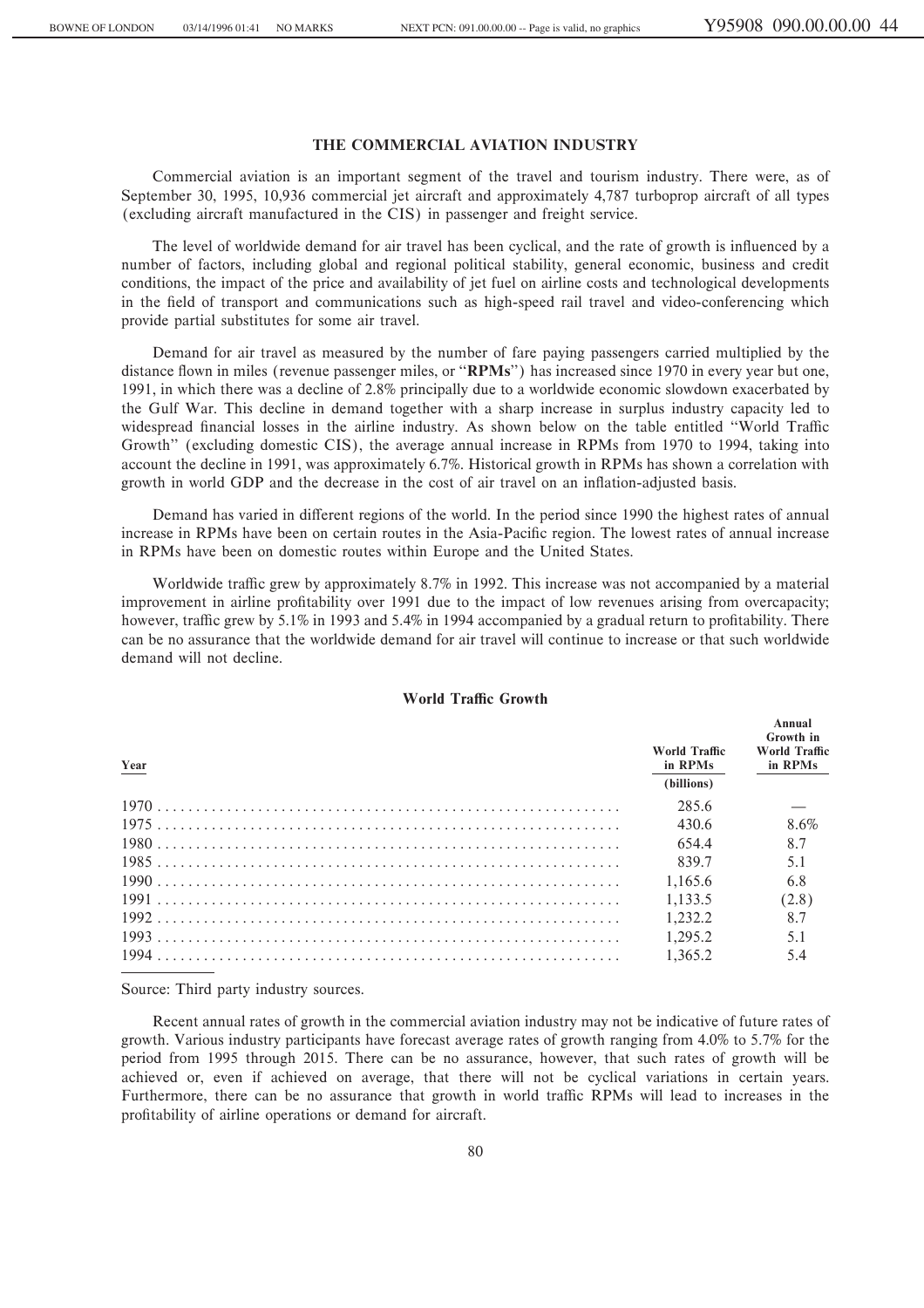# **THE COMMERCIAL AVIATION INDUSTRY**

Commercial aviation is an important segment of the travel and tourism industry. There were, as of September 30, 1995, 10,936 commercial jet aircraft and approximately 4,787 turboprop aircraft of all types (excluding aircraft manufactured in the CIS) in passenger and freight service.

The level of worldwide demand for air travel has been cyclical, and the rate of growth is influenced by a number of factors, including global and regional political stability, general economic, business and credit conditions, the impact of the price and availability of jet fuel on airline costs and technological developments in the field of transport and communications such as high-speed rail travel and video-conferencing which provide partial substitutes for some air travel.

Demand for air travel as measured by the number of fare paying passengers carried multiplied by the distance flown in miles (revenue passenger miles, or "**RPMs**") has increased since 1970 in every year but one, 1991, in which there was a decline of 2.8% principally due to a worldwide economic slowdown exacerbated by the Gulf War. This decline in demand together with a sharp increase in surplus industry capacity led to widespread financial losses in the airline industry. As shown below on the table entitled "World Traffic Growth'' (excluding domestic CIS), the average annual increase in RPMs from 1970 to 1994, taking into account the decline in 1991, was approximately 6.7%. Historical growth in RPMs has shown a correlation with growth in world GDP and the decrease in the cost of air travel on an inflation-adjusted basis.

Demand has varied in different regions of the world. In the period since 1990 the highest rates of annual increase in RPMs have been on certain routes in the Asia-Pacific region. The lowest rates of annual increase in RPMs have been on domestic routes within Europe and the United States.

Worldwide traffic grew by approximately 8.7% in 1992. This increase was not accompanied by a material improvement in airline profitability over 1991 due to the impact of low revenues arising from overcapacity; however, traffic grew by 5.1% in 1993 and 5.4% in 1994 accompanied by a gradual return to profitability. There can be no assurance that the worldwide demand for air travel will continue to increase or that such worldwide demand will not decline.

| Year | World Traffic<br>in RPMs<br>(billions) | Annual<br>Growth in<br><b>World Traffic</b><br>in RPMs |
|------|----------------------------------------|--------------------------------------------------------|
|      | 285.6                                  |                                                        |
|      | 430.6                                  | 8.6%                                                   |
|      | 654.4                                  | 8.7                                                    |
|      | 839.7                                  | 5.1                                                    |
|      | 1.165.6                                | 6.8                                                    |
|      | 1.133.5                                | (2.8)                                                  |
|      | 1.232.2                                | 8.7                                                    |
|      | 1.295.2                                | 5.1                                                    |
|      | 1.365.2                                | 5.4                                                    |

# **World Traffic Growth**

Source: Third party industry sources.

Recent annual rates of growth in the commercial aviation industry may not be indicative of future rates of growth. Various industry participants have forecast average rates of growth ranging from 4.0% to 5.7% for the period from 1995 through 2015. There can be no assurance, however, that such rates of growth will be achieved or, even if achieved on average, that there will not be cyclical variations in certain years. Furthermore, there can be no assurance that growth in world traffic RPMs will lead to increases in the profitability of airline operations or demand for aircraft.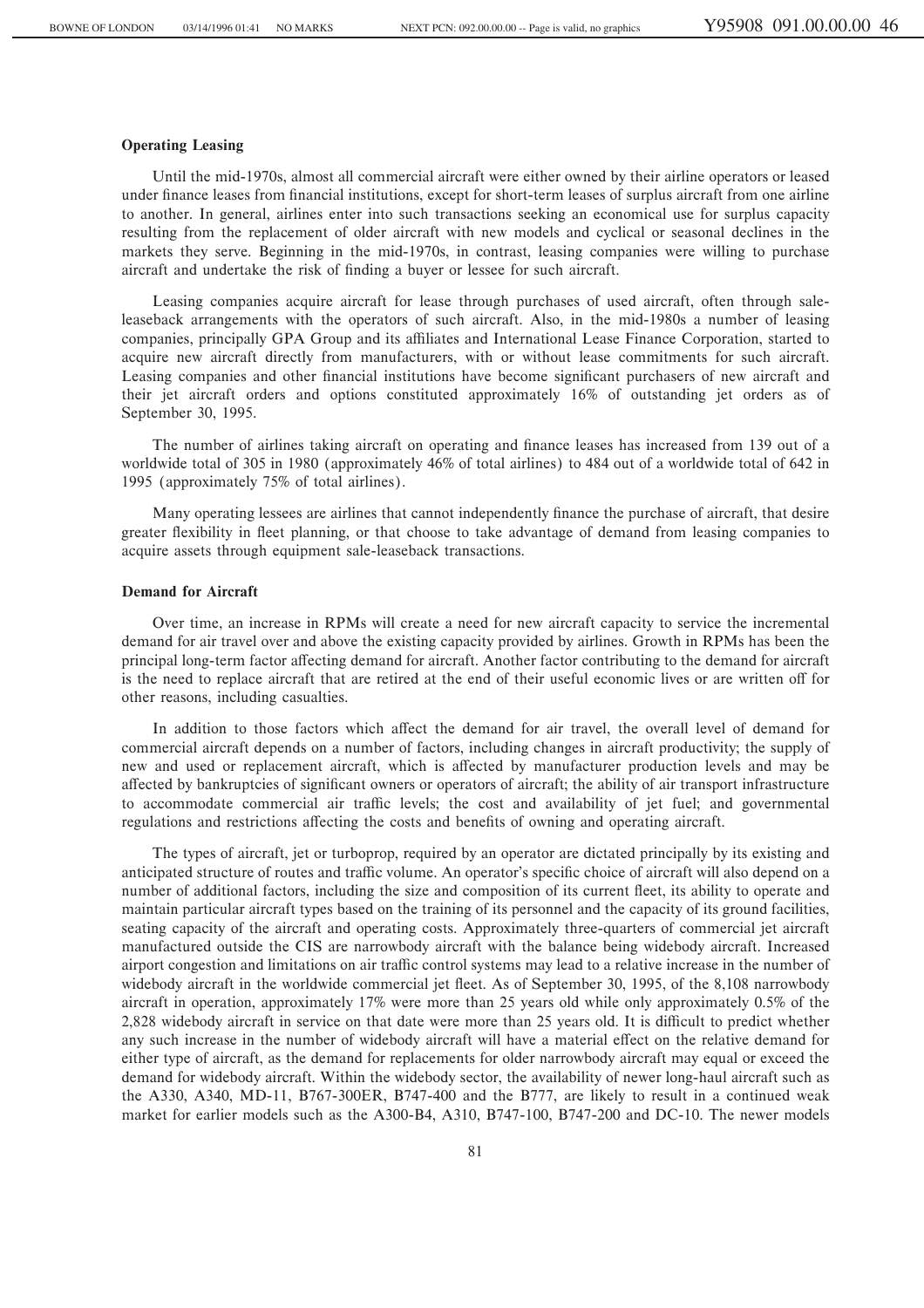### **Operating Leasing**

Until the mid-1970s, almost all commercial aircraft were either owned by their airline operators or leased under finance leases from financial institutions, except for short-term leases of surplus aircraft from one airline to another. In general, airlines enter into such transactions seeking an economical use for surplus capacity resulting from the replacement of older aircraft with new models and cyclical or seasonal declines in the markets they serve. Beginning in the mid-1970s, in contrast, leasing companies were willing to purchase aircraft and undertake the risk of finding a buyer or lessee for such aircraft.

Leasing companies acquire aircraft for lease through purchases of used aircraft, often through saleleaseback arrangements with the operators of such aircraft. Also, in the mid-1980s a number of leasing companies, principally GPA Group and its affiliates and International Lease Finance Corporation, started to acquire new aircraft directly from manufacturers, with or without lease commitments for such aircraft. Leasing companies and other financial institutions have become significant purchasers of new aircraft and their jet aircraft orders and options constituted approximately 16% of outstanding jet orders as of September 30, 1995.

The number of airlines taking aircraft on operating and finance leases has increased from 139 out of a worldwide total of 305 in 1980 (approximately 46% of total airlines) to 484 out of a worldwide total of 642 in 1995 (approximately 75% of total airlines).

Many operating lessees are airlines that cannot independently finance the purchase of aircraft, that desire greater flexibility in fleet planning, or that choose to take advantage of demand from leasing companies to acquire assets through equipment sale-leaseback transactions.

# **Demand for Aircraft**

Over time, an increase in RPMs will create a need for new aircraft capacity to service the incremental demand for air travel over and above the existing capacity provided by airlines. Growth in RPMs has been the principal long-term factor affecting demand for aircraft. Another factor contributing to the demand for aircraft is the need to replace aircraft that are retired at the end of their useful economic lives or are written off for other reasons, including casualties.

In addition to those factors which affect the demand for air travel, the overall level of demand for commercial aircraft depends on a number of factors, including changes in aircraft productivity; the supply of new and used or replacement aircraft, which is affected by manufacturer production levels and may be affected by bankruptcies of significant owners or operators of aircraft; the ability of air transport infrastructure to accommodate commercial air traffic levels; the cost and availability of jet fuel; and governmental regulations and restrictions affecting the costs and benefits of owning and operating aircraft.

The types of aircraft, jet or turboprop, required by an operator are dictated principally by its existing and anticipated structure of routes and traffic volume. An operator's specific choice of aircraft will also depend on a number of additional factors, including the size and composition of its current fleet, its ability to operate and maintain particular aircraft types based on the training of its personnel and the capacity of its ground facilities, seating capacity of the aircraft and operating costs. Approximately three-quarters of commercial jet aircraft manufactured outside the CIS are narrowbody aircraft with the balance being widebody aircraft. Increased airport congestion and limitations on air traffic control systems may lead to a relative increase in the number of widebody aircraft in the worldwide commercial jet fleet. As of September 30, 1995, of the 8,108 narrowbody aircraft in operation, approximately 17% were more than 25 years old while only approximately 0.5% of the 2,828 widebody aircraft in service on that date were more than 25 years old. It is difficult to predict whether any such increase in the number of widebody aircraft will have a material effect on the relative demand for either type of aircraft, as the demand for replacements for older narrowbody aircraft may equal or exceed the demand for widebody aircraft. Within the widebody sector, the availability of newer long-haul aircraft such as the A330, A340, MD-11, B767-300ER, B747-400 and the B777, are likely to result in a continued weak market for earlier models such as the A300-B4, A310, B747-100, B747-200 and DC-10. The newer models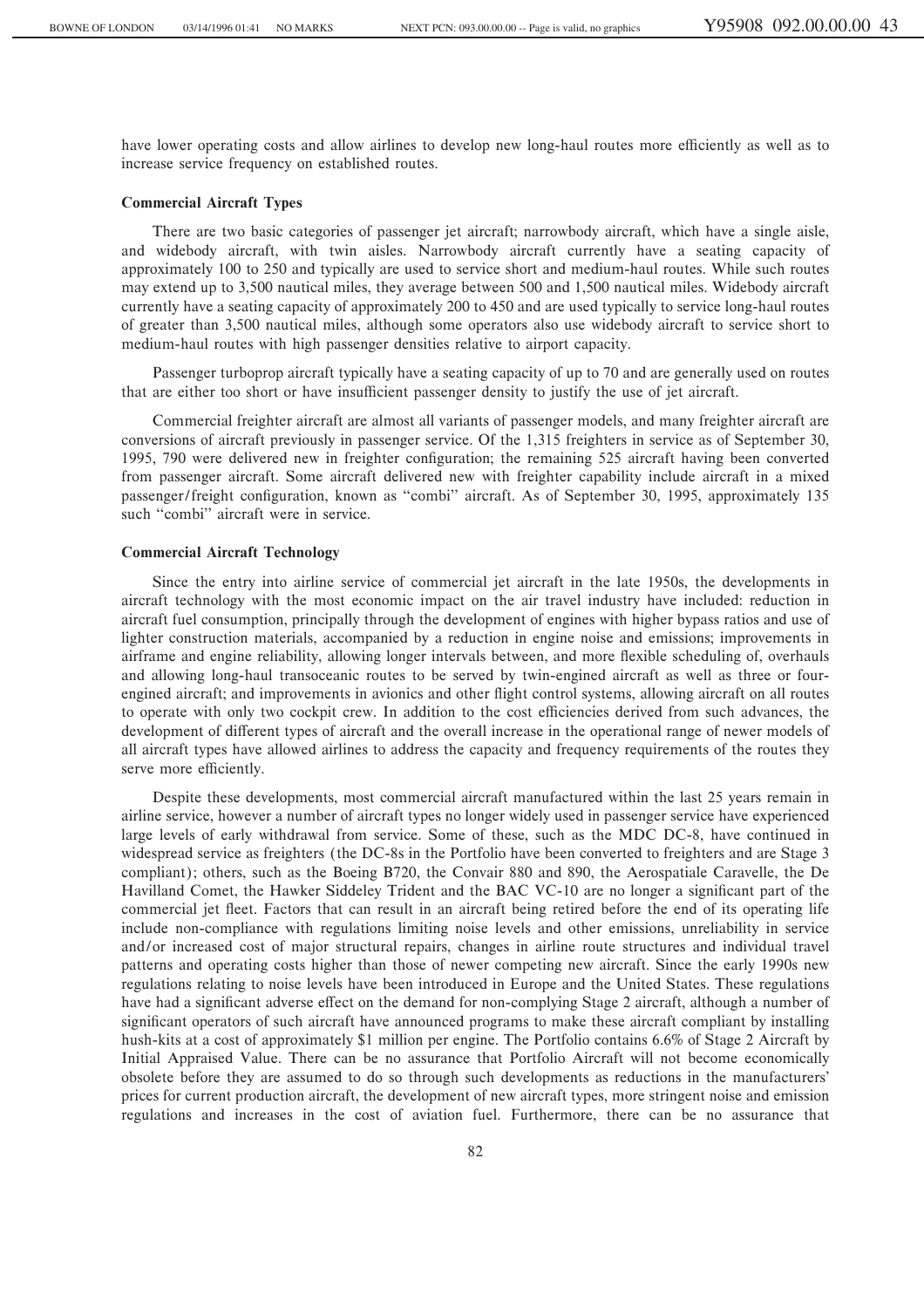have lower operating costs and allow airlines to develop new long-haul routes more efficiently as well as to increase service frequency on established routes.

# **Commercial Aircraft Types**

There are two basic categories of passenger jet aircraft; narrowbody aircraft, which have a single aisle, and widebody aircraft, with twin aisles. Narrowbody aircraft currently have a seating capacity of approximately 100 to 250 and typically are used to service short and medium-haul routes. While such routes may extend up to 3,500 nautical miles, they average between 500 and 1,500 nautical miles. Widebody aircraft currently have a seating capacity of approximately 200 to 450 and are used typically to service long-haul routes of greater than 3,500 nautical miles, although some operators also use widebody aircraft to service short to medium-haul routes with high passenger densities relative to airport capacity.

Passenger turboprop aircraft typically have a seating capacity of up to 70 and are generally used on routes that are either too short or have insufficient passenger density to justify the use of jet aircraft.

Commercial freighter aircraft are almost all variants of passenger models, and many freighter aircraft are conversions of aircraft previously in passenger service. Of the 1,315 freighters in service as of September 30, 1995, 790 were delivered new in freighter configuration; the remaining 525 aircraft having been converted from passenger aircraft. Some aircraft delivered new with freighter capability include aircraft in a mixed passenger/freight configuration, known as "combi" aircraft. As of September 30, 1995, approximately 135 such "combi" aircraft were in service.

# **Commercial Aircraft Technology**

Since the entry into airline service of commercial jet aircraft in the late 1950s, the developments in aircraft technology with the most economic impact on the air travel industry have included: reduction in aircraft fuel consumption, principally through the development of engines with higher bypass ratios and use of lighter construction materials, accompanied by a reduction in engine noise and emissions; improvements in airframe and engine reliability, allowing longer intervals between, and more flexible scheduling of, overhauls and allowing long-haul transoceanic routes to be served by twin-engined aircraft as well as three or fourengined aircraft; and improvements in avionics and other flight control systems, allowing aircraft on all routes to operate with only two cockpit crew. In addition to the cost efficiencies derived from such advances, the development of different types of aircraft and the overall increase in the operational range of newer models of all aircraft types have allowed airlines to address the capacity and frequency requirements of the routes they serve more efficiently.

Despite these developments, most commercial aircraft manufactured within the last 25 years remain in airline service, however a number of aircraft types no longer widely used in passenger service have experienced large levels of early withdrawal from service. Some of these, such as the MDC DC-8, have continued in widespread service as freighters (the DC-8s in the Portfolio have been converted to freighters and are Stage 3 compliant); others, such as the Boeing B720, the Convair 880 and 890, the Aerospatiale Caravelle, the De Havilland Comet, the Hawker Siddeley Trident and the BAC VC-10 are no longer a significant part of the commercial jet fleet. Factors that can result in an aircraft being retired before the end of its operating life include non-compliance with regulations limiting noise levels and other emissions, unreliability in service and/or increased cost of major structural repairs, changes in airline route structures and individual travel patterns and operating costs higher than those of newer competing new aircraft. Since the early 1990s new regulations relating to noise levels have been introduced in Europe and the United States. These regulations have had a significant adverse effect on the demand for non-complying Stage 2 aircraft, although a number of significant operators of such aircraft have announced programs to make these aircraft compliant by installing hush-kits at a cost of approximately \$1 million per engine. The Portfolio contains 6.6% of Stage 2 Aircraft by Initial Appraised Value. There can be no assurance that Portfolio Aircraft will not become economically obsolete before they are assumed to do so through such developments as reductions in the manufacturers' prices for current production aircraft, the development of new aircraft types, more stringent noise and emission regulations and increases in the cost of aviation fuel. Furthermore, there can be no assurance that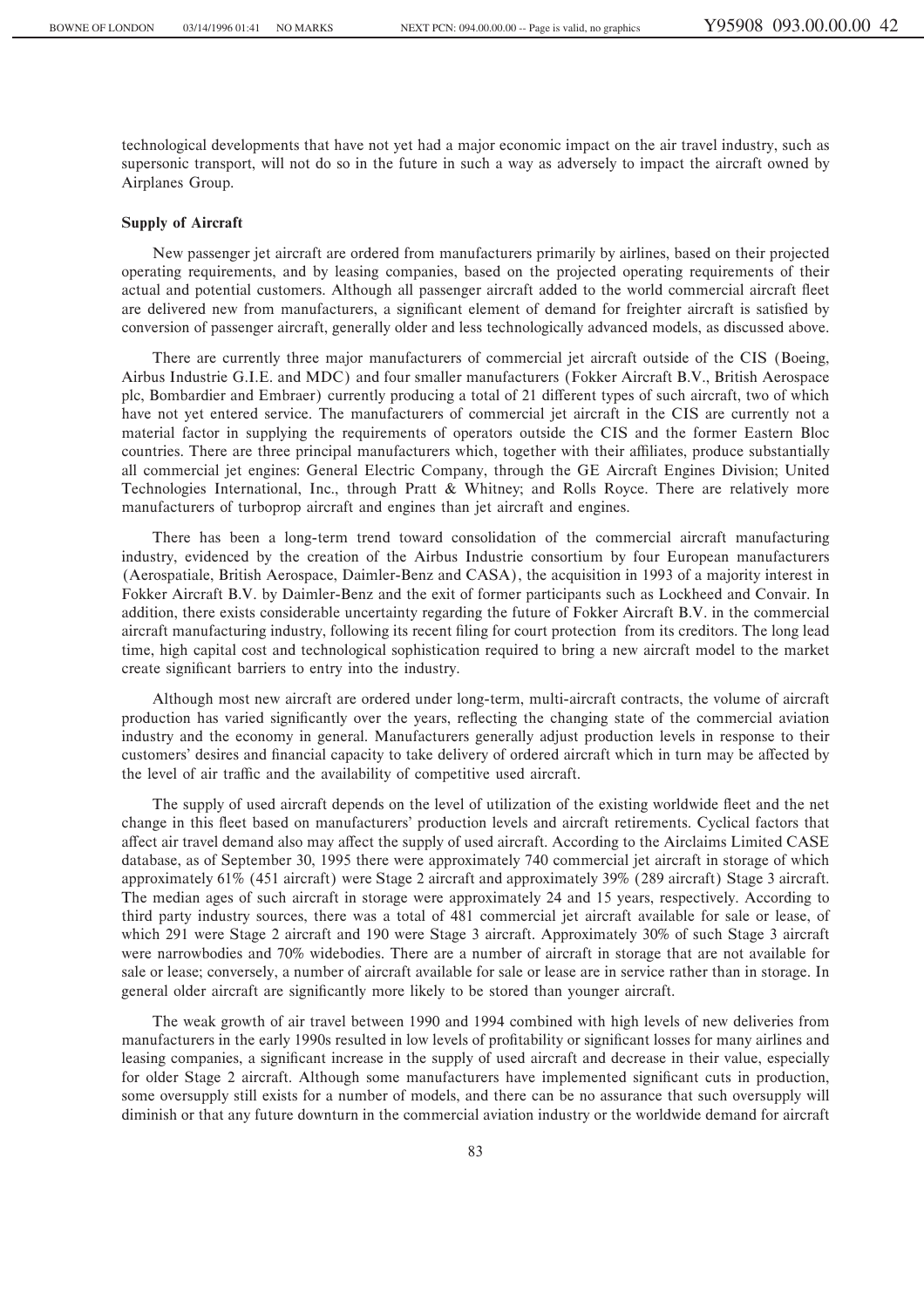technological developments that have not yet had a major economic impact on the air travel industry, such as supersonic transport, will not do so in the future in such a way as adversely to impact the aircraft owned by Airplanes Group.

### **Supply of Aircraft**

New passenger jet aircraft are ordered from manufacturers primarily by airlines, based on their projected operating requirements, and by leasing companies, based on the projected operating requirements of their actual and potential customers. Although all passenger aircraft added to the world commercial aircraft fleet are delivered new from manufacturers, a significant element of demand for freighter aircraft is satisfied by conversion of passenger aircraft, generally older and less technologically advanced models, as discussed above.

There are currently three major manufacturers of commercial jet aircraft outside of the CIS (Boeing, Airbus Industrie G.I.E. and MDC) and four smaller manufacturers (Fokker Aircraft B.V., British Aerospace plc, Bombardier and Embraer) currently producing a total of 21 different types of such aircraft, two of which have not yet entered service. The manufacturers of commercial jet aircraft in the CIS are currently not a material factor in supplying the requirements of operators outside the CIS and the former Eastern Bloc countries. There are three principal manufacturers which, together with their affiliates, produce substantially all commercial jet engines: General Electric Company, through the GE Aircraft Engines Division; United Technologies International, Inc., through Pratt & Whitney; and Rolls Royce. There are relatively more manufacturers of turboprop aircraft and engines than jet aircraft and engines.

There has been a long-term trend toward consolidation of the commercial aircraft manufacturing industry, evidenced by the creation of the Airbus Industrie consortium by four European manufacturers (Aerospatiale, British Aerospace, Daimler-Benz and CASA), the acquisition in 1993 of a majority interest in Fokker Aircraft B.V. by Daimler-Benz and the exit of former participants such as Lockheed and Convair. In addition, there exists considerable uncertainty regarding the future of Fokker Aircraft B.V. in the commercial aircraft manufacturing industry, following its recent filing for court protection from its creditors. The long lead time, high capital cost and technological sophistication required to bring a new aircraft model to the market create significant barriers to entry into the industry.

Although most new aircraft are ordered under long-term, multi-aircraft contracts, the volume of aircraft production has varied significantly over the years, reflecting the changing state of the commercial aviation industry and the economy in general. Manufacturers generally adjust production levels in response to their customers' desires and financial capacity to take delivery of ordered aircraft which in turn may be affected by the level of air traffic and the availability of competitive used aircraft.

The supply of used aircraft depends on the level of utilization of the existing worldwide fleet and the net change in this Öeet based on manufacturers' production levels and aircraft retirements. Cyclical factors that affect air travel demand also may affect the supply of used aircraft. According to the Airclaims Limited CASE database, as of September 30, 1995 there were approximately 740 commercial jet aircraft in storage of which approximately 61% (451 aircraft) were Stage 2 aircraft and approximately 39% (289 aircraft) Stage 3 aircraft. The median ages of such aircraft in storage were approximately 24 and 15 years, respectively. According to third party industry sources, there was a total of 481 commercial jet aircraft available for sale or lease, of which 291 were Stage 2 aircraft and 190 were Stage 3 aircraft. Approximately 30% of such Stage 3 aircraft were narrowbodies and 70% widebodies. There are a number of aircraft in storage that are not available for sale or lease; conversely, a number of aircraft available for sale or lease are in service rather than in storage. In general older aircraft are significantly more likely to be stored than younger aircraft.

The weak growth of air travel between 1990 and 1994 combined with high levels of new deliveries from manufacturers in the early 1990s resulted in low levels of profitability or significant losses for many airlines and leasing companies, a significant increase in the supply of used aircraft and decrease in their value, especially for older Stage 2 aircraft. Although some manufacturers have implemented significant cuts in production, some oversupply still exists for a number of models, and there can be no assurance that such oversupply will diminish or that any future downturn in the commercial aviation industry or the worldwide demand for aircraft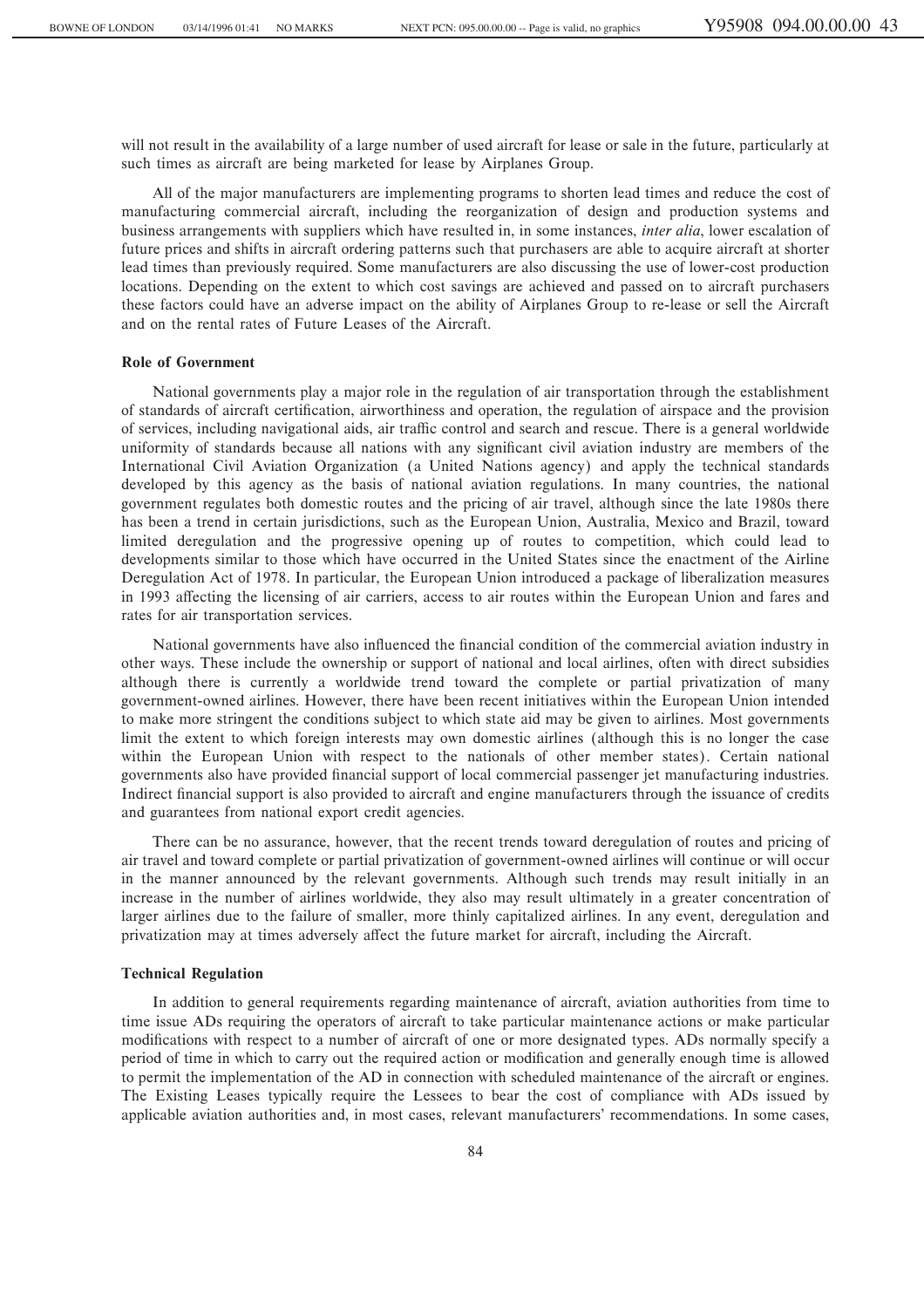will not result in the availability of a large number of used aircraft for lease or sale in the future, particularly at such times as aircraft are being marketed for lease by Airplanes Group.

All of the major manufacturers are implementing programs to shorten lead times and reduce the cost of manufacturing commercial aircraft, including the reorganization of design and production systems and business arrangements with suppliers which have resulted in, in some instances, *inter alia*, lower escalation of future prices and shifts in aircraft ordering patterns such that purchasers are able to acquire aircraft at shorter lead times than previously required. Some manufacturers are also discussing the use of lower-cost production locations. Depending on the extent to which cost savings are achieved and passed on to aircraft purchasers these factors could have an adverse impact on the ability of Airplanes Group to re-lease or sell the Aircraft and on the rental rates of Future Leases of the Aircraft.

# **Role of Government**

National governments play a major role in the regulation of air transportation through the establishment of standards of aircraft certification, airworthiness and operation, the regulation of airspace and the provision of services, including navigational aids, air traÇc control and search and rescue. There is a general worldwide uniformity of standards because all nations with any significant civil aviation industry are members of the International Civil Aviation Organization (a United Nations agency) and apply the technical standards developed by this agency as the basis of national aviation regulations. In many countries, the national government regulates both domestic routes and the pricing of air travel, although since the late 1980s there has been a trend in certain jurisdictions, such as the European Union, Australia, Mexico and Brazil, toward limited deregulation and the progressive opening up of routes to competition, which could lead to developments similar to those which have occurred in the United States since the enactment of the Airline Deregulation Act of 1978. In particular, the European Union introduced a package of liberalization measures in 1993 affecting the licensing of air carriers, access to air routes within the European Union and fares and rates for air transportation services.

National governments have also influenced the financial condition of the commercial aviation industry in other ways. These include the ownership or support of national and local airlines, often with direct subsidies although there is currently a worldwide trend toward the complete or partial privatization of many government-owned airlines. However, there have been recent initiatives within the European Union intended to make more stringent the conditions subject to which state aid may be given to airlines. Most governments limit the extent to which foreign interests may own domestic airlines (although this is no longer the case within the European Union with respect to the nationals of other member states). Certain national governments also have provided Ñnancial support of local commercial passenger jet manufacturing industries. Indirect financial support is also provided to aircraft and engine manufacturers through the issuance of credits and guarantees from national export credit agencies.

There can be no assurance, however, that the recent trends toward deregulation of routes and pricing of air travel and toward complete or partial privatization of government-owned airlines will continue or will occur in the manner announced by the relevant governments. Although such trends may result initially in an increase in the number of airlines worldwide, they also may result ultimately in a greater concentration of larger airlines due to the failure of smaller, more thinly capitalized airlines. In any event, deregulation and privatization may at times adversely affect the future market for aircraft, including the Aircraft.

### **Technical Regulation**

In addition to general requirements regarding maintenance of aircraft, aviation authorities from time to time issue ADs requiring the operators of aircraft to take particular maintenance actions or make particular modifications with respect to a number of aircraft of one or more designated types. ADs normally specify a period of time in which to carry out the required action or modification and generally enough time is allowed to permit the implementation of the AD in connection with scheduled maintenance of the aircraft or engines. The Existing Leases typically require the Lessees to bear the cost of compliance with ADs issued by applicable aviation authorities and, in most cases, relevant manufacturers' recommendations. In some cases,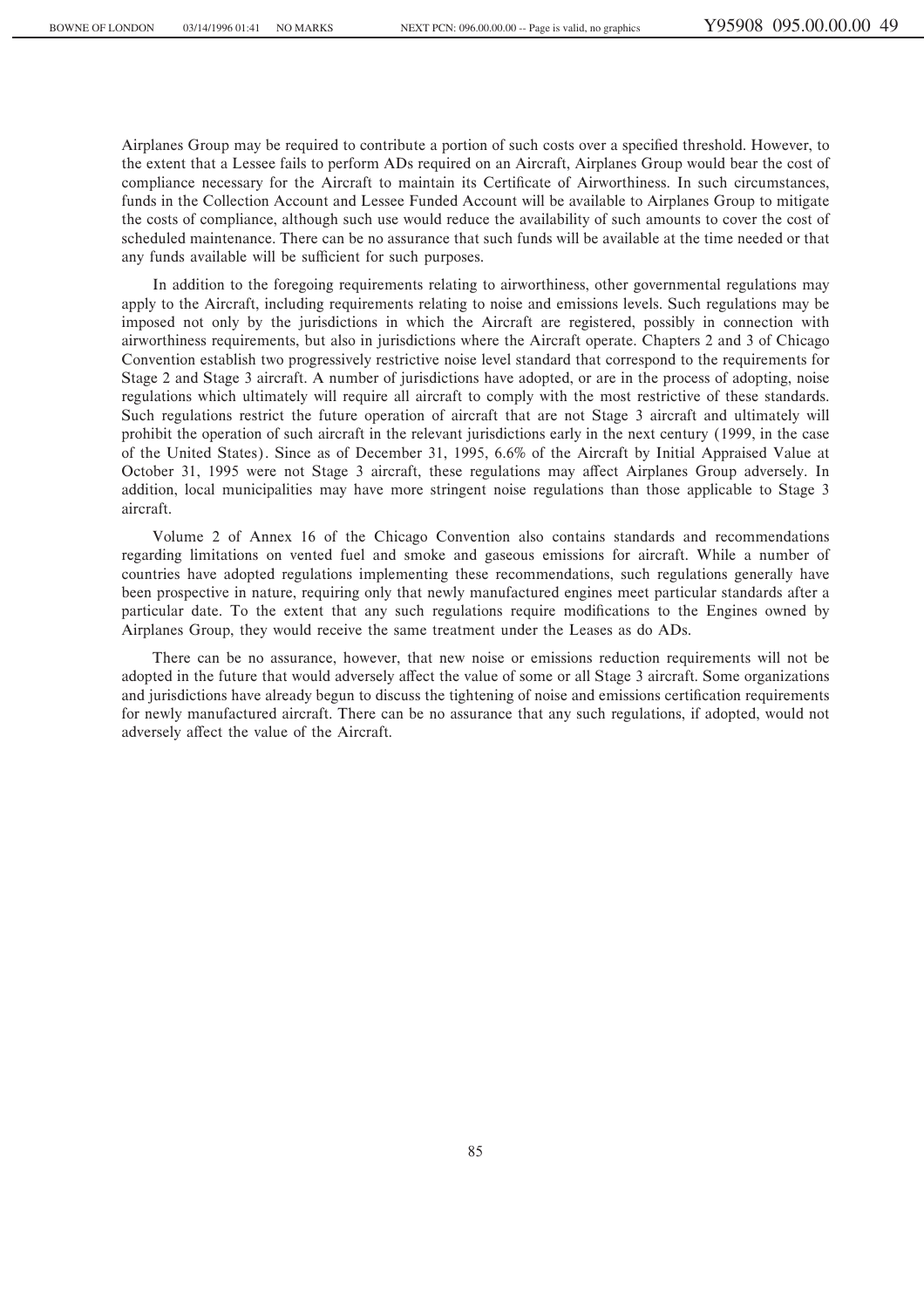Airplanes Group may be required to contribute a portion of such costs over a specified threshold. However, to the extent that a Lessee fails to perform ADs required on an Aircraft, Airplanes Group would bear the cost of compliance necessary for the Aircraft to maintain its Certificate of Airworthiness. In such circumstances, funds in the Collection Account and Lessee Funded Account will be available to Airplanes Group to mitigate the costs of compliance, although such use would reduce the availability of such amounts to cover the cost of scheduled maintenance. There can be no assurance that such funds will be available at the time needed or that any funds available will be sufficient for such purposes.

In addition to the foregoing requirements relating to airworthiness, other governmental regulations may apply to the Aircraft, including requirements relating to noise and emissions levels. Such regulations may be imposed not only by the jurisdictions in which the Aircraft are registered, possibly in connection with airworthiness requirements, but also in jurisdictions where the Aircraft operate. Chapters 2 and 3 of Chicago Convention establish two progressively restrictive noise level standard that correspond to the requirements for Stage 2 and Stage 3 aircraft. A number of jurisdictions have adopted, or are in the process of adopting, noise regulations which ultimately will require all aircraft to comply with the most restrictive of these standards. Such regulations restrict the future operation of aircraft that are not Stage 3 aircraft and ultimately will prohibit the operation of such aircraft in the relevant jurisdictions early in the next century (1999, in the case of the United States). Since as of December 31, 1995, 6.6% of the Aircraft by Initial Appraised Value at October 31, 1995 were not Stage 3 aircraft, these regulations may affect Airplanes Group adversely. In addition, local municipalities may have more stringent noise regulations than those applicable to Stage 3 aircraft.

Volume 2 of Annex 16 of the Chicago Convention also contains standards and recommendations regarding limitations on vented fuel and smoke and gaseous emissions for aircraft. While a number of countries have adopted regulations implementing these recommendations, such regulations generally have been prospective in nature, requiring only that newly manufactured engines meet particular standards after a particular date. To the extent that any such regulations require modifications to the Engines owned by Airplanes Group, they would receive the same treatment under the Leases as do ADs.

There can be no assurance, however, that new noise or emissions reduction requirements will not be adopted in the future that would adversely affect the value of some or all Stage 3 aircraft. Some organizations and jurisdictions have already begun to discuss the tightening of noise and emissions certification requirements for newly manufactured aircraft. There can be no assurance that any such regulations, if adopted, would not adversely affect the value of the Aircraft.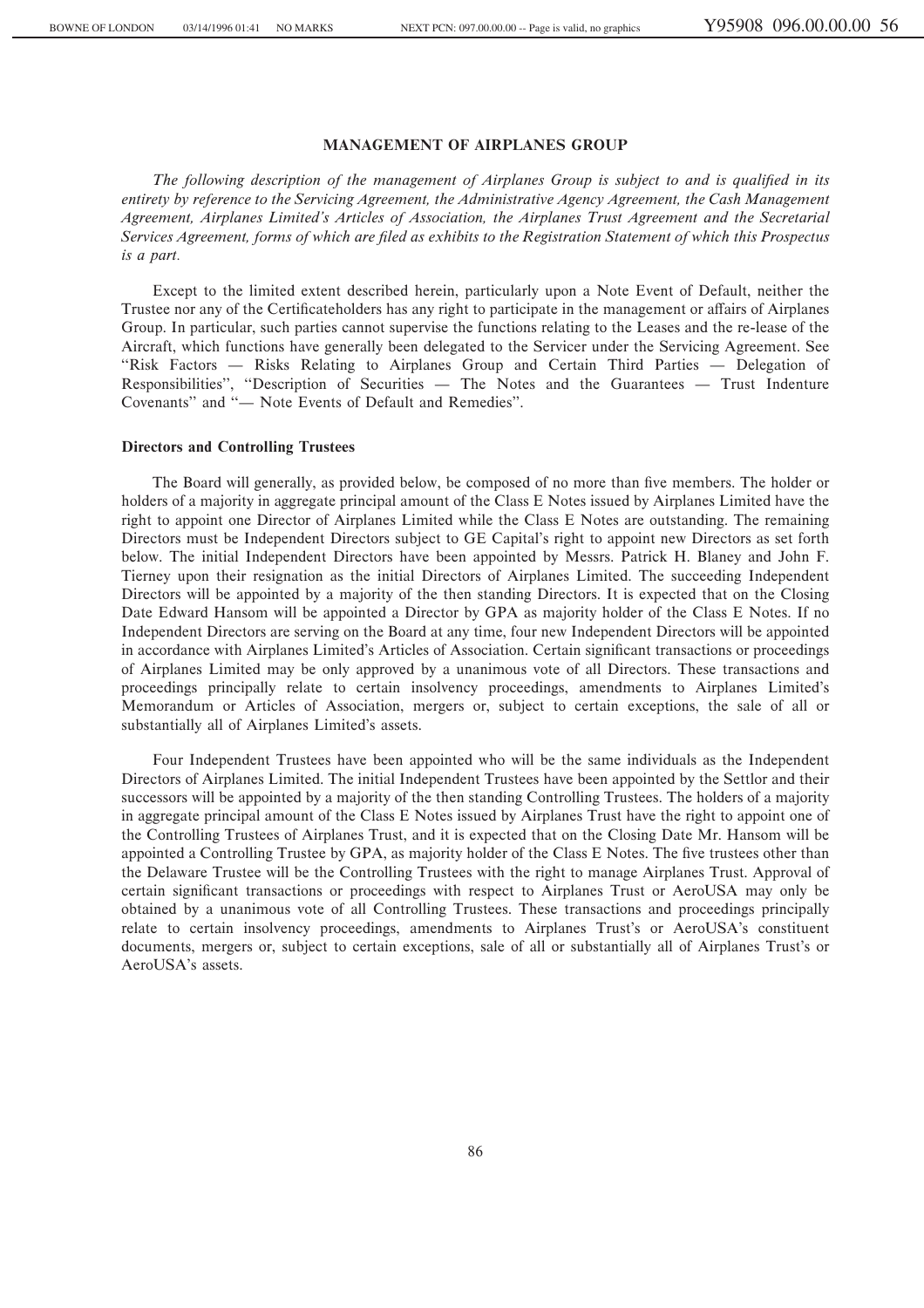# **MANAGEMENT OF AIRPLANES GROUP**

The following description of the management of Airplanes Group is subject to and is qualified in its *entirety by reference to the Servicing Agreement, the Administrative Agency Agreement, the Cash Management Agreement, Airplanes Limited's Articles of Association, the Airplanes Trust Agreement and the Secretarial Services Agreement, forms of which are Ñled as exhibits to the Registration Statement of which this Prospectus is a part.*

Except to the limited extent described herein, particularly upon a Note Event of Default, neither the Trustee nor any of the Certificateholders has any right to participate in the management or affairs of Airplanes Group. In particular, such parties cannot supervise the functions relating to the Leases and the re-lease of the Aircraft, which functions have generally been delegated to the Servicer under the Servicing Agreement. See "Risk Factors - Risks Relating to Airplanes Group and Certain Third Parties - Delegation of Responsibilities", "Description of Securities — The Notes and the Guarantees — Trust Indenture Covenants" and "
— Note Events of Default and Remedies".

#### **Directors and Controlling Trustees**

The Board will generally, as provided below, be composed of no more than five members. The holder or holders of a majority in aggregate principal amount of the Class E Notes issued by Airplanes Limited have the right to appoint one Director of Airplanes Limited while the Class E Notes are outstanding. The remaining Directors must be Independent Directors subject to GE Capital's right to appoint new Directors as set forth below. The initial Independent Directors have been appointed by Messrs. Patrick H. Blaney and John F. Tierney upon their resignation as the initial Directors of Airplanes Limited. The succeeding Independent Directors will be appointed by a majority of the then standing Directors. It is expected that on the Closing Date Edward Hansom will be appointed a Director by GPA as majority holder of the Class E Notes. If no Independent Directors are serving on the Board at any time, four new Independent Directors will be appointed in accordance with Airplanes Limited's Articles of Association. Certain significant transactions or proceedings of Airplanes Limited may be only approved by a unanimous vote of all Directors. These transactions and proceedings principally relate to certain insolvency proceedings, amendments to Airplanes Limited's Memorandum or Articles of Association, mergers or, subject to certain exceptions, the sale of all or substantially all of Airplanes Limited's assets.

Four Independent Trustees have been appointed who will be the same individuals as the Independent Directors of Airplanes Limited. The initial Independent Trustees have been appointed by the Settlor and their successors will be appointed by a majority of the then standing Controlling Trustees. The holders of a majority in aggregate principal amount of the Class E Notes issued by Airplanes Trust have the right to appoint one of the Controlling Trustees of Airplanes Trust, and it is expected that on the Closing Date Mr. Hansom will be appointed a Controlling Trustee by GPA, as majority holder of the Class E Notes. The five trustees other than the Delaware Trustee will be the Controlling Trustees with the right to manage Airplanes Trust. Approval of certain significant transactions or proceedings with respect to Airplanes Trust or AeroUSA may only be obtained by a unanimous vote of all Controlling Trustees. These transactions and proceedings principally relate to certain insolvency proceedings, amendments to Airplanes Trust's or AeroUSA's constituent documents, mergers or, subject to certain exceptions, sale of all or substantially all of Airplanes Trust's or AeroUSA's assets.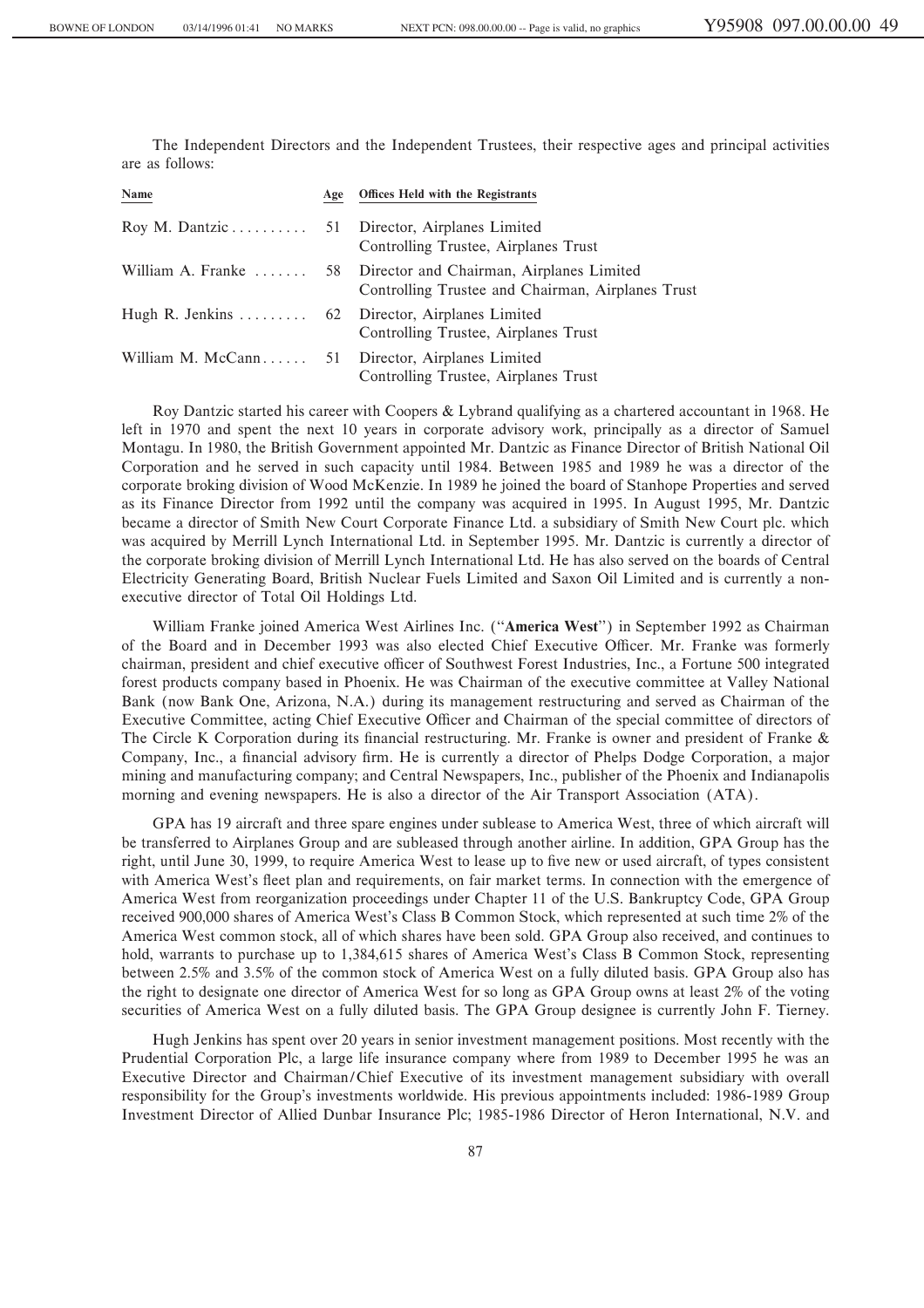The Independent Directors and the Independent Trustees, their respective ages and principal activities are as follows:

| Name                                             | Age Offices Held with the Registrants                                                            |
|--------------------------------------------------|--------------------------------------------------------------------------------------------------|
|                                                  | Director, Airplanes Limited<br>Controlling Trustee, Airplanes Trust                              |
| William A. Franke                                | 58 Director and Chairman, Airplanes Limited<br>Controlling Trustee and Chairman, Airplanes Trust |
| Hugh R. Jenkins  62 Director, Airplanes Limited  | Controlling Trustee, Airplanes Trust                                                             |
| William M. McCann 51 Director, Airplanes Limited | Controlling Trustee, Airplanes Trust                                                             |

Roy Dantzic started his career with Coopers & Lybrand qualifying as a chartered accountant in 1968. He left in 1970 and spent the next 10 years in corporate advisory work, principally as a director of Samuel Montagu. In 1980, the British Government appointed Mr. Dantzic as Finance Director of British National Oil Corporation and he served in such capacity until 1984. Between 1985 and 1989 he was a director of the corporate broking division of Wood McKenzie. In 1989 he joined the board of Stanhope Properties and served as its Finance Director from 1992 until the company was acquired in 1995. In August 1995, Mr. Dantzic became a director of Smith New Court Corporate Finance Ltd. a subsidiary of Smith New Court plc. which was acquired by Merrill Lynch International Ltd. in September 1995. Mr. Dantzic is currently a director of the corporate broking division of Merrill Lynch International Ltd. He has also served on the boards of Central Electricity Generating Board, British Nuclear Fuels Limited and Saxon Oil Limited and is currently a nonexecutive director of Total Oil Holdings Ltd.

William Franke joined America West Airlines Inc. (""**America West**'') in September 1992 as Chairman of the Board and in December 1993 was also elected Chief Executive Officer. Mr. Franke was formerly chairman, president and chief executive officer of Southwest Forest Industries, Inc., a Fortune 500 integrated forest products company based in Phoenix. He was Chairman of the executive committee at Valley National Bank (now Bank One, Arizona, N.A.) during its management restructuring and served as Chairman of the Executive Committee, acting Chief Executive Officer and Chairman of the special committee of directors of The Circle K Corporation during its financial restructuring. Mr. Franke is owner and president of Franke & Company, Inc., a financial advisory firm. He is currently a director of Phelps Dodge Corporation, a major mining and manufacturing company; and Central Newspapers, Inc., publisher of the Phoenix and Indianapolis morning and evening newspapers. He is also a director of the Air Transport Association (ATA).

GPA has 19 aircraft and three spare engines under sublease to America West, three of which aircraft will be transferred to Airplanes Group and are subleased through another airline. In addition, GPA Group has the right, until June 30, 1999, to require America West to lease up to five new or used aircraft, of types consistent with America West's fleet plan and requirements, on fair market terms. In connection with the emergence of America West from reorganization proceedings under Chapter 11 of the U.S. Bankruptcy Code, GPA Group received 900,000 shares of America West's Class B Common Stock, which represented at such time 2% of the America West common stock, all of which shares have been sold. GPA Group also received, and continues to hold, warrants to purchase up to 1,384,615 shares of America West's Class B Common Stock, representing between 2.5% and 3.5% of the common stock of America West on a fully diluted basis. GPA Group also has the right to designate one director of America West for so long as GPA Group owns at least 2% of the voting securities of America West on a fully diluted basis. The GPA Group designee is currently John F. Tierney.

Hugh Jenkins has spent over 20 years in senior investment management positions. Most recently with the Prudential Corporation Plc, a large life insurance company where from 1989 to December 1995 he was an Executive Director and Chairman/Chief Executive of its investment management subsidiary with overall responsibility for the Group's investments worldwide. His previous appointments included: 1986-1989 Group Investment Director of Allied Dunbar Insurance Plc; 1985-1986 Director of Heron International, N.V. and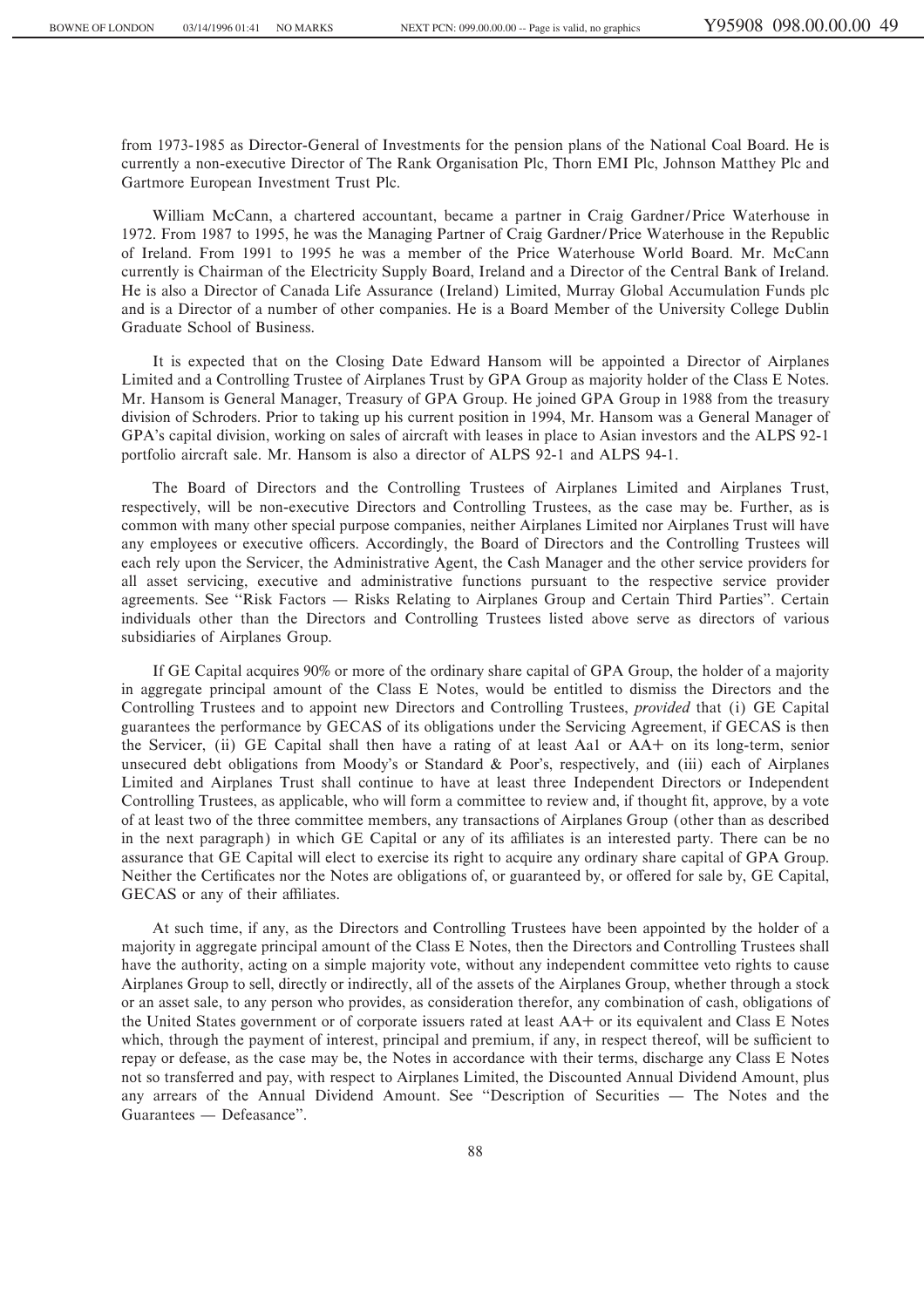from 1973-1985 as Director-General of Investments for the pension plans of the National Coal Board. He is currently a non-executive Director of The Rank Organisation Plc, Thorn EMI Plc, Johnson Matthey Plc and Gartmore European Investment Trust Plc.

William McCann, a chartered accountant, became a partner in Craig Gardner/Price Waterhouse in 1972. From 1987 to 1995, he was the Managing Partner of Craig Gardner/Price Waterhouse in the Republic of Ireland. From 1991 to 1995 he was a member of the Price Waterhouse World Board. Mr. McCann currently is Chairman of the Electricity Supply Board, Ireland and a Director of the Central Bank of Ireland. He is also a Director of Canada Life Assurance (Ireland) Limited, Murray Global Accumulation Funds plc and is a Director of a number of other companies. He is a Board Member of the University College Dublin Graduate School of Business.

It is expected that on the Closing Date Edward Hansom will be appointed a Director of Airplanes Limited and a Controlling Trustee of Airplanes Trust by GPA Group as majority holder of the Class E Notes. Mr. Hansom is General Manager, Treasury of GPA Group. He joined GPA Group in 1988 from the treasury division of Schroders. Prior to taking up his current position in 1994, Mr. Hansom was a General Manager of GPA's capital division, working on sales of aircraft with leases in place to Asian investors and the ALPS 92-1 portfolio aircraft sale. Mr. Hansom is also a director of ALPS 92-1 and ALPS 94-1.

The Board of Directors and the Controlling Trustees of Airplanes Limited and Airplanes Trust, respectively, will be non-executive Directors and Controlling Trustees, as the case may be. Further, as is common with many other special purpose companies, neither Airplanes Limited nor Airplanes Trust will have any employees or executive officers. Accordingly, the Board of Directors and the Controlling Trustees will each rely upon the Servicer, the Administrative Agent, the Cash Manager and the other service providers for all asset servicing, executive and administrative functions pursuant to the respective service provider agreements. See "Risk Factors — Risks Relating to Airplanes Group and Certain Third Parties". Certain individuals other than the Directors and Controlling Trustees listed above serve as directors of various subsidiaries of Airplanes Group.

If GE Capital acquires 90% or more of the ordinary share capital of GPA Group, the holder of a majority in aggregate principal amount of the Class E Notes, would be entitled to dismiss the Directors and the Controlling Trustees and to appoint new Directors and Controlling Trustees, *provided* that (i) GE Capital guarantees the performance by GECAS of its obligations under the Servicing Agreement, if GECAS is then the Servicer, (ii) GE Capital shall then have a rating of at least Aa1 or AA+ on its long-term, senior unsecured debt obligations from Moody's or Standard & Poor's, respectively, and (iii) each of Airplanes Limited and Airplanes Trust shall continue to have at least three Independent Directors or Independent Controlling Trustees, as applicable, who will form a committee to review and, if thought fit, approve, by a vote of at least two of the three committee members, any transactions of Airplanes Group (other than as described in the next paragraph) in which GE Capital or any of its affiliates is an interested party. There can be no assurance that GE Capital will elect to exercise its right to acquire any ordinary share capital of GPA Group. Neither the Certificates nor the Notes are obligations of, or guaranteed by, or offered for sale by, GE Capital, GECAS or any of their affiliates.

At such time, if any, as the Directors and Controlling Trustees have been appointed by the holder of a majority in aggregate principal amount of the Class E Notes, then the Directors and Controlling Trustees shall have the authority, acting on a simple majority vote, without any independent committee veto rights to cause Airplanes Group to sell, directly or indirectly, all of the assets of the Airplanes Group, whether through a stock or an asset sale, to any person who provides, as consideration therefor, any combination of cash, obligations of the United States government or of corporate issuers rated at least AA+ or its equivalent and Class E Notes which, through the payment of interest, principal and premium, if any, in respect thereof, will be sufficient to repay or defease, as the case may be, the Notes in accordance with their terms, discharge any Class E Notes not so transferred and pay, with respect to Airplanes Limited, the Discounted Annual Dividend Amount, plus any arrears of the Annual Dividend Amount. See "Description of Securities — The Notes and the Guarantees — Defeasance".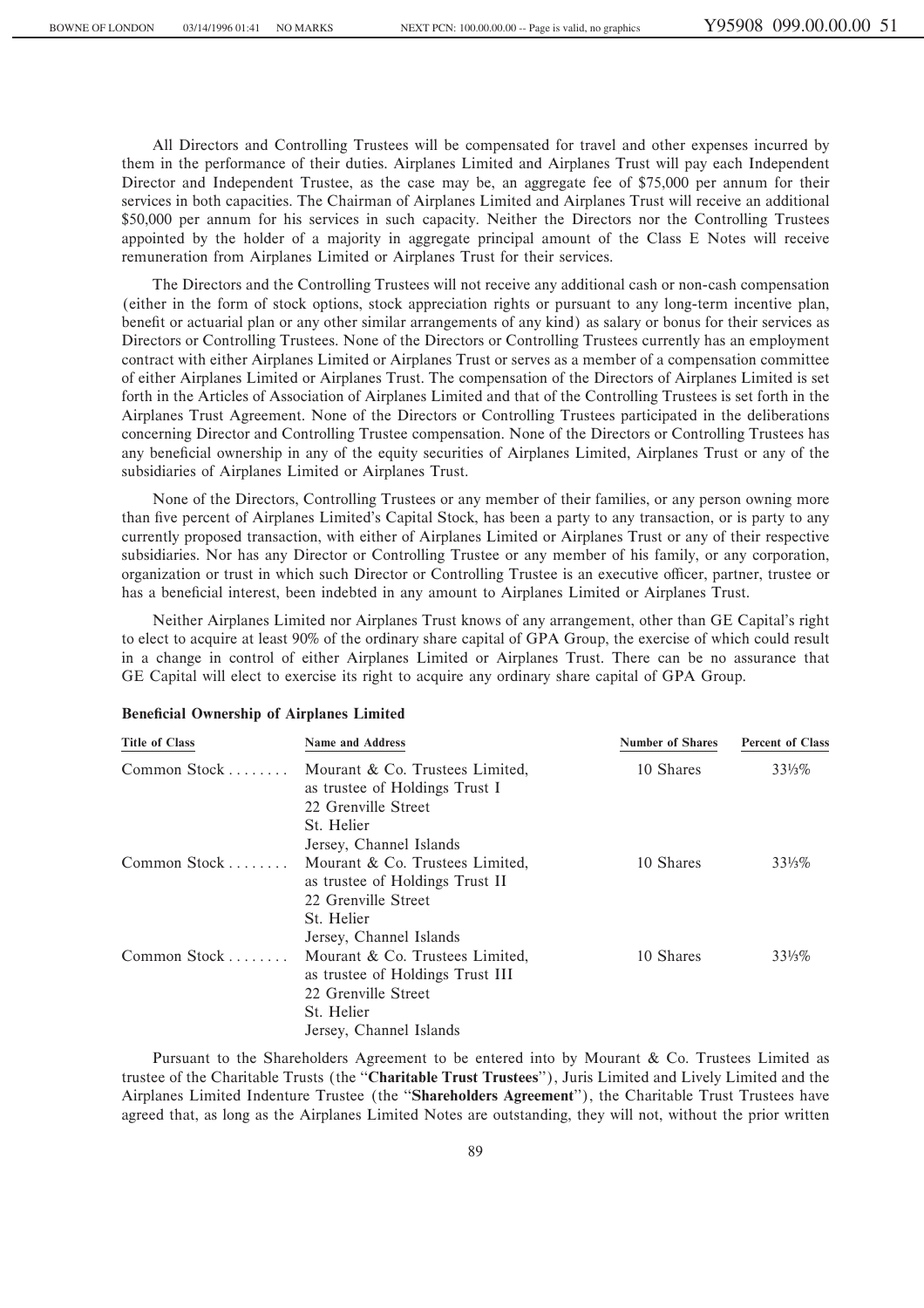All Directors and Controlling Trustees will be compensated for travel and other expenses incurred by them in the performance of their duties. Airplanes Limited and Airplanes Trust will pay each Independent Director and Independent Trustee, as the case may be, an aggregate fee of \$75,000 per annum for their services in both capacities. The Chairman of Airplanes Limited and Airplanes Trust will receive an additional \$50,000 per annum for his services in such capacity. Neither the Directors nor the Controlling Trustees appointed by the holder of a majority in aggregate principal amount of the Class E Notes will receive remuneration from Airplanes Limited or Airplanes Trust for their services.

The Directors and the Controlling Trustees will not receive any additional cash or non-cash compensation (either in the form of stock options, stock appreciation rights or pursuant to any long-term incentive plan, benefit or actuarial plan or any other similar arrangements of any kind) as salary or bonus for their services as Directors or Controlling Trustees. None of the Directors or Controlling Trustees currently has an employment contract with either Airplanes Limited or Airplanes Trust or serves as a member of a compensation committee of either Airplanes Limited or Airplanes Trust. The compensation of the Directors of Airplanes Limited is set forth in the Articles of Association of Airplanes Limited and that of the Controlling Trustees is set forth in the Airplanes Trust Agreement. None of the Directors or Controlling Trustees participated in the deliberations concerning Director and Controlling Trustee compensation. None of the Directors or Controlling Trustees has any beneficial ownership in any of the equity securities of Airplanes Limited, Airplanes Trust or any of the subsidiaries of Airplanes Limited or Airplanes Trust.

None of the Directors, Controlling Trustees or any member of their families, or any person owning more than five percent of Airplanes Limited's Capital Stock, has been a party to any transaction, or is party to any currently proposed transaction, with either of Airplanes Limited or Airplanes Trust or any of their respective subsidiaries. Nor has any Director or Controlling Trustee or any member of his family, or any corporation, organization or trust in which such Director or Controlling Trustee is an executive officer, partner, trustee or has a beneficial interest, been indebted in any amount to Airplanes Limited or Airplanes Trust.

Neither Airplanes Limited nor Airplanes Trust knows of any arrangement, other than GE Capital's right to elect to acquire at least 90% of the ordinary share capital of GPA Group, the exercise of which could result in a change in control of either Airplanes Limited or Airplanes Trust. There can be no assurance that GE Capital will elect to exercise its right to acquire any ordinary share capital of GPA Group.

| <b>Title of Class</b> | <b>Name and Address</b>                                                                                  | <b>Number of Shares</b> | <b>Percent of Class</b> |
|-----------------------|----------------------------------------------------------------------------------------------------------|-------------------------|-------------------------|
| Common Stock          | Mourant & Co. Trustees Limited,<br>as trustee of Holdings Trust I<br>22 Grenville Street<br>St. Helier   | 10 Shares               | $33\frac{1}{3}\%$       |
|                       | Jersey, Channel Islands                                                                                  |                         |                         |
| Common Stock          | Mourant & Co. Trustees Limited,<br>as trustee of Holdings Trust II<br>22 Grenville Street<br>St. Helier  | 10 Shares               | $33\frac{1}{3}\%$       |
|                       | Jersey, Channel Islands                                                                                  |                         |                         |
| Common Stock          | Mourant & Co. Trustees Limited,<br>as trustee of Holdings Trust III<br>22 Grenville Street<br>St. Helier | 10 Shares               | $33\frac{1}{3}\%$       |
|                       | Jersey, Channel Islands                                                                                  |                         |                         |
|                       |                                                                                                          |                         |                         |

#### **Beneficial Ownership of Airplanes Limited**

Pursuant to the Shareholders Agreement to be entered into by Mourant & Co. Trustees Limited as trustee of the Charitable Trusts (the ""**Charitable Trust Trustees**''), Juris Limited and Lively Limited and the Airplanes Limited Indenture Trustee (the ""**Shareholders Agreement**''), the Charitable Trust Trustees have agreed that, as long as the Airplanes Limited Notes are outstanding, they will not, without the prior written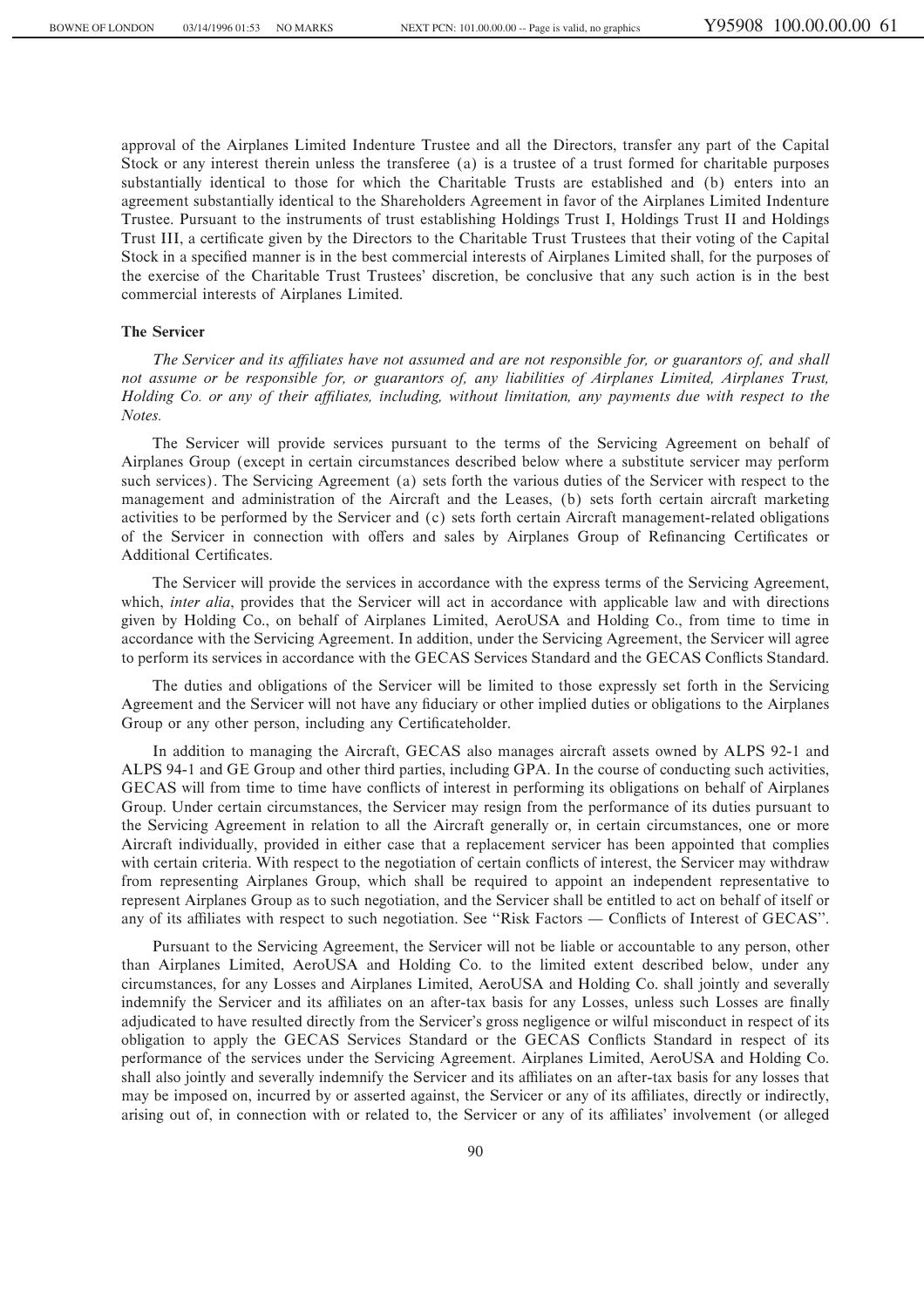approval of the Airplanes Limited Indenture Trustee and all the Directors, transfer any part of the Capital Stock or any interest therein unless the transferee (a) is a trustee of a trust formed for charitable purposes substantially identical to those for which the Charitable Trusts are established and (b) enters into an agreement substantially identical to the Shareholders Agreement in favor of the Airplanes Limited Indenture Trustee. Pursuant to the instruments of trust establishing Holdings Trust I, Holdings Trust II and Holdings Trust III, a certificate given by the Directors to the Charitable Trust Trustees that their voting of the Capital Stock in a specified manner is in the best commercial interests of Airplanes Limited shall, for the purposes of the exercise of the Charitable Trust Trustees' discretion, be conclusive that any such action is in the best commercial interests of Airplanes Limited.

# **The Servicer**

*The Servicer and its affiliates have not assumed and are not responsible for, or guarantors of, and shall not assume or be responsible for, or guarantors of, any liabilities of Airplanes Limited, Airplanes Trust, Holding Co. or any of their aÇliates, including, without limitation, any payments due with respect to the Notes.*

The Servicer will provide services pursuant to the terms of the Servicing Agreement on behalf of Airplanes Group (except in certain circumstances described below where a substitute servicer may perform such services). The Servicing Agreement (a) sets forth the various duties of the Servicer with respect to the management and administration of the Aircraft and the Leases, (b) sets forth certain aircraft marketing activities to be performed by the Servicer and (c) sets forth certain Aircraft management-related obligations of the Servicer in connection with offers and sales by Airplanes Group of Refinancing Certificates or Additional Certificates.

The Servicer will provide the services in accordance with the express terms of the Servicing Agreement, which, *inter alia*, provides that the Servicer will act in accordance with applicable law and with directions given by Holding Co., on behalf of Airplanes Limited, AeroUSA and Holding Co., from time to time in accordance with the Servicing Agreement. In addition, under the Servicing Agreement, the Servicer will agree to perform its services in accordance with the GECAS Services Standard and the GECAS Conflicts Standard.

The duties and obligations of the Servicer will be limited to those expressly set forth in the Servicing Agreement and the Servicer will not have any Ñduciary or other implied duties or obligations to the Airplanes Group or any other person, including any Certificateholder.

In addition to managing the Aircraft, GECAS also manages aircraft assets owned by ALPS 92-1 and ALPS 94-1 and GE Group and other third parties, including GPA. In the course of conducting such activities, GECAS will from time to time have conflicts of interest in performing its obligations on behalf of Airplanes Group. Under certain circumstances, the Servicer may resign from the performance of its duties pursuant to the Servicing Agreement in relation to all the Aircraft generally or, in certain circumstances, one or more Aircraft individually, provided in either case that a replacement servicer has been appointed that complies with certain criteria. With respect to the negotiation of certain conflicts of interest, the Servicer may withdraw from representing Airplanes Group, which shall be required to appoint an independent representative to represent Airplanes Group as to such negotiation, and the Servicer shall be entitled to act on behalf of itself or any of its affiliates with respect to such negotiation. See "Risk Factors — Conflicts of Interest of GECAS".

Pursuant to the Servicing Agreement, the Servicer will not be liable or accountable to any person, other than Airplanes Limited, AeroUSA and Holding Co. to the limited extent described below, under any circumstances, for any Losses and Airplanes Limited, AeroUSA and Holding Co. shall jointly and severally indemnify the Servicer and its affiliates on an after-tax basis for any Losses, unless such Losses are finally adjudicated to have resulted directly from the Servicer's gross negligence or wilful misconduct in respect of its obligation to apply the GECAS Services Standard or the GECAS Conflicts Standard in respect of its performance of the services under the Servicing Agreement. Airplanes Limited, AeroUSA and Holding Co. shall also jointly and severally indemnify the Servicer and its affiliates on an after-tax basis for any losses that may be imposed on, incurred by or asserted against, the Servicer or any of its affiliates, directly or indirectly, arising out of, in connection with or related to, the Servicer or any of its affiliates' involvement (or alleged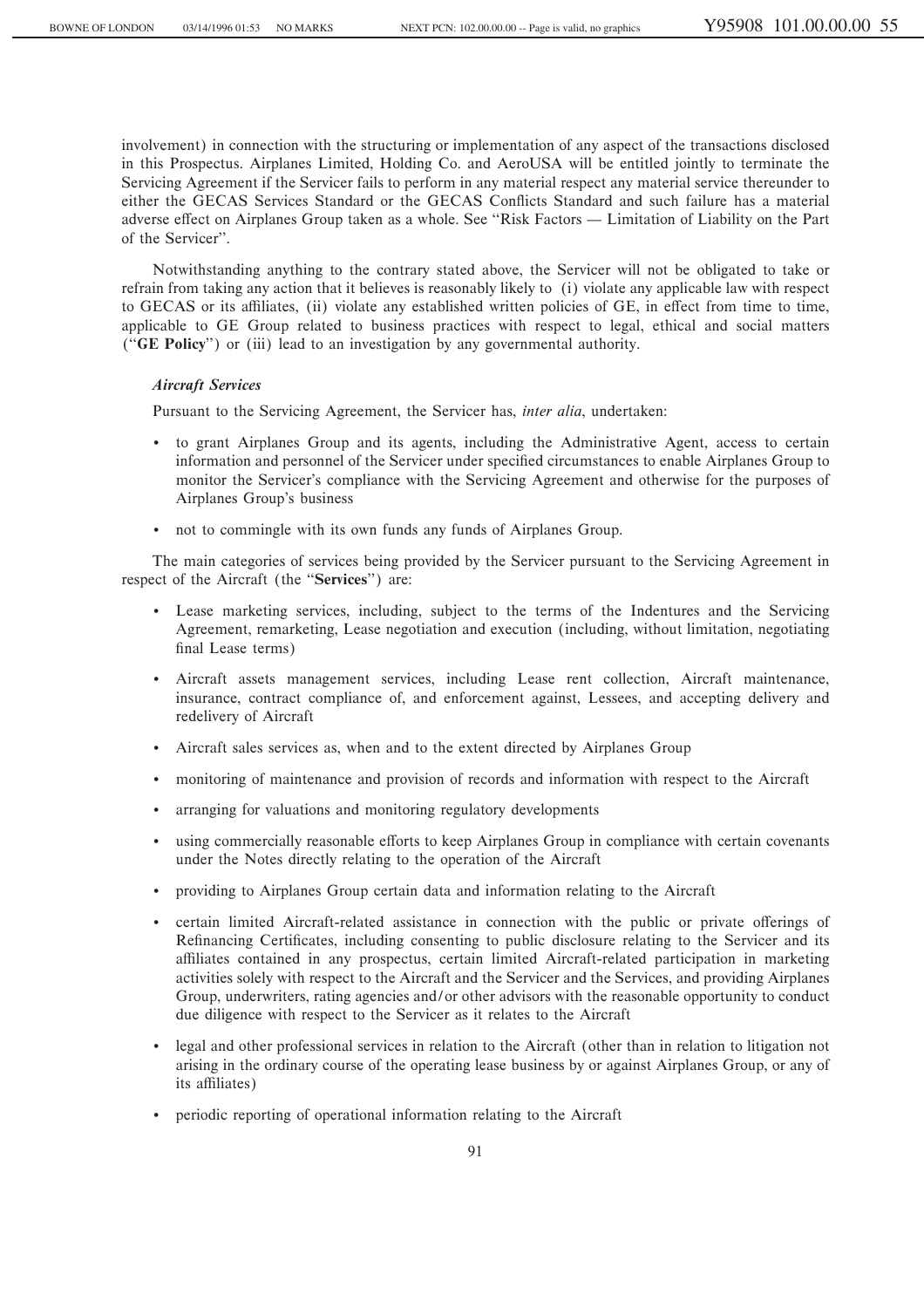involvement) in connection with the structuring or implementation of any aspect of the transactions disclosed in this Prospectus. Airplanes Limited, Holding Co. and AeroUSA will be entitled jointly to terminate the Servicing Agreement if the Servicer fails to perform in any material respect any material service thereunder to either the GECAS Services Standard or the GECAS Conflicts Standard and such failure has a material adverse effect on Airplanes Group taken as a whole. See "Risk Factors — Limitation of Liability on the Part of the Servicer''.

Notwithstanding anything to the contrary stated above, the Servicer will not be obligated to take or refrain from taking any action that it believes is reasonably likely to (i) violate any applicable law with respect to GECAS or its affiliates, (ii) violate any established written policies of GE, in effect from time to time, applicable to GE Group related to business practices with respect to legal, ethical and social matters (""**GE Policy**'') or (iii) lead to an investigation by any governmental authority.

# *Aircraft Services*

Pursuant to the Servicing Agreement, the Servicer has, *inter alia*, undertaken:

- ' to grant Airplanes Group and its agents, including the Administrative Agent, access to certain information and personnel of the Servicer under specified circumstances to enable Airplanes Group to monitor the Servicer's compliance with the Servicing Agreement and otherwise for the purposes of Airplanes Group's business
- ' not to commingle with its own funds any funds of Airplanes Group.

The main categories of services being provided by the Servicer pursuant to the Servicing Agreement in respect of the Aircraft (the "**Services**") are:

- ' Lease marketing services, including, subject to the terms of the Indentures and the Servicing Agreement, remarketing, Lease negotiation and execution (including, without limitation, negotiating final Lease terms)
- ' Aircraft assets management services, including Lease rent collection, Aircraft maintenance, insurance, contract compliance of, and enforcement against, Lessees, and accepting delivery and redelivery of Aircraft
- Aircraft sales services as, when and to the extent directed by Airplanes Group
- ' monitoring of maintenance and provision of records and information with respect to the Aircraft
- ' arranging for valuations and monitoring regulatory developments
- using commercially reasonable efforts to keep Airplanes Group in compliance with certain covenants under the Notes directly relating to the operation of the Aircraft
- ' providing to Airplanes Group certain data and information relating to the Aircraft
- certain limited Aircraft-related assistance in connection with the public or private offerings of Refinancing Certificates, including consenting to public disclosure relating to the Servicer and its affiliates contained in any prospectus, certain limited Aircraft-related participation in marketing activities solely with respect to the Aircraft and the Servicer and the Services, and providing Airplanes Group, underwriters, rating agencies and/or other advisors with the reasonable opportunity to conduct due diligence with respect to the Servicer as it relates to the Aircraft
- ' legal and other professional services in relation to the Aircraft (other than in relation to litigation not arising in the ordinary course of the operating lease business by or against Airplanes Group, or any of its affiliates)
- ' periodic reporting of operational information relating to the Aircraft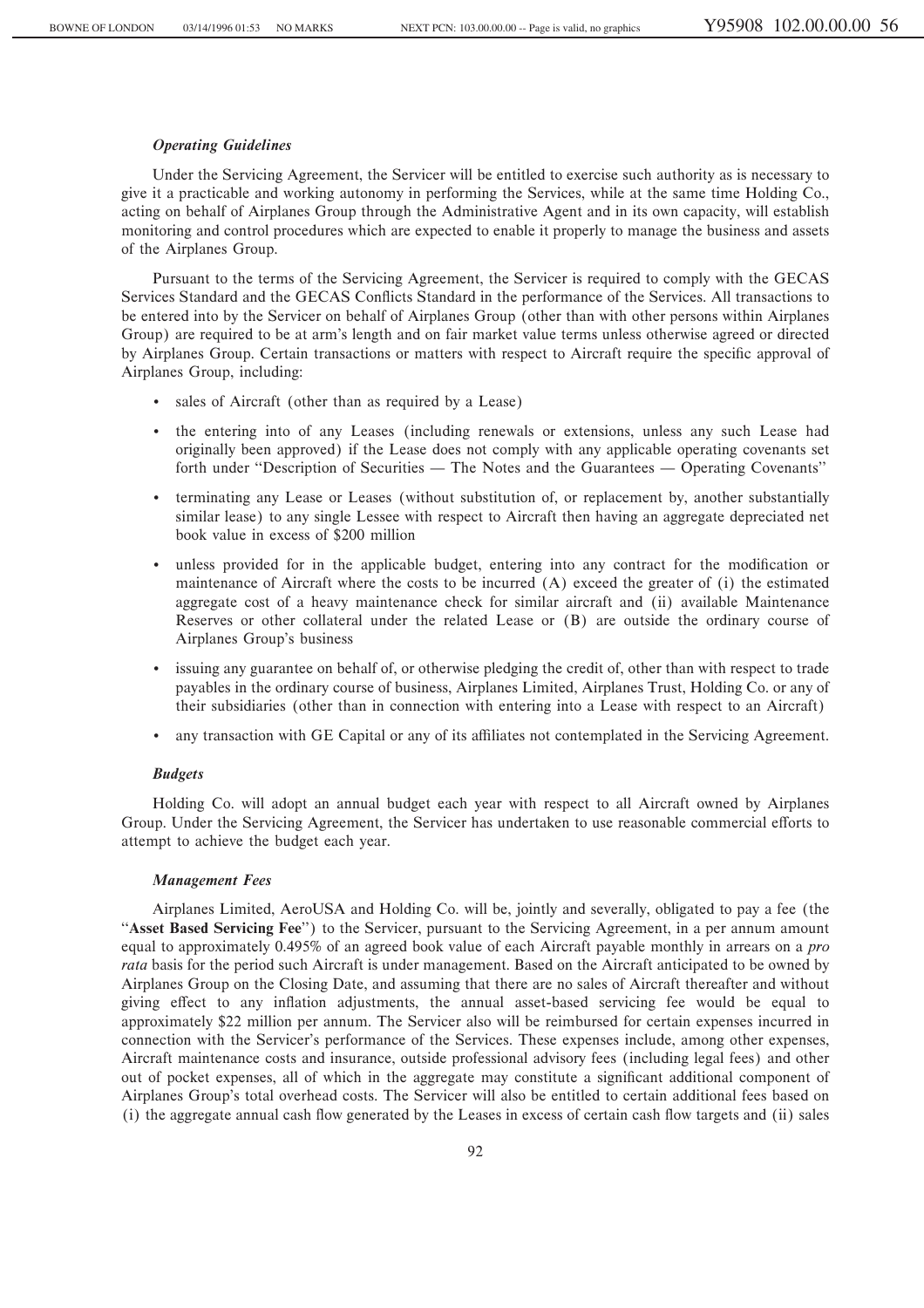# *Operating Guidelines*

Under the Servicing Agreement, the Servicer will be entitled to exercise such authority as is necessary to give it a practicable and working autonomy in performing the Services, while at the same time Holding Co., acting on behalf of Airplanes Group through the Administrative Agent and in its own capacity, will establish monitoring and control procedures which are expected to enable it properly to manage the business and assets of the Airplanes Group.

Pursuant to the terms of the Servicing Agreement, the Servicer is required to comply with the GECAS Services Standard and the GECAS Conflicts Standard in the performance of the Services. All transactions to be entered into by the Servicer on behalf of Airplanes Group (other than with other persons within Airplanes Group) are required to be at arm's length and on fair market value terms unless otherwise agreed or directed by Airplanes Group. Certain transactions or matters with respect to Aircraft require the specific approval of Airplanes Group, including:

- ' sales of Aircraft (other than as required by a Lease)
- ' the entering into of any Leases (including renewals or extensions, unless any such Lease had originally been approved) if the Lease does not comply with any applicable operating covenants set forth under "Description of Securities — The Notes and the Guarantees — Operating Covenants"
- ' terminating any Lease or Leases (without substitution of, or replacement by, another substantially similar lease) to any single Lessee with respect to Aircraft then having an aggregate depreciated net book value in excess of \$200 million
- unless provided for in the applicable budget, entering into any contract for the modification or maintenance of Aircraft where the costs to be incurred (A) exceed the greater of (i) the estimated aggregate cost of a heavy maintenance check for similar aircraft and (ii) available Maintenance Reserves or other collateral under the related Lease or (B) are outside the ordinary course of Airplanes Group's business
- ' issuing any guarantee on behalf of, or otherwise pledging the credit of, other than with respect to trade payables in the ordinary course of business, Airplanes Limited, Airplanes Trust, Holding Co. or any of their subsidiaries (other than in connection with entering into a Lease with respect to an Aircraft)
- any transaction with GE Capital or any of its affiliates not contemplated in the Servicing Agreement.

## *Budgets*

Holding Co. will adopt an annual budget each year with respect to all Aircraft owned by Airplanes Group. Under the Servicing Agreement, the Servicer has undertaken to use reasonable commercial efforts to attempt to achieve the budget each year.

# *Management Fees*

Airplanes Limited, AeroUSA and Holding Co. will be, jointly and severally, obligated to pay a fee (the ""**Asset Based Servicing Fee**'') to the Servicer, pursuant to the Servicing Agreement, in a per annum amount equal to approximately 0.495% of an agreed book value of each Aircraft payable monthly in arrears on a *pro rata* basis for the period such Aircraft is under management. Based on the Aircraft anticipated to be owned by Airplanes Group on the Closing Date, and assuming that there are no sales of Aircraft thereafter and without giving effect to any inflation adjustments, the annual asset-based servicing fee would be equal to approximately \$22 million per annum. The Servicer also will be reimbursed for certain expenses incurred in connection with the Servicer's performance of the Services. These expenses include, among other expenses, Aircraft maintenance costs and insurance, outside professional advisory fees (including legal fees) and other out of pocket expenses, all of which in the aggregate may constitute a significant additional component of Airplanes Group's total overhead costs. The Servicer will also be entitled to certain additional fees based on (i) the aggregate annual cash Öow generated by the Leases in excess of certain cash Öow targets and (ii) sales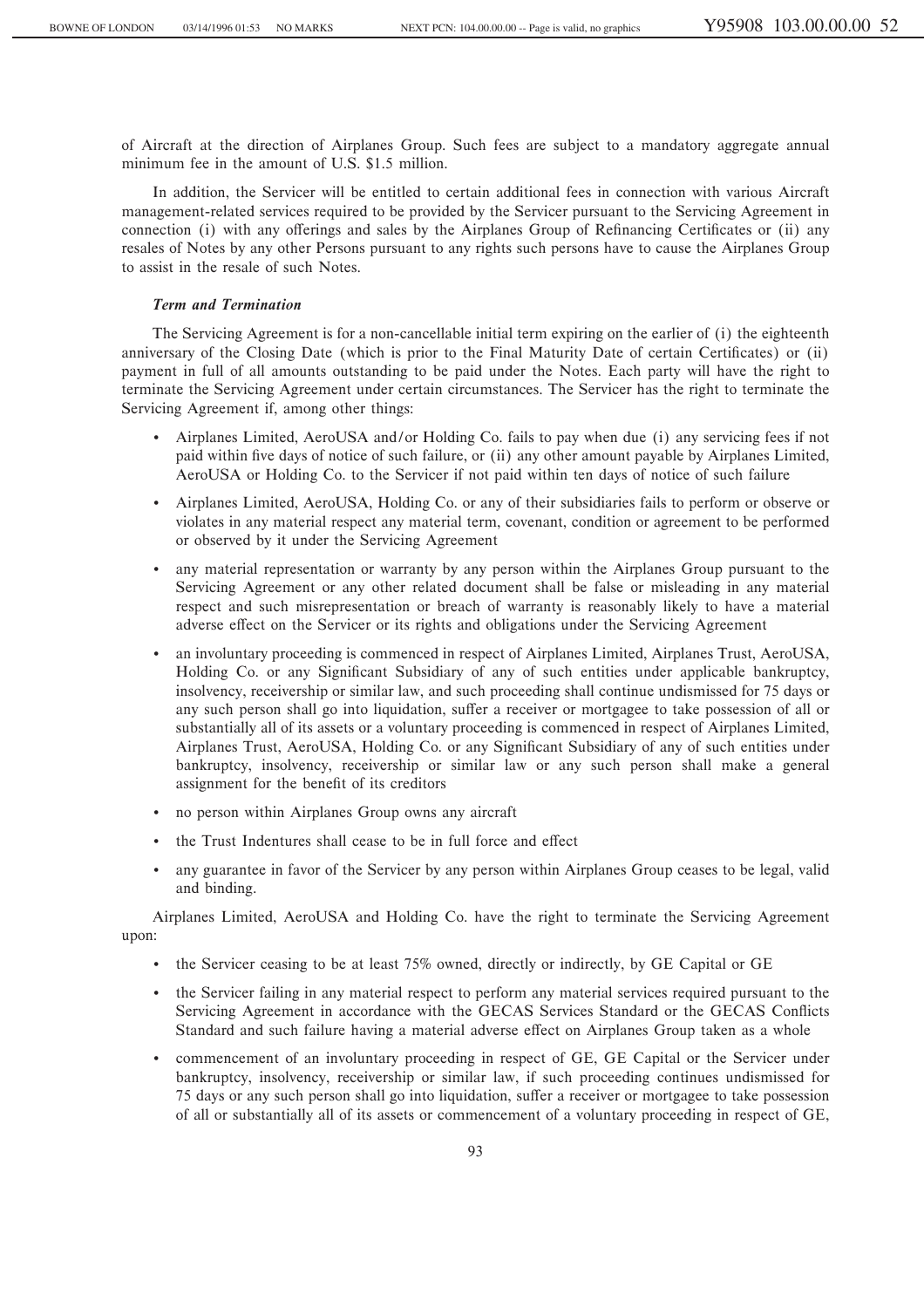of Aircraft at the direction of Airplanes Group. Such fees are subject to a mandatory aggregate annual minimum fee in the amount of U.S. \$1.5 million.

In addition, the Servicer will be entitled to certain additional fees in connection with various Aircraft management-related services required to be provided by the Servicer pursuant to the Servicing Agreement in connection (i) with any offerings and sales by the Airplanes Group of Refinancing Certificates or (ii) any resales of Notes by any other Persons pursuant to any rights such persons have to cause the Airplanes Group to assist in the resale of such Notes.

# *Term and Termination*

The Servicing Agreement is for a non-cancellable initial term expiring on the earlier of (i) the eighteenth anniversary of the Closing Date (which is prior to the Final Maturity Date of certain Certificates) or (ii) payment in full of all amounts outstanding to be paid under the Notes. Each party will have the right to terminate the Servicing Agreement under certain circumstances. The Servicer has the right to terminate the Servicing Agreement if, among other things:

- ' Airplanes Limited, AeroUSA and/or Holding Co. fails to pay when due (i) any servicing fees if not paid within five days of notice of such failure, or (ii) any other amount payable by Airplanes Limited, AeroUSA or Holding Co. to the Servicer if not paid within ten days of notice of such failure
- ' Airplanes Limited, AeroUSA, Holding Co. or any of their subsidiaries fails to perform or observe or violates in any material respect any material term, covenant, condition or agreement to be performed or observed by it under the Servicing Agreement
- ' any material representation or warranty by any person within the Airplanes Group pursuant to the Servicing Agreement or any other related document shall be false or misleading in any material respect and such misrepresentation or breach of warranty is reasonably likely to have a material adverse effect on the Servicer or its rights and obligations under the Servicing Agreement
- ' an involuntary proceeding is commenced in respect of Airplanes Limited, Airplanes Trust, AeroUSA, Holding Co. or any Significant Subsidiary of any of such entities under applicable bankruptcy, insolvency, receivership or similar law, and such proceeding shall continue undismissed for 75 days or any such person shall go into liquidation, suffer a receiver or mortgagee to take possession of all or substantially all of its assets or a voluntary proceeding is commenced in respect of Airplanes Limited, Airplanes Trust, AeroUSA, Holding Co. or any Significant Subsidiary of any of such entities under bankruptcy, insolvency, receivership or similar law or any such person shall make a general assignment for the benefit of its creditors
- ' no person within Airplanes Group owns any aircraft
- the Trust Indentures shall cease to be in full force and effect
- ' any guarantee in favor of the Servicer by any person within Airplanes Group ceases to be legal, valid and binding.

Airplanes Limited, AeroUSA and Holding Co. have the right to terminate the Servicing Agreement upon:

- ' the Servicer ceasing to be at least 75% owned, directly or indirectly, by GE Capital or GE
- ' the Servicer failing in any material respect to perform any material services required pursuant to the Servicing Agreement in accordance with the GECAS Services Standard or the GECAS Conflicts Standard and such failure having a material adverse effect on Airplanes Group taken as a whole
- ' commencement of an involuntary proceeding in respect of GE, GE Capital or the Servicer under bankruptcy, insolvency, receivership or similar law, if such proceeding continues undismissed for 75 days or any such person shall go into liquidation, suffer a receiver or mortgagee to take possession of all or substantially all of its assets or commencement of a voluntary proceeding in respect of GE,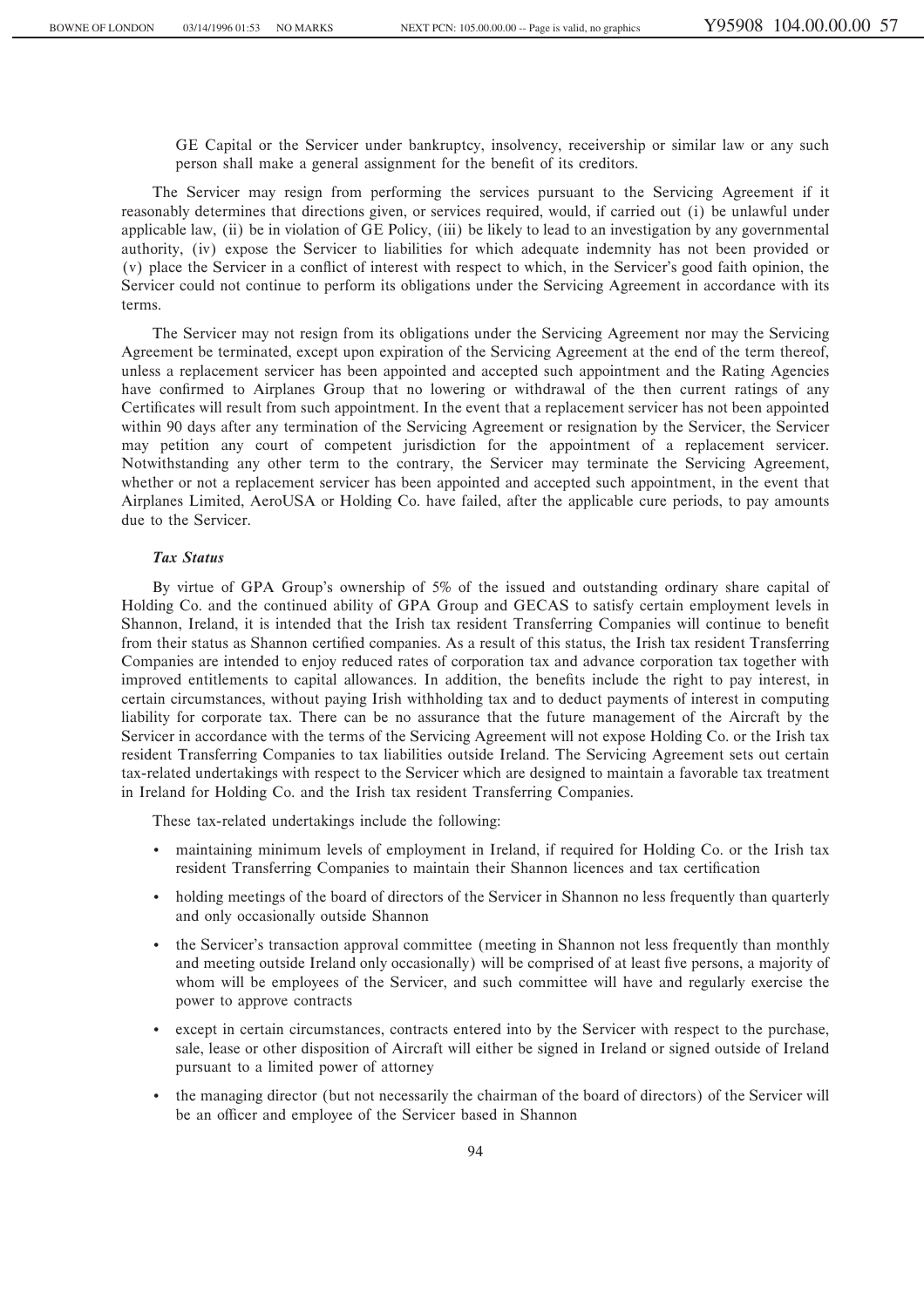GE Capital or the Servicer under bankruptcy, insolvency, receivership or similar law or any such person shall make a general assignment for the benefit of its creditors.

The Servicer may resign from performing the services pursuant to the Servicing Agreement if it reasonably determines that directions given, or services required, would, if carried out (i) be unlawful under applicable law, (ii) be in violation of GE Policy, (iii) be likely to lead to an investigation by any governmental authority, (iv) expose the Servicer to liabilities for which adequate indemnity has not been provided or (v) place the Servicer in a conflict of interest with respect to which, in the Servicer's good faith opinion, the Servicer could not continue to perform its obligations under the Servicing Agreement in accordance with its terms.

The Servicer may not resign from its obligations under the Servicing Agreement nor may the Servicing Agreement be terminated, except upon expiration of the Servicing Agreement at the end of the term thereof, unless a replacement servicer has been appointed and accepted such appointment and the Rating Agencies have confirmed to Airplanes Group that no lowering or withdrawal of the then current ratings of any Certificates will result from such appointment. In the event that a replacement servicer has not been appointed within 90 days after any termination of the Servicing Agreement or resignation by the Servicer, the Servicer may petition any court of competent jurisdiction for the appointment of a replacement servicer. Notwithstanding any other term to the contrary, the Servicer may terminate the Servicing Agreement, whether or not a replacement servicer has been appointed and accepted such appointment, in the event that Airplanes Limited, AeroUSA or Holding Co. have failed, after the applicable cure periods, to pay amounts due to the Servicer.

# *Tax Status*

By virtue of GPA Group's ownership of 5% of the issued and outstanding ordinary share capital of Holding Co. and the continued ability of GPA Group and GECAS to satisfy certain employment levels in Shannon, Ireland, it is intended that the Irish tax resident Transferring Companies will continue to benefit from their status as Shannon certified companies. As a result of this status, the Irish tax resident Transferring Companies are intended to enjoy reduced rates of corporation tax and advance corporation tax together with improved entitlements to capital allowances. In addition, the benefits include the right to pay interest, in certain circumstances, without paying Irish withholding tax and to deduct payments of interest in computing liability for corporate tax. There can be no assurance that the future management of the Aircraft by the Servicer in accordance with the terms of the Servicing Agreement will not expose Holding Co. or the Irish tax resident Transferring Companies to tax liabilities outside Ireland. The Servicing Agreement sets out certain tax-related undertakings with respect to the Servicer which are designed to maintain a favorable tax treatment in Ireland for Holding Co. and the Irish tax resident Transferring Companies.

These tax-related undertakings include the following:

- ' maintaining minimum levels of employment in Ireland, if required for Holding Co. or the Irish tax resident Transferring Companies to maintain their Shannon licences and tax certification
- ' holding meetings of the board of directors of the Servicer in Shannon no less frequently than quarterly and only occasionally outside Shannon
- ' the Servicer's transaction approval committee (meeting in Shannon not less frequently than monthly and meeting outside Ireland only occasionally) will be comprised of at least five persons, a majority of whom will be employees of the Servicer, and such committee will have and regularly exercise the power to approve contracts
- ' except in certain circumstances, contracts entered into by the Servicer with respect to the purchase, sale, lease or other disposition of Aircraft will either be signed in Ireland or signed outside of Ireland pursuant to a limited power of attorney
- ' the managing director (but not necessarily the chairman of the board of directors) of the Servicer will be an officer and employee of the Servicer based in Shannon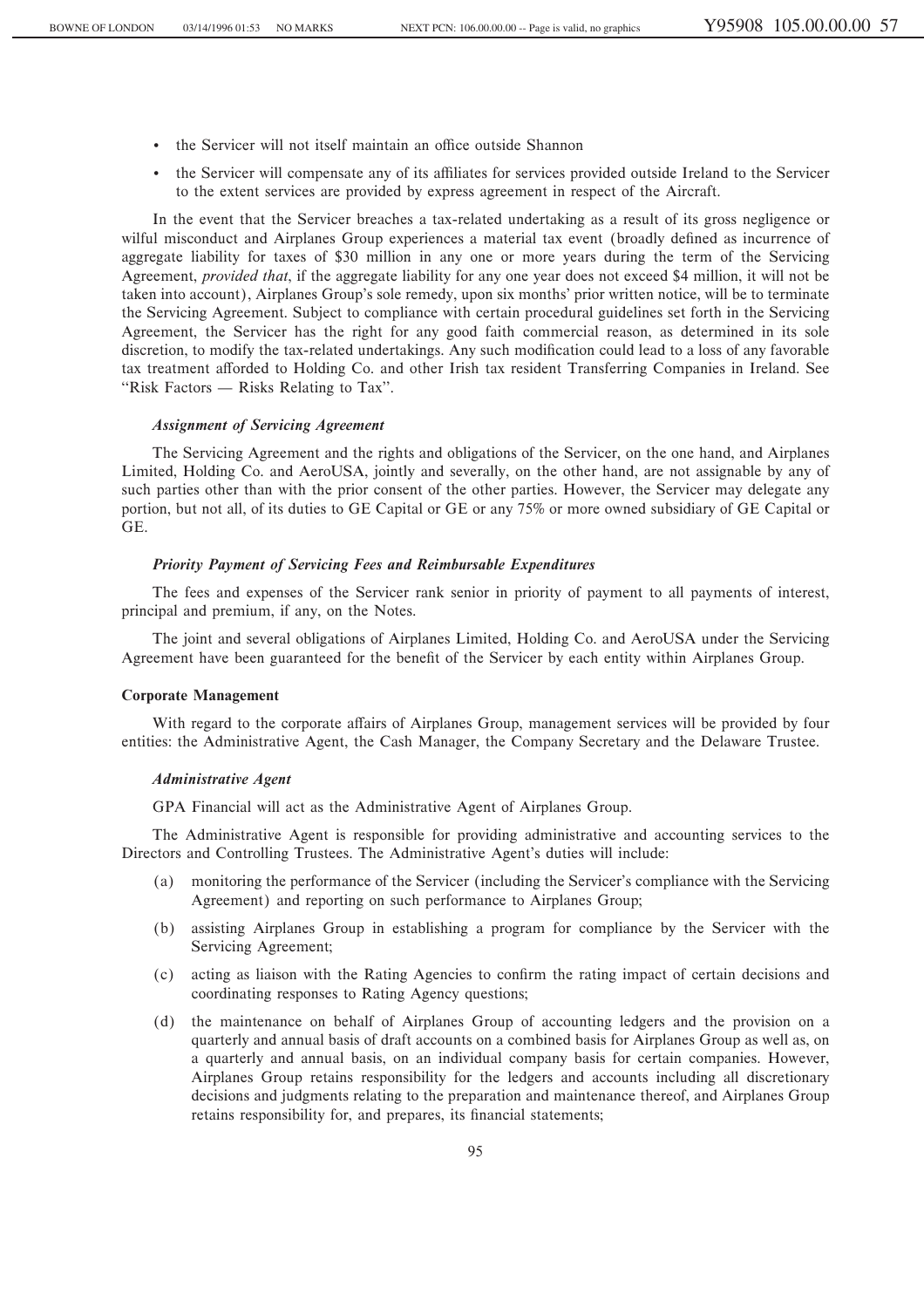- the Servicer will not itself maintain an office outside Shannon
- the Servicer will compensate any of its affiliates for services provided outside Ireland to the Servicer to the extent services are provided by express agreement in respect of the Aircraft.

In the event that the Servicer breaches a tax-related undertaking as a result of its gross negligence or wilful misconduct and Airplanes Group experiences a material tax event (broadly defined as incurrence of aggregate liability for taxes of \$30 million in any one or more years during the term of the Servicing Agreement, *provided that*, if the aggregate liability for any one year does not exceed \$4 million, it will not be taken into account), Airplanes Group's sole remedy, upon six months' prior written notice, will be to terminate the Servicing Agreement. Subject to compliance with certain procedural guidelines set forth in the Servicing Agreement, the Servicer has the right for any good faith commercial reason, as determined in its sole discretion, to modify the tax-related undertakings. Any such modification could lead to a loss of any favorable tax treatment afforded to Holding Co. and other Irish tax resident Transferring Companies in Ireland. See "Risk Factors  $-$  Risks Relating to Tax".

#### *Assignment of Servicing Agreement*

The Servicing Agreement and the rights and obligations of the Servicer, on the one hand, and Airplanes Limited, Holding Co. and AeroUSA, jointly and severally, on the other hand, are not assignable by any of such parties other than with the prior consent of the other parties. However, the Servicer may delegate any portion, but not all, of its duties to GE Capital or GE or any 75% or more owned subsidiary of GE Capital or GE.

#### *Priority Payment of Servicing Fees and Reimbursable Expenditures*

The fees and expenses of the Servicer rank senior in priority of payment to all payments of interest, principal and premium, if any, on the Notes.

The joint and several obligations of Airplanes Limited, Holding Co. and AeroUSA under the Servicing Agreement have been guaranteed for the benefit of the Servicer by each entity within Airplanes Group.

#### **Corporate Management**

With regard to the corporate affairs of Airplanes Group, management services will be provided by four entities: the Administrative Agent, the Cash Manager, the Company Secretary and the Delaware Trustee.

#### *Administrative Agent*

GPA Financial will act as the Administrative Agent of Airplanes Group.

The Administrative Agent is responsible for providing administrative and accounting services to the Directors and Controlling Trustees. The Administrative Agent's duties will include:

- (a) monitoring the performance of the Servicer (including the Servicer's compliance with the Servicing Agreement) and reporting on such performance to Airplanes Group;
- (b) assisting Airplanes Group in establishing a program for compliance by the Servicer with the Servicing Agreement;
- (c) acting as liaison with the Rating Agencies to confirm the rating impact of certain decisions and coordinating responses to Rating Agency questions;
- (d) the maintenance on behalf of Airplanes Group of accounting ledgers and the provision on a quarterly and annual basis of draft accounts on a combined basis for Airplanes Group as well as, on a quarterly and annual basis, on an individual company basis for certain companies. However, Airplanes Group retains responsibility for the ledgers and accounts including all discretionary decisions and judgments relating to the preparation and maintenance thereof, and Airplanes Group retains responsibility for, and prepares, its financial statements;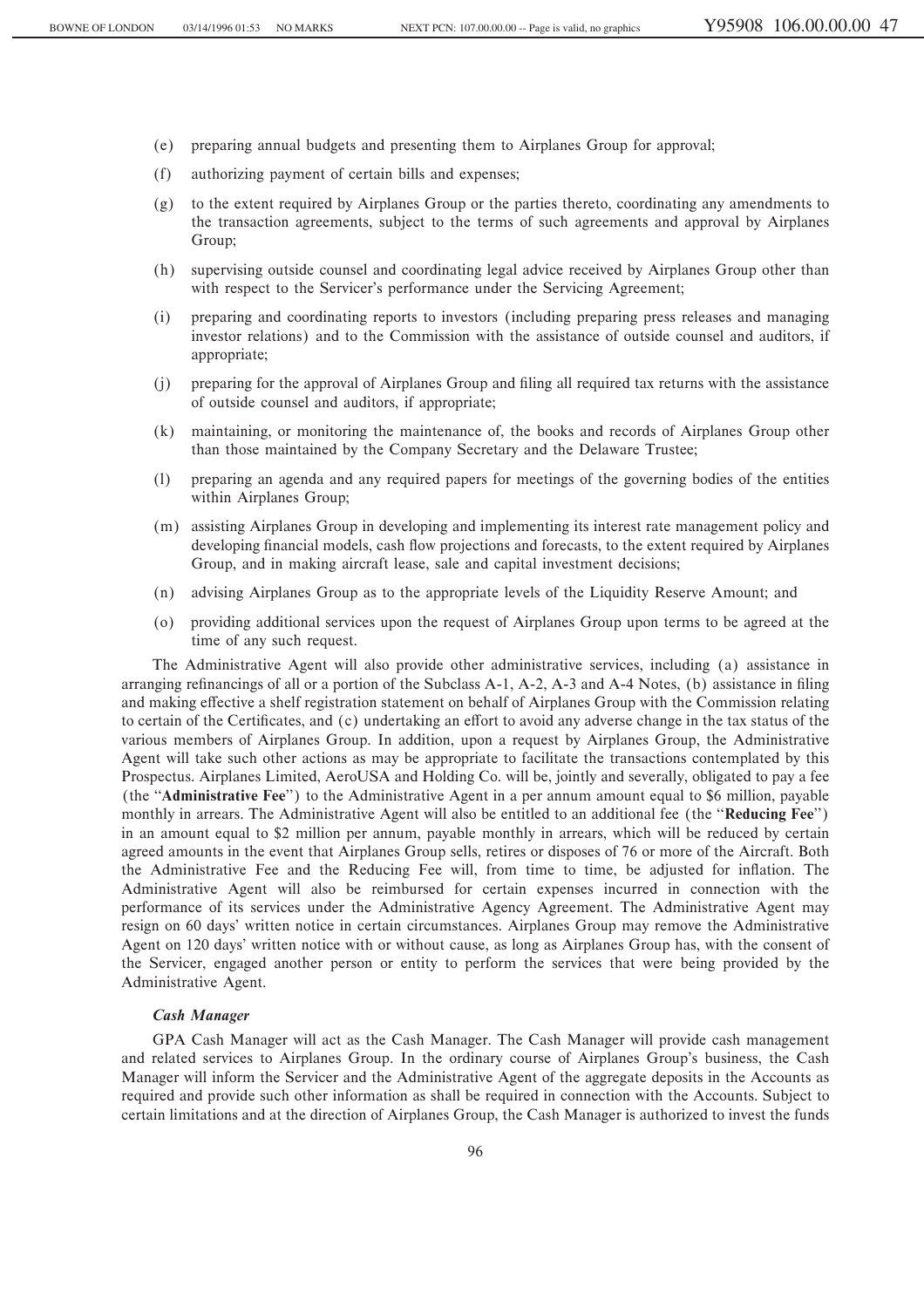- (e) preparing annual budgets and presenting them to Airplanes Group for approval;
- (f) authorizing payment of certain bills and expenses;
- (g) to the extent required by Airplanes Group or the parties thereto, coordinating any amendments to the transaction agreements, subject to the terms of such agreements and approval by Airplanes Group;
- (h) supervising outside counsel and coordinating legal advice received by Airplanes Group other than with respect to the Servicer's performance under the Servicing Agreement;
- (i) preparing and coordinating reports to investors (including preparing press releases and managing investor relations) and to the Commission with the assistance of outside counsel and auditors, if appropriate;
- (j) preparing for the approval of Airplanes Group and Ñling all required tax returns with the assistance of outside counsel and auditors, if appropriate;
- (k) maintaining, or monitoring the maintenance of, the books and records of Airplanes Group other than those maintained by the Company Secretary and the Delaware Trustee;
- (l) preparing an agenda and any required papers for meetings of the governing bodies of the entities within Airplanes Group;
- (m) assisting Airplanes Group in developing and implementing its interest rate management policy and developing financial models, cash flow projections and forecasts, to the extent required by Airplanes Group, and in making aircraft lease, sale and capital investment decisions;
- (n) advising Airplanes Group as to the appropriate levels of the Liquidity Reserve Amount; and
- (o) providing additional services upon the request of Airplanes Group upon terms to be agreed at the time of any such request.

The Administrative Agent will also provide other administrative services, including (a) assistance in arranging refinancings of all or a portion of the Subclass A-1, A-2, A-3 and A-4 Notes, (b) assistance in filing and making effective a shelf registration statement on behalf of Airplanes Group with the Commission relating to certain of the Certificates, and (c) undertaking an effort to avoid any adverse change in the tax status of the various members of Airplanes Group. In addition, upon a request by Airplanes Group, the Administrative Agent will take such other actions as may be appropriate to facilitate the transactions contemplated by this Prospectus. Airplanes Limited, AeroUSA and Holding Co. will be, jointly and severally, obligated to pay a fee (the ""**Administrative Fee**'') to the Administrative Agent in a per annum amount equal to \$6 million, payable monthly in arrears. The Administrative Agent will also be entitled to an additional fee (the "**Reducing Fee**") in an amount equal to \$2 million per annum, payable monthly in arrears, which will be reduced by certain agreed amounts in the event that Airplanes Group sells, retires or disposes of 76 or more of the Aircraft. Both the Administrative Fee and the Reducing Fee will, from time to time, be adjusted for inflation. The Administrative Agent will also be reimbursed for certain expenses incurred in connection with the performance of its services under the Administrative Agency Agreement. The Administrative Agent may resign on 60 days' written notice in certain circumstances. Airplanes Group may remove the Administrative Agent on 120 days' written notice with or without cause, as long as Airplanes Group has, with the consent of the Servicer, engaged another person or entity to perform the services that were being provided by the Administrative Agent.

# *Cash Manager*

GPA Cash Manager will act as the Cash Manager. The Cash Manager will provide cash management and related services to Airplanes Group. In the ordinary course of Airplanes Group's business, the Cash Manager will inform the Servicer and the Administrative Agent of the aggregate deposits in the Accounts as required and provide such other information as shall be required in connection with the Accounts. Subject to certain limitations and at the direction of Airplanes Group, the Cash Manager is authorized to invest the funds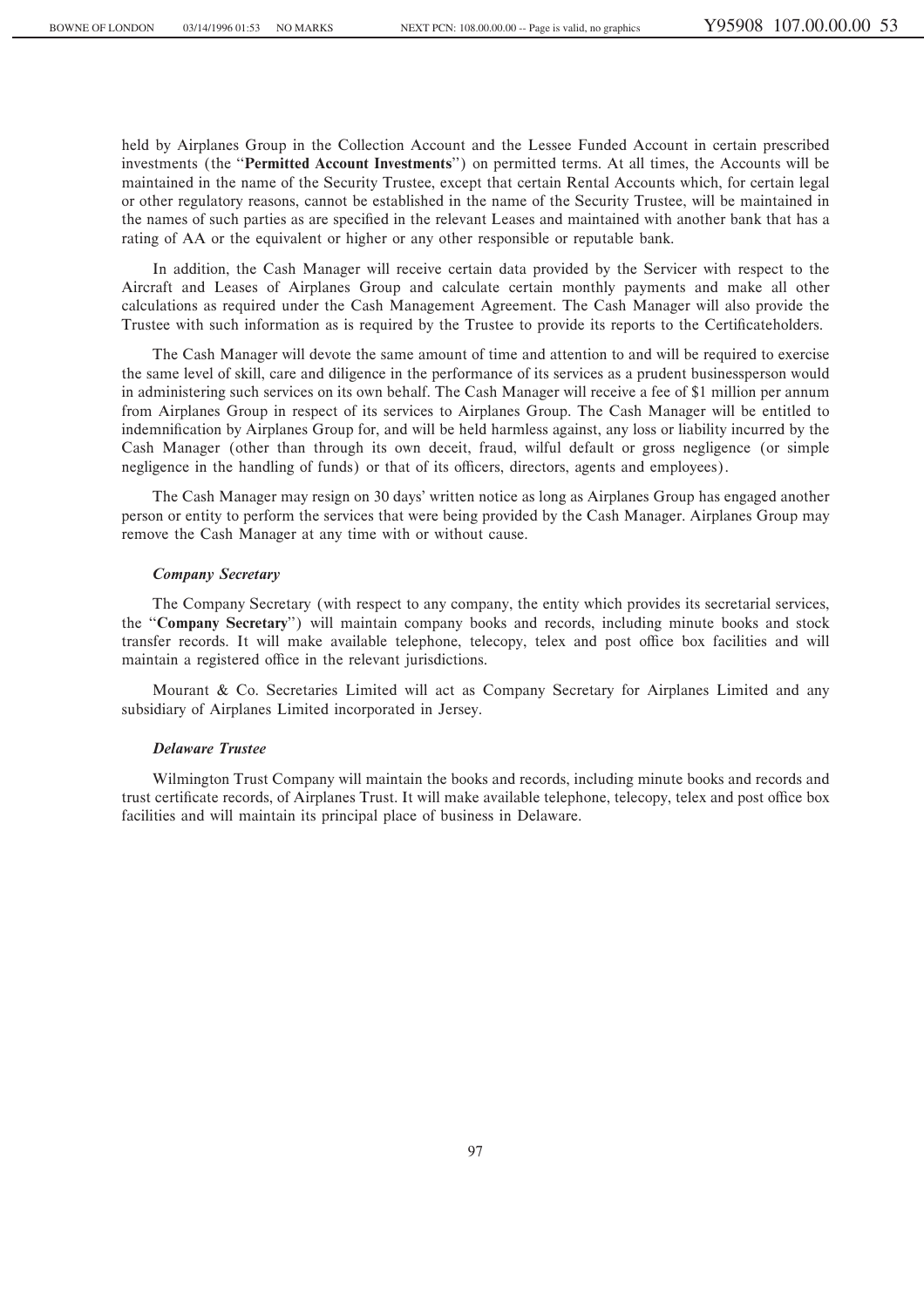held by Airplanes Group in the Collection Account and the Lessee Funded Account in certain prescribed investments (the ""**Permitted Account Investments**'') on permitted terms. At all times, the Accounts will be maintained in the name of the Security Trustee, except that certain Rental Accounts which, for certain legal or other regulatory reasons, cannot be established in the name of the Security Trustee, will be maintained in the names of such parties as are specified in the relevant Leases and maintained with another bank that has a rating of AA or the equivalent or higher or any other responsible or reputable bank.

In addition, the Cash Manager will receive certain data provided by the Servicer with respect to the Aircraft and Leases of Airplanes Group and calculate certain monthly payments and make all other calculations as required under the Cash Management Agreement. The Cash Manager will also provide the Trustee with such information as is required by the Trustee to provide its reports to the Certificateholders.

The Cash Manager will devote the same amount of time and attention to and will be required to exercise the same level of skill, care and diligence in the performance of its services as a prudent businessperson would in administering such services on its own behalf. The Cash Manager will receive a fee of \$1 million per annum from Airplanes Group in respect of its services to Airplanes Group. The Cash Manager will be entitled to indemnification by Airplanes Group for, and will be held harmless against, any loss or liability incurred by the Cash Manager (other than through its own deceit, fraud, wilful default or gross negligence (or simple negligence in the handling of funds) or that of its officers, directors, agents and employees).

The Cash Manager may resign on 30 days' written notice as long as Airplanes Group has engaged another person or entity to perform the services that were being provided by the Cash Manager. Airplanes Group may remove the Cash Manager at any time with or without cause.

#### *Company Secretary*

The Company Secretary (with respect to any company, the entity which provides its secretarial services, the ""**Company Secretary**'') will maintain company books and records, including minute books and stock transfer records. It will make available telephone, telecopy, telex and post office box facilities and will maintain a registered office in the relevant jurisdictions.

Mourant & Co. Secretaries Limited will act as Company Secretary for Airplanes Limited and any subsidiary of Airplanes Limited incorporated in Jersey.

# *Delaware Trustee*

Wilmington Trust Company will maintain the books and records, including minute books and records and trust certificate records, of Airplanes Trust. It will make available telephone, telecopy, telex and post office box facilities and will maintain its principal place of business in Delaware.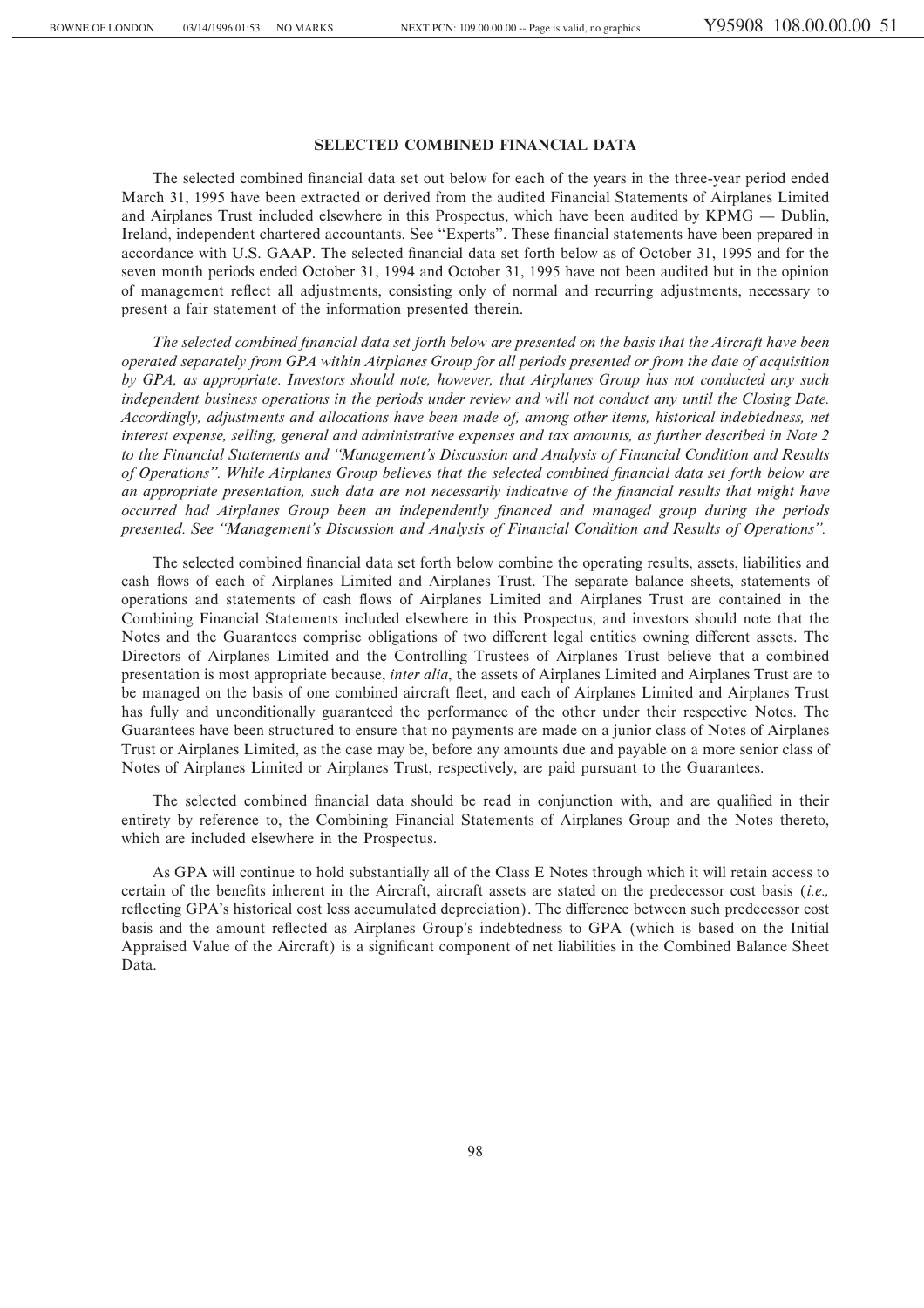# **SELECTED COMBINED FINANCIAL DATA**

The selected combined financial data set out below for each of the years in the three-year period ended March 31, 1995 have been extracted or derived from the audited Financial Statements of Airplanes Limited and Airplanes Trust included elsewhere in this Prospectus, which have been audited by  $KPMG -$  Dublin, Ireland, independent chartered accountants. See "Experts". These financial statements have been prepared in accordance with U.S. GAAP. The selected financial data set forth below as of October 31, 1995 and for the seven month periods ended October 31, 1994 and October 31, 1995 have not been audited but in the opinion of management reÖect all adjustments, consisting only of normal and recurring adjustments, necessary to present a fair statement of the information presented therein.

The selected combined financial data set forth below are presented on the basis that the Aircraft have been *operated separately from GPA within Airplanes Group for all periods presented or from the date of acquisition by GPA, as appropriate. Investors should note, however, that Airplanes Group has not conducted any such independent business operations in the periods under review and will not conduct any until the Closing Date. Accordingly, adjustments and allocations have been made of, among other items, historical indebtedness, net interest expense, selling, general and administrative expenses and tax amounts, as further described in Note 2 to the Financial Statements and ""Management's Discussion and Analysis of Financial Condition and Results* of Operations". While Airplanes Group believes that the selected combined financial data set forth below are *an appropriate presentation, such data are not necessarily indicative of the financial results that might have occurred had Airplanes Group been an independently financed and managed group during the periods presented. See ""Management's Discussion and Analysis of Financial Condition and Results of Operations''.*

The selected combined financial data set forth below combine the operating results, assets, liabilities and cash Öows of each of Airplanes Limited and Airplanes Trust. The separate balance sheets, statements of operations and statements of cash Öows of Airplanes Limited and Airplanes Trust are contained in the Combining Financial Statements included elsewhere in this Prospectus, and investors should note that the Notes and the Guarantees comprise obligations of two different legal entities owning different assets. The Directors of Airplanes Limited and the Controlling Trustees of Airplanes Trust believe that a combined presentation is most appropriate because, *inter alia*, the assets of Airplanes Limited and Airplanes Trust are to be managed on the basis of one combined aircraft Öeet, and each of Airplanes Limited and Airplanes Trust has fully and unconditionally guaranteed the performance of the other under their respective Notes. The Guarantees have been structured to ensure that no payments are made on a junior class of Notes of Airplanes Trust or Airplanes Limited, as the case may be, before any amounts due and payable on a more senior class of Notes of Airplanes Limited or Airplanes Trust, respectively, are paid pursuant to the Guarantees.

The selected combined financial data should be read in conjunction with, and are qualified in their entirety by reference to, the Combining Financial Statements of Airplanes Group and the Notes thereto, which are included elsewhere in the Prospectus.

As GPA will continue to hold substantially all of the Class E Notes through which it will retain access to certain of the benefits inherent in the Aircraft, aircraft assets are stated on the predecessor cost basis (*i.e.*, reflecting GPA's historical cost less accumulated depreciation). The difference between such predecessor cost basis and the amount reflected as Airplanes Group's indebtedness to GPA (which is based on the Initial Appraised Value of the Aircraft) is a significant component of net liabilities in the Combined Balance Sheet Data.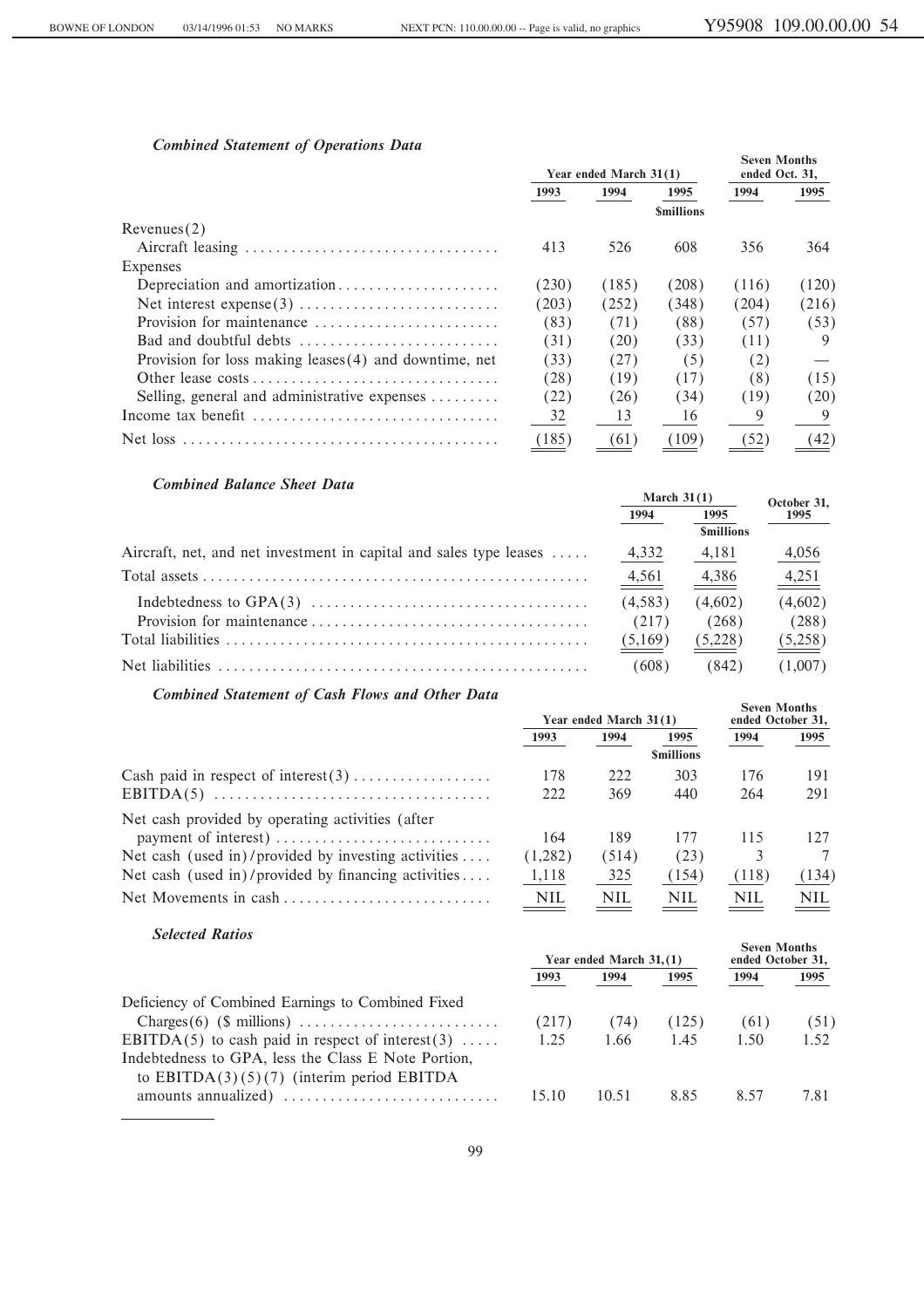# *Combined Statement of Operations Data*

|                                                          | Year ended March 31(1) |       |       | <b>Seven Months</b><br>ended Oct. 31, |       |
|----------------------------------------------------------|------------------------|-------|-------|---------------------------------------|-------|
|                                                          | 1993                   | 1994  | 1995  | 1994                                  | 1995  |
|                                                          |                        |       |       |                                       |       |
| Revenues(2)                                              |                        |       |       |                                       |       |
|                                                          | 413                    | 526   | 608   | 356                                   | 364   |
| Expenses                                                 |                        |       |       |                                       |       |
| Depreciation and amortization                            | (230)                  | (185) | (208) | (116)                                 | (120) |
|                                                          | (203)                  | (252) | (348) | (204)                                 | (216) |
| Provision for maintenance                                | (83)                   | (71)  | (88)  | (57)                                  | (53)  |
| Bad and doubtful debts                                   | (31)                   | (20)  | (33)  | (11)                                  | 9     |
| Provision for loss making leases $(4)$ and downtime, net | (33)                   | (27)  | (5)   | (2)                                   |       |
|                                                          | (28)                   | (19)  | (17)  | (8)                                   | (15)  |
| Selling, general and administrative expenses             | (22)                   | (26)  | (34)  | (19)                                  | (20)  |
| Income tax benefit                                       | 32                     | 13    | 16    | 9                                     | 9     |
|                                                          | (185)                  | (61)  | (109) | (52)                                  | (42)  |

# *Combined Balance Sheet Data*

|                                                                    | March $31(1)$ |                  | October 31, |
|--------------------------------------------------------------------|---------------|------------------|-------------|
|                                                                    | 1994          | 1995             | 1995        |
|                                                                    |               | <b>Smillions</b> |             |
| Aircraft, net, and net investment in capital and sales type leases | 4,332         | 4,181            | 4,056       |
|                                                                    | $-4,561$      | 4,386            | 4,251       |
|                                                                    | (4,583)       | (4,602)          | (4,602)     |
|                                                                    | (217)         | (268)            | (288)       |
|                                                                    | (5,169)       | (5,228)          | (5,258)     |
|                                                                    | (608)         | (842)            | (1,007)     |

# *Combined Statement of Cash Flows and Other Data*

| Compined Statement of Cash Flows and Other Data     | Year ended March 31(1) |            |            | <b>Seven Months</b><br>ended October 31, |            |
|-----------------------------------------------------|------------------------|------------|------------|------------------------------------------|------------|
|                                                     | 1993                   | 1994       | 1995       | 1994                                     | 1995       |
|                                                     |                        |            |            |                                          |            |
| Cash paid in respect of interest $(3)$              | 178                    | 222        | 303        | 176                                      | 191        |
|                                                     | 222                    | 369        | 440        | 264                                      | 291        |
| Net cash provided by operating activities (after    |                        |            |            |                                          |            |
|                                                     | 164                    | 189        | 177        | 115                                      | 127        |
| Net cash (used in)/provided by investing activities | (1,282)                | (514)      | (23)       | 3                                        |            |
| Net cash (used in)/provided by financing activities | 1,118                  | 325        | (154)      | (118)                                    | (134)      |
|                                                     | <b>NIL</b>             | <b>NIL</b> | <b>NIL</b> | <b>NIL</b>                               | <b>NIL</b> |

# *Selected Ratios*

| Selected Ratios                                                                                     | Year ended March 31, (1) |       |       | <b>Seven Months</b><br>ended October 31, |      |
|-----------------------------------------------------------------------------------------------------|--------------------------|-------|-------|------------------------------------------|------|
|                                                                                                     | 1993                     | 1994  | 1995  | 1994                                     | 1995 |
| Deficiency of Combined Earnings to Combined Fixed                                                   |                          |       |       |                                          |      |
|                                                                                                     | (217)                    | (74)  | (125) | (61)                                     | (51) |
| EBITDA(5) to cash paid in respect of interest(3)                                                    | 1.25                     | 1.66  | 1.45  | 1.50                                     | 1.52 |
| Indebtedness to GPA, less the Class E Note Portion,<br>to EBITDA $(3)(5)(7)$ (interim period EBITDA |                          |       |       |                                          |      |
| amounts annualized)                                                                                 | 15.10                    | 10.51 | 8.85  | 8.57                                     | 7.81 |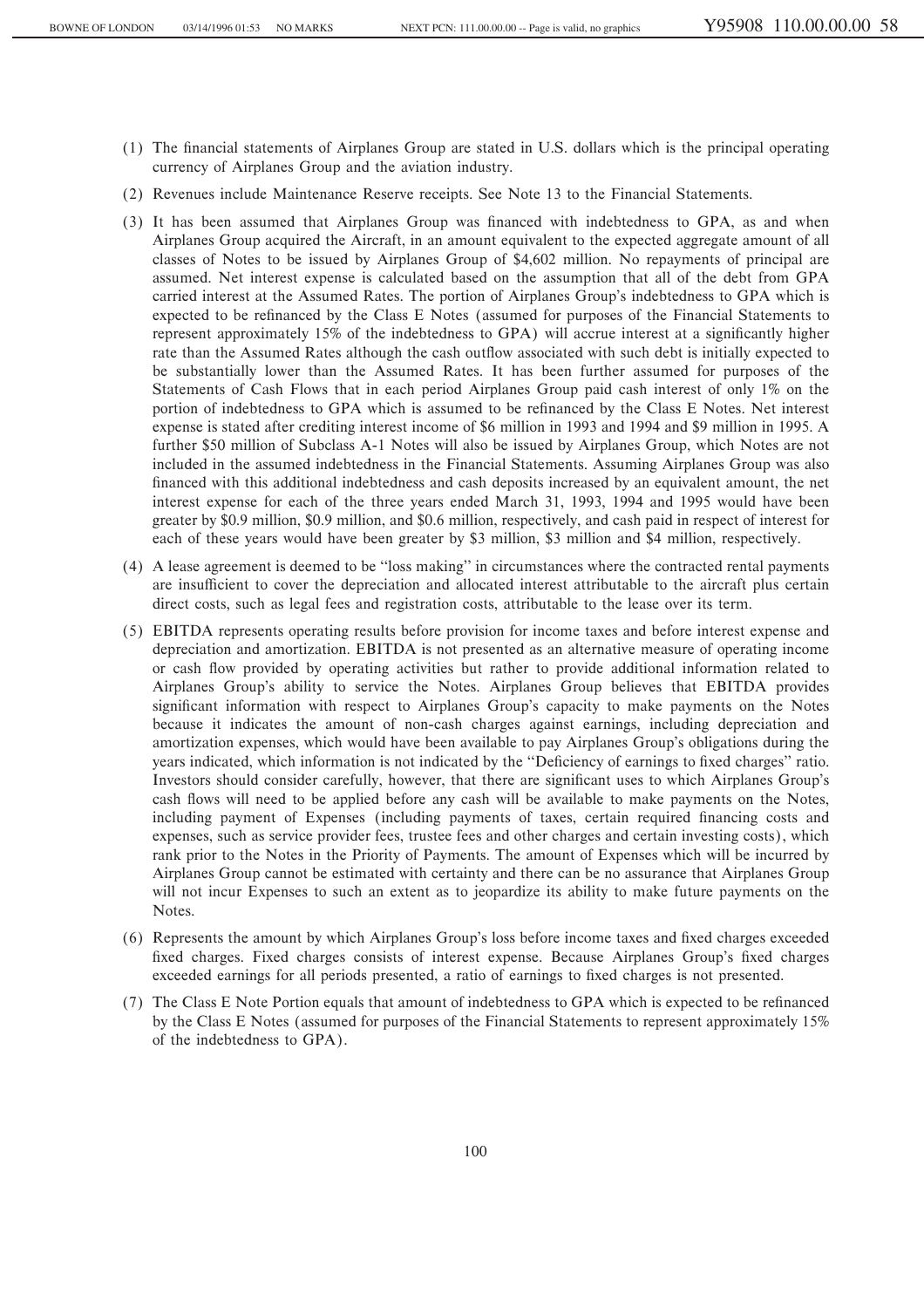- (1) The Ñnancial statements of Airplanes Group are stated in U.S. dollars which is the principal operating currency of Airplanes Group and the aviation industry.
- (2) Revenues include Maintenance Reserve receipts. See Note 13 to the Financial Statements.
- (3) It has been assumed that Airplanes Group was Ñnanced with indebtedness to GPA, as and when Airplanes Group acquired the Aircraft, in an amount equivalent to the expected aggregate amount of all classes of Notes to be issued by Airplanes Group of \$4,602 million. No repayments of principal are assumed. Net interest expense is calculated based on the assumption that all of the debt from GPA carried interest at the Assumed Rates. The portion of Airplanes Group's indebtedness to GPA which is expected to be refinanced by the Class E Notes (assumed for purposes of the Financial Statements to represent approximately 15% of the indebtedness to GPA) will accrue interest at a significantly higher rate than the Assumed Rates although the cash outflow associated with such debt is initially expected to be substantially lower than the Assumed Rates. It has been further assumed for purposes of the Statements of Cash Flows that in each period Airplanes Group paid cash interest of only 1% on the portion of indebtedness to GPA which is assumed to be refinanced by the Class E Notes. Net interest expense is stated after crediting interest income of \$6 million in 1993 and 1994 and \$9 million in 1995. A further \$50 million of Subclass A-1 Notes will also be issued by Airplanes Group, which Notes are not included in the assumed indebtedness in the Financial Statements. Assuming Airplanes Group was also financed with this additional indebtedness and cash deposits increased by an equivalent amount, the net interest expense for each of the three years ended March 31, 1993, 1994 and 1995 would have been greater by \$0.9 million, \$0.9 million, and \$0.6 million, respectively, and cash paid in respect of interest for each of these years would have been greater by \$3 million, \$3 million and \$4 million, respectively.
- (4) A lease agreement is deemed to be ""loss making'' in circumstances where the contracted rental payments are insufficient to cover the depreciation and allocated interest attributable to the aircraft plus certain direct costs, such as legal fees and registration costs, attributable to the lease over its term.
- (5) EBITDA represents operating results before provision for income taxes and before interest expense and depreciation and amortization. EBITDA is not presented as an alternative measure of operating income or cash Öow provided by operating activities but rather to provide additional information related to Airplanes Group's ability to service the Notes. Airplanes Group believes that EBITDA provides significant information with respect to Airplanes Group's capacity to make payments on the Notes because it indicates the amount of non-cash charges against earnings, including depreciation and amortization expenses, which would have been available to pay Airplanes Group's obligations during the years indicated, which information is not indicated by the "Deficiency of earnings to fixed charges" ratio. Investors should consider carefully, however, that there are significant uses to which Airplanes Group's cash flows will need to be applied before any cash will be available to make payments on the Notes, including payment of Expenses (including payments of taxes, certain required financing costs and expenses, such as service provider fees, trustee fees and other charges and certain investing costs), which rank prior to the Notes in the Priority of Payments. The amount of Expenses which will be incurred by Airplanes Group cannot be estimated with certainty and there can be no assurance that Airplanes Group will not incur Expenses to such an extent as to jeopardize its ability to make future payments on the Notes.
- (6) Represents the amount by which Airplanes Group's loss before income taxes and Ñxed charges exceeded fixed charges. Fixed charges consists of interest expense. Because Airplanes Group's fixed charges exceeded earnings for all periods presented, a ratio of earnings to Ñxed charges is not presented.
- (7) The Class E Note Portion equals that amount of indebtedness to GPA which is expected to be refinanced by the Class E Notes (assumed for purposes of the Financial Statements to represent approximately 15% of the indebtedness to GPA).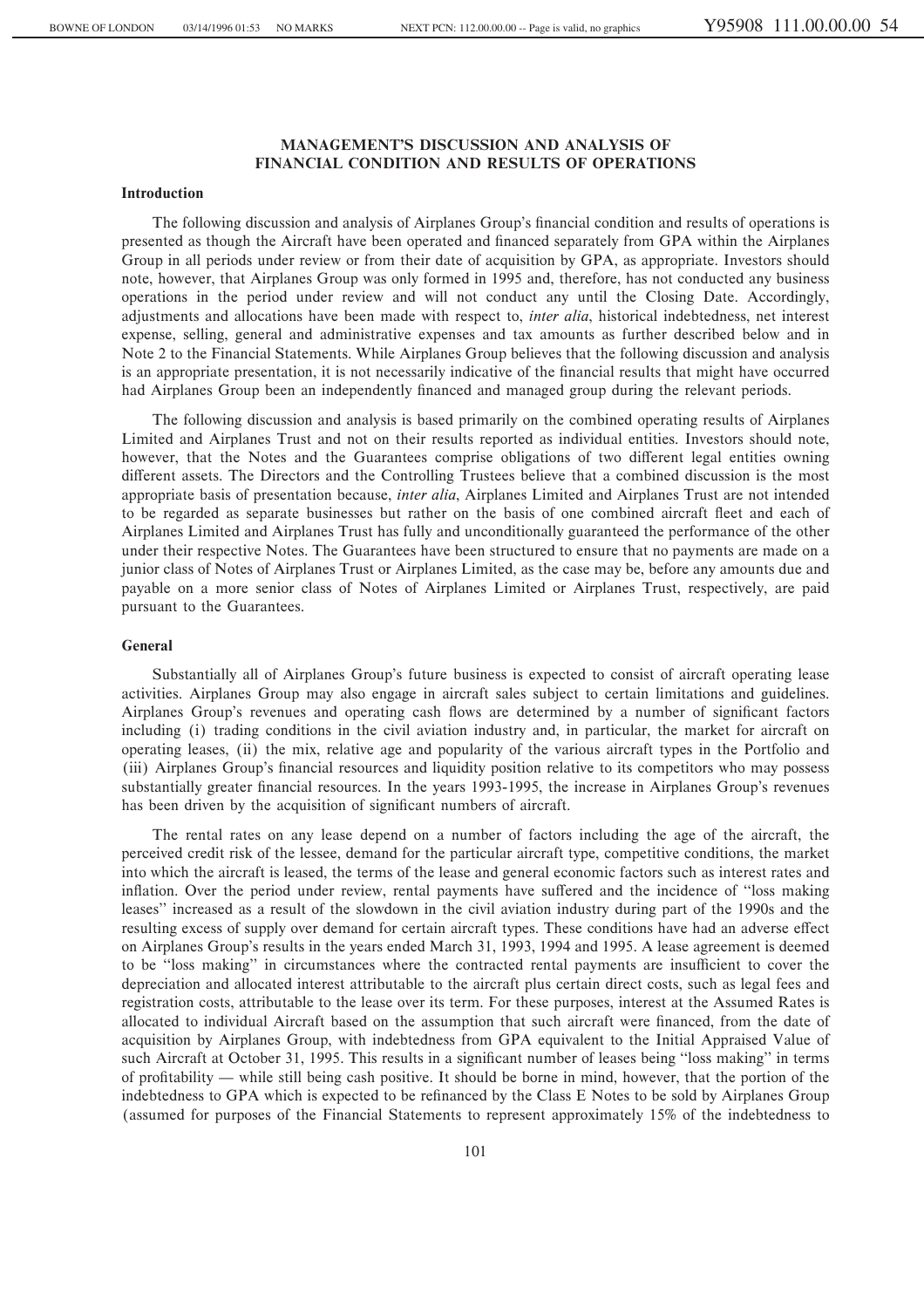# **MANAGEMENT'S DISCUSSION AND ANALYSIS OF FINANCIAL CONDITION AND RESULTS OF OPERATIONS**

### **Introduction**

The following discussion and analysis of Airplanes Group's financial condition and results of operations is presented as though the Aircraft have been operated and Ñnanced separately from GPA within the Airplanes Group in all periods under review or from their date of acquisition by GPA, as appropriate. Investors should note, however, that Airplanes Group was only formed in 1995 and, therefore, has not conducted any business operations in the period under review and will not conduct any until the Closing Date. Accordingly, adjustments and allocations have been made with respect to, *inter alia*, historical indebtedness, net interest expense, selling, general and administrative expenses and tax amounts as further described below and in Note 2 to the Financial Statements. While Airplanes Group believes that the following discussion and analysis is an appropriate presentation, it is not necessarily indicative of the financial results that might have occurred had Airplanes Group been an independently financed and managed group during the relevant periods.

The following discussion and analysis is based primarily on the combined operating results of Airplanes Limited and Airplanes Trust and not on their results reported as individual entities. Investors should note, however, that the Notes and the Guarantees comprise obligations of two different legal entities owning different assets. The Directors and the Controlling Trustees believe that a combined discussion is the most appropriate basis of presentation because, *inter alia*, Airplanes Limited and Airplanes Trust are not intended to be regarded as separate businesses but rather on the basis of one combined aircraft Öeet and each of Airplanes Limited and Airplanes Trust has fully and unconditionally guaranteed the performance of the other under their respective Notes. The Guarantees have been structured to ensure that no payments are made on a junior class of Notes of Airplanes Trust or Airplanes Limited, as the case may be, before any amounts due and payable on a more senior class of Notes of Airplanes Limited or Airplanes Trust, respectively, are paid pursuant to the Guarantees.

# **General**

Substantially all of Airplanes Group's future business is expected to consist of aircraft operating lease activities. Airplanes Group may also engage in aircraft sales subject to certain limitations and guidelines. Airplanes Group's revenues and operating cash flows are determined by a number of significant factors including (i) trading conditions in the civil aviation industry and, in particular, the market for aircraft on operating leases, (ii) the mix, relative age and popularity of the various aircraft types in the Portfolio and (iii) Airplanes Group's financial resources and liquidity position relative to its competitors who may possess substantially greater financial resources. In the years 1993-1995, the increase in Airplanes Group's revenues has been driven by the acquisition of significant numbers of aircraft.

The rental rates on any lease depend on a number of factors including the age of the aircraft, the perceived credit risk of the lessee, demand for the particular aircraft type, competitive conditions, the market into which the aircraft is leased, the terms of the lease and general economic factors such as interest rates and inflation. Over the period under review, rental payments have suffered and the incidence of "loss making leases'' increased as a result of the slowdown in the civil aviation industry during part of the 1990s and the resulting excess of supply over demand for certain aircraft types. These conditions have had an adverse effect on Airplanes Group's results in the years ended March 31, 1993, 1994 and 1995. A lease agreement is deemed to be "loss making" in circumstances where the contracted rental payments are insufficient to cover the depreciation and allocated interest attributable to the aircraft plus certain direct costs, such as legal fees and registration costs, attributable to the lease over its term. For these purposes, interest at the Assumed Rates is allocated to individual Aircraft based on the assumption that such aircraft were financed, from the date of acquisition by Airplanes Group, with indebtedness from GPA equivalent to the Initial Appraised Value of such Aircraft at October 31, 1995. This results in a significant number of leases being "loss making" in terms of profitability — while still being cash positive. It should be borne in mind, however, that the portion of the indebtedness to GPA which is expected to be refinanced by the Class E Notes to be sold by Airplanes Group (assumed for purposes of the Financial Statements to represent approximately 15% of the indebtedness to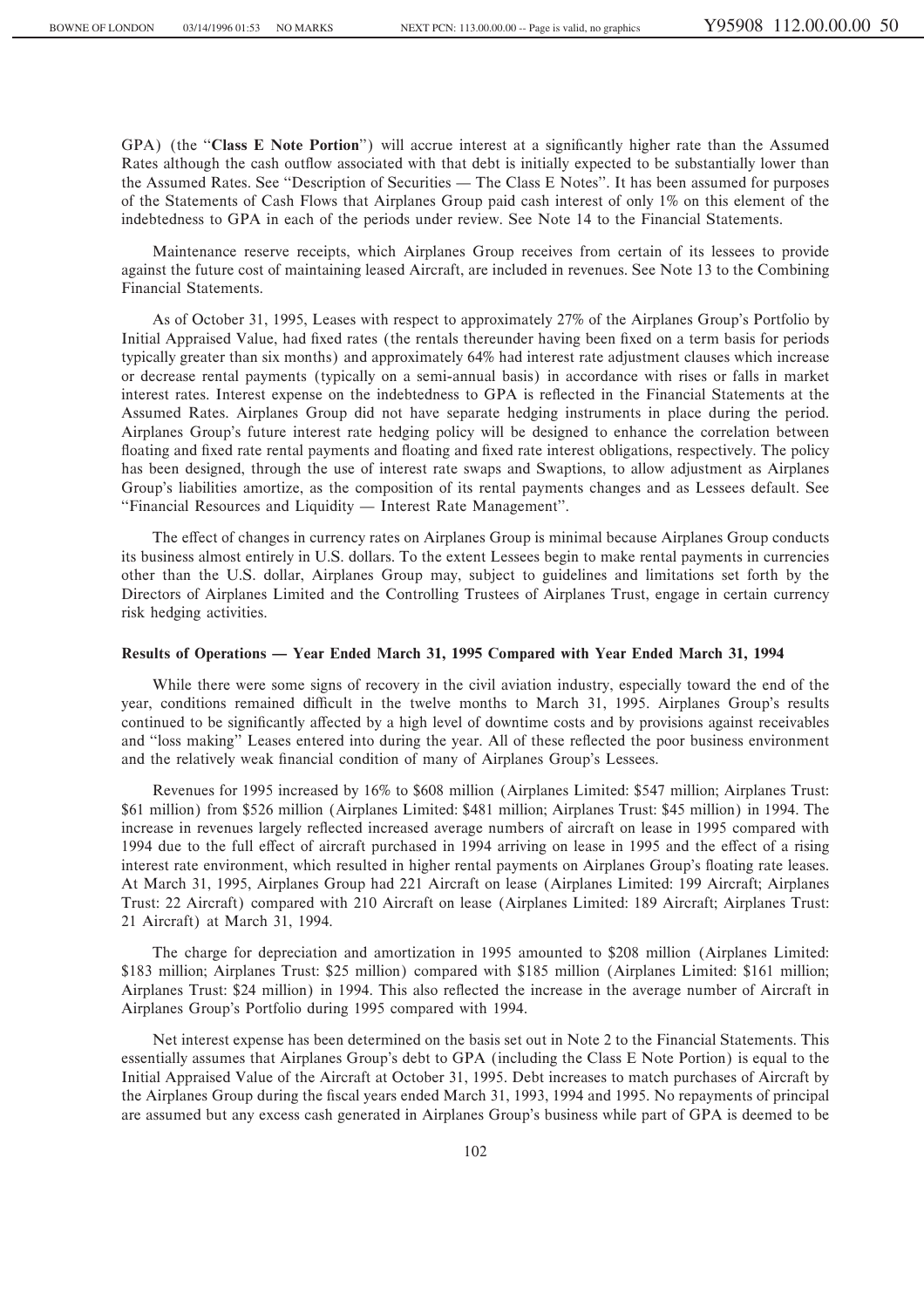GPA) (the "**Class E Note Portion**") will accrue interest at a significantly higher rate than the Assumed Rates although the cash outflow associated with that debt is initially expected to be substantially lower than the Assumed Rates. See "Description of Securities — The Class E Notes". It has been assumed for purposes of the Statements of Cash Flows that Airplanes Group paid cash interest of only 1% on this element of the indebtedness to GPA in each of the periods under review. See Note 14 to the Financial Statements.

Maintenance reserve receipts, which Airplanes Group receives from certain of its lessees to provide against the future cost of maintaining leased Aircraft, are included in revenues. See Note 13 to the Combining Financial Statements.

As of October 31, 1995, Leases with respect to approximately 27% of the Airplanes Group's Portfolio by Initial Appraised Value, had Ñxed rates (the rentals thereunder having been Ñxed on a term basis for periods typically greater than six months) and approximately 64% had interest rate adjustment clauses which increase or decrease rental payments (typically on a semi-annual basis) in accordance with rises or falls in market interest rates. Interest expense on the indebtedness to GPA is reflected in the Financial Statements at the Assumed Rates. Airplanes Group did not have separate hedging instruments in place during the period. Airplanes Group's future interest rate hedging policy will be designed to enhance the correlation between floating and fixed rate rental payments and floating and fixed rate interest obligations, respectively. The policy has been designed, through the use of interest rate swaps and Swaptions, to allow adjustment as Airplanes Group's liabilities amortize, as the composition of its rental payments changes and as Lessees default. See "Financial Resources and Liquidity — Interest Rate Management".

The effect of changes in currency rates on Airplanes Group is minimal because Airplanes Group conducts its business almost entirely in U.S. dollars. To the extent Lessees begin to make rental payments in currencies other than the U.S. dollar, Airplanes Group may, subject to guidelines and limitations set forth by the Directors of Airplanes Limited and the Controlling Trustees of Airplanes Trust, engage in certain currency risk hedging activities.

### Results of Operations — Year Ended March 31, 1995 Compared with Year Ended March 31, 1994

While there were some signs of recovery in the civil aviation industry, especially toward the end of the year, conditions remained difficult in the twelve months to March 31, 1995. Airplanes Group's results continued to be significantly affected by a high level of downtime costs and by provisions against receivables and "loss making" Leases entered into during the year. All of these reflected the poor business environment and the relatively weak financial condition of many of Airplanes Group's Lessees.

Revenues for 1995 increased by 16% to \$608 million (Airplanes Limited: \$547 million; Airplanes Trust: \$61 million) from \$526 million (Airplanes Limited: \$481 million; Airplanes Trust: \$45 million) in 1994. The increase in revenues largely reflected increased average numbers of aircraft on lease in 1995 compared with 1994 due to the full effect of aircraft purchased in 1994 arriving on lease in 1995 and the effect of a rising interest rate environment, which resulted in higher rental payments on Airplanes Group's floating rate leases. At March 31, 1995, Airplanes Group had 221 Aircraft on lease (Airplanes Limited: 199 Aircraft; Airplanes Trust: 22 Aircraft) compared with 210 Aircraft on lease (Airplanes Limited: 189 Aircraft; Airplanes Trust: 21 Aircraft) at March 31, 1994.

The charge for depreciation and amortization in 1995 amounted to \$208 million (Airplanes Limited: \$183 million; Airplanes Trust: \$25 million) compared with \$185 million (Airplanes Limited: \$161 million; Airplanes Trust: \$24 million) in 1994. This also reflected the increase in the average number of Aircraft in Airplanes Group's Portfolio during 1995 compared with 1994.

Net interest expense has been determined on the basis set out in Note 2 to the Financial Statements. This essentially assumes that Airplanes Group's debt to GPA (including the Class E Note Portion) is equal to the Initial Appraised Value of the Aircraft at October 31, 1995. Debt increases to match purchases of Aircraft by the Airplanes Group during the fiscal years ended March 31, 1993, 1994 and 1995. No repayments of principal are assumed but any excess cash generated in Airplanes Group's business while part of GPA is deemed to be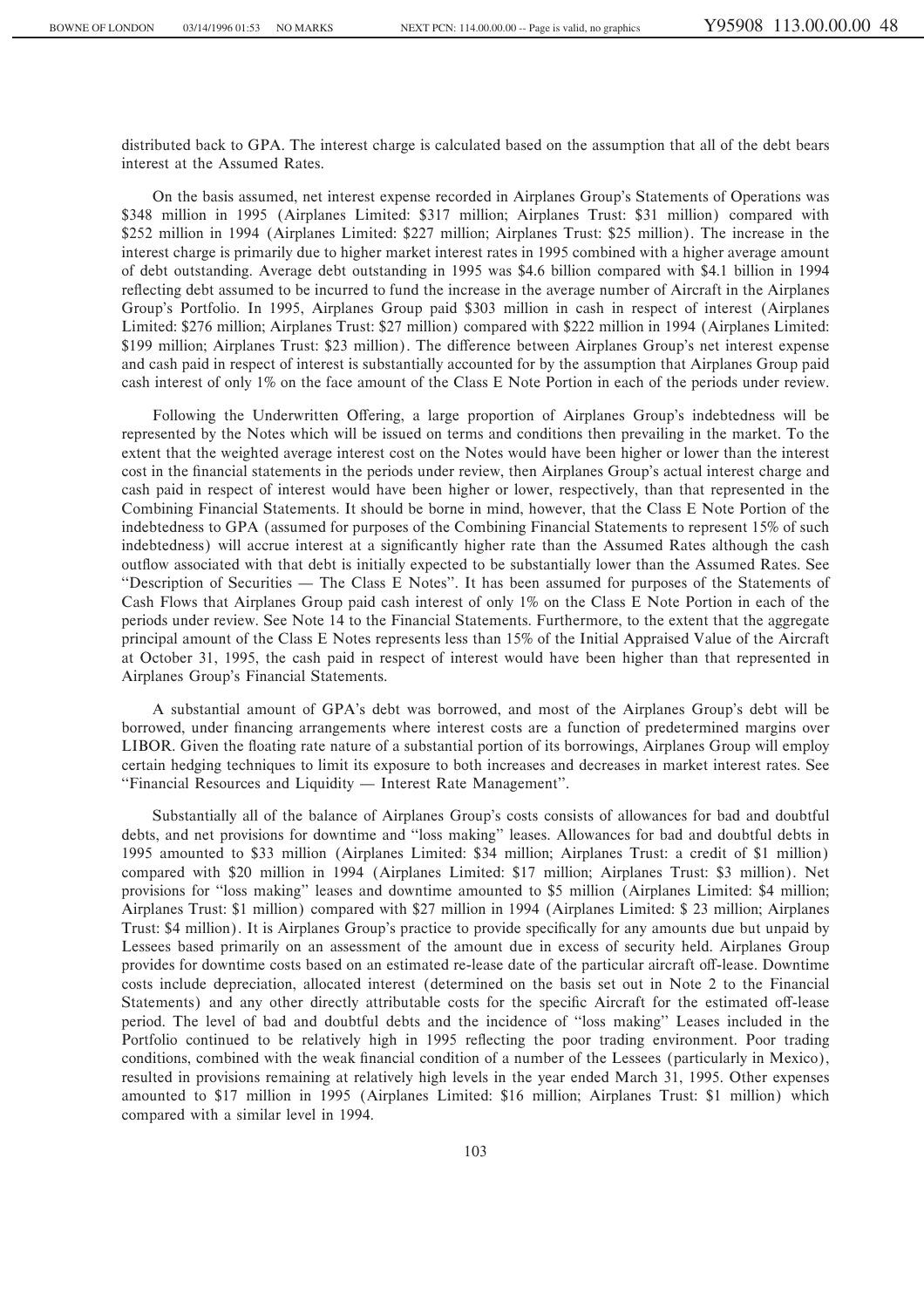distributed back to GPA. The interest charge is calculated based on the assumption that all of the debt bears interest at the Assumed Rates.

On the basis assumed, net interest expense recorded in Airplanes Group's Statements of Operations was \$348 million in 1995 (Airplanes Limited: \$317 million; Airplanes Trust: \$31 million) compared with \$252 million in 1994 (Airplanes Limited: \$227 million; Airplanes Trust: \$25 million). The increase in the interest charge is primarily due to higher market interest rates in 1995 combined with a higher average amount of debt outstanding. Average debt outstanding in 1995 was \$4.6 billion compared with \$4.1 billion in 1994 reflecting debt assumed to be incurred to fund the increase in the average number of Aircraft in the Airplanes Group's Portfolio. In 1995, Airplanes Group paid \$303 million in cash in respect of interest (Airplanes Limited: \$276 million; Airplanes Trust: \$27 million) compared with \$222 million in 1994 (Airplanes Limited: \$199 million; Airplanes Trust: \$23 million). The difference between Airplanes Group's net interest expense and cash paid in respect of interest is substantially accounted for by the assumption that Airplanes Group paid cash interest of only 1% on the face amount of the Class E Note Portion in each of the periods under review.

Following the Underwritten Offering, a large proportion of Airplanes Group's indebtedness will be represented by the Notes which will be issued on terms and conditions then prevailing in the market. To the extent that the weighted average interest cost on the Notes would have been higher or lower than the interest cost in the financial statements in the periods under review, then Airplanes Group's actual interest charge and cash paid in respect of interest would have been higher or lower, respectively, than that represented in the Combining Financial Statements. It should be borne in mind, however, that the Class E Note Portion of the indebtedness to GPA (assumed for purposes of the Combining Financial Statements to represent 15% of such indebtedness) will accrue interest at a significantly higher rate than the Assumed Rates although the cash outflow associated with that debt is initially expected to be substantially lower than the Assumed Rates. See "Description of Securities — The Class E Notes". It has been assumed for purposes of the Statements of Cash Flows that Airplanes Group paid cash interest of only 1% on the Class E Note Portion in each of the periods under review. See Note 14 to the Financial Statements. Furthermore, to the extent that the aggregate principal amount of the Class E Notes represents less than 15% of the Initial Appraised Value of the Aircraft at October 31, 1995, the cash paid in respect of interest would have been higher than that represented in Airplanes Group's Financial Statements.

A substantial amount of GPA's debt was borrowed, and most of the Airplanes Group's debt will be borrowed, under financing arrangements where interest costs are a function of predetermined margins over LIBOR. Given the floating rate nature of a substantial portion of its borrowings, Airplanes Group will employ certain hedging techniques to limit its exposure to both increases and decreases in market interest rates. See "Financial Resources and Liquidity — Interest Rate Management".

Substantially all of the balance of Airplanes Group's costs consists of allowances for bad and doubtful debts, and net provisions for downtime and "loss making" leases. Allowances for bad and doubtful debts in 1995 amounted to \$33 million (Airplanes Limited: \$34 million; Airplanes Trust: a credit of \$1 million) compared with \$20 million in 1994 (Airplanes Limited: \$17 million; Airplanes Trust: \$3 million). Net provisions for "loss making" leases and downtime amounted to \$5 million (Airplanes Limited: \$4 million; Airplanes Trust: \$1 million) compared with \$27 million in 1994 (Airplanes Limited: \$ 23 million; Airplanes Trust: \$4 million). It is Airplanes Group's practice to provide specifically for any amounts due but unpaid by Lessees based primarily on an assessment of the amount due in excess of security held. Airplanes Group provides for downtime costs based on an estimated re-lease date of the particular aircraft off-lease. Downtime costs include depreciation, allocated interest (determined on the basis set out in Note 2 to the Financial Statements) and any other directly attributable costs for the specific Aircraft for the estimated off-lease period. The level of bad and doubtful debts and the incidence of ""loss making'' Leases included in the Portfolio continued to be relatively high in 1995 reflecting the poor trading environment. Poor trading conditions, combined with the weak financial condition of a number of the Lessees (particularly in Mexico), resulted in provisions remaining at relatively high levels in the year ended March 31, 1995. Other expenses amounted to \$17 million in 1995 (Airplanes Limited: \$16 million; Airplanes Trust: \$1 million) which compared with a similar level in 1994.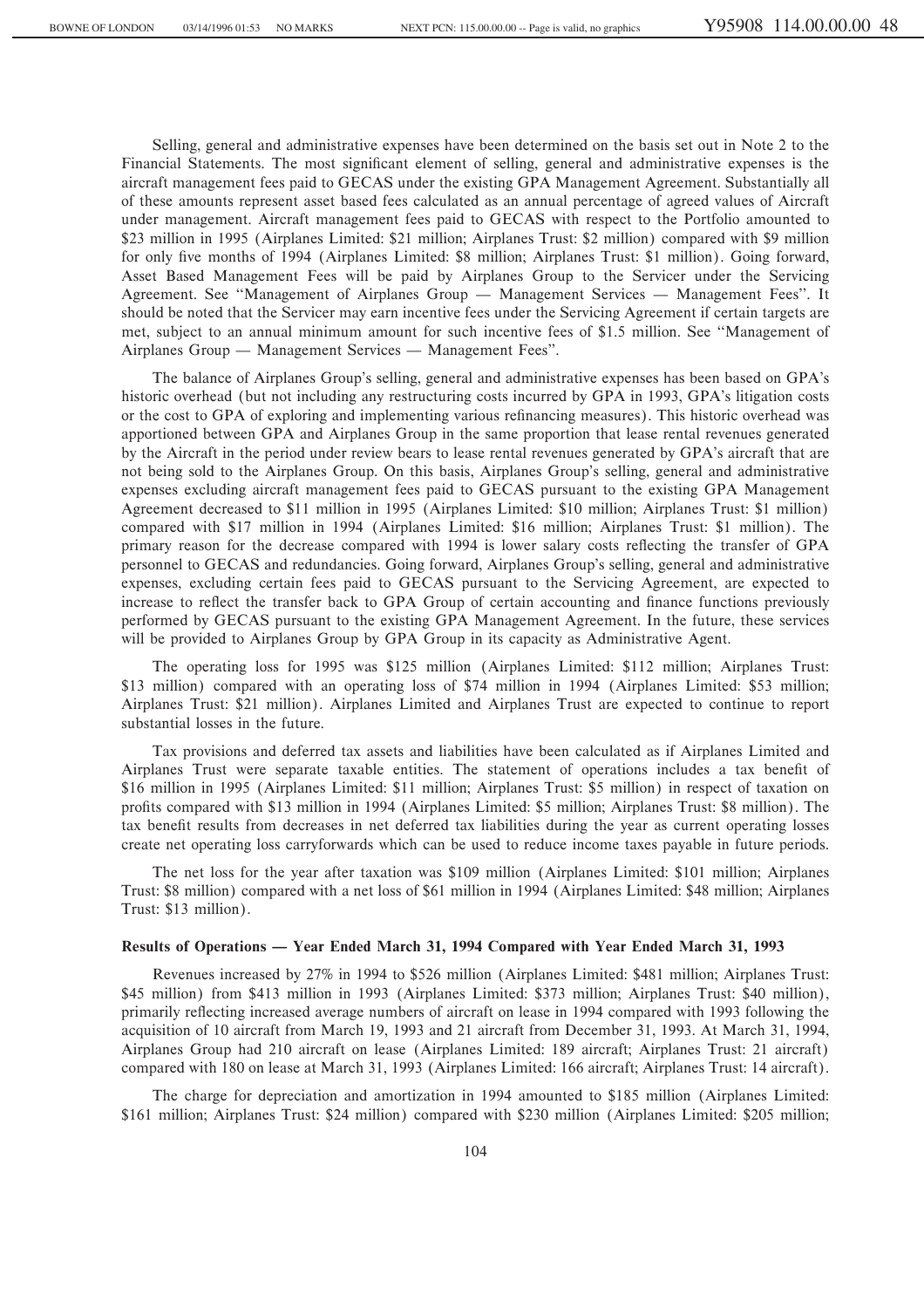Selling, general and administrative expenses have been determined on the basis set out in Note 2 to the Financial Statements. The most significant element of selling, general and administrative expenses is the aircraft management fees paid to GECAS under the existing GPA Management Agreement. Substantially all of these amounts represent asset based fees calculated as an annual percentage of agreed values of Aircraft under management. Aircraft management fees paid to GECAS with respect to the Portfolio amounted to \$23 million in 1995 (Airplanes Limited: \$21 million; Airplanes Trust: \$2 million) compared with \$9 million for only five months of 1994 (Airplanes Limited: \$8 million; Airplanes Trust: \$1 million). Going forward, Asset Based Management Fees will be paid by Airplanes Group to the Servicer under the Servicing Agreement. See "Management of Airplanes Group - Management Services - Management Fees". It should be noted that the Servicer may earn incentive fees under the Servicing Agreement if certain targets are met, subject to an annual minimum amount for such incentive fees of \$1.5 million. See "Management of Airplanes Group — Management Services — Management Fees".

The balance of Airplanes Group's selling, general and administrative expenses has been based on GPA's historic overhead (but not including any restructuring costs incurred by GPA in 1993, GPA's litigation costs or the cost to GPA of exploring and implementing various refinancing measures). This historic overhead was apportioned between GPA and Airplanes Group in the same proportion that lease rental revenues generated by the Aircraft in the period under review bears to lease rental revenues generated by GPA's aircraft that are not being sold to the Airplanes Group. On this basis, Airplanes Group's selling, general and administrative expenses excluding aircraft management fees paid to GECAS pursuant to the existing GPA Management Agreement decreased to \$11 million in 1995 (Airplanes Limited: \$10 million; Airplanes Trust: \$1 million) compared with \$17 million in 1994 (Airplanes Limited: \$16 million; Airplanes Trust: \$1 million). The primary reason for the decrease compared with 1994 is lower salary costs reflecting the transfer of GPA personnel to GECAS and redundancies. Going forward, Airplanes Group's selling, general and administrative expenses, excluding certain fees paid to GECAS pursuant to the Servicing Agreement, are expected to increase to reflect the transfer back to GPA Group of certain accounting and finance functions previously performed by GECAS pursuant to the existing GPA Management Agreement. In the future, these services will be provided to Airplanes Group by GPA Group in its capacity as Administrative Agent.

The operating loss for 1995 was \$125 million (Airplanes Limited: \$112 million; Airplanes Trust: \$13 million) compared with an operating loss of \$74 million in 1994 (Airplanes Limited: \$53 million; Airplanes Trust: \$21 million). Airplanes Limited and Airplanes Trust are expected to continue to report substantial losses in the future.

Tax provisions and deferred tax assets and liabilities have been calculated as if Airplanes Limited and Airplanes Trust were separate taxable entities. The statement of operations includes a tax benefit of \$16 million in 1995 (Airplanes Limited: \$11 million; Airplanes Trust: \$5 million) in respect of taxation on profits compared with \$13 million in 1994 (Airplanes Limited: \$5 million; Airplanes Trust: \$8 million). The tax benefit results from decreases in net deferred tax liabilities during the year as current operating losses create net operating loss carryforwards which can be used to reduce income taxes payable in future periods.

The net loss for the year after taxation was \$109 million (Airplanes Limited: \$101 million; Airplanes Trust: \$8 million) compared with a net loss of \$61 million in 1994 (Airplanes Limited: \$48 million; Airplanes Trust: \$13 million).

### Results of Operations — Year Ended March 31, 1994 Compared with Year Ended March 31, 1993

Revenues increased by 27% in 1994 to \$526 million (Airplanes Limited: \$481 million; Airplanes Trust: \$45 million) from \$413 million in 1993 (Airplanes Limited: \$373 million; Airplanes Trust: \$40 million), primarily reÖecting increased average numbers of aircraft on lease in 1994 compared with 1993 following the acquisition of 10 aircraft from March 19, 1993 and 21 aircraft from December 31, 1993. At March 31, 1994, Airplanes Group had 210 aircraft on lease (Airplanes Limited: 189 aircraft; Airplanes Trust: 21 aircraft) compared with 180 on lease at March 31, 1993 (Airplanes Limited: 166 aircraft; Airplanes Trust: 14 aircraft).

The charge for depreciation and amortization in 1994 amounted to \$185 million (Airplanes Limited: \$161 million; Airplanes Trust: \$24 million) compared with \$230 million (Airplanes Limited: \$205 million;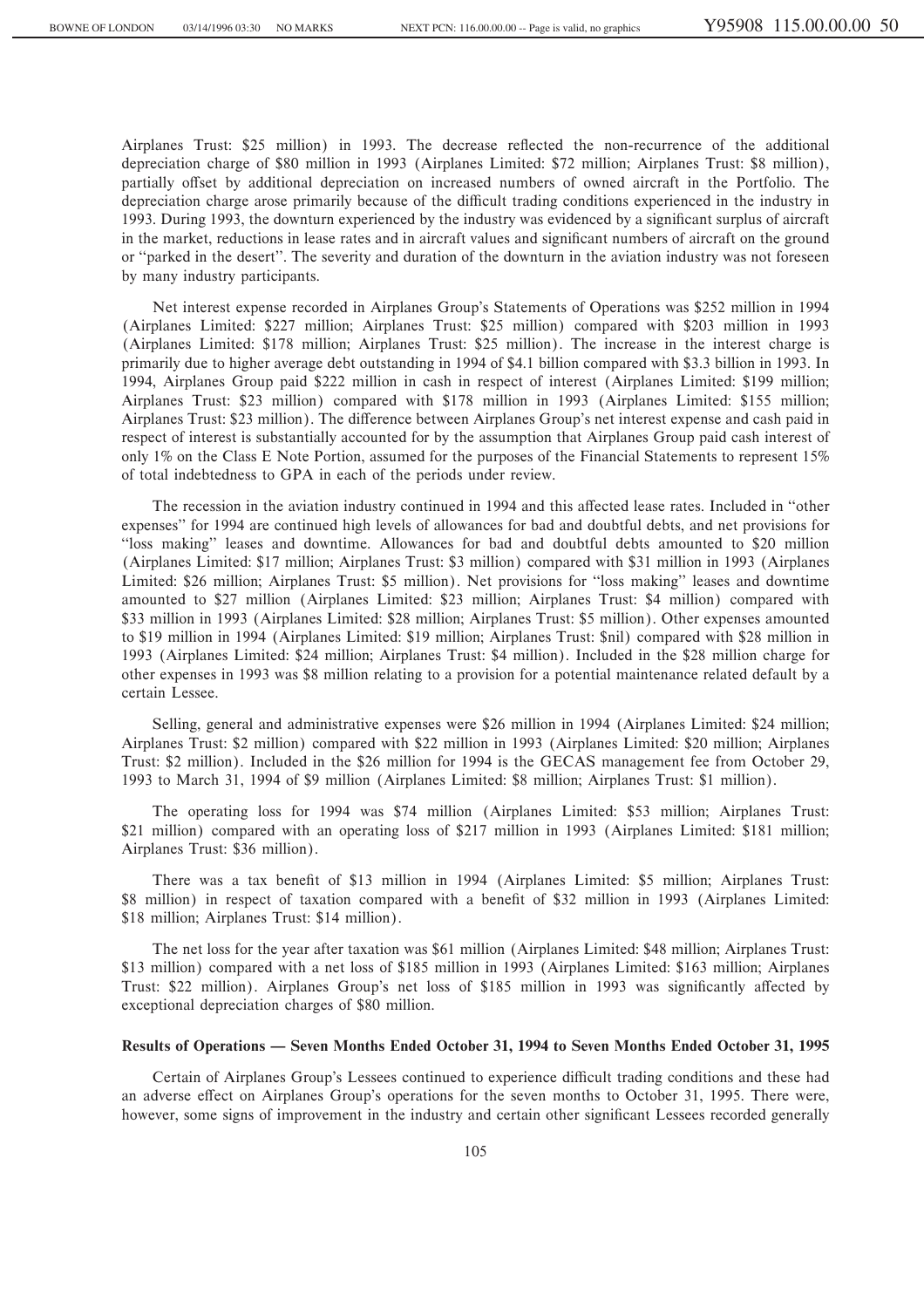Airplanes Trust: \$25 million) in 1993. The decrease reflected the non-recurrence of the additional depreciation charge of \$80 million in 1993 (Airplanes Limited: \$72 million; Airplanes Trust: \$8 million), partially offset by additional depreciation on increased numbers of owned aircraft in the Portfolio. The depreciation charge arose primarily because of the difficult trading conditions experienced in the industry in 1993. During 1993, the downturn experienced by the industry was evidenced by a significant surplus of aircraft in the market, reductions in lease rates and in aircraft values and significant numbers of aircraft on the ground or ""parked in the desert''. The severity and duration of the downturn in the aviation industry was not foreseen by many industry participants.

Net interest expense recorded in Airplanes Group's Statements of Operations was \$252 million in 1994 (Airplanes Limited: \$227 million; Airplanes Trust: \$25 million) compared with \$203 million in 1993 (Airplanes Limited: \$178 million; Airplanes Trust: \$25 million). The increase in the interest charge is primarily due to higher average debt outstanding in 1994 of \$4.1 billion compared with \$3.3 billion in 1993. In 1994, Airplanes Group paid \$222 million in cash in respect of interest (Airplanes Limited: \$199 million; Airplanes Trust: \$23 million) compared with \$178 million in 1993 (Airplanes Limited: \$155 million; Airplanes Trust: \$23 million). The difference between Airplanes Group's net interest expense and cash paid in respect of interest is substantially accounted for by the assumption that Airplanes Group paid cash interest of only 1% on the Class E Note Portion, assumed for the purposes of the Financial Statements to represent 15% of total indebtedness to GPA in each of the periods under review.

The recession in the aviation industry continued in 1994 and this affected lease rates. Included in "other expenses'' for 1994 are continued high levels of allowances for bad and doubtful debts, and net provisions for ""loss making'' leases and downtime. Allowances for bad and doubtful debts amounted to \$20 million (Airplanes Limited: \$17 million; Airplanes Trust: \$3 million) compared with \$31 million in 1993 (Airplanes Limited: \$26 million; Airplanes Trust: \$5 million). Net provisions for ""loss making'' leases and downtime amounted to \$27 million (Airplanes Limited: \$23 million; Airplanes Trust: \$4 million) compared with \$33 million in 1993 (Airplanes Limited: \$28 million; Airplanes Trust: \$5 million). Other expenses amounted to \$19 million in 1994 (Airplanes Limited: \$19 million; Airplanes Trust: \$nil) compared with \$28 million in 1993 (Airplanes Limited: \$24 million; Airplanes Trust: \$4 million). Included in the \$28 million charge for other expenses in 1993 was \$8 million relating to a provision for a potential maintenance related default by a certain Lessee.

Selling, general and administrative expenses were \$26 million in 1994 (Airplanes Limited: \$24 million; Airplanes Trust: \$2 million) compared with \$22 million in 1993 (Airplanes Limited: \$20 million; Airplanes Trust: \$2 million). Included in the \$26 million for 1994 is the GECAS management fee from October 29, 1993 to March 31, 1994 of \$9 million (Airplanes Limited: \$8 million; Airplanes Trust: \$1 million).

The operating loss for 1994 was \$74 million (Airplanes Limited: \$53 million; Airplanes Trust: \$21 million) compared with an operating loss of \$217 million in 1993 (Airplanes Limited: \$181 million; Airplanes Trust: \$36 million).

There was a tax benefit of \$13 million in 1994 (Airplanes Limited: \$5 million: Airplanes Trust: \$8 million) in respect of taxation compared with a benefit of \$32 million in 1993 (Airplanes Limited: \$18 million; Airplanes Trust: \$14 million).

The net loss for the year after taxation was \$61 million (Airplanes Limited: \$48 million; Airplanes Trust: \$13 million) compared with a net loss of \$185 million in 1993 (Airplanes Limited: \$163 million; Airplanes Trust: \$22 million). Airplanes Group's net loss of \$185 million in 1993 was significantly affected by exceptional depreciation charges of \$80 million.

## Results of Operations – Seven Months Ended October 31, 1994 to Seven Months Ended October 31, 1995

Certain of Airplanes Group's Lessees continued to experience difficult trading conditions and these had an adverse effect on Airplanes Group's operations for the seven months to October 31, 1995. There were, however, some signs of improvement in the industry and certain other significant Lessees recorded generally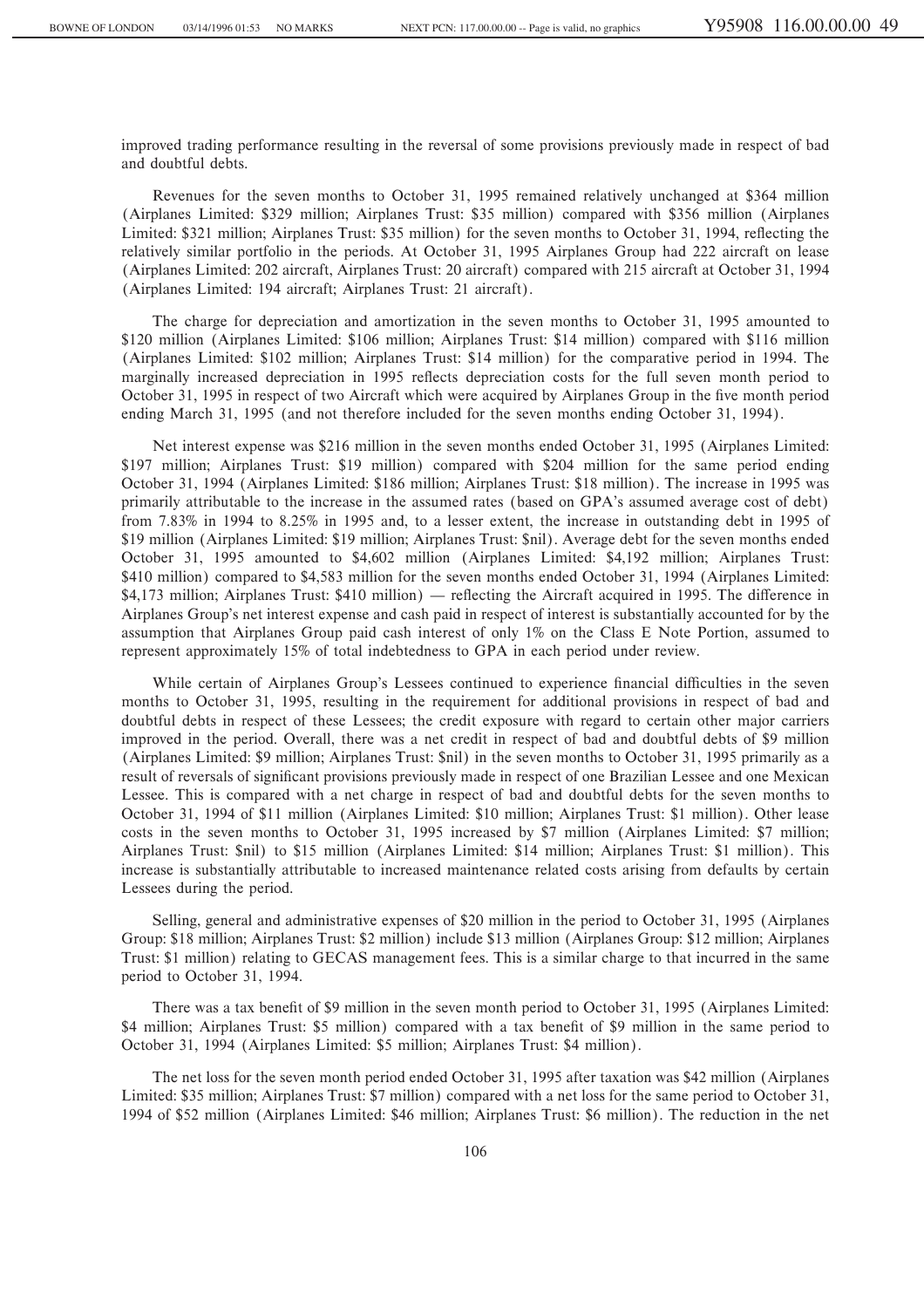improved trading performance resulting in the reversal of some provisions previously made in respect of bad and doubtful debts.

Revenues for the seven months to October 31, 1995 remained relatively unchanged at \$364 million (Airplanes Limited: \$329 million; Airplanes Trust: \$35 million) compared with \$356 million (Airplanes Limited: \$321 million; Airplanes Trust: \$35 million) for the seven months to October 31, 1994, reflecting the relatively similar portfolio in the periods. At October 31, 1995 Airplanes Group had 222 aircraft on lease (Airplanes Limited: 202 aircraft, Airplanes Trust: 20 aircraft) compared with 215 aircraft at October 31, 1994 (Airplanes Limited: 194 aircraft; Airplanes Trust: 21 aircraft).

The charge for depreciation and amortization in the seven months to October 31, 1995 amounted to \$120 million (Airplanes Limited: \$106 million; Airplanes Trust: \$14 million) compared with \$116 million (Airplanes Limited: \$102 million; Airplanes Trust: \$14 million) for the comparative period in 1994. The marginally increased depreciation in 1995 reflects depreciation costs for the full seven month period to October 31, 1995 in respect of two Aircraft which were acquired by Airplanes Group in the five month period ending March 31, 1995 (and not therefore included for the seven months ending October 31, 1994).

Net interest expense was \$216 million in the seven months ended October 31, 1995 (Airplanes Limited: \$197 million; Airplanes Trust: \$19 million) compared with \$204 million for the same period ending October 31, 1994 (Airplanes Limited: \$186 million; Airplanes Trust: \$18 million). The increase in 1995 was primarily attributable to the increase in the assumed rates (based on GPA's assumed average cost of debt) from 7.83% in 1994 to 8.25% in 1995 and, to a lesser extent, the increase in outstanding debt in 1995 of \$19 million (Airplanes Limited: \$19 million; Airplanes Trust: \$nil). Average debt for the seven months ended October 31, 1995 amounted to \$4,602 million (Airplanes Limited: \$4,192 million; Airplanes Trust: \$410 million) compared to \$4,583 million for the seven months ended October 31, 1994 (Airplanes Limited:  $$4,173$  million; Airplanes Trust:  $$410$  million) — reflecting the Aircraft acquired in 1995. The difference in Airplanes Group's net interest expense and cash paid in respect of interest is substantially accounted for by the assumption that Airplanes Group paid cash interest of only 1% on the Class E Note Portion, assumed to represent approximately 15% of total indebtedness to GPA in each period under review.

While certain of Airplanes Group's Lessees continued to experience financial difficulties in the seven months to October 31, 1995, resulting in the requirement for additional provisions in respect of bad and doubtful debts in respect of these Lessees; the credit exposure with regard to certain other major carriers improved in the period. Overall, there was a net credit in respect of bad and doubtful debts of \$9 million (Airplanes Limited: \$9 million; Airplanes Trust: \$nil) in the seven months to October 31, 1995 primarily as a result of reversals of significant provisions previously made in respect of one Brazilian Lessee and one Mexican Lessee. This is compared with a net charge in respect of bad and doubtful debts for the seven months to October 31, 1994 of \$11 million (Airplanes Limited: \$10 million; Airplanes Trust: \$1 million). Other lease costs in the seven months to October 31, 1995 increased by \$7 million (Airplanes Limited: \$7 million; Airplanes Trust: \$nil) to \$15 million (Airplanes Limited: \$14 million; Airplanes Trust: \$1 million). This increase is substantially attributable to increased maintenance related costs arising from defaults by certain Lessees during the period.

Selling, general and administrative expenses of \$20 million in the period to October 31, 1995 (Airplanes Group: \$18 million; Airplanes Trust: \$2 million) include \$13 million (Airplanes Group: \$12 million; Airplanes Trust: \$1 million) relating to GECAS management fees. This is a similar charge to that incurred in the same period to October 31, 1994.

There was a tax benefit of \$9 million in the seven month period to October 31, 1995 (Airplanes Limited: \$4 million; Airplanes Trust: \$5 million) compared with a tax benefit of \$9 million in the same period to October 31, 1994 (Airplanes Limited: \$5 million; Airplanes Trust: \$4 million).

The net loss for the seven month period ended October 31, 1995 after taxation was \$42 million (Airplanes Limited: \$35 million; Airplanes Trust: \$7 million) compared with a net loss for the same period to October 31, 1994 of \$52 million (Airplanes Limited: \$46 million; Airplanes Trust: \$6 million). The reduction in the net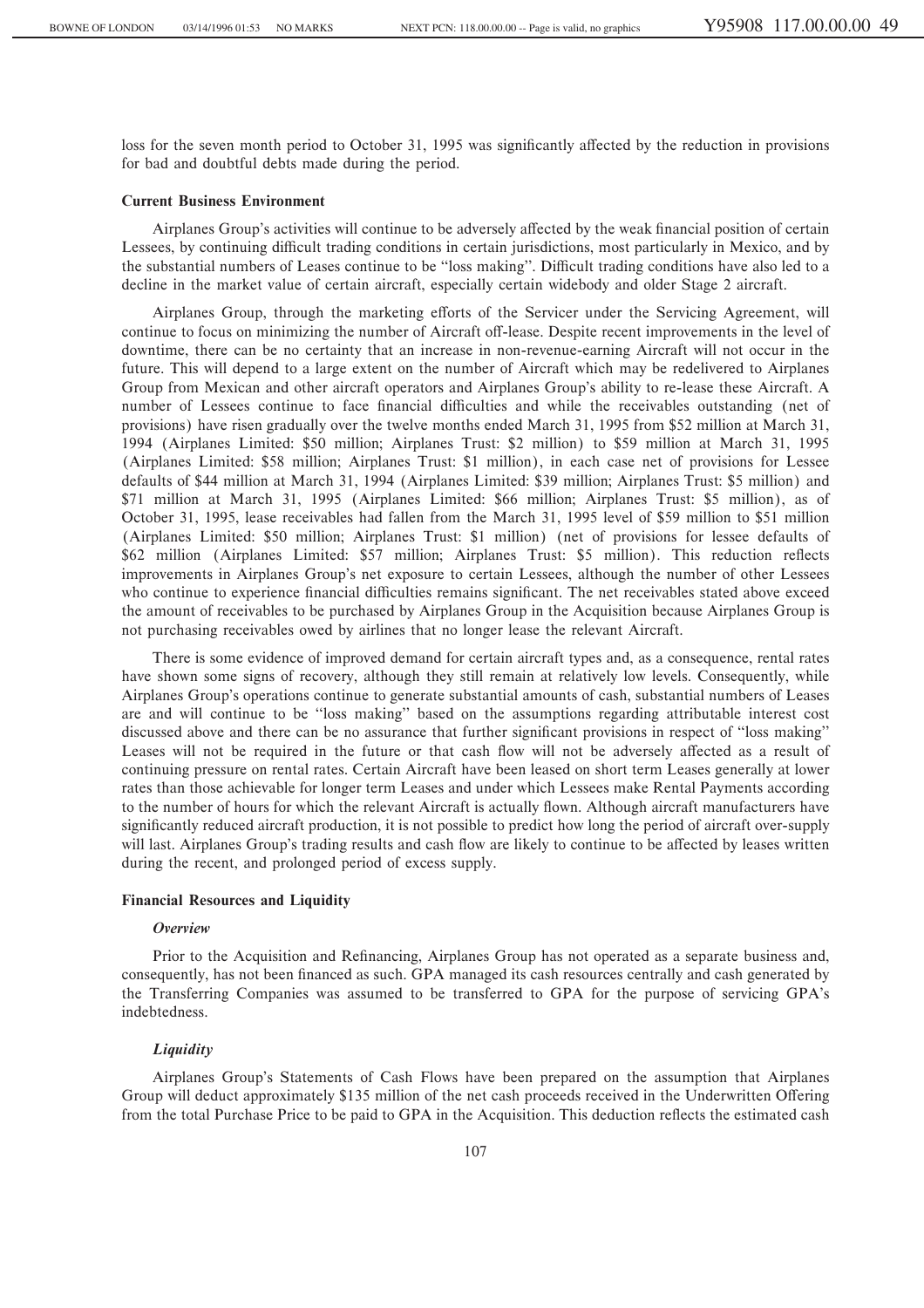loss for the seven month period to October 31, 1995 was significantly affected by the reduction in provisions for bad and doubtful debts made during the period.

### **Current Business Environment**

Airplanes Group's activities will continue to be adversely affected by the weak financial position of certain Lessees, by continuing difficult trading conditions in certain jurisdictions, most particularly in Mexico, and by the substantial numbers of Leases continue to be "loss making". Difficult trading conditions have also led to a decline in the market value of certain aircraft, especially certain widebody and older Stage 2 aircraft.

Airplanes Group, through the marketing efforts of the Servicer under the Servicing Agreement, will continue to focus on minimizing the number of Aircraft off-lease. Despite recent improvements in the level of downtime, there can be no certainty that an increase in non-revenue-earning Aircraft will not occur in the future. This will depend to a large extent on the number of Aircraft which may be redelivered to Airplanes Group from Mexican and other aircraft operators and Airplanes Group's ability to re-lease these Aircraft. A number of Lessees continue to face financial difficulties and while the receivables outstanding (net of provisions) have risen gradually over the twelve months ended March 31, 1995 from \$52 million at March 31, 1994 (Airplanes Limited: \$50 million; Airplanes Trust: \$2 million) to \$59 million at March 31, 1995 (Airplanes Limited: \$58 million; Airplanes Trust: \$1 million), in each case net of provisions for Lessee defaults of \$44 million at March 31, 1994 (Airplanes Limited: \$39 million; Airplanes Trust: \$5 million) and \$71 million at March 31, 1995 (Airplanes Limited: \$66 million; Airplanes Trust: \$5 million), as of October 31, 1995, lease receivables had fallen from the March 31, 1995 level of \$59 million to \$51 million (Airplanes Limited: \$50 million; Airplanes Trust: \$1 million) (net of provisions for lessee defaults of \$62 million (Airplanes Limited: \$57 million; Airplanes Trust: \$5 million). This reduction reflects improvements in Airplanes Group's net exposure to certain Lessees, although the number of other Lessees who continue to experience financial difficulties remains significant. The net receivables stated above exceed the amount of receivables to be purchased by Airplanes Group in the Acquisition because Airplanes Group is not purchasing receivables owed by airlines that no longer lease the relevant Aircraft.

There is some evidence of improved demand for certain aircraft types and, as a consequence, rental rates have shown some signs of recovery, although they still remain at relatively low levels. Consequently, while Airplanes Group's operations continue to generate substantial amounts of cash, substantial numbers of Leases are and will continue to be "loss making" based on the assumptions regarding attributable interest cost discussed above and there can be no assurance that further significant provisions in respect of "loss making" Leases will not be required in the future or that cash flow will not be adversely affected as a result of continuing pressure on rental rates. Certain Aircraft have been leased on short term Leases generally at lower rates than those achievable for longer term Leases and under which Lessees make Rental Payments according to the number of hours for which the relevant Aircraft is actually flown. Although aircraft manufacturers have significantly reduced aircraft production, it is not possible to predict how long the period of aircraft over-supply will last. Airplanes Group's trading results and cash flow are likely to continue to be affected by leases written during the recent, and prolonged period of excess supply.

#### **Financial Resources and Liquidity**

### *Overview*

Prior to the Acquisition and Refinancing, Airplanes Group has not operated as a separate business and, consequently, has not been financed as such. GPA managed its cash resources centrally and cash generated by the Transferring Companies was assumed to be transferred to GPA for the purpose of servicing GPA's indebtedness.

#### *Liquidity*

Airplanes Group's Statements of Cash Flows have been prepared on the assumption that Airplanes Group will deduct approximately \$135 million of the net cash proceeds received in the Underwritten Offering from the total Purchase Price to be paid to GPA in the Acquisition. This deduction reflects the estimated cash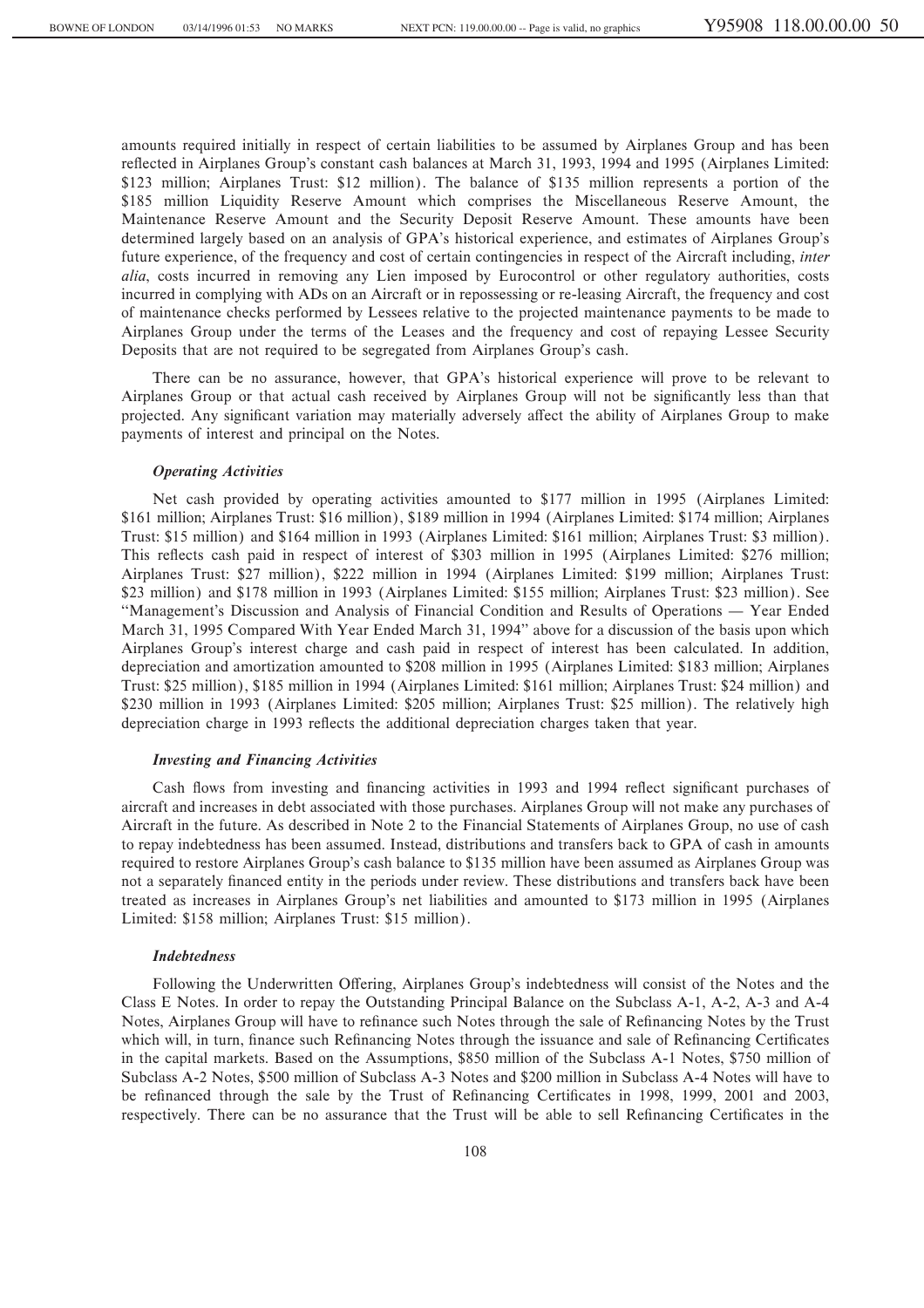amounts required initially in respect of certain liabilities to be assumed by Airplanes Group and has been reflected in Airplanes Group's constant cash balances at March 31, 1993, 1994 and 1995 (Airplanes Limited: \$123 million; Airplanes Trust: \$12 million). The balance of \$135 million represents a portion of the \$185 million Liquidity Reserve Amount which comprises the Miscellaneous Reserve Amount, the Maintenance Reserve Amount and the Security Deposit Reserve Amount. These amounts have been determined largely based on an analysis of GPA's historical experience, and estimates of Airplanes Group's future experience, of the frequency and cost of certain contingencies in respect of the Aircraft including, *inter alia*, costs incurred in removing any Lien imposed by Eurocontrol or other regulatory authorities, costs incurred in complying with ADs on an Aircraft or in repossessing or re-leasing Aircraft, the frequency and cost of maintenance checks performed by Lessees relative to the projected maintenance payments to be made to Airplanes Group under the terms of the Leases and the frequency and cost of repaying Lessee Security Deposits that are not required to be segregated from Airplanes Group's cash.

There can be no assurance, however, that GPA's historical experience will prove to be relevant to Airplanes Group or that actual cash received by Airplanes Group will not be significantly less than that projected. Any significant variation may materially adversely affect the ability of Airplanes Group to make payments of interest and principal on the Notes.

### *Operating Activities*

Net cash provided by operating activities amounted to \$177 million in 1995 (Airplanes Limited: \$161 million; Airplanes Trust: \$16 million), \$189 million in 1994 (Airplanes Limited: \$174 million; Airplanes Trust: \$15 million) and \$164 million in 1993 (Airplanes Limited: \$161 million; Airplanes Trust: \$3 million). This reflects cash paid in respect of interest of \$303 million in 1995 (Airplanes Limited: \$276 million; Airplanes Trust: \$27 million), \$222 million in 1994 (Airplanes Limited: \$199 million; Airplanes Trust: \$23 million) and \$178 million in 1993 (Airplanes Limited: \$155 million; Airplanes Trust: \$23 million). See "Management's Discussion and Analysis of Financial Condition and Results of Operations — Year Ended March 31, 1995 Compared With Year Ended March 31, 1994'' above for a discussion of the basis upon which Airplanes Group's interest charge and cash paid in respect of interest has been calculated. In addition, depreciation and amortization amounted to \$208 million in 1995 (Airplanes Limited: \$183 million; Airplanes Trust: \$25 million), \$185 million in 1994 (Airplanes Limited: \$161 million; Airplanes Trust: \$24 million) and \$230 million in 1993 (Airplanes Limited: \$205 million; Airplanes Trust: \$25 million). The relatively high depreciation charge in 1993 reflects the additional depreciation charges taken that year.

### *Investing and Financing Activities*

Cash flows from investing and financing activities in 1993 and 1994 reflect significant purchases of aircraft and increases in debt associated with those purchases. Airplanes Group will not make any purchases of Aircraft in the future. As described in Note 2 to the Financial Statements of Airplanes Group, no use of cash to repay indebtedness has been assumed. Instead, distributions and transfers back to GPA of cash in amounts required to restore Airplanes Group's cash balance to \$135 million have been assumed as Airplanes Group was not a separately financed entity in the periods under review. These distributions and transfers back have been treated as increases in Airplanes Group's net liabilities and amounted to \$173 million in 1995 (Airplanes Limited: \$158 million; Airplanes Trust: \$15 million).

# *Indebtedness*

Following the Underwritten Offering, Airplanes Group's indebtedness will consist of the Notes and the Class E Notes. In order to repay the Outstanding Principal Balance on the Subclass A-1, A-2, A-3 and A-4 Notes, Airplanes Group will have to refinance such Notes through the sale of Refinancing Notes by the Trust which will, in turn, finance such Refinancing Notes through the issuance and sale of Refinancing Certificates in the capital markets. Based on the Assumptions, \$850 million of the Subclass A-1 Notes, \$750 million of Subclass A-2 Notes, \$500 million of Subclass A-3 Notes and \$200 million in Subclass A-4 Notes will have to be refinanced through the sale by the Trust of Refinancing Certificates in 1998, 1999, 2001 and 2003, respectively. There can be no assurance that the Trust will be able to sell Refinancing Certificates in the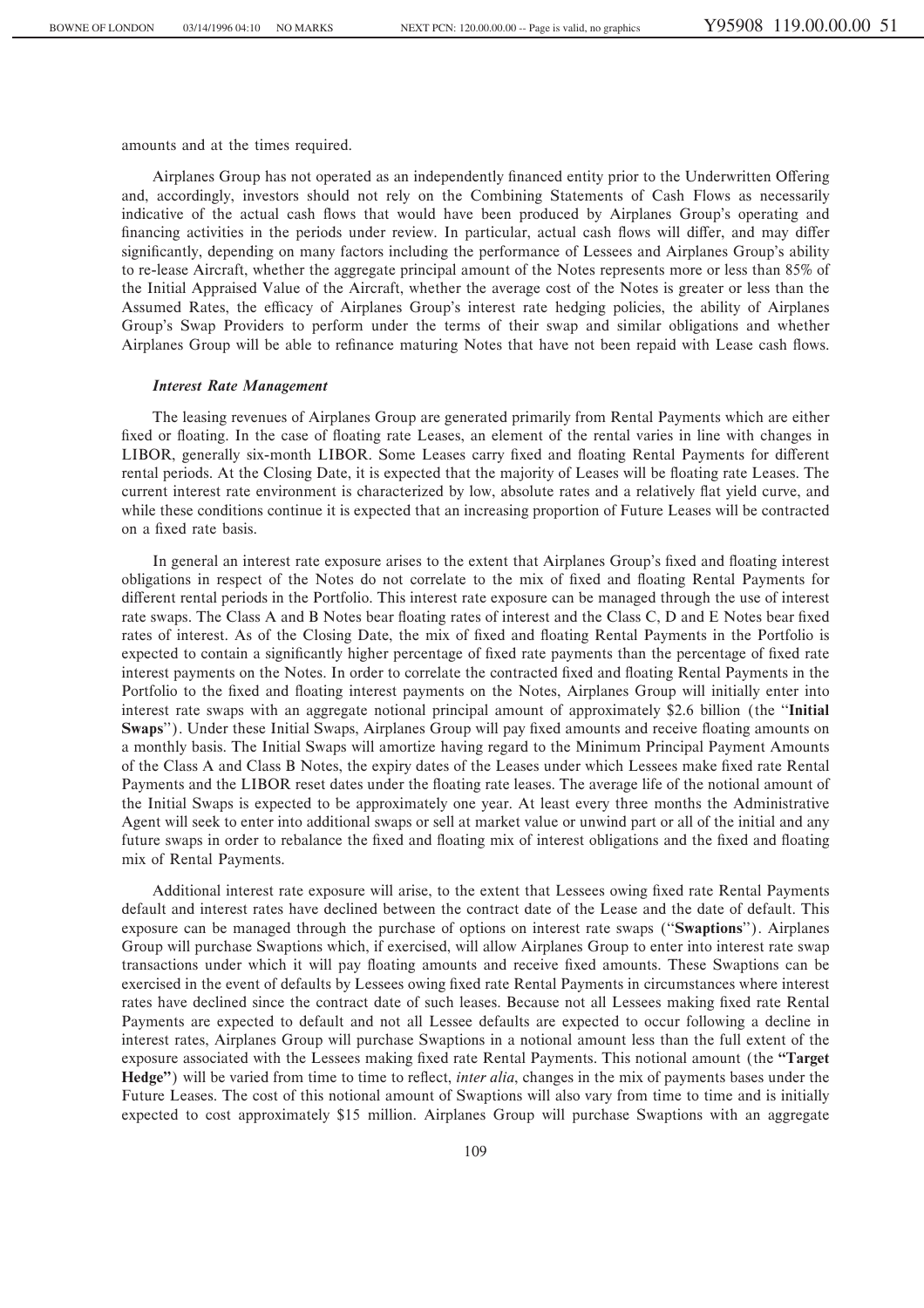amounts and at the times required.

Airplanes Group has not operated as an independently financed entity prior to the Underwritten Offering and, accordingly, investors should not rely on the Combining Statements of Cash Flows as necessarily indicative of the actual cash Öows that would have been produced by Airplanes Group's operating and financing activities in the periods under review. In particular, actual cash flows will differ, and may differ significantly, depending on many factors including the performance of Lessees and Airplanes Group's ability to re-lease Aircraft, whether the aggregate principal amount of the Notes represents more or less than 85% of the Initial Appraised Value of the Aircraft, whether the average cost of the Notes is greater or less than the Assumed Rates, the efficacy of Airplanes Group's interest rate hedging policies, the ability of Airplanes Group's Swap Providers to perform under the terms of their swap and similar obligations and whether Airplanes Group will be able to refinance maturing Notes that have not been repaid with Lease cash flows.

#### *Interest Rate Management*

The leasing revenues of Airplanes Group are generated primarily from Rental Payments which are either fixed or floating. In the case of floating rate Leases, an element of the rental varies in line with changes in LIBOR, generally six-month LIBOR. Some Leases carry fixed and floating Rental Payments for different rental periods. At the Closing Date, it is expected that the majority of Leases will be floating rate Leases. The current interest rate environment is characterized by low, absolute rates and a relatively flat yield curve, and while these conditions continue it is expected that an increasing proportion of Future Leases will be contracted on a fixed rate basis.

In general an interest rate exposure arises to the extent that Airplanes Group's fixed and floating interest obligations in respect of the Notes do not correlate to the mix of Ñxed and Öoating Rental Payments for different rental periods in the Portfolio. This interest rate exposure can be managed through the use of interest rate swaps. The Class A and B Notes bear floating rates of interest and the Class C, D and E Notes bear fixed rates of interest. As of the Closing Date, the mix of fixed and floating Rental Payments in the Portfolio is expected to contain a significantly higher percentage of fixed rate payments than the percentage of fixed rate interest payments on the Notes. In order to correlate the contracted Ñxed and Öoating Rental Payments in the Portfolio to the Ñxed and Öoating interest payments on the Notes, Airplanes Group will initially enter into interest rate swaps with an aggregate notional principal amount of approximately \$2.6 billion (the "Initial **Swaps''**). Under these Initial Swaps, Airplanes Group will pay fixed amounts and receive floating amounts on a monthly basis. The Initial Swaps will amortize having regard to the Minimum Principal Payment Amounts of the Class A and Class B Notes, the expiry dates of the Leases under which Lessees make Ñxed rate Rental Payments and the LIBOR reset dates under the floating rate leases. The average life of the notional amount of the Initial Swaps is expected to be approximately one year. At least every three months the Administrative Agent will seek to enter into additional swaps or sell at market value or unwind part or all of the initial and any future swaps in order to rebalance the fixed and floating mix of interest obligations and the fixed and floating mix of Rental Payments.

Additional interest rate exposure will arise, to the extent that Lessees owing fixed rate Rental Payments default and interest rates have declined between the contract date of the Lease and the date of default. This exposure can be managed through the purchase of options on interest rate swaps (""**Swaptions**''). Airplanes Group will purchase Swaptions which, if exercised, will allow Airplanes Group to enter into interest rate swap transactions under which it will pay Öoating amounts and receive Ñxed amounts. These Swaptions can be exercised in the event of defaults by Lessees owing fixed rate Rental Payments in circumstances where interest rates have declined since the contract date of such leases. Because not all Lessees making fixed rate Rental Payments are expected to default and not all Lessee defaults are expected to occur following a decline in interest rates, Airplanes Group will purchase Swaptions in a notional amount less than the full extent of the exposure associated with the Lessees making fixed rate Rental Payments. This notional amount (the **"Target Hedge''**) will be varied from time to time to reflect, *inter alia*, changes in the mix of payments bases under the Future Leases. The cost of this notional amount of Swaptions will also vary from time to time and is initially expected to cost approximately \$15 million. Airplanes Group will purchase Swaptions with an aggregate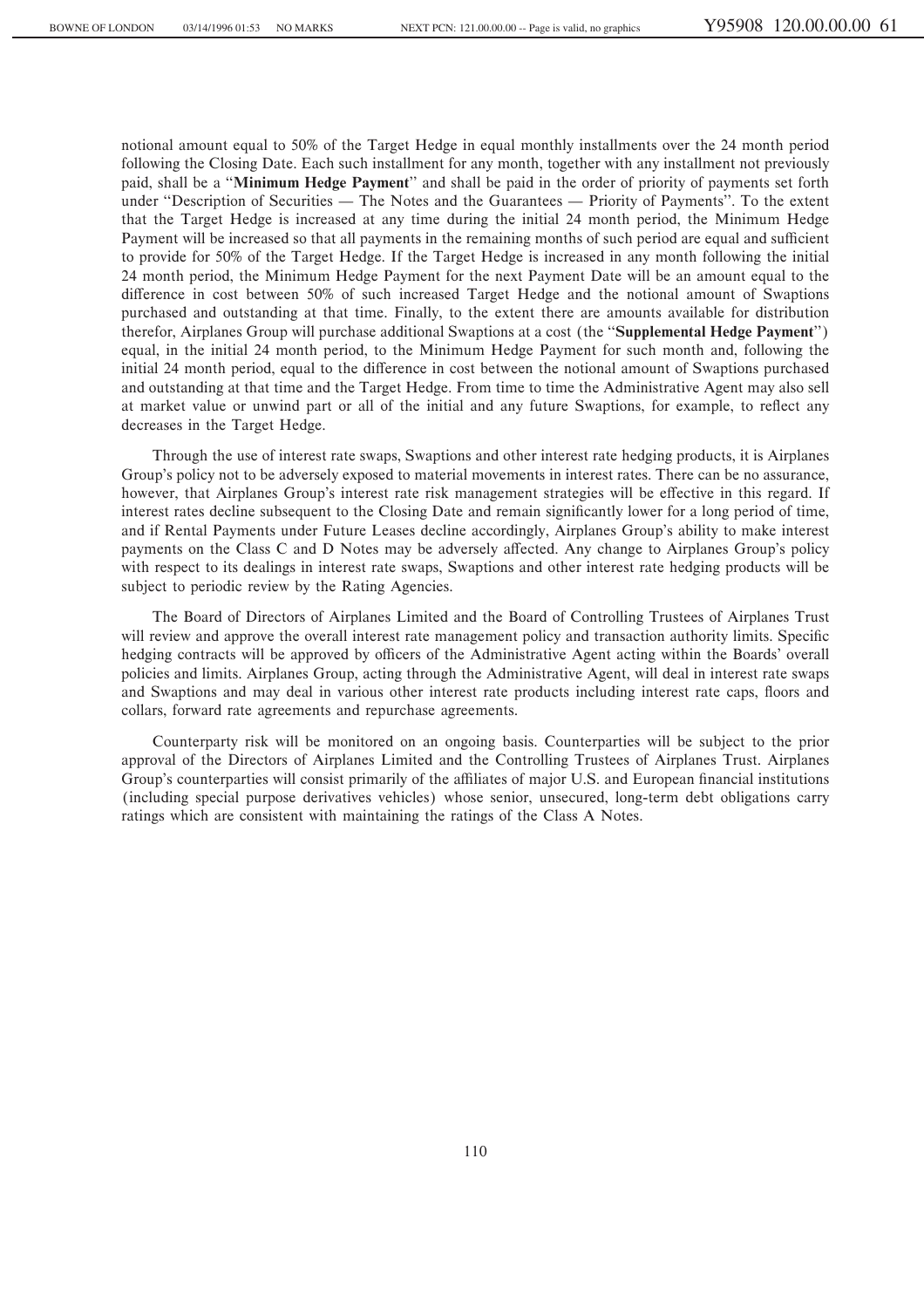notional amount equal to 50% of the Target Hedge in equal monthly installments over the 24 month period following the Closing Date. Each such installment for any month, together with any installment not previously paid, shall be a ""**Minimum Hedge Payment**'' and shall be paid in the order of priority of payments set forth under "Description of Securities — The Notes and the Guarantees — Priority of Payments". To the extent that the Target Hedge is increased at any time during the initial 24 month period, the Minimum Hedge Payment will be increased so that all payments in the remaining months of such period are equal and sufficient to provide for 50% of the Target Hedge. If the Target Hedge is increased in any month following the initial 24 month period, the Minimum Hedge Payment for the next Payment Date will be an amount equal to the difference in cost between 50% of such increased Target Hedge and the notional amount of Swaptions purchased and outstanding at that time. Finally, to the extent there are amounts available for distribution therefor, Airplanes Group will purchase additional Swaptions at a cost (the ""**Supplemental Hedge Payment**'') equal, in the initial 24 month period, to the Minimum Hedge Payment for such month and, following the initial 24 month period, equal to the difference in cost between the notional amount of Swaptions purchased and outstanding at that time and the Target Hedge. From time to time the Administrative Agent may also sell at market value or unwind part or all of the initial and any future Swaptions, for example, to reflect any decreases in the Target Hedge.

Through the use of interest rate swaps, Swaptions and other interest rate hedging products, it is Airplanes Group's policy not to be adversely exposed to material movements in interest rates. There can be no assurance, however, that Airplanes Group's interest rate risk management strategies will be effective in this regard. If interest rates decline subsequent to the Closing Date and remain significantly lower for a long period of time, and if Rental Payments under Future Leases decline accordingly, Airplanes Group's ability to make interest payments on the Class C and D Notes may be adversely affected. Any change to Airplanes Group's policy with respect to its dealings in interest rate swaps, Swaptions and other interest rate hedging products will be subject to periodic review by the Rating Agencies.

The Board of Directors of Airplanes Limited and the Board of Controlling Trustees of Airplanes Trust will review and approve the overall interest rate management policy and transaction authority limits. Specific hedging contracts will be approved by officers of the Administrative Agent acting within the Boards' overall policies and limits. Airplanes Group, acting through the Administrative Agent, will deal in interest rate swaps and Swaptions and may deal in various other interest rate products including interest rate caps, floors and collars, forward rate agreements and repurchase agreements.

Counterparty risk will be monitored on an ongoing basis. Counterparties will be subject to the prior approval of the Directors of Airplanes Limited and the Controlling Trustees of Airplanes Trust. Airplanes Group's counterparties will consist primarily of the affiliates of major U.S. and European financial institutions (including special purpose derivatives vehicles) whose senior, unsecured, long-term debt obligations carry ratings which are consistent with maintaining the ratings of the Class A Notes.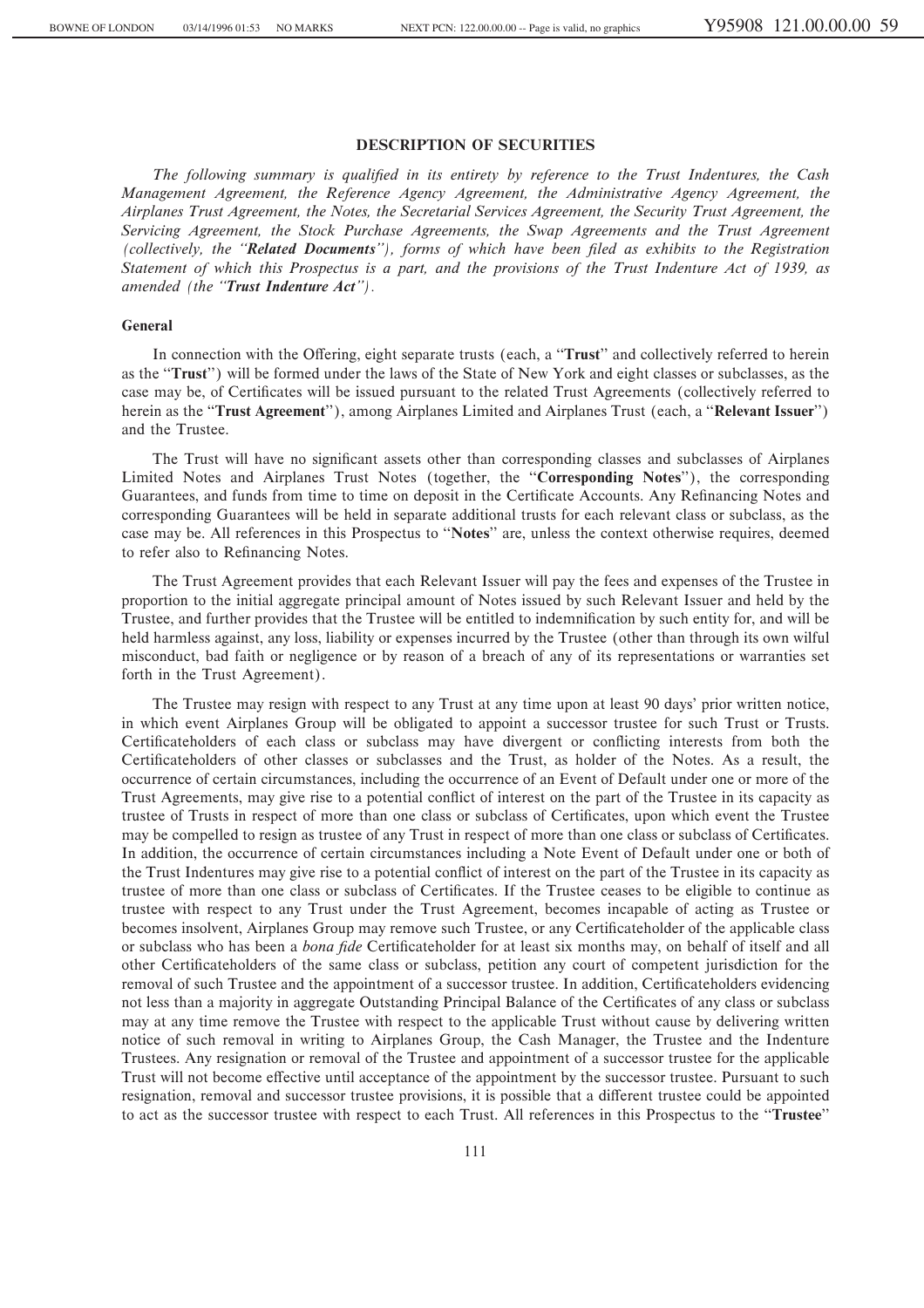## **DESCRIPTION OF SECURITIES**

*The following summary is qualified in its entirety by reference to the Trust Indentures, the Cash Management Agreement, the Reference Agency Agreement, the Administrative Agency Agreement, the Airplanes Trust Agreement, the Notes, the Secretarial Services Agreement, the Security Trust Agreement, the Servicing Agreement, the Stock Purchase Agreements, the Swap Agreements and the Trust Agreement* (collectively, the "**Related Documents**"), forms of which have been filed as exhibits to the Registration *Statement of which this Prospectus is a part, and the provisions of the Trust Indenture Act of 1939, as amended (the ""Trust Indenture Act'').*

#### **General**

In connection with the Offering, eight separate trusts (each, a "Trust" and collectively referred to herein as the "**Trust**") will be formed under the laws of the State of New York and eight classes or subclasses, as the case may be, of Certificates will be issued pursuant to the related Trust Agreements (collectively referred to herein as the ""**Trust Agreement**''), among Airplanes Limited and Airplanes Trust (each, a ""**Relevant Issuer**'') and the Trustee.

The Trust will have no significant assets other than corresponding classes and subclasses of Airplanes Limited Notes and Airplanes Trust Notes (together, the ""**Corresponding Notes**''), the corresponding Guarantees, and funds from time to time on deposit in the Certificate Accounts. Any Refinancing Notes and corresponding Guarantees will be held in separate additional trusts for each relevant class or subclass, as the case may be. All references in this Prospectus to ""**Notes**'' are, unless the context otherwise requires, deemed to refer also to Refinancing Notes.

The Trust Agreement provides that each Relevant Issuer will pay the fees and expenses of the Trustee in proportion to the initial aggregate principal amount of Notes issued by such Relevant Issuer and held by the Trustee, and further provides that the Trustee will be entitled to indemnification by such entity for, and will be held harmless against, any loss, liability or expenses incurred by the Trustee (other than through its own wilful misconduct, bad faith or negligence or by reason of a breach of any of its representations or warranties set forth in the Trust Agreement).

The Trustee may resign with respect to any Trust at any time upon at least 90 days' prior written notice, in which event Airplanes Group will be obligated to appoint a successor trustee for such Trust or Trusts. Certificateholders of each class or subclass may have divergent or conflicting interests from both the Certificateholders of other classes or subclasses and the Trust, as holder of the Notes. As a result, the occurrence of certain circumstances, including the occurrence of an Event of Default under one or more of the Trust Agreements, may give rise to a potential conflict of interest on the part of the Trustee in its capacity as trustee of Trusts in respect of more than one class or subclass of Certificates, upon which event the Trustee may be compelled to resign as trustee of any Trust in respect of more than one class or subclass of Certificates. In addition, the occurrence of certain circumstances including a Note Event of Default under one or both of the Trust Indentures may give rise to a potential conflict of interest on the part of the Trustee in its capacity as trustee of more than one class or subclass of Certificates. If the Trustee ceases to be eligible to continue as trustee with respect to any Trust under the Trust Agreement, becomes incapable of acting as Trustee or becomes insolvent, Airplanes Group may remove such Trustee, or any Certificateholder of the applicable class or subclass who has been a *bona fide* Certificateholder for at least six months may, on behalf of itself and all other Certificateholders of the same class or subclass, petition any court of competent jurisdiction for the removal of such Trustee and the appointment of a successor trustee. In addition, Certificateholders evidencing not less than a majority in aggregate Outstanding Principal Balance of the Certificates of any class or subclass may at any time remove the Trustee with respect to the applicable Trust without cause by delivering written notice of such removal in writing to Airplanes Group, the Cash Manager, the Trustee and the Indenture Trustees. Any resignation or removal of the Trustee and appointment of a successor trustee for the applicable Trust will not become effective until acceptance of the appointment by the successor trustee. Pursuant to such resignation, removal and successor trustee provisions, it is possible that a different trustee could be appointed to act as the successor trustee with respect to each Trust. All references in this Prospectus to the ""**Trustee**''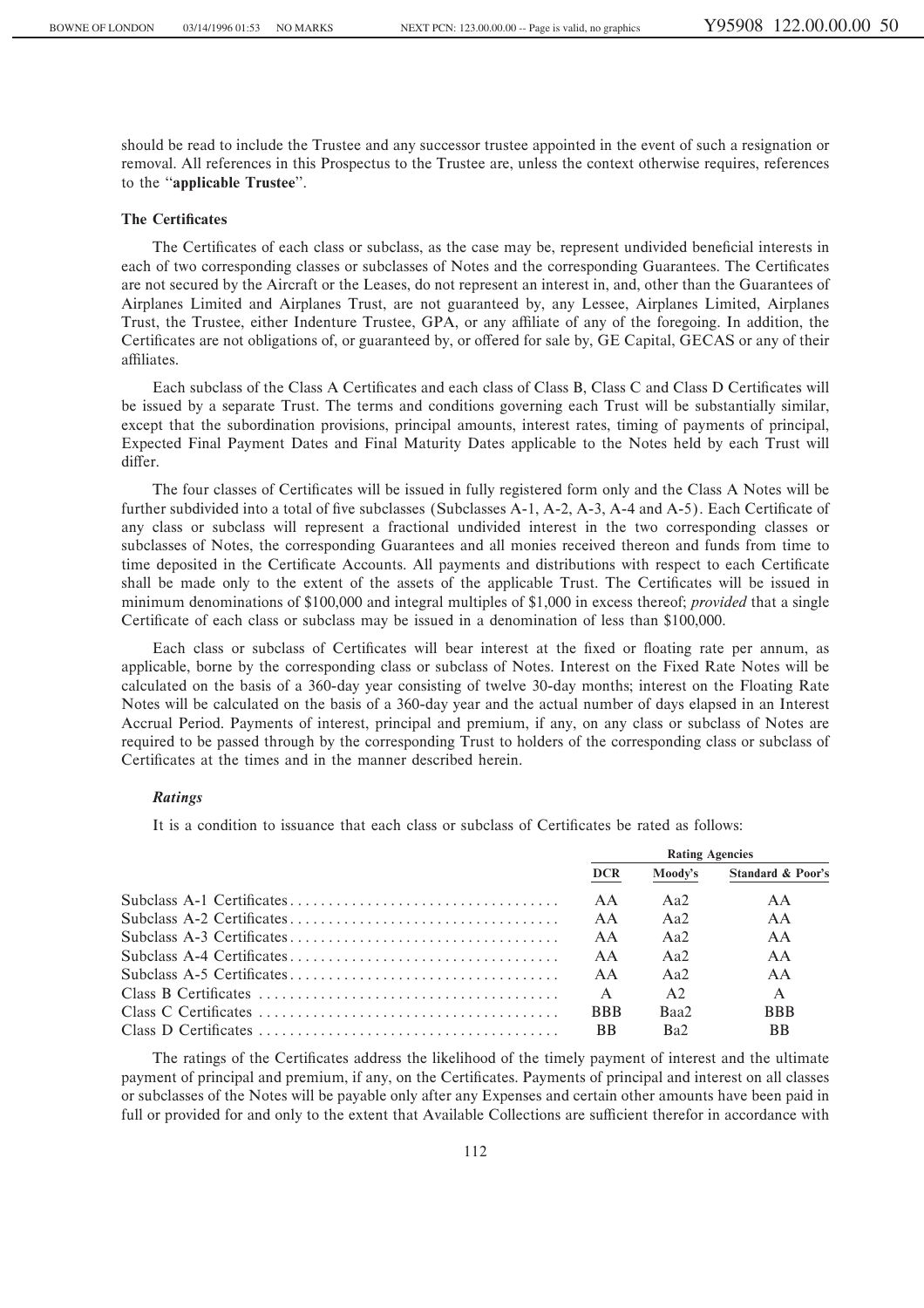should be read to include the Trustee and any successor trustee appointed in the event of such a resignation or removal. All references in this Prospectus to the Trustee are, unless the context otherwise requires, references to the "applicable Trustee".

#### **The Certificates**

The Certificates of each class or subclass, as the case may be, represent undivided beneficial interests in each of two corresponding classes or subclasses of Notes and the corresponding Guarantees. The Certificates are not secured by the Aircraft or the Leases, do not represent an interest in, and, other than the Guarantees of Airplanes Limited and Airplanes Trust, are not guaranteed by, any Lessee, Airplanes Limited, Airplanes Trust, the Trustee, either Indenture Trustee, GPA, or any affiliate of any of the foregoing. In addition, the Certificates are not obligations of, or guaranteed by, or offered for sale by, GE Capital, GECAS or any of their affiliates.

Each subclass of the Class A Certificates and each class of Class B, Class C and Class D Certificates will be issued by a separate Trust. The terms and conditions governing each Trust will be substantially similar, except that the subordination provisions, principal amounts, interest rates, timing of payments of principal, Expected Final Payment Dates and Final Maturity Dates applicable to the Notes held by each Trust will differ.

The four classes of Certificates will be issued in fully registered form only and the Class A Notes will be further subdivided into a total of five subclasses (Subclasses A-1, A-2, A-3, A-4 and A-5). Each Certificate of any class or subclass will represent a fractional undivided interest in the two corresponding classes or subclasses of Notes, the corresponding Guarantees and all monies received thereon and funds from time to time deposited in the Certificate Accounts. All payments and distributions with respect to each Certificate shall be made only to the extent of the assets of the applicable Trust. The Certificates will be issued in minimum denominations of \$100,000 and integral multiples of \$1,000 in excess thereof; *provided* that a single Certificate of each class or subclass may be issued in a denomination of less than \$100,000.

Each class or subclass of Certificates will bear interest at the fixed or floating rate per annum, as applicable, borne by the corresponding class or subclass of Notes. Interest on the Fixed Rate Notes will be calculated on the basis of a 360-day year consisting of twelve 30-day months; interest on the Floating Rate Notes will be calculated on the basis of a 360-day year and the actual number of days elapsed in an Interest Accrual Period. Payments of interest, principal and premium, if any, on any class or subclass of Notes are required to be passed through by the corresponding Trust to holders of the corresponding class or subclass of Certificates at the times and in the manner described herein.

### *Ratings*

It is a condition to issuance that each class or subclass of Certificates be rated as follows:

|                      |              | <b>Rating Agencies</b> |                              |
|----------------------|--------------|------------------------|------------------------------|
|                      | <b>DCR</b>   | Moody's                | <b>Standard &amp; Poor's</b> |
|                      | AA           | Aa2                    | AA                           |
|                      | AA           | Aa2                    | AA                           |
|                      | AA           | Aa2                    | AA                           |
|                      | AA           | Aa2                    | AA                           |
|                      | A A          | Aa2                    | AA                           |
|                      | $\mathsf{A}$ | A2                     | $\mathsf{A}$                 |
| Class C Certificates | <b>BBB</b>   | Baa2                   | <b>BBB</b>                   |
|                      | <b>BB</b>    | Ba2                    | <b>BB</b>                    |

The ratings of the Certificates address the likelihood of the timely payment of interest and the ultimate payment of principal and premium, if any, on the Certificates. Payments of principal and interest on all classes or subclasses of the Notes will be payable only after any Expenses and certain other amounts have been paid in full or provided for and only to the extent that Available Collections are sufficient therefor in accordance with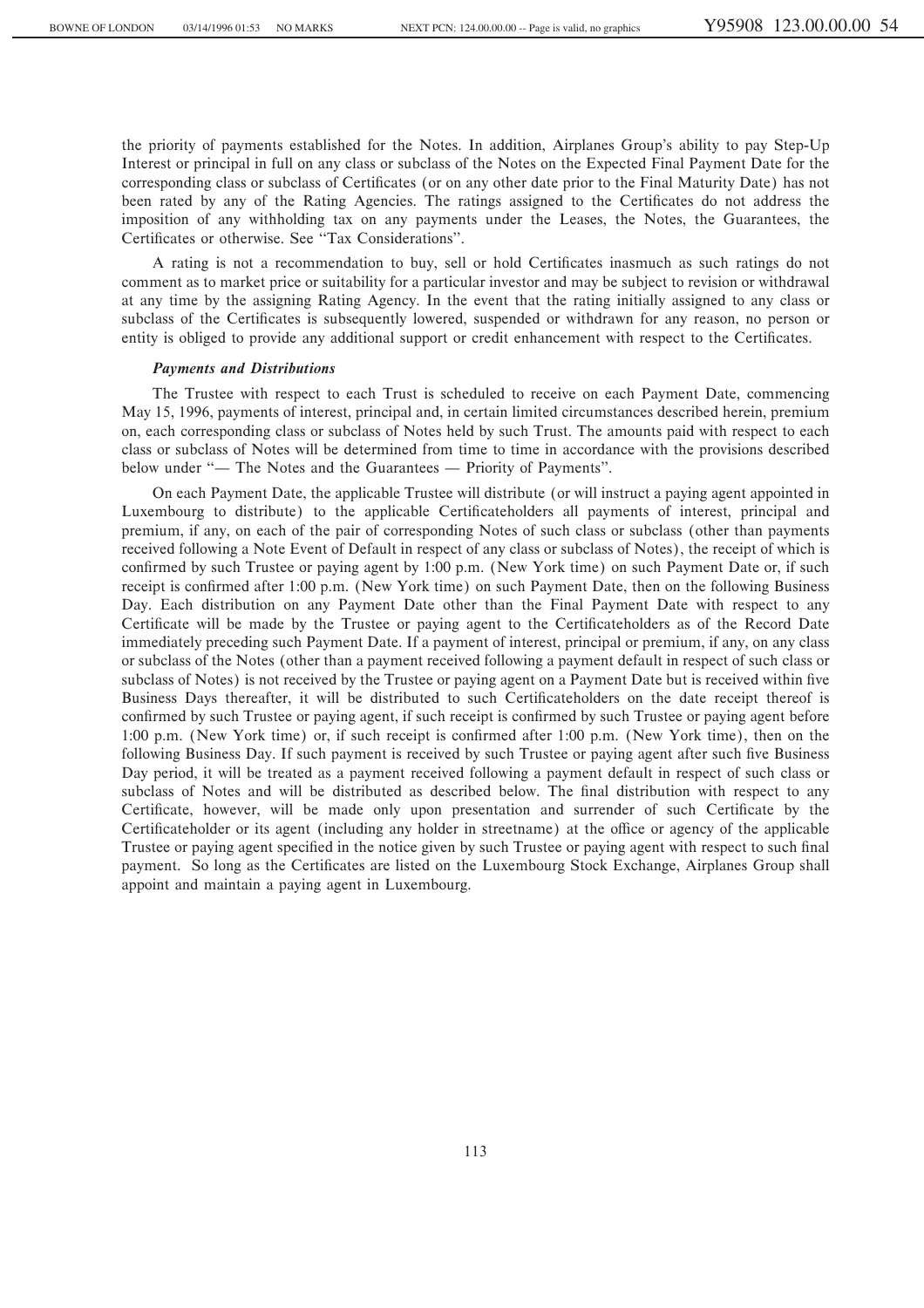the priority of payments established for the Notes. In addition, Airplanes Group's ability to pay Step-Up Interest or principal in full on any class or subclass of the Notes on the Expected Final Payment Date for the corresponding class or subclass of Certificates (or on any other date prior to the Final Maturity Date) has not been rated by any of the Rating Agencies. The ratings assigned to the Certificates do not address the imposition of any withholding tax on any payments under the Leases, the Notes, the Guarantees, the Certificates or otherwise. See "Tax Considerations".

A rating is not a recommendation to buy, sell or hold Certificates inasmuch as such ratings do not comment as to market price or suitability for a particular investor and may be subject to revision or withdrawal at any time by the assigning Rating Agency. In the event that the rating initially assigned to any class or subclass of the Certificates is subsequently lowered, suspended or withdrawn for any reason, no person or entity is obliged to provide any additional support or credit enhancement with respect to the Certificates.

#### *Payments and Distributions*

The Trustee with respect to each Trust is scheduled to receive on each Payment Date, commencing May 15, 1996, payments of interest, principal and, in certain limited circumstances described herein, premium on, each corresponding class or subclass of Notes held by such Trust. The amounts paid with respect to each class or subclass of Notes will be determined from time to time in accordance with the provisions described below under "— The Notes and the Guarantees — Priority of Payments".

On each Payment Date, the applicable Trustee will distribute (or will instruct a paying agent appointed in Luxembourg to distribute) to the applicable Certificateholders all payments of interest, principal and premium, if any, on each of the pair of corresponding Notes of such class or subclass (other than payments received following a Note Event of Default in respect of any class or subclass of Notes), the receipt of which is confirmed by such Trustee or paying agent by 1:00 p.m. (New York time) on such Payment Date or, if such receipt is confirmed after 1:00 p.m. (New York time) on such Payment Date, then on the following Business Day. Each distribution on any Payment Date other than the Final Payment Date with respect to any Certificate will be made by the Trustee or paying agent to the Certificateholders as of the Record Date immediately preceding such Payment Date. If a payment of interest, principal or premium, if any, on any class or subclass of the Notes (other than a payment received following a payment default in respect of such class or subclass of Notes) is not received by the Trustee or paying agent on a Payment Date but is received within five Business Days thereafter, it will be distributed to such Certificateholders on the date receipt thereof is confirmed by such Trustee or paying agent, if such receipt is confirmed by such Trustee or paying agent before 1:00 p.m. (New York time) or, if such receipt is confirmed after 1:00 p.m. (New York time), then on the following Business Day. If such payment is received by such Trustee or paying agent after such five Business Day period, it will be treated as a payment received following a payment default in respect of such class or subclass of Notes and will be distributed as described below. The final distribution with respect to any Certificate, however, will be made only upon presentation and surrender of such Certificate by the Certificateholder or its agent (including any holder in streetname) at the office or agency of the applicable Trustee or paying agent specified in the notice given by such Trustee or paying agent with respect to such final payment. So long as the Certificates are listed on the Luxembourg Stock Exchange, Airplanes Group shall appoint and maintain a paying agent in Luxembourg.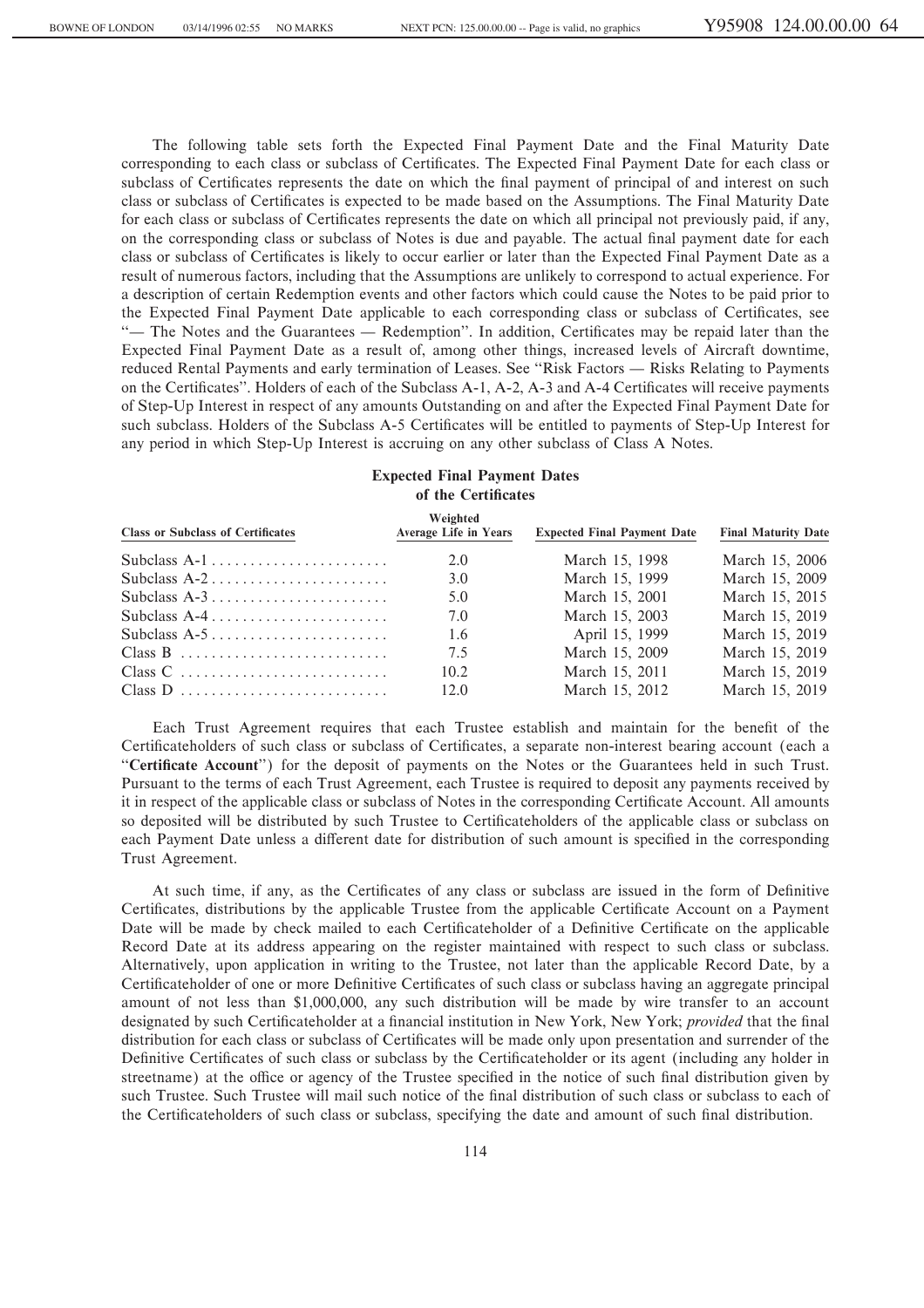The following table sets forth the Expected Final Payment Date and the Final Maturity Date corresponding to each class or subclass of Certificates. The Expected Final Payment Date for each class or subclass of Certificates represents the date on which the final payment of principal of and interest on such class or subclass of Certificates is expected to be made based on the Assumptions. The Final Maturity Date for each class or subclass of Certificates represents the date on which all principal not previously paid, if any, on the corresponding class or subclass of Notes is due and payable. The actual final payment date for each class or subclass of Certificates is likely to occur earlier or later than the Expected Final Payment Date as a result of numerous factors, including that the Assumptions are unlikely to correspond to actual experience. For a description of certain Redemption events and other factors which could cause the Notes to be paid prior to the Expected Final Payment Date applicable to each corresponding class or subclass of Certificates, see "— The Notes and the Guarantees — Redemption". In addition, Certificates may be repaid later than the Expected Final Payment Date as a result of, among other things, increased levels of Aircraft downtime, reduced Rental Payments and early termination of Leases. See "Risk Factors — Risks Relating to Payments on the Certificates''. Holders of each of the Subclass A-1, A-2, A-3 and A-4 Certificates will receive payments of Step-Up Interest in respect of any amounts Outstanding on and after the Expected Final Payment Date for such subclass. Holders of the Subclass A-5 Certificates will be entitled to payments of Step-Up Interest for any period in which Step-Up Interest is accruing on any other subclass of Class A Notes.

# **Expected Final Payment Dates of the Certificates**

| <b>Class or Subclass of Certificates</b> | Weighted<br><b>Average Life in Years</b> | <b>Expected Final Payment Date</b> | <b>Final Maturity Date</b> |
|------------------------------------------|------------------------------------------|------------------------------------|----------------------------|
|                                          | 2.0                                      | March 15, 1998                     | March 15, 2006             |
|                                          | 3.0                                      | March 15, 1999                     | March 15, 2009             |
|                                          | 5.0                                      | March 15, 2001                     | March 15, 2015             |
|                                          | 7.0                                      | March 15, 2003                     | March 15, 2019             |
|                                          | 1.6                                      | April 15, 1999                     | March 15, 2019             |
| Class B                                  | 7.5                                      | March 15, 2009                     | March 15, 2019             |
|                                          | 10.2                                     | March 15, 2011                     | March 15, 2019             |
| Class D                                  | 12.0                                     | March 15, 2012                     | March 15, 2019             |

Each Trust Agreement requires that each Trustee establish and maintain for the benefit of the Certificateholders of such class or subclass of Certificates, a separate non-interest bearing account (each a "Certificate Account") for the deposit of payments on the Notes or the Guarantees held in such Trust. Pursuant to the terms of each Trust Agreement, each Trustee is required to deposit any payments received by it in respect of the applicable class or subclass of Notes in the corresponding Certificate Account. All amounts so deposited will be distributed by such Trustee to Certificateholders of the applicable class or subclass on each Payment Date unless a different date for distribution of such amount is specified in the corresponding Trust Agreement.

At such time, if any, as the Certificates of any class or subclass are issued in the form of Definitive Certificates, distributions by the applicable Trustee from the applicable Certificate Account on a Payment Date will be made by check mailed to each Certificateholder of a Definitive Certificate on the applicable Record Date at its address appearing on the register maintained with respect to such class or subclass. Alternatively, upon application in writing to the Trustee, not later than the applicable Record Date, by a Certificateholder of one or more Definitive Certificates of such class or subclass having an aggregate principal amount of not less than \$1,000,000, any such distribution will be made by wire transfer to an account designated by such Certificateholder at a financial institution in New York, New York; *provided* that the final distribution for each class or subclass of Certificates will be made only upon presentation and surrender of the Definitive Certificates of such class or subclass by the Certificateholder or its agent (including any holder in streetname) at the office or agency of the Trustee specified in the notice of such final distribution given by such Trustee. Such Trustee will mail such notice of the final distribution of such class or subclass to each of the Certificateholders of such class or subclass, specifying the date and amount of such final distribution.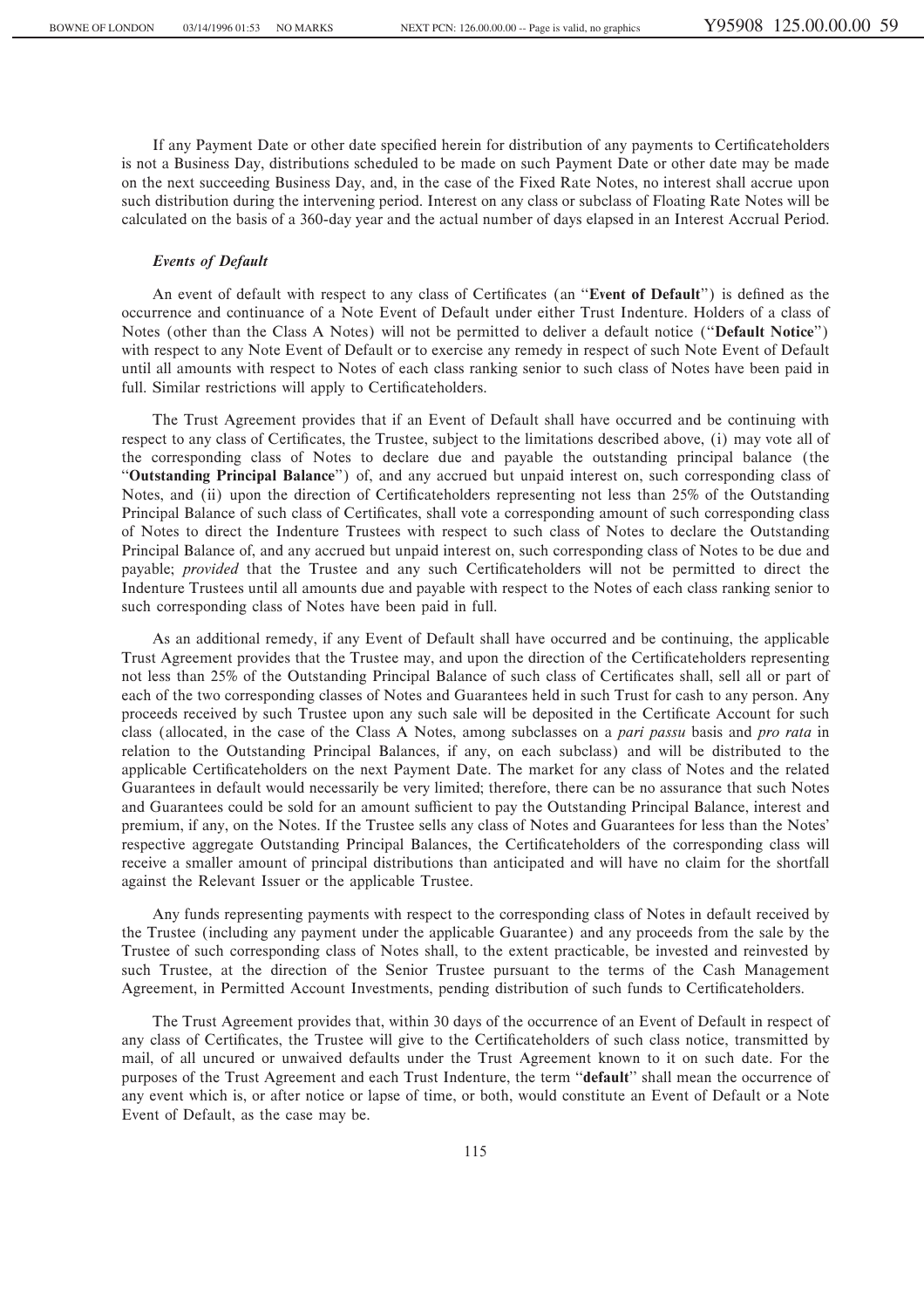If any Payment Date or other date specified herein for distribution of any payments to Certificateholders is not a Business Day, distributions scheduled to be made on such Payment Date or other date may be made on the next succeeding Business Day, and, in the case of the Fixed Rate Notes, no interest shall accrue upon such distribution during the intervening period. Interest on any class or subclass of Floating Rate Notes will be calculated on the basis of a 360-day year and the actual number of days elapsed in an Interest Accrual Period.

# *Events of Default*

An event of default with respect to any class of Certificates (an "Event of Default") is defined as the occurrence and continuance of a Note Event of Default under either Trust Indenture. Holders of a class of Notes (other than the Class A Notes) will not be permitted to deliver a default notice (""**Default Notice**'') with respect to any Note Event of Default or to exercise any remedy in respect of such Note Event of Default until all amounts with respect to Notes of each class ranking senior to such class of Notes have been paid in full. Similar restrictions will apply to Certificateholders.

The Trust Agreement provides that if an Event of Default shall have occurred and be continuing with respect to any class of Certificates, the Trustee, subject to the limitations described above, (i) may vote all of the corresponding class of Notes to declare due and payable the outstanding principal balance (the ""**Outstanding Principal Balance**'') of, and any accrued but unpaid interest on, such corresponding class of Notes, and (ii) upon the direction of Certificateholders representing not less than 25% of the Outstanding Principal Balance of such class of Certificates, shall vote a corresponding amount of such corresponding class of Notes to direct the Indenture Trustees with respect to such class of Notes to declare the Outstanding Principal Balance of, and any accrued but unpaid interest on, such corresponding class of Notes to be due and payable; *provided* that the Trustee and any such Certificateholders will not be permitted to direct the Indenture Trustees until all amounts due and payable with respect to the Notes of each class ranking senior to such corresponding class of Notes have been paid in full.

As an additional remedy, if any Event of Default shall have occurred and be continuing, the applicable Trust Agreement provides that the Trustee may, and upon the direction of the Certificateholders representing not less than 25% of the Outstanding Principal Balance of such class of Certificates shall, sell all or part of each of the two corresponding classes of Notes and Guarantees held in such Trust for cash to any person. Any proceeds received by such Trustee upon any such sale will be deposited in the Certificate Account for such class (allocated, in the case of the Class A Notes, among subclasses on a *pari passu* basis and *pro rata* in relation to the Outstanding Principal Balances, if any, on each subclass) and will be distributed to the applicable Certificateholders on the next Payment Date. The market for any class of Notes and the related Guarantees in default would necessarily be very limited; therefore, there can be no assurance that such Notes and Guarantees could be sold for an amount sufficient to pay the Outstanding Principal Balance, interest and premium, if any, on the Notes. If the Trustee sells any class of Notes and Guarantees for less than the Notes' respective aggregate Outstanding Principal Balances, the Certificateholders of the corresponding class will receive a smaller amount of principal distributions than anticipated and will have no claim for the shortfall against the Relevant Issuer or the applicable Trustee.

Any funds representing payments with respect to the corresponding class of Notes in default received by the Trustee (including any payment under the applicable Guarantee) and any proceeds from the sale by the Trustee of such corresponding class of Notes shall, to the extent practicable, be invested and reinvested by such Trustee, at the direction of the Senior Trustee pursuant to the terms of the Cash Management Agreement, in Permitted Account Investments, pending distribution of such funds to Certificateholders.

The Trust Agreement provides that, within 30 days of the occurrence of an Event of Default in respect of any class of Certificates, the Trustee will give to the Certificateholders of such class notice, transmitted by mail, of all uncured or unwaived defaults under the Trust Agreement known to it on such date. For the purposes of the Trust Agreement and each Trust Indenture, the term ""**default**'' shall mean the occurrence of any event which is, or after notice or lapse of time, or both, would constitute an Event of Default or a Note Event of Default, as the case may be.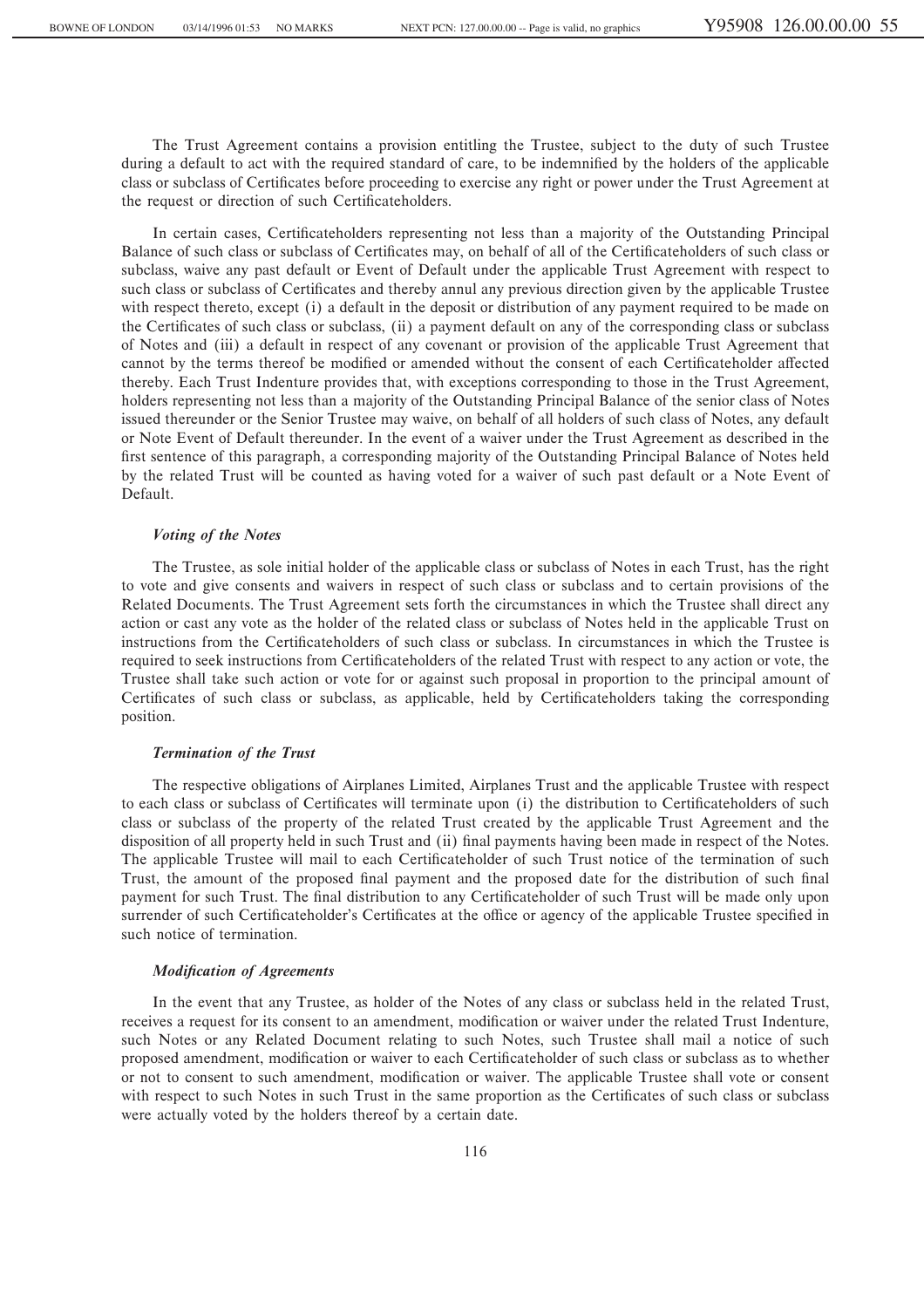The Trust Agreement contains a provision entitling the Trustee, subject to the duty of such Trustee during a default to act with the required standard of care, to be indemnified by the holders of the applicable class or subclass of Certificates before proceeding to exercise any right or power under the Trust Agreement at the request or direction of such Certificateholders.

In certain cases, Certificateholders representing not less than a majority of the Outstanding Principal Balance of such class or subclass of Certificates may, on behalf of all of the Certificateholders of such class or subclass, waive any past default or Event of Default under the applicable Trust Agreement with respect to such class or subclass of Certificates and thereby annul any previous direction given by the applicable Trustee with respect thereto, except (i) a default in the deposit or distribution of any payment required to be made on the Certificates of such class or subclass, (ii) a payment default on any of the corresponding class or subclass of Notes and (iii) a default in respect of any covenant or provision of the applicable Trust Agreement that cannot by the terms thereof be modified or amended without the consent of each Certificateholder affected thereby. Each Trust Indenture provides that, with exceptions corresponding to those in the Trust Agreement, holders representing not less than a majority of the Outstanding Principal Balance of the senior class of Notes issued thereunder or the Senior Trustee may waive, on behalf of all holders of such class of Notes, any default or Note Event of Default thereunder. In the event of a waiver under the Trust Agreement as described in the first sentence of this paragraph, a corresponding majority of the Outstanding Principal Balance of Notes held by the related Trust will be counted as having voted for a waiver of such past default or a Note Event of Default.

### *Voting of the Notes*

The Trustee, as sole initial holder of the applicable class or subclass of Notes in each Trust, has the right to vote and give consents and waivers in respect of such class or subclass and to certain provisions of the Related Documents. The Trust Agreement sets forth the circumstances in which the Trustee shall direct any action or cast any vote as the holder of the related class or subclass of Notes held in the applicable Trust on instructions from the Certificateholders of such class or subclass. In circumstances in which the Trustee is required to seek instructions from Certificateholders of the related Trust with respect to any action or vote, the Trustee shall take such action or vote for or against such proposal in proportion to the principal amount of Certificates of such class or subclass, as applicable, held by Certificateholders taking the corresponding position.

### *Termination of the Trust*

The respective obligations of Airplanes Limited, Airplanes Trust and the applicable Trustee with respect to each class or subclass of Certificates will terminate upon (i) the distribution to Certificateholders of such class or subclass of the property of the related Trust created by the applicable Trust Agreement and the disposition of all property held in such Trust and (ii) final payments having been made in respect of the Notes. The applicable Trustee will mail to each Certificateholder of such Trust notice of the termination of such Trust, the amount of the proposed final payment and the proposed date for the distribution of such final payment for such Trust. The final distribution to any Certificateholder of such Trust will be made only upon surrender of such Certificateholder's Certificates at the office or agency of the applicable Trustee specified in such notice of termination.

#### *Modification of Agreements*

In the event that any Trustee, as holder of the Notes of any class or subclass held in the related Trust, receives a request for its consent to an amendment, modification or waiver under the related Trust Indenture, such Notes or any Related Document relating to such Notes, such Trustee shall mail a notice of such proposed amendment, modification or waiver to each Certificateholder of such class or subclass as to whether or not to consent to such amendment, modification or waiver. The applicable Trustee shall vote or consent with respect to such Notes in such Trust in the same proportion as the Certificates of such class or subclass were actually voted by the holders thereof by a certain date.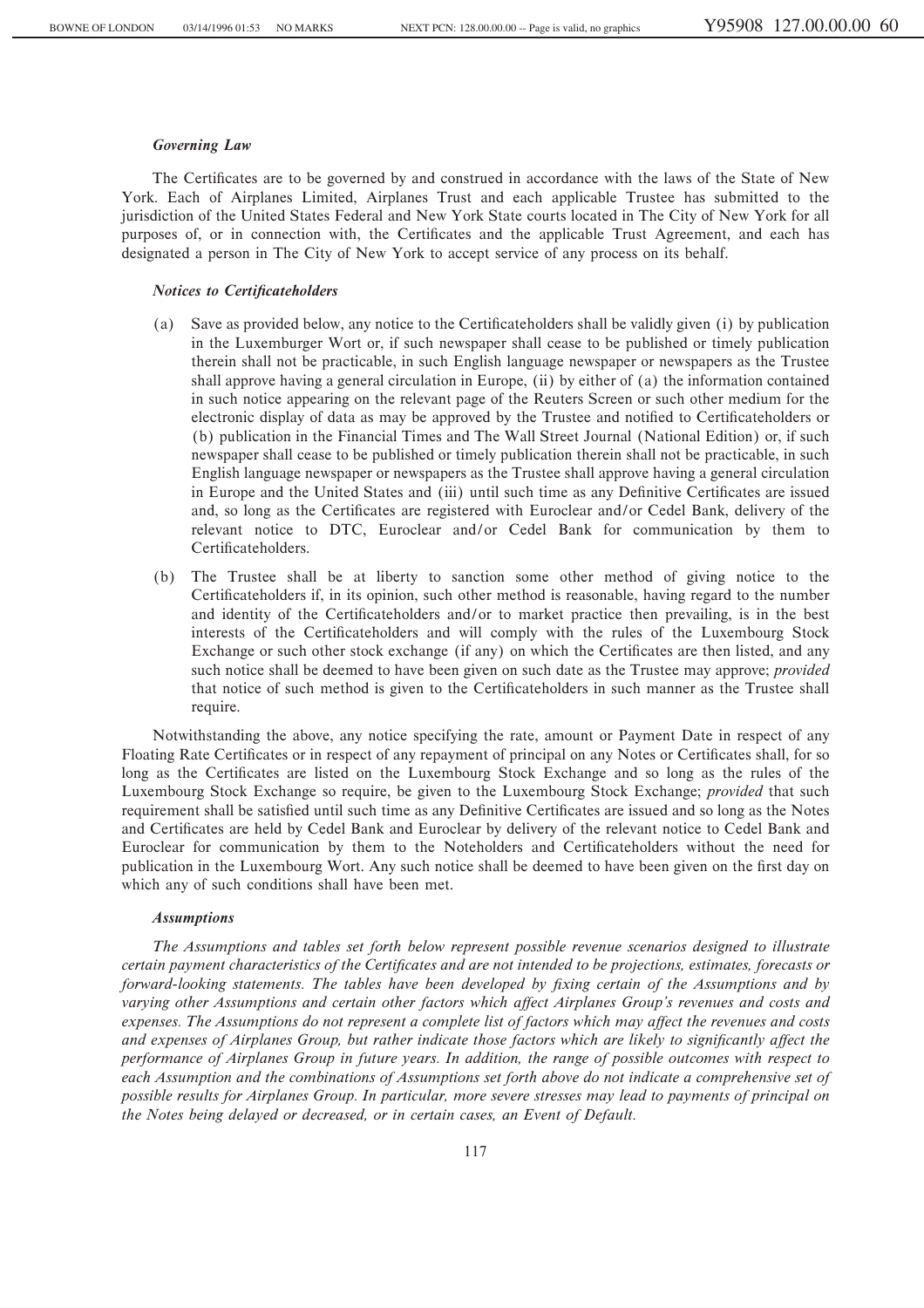### *Governing Law*

The Certificates are to be governed by and construed in accordance with the laws of the State of New York. Each of Airplanes Limited, Airplanes Trust and each applicable Trustee has submitted to the jurisdiction of the United States Federal and New York State courts located in The City of New York for all purposes of, or in connection with, the Certificates and the applicable Trust Agreement, and each has designated a person in The City of New York to accept service of any process on its behalf.

### *Notices to Certificateholders*

- (a) Save as provided below, any notice to the Certificateholders shall be validly given (i) by publication in the Luxemburger Wort or, if such newspaper shall cease to be published or timely publication therein shall not be practicable, in such English language newspaper or newspapers as the Trustee shall approve having a general circulation in Europe, (ii) by either of (a) the information contained in such notice appearing on the relevant page of the Reuters Screen or such other medium for the electronic display of data as may be approved by the Trustee and notified to Certificateholders or (b) publication in the Financial Times and The Wall Street Journal (National Edition) or, if such newspaper shall cease to be published or timely publication therein shall not be practicable, in such English language newspaper or newspapers as the Trustee shall approve having a general circulation in Europe and the United States and (iii) until such time as any Definitive Certificates are issued and, so long as the Certificates are registered with Euroclear and/or Cedel Bank, delivery of the relevant notice to DTC, Euroclear and/or Cedel Bank for communication by them to Certificateholders.
- (b) The Trustee shall be at liberty to sanction some other method of giving notice to the Certificateholders if, in its opinion, such other method is reasonable, having regard to the number and identity of the Certificateholders and/or to market practice then prevailing, is in the best interests of the Certificateholders and will comply with the rules of the Luxembourg Stock Exchange or such other stock exchange (if any) on which the Certificates are then listed, and any such notice shall be deemed to have been given on such date as the Trustee may approve; *provided* that notice of such method is given to the Certificateholders in such manner as the Trustee shall require.

Notwithstanding the above, any notice specifying the rate, amount or Payment Date in respect of any Floating Rate Certificates or in respect of any repayment of principal on any Notes or Certificates shall, for so long as the Certificates are listed on the Luxembourg Stock Exchange and so long as the rules of the Luxembourg Stock Exchange so require, be given to the Luxembourg Stock Exchange; *provided* that such requirement shall be satisfied until such time as any Definitive Certificates are issued and so long as the Notes and Certificates are held by Cedel Bank and Euroclear by delivery of the relevant notice to Cedel Bank and Euroclear for communication by them to the Noteholders and Certificateholders without the need for publication in the Luxembourg Wort. Any such notice shall be deemed to have been given on the first day on which any of such conditions shall have been met.

#### *Assumptions*

*The Assumptions and tables set forth below represent possible revenue scenarios designed to illustrate certain payment characteristics of the Certificates and are not intended to be projections, estimates, forecasts or forward-looking statements. The tables have been developed by fixing certain of the Assumptions and by* varying other Assumptions and certain other factors which affect Airplanes Group's revenues and costs and expenses. The Assumptions do not represent a complete list of factors which may affect the revenues and costs and expenses of Airplanes Group, but rather indicate those factors which are likely to significantly affect the *performance of Airplanes Group in future years. In addition, the range of possible outcomes with respect to each Assumption and the combinations of Assumptions set forth above do not indicate a comprehensive set of possible results for Airplanes Group. In particular, more severe stresses may lead to payments of principal on the Notes being delayed or decreased, or in certain cases, an Event of Default.*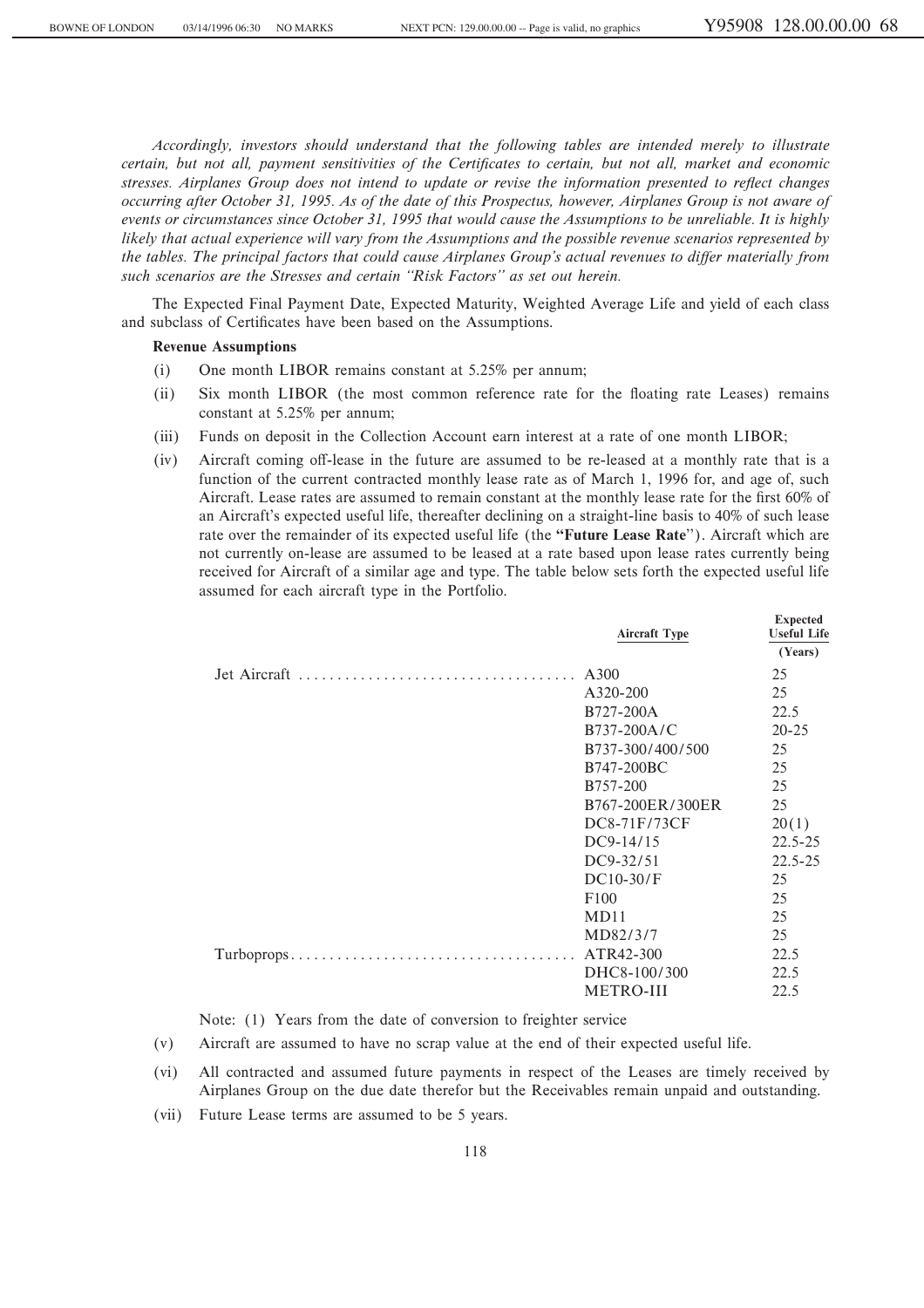**Expected**

*Accordingly, investors should understand that the following tables are intended merely to illustrate certain, but not all, payment sensitivities of the Certificates to certain, but not all, market and economic stresses. Airplanes Group does not intend to update or revise the information presented to reflect changes occurring after October 31, 1995. As of the date of this Prospectus, however, Airplanes Group is not aware of events or circumstances since October 31, 1995 that would cause the Assumptions to be unreliable. It is highly likely that actual experience will vary from the Assumptions and the possible revenue scenarios represented by the tables. The principal factors that could cause Airplanes Group's actual revenues to differ materially from such scenarios are the Stresses and certain ""Risk Factors'' as set out herein.*

The Expected Final Payment Date, Expected Maturity, Weighted Average Life and yield of each class and subclass of Certificates have been based on the Assumptions.

### **Revenue Assumptions**

- (i) One month LIBOR remains constant at 5.25% per annum;
- (ii) Six month LIBOR (the most common reference rate for the Öoating rate Leases) remains constant at 5.25% per annum;
- (iii) Funds on deposit in the Collection Account earn interest at a rate of one month LIBOR;
- (iv) Aircraft coming off-lease in the future are assumed to be re-leased at a monthly rate that is a function of the current contracted monthly lease rate as of March 1, 1996 for, and age of, such Aircraft. Lease rates are assumed to remain constant at the monthly lease rate for the first 60% of an Aircraft's expected useful life, thereafter declining on a straight-line basis to 40% of such lease rate over the remainder of its expected useful life (the **""Future Lease Rate**''). Aircraft which are not currently on-lease are assumed to be leased at a rate based upon lease rates currently being received for Aircraft of a similar age and type. The table below sets forth the expected useful life assumed for each aircraft type in the Portfolio.

| <b>Aircraft Type</b>  | <b>EXPECTED</b><br><b>Useful Life</b><br>(Years) |
|-----------------------|--------------------------------------------------|
|                       | 25                                               |
| A320-200              | 25                                               |
| B727-200A             | 22.5                                             |
| $B737-200A/C$         | $20 - 25$                                        |
| B737-300/400/500      | 25                                               |
| B747-200BC            | 25                                               |
| B <sub>757</sub> -200 | 25                                               |
| B767-200ER/300ER      | 25                                               |
| DC8-71F/73CF          | 20(1)                                            |
| $DC9-14/15$           | $22.5 - 25$                                      |
| DC9-32/51             | $22.5 - 25$                                      |
| $DC10-30/F$           | 25                                               |
| F100                  | 25                                               |
| MD11                  | 25                                               |
| MD82/3/7              | 25                                               |
|                       | 22.5                                             |
| DHC8-100/300          | 22.5                                             |
| METRO-III             | 22.5                                             |
|                       |                                                  |

Note: (1) Years from the date of conversion to freighter service

- (v) Aircraft are assumed to have no scrap value at the end of their expected useful life.
- (vi) All contracted and assumed future payments in respect of the Leases are timely received by Airplanes Group on the due date therefor but the Receivables remain unpaid and outstanding.
- (vii) Future Lease terms are assumed to be 5 years.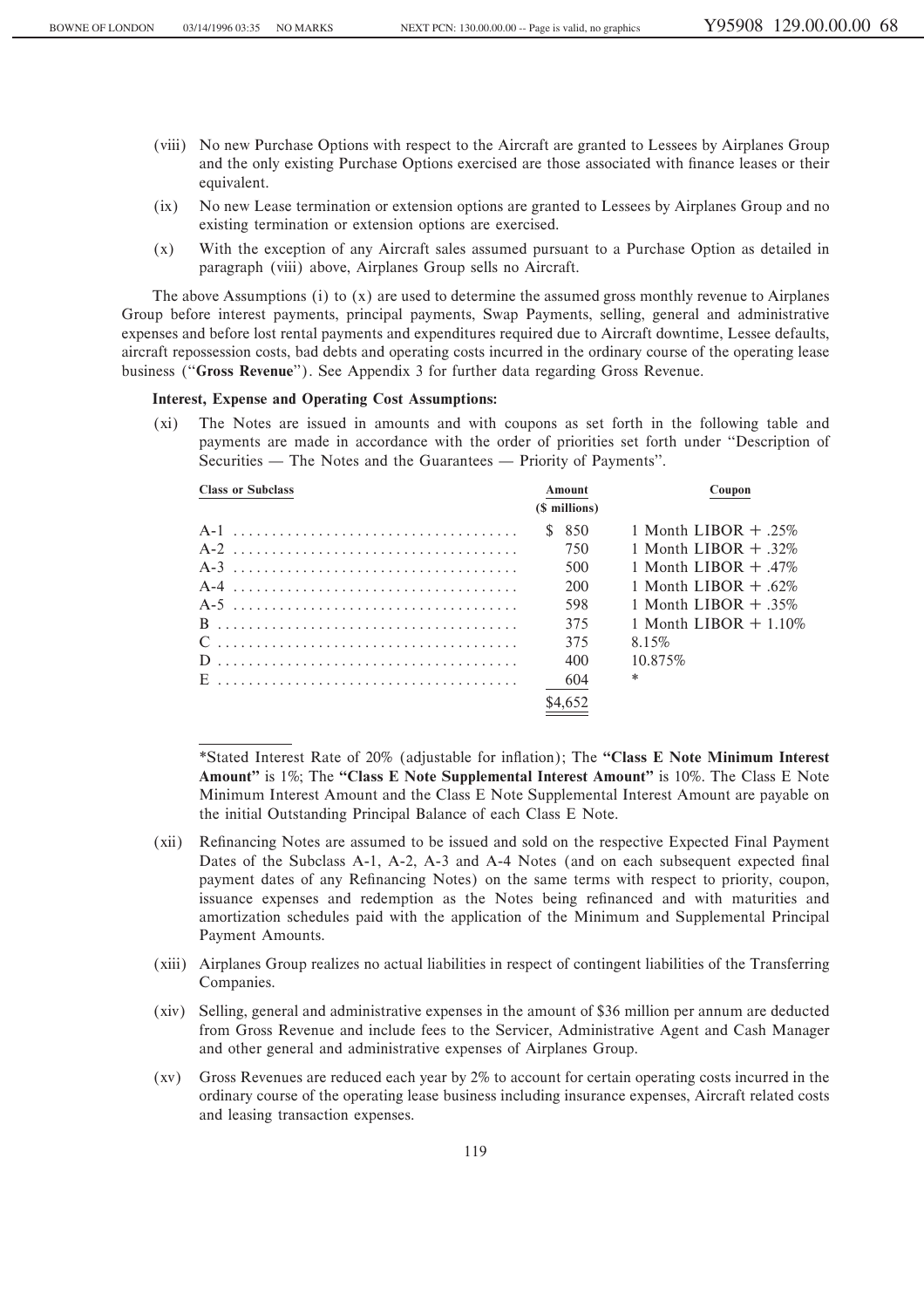- (viii) No new Purchase Options with respect to the Aircraft are granted to Lessees by Airplanes Group and the only existing Purchase Options exercised are those associated with finance leases or their equivalent.
- (ix) No new Lease termination or extension options are granted to Lessees by Airplanes Group and no existing termination or extension options are exercised.
- (x) With the exception of any Aircraft sales assumed pursuant to a Purchase Option as detailed in paragraph (viii) above, Airplanes Group sells no Aircraft.

The above Assumptions (i) to (x) are used to determine the assumed gross monthly revenue to Airplanes Group before interest payments, principal payments, Swap Payments, selling, general and administrative expenses and before lost rental payments and expenditures required due to Aircraft downtime, Lessee defaults, aircraft repossession costs, bad debts and operating costs incurred in the ordinary course of the operating lease business (""**Gross Revenue**''). See Appendix 3 for further data regarding Gross Revenue.

## **Interest, Expense and Operating Cost Assumptions:**

(xi) The Notes are issued in amounts and with coupons as set forth in the following table and payments are made in accordance with the order of priorities set forth under "Description of Securities — The Notes and the Guarantees — Priority of Payments".

| <b>Class or Subclass</b> | Amount<br>(\$ millions) | Coupon                  |
|--------------------------|-------------------------|-------------------------|
|                          |                         |                         |
|                          | \$850                   | 1 Month LIBOR $+$ 25%   |
|                          | 750                     | 1 Month LIBOR $+$ 32\%  |
|                          | 500                     | 1 Month LIBOR $+$ 47%   |
|                          | 200                     | 1 Month LIBOR $+$ 62%   |
|                          | 598                     | 1 Month LIBOR $+$ 35%   |
|                          | 375                     | 1 Month LIBOR $+$ 1.10% |
|                          | 375                     | 8.15%                   |
|                          | 400                     | 10.875%                 |
|                          | 604                     | $\ast$                  |
|                          | \$4,652                 |                         |
|                          |                         |                         |

\*Stated Interest Rate of 20% (adjustable for inÖation); The **""Class E Note Minimum Interest** Amount" is 1%; The "Class E Note Supplemental Interest Amount" is 10%. The Class E Note Minimum Interest Amount and the Class E Note Supplemental Interest Amount are payable on the initial Outstanding Principal Balance of each Class E Note.

- (xii) Refinancing Notes are assumed to be issued and sold on the respective Expected Final Payment Dates of the Subclass A-1, A-2, A-3 and A-4 Notes (and on each subsequent expected final payment dates of any Refinancing Notes) on the same terms with respect to priority, coupon, issuance expenses and redemption as the Notes being refinanced and with maturities and amortization schedules paid with the application of the Minimum and Supplemental Principal Payment Amounts.
- (xiii) Airplanes Group realizes no actual liabilities in respect of contingent liabilities of the Transferring Companies.
- (xiv) Selling, general and administrative expenses in the amount of \$36 million per annum are deducted from Gross Revenue and include fees to the Servicer, Administrative Agent and Cash Manager and other general and administrative expenses of Airplanes Group.
- (xv) Gross Revenues are reduced each year by 2% to account for certain operating costs incurred in the ordinary course of the operating lease business including insurance expenses, Aircraft related costs and leasing transaction expenses.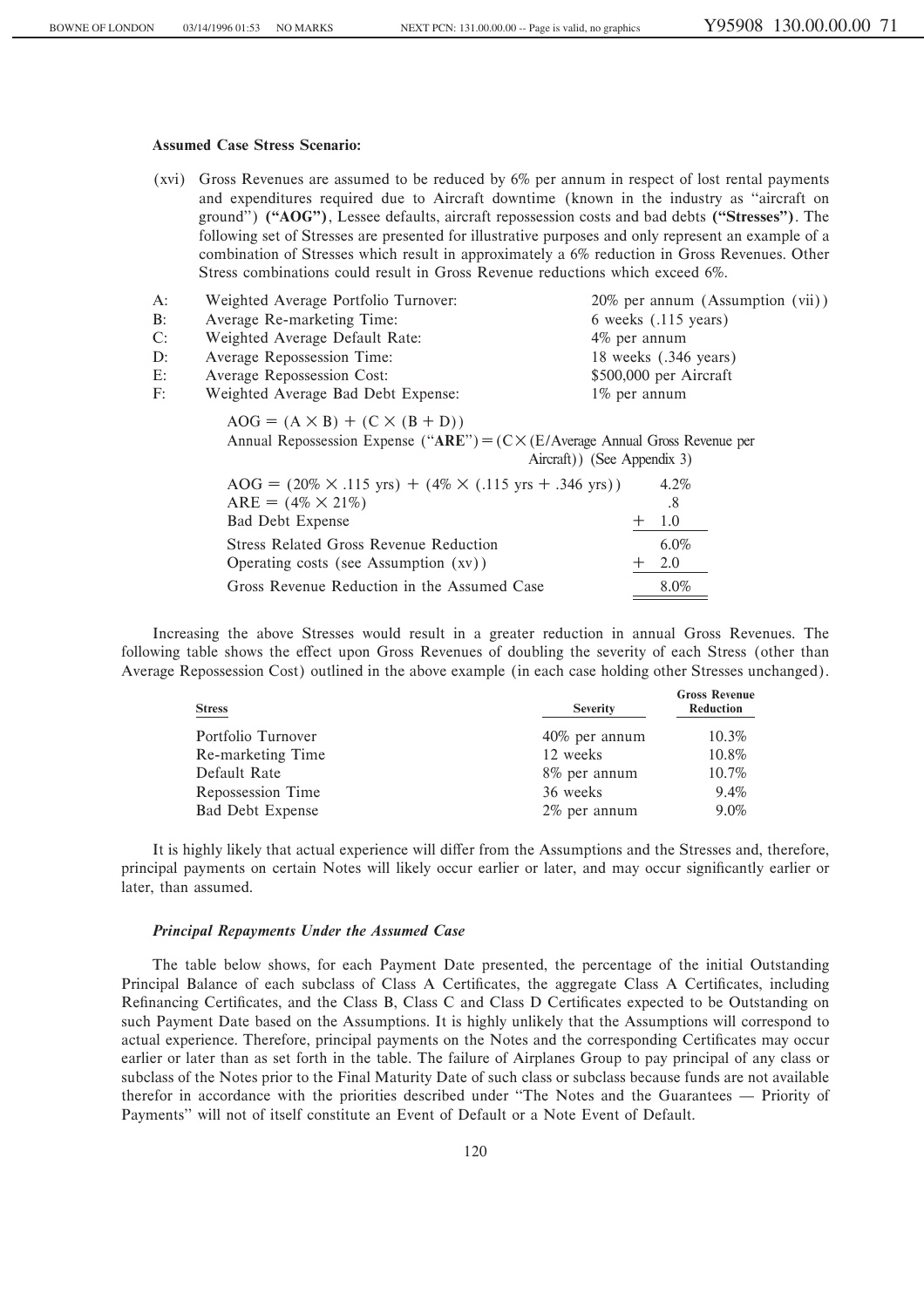## **Assumed Case Stress Scenario:**

(xvi) Gross Revenues are assumed to be reduced by 6% per annum in respect of lost rental payments and expenditures required due to Aircraft downtime (known in the industry as "aircraft on ground'') **(""AOG'')**, Lessee defaults, aircraft repossession costs and bad debts **(""Stresses'')**. The following set of Stresses are presented for illustrative purposes and only represent an example of a combination of Stresses which result in approximately a 6% reduction in Gross Revenues. Other Stress combinations could result in Gross Revenue reductions which exceed 6%.

| $A$ : | Weighted Average Portfolio Turnover:                                                                                                 | $20\%$ per annum (Assumption (vii)) |
|-------|--------------------------------------------------------------------------------------------------------------------------------------|-------------------------------------|
| $B$ : | Average Re-marketing Time:                                                                                                           | 6 weeks (.115 years)                |
| C:    | Weighted Average Default Rate:                                                                                                       | 4% per annum                        |
| $D$ : | Average Repossession Time:                                                                                                           | 18 weeks (.346 years)               |
| $E$ : | Average Repossession Cost:                                                                                                           | \$500,000 per Aircraft              |
| F:    | Weighted Average Bad Debt Expense:                                                                                                   | 1% per annum                        |
|       | $AOG = (A \times B) + (C \times (B + D))$<br>Annual Repossession Expense ("ARE") = $(C \times (E/A)$ verage Annual Gross Revenue per | Aircraft)) (See Appendix 3)         |
|       | $AOG = (20\% \times .115 \text{ yrs}) + (4\% \times (.115 \text{ yrs} + .346 \text{ yrs}))$                                          | $4.2\%$                             |
|       | $ARE = (4\% \times 21\%)$                                                                                                            | .8                                  |
|       | Bad Debt Expense                                                                                                                     | 1.0<br>$+$                          |
|       | <b>Stress Related Gross Revenue Reduction</b>                                                                                        | $6.0\%$                             |
|       | Operating costs (see Assumption (xv))                                                                                                | 2.0<br>$^+$                         |

Gross Revenue Reduction in the Assumed Case 8.0%

Increasing the above Stresses would result in a greater reduction in annual Gross Revenues. The following table shows the effect upon Gross Revenues of doubling the severity of each Stress (other than Average Repossession Cost) outlined in the above example (in each case holding other Stresses unchanged).

| <b>Stress</b>           | <b>Severity</b> | <b>Gross Revenue</b><br>Reduction |
|-------------------------|-----------------|-----------------------------------|
| Portfolio Turnover      | 40% per annum   | 10.3%                             |
| Re-marketing Time       | 12 weeks        | 10.8%                             |
| Default Rate            | 8% per annum    | 10.7%                             |
| Repossession Time       | 36 weeks        | 9.4%                              |
| <b>Bad Debt Expense</b> | 2% per annum    | 9.0%                              |

It is highly likely that actual experience will differ from the Assumptions and the Stresses and, therefore, principal payments on certain Notes will likely occur earlier or later, and may occur significantly earlier or later, than assumed.

### *Principal Repayments Under the Assumed Case*

The table below shows, for each Payment Date presented, the percentage of the initial Outstanding Principal Balance of each subclass of Class A Certificates, the aggregate Class A Certificates, including Refinancing Certificates, and the Class B, Class C and Class D Certificates expected to be Outstanding on such Payment Date based on the Assumptions. It is highly unlikely that the Assumptions will correspond to actual experience. Therefore, principal payments on the Notes and the corresponding Certificates may occur earlier or later than as set forth in the table. The failure of Airplanes Group to pay principal of any class or subclass of the Notes prior to the Final Maturity Date of such class or subclass because funds are not available therefor in accordance with the priorities described under "The Notes and the Guarantees — Priority of Payments'' will not of itself constitute an Event of Default or a Note Event of Default.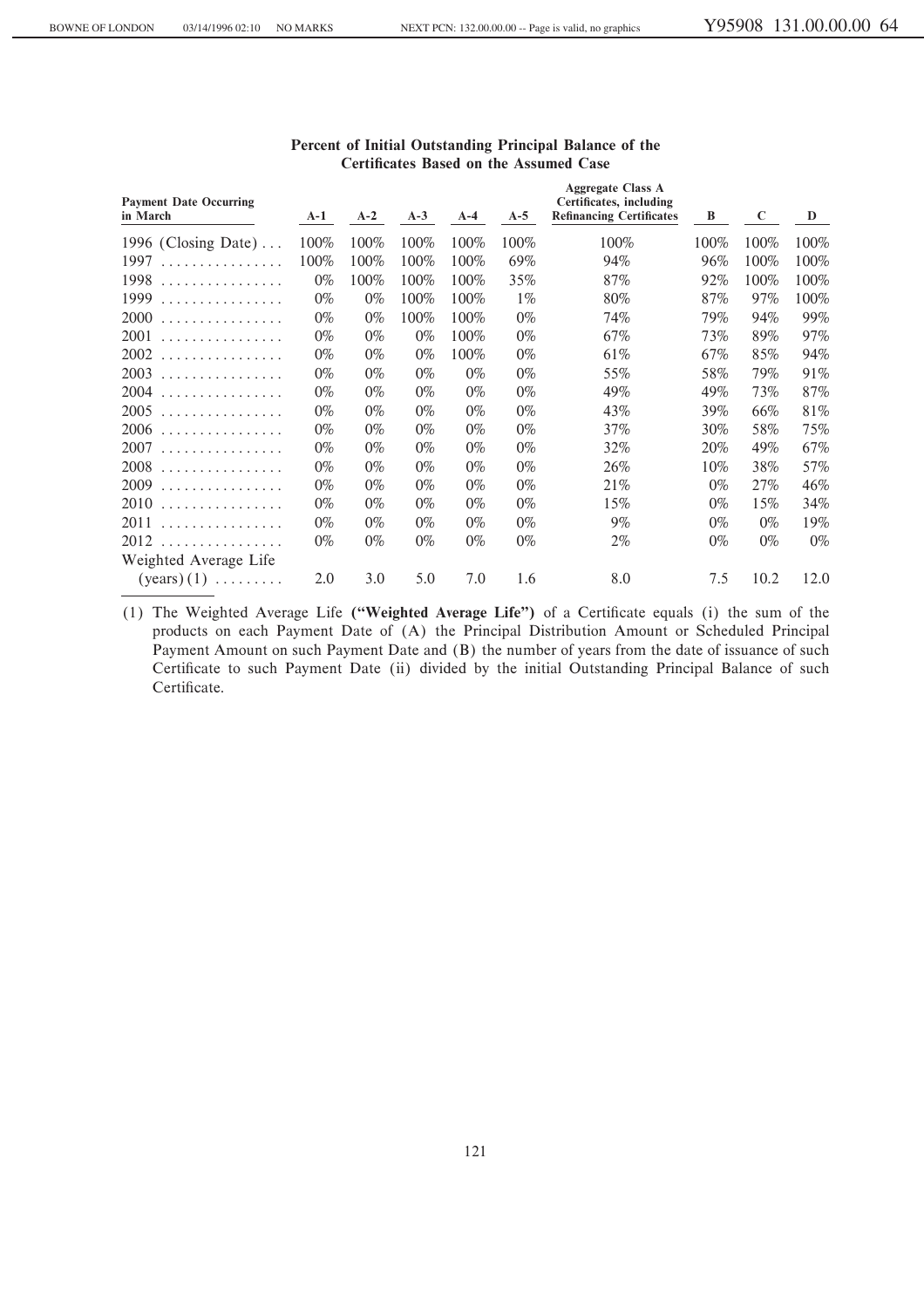| <b>Payment Date Occurring</b><br>in March | $A-1$ | $A-2$ | $A-3$ | $A-4$ | $A-5$ | <b>Aggregate Class A</b><br>Certificates, including<br><b>Refinancing Certificates</b> | B     | $\mathbf{C}$ | D     |
|-------------------------------------------|-------|-------|-------|-------|-------|----------------------------------------------------------------------------------------|-------|--------------|-------|
| 1996 (Closing Date) $\dots$               | 100%  | 100%  | 100%  | 100%  | 100%  | 100%                                                                                   | 100%  | 100%         | 100%  |
| 1997<br>.                                 | 100%  | 100%  | 100%  | 100%  | 69%   | 94%                                                                                    | 96%   | 100%         | 100%  |
| 1998<br>.                                 | $0\%$ | 100%  | 100%  | 100%  | 35%   | 87%                                                                                    | 92%   | 100%         | 100%  |
| 1999<br>.                                 | $0\%$ | $0\%$ | 100%  | 100%  | $1\%$ | 80%                                                                                    | 87%   | 97%          | 100%  |
| 2000<br>.                                 | $0\%$ | $0\%$ | 100%  | 100%  | $0\%$ | 74%                                                                                    | 79%   | 94%          | 99%   |
| 2001<br>.                                 | $0\%$ | $0\%$ | $0\%$ | 100%  | $0\%$ | 67%                                                                                    | 73%   | 89%          | 97%   |
| 2002<br>.                                 | $0\%$ | $0\%$ | $0\%$ | 100%  | $0\%$ | 61%                                                                                    | 67%   | 85%          | 94%   |
| 2003<br>.                                 | $0\%$ | $0\%$ | $0\%$ | $0\%$ | $0\%$ | 55%                                                                                    | 58%   | 79%          | 91%   |
| 2004<br>.                                 | $0\%$ | $0\%$ | $0\%$ | $0\%$ | $0\%$ | 49%                                                                                    | 49%   | 73%          | 87%   |
| 2005<br>.                                 | $0\%$ | $0\%$ | $0\%$ | $0\%$ | $0\%$ | 43%                                                                                    | 39%   | 66%          | 81%   |
| 2006<br>.                                 | $0\%$ | $0\%$ | $0\%$ | $0\%$ | $0\%$ | 37%                                                                                    | 30%   | 58%          | 75%   |
| 2007<br>.                                 | $0\%$ | $0\%$ | $0\%$ | $0\%$ | $0\%$ | 32%                                                                                    | 20%   | 49%          | 67%   |
| 2008<br>.                                 | $0\%$ | $0\%$ | $0\%$ | $0\%$ | $0\%$ | 26%                                                                                    | 10%   | 38%          | 57%   |
| 2009<br>.                                 | $0\%$ | $0\%$ | $0\%$ | $0\%$ | $0\%$ | 21%                                                                                    | $0\%$ | 27%          | 46%   |
| 2010<br>.                                 | $0\%$ | $0\%$ | $0\%$ | $0\%$ | $0\%$ | 15%                                                                                    | $0\%$ | 15%          | 34%   |
| 2011<br>.                                 | $0\%$ | $0\%$ | $0\%$ | $0\%$ | $0\%$ | 9%                                                                                     | $0\%$ | $0\%$        | 19%   |
| 2012<br>.                                 | $0\%$ | $0\%$ | $0\%$ | $0\%$ | $0\%$ | $2\%$                                                                                  | $0\%$ | $0\%$        | $0\%$ |
| Weighted Average Life                     |       |       |       |       |       |                                                                                        |       |              |       |
| $(years) (1) \dots \dots$                 | 2.0   | 3.0   | 5.0   | 7.0   | 1.6   | 8.0                                                                                    | 7.5   | 10.2         | 12.0  |

# **Percent of Initial Outstanding Principal Balance of the Certificates Based on the Assumed Case**

(1) The Weighted Average Life ("Weighted Average Life") of a Certificate equals (i) the sum of the products on each Payment Date of (A) the Principal Distribution Amount or Scheduled Principal Payment Amount on such Payment Date and (B) the number of years from the date of issuance of such Certificate to such Payment Date (ii) divided by the initial Outstanding Principal Balance of such Certificate.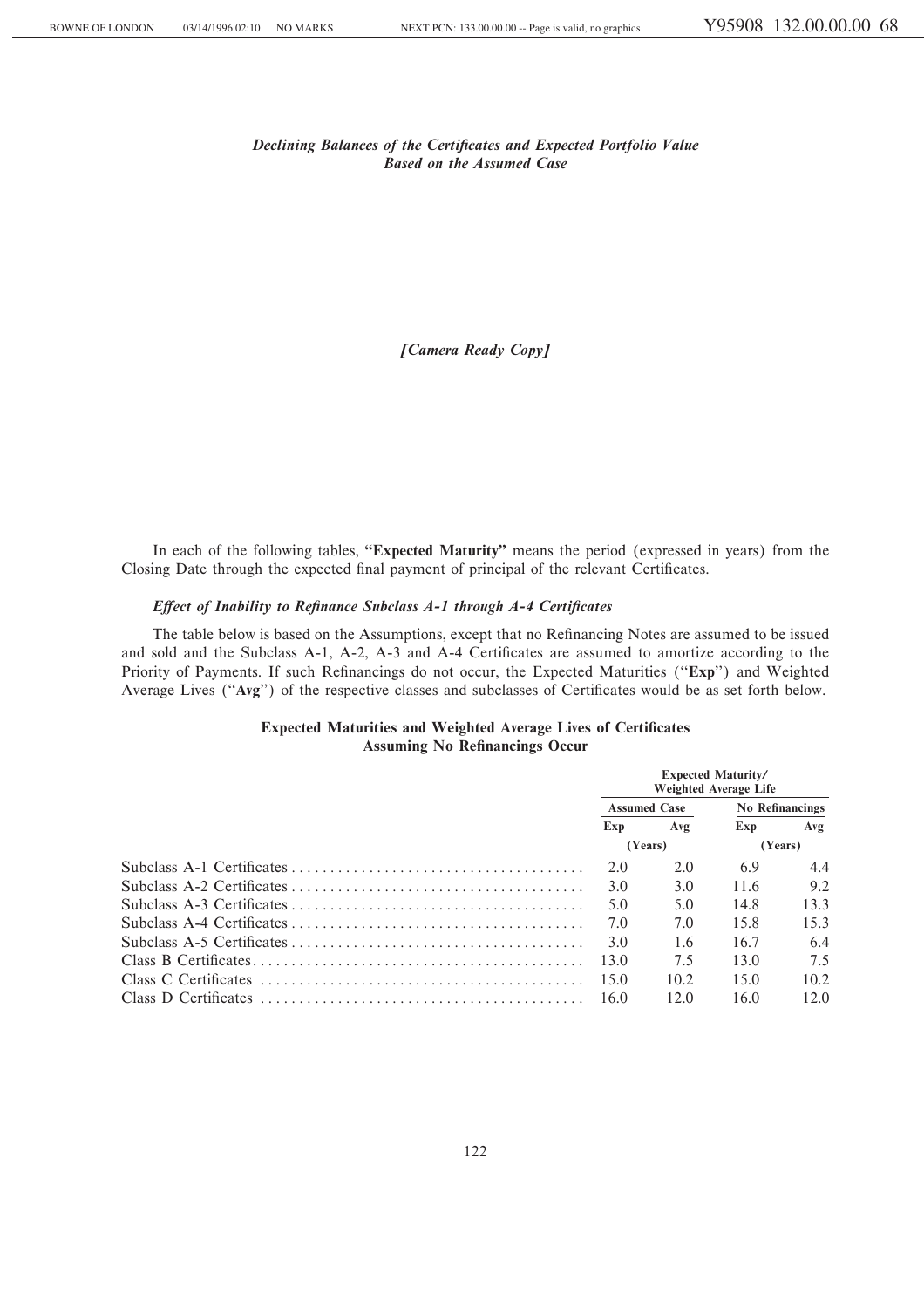*Declining Balances of the Certificates and Expected Portfolio Value Based on the Assumed Case*

*®Camera Ready Copy©*

In each of the following tables, "Expected Maturity" means the period (expressed in years) from the Closing Date through the expected final payment of principal of the relevant Certificates.

# *Effect of Inability to Refinance Subclass A-1 through A-4 Certificates*

The table below is based on the Assumptions, except that no Refinancing Notes are assumed to be issued and sold and the Subclass A-1, A-2, A-3 and A-4 Certificates are assumed to amortize according to the Priority of Payments. If such Refinancings do not occur, the Expected Maturities ("Exp") and Weighted Average Lives ("Avg") of the respective classes and subclasses of Certificates would be as set forth below.

# **Expected Maturities and Weighted Average Lives of Certificates Assuming No Refinancings Occur**

| <b>Expected Maturity/</b><br><b>Weighted Average Life</b> |      |                        |      |  |  |
|-----------------------------------------------------------|------|------------------------|------|--|--|
| <b>Assumed Case</b>                                       |      | <b>No Refinancings</b> |      |  |  |
| Exp                                                       | Avg  | Exp                    | Avg  |  |  |
| (Years)                                                   |      | (Years)                |      |  |  |
| 2.0                                                       | 2.0  | 6.9                    | 4.4  |  |  |
| 3.0                                                       | 3.0  | 11.6                   | 9.2  |  |  |
| 5.0                                                       | 5.0  | 14.8                   | 13.3 |  |  |
| 7 Q                                                       | 7.0  | 15.8                   | 15.3 |  |  |
| 3.0                                                       | 1.6  | 16.7                   | 6.4  |  |  |
| 13.0                                                      | 7.5  | 13.0                   | 7.5  |  |  |
| 15.0                                                      | 10.2 | 15.0                   | 10.2 |  |  |
| 16.0                                                      | 12.0 | 16.0                   | 12.0 |  |  |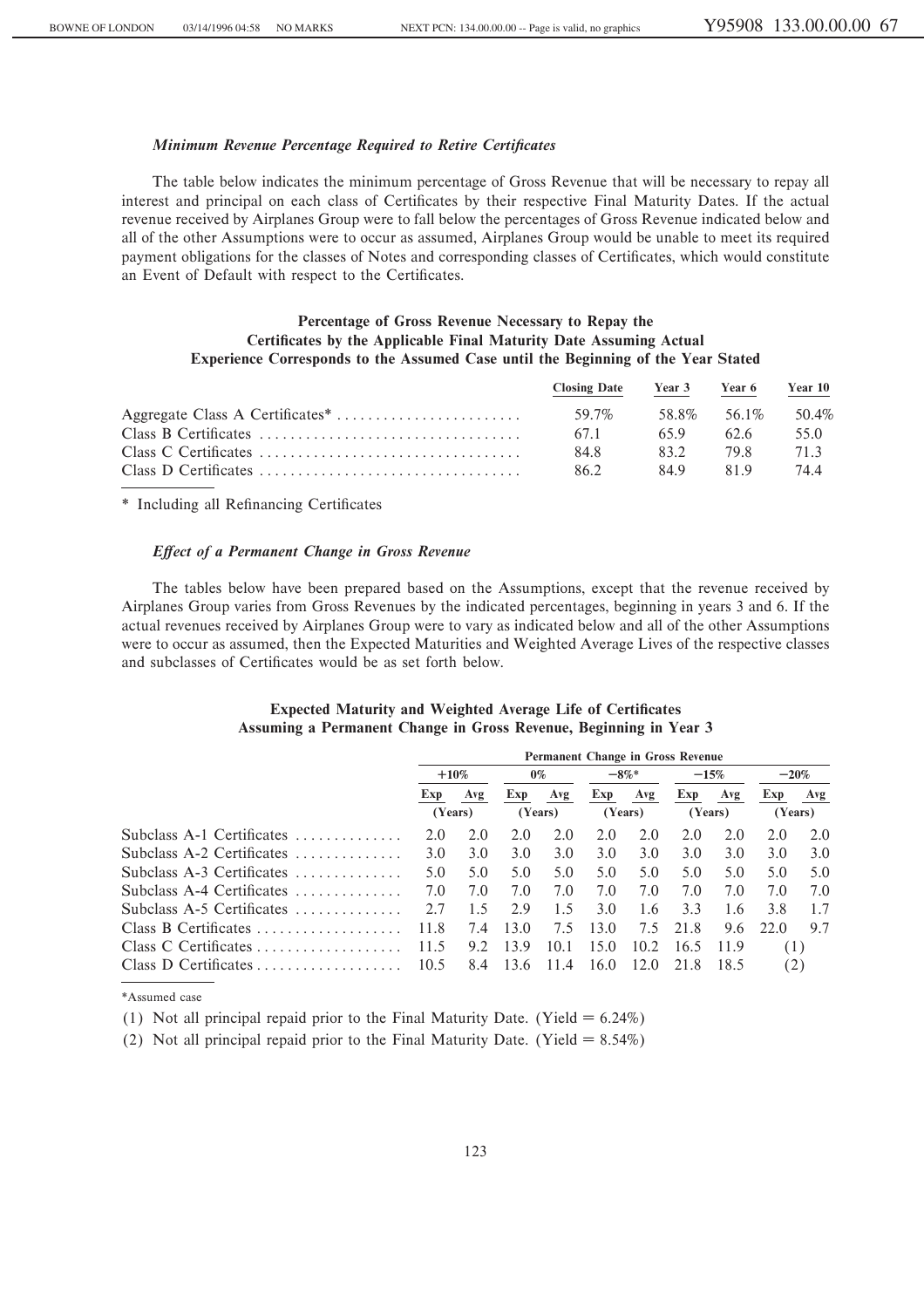# *Minimum Revenue Percentage Required to Retire Certificates*

The table below indicates the minimum percentage of Gross Revenue that will be necessary to repay all interest and principal on each class of Certificates by their respective Final Maturity Dates. If the actual revenue received by Airplanes Group were to fall below the percentages of Gross Revenue indicated below and all of the other Assumptions were to occur as assumed, Airplanes Group would be unable to meet its required payment obligations for the classes of Notes and corresponding classes of Certificates, which would constitute an Event of Default with respect to the Certificates.

# **Percentage of Gross Revenue Necessary to Repay the** Certificates by the Applicable Final Maturity Date Assuming Actual **Experience Corresponds to the Assumed Case until the Beginning of the Year Stated**

| <b>Closing Date</b> | Year 3 | Year 6      | Year 10 |
|---------------------|--------|-------------|---------|
| 59.7%               |        | 58.8% 56.1% | 50.4%   |
| 67.1                | 659    | 62.6        | 55.0    |
| 84.8                | 832    | 79 R        | 71.3    |
| 862                 | 849    | 819         | 744     |

\* Including all Refinancing Certificates

## *Effect of a Permanent Change in Gross Revenue*

The tables below have been prepared based on the Assumptions, except that the revenue received by Airplanes Group varies from Gross Revenues by the indicated percentages, beginning in years 3 and 6. If the actual revenues received by Airplanes Group were to vary as indicated below and all of the other Assumptions were to occur as assumed, then the Expected Maturities and Weighted Average Lives of the respective classes and subclasses of Certificates would be as set forth below.

# **Expected Maturity and Weighted Average Life of Certificates Assuming a Permanent Change in Gross Revenue, Beginning in Year 3**

|                                                  | <b>Permanent Change in Gross Revenue</b> |     |         |      |         |      |         |      |         |         |  |
|--------------------------------------------------|------------------------------------------|-----|---------|------|---------|------|---------|------|---------|---------|--|
|                                                  | $+10\%$                                  |     | $0\%$   |      | $-8\%*$ |      | $-15%$  |      | $-20\%$ |         |  |
|                                                  | Exp                                      | Avg | Exp     | Avg  | Exp     | Avg  | Exp     | Avg  | Exp     | Avg     |  |
|                                                  | (Years)                                  |     | (Years) |      | (Years) |      | (Years) |      |         | (Years) |  |
| Subclass A-1 Certificates $\ldots$ , $\ldots$    | 2.0                                      | 2.0 | 2.0     | 2.0  | 2.0     | 2.0  | 2.0     | 2.0  | 2.0     | 2.0     |  |
| Subclass A-2 Certificates                        | 3.0                                      | 3.0 | 3.0     | 3.0  | 3.0     | 3.0  | 3.0     | 3.0  | 3.0     | 3.0     |  |
| Subclass A-3 Certificates                        | 5.0                                      | 5.0 | 5.0     | 5.0  | 5.0     | 5.0  | 5.0     | 5.0  | 5.0     | 5.0     |  |
| Subclass A-4 Certificates                        | 7.0                                      | 7.0 | 7.0     | 7.0  | 7.0     | 7.0  | 7.0     | 7.0  | 7.0     | 7.0     |  |
| Subclass A-5 Certificates $\dots\dots\dots\dots$ | 2.7                                      | 1.5 | 29      | 1.5  | 3.0     | 1.6  | 3.3     | 1.6  | 3.8     | 1.7     |  |
| Class B Certificates                             | 11.8                                     | 7.4 | 13.0    | 7.5  | 13.0    | 7.5  | 21.8    | 9.6  | 22.0    | 9.7     |  |
| Class C Certificates                             | 11.5                                     | 9.2 | 13.9    | 10.1 | 15.0    | 10.2 | 16.5    | 11.9 | (1)     |         |  |
|                                                  | 10.5                                     | 8.4 | 13.6    | 11.4 | 16.0    | 12.0 | 21.8    | 18.5 | (2)     |         |  |

\*Assumed case

(1) Not all principal repaid prior to the Final Maturity Date. (Yield  $= 6.24\%$ )

(2) Not all principal repaid prior to the Final Maturity Date. (Yield  $= 8.54\%$ )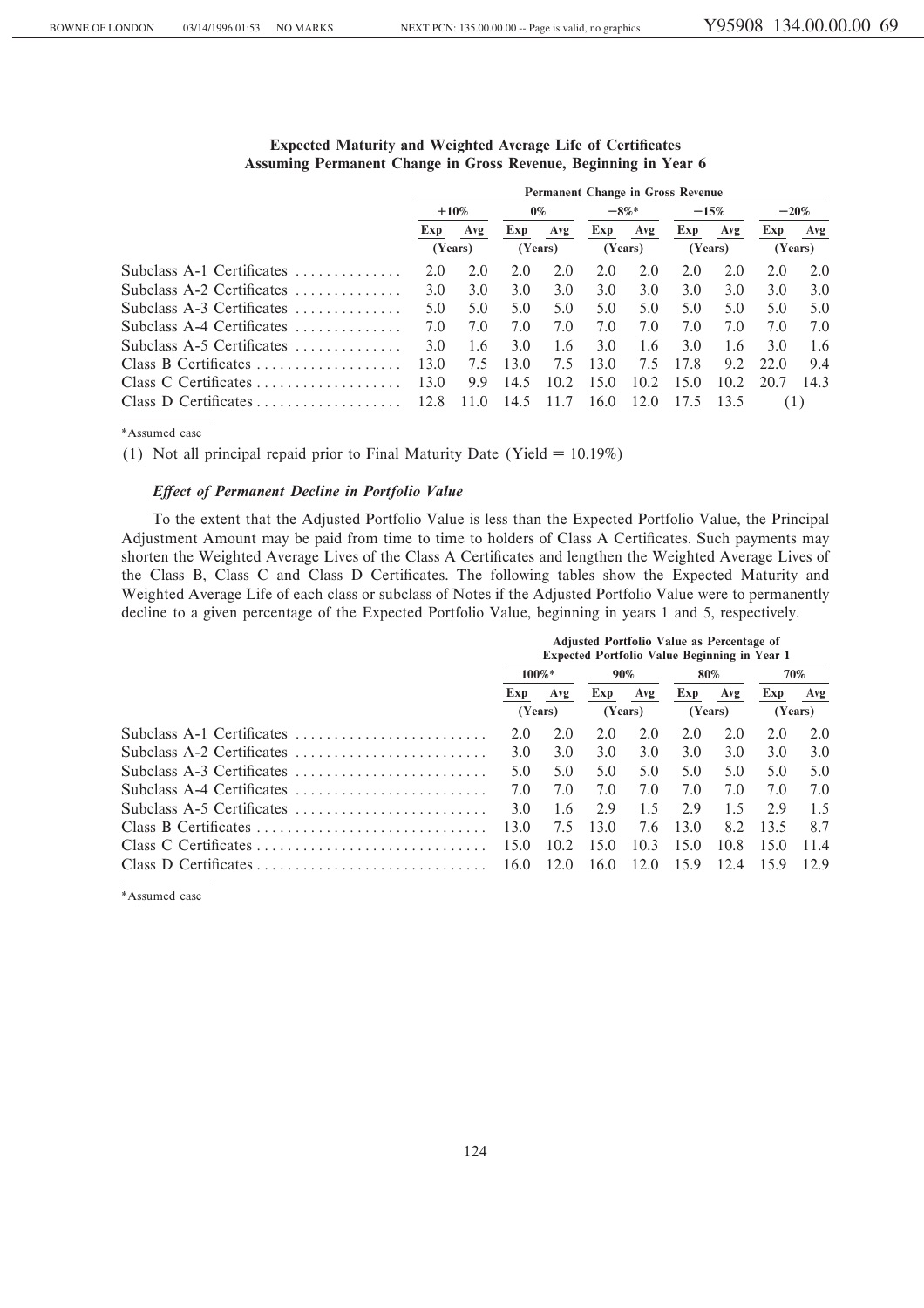|                                                  | <b>Permanent Change in Gross Revenue</b> |         |         |      |         |      |         |      |         |         |  |
|--------------------------------------------------|------------------------------------------|---------|---------|------|---------|------|---------|------|---------|---------|--|
|                                                  |                                          | $+10\%$ | $0\%$   |      | $-8\%*$ |      | $-15%$  |      | $-20\%$ |         |  |
|                                                  | Exp                                      | Avg     | Exp     | Avg  | Exp     | Avg  | Exp     | Avg  | Exp     | Avg     |  |
|                                                  | (Years)                                  |         | (Years) |      | (Years) |      | (Years) |      |         | (Years) |  |
| Subclass A-1 Certificates                        | 2.0                                      | 2.0     | 2.0     | 2.0  | 2.0     | 2.0  | 2.0     | 2.0  | 2.0     | 2.0     |  |
| Subclass A-2 Certificates $\dots\dots\dots\dots$ | 3.0                                      | 3.0     | 3.0     | 3.0  | 3.0     | 3.0  | 3.0     | 3.0  | 3.0     | 3.0     |  |
| Subclass $A-3$ Certificates                      | 5.0                                      | 5.0     | 5.0     | 5.0  | 5.0     | 5.0  | 5.0     | 5.0  | 5.0     | 5.0     |  |
| Subclass $A-4$ Certificates                      | 7.0                                      | 7.0     | 7.0     | 7.0  | 7.0     | 7.0  | 7.0     | 7.0  | 7.0     | 7.0     |  |
| Subclass A-5 Certificates $\dots\dots\dots\dots$ | 3.0                                      | 1.6     | 3.0     | 1.6  | 3.0     | 1.6  | 3.0     | 1.6  | 3.0     | 1.6     |  |
| Class B Certificates                             | 13.0                                     | 7.5     | 13.0    | 7.5  | 13.0    | 7.5  | 17.8    | 9.2  | 22.0    | 9.4     |  |
| Class C Certificates                             | 13.0                                     | 9.9     | 14.5    | 10.2 | 15.0    | 10.2 | 15.0    | 10.2 | 20.7    | 14.3    |  |
| Class D Certificates                             | 12.8                                     | -11.0   | 14.5    | 11.7 | 16.0    | 12.0 | 17.5    | 13.5 | (1)     |         |  |

# **Expected Maturity and Weighted Average Life of Certificates Assuming Permanent Change in Gross Revenue, Beginning in Year 6**

\*Assumed case

(1) Not all principal repaid prior to Final Maturity Date (Yield  $= 10.19\%$ )

### *Effect of Permanent Decline in Portfolio Value*

To the extent that the Adjusted Portfolio Value is less than the Expected Portfolio Value, the Principal Adjustment Amount may be paid from time to time to holders of Class A Certificates. Such payments may shorten the Weighted Average Lives of the Class A Certificates and lengthen the Weighted Average Lives of the Class B, Class C and Class D Certificates. The following tables show the Expected Maturity and Weighted Average Life of each class or subclass of Notes if the Adjusted Portfolio Value were to permanently decline to a given percentage of the Expected Portfolio Value, beginning in years 1 and 5, respectively.

|                           | <b>Adjusted Portfolio Value as Percentage of</b><br><b>Expected Portfolio Value Beginning in Year 1</b> |      |         |      |         |      |      |         |  |  |
|---------------------------|---------------------------------------------------------------------------------------------------------|------|---------|------|---------|------|------|---------|--|--|
|                           | $100\%*$                                                                                                |      | 90%     |      | 80%     |      |      | 70%     |  |  |
|                           | Exp                                                                                                     | Avg  | Exp     | Avg  | Exp     | Avg  | Exp  | Avg     |  |  |
|                           | (Years)                                                                                                 |      | (Years) |      | (Years) |      |      | (Years) |  |  |
| Subclass A-1 Certificates | 2.0                                                                                                     | 2.0  | 2.0     | 2.0  | 2.0     | 2.0  | 2.0  | 2.0     |  |  |
| Subclass A-2 Certificates | 3.0                                                                                                     | 3.0  | 3.0     | 3.0  | 3.0     | 3.0  | 3.0  | 3.0     |  |  |
| Subclass A-3 Certificates | 5.0                                                                                                     | 5.0  | 5.0     | 5.0  | 5.0     | 5.0  | 5.0  | 5.0     |  |  |
| Subclass A-4 Certificates | 7.0                                                                                                     | 7.0  | 7.0     | 7.0  | 7.0     | 7.0  | 7.0  | 7.0     |  |  |
| Subclass A-5 Certificates | 3.0                                                                                                     | 1.6  | 2.9     | 1.5  | 2.9     | 1.5  | 2.9  | 1.5     |  |  |
| Class B Certificates      | 13.0                                                                                                    | 7.5  | 13.0    | 7.6  | 13.0    | 8.2  | 13.5 | 8.7     |  |  |
|                           | 15.0                                                                                                    | 10.2 | 150     | 10.3 | 15.0    | 10.8 | 15.0 | 11.4    |  |  |
|                           | 16.0                                                                                                    | 12.0 | 16.0    | 12.0 | 15.9    | 12.4 | 15.9 | 12.9    |  |  |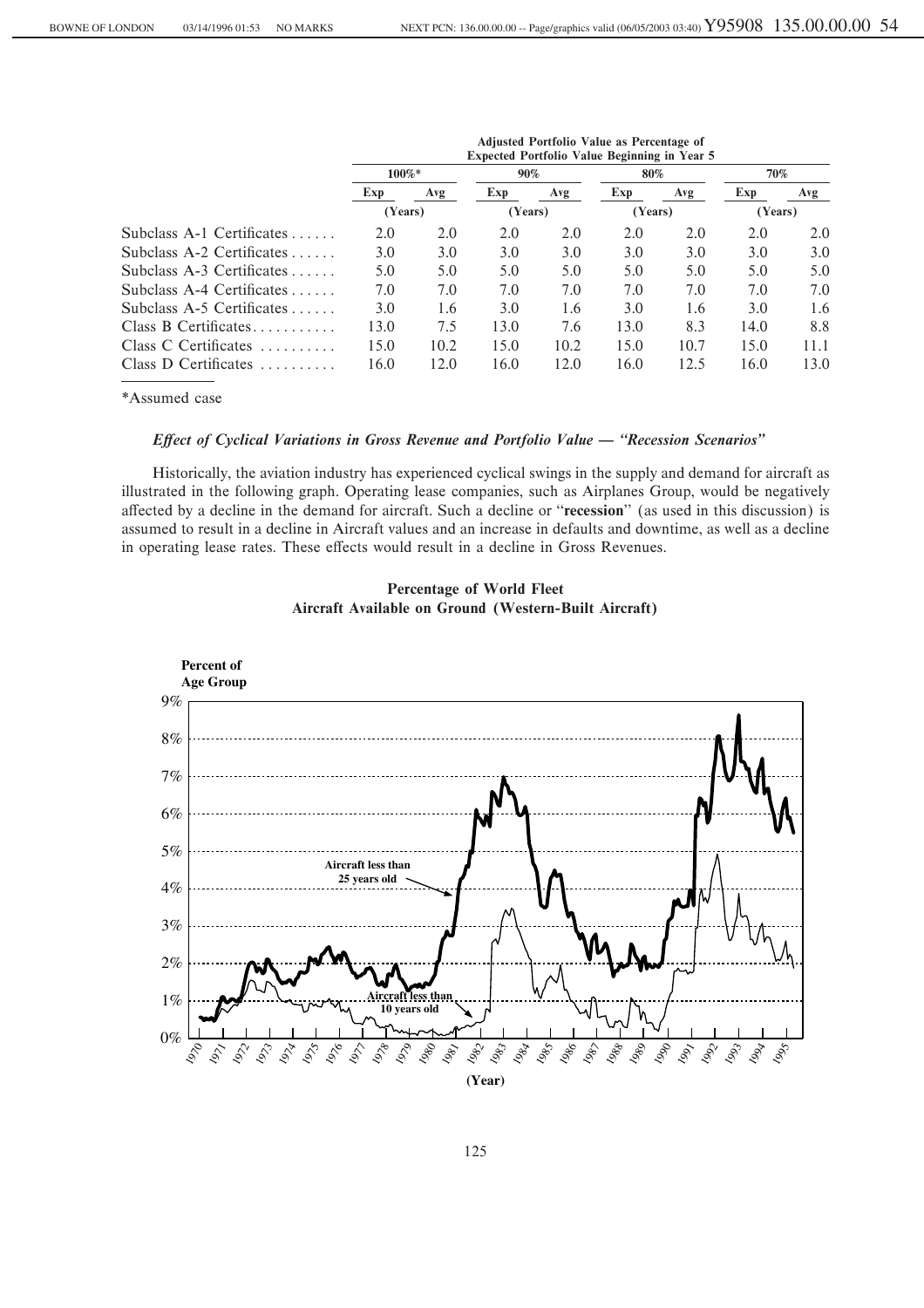|                             | Aujusted Portiono value as Percentage of<br><b>Expected Portfolio Value Beginning in Year 5</b> |      |         |      |         |      |         |      |  |  |  |  |  |
|-----------------------------|-------------------------------------------------------------------------------------------------|------|---------|------|---------|------|---------|------|--|--|--|--|--|
|                             | 100%*                                                                                           |      | 90%     |      | 80%     |      | 70%     |      |  |  |  |  |  |
|                             | Exp                                                                                             | Avg  |         | Avg  | Exp     | Avg  | Exp     | Avg  |  |  |  |  |  |
|                             | (Years)                                                                                         |      | (Years) |      | (Years) |      | (Years) |      |  |  |  |  |  |
| Subclass A-1 Certificates   | 2.0                                                                                             | 2.0  | 2.0     | 2.0  | 2.0     | 2.0  | 2.0     | 2.0  |  |  |  |  |  |
| Subclass A-2 Certificates   | 3.0                                                                                             | 3.0  | 3.0     | 3.0  | 3.0     | 3.0  | 3.0     | 3.0  |  |  |  |  |  |
| Subclass $A-3$ Certificates | 5.0                                                                                             | 5.0  | 5.0     | 5.0  | 5.0     | 5.0  | 5.0     | 5.0  |  |  |  |  |  |
| Subclass A-4 Certificates   | 7.0                                                                                             | 7.0  | 7.0     | 7.0  | 7.0     | 7.0  | 7.0     | 7.0  |  |  |  |  |  |
| Subclass $A-5$ Certificates | 3.0                                                                                             | 1.6  | 3.0     | 1.6  | 3.0     | 1.6  | 3.0     | 1.6  |  |  |  |  |  |
| Class B Certificates        | 13.0                                                                                            | 7.5  | 13.0    | 7.6  | 13.0    | 8.3  | 14.0    | 8.8  |  |  |  |  |  |
| Class C Certificates        | 15.0                                                                                            | 10.2 | 15.0    | 10.2 | 15.0    | 10.7 | 15.0    | 11.1 |  |  |  |  |  |
| Class D Certificates        | 16.0                                                                                            | 12.0 | 16.0    | 12.0 | 16.0    | 12.5 | 16.0    | 13.0 |  |  |  |  |  |

**Adjusted Portfolio Value as Percentage of**

\*Assumed case

## *Effect of Cyclical Variations in Gross Revenue and Portfolio Value — "Recession Scenarios"*

Historically, the aviation industry has experienced cyclical swings in the supply and demand for aircraft as illustrated in the following graph. Operating lease companies, such as Airplanes Group, would be negatively affected by a decline in the demand for aircraft. Such a decline or "recession" (as used in this discussion) is assumed to result in a decline in Aircraft values and an increase in defaults and downtime, as well as a decline in operating lease rates. These effects would result in a decline in Gross Revenues.



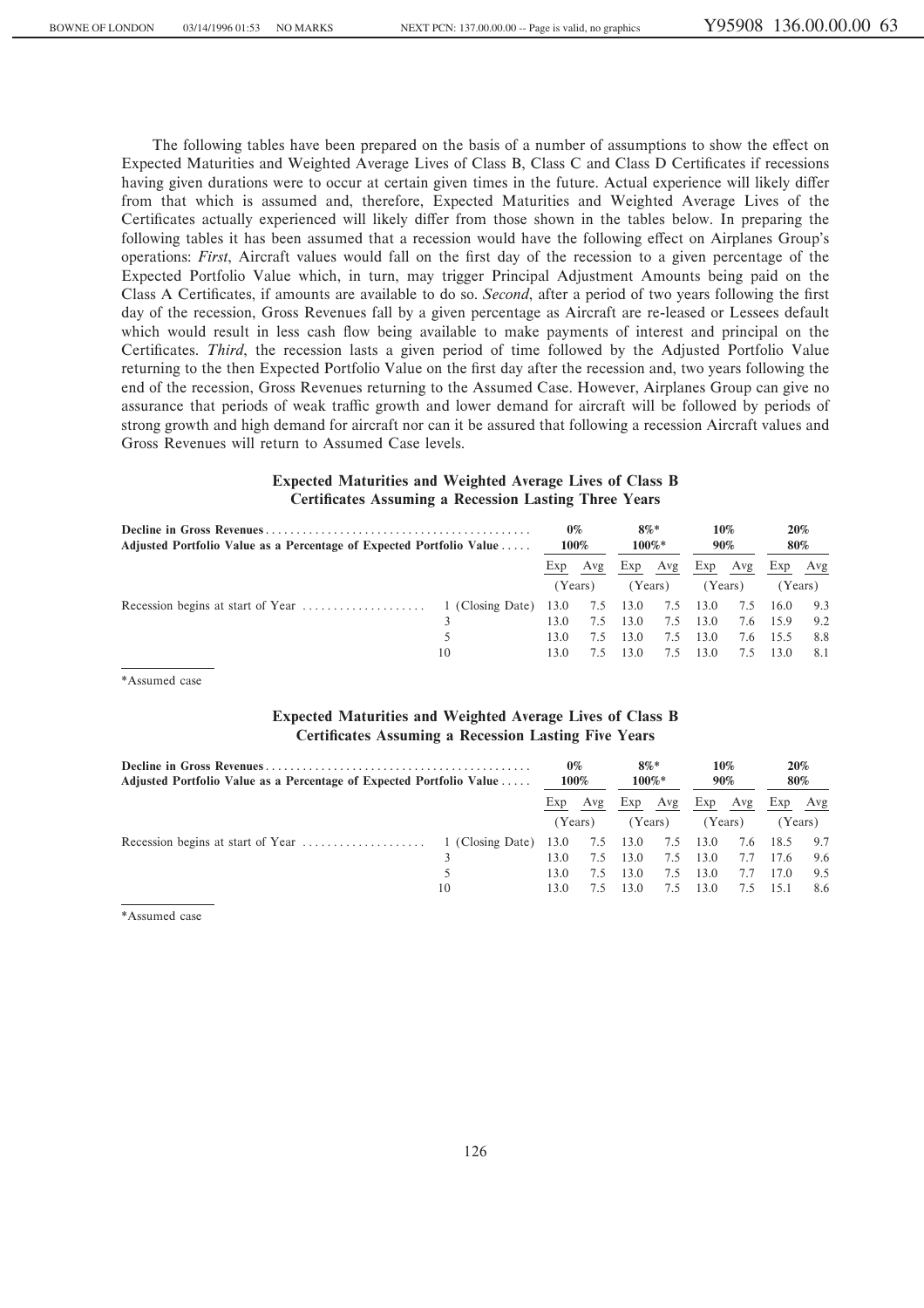The following tables have been prepared on the basis of a number of assumptions to show the effect on Expected Maturities and Weighted Average Lives of Class B, Class C and Class D Certificates if recessions having given durations were to occur at certain given times in the future. Actual experience will likely differ from that which is assumed and, therefore, Expected Maturities and Weighted Average Lives of the Certificates actually experienced will likely differ from those shown in the tables below. In preparing the following tables it has been assumed that a recession would have the following effect on Airplanes Group's operations: *First*, Aircraft values would fall on the first day of the recession to a given percentage of the Expected Portfolio Value which, in turn, may trigger Principal Adjustment Amounts being paid on the Class A Certificates, if amounts are available to do so. *Second*, after a period of two years following the first day of the recession, Gross Revenues fall by a given percentage as Aircraft are re-leased or Lessees default which would result in less cash flow being available to make payments of interest and principal on the Certificates. *Third*, the recession lasts a given period of time followed by the Adjusted Portfolio Value returning to the then Expected Portfolio Value on the first day after the recession and, two years following the end of the recession, Gross Revenues returning to the Assumed Case. However, Airplanes Group can give no assurance that periods of weak traffic growth and lower demand for aircraft will be followed by periods of strong growth and high demand for aircraft nor can it be assured that following a recession Aircraft values and Gross Revenues will return to Assumed Case levels.

# **Expected Maturities and Weighted Average Lives of Class B Certificates Assuming a Recession Lasting Three Years**

| Adjusted Portfolio Value as a Percentage of Expected Portfolio Value |    |         |     | $8\%*$<br>$100\%*$ |         | $10\%$<br>90% |     | 20%<br>80% |         |
|----------------------------------------------------------------------|----|---------|-----|--------------------|---------|---------------|-----|------------|---------|
|                                                                      |    | Exp     | Avg | Exp                | Avg     | Exp           | Avg | Exp        | Avg     |
|                                                                      |    | (Years) |     |                    | (Years) | (Years)       |     |            | (Years) |
|                                                                      |    | 13.0    | 7.5 | 13.0               | 7.5     | 13.0          | 7.5 | 16.0       | 9.3     |
|                                                                      |    | 13.0    | 7.5 | 13.0               | 7.5     | 13.0          | 7.6 | 15.9       | 9.2     |
|                                                                      |    | 13.0    | 7.5 | 13.0               | 7.5     | 13.0          | 7.6 | 15.5       | 8.8     |
|                                                                      | 10 | 13.0    |     | 13.0               | 7.5     | 13.0          | 7.5 | 13.0       | 8.1     |

\*Assumed case

# **Expected Maturities and Weighted Average Lives of Class B Certificates Assuming a Recession Lasting Five Years**

| Adjusted Portfolio Value as a Percentage of Expected Portfolio Value | $0\%$<br>100%    |         | $8\%*$<br>100%* |          | 10%<br>90% |      | 20%<br>80% |          |         |
|----------------------------------------------------------------------|------------------|---------|-----------------|----------|------------|------|------------|----------|---------|
|                                                                      |                  | Exp     | Avg             | Exp      | Avg        | Exp  | Avg        | Exp      | Avg     |
|                                                                      |                  | (Years) |                 | (Years)  |            |      | (Years)    |          | (Years) |
|                                                                      | 1 (Closing Date) | 13.0    |                 | 7.5 13.0 | 7.5        | 13.0 |            | 7.6 18.5 | 9.7     |
|                                                                      |                  | 13.0    | 7.5             | 13.0     | 7.5        | 13.0 | 7.7        | 17.6     | 9.6     |
|                                                                      | 5                | 13.0    | 7.5             | 13.0     | 7.5        | 13.0 | 7.7        | 17.0     | 9.5     |
|                                                                      | 10               | 13.0    | 7.5             | 13.0     | 7.5        | 13.0 | 7.5        | - 15.1   | 8.6     |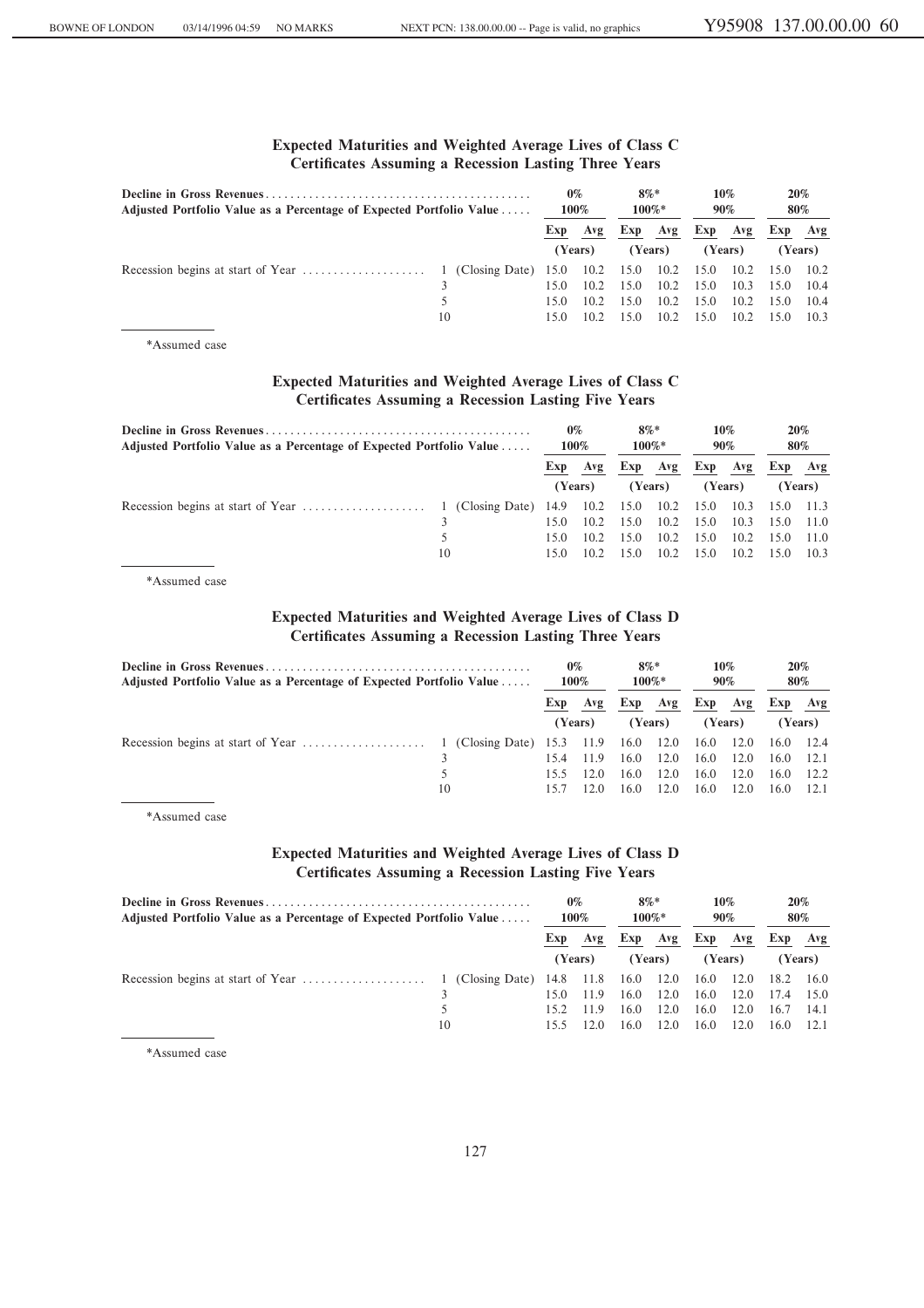# **Expected Maturities and Weighted Average Lives of Class C Certificates Assuming a Recession Lasting Three Years**

| Adjusted Portfolio Value as a Percentage of Expected Portfolio Value | $0\%$<br>100% |      | $8\%*$<br>100%* |      | 10%<br>90% |         |         | 20%<br>80% |         |
|----------------------------------------------------------------------|---------------|------|-----------------|------|------------|---------|---------|------------|---------|
|                                                                      |               |      | Exp Avg         |      | Exp Avg    |         | Exp Avg | Exp Avg    |         |
|                                                                      |               |      | (Years)         |      | (Years)    | (Years) |         |            | (Years) |
|                                                                      |               |      |                 |      |            |         |         |            |         |
|                                                                      |               | 15.0 | 10.2            | 15.0 | 10.2       | 15.0    | 10.3    | 15.0       | 10.4    |
|                                                                      |               | 15.0 | 10.2            | 15.0 | 10.2       | 15.0    | 10.2    | 15.0       | 10.4    |
|                                                                      | 10            | 15.0 | 10.2            | 15.0 | 10.2       | 15.0    | 10.2    | 15.0       | 10.3    |

\*Assumed case

# **Expected Maturities and Weighted Average Lives of Class C Certificates Assuming a Recession Lasting Five Years**

| Adjusted Portfolio Value as a Percentage of Expected Portfolio Value | $0\%$<br>100% |         | $8\%*$<br>$100\%*$ |         | 10%<br>90% |      | 20%<br>80% |                |         |
|----------------------------------------------------------------------|---------------|---------|--------------------|---------|------------|------|------------|----------------|---------|
|                                                                      |               | Exp     | Avg                | Exp     | Avg        | Exp  | Avg        |                | Exp Avg |
|                                                                      |               | (Years) |                    | (Years) |            |      | (Years)    |                | (Years) |
|                                                                      |               |         |                    |         | 10.2 15.0  |      |            | 10.3 15.0 11.3 |         |
|                                                                      |               | 15.0    | 10.2               | 15.0    | 10.2       | 15.0 | 10.3       | 15.0           | 11.0    |
|                                                                      |               | 15.0    | 10.2               | 15.0    | 10.2       | 15.0 | 10.2       | 15.0 11.0      |         |
|                                                                      | 10            | 15.0    | 10.2               | 15.0    | 10.2       | 15.0 | 10.2       | 15.0           | 10.3    |

\*Assumed case

# **Expected Maturities and Weighted Average Lives of Class D Certificates Assuming a Recession Lasting Three Years**

| Adjusted Portfolio Value as a Percentage of Expected Portfolio Value | $0\%$<br>100% |         | $8\%*$<br>$100\%*$ |      | 10%<br>90% |      | 20%<br>80% |           |         |
|----------------------------------------------------------------------|---------------|---------|--------------------|------|------------|------|------------|-----------|---------|
|                                                                      |               | Exp     | Avg                | Exp  | Avg        | Exp  | Avg        | Exp       | Avg     |
|                                                                      |               | (Years) |                    |      | (Years)    |      | (Years)    |           | (Years) |
|                                                                      |               |         |                    | 16.0 | 12.0       | 16.0 | 12.0       | 16.0 12.4 |         |
|                                                                      |               | 15.4    | 11.9               | 16.0 | 12.0       | 16.0 | 12.0       | 16.0      | 12.1    |
|                                                                      |               | 15.5    | 12.0               | 16.0 | 12.0       | 16.0 | 12.0       | 16.0      | 12.2    |
|                                                                      | 10            | 15.7    | 12.0               | 16.0 | 12.0       | 16.0 | 12.0       | 16.0      | 12.1    |

\*Assumed case

# **Expected Maturities and Weighted Average Lives of Class D Certificates Assuming a Recession Lasting Five Years**

| Adjusted Portfolio Value as a Percentage of Expected Portfolio Value | $0\%$<br>100% |            | $8\%*$<br>$100\%*$ |      | 10%<br>90% |      | 20%<br>80% |           |        |            |  |     |     |         |  |
|----------------------------------------------------------------------|---------------|------------|--------------------|------|------------|------|------------|-----------|--------|------------|--|-----|-----|---------|--|
|                                                                      |               | Exp<br>Avg |                    |      |            |      |            |           |        | Exp<br>Avg |  | Exp | Avg | Exp Avg |  |
|                                                                      |               |            | (Years)            |      | (Years)    |      | (Years)    |           | Years) |            |  |     |     |         |  |
|                                                                      |               |            |                    |      |            | 16.0 | 12.0       | 18.2 16.0 |        |            |  |     |     |         |  |
|                                                                      |               |            | 11.9               | 16.0 | 12.0       | 16.0 | 12.0       | 17.4      | 15.0   |            |  |     |     |         |  |
|                                                                      |               | 15.2.      | 11.9               | 16.0 | 12.0       | 16.0 | 12.0       | 16.7      | 14.1   |            |  |     |     |         |  |
|                                                                      | 10            | 15.5       | 12.0               | 16.0 | 12.0       | 16.0 | 12.0       | 16.0      | 12.1   |            |  |     |     |         |  |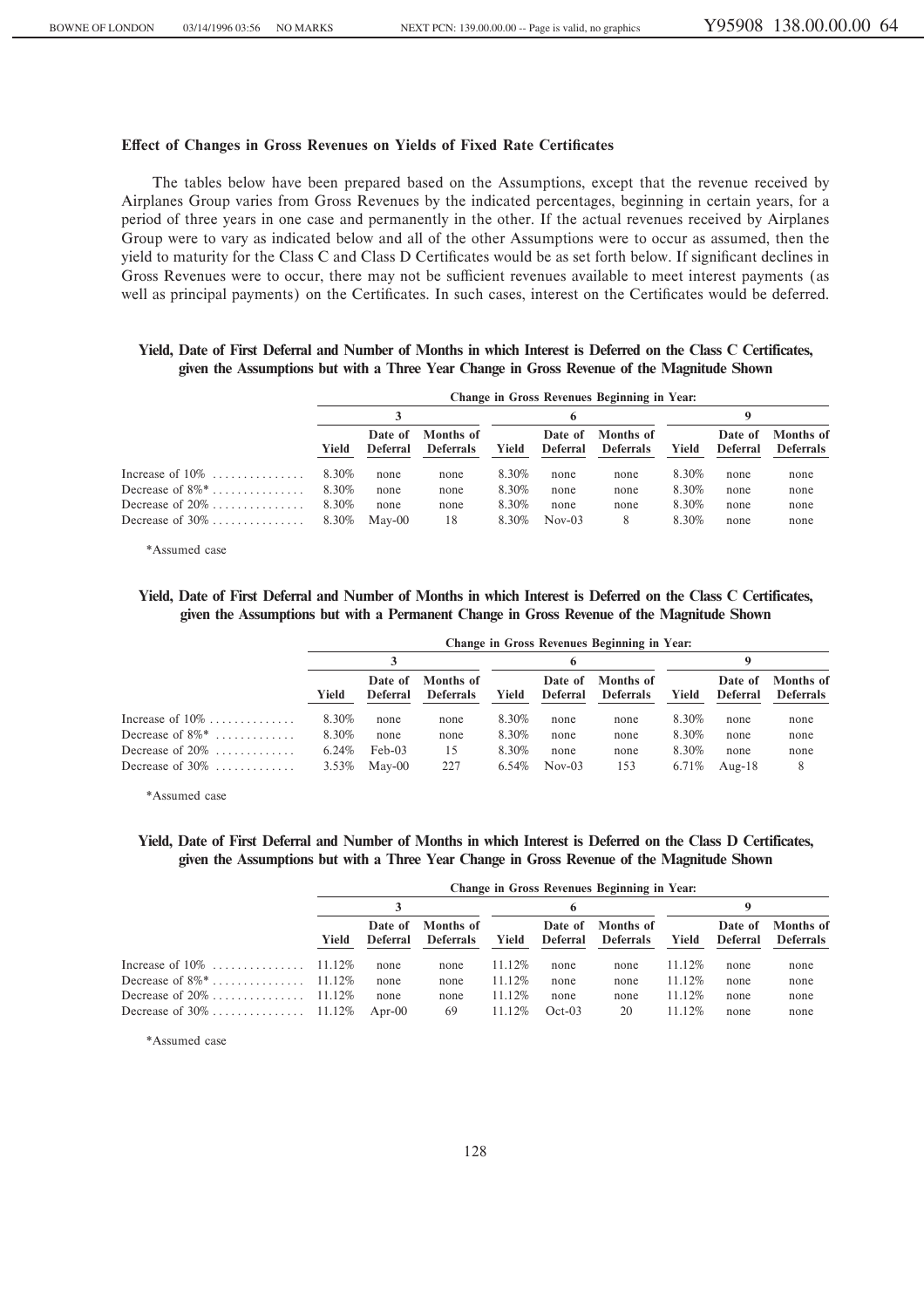# **Effect of Changes in Gross Revenues on Yields of Fixed Rate Certificates**

The tables below have been prepared based on the Assumptions, except that the revenue received by Airplanes Group varies from Gross Revenues by the indicated percentages, beginning in certain years, for a period of three years in one case and permanently in the other. If the actual revenues received by Airplanes Group were to vary as indicated below and all of the other Assumptions were to occur as assumed, then the yield to maturity for the Class C and Class D Certificates would be as set forth below. If significant declines in Gross Revenues were to occur, there may not be sufficient revenues available to meet interest payments (as well as principal payments) on the Certificates. In such cases, interest on the Certificates would be deferred.

# **Yield, Date of First Deferral and Number of Months in which Interest is Deferred on the Class C Certificates, given the Assumptions but with a Three Year Change in Gross Revenue of the Magnitude Shown**

|                                | Change in Gross Revenues Beginning in Year: |                     |                               |              |                            |                               |       |                            |                               |  |  |  |  |
|--------------------------------|---------------------------------------------|---------------------|-------------------------------|--------------|----------------------------|-------------------------------|-------|----------------------------|-------------------------------|--|--|--|--|
|                                |                                             |                     |                               | <sub>6</sub> |                            |                               |       |                            |                               |  |  |  |  |
|                                | Yield                                       | Date of<br>Deferral | Months of<br><b>Deferrals</b> | Yield        | Date of<br><b>Deferral</b> | Months of<br><b>Deferrals</b> | Yield | Date of<br><b>Deferral</b> | Months of<br><b>Deferrals</b> |  |  |  |  |
| Increase of $10\%$             | 8.30%                                       | none                | none                          | 8.30%        | none                       | none                          | 8.30% | none                       | none                          |  |  |  |  |
| Decrease of $8\%$ <sup>*</sup> | 8.30%                                       | none                | none                          | 8.30%        | none                       | none                          | 8.30% | none                       | none                          |  |  |  |  |
| Decrease of $20\%$             | 8.30%                                       | none                | none                          | 8.30%        | none                       | none                          | 8.30% | none                       | none                          |  |  |  |  |
| Decrease of $30\%$             | 8.30%                                       | May-00              | 18                            | 8.30%        | $Nov-03$                   | 8                             | 8.30% | none                       | none                          |  |  |  |  |

\*Assumed case

# **Yield, Date of First Deferral and Number of Months in which Interest is Deferred on the Class C Certificates, given the Assumptions but with a Permanent Change in Gross Revenue of the Magnitude Shown**

|                                | Change in Gross Revenues Beginning in Year: |                     |                               |       |                            |                               |       |                     |                               |  |  |  |  |
|--------------------------------|---------------------------------------------|---------------------|-------------------------------|-------|----------------------------|-------------------------------|-------|---------------------|-------------------------------|--|--|--|--|
|                                |                                             |                     |                               |       |                            |                               | 9     |                     |                               |  |  |  |  |
|                                | Yield                                       | Date of<br>Deferral | Months of<br><b>Deferrals</b> | Yield | Date of<br><b>Deferral</b> | Months of<br><b>Deferrals</b> | Yield | Date of<br>Deferral | Months of<br><b>Deferrals</b> |  |  |  |  |
| Increase of $10\%$             | 8.30%                                       | none                | none                          | 8.30% | none                       | none                          | 8.30% | none                | none                          |  |  |  |  |
| Decrease of $8\%$ <sup>*</sup> | 8.30%                                       | none                | none                          | 8.30% | none                       | none                          | 8.30% | none                | none                          |  |  |  |  |
| Decrease of $20\%$             | 6.24%                                       | $Feb-03$            | 15                            | 8.30% | none                       | none                          | 8.30% | none                | none                          |  |  |  |  |
| Decrease of $30\%$             | 3.53%                                       | May-00              | 227                           | 6.54% | $Nov-03$                   | 153                           | 6.71% | Aug- $18$           | 8                             |  |  |  |  |

\*Assumed case

# **Yield, Date of First Deferral and Number of Months in which Interest is Deferred on the Class D Certificates, given the Assumptions but with a Three Year Change in Gross Revenue of the Magnitude Shown**

|                            | Change in Gross Revenues Beginning in Year: |                     |                               |           |                            |                               |         |                     |                                      |  |  |  |  |
|----------------------------|---------------------------------------------|---------------------|-------------------------------|-----------|----------------------------|-------------------------------|---------|---------------------|--------------------------------------|--|--|--|--|
|                            |                                             |                     |                               |           |                            |                               | Q       |                     |                                      |  |  |  |  |
|                            | Yield                                       | Date of<br>Deferral | Months of<br><b>Deferrals</b> | Yield     | Date of<br><b>Deferral</b> | Months of<br><b>Deferrals</b> | Yield   | Date of<br>Deferral | <b>Months</b> of<br><b>Deferrals</b> |  |  |  |  |
| Increase of $10\%$ 11.12\% |                                             | none                | none                          | $11.12\%$ | none                       | none                          | 11.12\% | none                | none                                 |  |  |  |  |
|                            |                                             | none                | none                          | 11.12\%   | none                       | none                          | 11.12%  | none                | none                                 |  |  |  |  |
|                            |                                             | none                | none                          | 11.12\%   | none                       | none                          | 11.12\% | none                | none                                 |  |  |  |  |
|                            |                                             | Apr- $00$           | 69                            | 11.12\%   | $Oct-03$                   | 20                            | 11.12%  | none                | none                                 |  |  |  |  |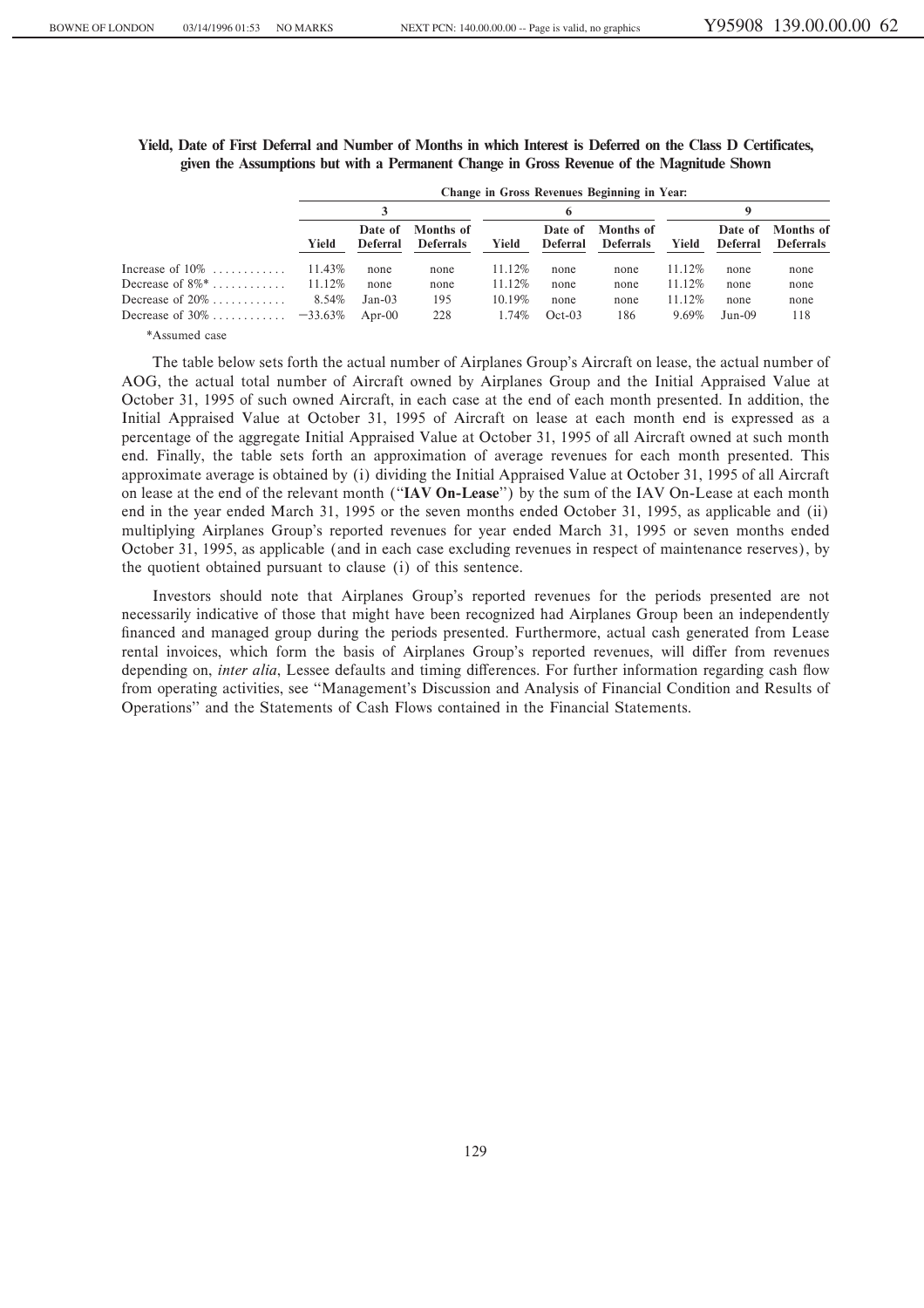|                                | Change in Gross Revenues Beginning in Year: |                            |                               |           |                            |                               |         |                            |                               |  |  |  |
|--------------------------------|---------------------------------------------|----------------------------|-------------------------------|-----------|----------------------------|-------------------------------|---------|----------------------------|-------------------------------|--|--|--|
|                                |                                             |                            |                               |           |                            |                               |         |                            |                               |  |  |  |
|                                | Yield                                       | Date of<br><b>Deferral</b> | Months of<br><b>Deferrals</b> | Yield     | Date of<br><b>Deferral</b> | Months of<br><b>Deferrals</b> | Yield   | Date of<br><b>Deferral</b> | Months of<br><b>Deferrals</b> |  |  |  |
| Increase of $10\%$             | 11.43\%                                     | none                       | none                          | 11.12\%   | none                       | none                          | 11.12\% | none                       | none                          |  |  |  |
| Decrease of $8\%$ <sup>*</sup> | 11.12%                                      | none                       | none                          | $11.12\%$ | none                       | none                          | 11.12\% | none                       | none                          |  |  |  |
| Decrease of $20\%$             | 8.54%                                       | $Jan-03$                   | 195                           | $10.19\%$ | none                       | none                          | 11.12\% | none                       | none                          |  |  |  |
|                                |                                             | Apr-00                     | 228                           | 1.74%     | $Oct-03$                   | 186                           | 9.69%   | $Jun-09$                   | 118                           |  |  |  |

|  |                                                                                           |  | Yield, Date of First Deferral and Number of Months in which Interest is Deferred on the Class D Certificates, |
|--|-------------------------------------------------------------------------------------------|--|---------------------------------------------------------------------------------------------------------------|
|  | given the Assumptions but with a Permanent Change in Gross Revenue of the Magnitude Shown |  |                                                                                                               |

\*Assumed case

The table below sets forth the actual number of Airplanes Group's Aircraft on lease, the actual number of AOG, the actual total number of Aircraft owned by Airplanes Group and the Initial Appraised Value at October 31, 1995 of such owned Aircraft, in each case at the end of each month presented. In addition, the Initial Appraised Value at October 31, 1995 of Aircraft on lease at each month end is expressed as a percentage of the aggregate Initial Appraised Value at October 31, 1995 of all Aircraft owned at such month end. Finally, the table sets forth an approximation of average revenues for each month presented. This approximate average is obtained by (i) dividing the Initial Appraised Value at October 31, 1995 of all Aircraft on lease at the end of the relevant month (""**IAV On-Lease**'') by the sum of the IAV On-Lease at each month end in the year ended March 31, 1995 or the seven months ended October 31, 1995, as applicable and (ii) multiplying Airplanes Group's reported revenues for year ended March 31, 1995 or seven months ended October 31, 1995, as applicable (and in each case excluding revenues in respect of maintenance reserves), by the quotient obtained pursuant to clause (i) of this sentence.

Investors should note that Airplanes Group's reported revenues for the periods presented are not necessarily indicative of those that might have been recognized had Airplanes Group been an independently financed and managed group during the periods presented. Furthermore, actual cash generated from Lease rental invoices, which form the basis of Airplanes Group's reported revenues, will differ from revenues depending on, *inter alia*, Lessee defaults and timing differences. For further information regarding cash flow from operating activities, see "Management's Discussion and Analysis of Financial Condition and Results of Operations'' and the Statements of Cash Flows contained in the Financial Statements.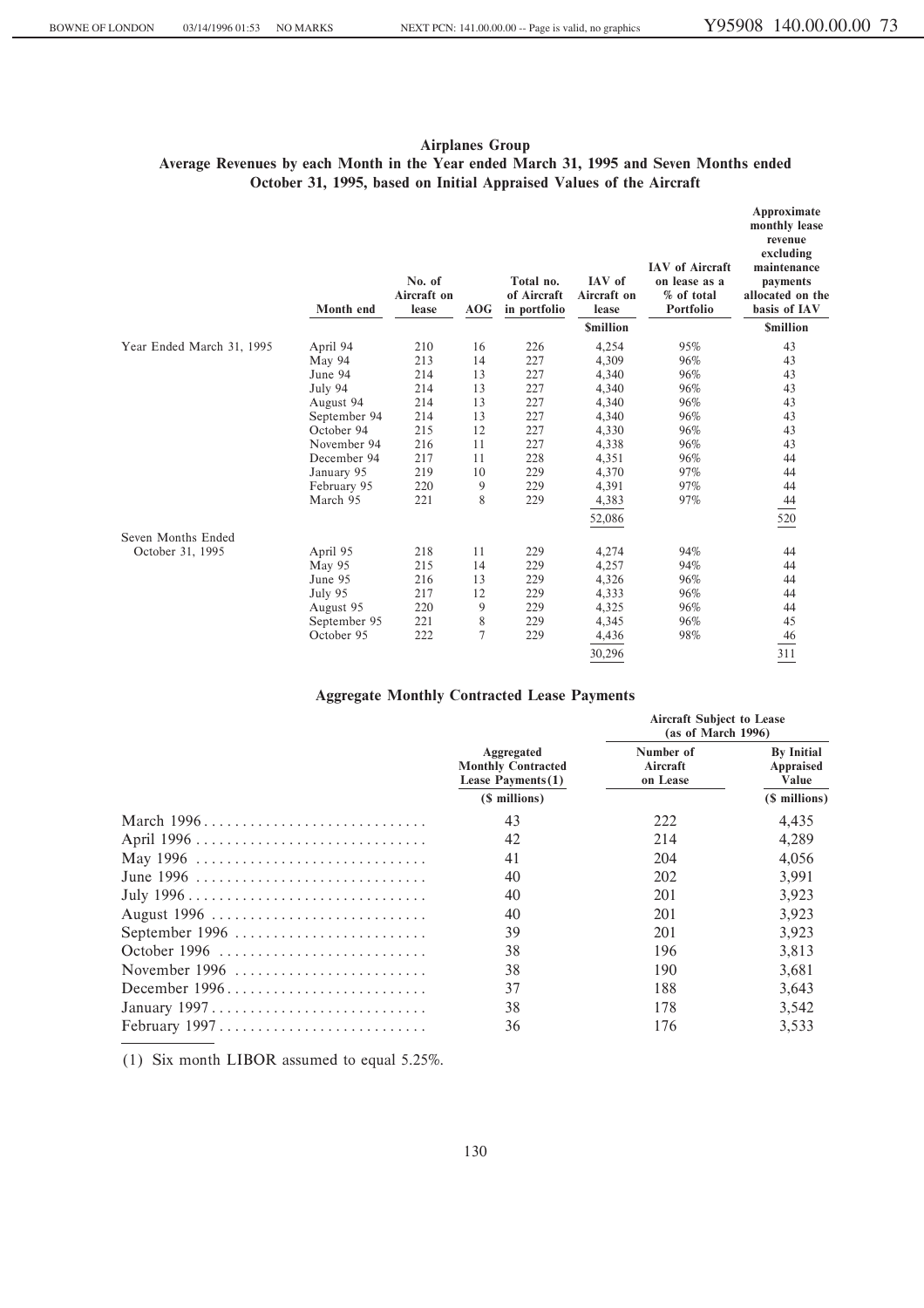# **Airplanes Group Average Revenues by each Month in the Year ended March 31, 1995 and Seven Months ended October 31, 1995, based on Initial Appraised Values of the Aircraft**

|                           | Month end    | No. of<br>Aircraft on<br>lease | AOG         | Total no.<br>of Aircraft<br>in portfolio | IAV of<br>Aircraft on<br>lease | <b>IAV</b> of Aircraft<br>on lease as a<br>% of total<br>Portfolio | Approximate<br>monthly lease<br>revenue<br>excluding<br>maintenance<br>payments<br>allocated on the<br>basis of IAV |
|---------------------------|--------------|--------------------------------|-------------|------------------------------------------|--------------------------------|--------------------------------------------------------------------|---------------------------------------------------------------------------------------------------------------------|
|                           |              |                                |             |                                          | <b><i><u>Smillion</u></i></b>  |                                                                    | <b>Smillion</b>                                                                                                     |
| Year Ended March 31, 1995 | April 94     | 210                            | 16          | 226                                      | 4,254                          | 95%                                                                | 43                                                                                                                  |
|                           | May 94       | 213                            | 14          | 227                                      | 4,309                          | 96%                                                                | 43                                                                                                                  |
|                           | June 94      | 214                            | 13          | 227                                      | 4,340                          | 96%                                                                | 43                                                                                                                  |
|                           | July 94      | 214                            | 13          | 227                                      | 4,340                          | 96%                                                                | 43                                                                                                                  |
|                           | August 94    | 214                            | 13          | 227                                      | 4,340                          | 96%                                                                | 43                                                                                                                  |
|                           | September 94 | 214                            | 13          | 227                                      | 4,340                          | 96%                                                                | 43                                                                                                                  |
|                           | October 94   | 215                            | 12          | 227                                      | 4,330                          | 96%                                                                | 43                                                                                                                  |
|                           | November 94  | 216                            | 11          | 227                                      | 4,338                          | 96%                                                                | 43                                                                                                                  |
|                           | December 94  | 217                            | 11          | 228                                      | 4,351                          | 96%                                                                | 44                                                                                                                  |
|                           | January 95   | 219                            | 10          | 229                                      | 4,370                          | 97%                                                                | 44                                                                                                                  |
|                           | February 95  | 220                            | 9           | 229                                      | 4,391                          | 97%                                                                | 44                                                                                                                  |
|                           | March 95     | 221                            | 8           | 229                                      | 4,383                          | 97%                                                                | 44                                                                                                                  |
|                           |              |                                |             |                                          | 52,086                         |                                                                    | 520                                                                                                                 |
| Seven Months Ended        |              |                                |             |                                          |                                |                                                                    |                                                                                                                     |
| October 31, 1995          | April 95     | 218                            | 11          | 229                                      | 4,274                          | 94%                                                                | 44                                                                                                                  |
|                           | May 95       | 215                            | 14          | 229                                      | 4,257                          | 94%                                                                | 44                                                                                                                  |
|                           | June 95      | 216                            | 13          | 229                                      | 4,326                          | 96%                                                                | 44                                                                                                                  |
|                           | July 95      | 217                            | 12          | 229                                      | 4,333                          | 96%                                                                | 44                                                                                                                  |
|                           | August 95    | 220                            | 9           | 229                                      | 4,325                          | 96%                                                                | 44                                                                                                                  |
|                           | September 95 | 221                            | $\,$ 8 $\,$ | 229                                      | 4,345                          | 96%                                                                | 45                                                                                                                  |
|                           | October 95   | 222                            | $\tau$      | 229                                      | 4,436                          | 98%                                                                | 46                                                                                                                  |
|                           |              |                                |             |                                          | 30,296                         |                                                                    | 311                                                                                                                 |

# **Aggregate Monthly Contracted Lease Payments**

|                                                                        | Aggregated<br><b>Monthly Contracted</b><br>Lease Payments $(1)$<br>(\$ millions) | <b>Aircraft Subject to Lease</b><br>(as of March 1996) |                                                          |  |
|------------------------------------------------------------------------|----------------------------------------------------------------------------------|--------------------------------------------------------|----------------------------------------------------------|--|
|                                                                        |                                                                                  | Number of<br>Aircraft<br>on Lease                      | <b>By Initial</b><br>Appraised<br>Value<br>(\$ millions) |  |
|                                                                        |                                                                                  |                                                        |                                                          |  |
| March 1996                                                             | 43                                                                               | 222                                                    | 4.435                                                    |  |
|                                                                        | 42                                                                               | 214                                                    | 4.289                                                    |  |
| May 1996                                                               | 41                                                                               | 204                                                    | 4,056                                                    |  |
| June 1996                                                              | 40                                                                               | 202                                                    | 3.991                                                    |  |
|                                                                        | 40                                                                               | 201                                                    | 3.923                                                    |  |
| August 1996                                                            | 40                                                                               | 201                                                    | 3.923                                                    |  |
| September 1996                                                         | 39                                                                               | 201                                                    | 3.923                                                    |  |
| October 1996                                                           | 38                                                                               | 196                                                    | 3.813                                                    |  |
| November 1996                                                          | 38                                                                               | 190                                                    | 3.681                                                    |  |
| December 1996                                                          | 37                                                                               | 188                                                    | 3,643                                                    |  |
| January $1997 \ldots \ldots \ldots \ldots \ldots \ldots \ldots \ldots$ | 38                                                                               | 178                                                    | 3.542                                                    |  |
| February 1997                                                          | 36                                                                               | 176                                                    | 3.533                                                    |  |

(1) Six month LIBOR assumed to equal 5.25%.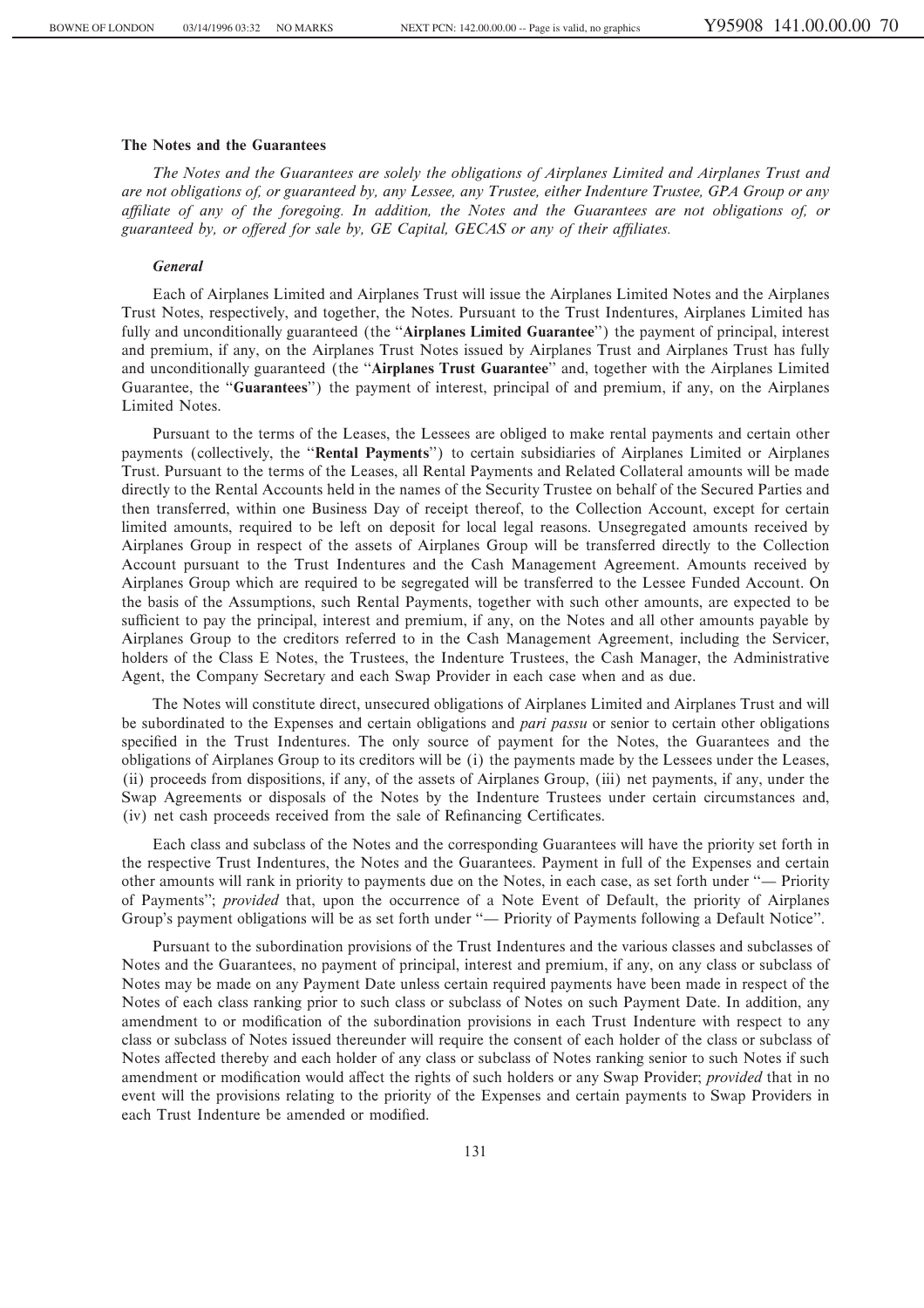## **The Notes and the Guarantees**

*The Notes and the Guarantees are solely the obligations of Airplanes Limited and Airplanes Trust and are not obligations of, or guaranteed by, any Lessee, any Trustee, either Indenture Trustee, GPA Group or any aÇliate of any of the foregoing. In addition, the Notes and the Guarantees are not obligations of, or* guaranteed by, or offered for sale by, GE Capital, GECAS or any of their affiliates.

### *General*

Each of Airplanes Limited and Airplanes Trust will issue the Airplanes Limited Notes and the Airplanes Trust Notes, respectively, and together, the Notes. Pursuant to the Trust Indentures, Airplanes Limited has fully and unconditionally guaranteed (the "Airplanes Limited Guarantee") the payment of principal, interest and premium, if any, on the Airplanes Trust Notes issued by Airplanes Trust and Airplanes Trust has fully and unconditionally guaranteed (the "**Airplanes Trust Guarantee**" and, together with the Airplanes Limited Guarantee, the "**Guarantees**") the payment of interest, principal of and premium, if any, on the Airplanes Limited Notes.

Pursuant to the terms of the Leases, the Lessees are obliged to make rental payments and certain other payments (collectively, the ""**Rental Payments**'') to certain subsidiaries of Airplanes Limited or Airplanes Trust. Pursuant to the terms of the Leases, all Rental Payments and Related Collateral amounts will be made directly to the Rental Accounts held in the names of the Security Trustee on behalf of the Secured Parties and then transferred, within one Business Day of receipt thereof, to the Collection Account, except for certain limited amounts, required to be left on deposit for local legal reasons. Unsegregated amounts received by Airplanes Group in respect of the assets of Airplanes Group will be transferred directly to the Collection Account pursuant to the Trust Indentures and the Cash Management Agreement. Amounts received by Airplanes Group which are required to be segregated will be transferred to the Lessee Funded Account. On the basis of the Assumptions, such Rental Payments, together with such other amounts, are expected to be sufficient to pay the principal, interest and premium, if any, on the Notes and all other amounts payable by Airplanes Group to the creditors referred to in the Cash Management Agreement, including the Servicer, holders of the Class E Notes, the Trustees, the Indenture Trustees, the Cash Manager, the Administrative Agent, the Company Secretary and each Swap Provider in each case when and as due.

The Notes will constitute direct, unsecured obligations of Airplanes Limited and Airplanes Trust and will be subordinated to the Expenses and certain obligations and *pari passu* or senior to certain other obligations specified in the Trust Indentures. The only source of payment for the Notes, the Guarantees and the obligations of Airplanes Group to its creditors will be (i) the payments made by the Lessees under the Leases, (ii) proceeds from dispositions, if any, of the assets of Airplanes Group, (iii) net payments, if any, under the Swap Agreements or disposals of the Notes by the Indenture Trustees under certain circumstances and, (iv) net cash proceeds received from the sale of Refinancing Certificates.

Each class and subclass of the Notes and the corresponding Guarantees will have the priority set forth in the respective Trust Indentures, the Notes and the Guarantees. Payment in full of the Expenses and certain other amounts will rank in priority to payments due on the Notes, in each case, as set forth under "— Priority of Payments''; *provided* that, upon the occurrence of a Note Event of Default, the priority of Airplanes Group's payment obligations will be as set forth under "— Priority of Payments following a Default Notice".

Pursuant to the subordination provisions of the Trust Indentures and the various classes and subclasses of Notes and the Guarantees, no payment of principal, interest and premium, if any, on any class or subclass of Notes may be made on any Payment Date unless certain required payments have been made in respect of the Notes of each class ranking prior to such class or subclass of Notes on such Payment Date. In addition, any amendment to or modification of the subordination provisions in each Trust Indenture with respect to any class or subclass of Notes issued thereunder will require the consent of each holder of the class or subclass of Notes affected thereby and each holder of any class or subclass of Notes ranking senior to such Notes if such amendment or modification would affect the rights of such holders or any Swap Provider; *provided* that in no event will the provisions relating to the priority of the Expenses and certain payments to Swap Providers in each Trust Indenture be amended or modified.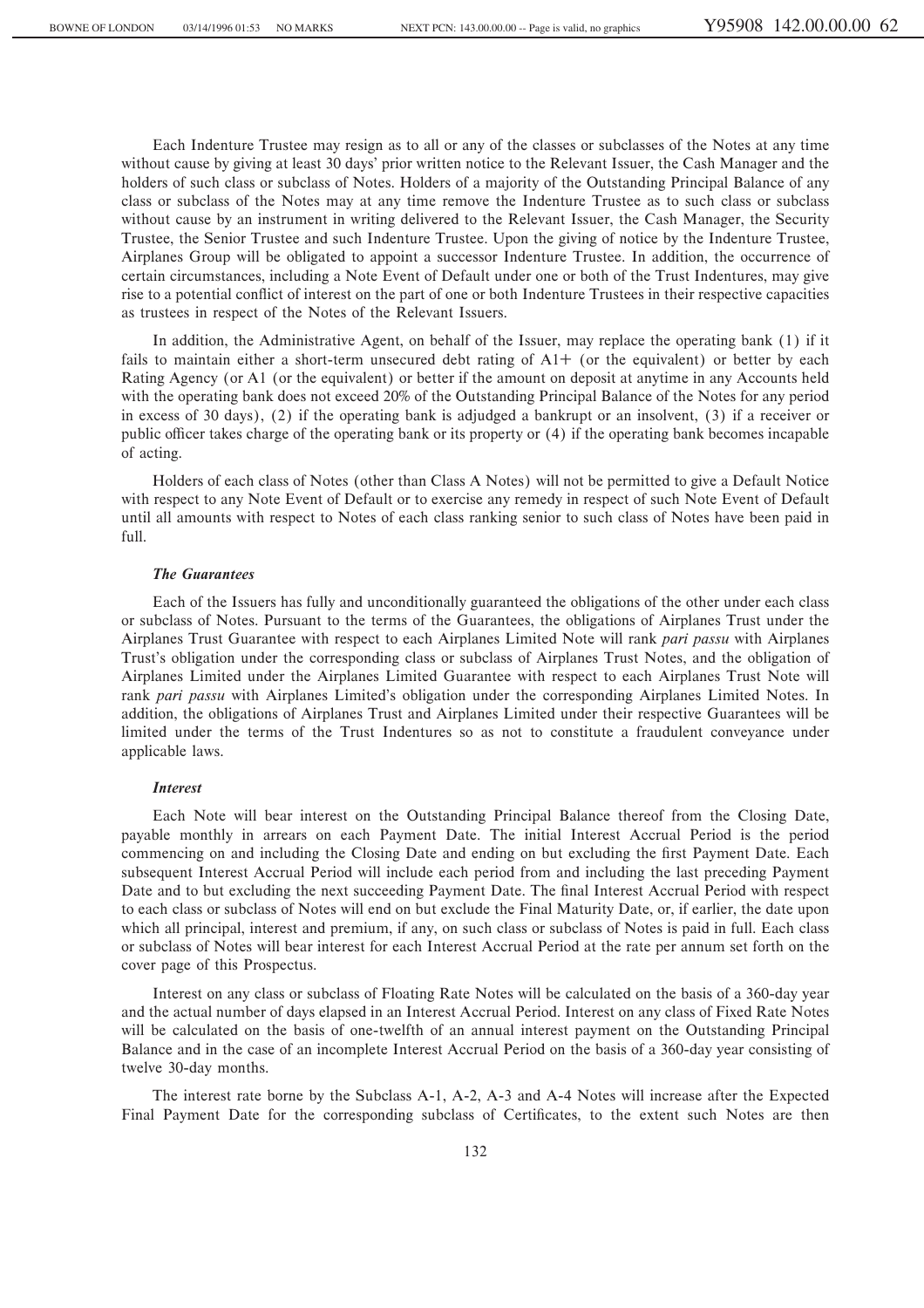Each Indenture Trustee may resign as to all or any of the classes or subclasses of the Notes at any time without cause by giving at least 30 days' prior written notice to the Relevant Issuer, the Cash Manager and the holders of such class or subclass of Notes. Holders of a majority of the Outstanding Principal Balance of any class or subclass of the Notes may at any time remove the Indenture Trustee as to such class or subclass without cause by an instrument in writing delivered to the Relevant Issuer, the Cash Manager, the Security Trustee, the Senior Trustee and such Indenture Trustee. Upon the giving of notice by the Indenture Trustee, Airplanes Group will be obligated to appoint a successor Indenture Trustee. In addition, the occurrence of certain circumstances, including a Note Event of Default under one or both of the Trust Indentures, may give rise to a potential conflict of interest on the part of one or both Indenture Trustees in their respective capacities as trustees in respect of the Notes of the Relevant Issuers.

In addition, the Administrative Agent, on behalf of the Issuer, may replace the operating bank (1) if it fails to maintain either a short-term unsecured debt rating of  $A1<sup>+</sup>$  (or the equivalent) or better by each Rating Agency (or A1 (or the equivalent) or better if the amount on deposit at anytime in any Accounts held with the operating bank does not exceed 20% of the Outstanding Principal Balance of the Notes for any period in excess of 30 days), (2) if the operating bank is adjudged a bankrupt or an insolvent, (3) if a receiver or public officer takes charge of the operating bank or its property or (4) if the operating bank becomes incapable of acting.

Holders of each class of Notes (other than Class A Notes) will not be permitted to give a Default Notice with respect to any Note Event of Default or to exercise any remedy in respect of such Note Event of Default until all amounts with respect to Notes of each class ranking senior to such class of Notes have been paid in full.

#### *The Guarantees*

Each of the Issuers has fully and unconditionally guaranteed the obligations of the other under each class or subclass of Notes. Pursuant to the terms of the Guarantees, the obligations of Airplanes Trust under the Airplanes Trust Guarantee with respect to each Airplanes Limited Note will rank *pari passu* with Airplanes Trust's obligation under the corresponding class or subclass of Airplanes Trust Notes, and the obligation of Airplanes Limited under the Airplanes Limited Guarantee with respect to each Airplanes Trust Note will rank *pari passu* with Airplanes Limited's obligation under the corresponding Airplanes Limited Notes. In addition, the obligations of Airplanes Trust and Airplanes Limited under their respective Guarantees will be limited under the terms of the Trust Indentures so as not to constitute a fraudulent conveyance under applicable laws.

## *Interest*

Each Note will bear interest on the Outstanding Principal Balance thereof from the Closing Date, payable monthly in arrears on each Payment Date. The initial Interest Accrual Period is the period commencing on and including the Closing Date and ending on but excluding the first Payment Date. Each subsequent Interest Accrual Period will include each period from and including the last preceding Payment Date and to but excluding the next succeeding Payment Date. The final Interest Accrual Period with respect to each class or subclass of Notes will end on but exclude the Final Maturity Date, or, if earlier, the date upon which all principal, interest and premium, if any, on such class or subclass of Notes is paid in full. Each class or subclass of Notes will bear interest for each Interest Accrual Period at the rate per annum set forth on the cover page of this Prospectus.

Interest on any class or subclass of Floating Rate Notes will be calculated on the basis of a 360-day year and the actual number of days elapsed in an Interest Accrual Period. Interest on any class of Fixed Rate Notes will be calculated on the basis of one-twelfth of an annual interest payment on the Outstanding Principal Balance and in the case of an incomplete Interest Accrual Period on the basis of a 360-day year consisting of twelve 30-day months.

The interest rate borne by the Subclass A-1, A-2, A-3 and A-4 Notes will increase after the Expected Final Payment Date for the corresponding subclass of Certificates, to the extent such Notes are then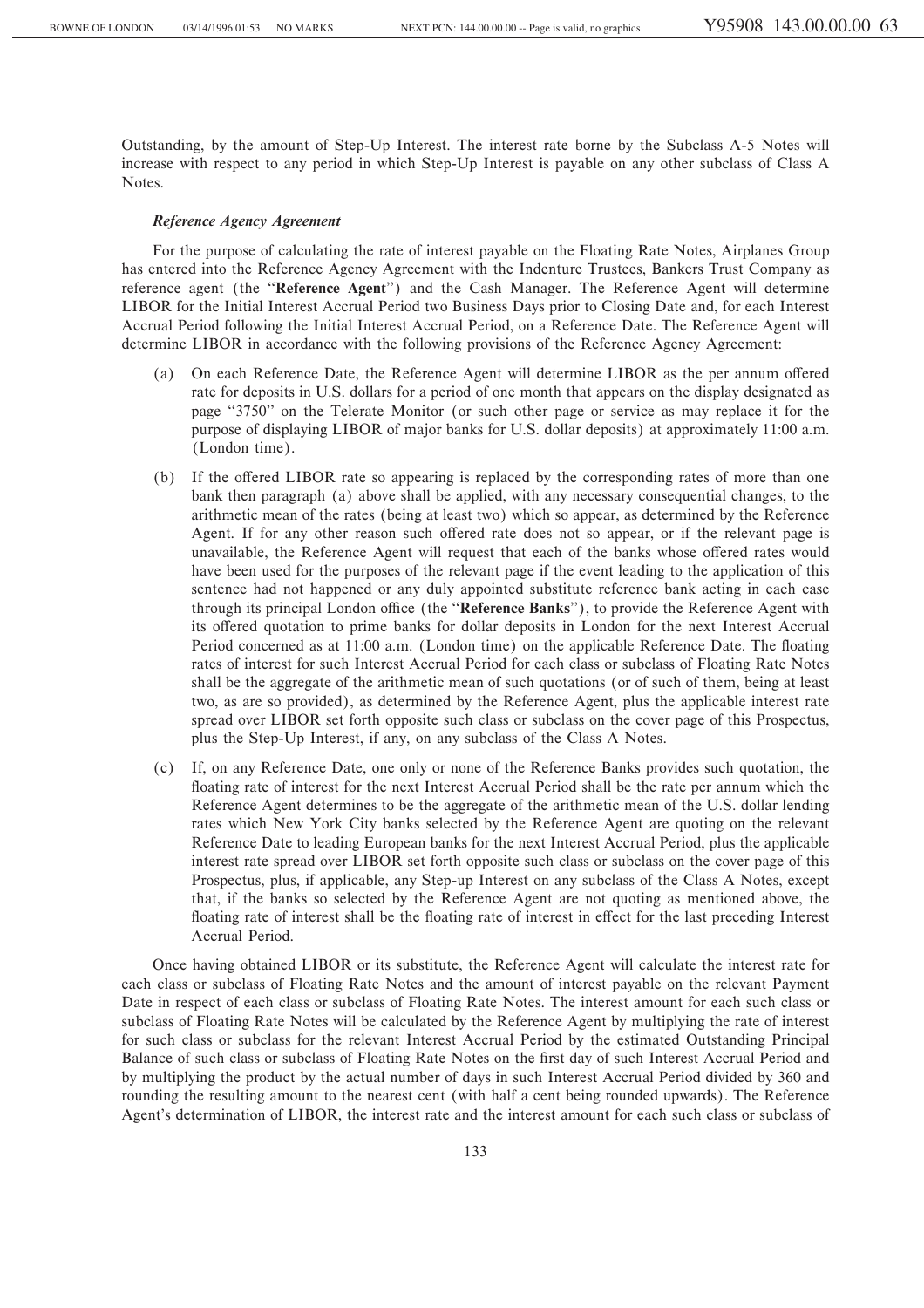Outstanding, by the amount of Step-Up Interest. The interest rate borne by the Subclass A-5 Notes will increase with respect to any period in which Step-Up Interest is payable on any other subclass of Class A Notes.

### *Reference Agency Agreement*

For the purpose of calculating the rate of interest payable on the Floating Rate Notes, Airplanes Group has entered into the Reference Agency Agreement with the Indenture Trustees, Bankers Trust Company as reference agent (the ""**Reference Agent**'') and the Cash Manager. The Reference Agent will determine LIBOR for the Initial Interest Accrual Period two Business Days prior to Closing Date and, for each Interest Accrual Period following the Initial Interest Accrual Period, on a Reference Date. The Reference Agent will determine LIBOR in accordance with the following provisions of the Reference Agency Agreement:

- (a) On each Reference Date, the Reference Agent will determine LIBOR as the per annum offered rate for deposits in U.S. dollars for a period of one month that appears on the display designated as page ""3750'' on the Telerate Monitor (or such other page or service as may replace it for the purpose of displaying LIBOR of major banks for U.S. dollar deposits) at approximately 11:00 a.m. (London time).
- (b) If the offered LIBOR rate so appearing is replaced by the corresponding rates of more than one bank then paragraph (a) above shall be applied, with any necessary consequential changes, to the arithmetic mean of the rates (being at least two) which so appear, as determined by the Reference Agent. If for any other reason such offered rate does not so appear, or if the relevant page is unavailable, the Reference Agent will request that each of the banks whose offered rates would have been used for the purposes of the relevant page if the event leading to the application of this sentence had not happened or any duly appointed substitute reference bank acting in each case through its principal London office (the "Reference Banks"), to provide the Reference Agent with its offered quotation to prime banks for dollar deposits in London for the next Interest Accrual Period concerned as at 11:00 a.m. (London time) on the applicable Reference Date. The floating rates of interest for such Interest Accrual Period for each class or subclass of Floating Rate Notes shall be the aggregate of the arithmetic mean of such quotations (or of such of them, being at least two, as are so provided), as determined by the Reference Agent, plus the applicable interest rate spread over LIBOR set forth opposite such class or subclass on the cover page of this Prospectus, plus the Step-Up Interest, if any, on any subclass of the Class A Notes.
- (c) If, on any Reference Date, one only or none of the Reference Banks provides such quotation, the floating rate of interest for the next Interest Accrual Period shall be the rate per annum which the Reference Agent determines to be the aggregate of the arithmetic mean of the U.S. dollar lending rates which New York City banks selected by the Reference Agent are quoting on the relevant Reference Date to leading European banks for the next Interest Accrual Period, plus the applicable interest rate spread over LIBOR set forth opposite such class or subclass on the cover page of this Prospectus, plus, if applicable, any Step-up Interest on any subclass of the Class A Notes, except that, if the banks so selected by the Reference Agent are not quoting as mentioned above, the floating rate of interest shall be the floating rate of interest in effect for the last preceding Interest Accrual Period.

Once having obtained LIBOR or its substitute, the Reference Agent will calculate the interest rate for each class or subclass of Floating Rate Notes and the amount of interest payable on the relevant Payment Date in respect of each class or subclass of Floating Rate Notes. The interest amount for each such class or subclass of Floating Rate Notes will be calculated by the Reference Agent by multiplying the rate of interest for such class or subclass for the relevant Interest Accrual Period by the estimated Outstanding Principal Balance of such class or subclass of Floating Rate Notes on the first day of such Interest Accrual Period and by multiplying the product by the actual number of days in such Interest Accrual Period divided by 360 and rounding the resulting amount to the nearest cent (with half a cent being rounded upwards). The Reference Agent's determination of LIBOR, the interest rate and the interest amount for each such class or subclass of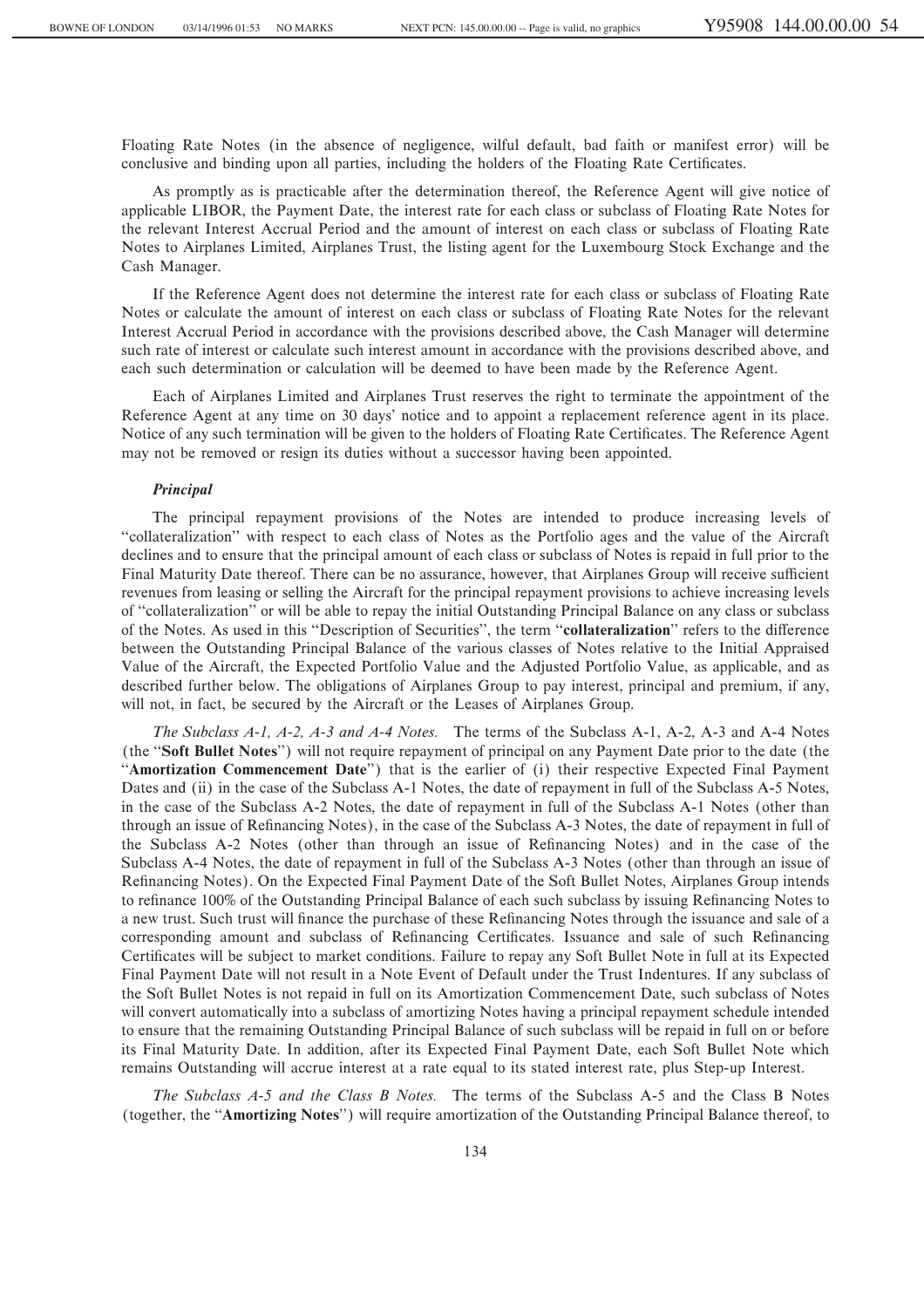Floating Rate Notes (in the absence of negligence, wilful default, bad faith or manifest error) will be conclusive and binding upon all parties, including the holders of the Floating Rate Certificates.

As promptly as is practicable after the determination thereof, the Reference Agent will give notice of applicable LIBOR, the Payment Date, the interest rate for each class or subclass of Floating Rate Notes for the relevant Interest Accrual Period and the amount of interest on each class or subclass of Floating Rate Notes to Airplanes Limited, Airplanes Trust, the listing agent for the Luxembourg Stock Exchange and the Cash Manager.

If the Reference Agent does not determine the interest rate for each class or subclass of Floating Rate Notes or calculate the amount of interest on each class or subclass of Floating Rate Notes for the relevant Interest Accrual Period in accordance with the provisions described above, the Cash Manager will determine such rate of interest or calculate such interest amount in accordance with the provisions described above, and each such determination or calculation will be deemed to have been made by the Reference Agent.

Each of Airplanes Limited and Airplanes Trust reserves the right to terminate the appointment of the Reference Agent at any time on 30 days' notice and to appoint a replacement reference agent in its place. Notice of any such termination will be given to the holders of Floating Rate Certificates. The Reference Agent may not be removed or resign its duties without a successor having been appointed.

#### *Principal*

The principal repayment provisions of the Notes are intended to produce increasing levels of ""collateralization'' with respect to each class of Notes as the Portfolio ages and the value of the Aircraft declines and to ensure that the principal amount of each class or subclass of Notes is repaid in full prior to the Final Maturity Date thereof. There can be no assurance, however, that Airplanes Group will receive sufficient revenues from leasing or selling the Aircraft for the principal repayment provisions to achieve increasing levels of ""collateralization'' or will be able to repay the initial Outstanding Principal Balance on any class or subclass of the Notes. As used in this "Description of Securities", the term "**collateralization**" refers to the difference between the Outstanding Principal Balance of the various classes of Notes relative to the Initial Appraised Value of the Aircraft, the Expected Portfolio Value and the Adjusted Portfolio Value, as applicable, and as described further below. The obligations of Airplanes Group to pay interest, principal and premium, if any, will not, in fact, be secured by the Aircraft or the Leases of Airplanes Group.

*The Subclass A-1, A-2, A-3 and A-4 Notes.* The terms of the Subclass A-1, A-2, A-3 and A-4 Notes (the ""**Soft Bullet Notes**'') will not require repayment of principal on any Payment Date prior to the date (the "Amortization Commencement Date") that is the earlier of (i) their respective Expected Final Payment Dates and (ii) in the case of the Subclass A-1 Notes, the date of repayment in full of the Subclass A-5 Notes, in the case of the Subclass A-2 Notes, the date of repayment in full of the Subclass A-1 Notes (other than through an issue of Refinancing Notes), in the case of the Subclass A-3 Notes, the date of repayment in full of the Subclass A-2 Notes (other than through an issue of Refinancing Notes) and in the case of the Subclass A-4 Notes, the date of repayment in full of the Subclass A-3 Notes (other than through an issue of Refinancing Notes). On the Expected Final Payment Date of the Soft Bullet Notes, Airplanes Group intends to refinance 100% of the Outstanding Principal Balance of each such subclass by issuing Refinancing Notes to a new trust. Such trust will finance the purchase of these Refinancing Notes through the issuance and sale of a corresponding amount and subclass of Refinancing Certificates. Issuance and sale of such Refinancing Certificates will be subject to market conditions. Failure to repay any Soft Bullet Note in full at its Expected Final Payment Date will not result in a Note Event of Default under the Trust Indentures. If any subclass of the Soft Bullet Notes is not repaid in full on its Amortization Commencement Date, such subclass of Notes will convert automatically into a subclass of amortizing Notes having a principal repayment schedule intended to ensure that the remaining Outstanding Principal Balance of such subclass will be repaid in full on or before its Final Maturity Date. In addition, after its Expected Final Payment Date, each Soft Bullet Note which remains Outstanding will accrue interest at a rate equal to its stated interest rate, plus Step-up Interest.

*The Subclass A-5 and the Class B Notes.* The terms of the Subclass A-5 and the Class B Notes (together, the "**Amortizing Notes**") will require amortization of the Outstanding Principal Balance thereof, to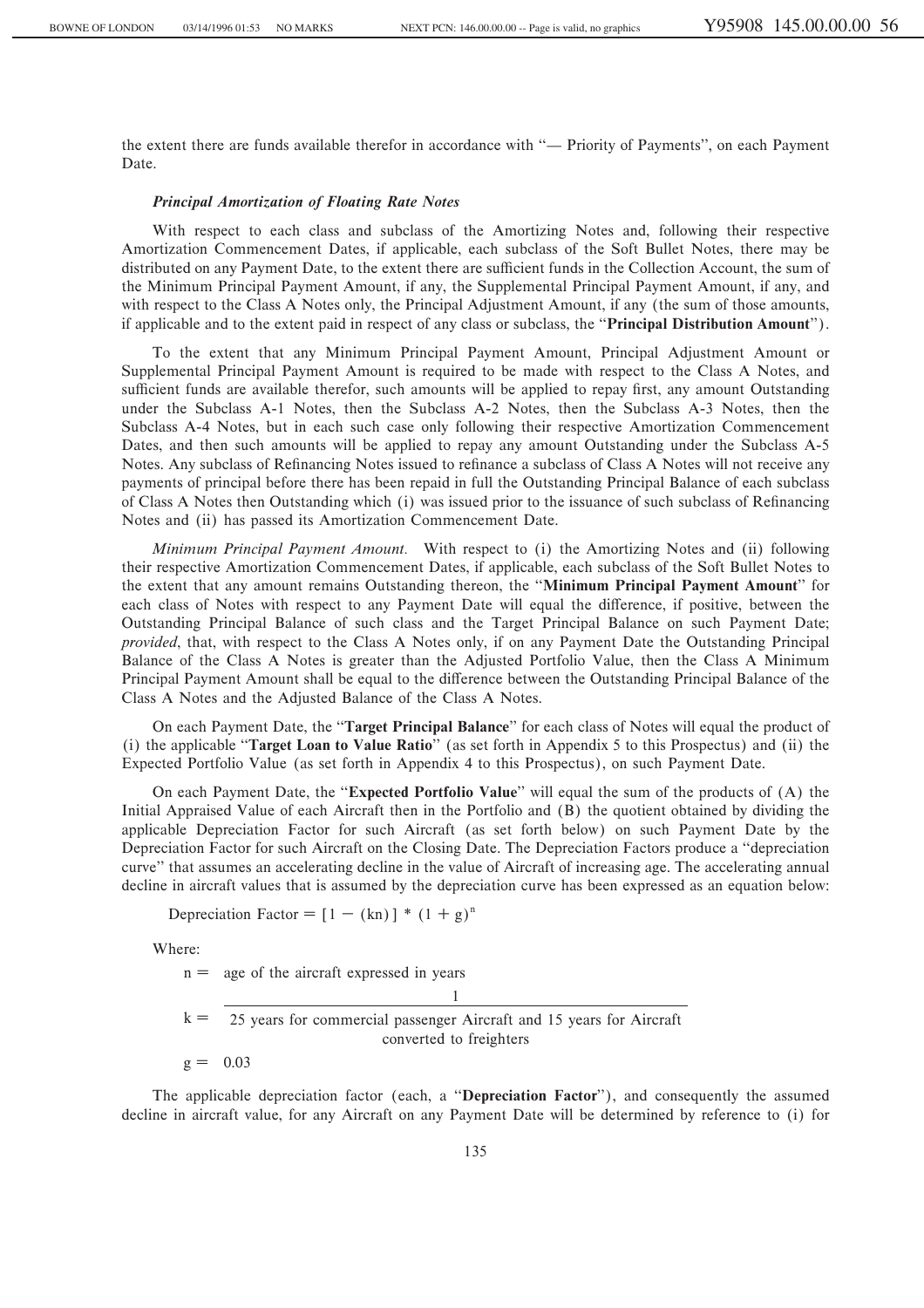the extent there are funds available therefor in accordance with "- Priority of Payments", on each Payment Date.

### *Principal Amortization of Floating Rate Notes*

With respect to each class and subclass of the Amortizing Notes and, following their respective Amortization Commencement Dates, if applicable, each subclass of the Soft Bullet Notes, there may be distributed on any Payment Date, to the extent there are sufficient funds in the Collection Account, the sum of the Minimum Principal Payment Amount, if any, the Supplemental Principal Payment Amount, if any, and with respect to the Class A Notes only, the Principal Adjustment Amount, if any (the sum of those amounts, if applicable and to the extent paid in respect of any class or subclass, the "**Principal Distribution Amount**").

To the extent that any Minimum Principal Payment Amount, Principal Adjustment Amount or Supplemental Principal Payment Amount is required to be made with respect to the Class A Notes, and sufficient funds are available therefor, such amounts will be applied to repay first, any amount Outstanding under the Subclass A-1 Notes, then the Subclass A-2 Notes, then the Subclass A-3 Notes, then the Subclass A-4 Notes, but in each such case only following their respective Amortization Commencement Dates, and then such amounts will be applied to repay any amount Outstanding under the Subclass A-5 Notes. Any subclass of Refinancing Notes issued to refinance a subclass of Class A Notes will not receive any payments of principal before there has been repaid in full the Outstanding Principal Balance of each subclass of Class A Notes then Outstanding which (i) was issued prior to the issuance of such subclass of Refinancing Notes and (ii) has passed its Amortization Commencement Date.

*Minimum Principal Payment Amount.* With respect to (i) the Amortizing Notes and (ii) following their respective Amortization Commencement Dates, if applicable, each subclass of the Soft Bullet Notes to the extent that any amount remains Outstanding thereon, the ""**Minimum Principal Payment Amount**'' for each class of Notes with respect to any Payment Date will equal the difference, if positive, between the Outstanding Principal Balance of such class and the Target Principal Balance on such Payment Date; *provided*, that, with respect to the Class A Notes only, if on any Payment Date the Outstanding Principal Balance of the Class A Notes is greater than the Adjusted Portfolio Value, then the Class A Minimum Principal Payment Amount shall be equal to the difference between the Outstanding Principal Balance of the Class A Notes and the Adjusted Balance of the Class A Notes.

On each Payment Date, the ""**Target Principal Balance**'' for each class of Notes will equal the product of (i) the applicable ""**Target Loan to Value Ratio**'' (as set forth in Appendix 5 to this Prospectus) and (ii) the Expected Portfolio Value (as set forth in Appendix 4 to this Prospectus), on such Payment Date.

On each Payment Date, the ""**Expected Portfolio Value**'' will equal the sum of the products of (A) the Initial Appraised Value of each Aircraft then in the Portfolio and (B) the quotient obtained by dividing the applicable Depreciation Factor for such Aircraft (as set forth below) on such Payment Date by the Depreciation Factor for such Aircraft on the Closing Date. The Depreciation Factors produce a ""depreciation curve'' that assumes an accelerating decline in the value of Aircraft of increasing age. The accelerating annual decline in aircraft values that is assumed by the depreciation curve has been expressed as an equation below:

Depreciation Factor =  $[1 - (kn)]$  \*  $(1 + g)^n$ 

Where:

 $n =$  age of the aircraft expressed in years 1  $k = 25$  years for commercial passenger Aircraft and 15 years for Aircraft converted to freighters  $g = 0.03$ 

The applicable depreciation factor (each, a "Depreciation Factor"), and consequently the assumed decline in aircraft value, for any Aircraft on any Payment Date will be determined by reference to (i) for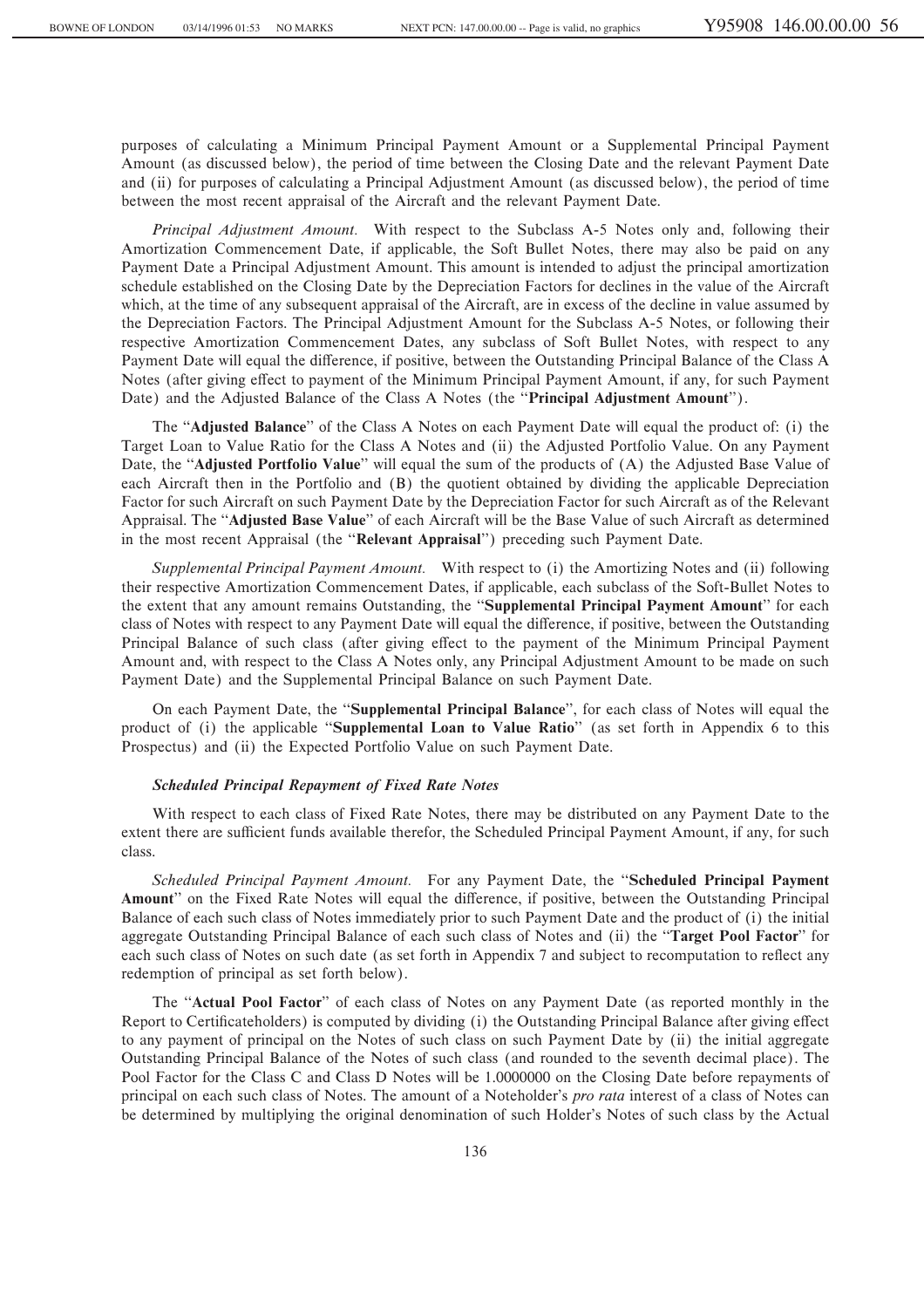purposes of calculating a Minimum Principal Payment Amount or a Supplemental Principal Payment Amount (as discussed below), the period of time between the Closing Date and the relevant Payment Date and (ii) for purposes of calculating a Principal Adjustment Amount (as discussed below), the period of time between the most recent appraisal of the Aircraft and the relevant Payment Date.

*Principal Adjustment Amount.* With respect to the Subclass A-5 Notes only and, following their Amortization Commencement Date, if applicable, the Soft Bullet Notes, there may also be paid on any Payment Date a Principal Adjustment Amount. This amount is intended to adjust the principal amortization schedule established on the Closing Date by the Depreciation Factors for declines in the value of the Aircraft which, at the time of any subsequent appraisal of the Aircraft, are in excess of the decline in value assumed by the Depreciation Factors. The Principal Adjustment Amount for the Subclass A-5 Notes, or following their respective Amortization Commencement Dates, any subclass of Soft Bullet Notes, with respect to any Payment Date will equal the difference, if positive, between the Outstanding Principal Balance of the Class A Notes (after giving effect to payment of the Minimum Principal Payment Amount, if any, for such Payment Date) and the Adjusted Balance of the Class A Notes (the "Principal Adjustment Amount").

The "**Adjusted Balance**" of the Class A Notes on each Payment Date will equal the product of: (i) the Target Loan to Value Ratio for the Class A Notes and (ii) the Adjusted Portfolio Value. On any Payment Date, the "**Adjusted Portfolio Value**" will equal the sum of the products of (A) the Adjusted Base Value of each Aircraft then in the Portfolio and (B) the quotient obtained by dividing the applicable Depreciation Factor for such Aircraft on such Payment Date by the Depreciation Factor for such Aircraft as of the Relevant Appraisal. The ""**Adjusted Base Value**'' of each Aircraft will be the Base Value of such Aircraft as determined in the most recent Appraisal (the ""**Relevant Appraisal**'') preceding such Payment Date.

*Supplemental Principal Payment Amount.* With respect to (i) the Amortizing Notes and (ii) following their respective Amortization Commencement Dates, if applicable, each subclass of the Soft-Bullet Notes to the extent that any amount remains Outstanding, the ""**Supplemental Principal Payment Amount**'' for each class of Notes with respect to any Payment Date will equal the difference, if positive, between the Outstanding Principal Balance of such class (after giving effect to the payment of the Minimum Principal Payment Amount and, with respect to the Class A Notes only, any Principal Adjustment Amount to be made on such Payment Date) and the Supplemental Principal Balance on such Payment Date.

On each Payment Date, the ""**Supplemental Principal Balance**'', for each class of Notes will equal the product of (i) the applicable ""**Supplemental Loan to Value Ratio**'' (as set forth in Appendix 6 to this Prospectus) and (ii) the Expected Portfolio Value on such Payment Date.

## *Scheduled Principal Repayment of Fixed Rate Notes*

With respect to each class of Fixed Rate Notes, there may be distributed on any Payment Date to the extent there are sufficient funds available therefor, the Scheduled Principal Payment Amount, if any, for such class.

*Scheduled Principal Payment Amount.* For any Payment Date, the ""**Scheduled Principal Payment** Amount" on the Fixed Rate Notes will equal the difference, if positive, between the Outstanding Principal Balance of each such class of Notes immediately prior to such Payment Date and the product of (i) the initial aggregate Outstanding Principal Balance of each such class of Notes and (ii) the ""**Target Pool Factor**'' for each such class of Notes on such date (as set forth in Appendix 7 and subject to recomputation to reflect any redemption of principal as set forth below).

The ""**Actual Pool Factor**'' of each class of Notes on any Payment Date (as reported monthly in the Report to Certificateholders) is computed by dividing (i) the Outstanding Principal Balance after giving effect to any payment of principal on the Notes of such class on such Payment Date by (ii) the initial aggregate Outstanding Principal Balance of the Notes of such class (and rounded to the seventh decimal place). The Pool Factor for the Class C and Class D Notes will be 1.0000000 on the Closing Date before repayments of principal on each such class of Notes. The amount of a Noteholder's *pro rata* interest of a class of Notes can be determined by multiplying the original denomination of such Holder's Notes of such class by the Actual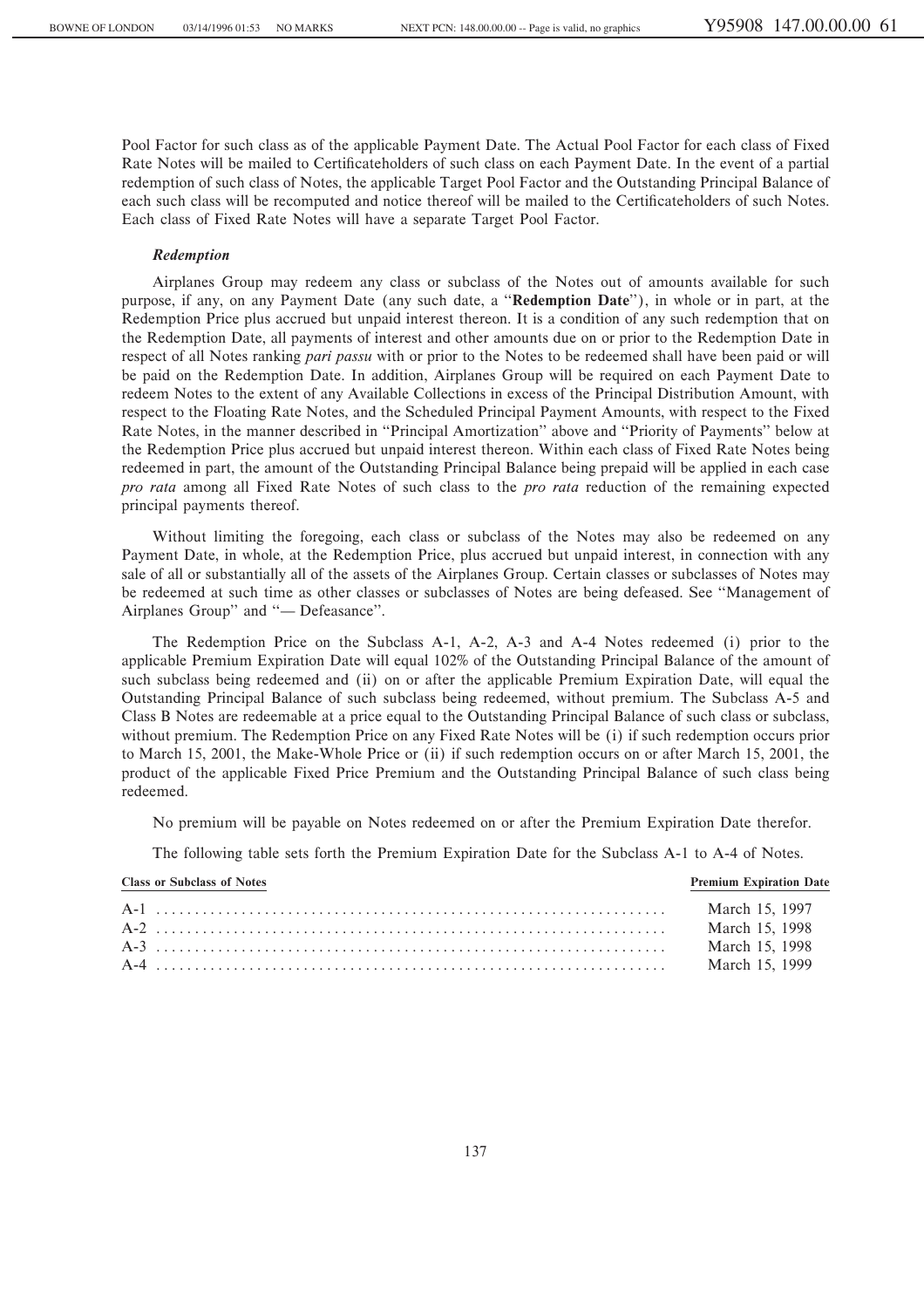Pool Factor for such class as of the applicable Payment Date. The Actual Pool Factor for each class of Fixed Rate Notes will be mailed to Certificateholders of such class on each Payment Date. In the event of a partial redemption of such class of Notes, the applicable Target Pool Factor and the Outstanding Principal Balance of each such class will be recomputed and notice thereof will be mailed to the Certificateholders of such Notes. Each class of Fixed Rate Notes will have a separate Target Pool Factor.

#### *Redemption*

Airplanes Group may redeem any class or subclass of the Notes out of amounts available for such purpose, if any, on any Payment Date (any such date, a ""**Redemption Date**''), in whole or in part, at the Redemption Price plus accrued but unpaid interest thereon. It is a condition of any such redemption that on the Redemption Date, all payments of interest and other amounts due on or prior to the Redemption Date in respect of all Notes ranking *pari passu* with or prior to the Notes to be redeemed shall have been paid or will be paid on the Redemption Date. In addition, Airplanes Group will be required on each Payment Date to redeem Notes to the extent of any Available Collections in excess of the Principal Distribution Amount, with respect to the Floating Rate Notes, and the Scheduled Principal Payment Amounts, with respect to the Fixed Rate Notes, in the manner described in "Principal Amortization" above and "Priority of Payments" below at the Redemption Price plus accrued but unpaid interest thereon. Within each class of Fixed Rate Notes being redeemed in part, the amount of the Outstanding Principal Balance being prepaid will be applied in each case *pro rata* among all Fixed Rate Notes of such class to the *pro rata* reduction of the remaining expected principal payments thereof.

Without limiting the foregoing, each class or subclass of the Notes may also be redeemed on any Payment Date, in whole, at the Redemption Price, plus accrued but unpaid interest, in connection with any sale of all or substantially all of the assets of the Airplanes Group. Certain classes or subclasses of Notes may be redeemed at such time as other classes or subclasses of Notes are being defeased. See ""Management of Airplanes Group" and "- Defeasance".

The Redemption Price on the Subclass A-1, A-2, A-3 and A-4 Notes redeemed (i) prior to the applicable Premium Expiration Date will equal 102% of the Outstanding Principal Balance of the amount of such subclass being redeemed and (ii) on or after the applicable Premium Expiration Date, will equal the Outstanding Principal Balance of such subclass being redeemed, without premium. The Subclass A-5 and Class B Notes are redeemable at a price equal to the Outstanding Principal Balance of such class or subclass, without premium. The Redemption Price on any Fixed Rate Notes will be (i) if such redemption occurs prior to March 15, 2001, the Make-Whole Price or (ii) if such redemption occurs on or after March 15, 2001, the product of the applicable Fixed Price Premium and the Outstanding Principal Balance of such class being redeemed.

No premium will be payable on Notes redeemed on or after the Premium Expiration Date therefor.

The following table sets forth the Premium Expiration Date for the Subclass A-1 to A-4 of Notes.

| <b>Class or Subclass of Notes</b> | <b>Premium Expiration Date</b> |
|-----------------------------------|--------------------------------|
|                                   | March 15, 1997                 |
|                                   | March 15, 1998                 |
|                                   | March 15, 1998                 |
|                                   | March 15, 1999                 |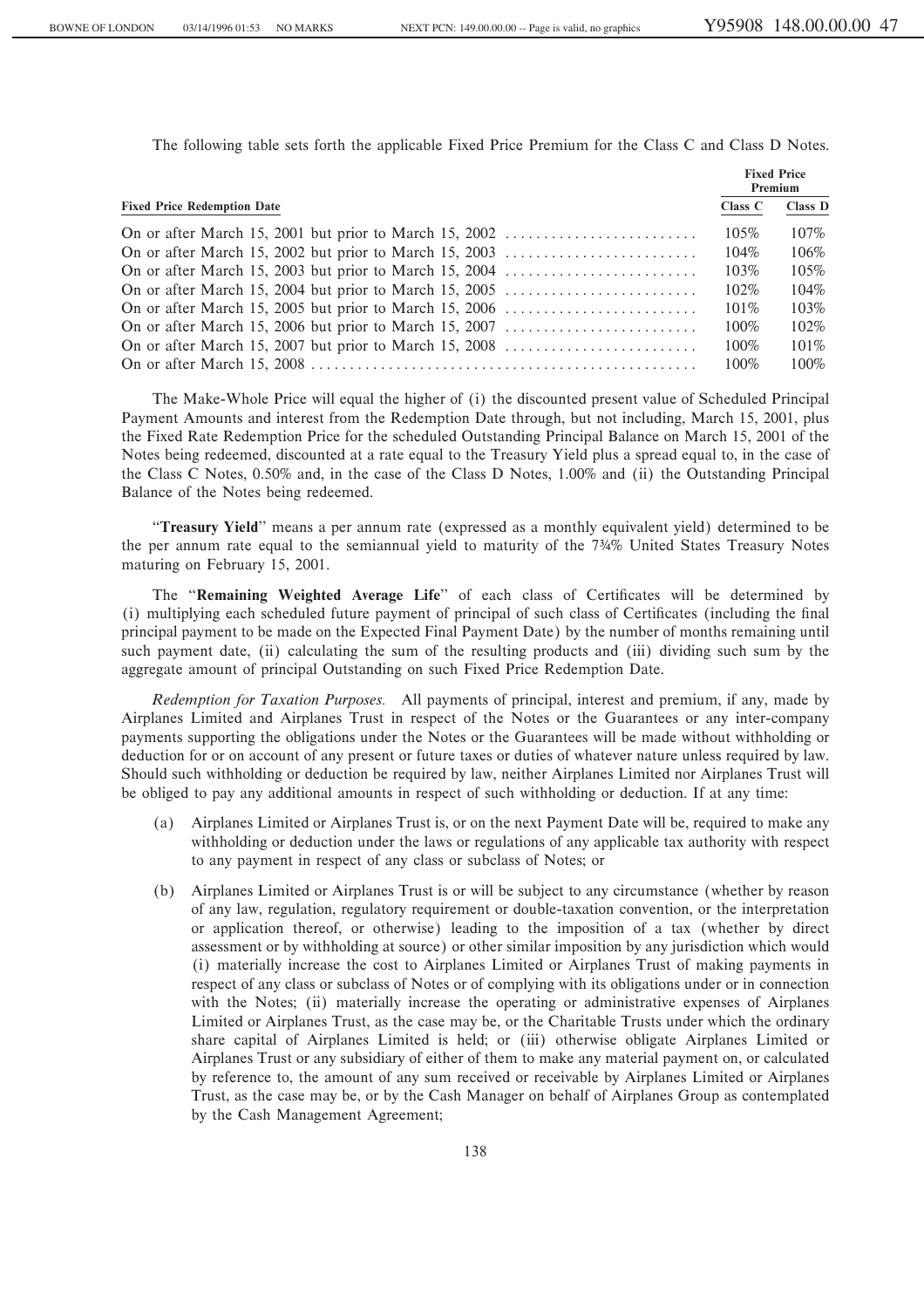The following table sets forth the applicable Fixed Price Premium for the Class C and Class D Notes.

|                                    | <b>Fixed Price</b><br>Premium |         |
|------------------------------------|-------------------------------|---------|
| <b>Fixed Price Redemption Date</b> | Class C                       | Class D |
|                                    | 105%                          | 107%    |
|                                    | $104\%$                       | 106%    |
|                                    | 103%                          | 105%    |
|                                    | $102\%$                       | 104%    |
|                                    | $101\%$                       | 103%    |
|                                    | $100\%$                       | 102%    |
|                                    | $100\%$                       | $101\%$ |
|                                    | 100%                          | $100\%$ |

The Make-Whole Price will equal the higher of (i) the discounted present value of Scheduled Principal Payment Amounts and interest from the Redemption Date through, but not including, March 15, 2001, plus the Fixed Rate Redemption Price for the scheduled Outstanding Principal Balance on March 15, 2001 of the Notes being redeemed, discounted at a rate equal to the Treasury Yield plus a spread equal to, in the case of the Class C Notes, 0.50% and, in the case of the Class D Notes, 1.00% and (ii) the Outstanding Principal Balance of the Notes being redeemed.

""**Treasury Yield**'' means a per annum rate (expressed as a monthly equivalent yield) determined to be the per annum rate equal to the semiannual yield to maturity of the 7∂% United States Treasury Notes maturing on February 15, 2001.

The "Remaining Weighted Average Life" of each class of Certificates will be determined by (i) multiplying each scheduled future payment of principal of such class of Certificates (including the final principal payment to be made on the Expected Final Payment Date) by the number of months remaining until such payment date, (ii) calculating the sum of the resulting products and (iii) dividing such sum by the aggregate amount of principal Outstanding on such Fixed Price Redemption Date.

*Redemption for Taxation Purposes.* All payments of principal, interest and premium, if any, made by Airplanes Limited and Airplanes Trust in respect of the Notes or the Guarantees or any inter-company payments supporting the obligations under the Notes or the Guarantees will be made without withholding or deduction for or on account of any present or future taxes or duties of whatever nature unless required by law. Should such withholding or deduction be required by law, neither Airplanes Limited nor Airplanes Trust will be obliged to pay any additional amounts in respect of such withholding or deduction. If at any time:

- Airplanes Limited or Airplanes Trust is, or on the next Payment Date will be, required to make any withholding or deduction under the laws or regulations of any applicable tax authority with respect to any payment in respect of any class or subclass of Notes; or
- (b) Airplanes Limited or Airplanes Trust is or will be subject to any circumstance (whether by reason of any law, regulation, regulatory requirement or double-taxation convention, or the interpretation or application thereof, or otherwise) leading to the imposition of a tax (whether by direct assessment or by withholding at source) or other similar imposition by any jurisdiction which would (i) materially increase the cost to Airplanes Limited or Airplanes Trust of making payments in respect of any class or subclass of Notes or of complying with its obligations under or in connection with the Notes; (ii) materially increase the operating or administrative expenses of Airplanes Limited or Airplanes Trust, as the case may be, or the Charitable Trusts under which the ordinary share capital of Airplanes Limited is held; or (iii) otherwise obligate Airplanes Limited or Airplanes Trust or any subsidiary of either of them to make any material payment on, or calculated by reference to, the amount of any sum received or receivable by Airplanes Limited or Airplanes Trust, as the case may be, or by the Cash Manager on behalf of Airplanes Group as contemplated by the Cash Management Agreement;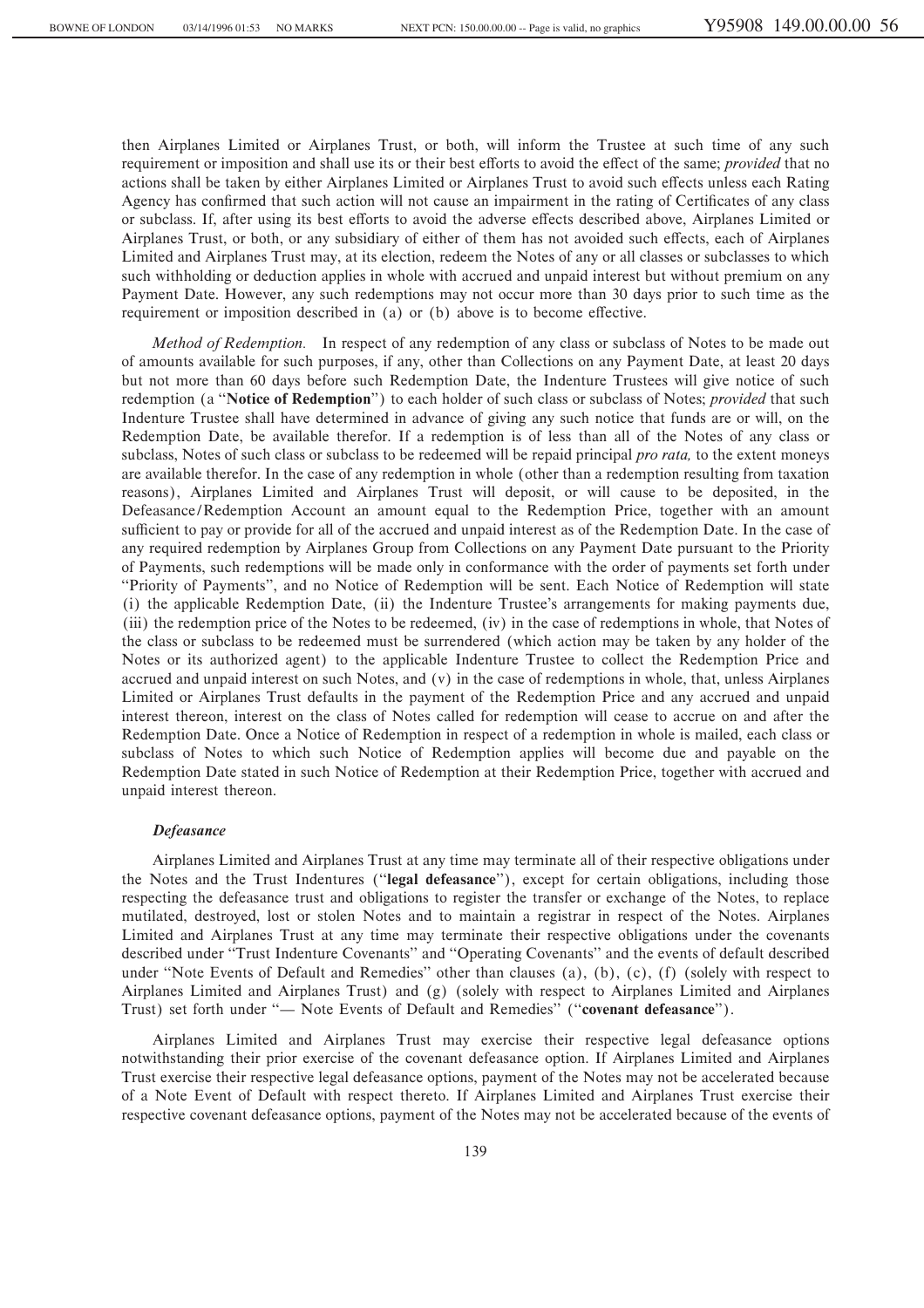then Airplanes Limited or Airplanes Trust, or both, will inform the Trustee at such time of any such requirement or imposition and shall use its or their best efforts to avoid the effect of the same; *provided* that no actions shall be taken by either Airplanes Limited or Airplanes Trust to avoid such effects unless each Rating Agency has confirmed that such action will not cause an impairment in the rating of Certificates of any class or subclass. If, after using its best efforts to avoid the adverse effects described above, Airplanes Limited or Airplanes Trust, or both, or any subsidiary of either of them has not avoided such effects, each of Airplanes Limited and Airplanes Trust may, at its election, redeem the Notes of any or all classes or subclasses to which such withholding or deduction applies in whole with accrued and unpaid interest but without premium on any Payment Date. However, any such redemptions may not occur more than 30 days prior to such time as the requirement or imposition described in  $(a)$  or  $(b)$  above is to become effective.

*Method of Redemption.* In respect of any redemption of any class or subclass of Notes to be made out of amounts available for such purposes, if any, other than Collections on any Payment Date, at least 20 days but not more than 60 days before such Redemption Date, the Indenture Trustees will give notice of such redemption (a ""**Notice of Redemption**'') to each holder of such class or subclass of Notes; *provided* that such Indenture Trustee shall have determined in advance of giving any such notice that funds are or will, on the Redemption Date, be available therefor. If a redemption is of less than all of the Notes of any class or subclass, Notes of such class or subclass to be redeemed will be repaid principal *pro rata,* to the extent moneys are available therefor. In the case of any redemption in whole (other than a redemption resulting from taxation reasons), Airplanes Limited and Airplanes Trust will deposit, or will cause to be deposited, in the Defeasance/Redemption Account an amount equal to the Redemption Price, together with an amount sufficient to pay or provide for all of the accrued and unpaid interest as of the Redemption Date. In the case of any required redemption by Airplanes Group from Collections on any Payment Date pursuant to the Priority of Payments, such redemptions will be made only in conformance with the order of payments set forth under ""Priority of Payments'', and no Notice of Redemption will be sent. Each Notice of Redemption will state (i) the applicable Redemption Date, (ii) the Indenture Trustee's arrangements for making payments due, (iii) the redemption price of the Notes to be redeemed, (iv) in the case of redemptions in whole, that Notes of the class or subclass to be redeemed must be surrendered (which action may be taken by any holder of the Notes or its authorized agent) to the applicable Indenture Trustee to collect the Redemption Price and accrued and unpaid interest on such Notes, and (v) in the case of redemptions in whole, that, unless Airplanes Limited or Airplanes Trust defaults in the payment of the Redemption Price and any accrued and unpaid interest thereon, interest on the class of Notes called for redemption will cease to accrue on and after the Redemption Date. Once a Notice of Redemption in respect of a redemption in whole is mailed, each class or subclass of Notes to which such Notice of Redemption applies will become due and payable on the Redemption Date stated in such Notice of Redemption at their Redemption Price, together with accrued and unpaid interest thereon.

### *Defeasance*

Airplanes Limited and Airplanes Trust at any time may terminate all of their respective obligations under the Notes and the Trust Indentures (""**legal defeasance**''), except for certain obligations, including those respecting the defeasance trust and obligations to register the transfer or exchange of the Notes, to replace mutilated, destroyed, lost or stolen Notes and to maintain a registrar in respect of the Notes. Airplanes Limited and Airplanes Trust at any time may terminate their respective obligations under the covenants described under ""Trust Indenture Covenants'' and ""Operating Covenants'' and the events of default described under "Note Events of Default and Remedies" other than clauses (a), (b), (c), (f) (solely with respect to Airplanes Limited and Airplanes Trust) and (g) (solely with respect to Airplanes Limited and Airplanes Trust) set forth under "- Note Events of Default and Remedies" ("covenant defeasance").

Airplanes Limited and Airplanes Trust may exercise their respective legal defeasance options notwithstanding their prior exercise of the covenant defeasance option. If Airplanes Limited and Airplanes Trust exercise their respective legal defeasance options, payment of the Notes may not be accelerated because of a Note Event of Default with respect thereto. If Airplanes Limited and Airplanes Trust exercise their respective covenant defeasance options, payment of the Notes may not be accelerated because of the events of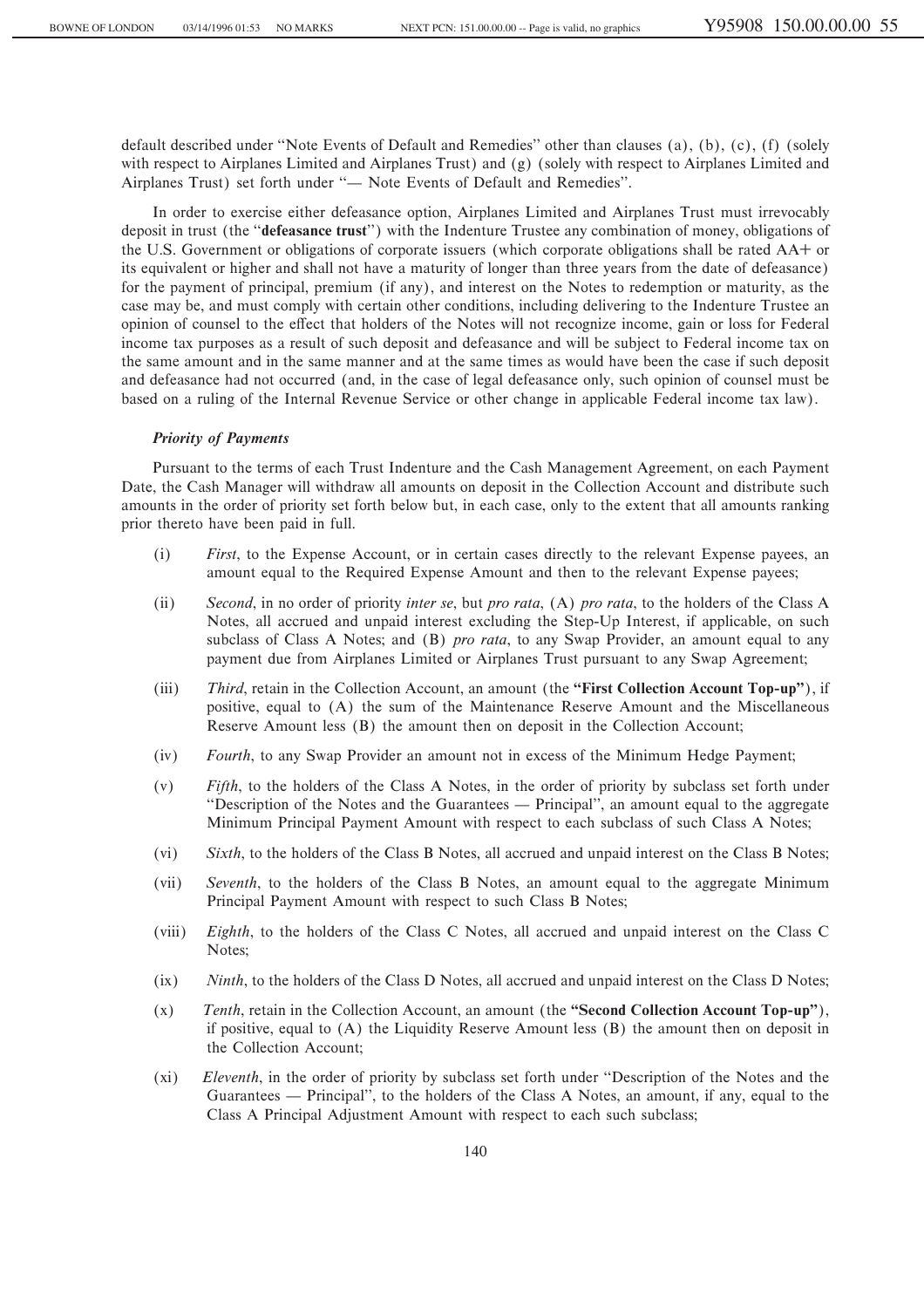default described under "Note Events of Default and Remedies" other than clauses (a), (b), (c), (f) (solely with respect to Airplanes Limited and Airplanes Trust) and (g) (solely with respect to Airplanes Limited and Airplanes Trust) set forth under "- Note Events of Default and Remedies".

In order to exercise either defeasance option, Airplanes Limited and Airplanes Trust must irrevocably deposit in trust (the ""**defeasance trust**'') with the Indenture Trustee any combination of money, obligations of the U.S. Government or obligations of corporate issuers (which corporate obligations shall be rated AA+ or its equivalent or higher and shall not have a maturity of longer than three years from the date of defeasance) for the payment of principal, premium (if any), and interest on the Notes to redemption or maturity, as the case may be, and must comply with certain other conditions, including delivering to the Indenture Trustee an opinion of counsel to the effect that holders of the Notes will not recognize income, gain or loss for Federal income tax purposes as a result of such deposit and defeasance and will be subject to Federal income tax on the same amount and in the same manner and at the same times as would have been the case if such deposit and defeasance had not occurred (and, in the case of legal defeasance only, such opinion of counsel must be based on a ruling of the Internal Revenue Service or other change in applicable Federal income tax law).

# *Priority of Payments*

Pursuant to the terms of each Trust Indenture and the Cash Management Agreement, on each Payment Date, the Cash Manager will withdraw all amounts on deposit in the Collection Account and distribute such amounts in the order of priority set forth below but, in each case, only to the extent that all amounts ranking prior thereto have been paid in full.

- (i) *First*, to the Expense Account, or in certain cases directly to the relevant Expense payees, an amount equal to the Required Expense Amount and then to the relevant Expense payees;
- (ii) *Second*, in no order of priority *inter se*, but *pro rata*, (A) *pro rata*, to the holders of the Class A Notes, all accrued and unpaid interest excluding the Step-Up Interest, if applicable, on such subclass of Class A Notes; and (B) *pro rata*, to any Swap Provider, an amount equal to any payment due from Airplanes Limited or Airplanes Trust pursuant to any Swap Agreement;
- (iii) *Third*, retain in the Collection Account, an amount (the **""First Collection Account Top-up''**), if positive, equal to (A) the sum of the Maintenance Reserve Amount and the Miscellaneous Reserve Amount less (B) the amount then on deposit in the Collection Account;
- (iv) *Fourth*, to any Swap Provider an amount not in excess of the Minimum Hedge Payment;
- (v) *Fifth*, to the holders of the Class A Notes, in the order of priority by subclass set forth under "Description of the Notes and the Guarantees — Principal", an amount equal to the aggregate Minimum Principal Payment Amount with respect to each subclass of such Class A Notes;
- (vi) *Sixth*, to the holders of the Class B Notes, all accrued and unpaid interest on the Class B Notes;
- (vii) *Seventh*, to the holders of the Class B Notes, an amount equal to the aggregate Minimum Principal Payment Amount with respect to such Class B Notes;
- (viii) *Eighth*, to the holders of the Class C Notes, all accrued and unpaid interest on the Class C Notes;
- (ix) *Ninth*, to the holders of the Class D Notes, all accrued and unpaid interest on the Class D Notes;
- (x) *Tenth*, retain in the Collection Account, an amount (the **""Second Collection Account Top-up''**), if positive, equal to (A) the Liquidity Reserve Amount less (B) the amount then on deposit in the Collection Account;
- (xi) *Eleventh*, in the order of priority by subclass set forth under ""Description of the Notes and the Guarantees — Principal", to the holders of the Class A Notes, an amount, if any, equal to the Class A Principal Adjustment Amount with respect to each such subclass;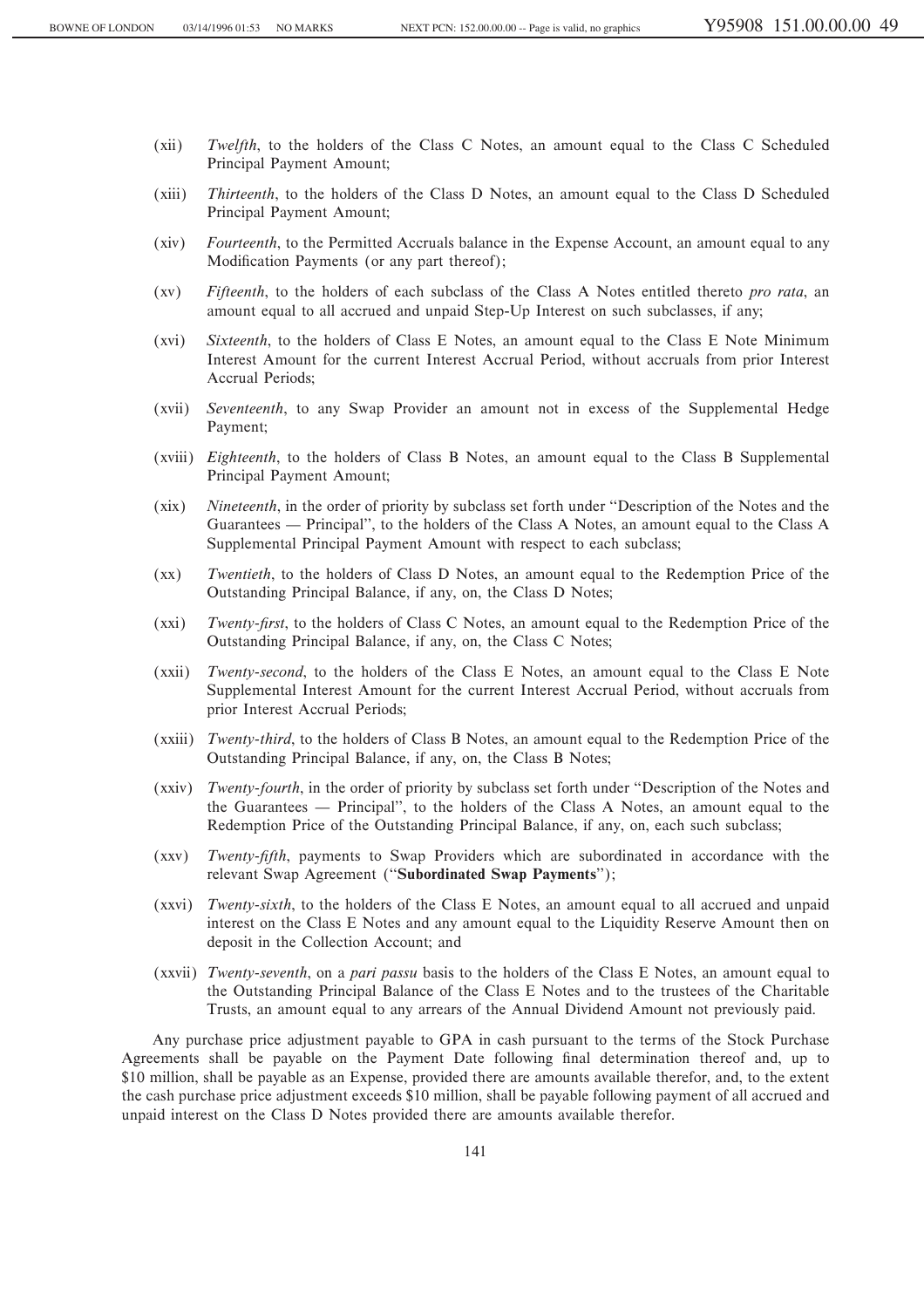- (xii) *Twelfth*, to the holders of the Class C Notes, an amount equal to the Class C Scheduled Principal Payment Amount;
- (xiii) *Thirteenth*, to the holders of the Class D Notes, an amount equal to the Class D Scheduled Principal Payment Amount;
- (xiv) *Fourteenth*, to the Permitted Accruals balance in the Expense Account, an amount equal to any Modification Payments (or any part thereof);
- (xv) *Fifteenth*, to the holders of each subclass of the Class A Notes entitled thereto *pro rata*, an amount equal to all accrued and unpaid Step-Up Interest on such subclasses, if any;
- (xvi) *Sixteenth*, to the holders of Class E Notes, an amount equal to the Class E Note Minimum Interest Amount for the current Interest Accrual Period, without accruals from prior Interest Accrual Periods;
- (xvii) *Seventeenth*, to any Swap Provider an amount not in excess of the Supplemental Hedge Payment;
- (xviii) *Eighteenth*, to the holders of Class B Notes, an amount equal to the Class B Supplemental Principal Payment Amount;
- (xix) *Nineteenth*, in the order of priority by subclass set forth under ""Description of the Notes and the Guarantees — Principal", to the holders of the Class A Notes, an amount equal to the Class A Supplemental Principal Payment Amount with respect to each subclass;
- (xx) *Twentieth*, to the holders of Class D Notes, an amount equal to the Redemption Price of the Outstanding Principal Balance, if any, on, the Class D Notes;
- (xxi) *Twenty-first*, to the holders of Class C Notes, an amount equal to the Redemption Price of the Outstanding Principal Balance, if any, on, the Class C Notes;
- (xxii) *Twenty-second*, to the holders of the Class E Notes, an amount equal to the Class E Note Supplemental Interest Amount for the current Interest Accrual Period, without accruals from prior Interest Accrual Periods;
- (xxiii) *Twenty-third*, to the holders of Class B Notes, an amount equal to the Redemption Price of the Outstanding Principal Balance, if any, on, the Class B Notes;
- (xxiv) *Twenty-fourth*, in the order of priority by subclass set forth under ""Description of the Notes and the Guarantees — Principal'', to the holders of the Class A Notes, an amount equal to the Redemption Price of the Outstanding Principal Balance, if any, on, each such subclass;
- (xxv) *Twenty-fifth*, payments to Swap Providers which are subordinated in accordance with the relevant Swap Agreement (""**Subordinated Swap Payments**'');
- (xxvi) *Twenty-sixth*, to the holders of the Class E Notes, an amount equal to all accrued and unpaid interest on the Class E Notes and any amount equal to the Liquidity Reserve Amount then on deposit in the Collection Account; and
- (xxvii) *Twenty-seventh*, on a *pari passu* basis to the holders of the Class E Notes, an amount equal to the Outstanding Principal Balance of the Class E Notes and to the trustees of the Charitable Trusts, an amount equal to any arrears of the Annual Dividend Amount not previously paid.

Any purchase price adjustment payable to GPA in cash pursuant to the terms of the Stock Purchase Agreements shall be payable on the Payment Date following final determination thereof and, up to \$10 million, shall be payable as an Expense, provided there are amounts available therefor, and, to the extent the cash purchase price adjustment exceeds \$10 million, shall be payable following payment of all accrued and unpaid interest on the Class D Notes provided there are amounts available therefor.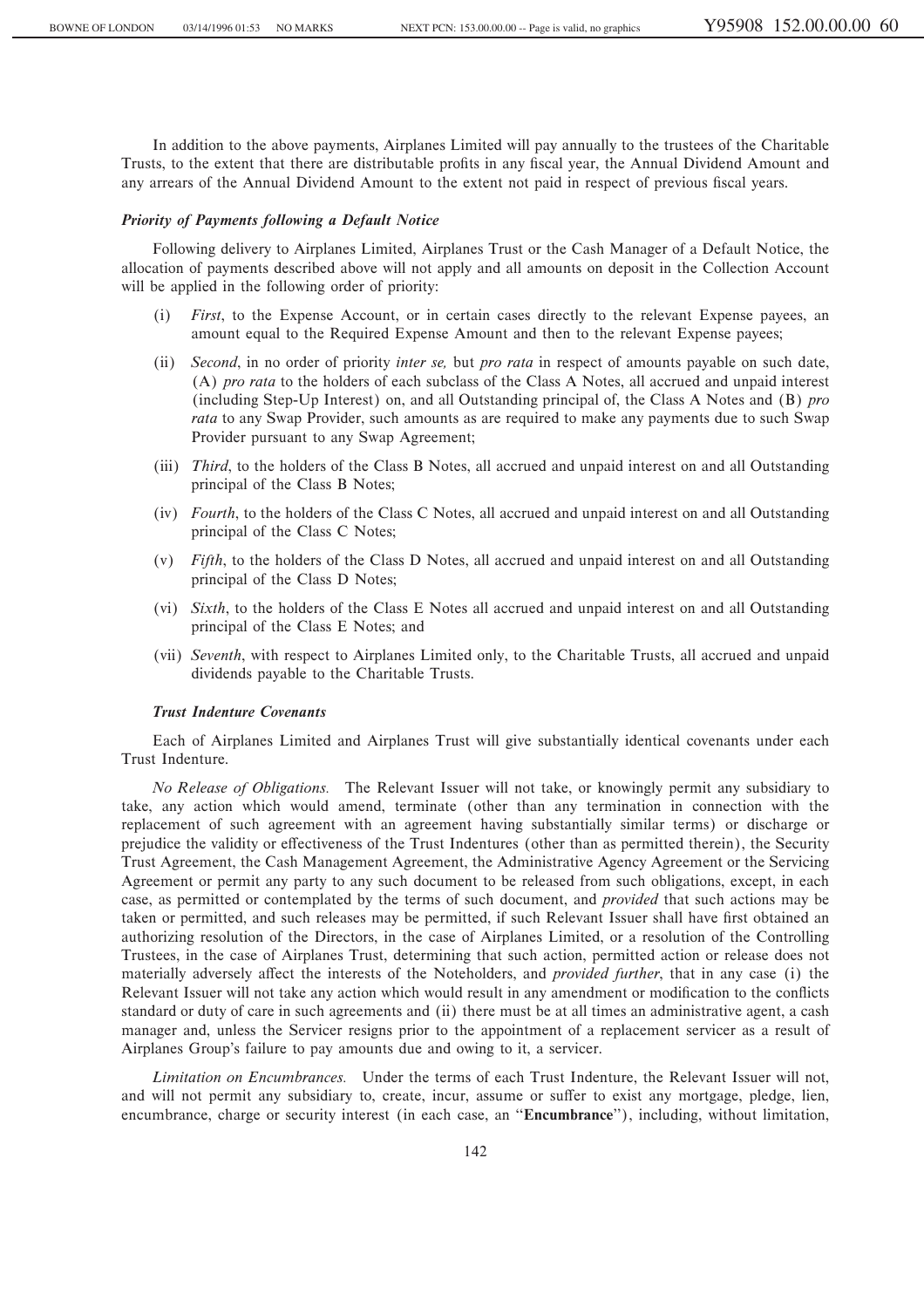In addition to the above payments, Airplanes Limited will pay annually to the trustees of the Charitable Trusts, to the extent that there are distributable profits in any fiscal year, the Annual Dividend Amount and any arrears of the Annual Dividend Amount to the extent not paid in respect of previous fiscal years.

# *Priority of Payments following a Default Notice*

Following delivery to Airplanes Limited, Airplanes Trust or the Cash Manager of a Default Notice, the allocation of payments described above will not apply and all amounts on deposit in the Collection Account will be applied in the following order of priority:

- (i) *First*, to the Expense Account, or in certain cases directly to the relevant Expense payees, an amount equal to the Required Expense Amount and then to the relevant Expense payees;
- (ii) *Second*, in no order of priority *inter se,* but *pro rata* in respect of amounts payable on such date, (A) *pro rata* to the holders of each subclass of the Class A Notes, all accrued and unpaid interest (including Step-Up Interest) on, and all Outstanding principal of, the Class A Notes and (B) *pro rata* to any Swap Provider, such amounts as are required to make any payments due to such Swap Provider pursuant to any Swap Agreement;
- (iii) *Third*, to the holders of the Class B Notes, all accrued and unpaid interest on and all Outstanding principal of the Class B Notes;
- (iv) *Fourth*, to the holders of the Class C Notes, all accrued and unpaid interest on and all Outstanding principal of the Class C Notes;
- (v) *Fifth*, to the holders of the Class D Notes, all accrued and unpaid interest on and all Outstanding principal of the Class D Notes;
- (vi) *Sixth*, to the holders of the Class E Notes all accrued and unpaid interest on and all Outstanding principal of the Class E Notes; and
- (vii) *Seventh*, with respect to Airplanes Limited only, to the Charitable Trusts, all accrued and unpaid dividends payable to the Charitable Trusts.

# *Trust Indenture Covenants*

Each of Airplanes Limited and Airplanes Trust will give substantially identical covenants under each Trust Indenture.

*No Release of Obligations.* The Relevant Issuer will not take, or knowingly permit any subsidiary to take, any action which would amend, terminate (other than any termination in connection with the replacement of such agreement with an agreement having substantially similar terms) or discharge or prejudice the validity or effectiveness of the Trust Indentures (other than as permitted therein), the Security Trust Agreement, the Cash Management Agreement, the Administrative Agency Agreement or the Servicing Agreement or permit any party to any such document to be released from such obligations, except, in each case, as permitted or contemplated by the terms of such document, and *provided* that such actions may be taken or permitted, and such releases may be permitted, if such Relevant Issuer shall have first obtained an authorizing resolution of the Directors, in the case of Airplanes Limited, or a resolution of the Controlling Trustees, in the case of Airplanes Trust, determining that such action, permitted action or release does not materially adversely affect the interests of the Noteholders, and *provided further*, that in any case (i) the Relevant Issuer will not take any action which would result in any amendment or modification to the conflicts standard or duty of care in such agreements and (ii) there must be at all times an administrative agent, a cash manager and, unless the Servicer resigns prior to the appointment of a replacement servicer as a result of Airplanes Group's failure to pay amounts due and owing to it, a servicer.

*Limitation on Encumbrances.* Under the terms of each Trust Indenture, the Relevant Issuer will not, and will not permit any subsidiary to, create, incur, assume or suffer to exist any mortgage, pledge, lien, encumbrance, charge or security interest (in each case, an ""**Encumbrance**''), including, without limitation,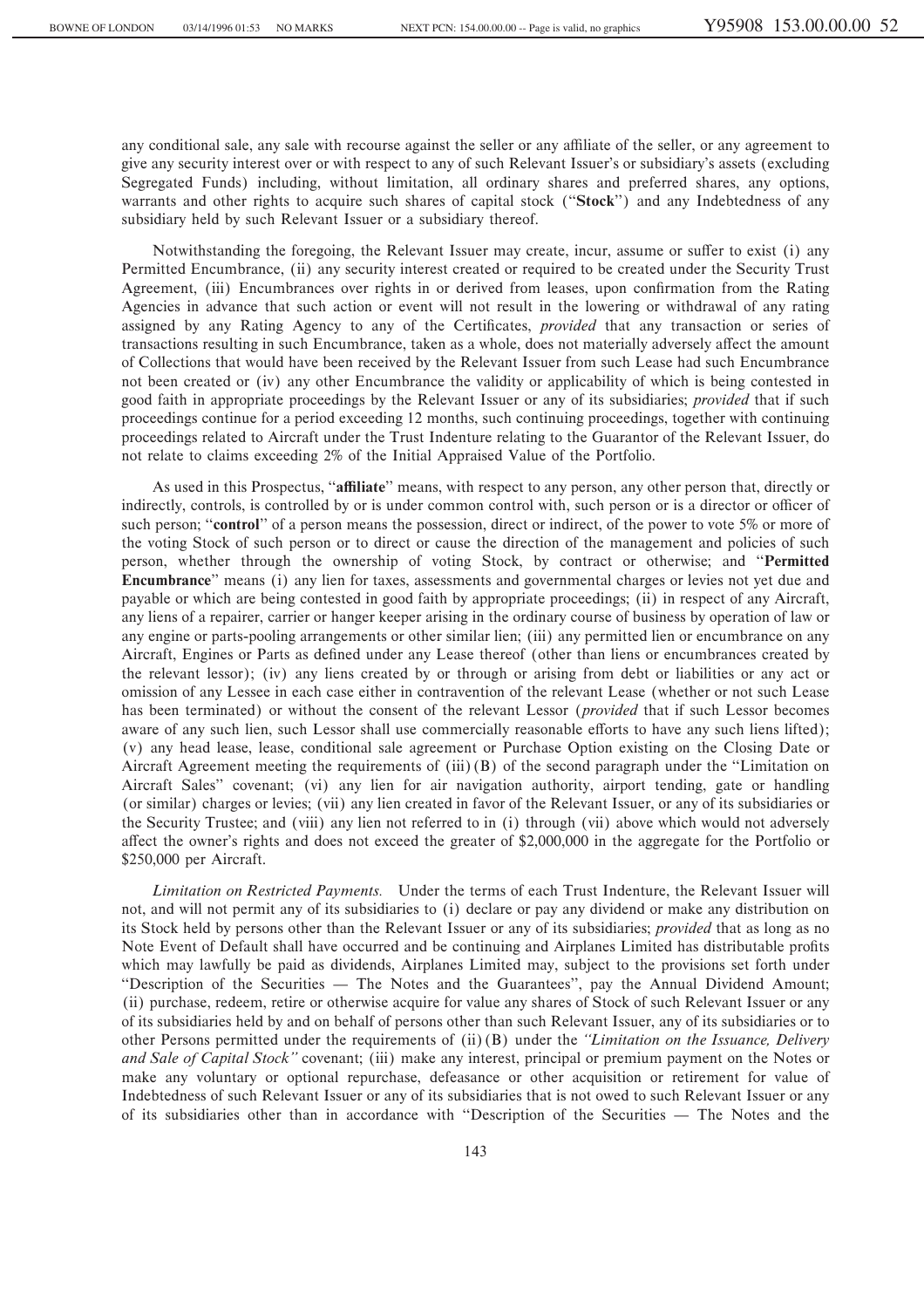any conditional sale, any sale with recourse against the seller or any affiliate of the seller, or any agreement to give any security interest over or with respect to any of such Relevant Issuer's or subsidiary's assets (excluding Segregated Funds) including, without limitation, all ordinary shares and preferred shares, any options, warrants and other rights to acquire such shares of capital stock (""**Stock**'') and any Indebtedness of any subsidiary held by such Relevant Issuer or a subsidiary thereof.

Notwithstanding the foregoing, the Relevant Issuer may create, incur, assume or suffer to exist (i) any Permitted Encumbrance, (ii) any security interest created or required to be created under the Security Trust Agreement, (iii) Encumbrances over rights in or derived from leases, upon confirmation from the Rating Agencies in advance that such action or event will not result in the lowering or withdrawal of any rating assigned by any Rating Agency to any of the Certificates, *provided* that any transaction or series of transactions resulting in such Encumbrance, taken as a whole, does not materially adversely affect the amount of Collections that would have been received by the Relevant Issuer from such Lease had such Encumbrance not been created or (iv) any other Encumbrance the validity or applicability of which is being contested in good faith in appropriate proceedings by the Relevant Issuer or any of its subsidiaries; *provided* that if such proceedings continue for a period exceeding 12 months, such continuing proceedings, together with continuing proceedings related to Aircraft under the Trust Indenture relating to the Guarantor of the Relevant Issuer, do not relate to claims exceeding 2% of the Initial Appraised Value of the Portfolio.

As used in this Prospectus, "**affiliate**" means, with respect to any person, any other person that, directly or indirectly, controls, is controlled by or is under common control with, such person or is a director or officer of such person; "**control**" of a person means the possession, direct or indirect, of the power to vote 5% or more of the voting Stock of such person or to direct or cause the direction of the management and policies of such person, whether through the ownership of voting Stock, by contract or otherwise; and ""**Permitted Encumbrance**'' means (i) any lien for taxes, assessments and governmental charges or levies not yet due and payable or which are being contested in good faith by appropriate proceedings; (ii) in respect of any Aircraft, any liens of a repairer, carrier or hanger keeper arising in the ordinary course of business by operation of law or any engine or parts-pooling arrangements or other similar lien; (iii) any permitted lien or encumbrance on any Aircraft, Engines or Parts as defined under any Lease thereof (other than liens or encumbrances created by the relevant lessor); (iv) any liens created by or through or arising from debt or liabilities or any act or omission of any Lessee in each case either in contravention of the relevant Lease (whether or not such Lease has been terminated) or without the consent of the relevant Lessor (*provided* that if such Lessor becomes aware of any such lien, such Lessor shall use commercially reasonable efforts to have any such liens lifted); (v) any head lease, lease, conditional sale agreement or Purchase Option existing on the Closing Date or Aircraft Agreement meeting the requirements of  $(iii)$  (B) of the second paragraph under the "Limitation on Aircraft Sales'' covenant; (vi) any lien for air navigation authority, airport tending, gate or handling (or similar) charges or levies; (vii) any lien created in favor of the Relevant Issuer, or any of its subsidiaries or the Security Trustee; and (viii) any lien not referred to in (i) through (vii) above which would not adversely affect the owner's rights and does not exceed the greater of \$2,000,000 in the aggregate for the Portfolio or \$250,000 per Aircraft.

*Limitation on Restricted Payments.* Under the terms of each Trust Indenture, the Relevant Issuer will not, and will not permit any of its subsidiaries to (i) declare or pay any dividend or make any distribution on its Stock held by persons other than the Relevant Issuer or any of its subsidiaries; *provided* that as long as no Note Event of Default shall have occurred and be continuing and Airplanes Limited has distributable profits which may lawfully be paid as dividends, Airplanes Limited may, subject to the provisions set forth under "Description of the Securities — The Notes and the Guarantees", pay the Annual Dividend Amount; (ii) purchase, redeem, retire or otherwise acquire for value any shares of Stock of such Relevant Issuer or any of its subsidiaries held by and on behalf of persons other than such Relevant Issuer, any of its subsidiaries or to other Persons permitted under the requirements of (ii)(B) under the *""Limitation on the Issuance, Delivery and Sale of Capital Stock''* covenant; (iii) make any interest, principal or premium payment on the Notes or make any voluntary or optional repurchase, defeasance or other acquisition or retirement for value of Indebtedness of such Relevant Issuer or any of its subsidiaries that is not owed to such Relevant Issuer or any of its subsidiaries other than in accordance with "Description of the Securities — The Notes and the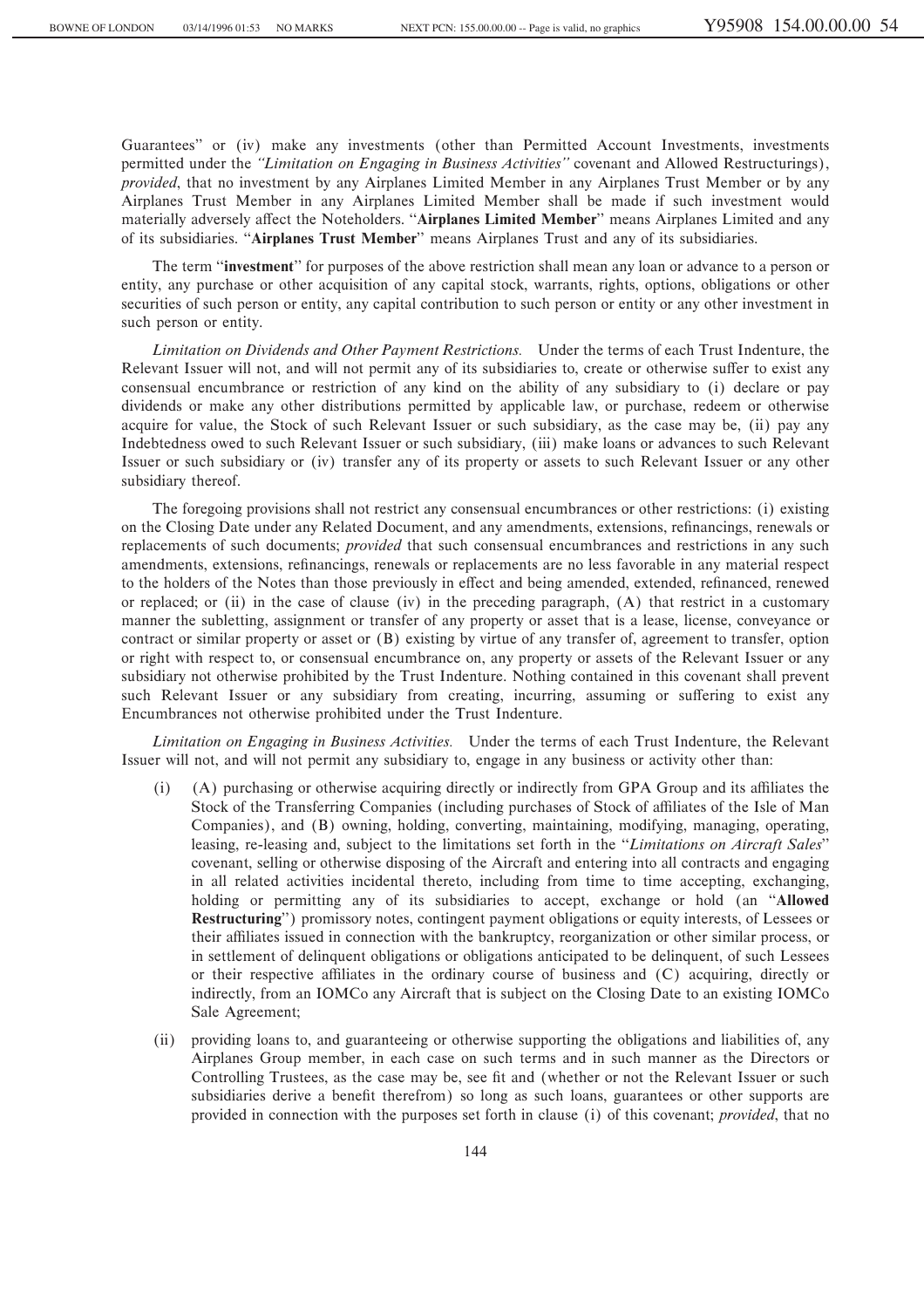Guarantees'' or (iv) make any investments (other than Permitted Account Investments, investments permitted under the *""Limitation on Engaging in Business Activities''* covenant and Allowed Restructurings), *provided*, that no investment by any Airplanes Limited Member in any Airplanes Trust Member or by any Airplanes Trust Member in any Airplanes Limited Member shall be made if such investment would materially adversely affect the Noteholders. "Airplanes Limited Member" means Airplanes Limited and any of its subsidiaries. "Airplanes Trust Member" means Airplanes Trust and any of its subsidiaries.

The term ""**investment**'' for purposes of the above restriction shall mean any loan or advance to a person or entity, any purchase or other acquisition of any capital stock, warrants, rights, options, obligations or other securities of such person or entity, any capital contribution to such person or entity or any other investment in such person or entity.

*Limitation on Dividends and Other Payment Restrictions.* Under the terms of each Trust Indenture, the Relevant Issuer will not, and will not permit any of its subsidiaries to, create or otherwise suffer to exist any consensual encumbrance or restriction of any kind on the ability of any subsidiary to (i) declare or pay dividends or make any other distributions permitted by applicable law, or purchase, redeem or otherwise acquire for value, the Stock of such Relevant Issuer or such subsidiary, as the case may be, (ii) pay any Indebtedness owed to such Relevant Issuer or such subsidiary, (iii) make loans or advances to such Relevant Issuer or such subsidiary or (iv) transfer any of its property or assets to such Relevant Issuer or any other subsidiary thereof.

The foregoing provisions shall not restrict any consensual encumbrances or other restrictions: (i) existing on the Closing Date under any Related Document, and any amendments, extensions, refinancings, renewals or replacements of such documents; *provided* that such consensual encumbrances and restrictions in any such amendments, extensions, refinancings, renewals or replacements are no less favorable in any material respect to the holders of the Notes than those previously in effect and being amended, extended, refinanced, renewed or replaced; or (ii) in the case of clause (iv) in the preceding paragraph, (A) that restrict in a customary manner the subletting, assignment or transfer of any property or asset that is a lease, license, conveyance or contract or similar property or asset or (B) existing by virtue of any transfer of, agreement to transfer, option or right with respect to, or consensual encumbrance on, any property or assets of the Relevant Issuer or any subsidiary not otherwise prohibited by the Trust Indenture. Nothing contained in this covenant shall prevent such Relevant Issuer or any subsidiary from creating, incurring, assuming or suffering to exist any Encumbrances not otherwise prohibited under the Trust Indenture.

*Limitation on Engaging in Business Activities.* Under the terms of each Trust Indenture, the Relevant Issuer will not, and will not permit any subsidiary to, engage in any business or activity other than:

- (A) purchasing or otherwise acquiring directly or indirectly from GPA Group and its affiliates the Stock of the Transferring Companies (including purchases of Stock of affiliates of the Isle of Man Companies), and (B) owning, holding, converting, maintaining, modifying, managing, operating, leasing, re-leasing and, subject to the limitations set forth in the "*Limitations on Aircraft Sales*" covenant, selling or otherwise disposing of the Aircraft and entering into all contracts and engaging in all related activities incidental thereto, including from time to time accepting, exchanging, holding or permitting any of its subsidiaries to accept, exchange or hold (an ""**Allowed Restructuring**'') promissory notes, contingent payment obligations or equity interests, of Lessees or their affiliates issued in connection with the bankruptcy, reorganization or other similar process, or in settlement of delinquent obligations or obligations anticipated to be delinquent, of such Lessees or their respective affiliates in the ordinary course of business and (C) acquiring, directly or indirectly, from an IOMCo any Aircraft that is subject on the Closing Date to an existing IOMCo Sale Agreement;
- (ii) providing loans to, and guaranteeing or otherwise supporting the obligations and liabilities of, any Airplanes Group member, in each case on such terms and in such manner as the Directors or Controlling Trustees, as the case may be, see fit and (whether or not the Relevant Issuer or such subsidiaries derive a benefit therefrom) so long as such loans, guarantees or other supports are provided in connection with the purposes set forth in clause (i) of this covenant; *provided*, that no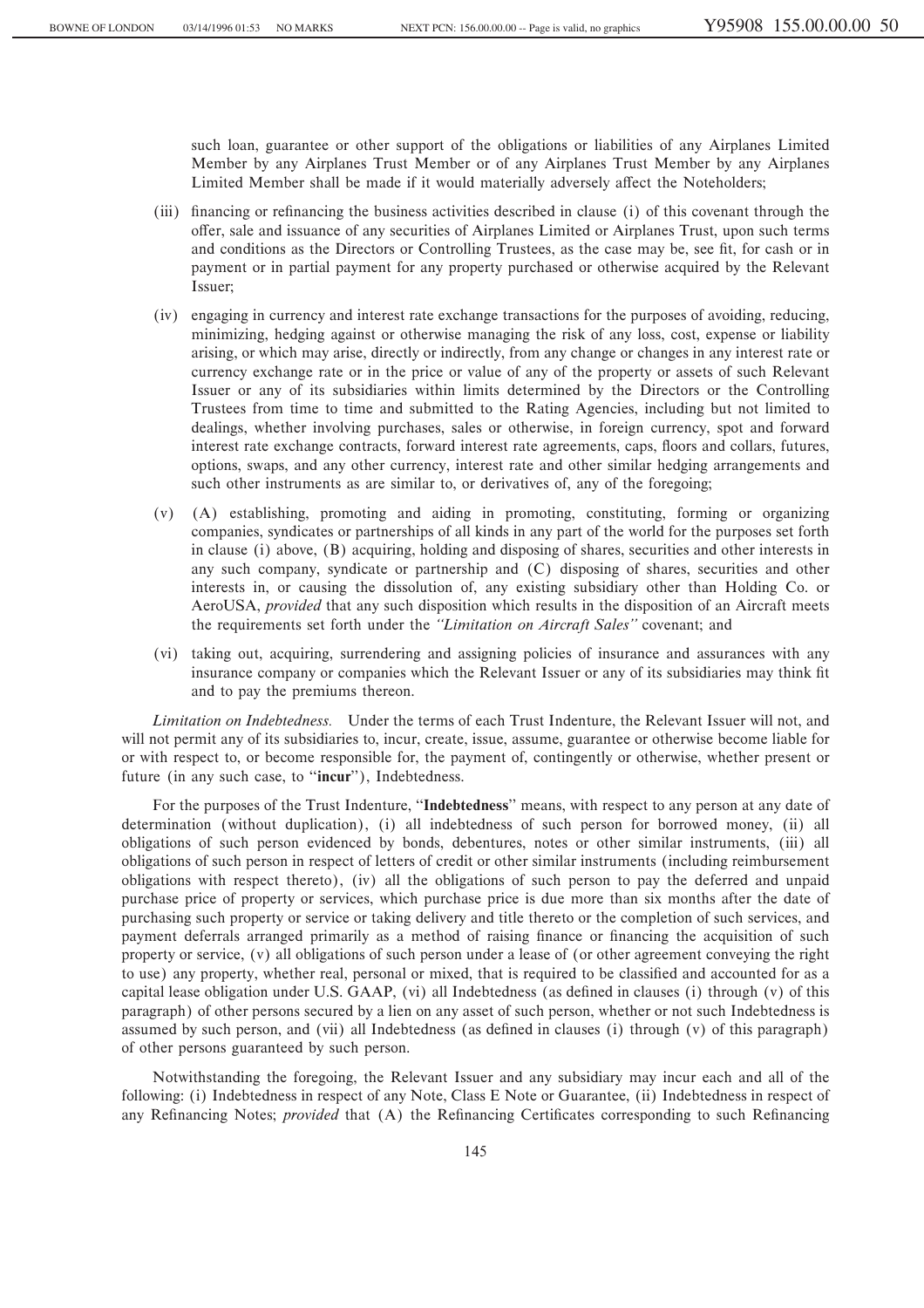such loan, guarantee or other support of the obligations or liabilities of any Airplanes Limited Member by any Airplanes Trust Member or of any Airplanes Trust Member by any Airplanes Limited Member shall be made if it would materially adversely affect the Noteholders;

- (iii) financing or refinancing the business activities described in clause (i) of this covenant through the oÅer, sale and issuance of any securities of Airplanes Limited or Airplanes Trust, upon such terms and conditions as the Directors or Controlling Trustees, as the case may be, see fit, for cash or in payment or in partial payment for any property purchased or otherwise acquired by the Relevant Issuer;
- (iv) engaging in currency and interest rate exchange transactions for the purposes of avoiding, reducing, minimizing, hedging against or otherwise managing the risk of any loss, cost, expense or liability arising, or which may arise, directly or indirectly, from any change or changes in any interest rate or currency exchange rate or in the price or value of any of the property or assets of such Relevant Issuer or any of its subsidiaries within limits determined by the Directors or the Controlling Trustees from time to time and submitted to the Rating Agencies, including but not limited to dealings, whether involving purchases, sales or otherwise, in foreign currency, spot and forward interest rate exchange contracts, forward interest rate agreements, caps, floors and collars, futures, options, swaps, and any other currency, interest rate and other similar hedging arrangements and such other instruments as are similar to, or derivatives of, any of the foregoing;
- (v) (A) establishing, promoting and aiding in promoting, constituting, forming or organizing companies, syndicates or partnerships of all kinds in any part of the world for the purposes set forth in clause (i) above, (B) acquiring, holding and disposing of shares, securities and other interests in any such company, syndicate or partnership and (C) disposing of shares, securities and other interests in, or causing the dissolution of, any existing subsidiary other than Holding Co. or AeroUSA, *provided* that any such disposition which results in the disposition of an Aircraft meets the requirements set forth under the *""Limitation on Aircraft Sales''* covenant; and
- (vi) taking out, acquiring, surrendering and assigning policies of insurance and assurances with any insurance company or companies which the Relevant Issuer or any of its subsidiaries may think fit and to pay the premiums thereon.

*Limitation on Indebtedness.* Under the terms of each Trust Indenture, the Relevant Issuer will not, and will not permit any of its subsidiaries to, incur, create, issue, assume, guarantee or otherwise become liable for or with respect to, or become responsible for, the payment of, contingently or otherwise, whether present or future (in any such case, to ""**incur**''), Indebtedness.

For the purposes of the Trust Indenture, ""**Indebtedness**'' means, with respect to any person at any date of determination (without duplication), (i) all indebtedness of such person for borrowed money, (ii) all obligations of such person evidenced by bonds, debentures, notes or other similar instruments, (iii) all obligations of such person in respect of letters of credit or other similar instruments (including reimbursement obligations with respect thereto), (iv) all the obligations of such person to pay the deferred and unpaid purchase price of property or services, which purchase price is due more than six months after the date of purchasing such property or service or taking delivery and title thereto or the completion of such services, and payment deferrals arranged primarily as a method of raising finance or financing the acquisition of such property or service, (v) all obligations of such person under a lease of (or other agreement conveying the right to use) any property, whether real, personal or mixed, that is required to be classified and accounted for as a capital lease obligation under U.S. GAAP, (vi) all Indebtedness (as defined in clauses (i) through (v) of this paragraph) of other persons secured by a lien on any asset of such person, whether or not such Indebtedness is assumed by such person, and (vii) all Indebtedness (as defined in clauses (i) through (v) of this paragraph) of other persons guaranteed by such person.

Notwithstanding the foregoing, the Relevant Issuer and any subsidiary may incur each and all of the following: (i) Indebtedness in respect of any Note, Class E Note or Guarantee, (ii) Indebtedness in respect of any Refinancing Notes; *provided* that (A) the Refinancing Certificates corresponding to such Refinancing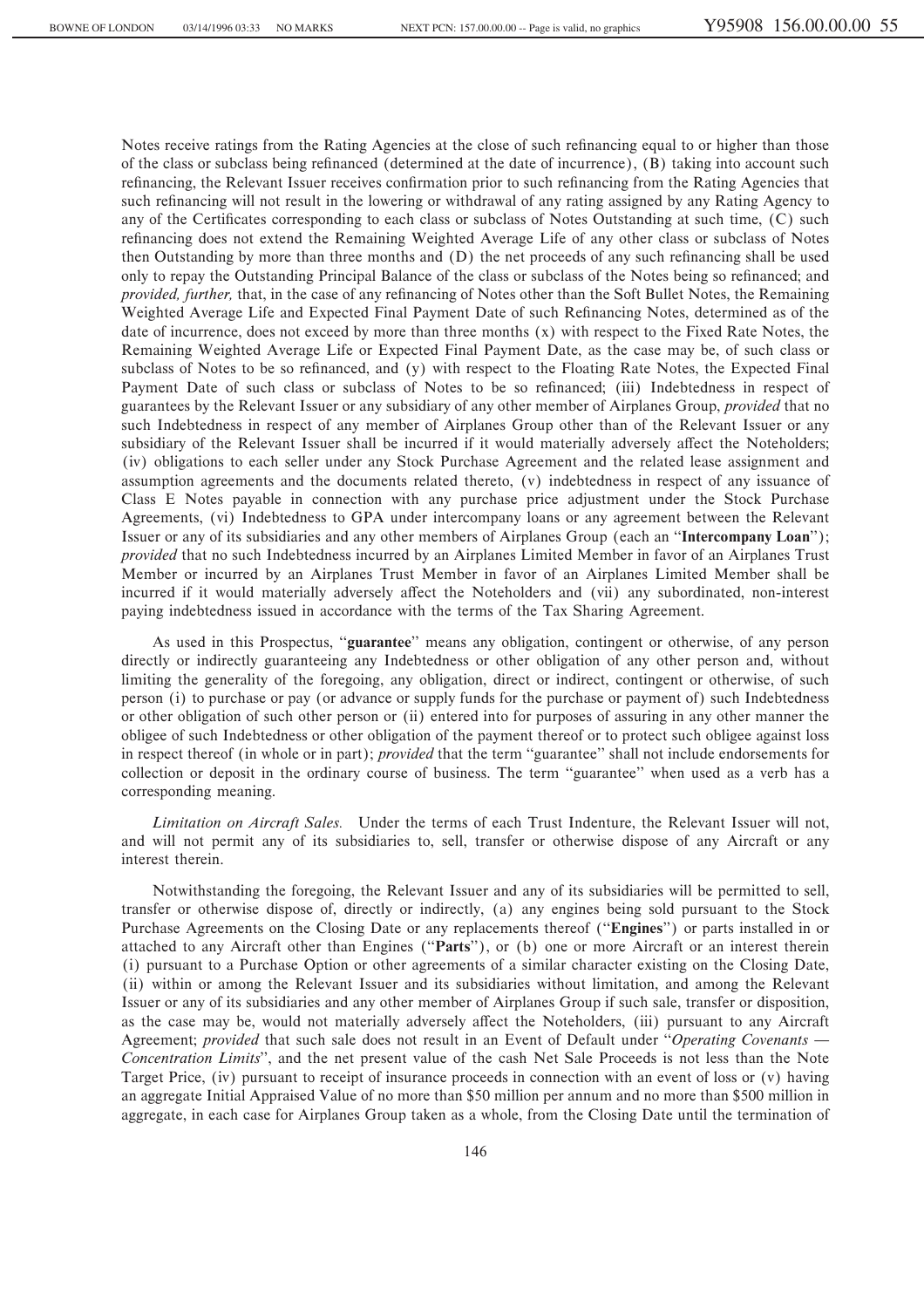Notes receive ratings from the Rating Agencies at the close of such refinancing equal to or higher than those of the class or subclass being refinanced (determined at the date of incurrence), (B) taking into account such refinancing, the Relevant Issuer receives confirmation prior to such refinancing from the Rating Agencies that such refinancing will not result in the lowering or withdrawal of any rating assigned by any Rating Agency to any of the Certificates corresponding to each class or subclass of Notes Outstanding at such time, (C) such refinancing does not extend the Remaining Weighted Average Life of any other class or subclass of Notes then Outstanding by more than three months and (D) the net proceeds of any such refinancing shall be used only to repay the Outstanding Principal Balance of the class or subclass of the Notes being so refinanced; and *provided, further, that, in the case of any refinancing of Notes other than the Soft Bullet Notes, the Remaining* Weighted Average Life and Expected Final Payment Date of such Refinancing Notes, determined as of the date of incurrence, does not exceed by more than three months (x) with respect to the Fixed Rate Notes, the Remaining Weighted Average Life or Expected Final Payment Date, as the case may be, of such class or subclass of Notes to be so refinanced, and (y) with respect to the Floating Rate Notes, the Expected Final Payment Date of such class or subclass of Notes to be so refinanced; (iii) Indebtedness in respect of guarantees by the Relevant Issuer or any subsidiary of any other member of Airplanes Group, *provided* that no such Indebtedness in respect of any member of Airplanes Group other than of the Relevant Issuer or any subsidiary of the Relevant Issuer shall be incurred if it would materially adversely affect the Noteholders; (iv) obligations to each seller under any Stock Purchase Agreement and the related lease assignment and assumption agreements and the documents related thereto, (v) indebtedness in respect of any issuance of Class E Notes payable in connection with any purchase price adjustment under the Stock Purchase Agreements, (vi) Indebtedness to GPA under intercompany loans or any agreement between the Relevant Issuer or any of its subsidiaries and any other members of Airplanes Group (each an ""**Intercompany Loan**''); *provided* that no such Indebtedness incurred by an Airplanes Limited Member in favor of an Airplanes Trust Member or incurred by an Airplanes Trust Member in favor of an Airplanes Limited Member shall be incurred if it would materially adversely affect the Noteholders and (vii) any subordinated, non-interest paying indebtedness issued in accordance with the terms of the Tax Sharing Agreement.

As used in this Prospectus, "guarantee" means any obligation, contingent or otherwise, of any person directly or indirectly guaranteeing any Indebtedness or other obligation of any other person and, without limiting the generality of the foregoing, any obligation, direct or indirect, contingent or otherwise, of such person (i) to purchase or pay (or advance or supply funds for the purchase or payment of) such Indebtedness or other obligation of such other person or (ii) entered into for purposes of assuring in any other manner the obligee of such Indebtedness or other obligation of the payment thereof or to protect such obligee against loss in respect thereof (in whole or in part); *provided* that the term ""guarantee'' shall not include endorsements for collection or deposit in the ordinary course of business. The term "guarantee" when used as a verb has a corresponding meaning.

*Limitation on Aircraft Sales.* Under the terms of each Trust Indenture, the Relevant Issuer will not, and will not permit any of its subsidiaries to, sell, transfer or otherwise dispose of any Aircraft or any interest therein.

Notwithstanding the foregoing, the Relevant Issuer and any of its subsidiaries will be permitted to sell, transfer or otherwise dispose of, directly or indirectly, (a) any engines being sold pursuant to the Stock Purchase Agreements on the Closing Date or any replacements thereof (""**Engines**'') or parts installed in or attached to any Aircraft other than Engines (""**Parts**''), or (b) one or more Aircraft or an interest therein (i) pursuant to a Purchase Option or other agreements of a similar character existing on the Closing Date, (ii) within or among the Relevant Issuer and its subsidiaries without limitation, and among the Relevant Issuer or any of its subsidiaries and any other member of Airplanes Group if such sale, transfer or disposition, as the case may be, would not materially adversely affect the Noteholders, (iii) pursuant to any Aircraft Agreement; *provided* that such sale does not result in an Event of Default under "Operating Covenants — *Concentration Limits*'', and the net present value of the cash Net Sale Proceeds is not less than the Note Target Price, (iv) pursuant to receipt of insurance proceeds in connection with an event of loss or (v) having an aggregate Initial Appraised Value of no more than \$50 million per annum and no more than \$500 million in aggregate, in each case for Airplanes Group taken as a whole, from the Closing Date until the termination of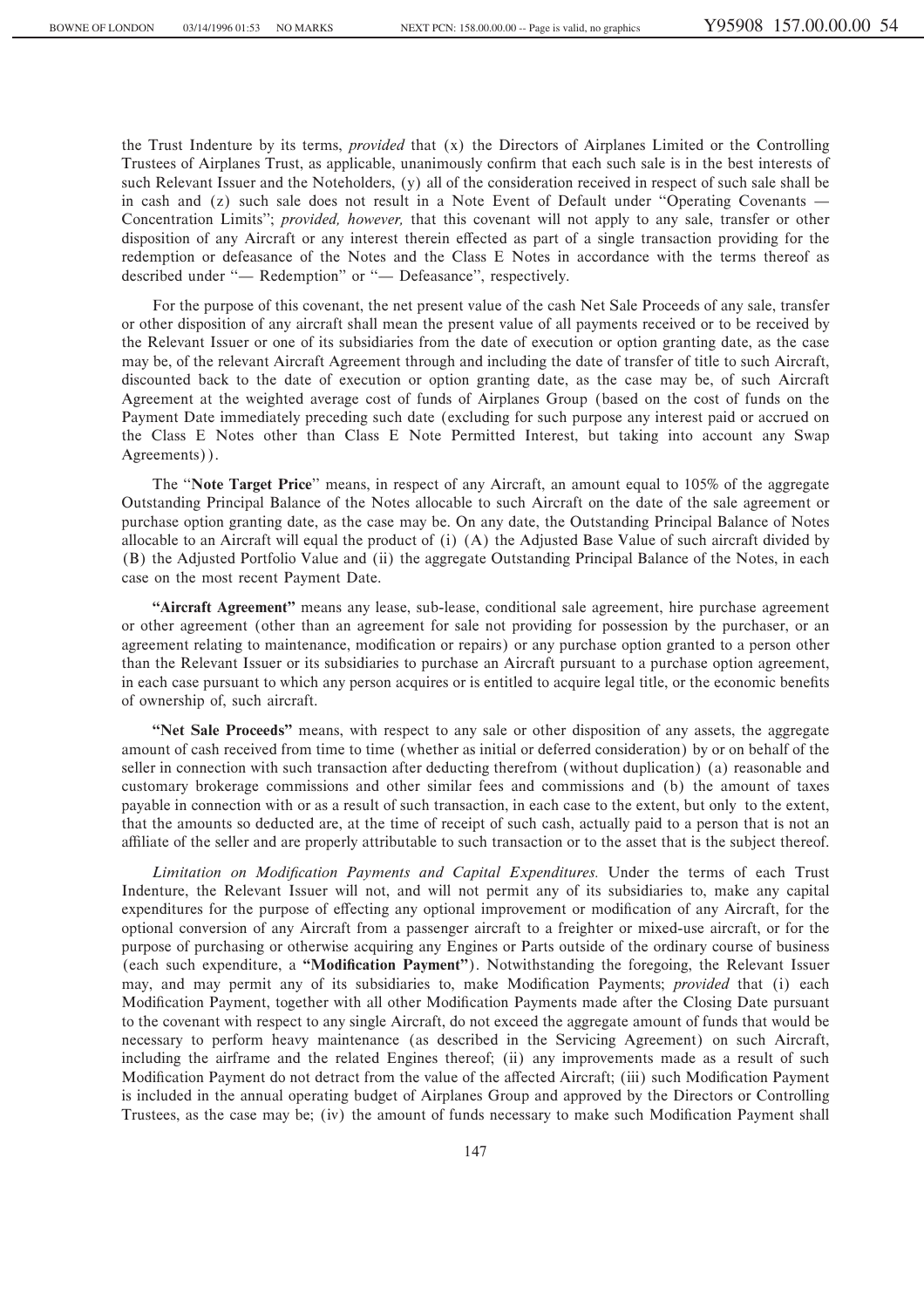the Trust Indenture by its terms, *provided* that (x) the Directors of Airplanes Limited or the Controlling Trustees of Airplanes Trust, as applicable, unanimously confirm that each such sale is in the best interests of such Relevant Issuer and the Noteholders, (y) all of the consideration received in respect of such sale shall be in cash and  $(z)$  such sale does not result in a Note Event of Default under "Operating Covenants  $\overline{\phantom{a}}$ Concentration Limits''; *provided, however,* that this covenant will not apply to any sale, transfer or other disposition of any Aircraft or any interest therein effected as part of a single transaction providing for the redemption or defeasance of the Notes and the Class E Notes in accordance with the terms thereof as described under "- Redemption" or "- Defeasance", respectively.

For the purpose of this covenant, the net present value of the cash Net Sale Proceeds of any sale, transfer or other disposition of any aircraft shall mean the present value of all payments received or to be received by the Relevant Issuer or one of its subsidiaries from the date of execution or option granting date, as the case may be, of the relevant Aircraft Agreement through and including the date of transfer of title to such Aircraft, discounted back to the date of execution or option granting date, as the case may be, of such Aircraft Agreement at the weighted average cost of funds of Airplanes Group (based on the cost of funds on the Payment Date immediately preceding such date (excluding for such purpose any interest paid or accrued on the Class E Notes other than Class E Note Permitted Interest, but taking into account any Swap Agreements)).

The ""**Note Target Price**'' means, in respect of any Aircraft, an amount equal to 105% of the aggregate Outstanding Principal Balance of the Notes allocable to such Aircraft on the date of the sale agreement or purchase option granting date, as the case may be. On any date, the Outstanding Principal Balance of Notes allocable to an Aircraft will equal the product of (i) (A) the Adjusted Base Value of such aircraft divided by (B) the Adjusted Portfolio Value and (ii) the aggregate Outstanding Principal Balance of the Notes, in each case on the most recent Payment Date.

"Aircraft Agreement" means any lease, sub-lease, conditional sale agreement, hire purchase agreement or other agreement (other than an agreement for sale not providing for possession by the purchaser, or an agreement relating to maintenance, modification or repairs) or any purchase option granted to a person other than the Relevant Issuer or its subsidiaries to purchase an Aircraft pursuant to a purchase option agreement, in each case pursuant to which any person acquires or is entitled to acquire legal title, or the economic benefits of ownership of, such aircraft.

**""Net Sale Proceeds''** means, with respect to any sale or other disposition of any assets, the aggregate amount of cash received from time to time (whether as initial or deferred consideration) by or on behalf of the seller in connection with such transaction after deducting therefrom (without duplication) (a) reasonable and customary brokerage commissions and other similar fees and commissions and (b) the amount of taxes payable in connection with or as a result of such transaction, in each case to the extent, but only to the extent, that the amounts so deducted are, at the time of receipt of such cash, actually paid to a person that is not an affiliate of the seller and are properly attributable to such transaction or to the asset that is the subject thereof.

Limitation on Modification Payments and Capital Expenditures. Under the terms of each Trust Indenture, the Relevant Issuer will not, and will not permit any of its subsidiaries to, make any capital expenditures for the purpose of effecting any optional improvement or modification of any Aircraft, for the optional conversion of any Aircraft from a passenger aircraft to a freighter or mixed-use aircraft, or for the purpose of purchasing or otherwise acquiring any Engines or Parts outside of the ordinary course of business (each such expenditure, a "Modification Payment"). Notwithstanding the foregoing, the Relevant Issuer may, and may permit any of its subsidiaries to, make Modification Payments; *provided* that (i) each Modification Payment, together with all other Modification Payments made after the Closing Date pursuant to the covenant with respect to any single Aircraft, do not exceed the aggregate amount of funds that would be necessary to perform heavy maintenance (as described in the Servicing Agreement) on such Aircraft, including the airframe and the related Engines thereof; (ii) any improvements made as a result of such Modification Payment do not detract from the value of the affected Aircraft; (iii) such Modification Payment is included in the annual operating budget of Airplanes Group and approved by the Directors or Controlling Trustees, as the case may be; (iv) the amount of funds necessary to make such Modification Payment shall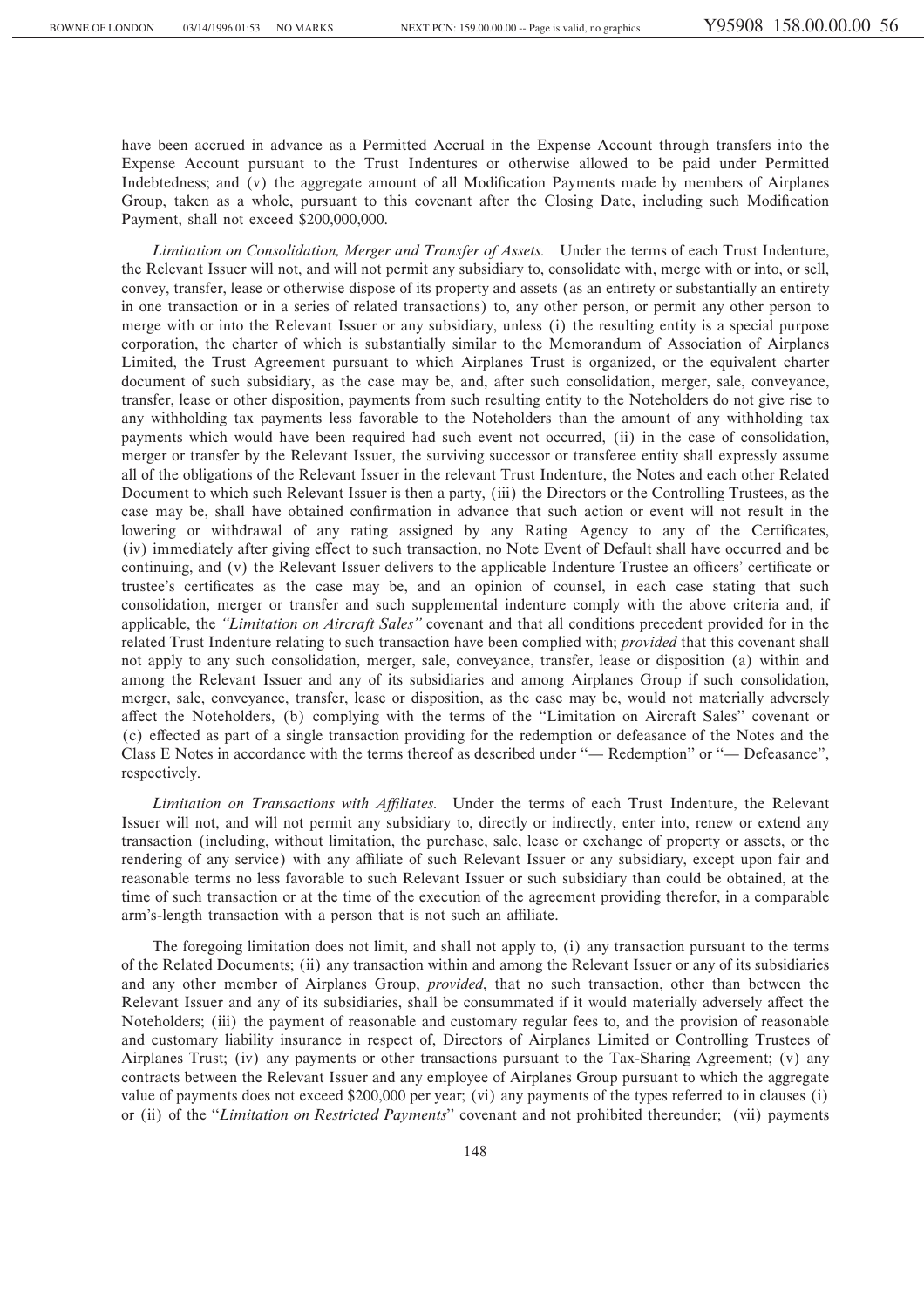have been accrued in advance as a Permitted Accrual in the Expense Account through transfers into the Expense Account pursuant to the Trust Indentures or otherwise allowed to be paid under Permitted Indebtedness; and (v) the aggregate amount of all Modification Payments made by members of Airplanes Group, taken as a whole, pursuant to this covenant after the Closing Date, including such Modification Payment, shall not exceed \$200,000,000.

*Limitation on Consolidation, Merger and Transfer of Assets.* Under the terms of each Trust Indenture, the Relevant Issuer will not, and will not permit any subsidiary to, consolidate with, merge with or into, or sell, convey, transfer, lease or otherwise dispose of its property and assets (as an entirety or substantially an entirety in one transaction or in a series of related transactions) to, any other person, or permit any other person to merge with or into the Relevant Issuer or any subsidiary, unless (i) the resulting entity is a special purpose corporation, the charter of which is substantially similar to the Memorandum of Association of Airplanes Limited, the Trust Agreement pursuant to which Airplanes Trust is organized, or the equivalent charter document of such subsidiary, as the case may be, and, after such consolidation, merger, sale, conveyance, transfer, lease or other disposition, payments from such resulting entity to the Noteholders do not give rise to any withholding tax payments less favorable to the Noteholders than the amount of any withholding tax payments which would have been required had such event not occurred, (ii) in the case of consolidation, merger or transfer by the Relevant Issuer, the surviving successor or transferee entity shall expressly assume all of the obligations of the Relevant Issuer in the relevant Trust Indenture, the Notes and each other Related Document to which such Relevant Issuer is then a party, (iii) the Directors or the Controlling Trustees, as the case may be, shall have obtained confirmation in advance that such action or event will not result in the lowering or withdrawal of any rating assigned by any Rating Agency to any of the Certificates, (iv) immediately after giving effect to such transaction, no Note Event of Default shall have occurred and be continuing, and (v) the Relevant Issuer delivers to the applicable Indenture Trustee an officers' certificate or trustee's certificates as the case may be, and an opinion of counsel, in each case stating that such consolidation, merger or transfer and such supplemental indenture comply with the above criteria and, if applicable, the *"Limitation on Aircraft Sales"* covenant and that all conditions precedent provided for in the related Trust Indenture relating to such transaction have been complied with; *provided* that this covenant shall not apply to any such consolidation, merger, sale, conveyance, transfer, lease or disposition (a) within and among the Relevant Issuer and any of its subsidiaries and among Airplanes Group if such consolidation, merger, sale, conveyance, transfer, lease or disposition, as the case may be, would not materially adversely affect the Noteholders, (b) complying with the terms of the "Limitation on Aircraft Sales" covenant or (c) effected as part of a single transaction providing for the redemption or defeasance of the Notes and the Class E Notes in accordance with the terms thereof as described under "— Redemption" or "— Defeasance", respectively.

*Limitation on Transactions with AÇliates.* Under the terms of each Trust Indenture, the Relevant Issuer will not, and will not permit any subsidiary to, directly or indirectly, enter into, renew or extend any transaction (including, without limitation, the purchase, sale, lease or exchange of property or assets, or the rendering of any service) with any affiliate of such Relevant Issuer or any subsidiary, except upon fair and reasonable terms no less favorable to such Relevant Issuer or such subsidiary than could be obtained, at the time of such transaction or at the time of the execution of the agreement providing therefor, in a comparable arm's-length transaction with a person that is not such an affiliate.

The foregoing limitation does not limit, and shall not apply to, (i) any transaction pursuant to the terms of the Related Documents; (ii) any transaction within and among the Relevant Issuer or any of its subsidiaries and any other member of Airplanes Group, *provided*, that no such transaction, other than between the Relevant Issuer and any of its subsidiaries, shall be consummated if it would materially adversely affect the Noteholders; (iii) the payment of reasonable and customary regular fees to, and the provision of reasonable and customary liability insurance in respect of, Directors of Airplanes Limited or Controlling Trustees of Airplanes Trust; (iv) any payments or other transactions pursuant to the Tax-Sharing Agreement; (v) any contracts between the Relevant Issuer and any employee of Airplanes Group pursuant to which the aggregate value of payments does not exceed \$200,000 per year; (vi) any payments of the types referred to in clauses (i) or (ii) of the "*Limitation on Restricted Payments*" covenant and not prohibited thereunder; (vii) payments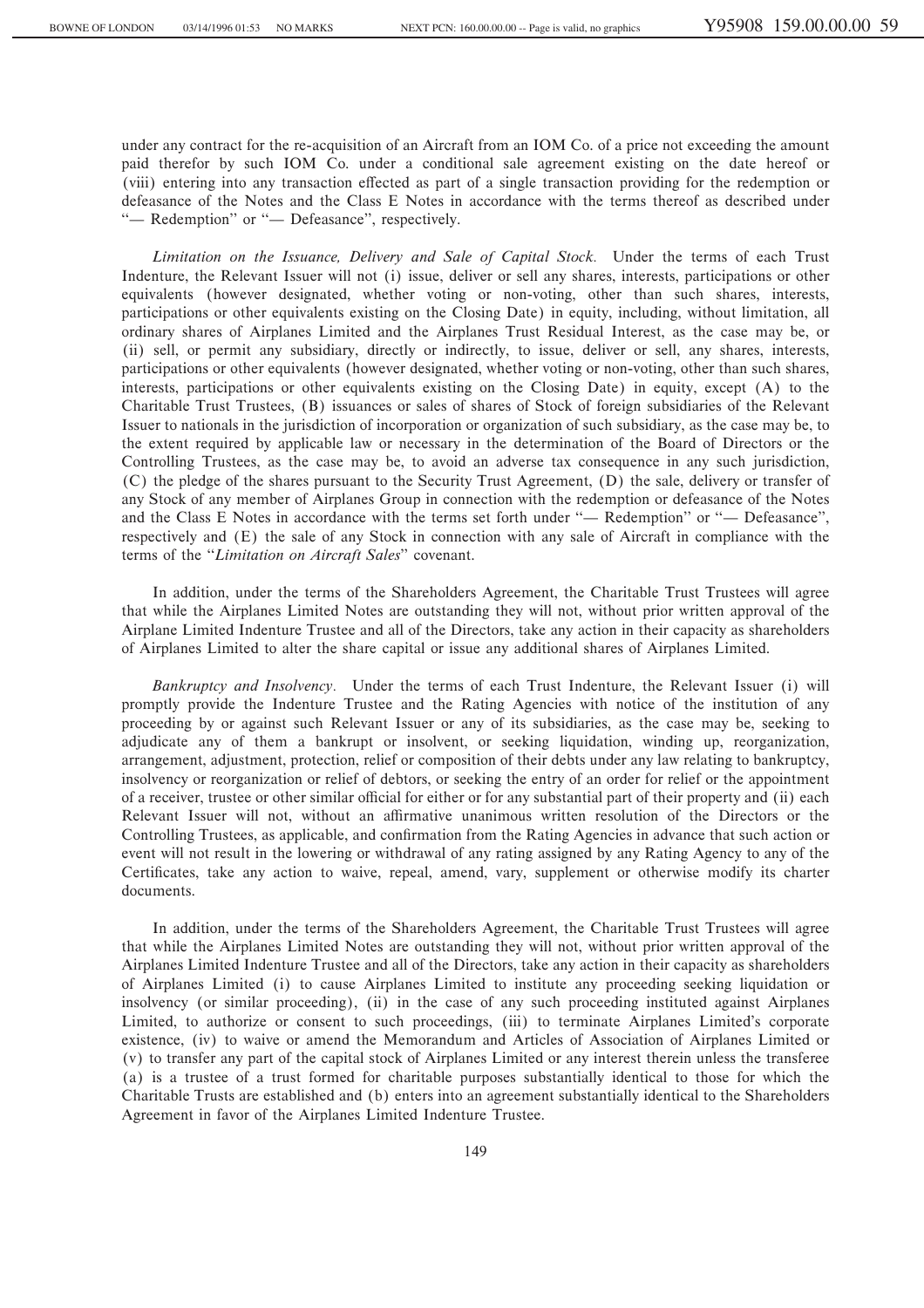under any contract for the re-acquisition of an Aircraft from an IOM Co. of a price not exceeding the amount paid therefor by such IOM Co. under a conditional sale agreement existing on the date hereof or (viii) entering into any transaction effected as part of a single transaction providing for the redemption or defeasance of the Notes and the Class E Notes in accordance with the terms thereof as described under "- Redemption" or "- Defeasance", respectively.

*Limitation on the Issuance, Delivery and Sale of Capital Stock.* Under the terms of each Trust Indenture, the Relevant Issuer will not (i) issue, deliver or sell any shares, interests, participations or other equivalents (however designated, whether voting or non-voting, other than such shares, interests, participations or other equivalents existing on the Closing Date) in equity, including, without limitation, all ordinary shares of Airplanes Limited and the Airplanes Trust Residual Interest, as the case may be, or (ii) sell, or permit any subsidiary, directly or indirectly, to issue, deliver or sell, any shares, interests, participations or other equivalents (however designated, whether voting or non-voting, other than such shares, interests, participations or other equivalents existing on the Closing Date) in equity, except (A) to the Charitable Trust Trustees, (B) issuances or sales of shares of Stock of foreign subsidiaries of the Relevant Issuer to nationals in the jurisdiction of incorporation or organization of such subsidiary, as the case may be, to the extent required by applicable law or necessary in the determination of the Board of Directors or the Controlling Trustees, as the case may be, to avoid an adverse tax consequence in any such jurisdiction, (C) the pledge of the shares pursuant to the Security Trust Agreement, (D) the sale, delivery or transfer of any Stock of any member of Airplanes Group in connection with the redemption or defeasance of the Notes and the Class E Notes in accordance with the terms set forth under "— Redemption" or "— Defeasance", respectively and (E) the sale of any Stock in connection with any sale of Aircraft in compliance with the terms of the "Limitation on Aircraft Sales" covenant.

In addition, under the terms of the Shareholders Agreement, the Charitable Trust Trustees will agree that while the Airplanes Limited Notes are outstanding they will not, without prior written approval of the Airplane Limited Indenture Trustee and all of the Directors, take any action in their capacity as shareholders of Airplanes Limited to alter the share capital or issue any additional shares of Airplanes Limited.

*Bankruptcy and Insolvency.* Under the terms of each Trust Indenture, the Relevant Issuer (i) will promptly provide the Indenture Trustee and the Rating Agencies with notice of the institution of any proceeding by or against such Relevant Issuer or any of its subsidiaries, as the case may be, seeking to adjudicate any of them a bankrupt or insolvent, or seeking liquidation, winding up, reorganization, arrangement, adjustment, protection, relief or composition of their debts under any law relating to bankruptcy, insolvency or reorganization or relief of debtors, or seeking the entry of an order for relief or the appointment of a receiver, trustee or other similar official for either or for any substantial part of their property and (ii) each Relevant Issuer will not, without an affirmative unanimous written resolution of the Directors or the Controlling Trustees, as applicable, and confirmation from the Rating Agencies in advance that such action or event will not result in the lowering or withdrawal of any rating assigned by any Rating Agency to any of the Certificates, take any action to waive, repeal, amend, vary, supplement or otherwise modify its charter documents.

In addition, under the terms of the Shareholders Agreement, the Charitable Trust Trustees will agree that while the Airplanes Limited Notes are outstanding they will not, without prior written approval of the Airplanes Limited Indenture Trustee and all of the Directors, take any action in their capacity as shareholders of Airplanes Limited (i) to cause Airplanes Limited to institute any proceeding seeking liquidation or insolvency (or similar proceeding), (ii) in the case of any such proceeding instituted against Airplanes Limited, to authorize or consent to such proceedings, (iii) to terminate Airplanes Limited's corporate existence, (iv) to waive or amend the Memorandum and Articles of Association of Airplanes Limited or (v) to transfer any part of the capital stock of Airplanes Limited or any interest therein unless the transferee (a) is a trustee of a trust formed for charitable purposes substantially identical to those for which the Charitable Trusts are established and (b) enters into an agreement substantially identical to the Shareholders Agreement in favor of the Airplanes Limited Indenture Trustee.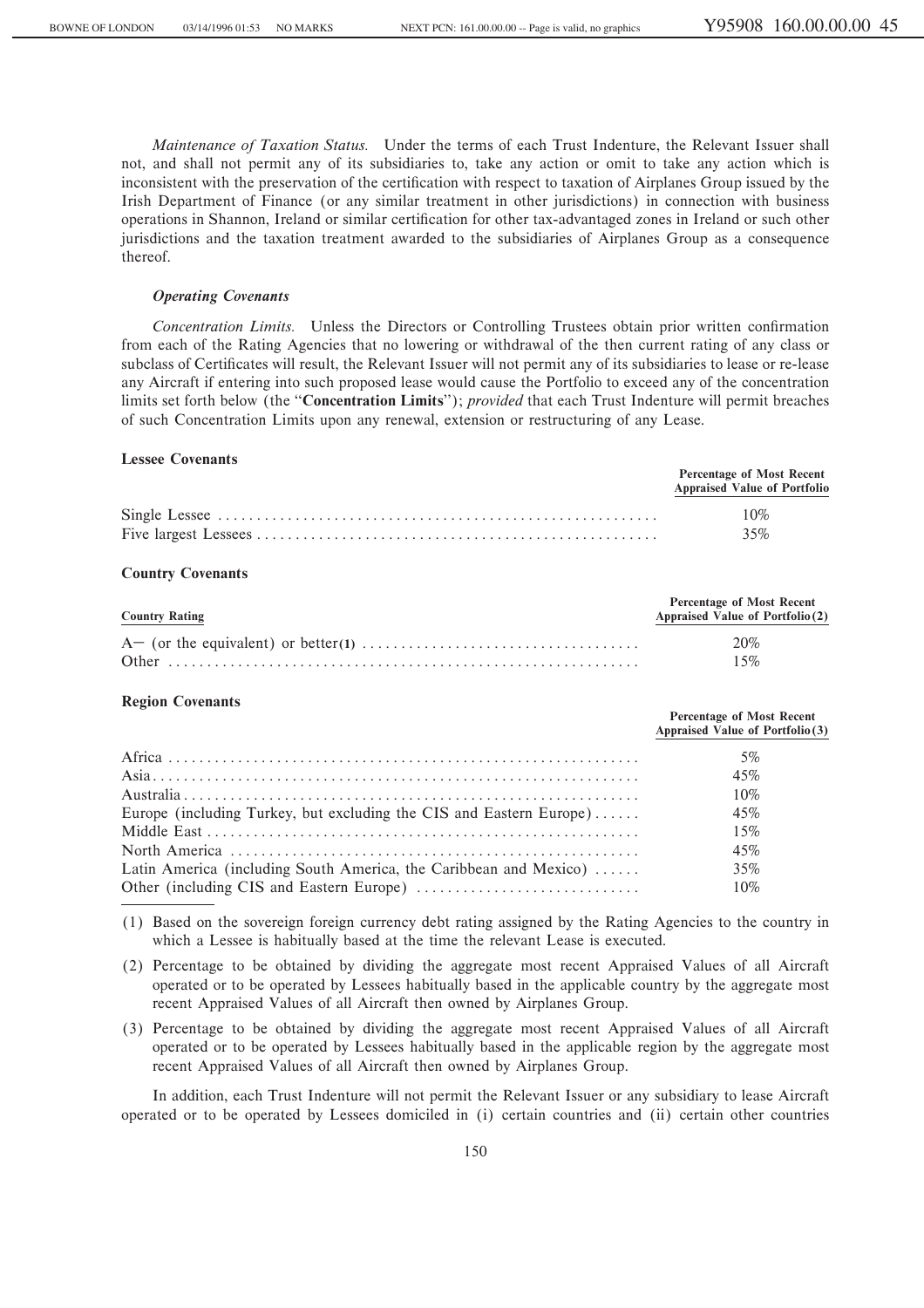*Maintenance of Taxation Status.* Under the terms of each Trust Indenture, the Relevant Issuer shall not, and shall not permit any of its subsidiaries to, take any action or omit to take any action which is inconsistent with the preservation of the certification with respect to taxation of Airplanes Group issued by the Irish Department of Finance (or any similar treatment in other jurisdictions) in connection with business operations in Shannon, Ireland or similar certification for other tax-advantaged zones in Ireland or such other jurisdictions and the taxation treatment awarded to the subsidiaries of Airplanes Group as a consequence thereof.

## *Operating Covenants*

*Concentration Limits.* Unless the Directors or Controlling Trustees obtain prior written confirmation from each of the Rating Agencies that no lowering or withdrawal of the then current rating of any class or subclass of Certificates will result, the Relevant Issuer will not permit any of its subsidiaries to lease or re-lease any Aircraft if entering into such proposed lease would cause the Portfolio to exceed any of the concentration limits set forth below (the ""**Concentration Limits**''); *provided* that each Trust Indenture will permit breaches of such Concentration Limits upon any renewal, extension or restructuring of any Lease.

# **Lessee Covenants**

| <b>Percentage of Most Recent</b><br><b>Appraised Value of Portfolio</b> |  |
|-------------------------------------------------------------------------|--|
| 10%                                                                     |  |
| 35%                                                                     |  |

### **Country Covenants**

| <b>Country Rating</b> | Percentage of Most Recent<br>Appraised Value of Portfolio(2) |  |
|-----------------------|--------------------------------------------------------------|--|
|                       | 20%                                                          |  |
|                       | 15%                                                          |  |

## **Region Covenants**

|                                                                     | Percentage of Most Recent<br>Appraised Value of Portfolio (3) |
|---------------------------------------------------------------------|---------------------------------------------------------------|
|                                                                     | 5%                                                            |
|                                                                     | 45%                                                           |
|                                                                     | 10%                                                           |
| Europe (including Turkey, but excluding the CIS and Eastern Europe) | 45%                                                           |
|                                                                     | 15%                                                           |
|                                                                     | 45%                                                           |
| Latin America (including South America, the Caribbean and Mexico)   | 35%                                                           |
|                                                                     | 10%                                                           |

(1) Based on the sovereign foreign currency debt rating assigned by the Rating Agencies to the country in which a Lessee is habitually based at the time the relevant Lease is executed.

- (2) Percentage to be obtained by dividing the aggregate most recent Appraised Values of all Aircraft operated or to be operated by Lessees habitually based in the applicable country by the aggregate most recent Appraised Values of all Aircraft then owned by Airplanes Group.
- (3) Percentage to be obtained by dividing the aggregate most recent Appraised Values of all Aircraft operated or to be operated by Lessees habitually based in the applicable region by the aggregate most recent Appraised Values of all Aircraft then owned by Airplanes Group.

In addition, each Trust Indenture will not permit the Relevant Issuer or any subsidiary to lease Aircraft operated or to be operated by Lessees domiciled in (i) certain countries and (ii) certain other countries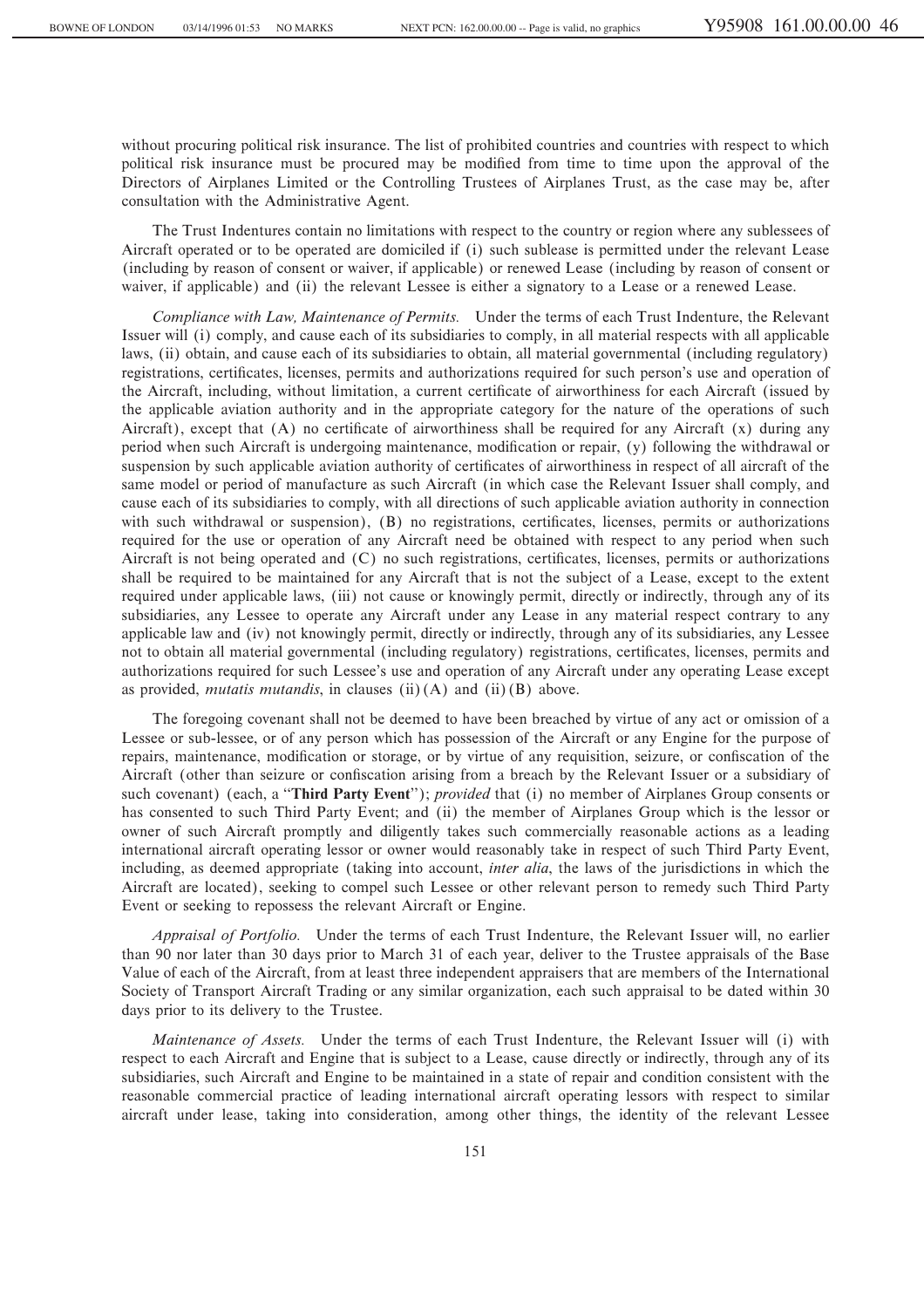without procuring political risk insurance. The list of prohibited countries and countries with respect to which political risk insurance must be procured may be modified from time to time upon the approval of the Directors of Airplanes Limited or the Controlling Trustees of Airplanes Trust, as the case may be, after consultation with the Administrative Agent.

The Trust Indentures contain no limitations with respect to the country or region where any sublessees of Aircraft operated or to be operated are domiciled if (i) such sublease is permitted under the relevant Lease (including by reason of consent or waiver, if applicable) or renewed Lease (including by reason of consent or waiver, if applicable) and (ii) the relevant Lessee is either a signatory to a Lease or a renewed Lease.

*Compliance with Law, Maintenance of Permits.* Under the terms of each Trust Indenture, the Relevant Issuer will (i) comply, and cause each of its subsidiaries to comply, in all material respects with all applicable laws, (ii) obtain, and cause each of its subsidiaries to obtain, all material governmental (including regulatory) registrations, certificates, licenses, permits and authorizations required for such person's use and operation of the Aircraft, including, without limitation, a current certificate of airworthiness for each Aircraft (issued by the applicable aviation authority and in the appropriate category for the nature of the operations of such Aircraft), except that  $(A)$  no certificate of airworthiness shall be required for any Aircraft  $(x)$  during any period when such Aircraft is undergoing maintenance, modification or repair, (y) following the withdrawal or suspension by such applicable aviation authority of certificates of airworthiness in respect of all aircraft of the same model or period of manufacture as such Aircraft (in which case the Relevant Issuer shall comply, and cause each of its subsidiaries to comply, with all directions of such applicable aviation authority in connection with such withdrawal or suspension), (B) no registrations, certificates, licenses, permits or authorizations required for the use or operation of any Aircraft need be obtained with respect to any period when such Aircraft is not being operated and  $(C)$  no such registrations, certificates, licenses, permits or authorizations shall be required to be maintained for any Aircraft that is not the subject of a Lease, except to the extent required under applicable laws, (iii) not cause or knowingly permit, directly or indirectly, through any of its subsidiaries, any Lessee to operate any Aircraft under any Lease in any material respect contrary to any applicable law and (iv) not knowingly permit, directly or indirectly, through any of its subsidiaries, any Lessee not to obtain all material governmental (including regulatory) registrations, certificates, licenses, permits and authorizations required for such Lessee's use and operation of any Aircraft under any operating Lease except as provided, *mutatis mutandis*, in clauses (ii)(A) and (ii)(B) above.

The foregoing covenant shall not be deemed to have been breached by virtue of any act or omission of a Lessee or sub-lessee, or of any person which has possession of the Aircraft or any Engine for the purpose of repairs, maintenance, modification or storage, or by virtue of any requisition, seizure, or confiscation of the Aircraft (other than seizure or confiscation arising from a breach by the Relevant Issuer or a subsidiary of such covenant) (each, a ""**Third Party Event**''); *provided* that (i) no member of Airplanes Group consents or has consented to such Third Party Event; and (ii) the member of Airplanes Group which is the lessor or owner of such Aircraft promptly and diligently takes such commercially reasonable actions as a leading international aircraft operating lessor or owner would reasonably take in respect of such Third Party Event, including, as deemed appropriate (taking into account, *inter alia*, the laws of the jurisdictions in which the Aircraft are located), seeking to compel such Lessee or other relevant person to remedy such Third Party Event or seeking to repossess the relevant Aircraft or Engine.

*Appraisal of Portfolio.* Under the terms of each Trust Indenture, the Relevant Issuer will, no earlier than 90 nor later than 30 days prior to March 31 of each year, deliver to the Trustee appraisals of the Base Value of each of the Aircraft, from at least three independent appraisers that are members of the International Society of Transport Aircraft Trading or any similar organization, each such appraisal to be dated within 30 days prior to its delivery to the Trustee.

*Maintenance of Assets.* Under the terms of each Trust Indenture, the Relevant Issuer will (i) with respect to each Aircraft and Engine that is subject to a Lease, cause directly or indirectly, through any of its subsidiaries, such Aircraft and Engine to be maintained in a state of repair and condition consistent with the reasonable commercial practice of leading international aircraft operating lessors with respect to similar aircraft under lease, taking into consideration, among other things, the identity of the relevant Lessee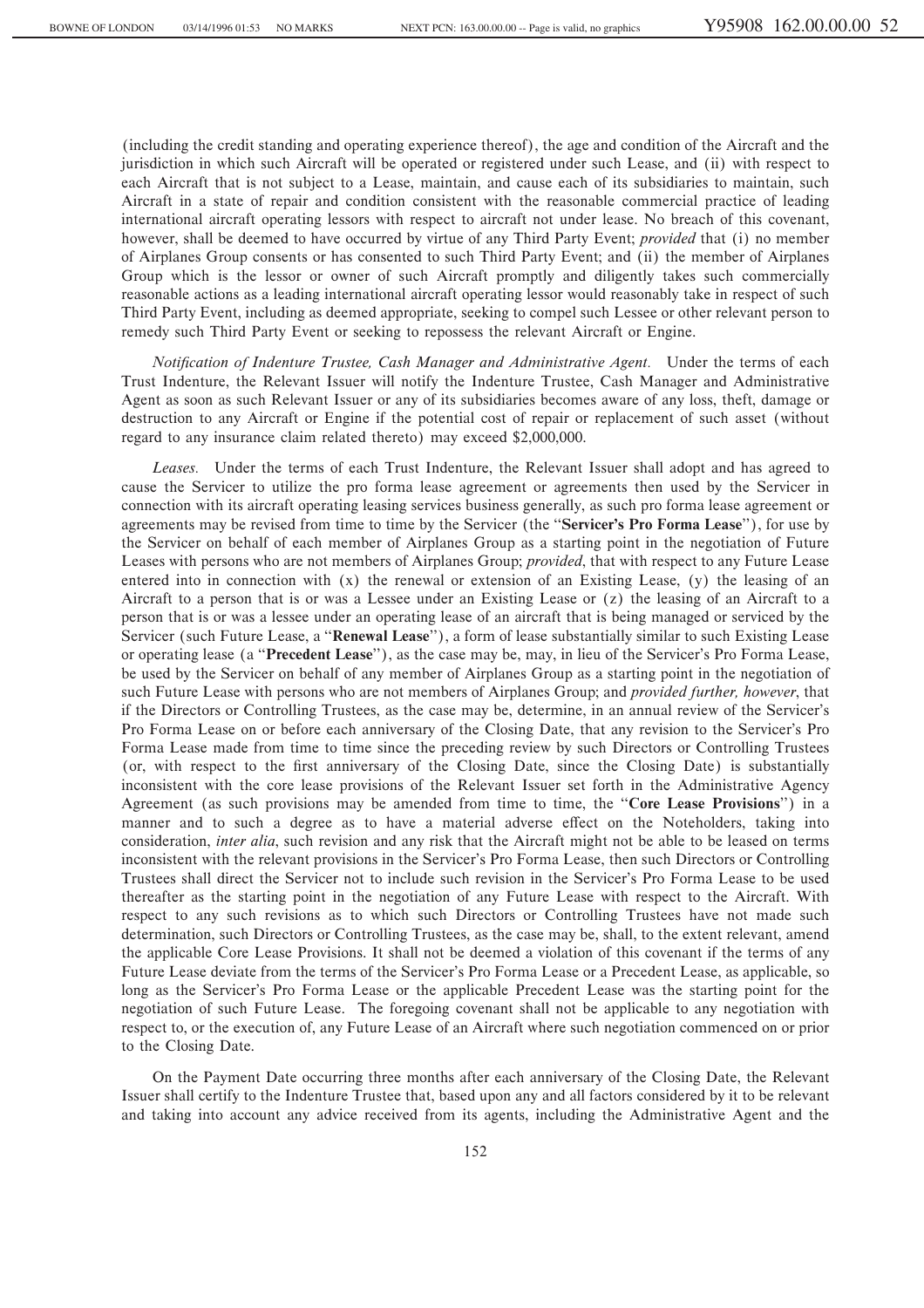(including the credit standing and operating experience thereof), the age and condition of the Aircraft and the jurisdiction in which such Aircraft will be operated or registered under such Lease, and (ii) with respect to each Aircraft that is not subject to a Lease, maintain, and cause each of its subsidiaries to maintain, such Aircraft in a state of repair and condition consistent with the reasonable commercial practice of leading international aircraft operating lessors with respect to aircraft not under lease. No breach of this covenant, however, shall be deemed to have occurred by virtue of any Third Party Event; *provided* that (i) no member of Airplanes Group consents or has consented to such Third Party Event; and (ii) the member of Airplanes Group which is the lessor or owner of such Aircraft promptly and diligently takes such commercially reasonable actions as a leading international aircraft operating lessor would reasonably take in respect of such Third Party Event, including as deemed appropriate, seeking to compel such Lessee or other relevant person to remedy such Third Party Event or seeking to repossess the relevant Aircraft or Engine.

*Notification of Indenture Trustee, Cash Manager and Administrative Agent.* Under the terms of each Trust Indenture, the Relevant Issuer will notify the Indenture Trustee, Cash Manager and Administrative Agent as soon as such Relevant Issuer or any of its subsidiaries becomes aware of any loss, theft, damage or destruction to any Aircraft or Engine if the potential cost of repair or replacement of such asset (without regard to any insurance claim related thereto) may exceed \$2,000,000.

*Leases.* Under the terms of each Trust Indenture, the Relevant Issuer shall adopt and has agreed to cause the Servicer to utilize the pro forma lease agreement or agreements then used by the Servicer in connection with its aircraft operating leasing services business generally, as such pro forma lease agreement or agreements may be revised from time to time by the Servicer (the ""**Servicer's Pro Forma Lease**''), for use by the Servicer on behalf of each member of Airplanes Group as a starting point in the negotiation of Future Leases with persons who are not members of Airplanes Group; *provided*, that with respect to any Future Lease entered into in connection with (x) the renewal or extension of an Existing Lease, (y) the leasing of an Aircraft to a person that is or was a Lessee under an Existing Lease or (z) the leasing of an Aircraft to a person that is or was a lessee under an operating lease of an aircraft that is being managed or serviced by the Servicer (such Future Lease, a ""**Renewal Lease**''), a form of lease substantially similar to such Existing Lease or operating lease (a ""**Precedent Lease**''), as the case may be, may, in lieu of the Servicer's Pro Forma Lease, be used by the Servicer on behalf of any member of Airplanes Group as a starting point in the negotiation of such Future Lease with persons who are not members of Airplanes Group; and *provided further, however*, that if the Directors or Controlling Trustees, as the case may be, determine, in an annual review of the Servicer's Pro Forma Lease on or before each anniversary of the Closing Date, that any revision to the Servicer's Pro Forma Lease made from time to time since the preceding review by such Directors or Controlling Trustees (or, with respect to the first anniversary of the Closing Date, since the Closing Date) is substantially inconsistent with the core lease provisions of the Relevant Issuer set forth in the Administrative Agency Agreement (as such provisions may be amended from time to time, the ""**Core Lease Provisions**'') in a manner and to such a degree as to have a material adverse effect on the Noteholders, taking into consideration, *inter alia*, such revision and any risk that the Aircraft might not be able to be leased on terms inconsistent with the relevant provisions in the Servicer's Pro Forma Lease, then such Directors or Controlling Trustees shall direct the Servicer not to include such revision in the Servicer's Pro Forma Lease to be used thereafter as the starting point in the negotiation of any Future Lease with respect to the Aircraft. With respect to any such revisions as to which such Directors or Controlling Trustees have not made such determination, such Directors or Controlling Trustees, as the case may be, shall, to the extent relevant, amend the applicable Core Lease Provisions. It shall not be deemed a violation of this covenant if the terms of any Future Lease deviate from the terms of the Servicer's Pro Forma Lease or a Precedent Lease, as applicable, so long as the Servicer's Pro Forma Lease or the applicable Precedent Lease was the starting point for the negotiation of such Future Lease. The foregoing covenant shall not be applicable to any negotiation with respect to, or the execution of, any Future Lease of an Aircraft where such negotiation commenced on or prior to the Closing Date.

On the Payment Date occurring three months after each anniversary of the Closing Date, the Relevant Issuer shall certify to the Indenture Trustee that, based upon any and all factors considered by it to be relevant and taking into account any advice received from its agents, including the Administrative Agent and the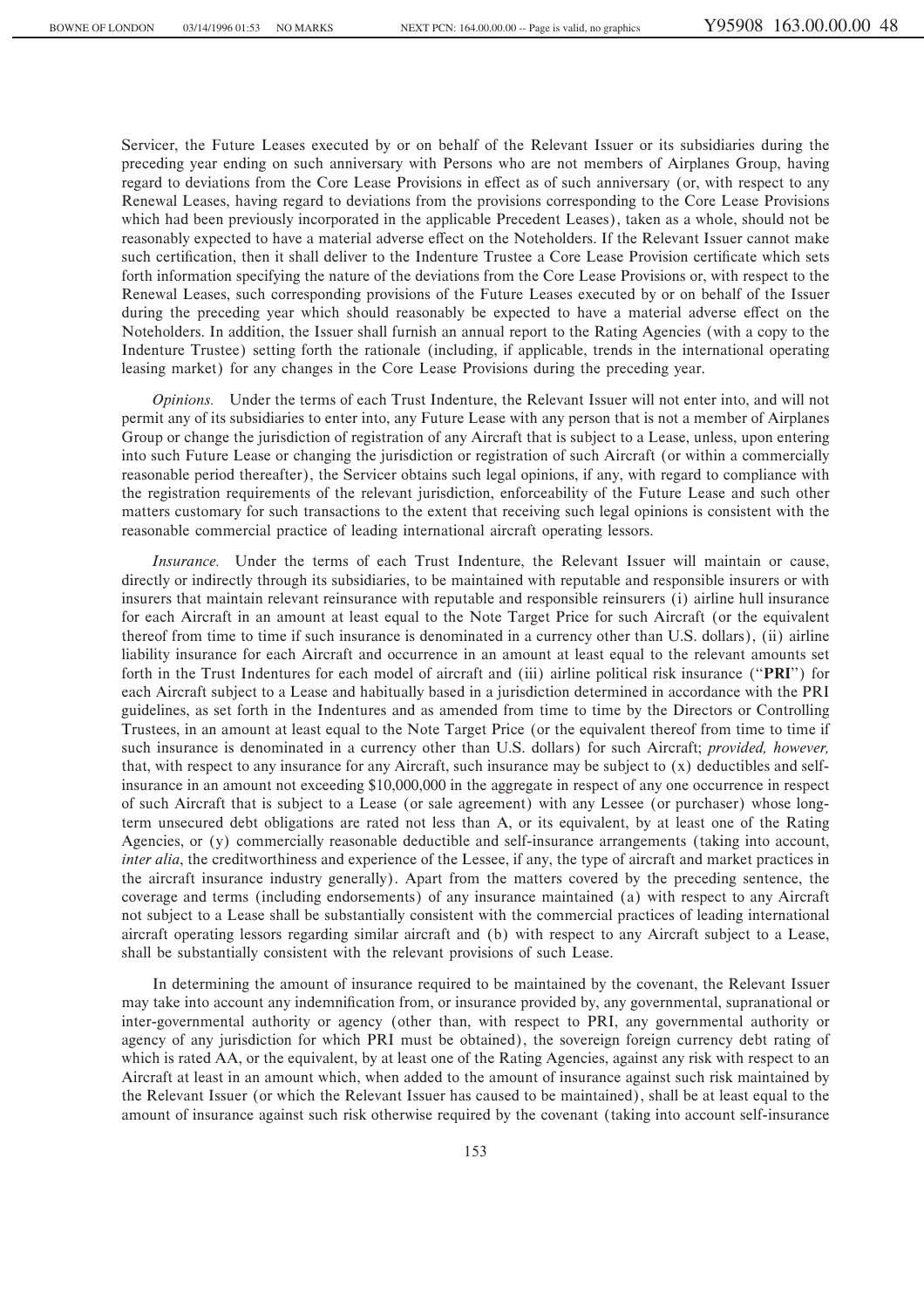Servicer, the Future Leases executed by or on behalf of the Relevant Issuer or its subsidiaries during the preceding year ending on such anniversary with Persons who are not members of Airplanes Group, having regard to deviations from the Core Lease Provisions in effect as of such anniversary (or, with respect to any Renewal Leases, having regard to deviations from the provisions corresponding to the Core Lease Provisions which had been previously incorporated in the applicable Precedent Leases), taken as a whole, should not be reasonably expected to have a material adverse effect on the Noteholders. If the Relevant Issuer cannot make such certification, then it shall deliver to the Indenture Trustee a Core Lease Provision certificate which sets forth information specifying the nature of the deviations from the Core Lease Provisions or, with respect to the Renewal Leases, such corresponding provisions of the Future Leases executed by or on behalf of the Issuer during the preceding year which should reasonably be expected to have a material adverse effect on the Noteholders. In addition, the Issuer shall furnish an annual report to the Rating Agencies (with a copy to the Indenture Trustee) setting forth the rationale (including, if applicable, trends in the international operating leasing market) for any changes in the Core Lease Provisions during the preceding year.

*Opinions.* Under the terms of each Trust Indenture, the Relevant Issuer will not enter into, and will not permit any of its subsidiaries to enter into, any Future Lease with any person that is not a member of Airplanes Group or change the jurisdiction of registration of any Aircraft that is subject to a Lease, unless, upon entering into such Future Lease or changing the jurisdiction or registration of such Aircraft (or within a commercially reasonable period thereafter), the Servicer obtains such legal opinions, if any, with regard to compliance with the registration requirements of the relevant jurisdiction, enforceability of the Future Lease and such other matters customary for such transactions to the extent that receiving such legal opinions is consistent with the reasonable commercial practice of leading international aircraft operating lessors.

*Insurance.* Under the terms of each Trust Indenture, the Relevant Issuer will maintain or cause, directly or indirectly through its subsidiaries, to be maintained with reputable and responsible insurers or with insurers that maintain relevant reinsurance with reputable and responsible reinsurers (i) airline hull insurance for each Aircraft in an amount at least equal to the Note Target Price for such Aircraft (or the equivalent thereof from time to time if such insurance is denominated in a currency other than U.S. dollars), (ii) airline liability insurance for each Aircraft and occurrence in an amount at least equal to the relevant amounts set forth in the Trust Indentures for each model of aircraft and (iii) airline political risk insurance (""**PRI**'') for each Aircraft subject to a Lease and habitually based in a jurisdiction determined in accordance with the PRI guidelines, as set forth in the Indentures and as amended from time to time by the Directors or Controlling Trustees, in an amount at least equal to the Note Target Price (or the equivalent thereof from time to time if such insurance is denominated in a currency other than U.S. dollars) for such Aircraft; *provided, however,* that, with respect to any insurance for any Aircraft, such insurance may be subject to (x) deductibles and selfinsurance in an amount not exceeding \$10,000,000 in the aggregate in respect of any one occurrence in respect of such Aircraft that is subject to a Lease (or sale agreement) with any Lessee (or purchaser) whose longterm unsecured debt obligations are rated not less than A, or its equivalent, by at least one of the Rating Agencies, or (y) commercially reasonable deductible and self-insurance arrangements (taking into account, *inter alia*, the creditworthiness and experience of the Lessee, if any, the type of aircraft and market practices in the aircraft insurance industry generally). Apart from the matters covered by the preceding sentence, the coverage and terms (including endorsements) of any insurance maintained (a) with respect to any Aircraft not subject to a Lease shall be substantially consistent with the commercial practices of leading international aircraft operating lessors regarding similar aircraft and (b) with respect to any Aircraft subject to a Lease, shall be substantially consistent with the relevant provisions of such Lease.

In determining the amount of insurance required to be maintained by the covenant, the Relevant Issuer may take into account any indemnification from, or insurance provided by, any governmental, supranational or inter-governmental authority or agency (other than, with respect to PRI, any governmental authority or agency of any jurisdiction for which PRI must be obtained), the sovereign foreign currency debt rating of which is rated AA, or the equivalent, by at least one of the Rating Agencies, against any risk with respect to an Aircraft at least in an amount which, when added to the amount of insurance against such risk maintained by the Relevant Issuer (or which the Relevant Issuer has caused to be maintained), shall be at least equal to the amount of insurance against such risk otherwise required by the covenant (taking into account self-insurance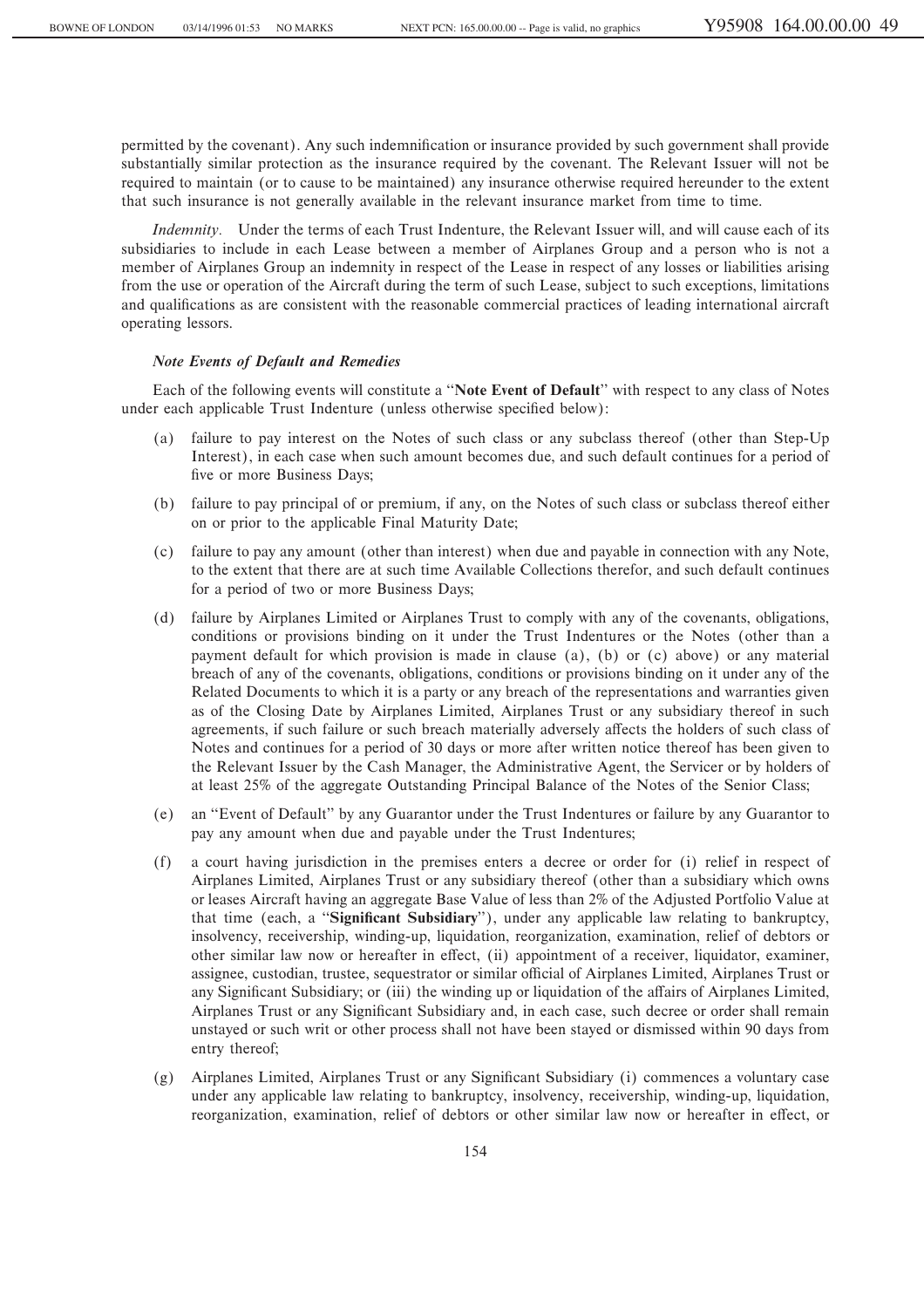permitted by the covenant). Any such indemnification or insurance provided by such government shall provide substantially similar protection as the insurance required by the covenant. The Relevant Issuer will not be required to maintain (or to cause to be maintained) any insurance otherwise required hereunder to the extent that such insurance is not generally available in the relevant insurance market from time to time.

*Indemnity.* Under the terms of each Trust Indenture, the Relevant Issuer will, and will cause each of its subsidiaries to include in each Lease between a member of Airplanes Group and a person who is not a member of Airplanes Group an indemnity in respect of the Lease in respect of any losses or liabilities arising from the use or operation of the Aircraft during the term of such Lease, subject to such exceptions, limitations and qualifications as are consistent with the reasonable commercial practices of leading international aircraft operating lessors.

# *Note Events of Default and Remedies*

Each of the following events will constitute a ""**Note Event of Default**'' with respect to any class of Notes under each applicable Trust Indenture (unless otherwise specified below):

- (a) failure to pay interest on the Notes of such class or any subclass thereof (other than Step-Up Interest), in each case when such amount becomes due, and such default continues for a period of five or more Business Days;
- (b) failure to pay principal of or premium, if any, on the Notes of such class or subclass thereof either on or prior to the applicable Final Maturity Date;
- (c) failure to pay any amount (other than interest) when due and payable in connection with any Note, to the extent that there are at such time Available Collections therefor, and such default continues for a period of two or more Business Days;
- (d) failure by Airplanes Limited or Airplanes Trust to comply with any of the covenants, obligations, conditions or provisions binding on it under the Trust Indentures or the Notes (other than a payment default for which provision is made in clause (a), (b) or (c) above) or any material breach of any of the covenants, obligations, conditions or provisions binding on it under any of the Related Documents to which it is a party or any breach of the representations and warranties given as of the Closing Date by Airplanes Limited, Airplanes Trust or any subsidiary thereof in such agreements, if such failure or such breach materially adversely affects the holders of such class of Notes and continues for a period of 30 days or more after written notice thereof has been given to the Relevant Issuer by the Cash Manager, the Administrative Agent, the Servicer or by holders of at least 25% of the aggregate Outstanding Principal Balance of the Notes of the Senior Class;
- (e) an ""Event of Default'' by any Guarantor under the Trust Indentures or failure by any Guarantor to pay any amount when due and payable under the Trust Indentures;
- (f) a court having jurisdiction in the premises enters a decree or order for (i) relief in respect of Airplanes Limited, Airplanes Trust or any subsidiary thereof (other than a subsidiary which owns or leases Aircraft having an aggregate Base Value of less than 2% of the Adjusted Portfolio Value at that time (each, a "**Significant Subsidiary**"), under any applicable law relating to bankruptcy, insolvency, receivership, winding-up, liquidation, reorganization, examination, relief of debtors or other similar law now or hereafter in effect, (ii) appointment of a receiver, liquidator, examiner, assignee, custodian, trustee, sequestrator or similar official of Airplanes Limited, Airplanes Trust or any Significant Subsidiary; or (iii) the winding up or liquidation of the affairs of Airplanes Limited, Airplanes Trust or any Significant Subsidiary and, in each case, such decree or order shall remain unstayed or such writ or other process shall not have been stayed or dismissed within 90 days from entry thereof;
- $(g)$  Airplanes Limited, Airplanes Trust or any Significant Subsidiary (i) commences a voluntary case under any applicable law relating to bankruptcy, insolvency, receivership, winding-up, liquidation, reorganization, examination, relief of debtors or other similar law now or hereafter in effect, or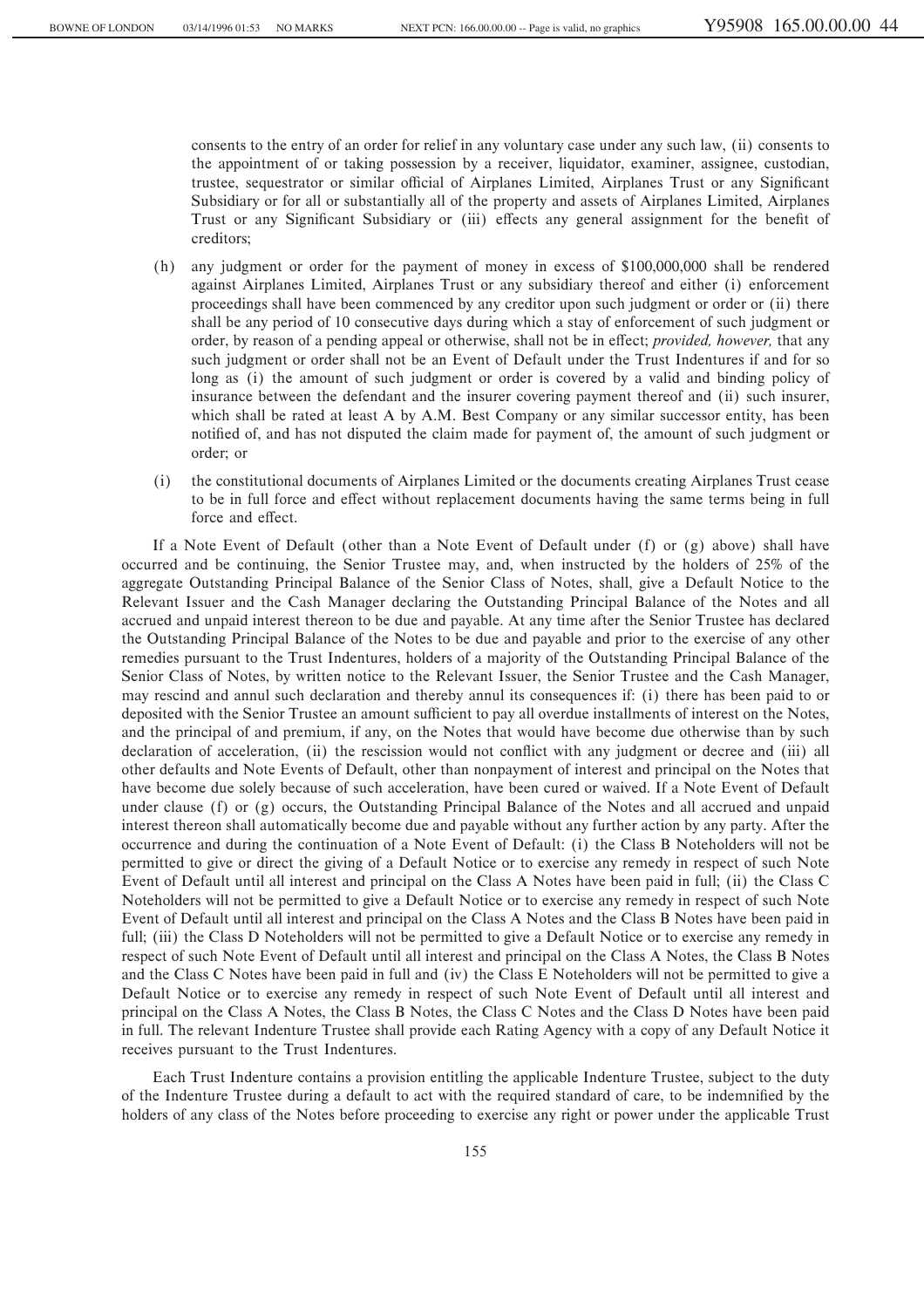consents to the entry of an order for relief in any voluntary case under any such law, (ii) consents to the appointment of or taking possession by a receiver, liquidator, examiner, assignee, custodian, trustee, sequestrator or similar official of Airplanes Limited, Airplanes Trust or any Significant Subsidiary or for all or substantially all of the property and assets of Airplanes Limited, Airplanes Trust or any Significant Subsidiary or (iii) effects any general assignment for the benefit of creditors;

- (h) any judgment or order for the payment of money in excess of \$100,000,000 shall be rendered against Airplanes Limited, Airplanes Trust or any subsidiary thereof and either (i) enforcement proceedings shall have been commenced by any creditor upon such judgment or order or (ii) there shall be any period of 10 consecutive days during which a stay of enforcement of such judgment or order, by reason of a pending appeal or otherwise, shall not be in effect; *provided, however*, that any such judgment or order shall not be an Event of Default under the Trust Indentures if and for so long as (i) the amount of such judgment or order is covered by a valid and binding policy of insurance between the defendant and the insurer covering payment thereof and (ii) such insurer, which shall be rated at least A by A.M. Best Company or any similar successor entity, has been notified of, and has not disputed the claim made for payment of, the amount of such judgment or order; or
- (i) the constitutional documents of Airplanes Limited or the documents creating Airplanes Trust cease to be in full force and effect without replacement documents having the same terms being in full force and effect.

If a Note Event of Default (other than a Note Event of Default under (f) or (g) above) shall have occurred and be continuing, the Senior Trustee may, and, when instructed by the holders of 25% of the aggregate Outstanding Principal Balance of the Senior Class of Notes, shall, give a Default Notice to the Relevant Issuer and the Cash Manager declaring the Outstanding Principal Balance of the Notes and all accrued and unpaid interest thereon to be due and payable. At any time after the Senior Trustee has declared the Outstanding Principal Balance of the Notes to be due and payable and prior to the exercise of any other remedies pursuant to the Trust Indentures, holders of a majority of the Outstanding Principal Balance of the Senior Class of Notes, by written notice to the Relevant Issuer, the Senior Trustee and the Cash Manager, may rescind and annul such declaration and thereby annul its consequences if: (i) there has been paid to or deposited with the Senior Trustee an amount sufficient to pay all overdue installments of interest on the Notes, and the principal of and premium, if any, on the Notes that would have become due otherwise than by such declaration of acceleration, (ii) the rescission would not conflict with any judgment or decree and (iii) all other defaults and Note Events of Default, other than nonpayment of interest and principal on the Notes that have become due solely because of such acceleration, have been cured or waived. If a Note Event of Default under clause (f) or (g) occurs, the Outstanding Principal Balance of the Notes and all accrued and unpaid interest thereon shall automatically become due and payable without any further action by any party. After the occurrence and during the continuation of a Note Event of Default: (i) the Class B Noteholders will not be permitted to give or direct the giving of a Default Notice or to exercise any remedy in respect of such Note Event of Default until all interest and principal on the Class A Notes have been paid in full; (ii) the Class C Noteholders will not be permitted to give a Default Notice or to exercise any remedy in respect of such Note Event of Default until all interest and principal on the Class A Notes and the Class B Notes have been paid in full; (iii) the Class D Noteholders will not be permitted to give a Default Notice or to exercise any remedy in respect of such Note Event of Default until all interest and principal on the Class A Notes, the Class B Notes and the Class C Notes have been paid in full and (iv) the Class E Noteholders will not be permitted to give a Default Notice or to exercise any remedy in respect of such Note Event of Default until all interest and principal on the Class A Notes, the Class B Notes, the Class C Notes and the Class D Notes have been paid in full. The relevant Indenture Trustee shall provide each Rating Agency with a copy of any Default Notice it receives pursuant to the Trust Indentures.

Each Trust Indenture contains a provision entitling the applicable Indenture Trustee, subject to the duty of the Indenture Trustee during a default to act with the required standard of care, to be indemnified by the holders of any class of the Notes before proceeding to exercise any right or power under the applicable Trust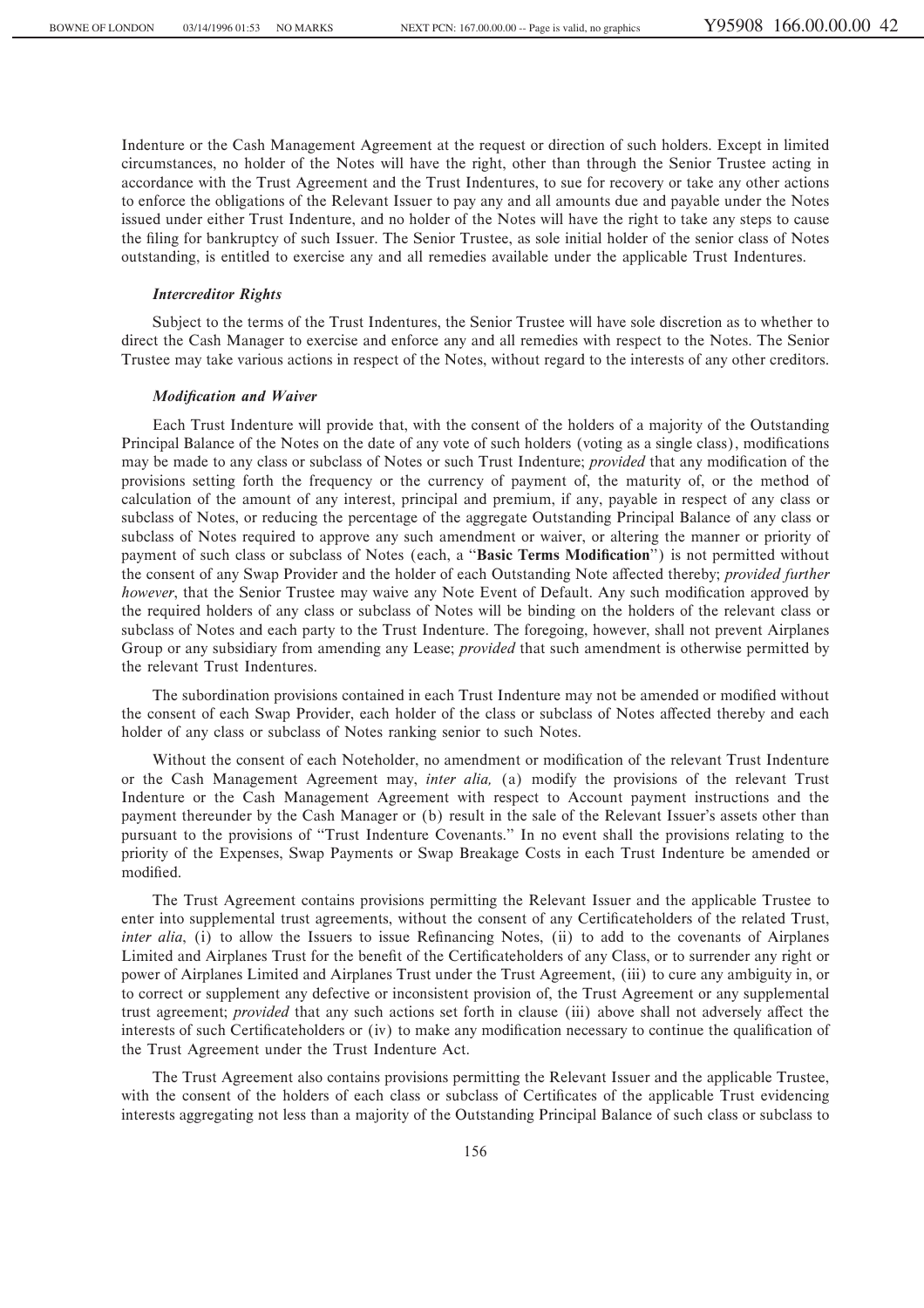Indenture or the Cash Management Agreement at the request or direction of such holders. Except in limited circumstances, no holder of the Notes will have the right, other than through the Senior Trustee acting in accordance with the Trust Agreement and the Trust Indentures, to sue for recovery or take any other actions to enforce the obligations of the Relevant Issuer to pay any and all amounts due and payable under the Notes issued under either Trust Indenture, and no holder of the Notes will have the right to take any steps to cause the filing for bankruptcy of such Issuer. The Senior Trustee, as sole initial holder of the senior class of Notes outstanding, is entitled to exercise any and all remedies available under the applicable Trust Indentures.

# *Intercreditor Rights*

Subject to the terms of the Trust Indentures, the Senior Trustee will have sole discretion as to whether to direct the Cash Manager to exercise and enforce any and all remedies with respect to the Notes. The Senior Trustee may take various actions in respect of the Notes, without regard to the interests of any other creditors.

# *Modification and Waiver*

Each Trust Indenture will provide that, with the consent of the holders of a majority of the Outstanding Principal Balance of the Notes on the date of any vote of such holders (voting as a single class), modifications may be made to any class or subclass of Notes or such Trust Indenture; *provided* that any modification of the provisions setting forth the frequency or the currency of payment of, the maturity of, or the method of calculation of the amount of any interest, principal and premium, if any, payable in respect of any class or subclass of Notes, or reducing the percentage of the aggregate Outstanding Principal Balance of any class or subclass of Notes required to approve any such amendment or waiver, or altering the manner or priority of payment of such class or subclass of Notes (each, a "Basic Terms Modification") is not permitted without the consent of any Swap Provider and the holder of each Outstanding Note affected thereby; *provided further however*, that the Senior Trustee may waive any Note Event of Default. Any such modification approved by the required holders of any class or subclass of Notes will be binding on the holders of the relevant class or subclass of Notes and each party to the Trust Indenture. The foregoing, however, shall not prevent Airplanes Group or any subsidiary from amending any Lease; *provided* that such amendment is otherwise permitted by the relevant Trust Indentures.

The subordination provisions contained in each Trust Indenture may not be amended or modified without the consent of each Swap Provider, each holder of the class or subclass of Notes affected thereby and each holder of any class or subclass of Notes ranking senior to such Notes.

Without the consent of each Noteholder, no amendment or modification of the relevant Trust Indenture or the Cash Management Agreement may, *inter alia,* (a) modify the provisions of the relevant Trust Indenture or the Cash Management Agreement with respect to Account payment instructions and the payment thereunder by the Cash Manager or (b) result in the sale of the Relevant Issuer's assets other than pursuant to the provisions of ""Trust Indenture Covenants.'' In no event shall the provisions relating to the priority of the Expenses, Swap Payments or Swap Breakage Costs in each Trust Indenture be amended or modified.

The Trust Agreement contains provisions permitting the Relevant Issuer and the applicable Trustee to enter into supplemental trust agreements, without the consent of any Certificateholders of the related Trust, *inter alia*, (i) to allow the Issuers to issue Refinancing Notes, (ii) to add to the covenants of Airplanes Limited and Airplanes Trust for the benefit of the Certificateholders of any Class, or to surrender any right or power of Airplanes Limited and Airplanes Trust under the Trust Agreement, (iii) to cure any ambiguity in, or to correct or supplement any defective or inconsistent provision of, the Trust Agreement or any supplemental trust agreement; *provided* that any such actions set forth in clause (iii) above shall not adversely affect the interests of such Certificateholders or (iv) to make any modification necessary to continue the qualification of the Trust Agreement under the Trust Indenture Act.

The Trust Agreement also contains provisions permitting the Relevant Issuer and the applicable Trustee, with the consent of the holders of each class or subclass of Certificates of the applicable Trust evidencing interests aggregating not less than a majority of the Outstanding Principal Balance of such class or subclass to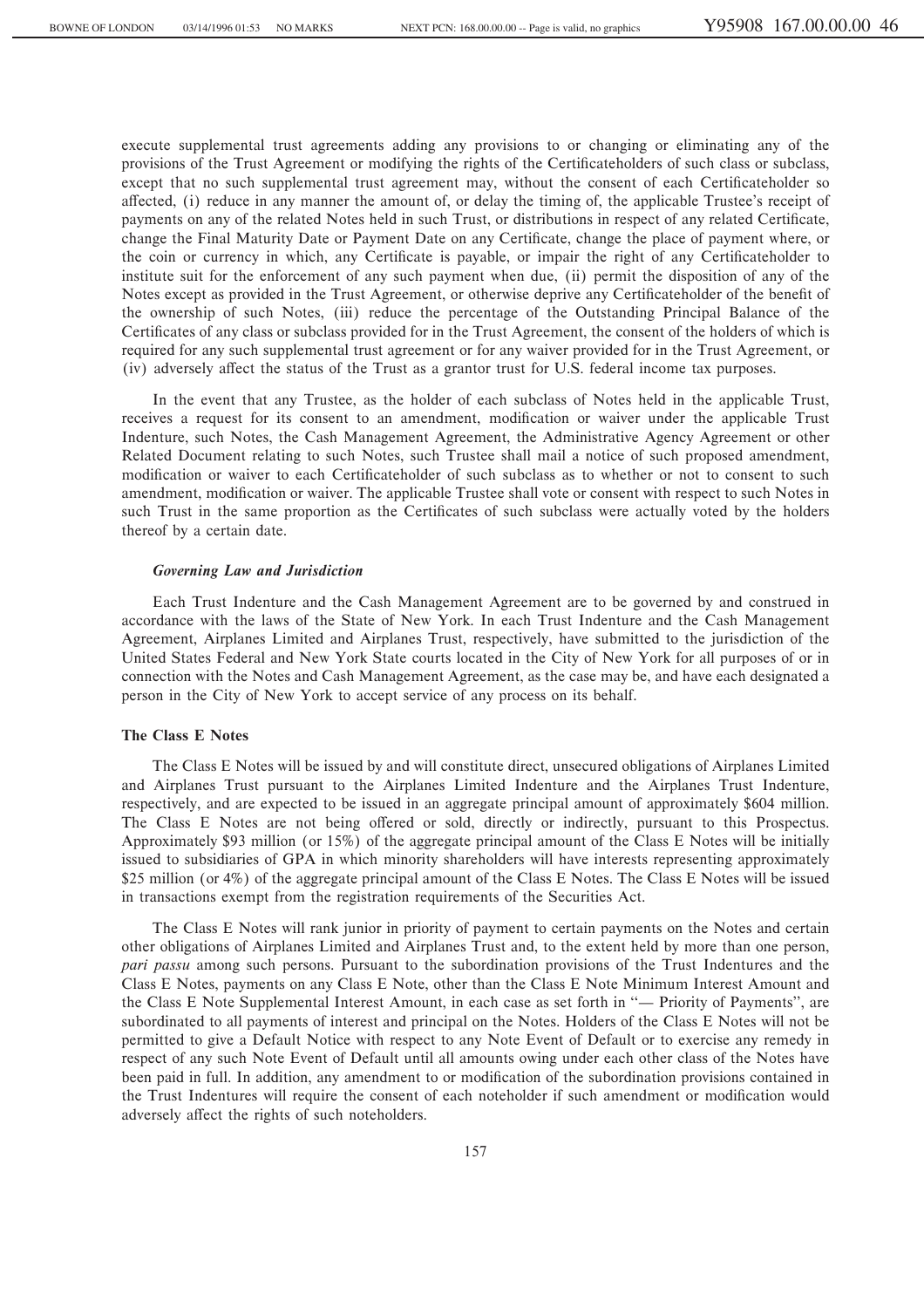execute supplemental trust agreements adding any provisions to or changing or eliminating any of the provisions of the Trust Agreement or modifying the rights of the Certificateholders of such class or subclass, except that no such supplemental trust agreement may, without the consent of each Certificateholder so affected, (i) reduce in any manner the amount of, or delay the timing of, the applicable Trustee's receipt of payments on any of the related Notes held in such Trust, or distributions in respect of any related Certificate, change the Final Maturity Date or Payment Date on any Certificate, change the place of payment where, or the coin or currency in which, any Certificate is payable, or impair the right of any Certificateholder to institute suit for the enforcement of any such payment when due, (ii) permit the disposition of any of the Notes except as provided in the Trust Agreement, or otherwise deprive any Certificateholder of the benefit of the ownership of such Notes, (iii) reduce the percentage of the Outstanding Principal Balance of the Certificates of any class or subclass provided for in the Trust Agreement, the consent of the holders of which is required for any such supplemental trust agreement or for any waiver provided for in the Trust Agreement, or (iv) adversely affect the status of the Trust as a grantor trust for U.S. federal income tax purposes.

In the event that any Trustee, as the holder of each subclass of Notes held in the applicable Trust, receives a request for its consent to an amendment, modification or waiver under the applicable Trust Indenture, such Notes, the Cash Management Agreement, the Administrative Agency Agreement or other Related Document relating to such Notes, such Trustee shall mail a notice of such proposed amendment, modification or waiver to each Certificateholder of such subclass as to whether or not to consent to such amendment, modification or waiver. The applicable Trustee shall vote or consent with respect to such Notes in such Trust in the same proportion as the Certificates of such subclass were actually voted by the holders thereof by a certain date.

### *Governing Law and Jurisdiction*

Each Trust Indenture and the Cash Management Agreement are to be governed by and construed in accordance with the laws of the State of New York. In each Trust Indenture and the Cash Management Agreement, Airplanes Limited and Airplanes Trust, respectively, have submitted to the jurisdiction of the United States Federal and New York State courts located in the City of New York for all purposes of or in connection with the Notes and Cash Management Agreement, as the case may be, and have each designated a person in the City of New York to accept service of any process on its behalf.

### **The Class E Notes**

The Class E Notes will be issued by and will constitute direct, unsecured obligations of Airplanes Limited and Airplanes Trust pursuant to the Airplanes Limited Indenture and the Airplanes Trust Indenture, respectively, and are expected to be issued in an aggregate principal amount of approximately \$604 million. The Class E Notes are not being offered or sold, directly or indirectly, pursuant to this Prospectus. Approximately \$93 million (or 15%) of the aggregate principal amount of the Class E Notes will be initially issued to subsidiaries of GPA in which minority shareholders will have interests representing approximately \$25 million (or 4%) of the aggregate principal amount of the Class E Notes. The Class E Notes will be issued in transactions exempt from the registration requirements of the Securities Act.

The Class E Notes will rank junior in priority of payment to certain payments on the Notes and certain other obligations of Airplanes Limited and Airplanes Trust and, to the extent held by more than one person, *pari passu* among such persons. Pursuant to the subordination provisions of the Trust Indentures and the Class E Notes, payments on any Class E Note, other than the Class E Note Minimum Interest Amount and the Class E Note Supplemental Interest Amount, in each case as set forth in "— Priority of Payments", are subordinated to all payments of interest and principal on the Notes. Holders of the Class E Notes will not be permitted to give a Default Notice with respect to any Note Event of Default or to exercise any remedy in respect of any such Note Event of Default until all amounts owing under each other class of the Notes have been paid in full. In addition, any amendment to or modification of the subordination provisions contained in the Trust Indentures will require the consent of each noteholder if such amendment or modification would adversely affect the rights of such noteholders.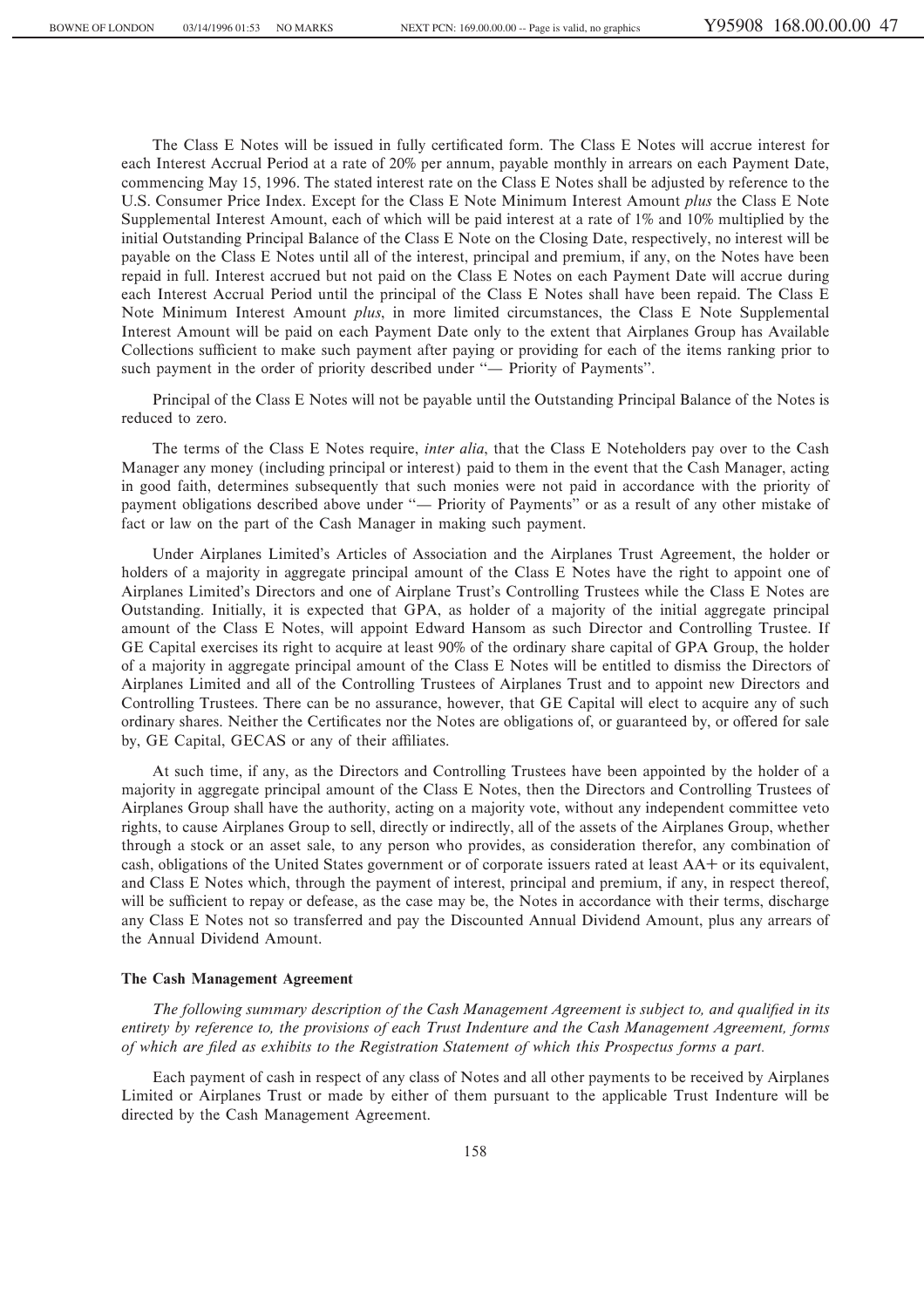The Class E Notes will be issued in fully certificated form. The Class E Notes will accrue interest for each Interest Accrual Period at a rate of 20% per annum, payable monthly in arrears on each Payment Date, commencing May 15, 1996. The stated interest rate on the Class E Notes shall be adjusted by reference to the U.S. Consumer Price Index. Except for the Class E Note Minimum Interest Amount *plus* the Class E Note Supplemental Interest Amount, each of which will be paid interest at a rate of 1% and 10% multiplied by the initial Outstanding Principal Balance of the Class E Note on the Closing Date, respectively, no interest will be payable on the Class E Notes until all of the interest, principal and premium, if any, on the Notes have been repaid in full. Interest accrued but not paid on the Class E Notes on each Payment Date will accrue during each Interest Accrual Period until the principal of the Class E Notes shall have been repaid. The Class E Note Minimum Interest Amount *plus*, in more limited circumstances, the Class E Note Supplemental Interest Amount will be paid on each Payment Date only to the extent that Airplanes Group has Available Collections sufficient to make such payment after paying or providing for each of the items ranking prior to such payment in the order of priority described under "— Priority of Payments".

Principal of the Class E Notes will not be payable until the Outstanding Principal Balance of the Notes is reduced to zero.

The terms of the Class E Notes require, *inter alia*, that the Class E Noteholders pay over to the Cash Manager any money (including principal or interest) paid to them in the event that the Cash Manager, acting in good faith, determines subsequently that such monies were not paid in accordance with the priority of payment obligations described above under "— Priority of Payments" or as a result of any other mistake of fact or law on the part of the Cash Manager in making such payment.

Under Airplanes Limited's Articles of Association and the Airplanes Trust Agreement, the holder or holders of a majority in aggregate principal amount of the Class E Notes have the right to appoint one of Airplanes Limited's Directors and one of Airplane Trust's Controlling Trustees while the Class E Notes are Outstanding. Initially, it is expected that GPA, as holder of a majority of the initial aggregate principal amount of the Class E Notes, will appoint Edward Hansom as such Director and Controlling Trustee. If GE Capital exercises its right to acquire at least 90% of the ordinary share capital of GPA Group, the holder of a majority in aggregate principal amount of the Class E Notes will be entitled to dismiss the Directors of Airplanes Limited and all of the Controlling Trustees of Airplanes Trust and to appoint new Directors and Controlling Trustees. There can be no assurance, however, that GE Capital will elect to acquire any of such ordinary shares. Neither the Certificates nor the Notes are obligations of, or guaranteed by, or offered for sale by, GE Capital, GECAS or any of their affiliates.

At such time, if any, as the Directors and Controlling Trustees have been appointed by the holder of a majority in aggregate principal amount of the Class E Notes, then the Directors and Controlling Trustees of Airplanes Group shall have the authority, acting on a majority vote, without any independent committee veto rights, to cause Airplanes Group to sell, directly or indirectly, all of the assets of the Airplanes Group, whether through a stock or an asset sale, to any person who provides, as consideration therefor, any combination of cash, obligations of the United States government or of corporate issuers rated at least AA<sup>+</sup> or its equivalent, and Class E Notes which, through the payment of interest, principal and premium, if any, in respect thereof, will be sufficient to repay or defease, as the case may be, the Notes in accordance with their terms, discharge any Class E Notes not so transferred and pay the Discounted Annual Dividend Amount, plus any arrears of the Annual Dividend Amount.

### **The Cash Management Agreement**

The following summary description of the Cash Management Agreement is subject to, and qualified in its *entirety by reference to, the provisions of each Trust Indenture and the Cash Management Agreement, forms* of which are filed as exhibits to the Registration Statement of which this Prospectus forms a part.

Each payment of cash in respect of any class of Notes and all other payments to be received by Airplanes Limited or Airplanes Trust or made by either of them pursuant to the applicable Trust Indenture will be directed by the Cash Management Agreement.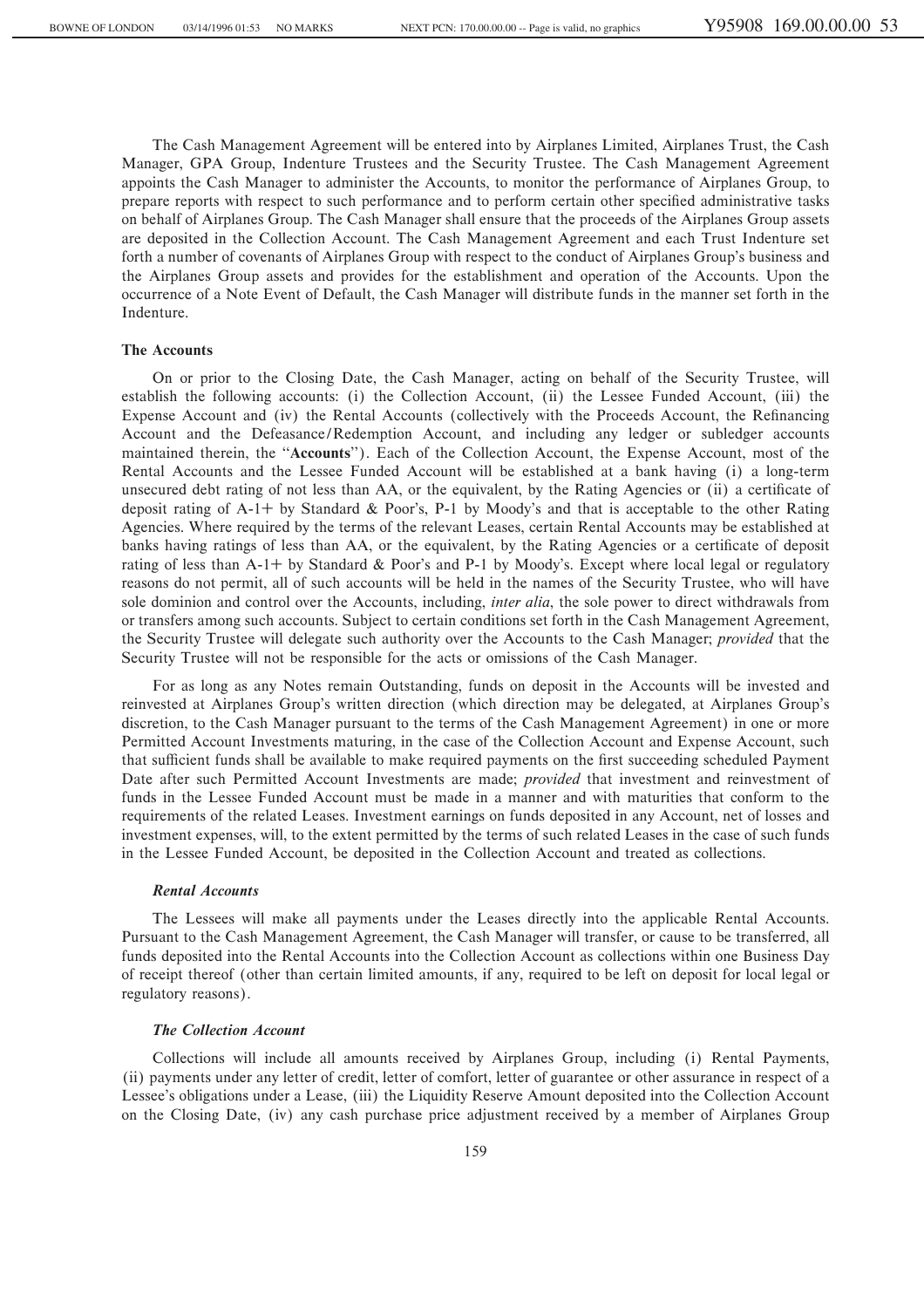The Cash Management Agreement will be entered into by Airplanes Limited, Airplanes Trust, the Cash Manager, GPA Group, Indenture Trustees and the Security Trustee. The Cash Management Agreement appoints the Cash Manager to administer the Accounts, to monitor the performance of Airplanes Group, to prepare reports with respect to such performance and to perform certain other specified administrative tasks on behalf of Airplanes Group. The Cash Manager shall ensure that the proceeds of the Airplanes Group assets are deposited in the Collection Account. The Cash Management Agreement and each Trust Indenture set forth a number of covenants of Airplanes Group with respect to the conduct of Airplanes Group's business and the Airplanes Group assets and provides for the establishment and operation of the Accounts. Upon the occurrence of a Note Event of Default, the Cash Manager will distribute funds in the manner set forth in the Indenture.

### **The Accounts**

On or prior to the Closing Date, the Cash Manager, acting on behalf of the Security Trustee, will establish the following accounts: (i) the Collection Account, (ii) the Lessee Funded Account, (iii) the Expense Account and (iv) the Rental Accounts (collectively with the Proceeds Account, the Refinancing Account and the Defeasance/Redemption Account, and including any ledger or subledger accounts maintained therein, the "**Accounts**"). Each of the Collection Account, the Expense Account, most of the Rental Accounts and the Lessee Funded Account will be established at a bank having (i) a long-term unsecured debt rating of not less than AA, or the equivalent, by the Rating Agencies or (ii) a certificate of deposit rating of  $A-1$ <sup>+</sup> by Standard & Poor's, P-1 by Moody's and that is acceptable to the other Rating Agencies. Where required by the terms of the relevant Leases, certain Rental Accounts may be established at banks having ratings of less than AA, or the equivalent, by the Rating Agencies or a certificate of deposit rating of less than A-1+ by Standard & Poor's and P-1 by Moody's. Except where local legal or regulatory reasons do not permit, all of such accounts will be held in the names of the Security Trustee, who will have sole dominion and control over the Accounts, including, *inter alia*, the sole power to direct withdrawals from or transfers among such accounts. Subject to certain conditions set forth in the Cash Management Agreement, the Security Trustee will delegate such authority over the Accounts to the Cash Manager; *provided* that the Security Trustee will not be responsible for the acts or omissions of the Cash Manager.

For as long as any Notes remain Outstanding, funds on deposit in the Accounts will be invested and reinvested at Airplanes Group's written direction (which direction may be delegated, at Airplanes Group's discretion, to the Cash Manager pursuant to the terms of the Cash Management Agreement) in one or more Permitted Account Investments maturing, in the case of the Collection Account and Expense Account, such that sufficient funds shall be available to make required payments on the first succeeding scheduled Payment Date after such Permitted Account Investments are made; *provided* that investment and reinvestment of funds in the Lessee Funded Account must be made in a manner and with maturities that conform to the requirements of the related Leases. Investment earnings on funds deposited in any Account, net of losses and investment expenses, will, to the extent permitted by the terms of such related Leases in the case of such funds in the Lessee Funded Account, be deposited in the Collection Account and treated as collections.

### *Rental Accounts*

The Lessees will make all payments under the Leases directly into the applicable Rental Accounts. Pursuant to the Cash Management Agreement, the Cash Manager will transfer, or cause to be transferred, all funds deposited into the Rental Accounts into the Collection Account as collections within one Business Day of receipt thereof (other than certain limited amounts, if any, required to be left on deposit for local legal or regulatory reasons).

# *The Collection Account*

Collections will include all amounts received by Airplanes Group, including (i) Rental Payments, (ii) payments under any letter of credit, letter of comfort, letter of guarantee or other assurance in respect of a Lessee's obligations under a Lease, (iii) the Liquidity Reserve Amount deposited into the Collection Account on the Closing Date, (iv) any cash purchase price adjustment received by a member of Airplanes Group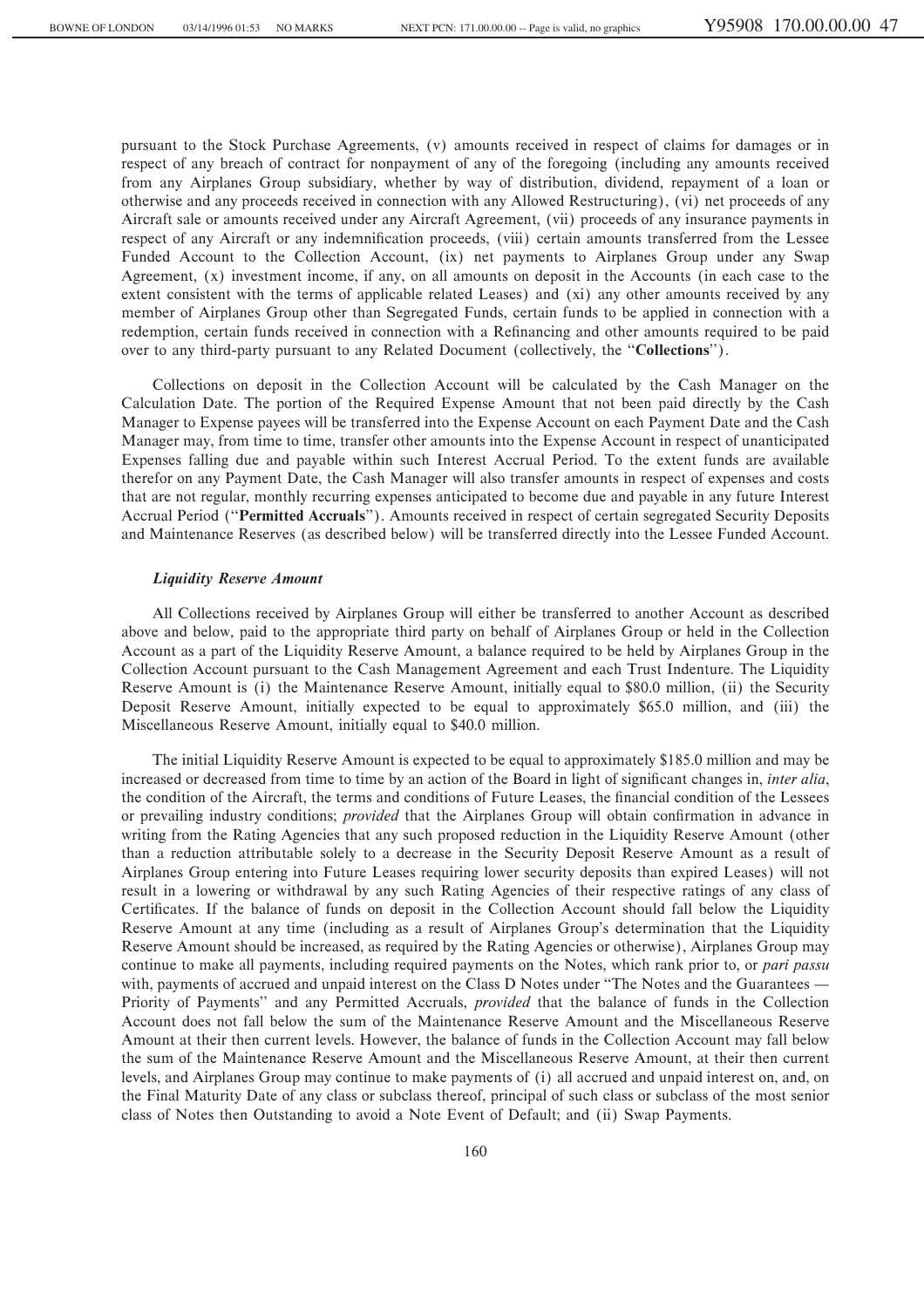pursuant to the Stock Purchase Agreements, (v) amounts received in respect of claims for damages or in respect of any breach of contract for nonpayment of any of the foregoing (including any amounts received from any Airplanes Group subsidiary, whether by way of distribution, dividend, repayment of a loan or otherwise and any proceeds received in connection with any Allowed Restructuring), (vi) net proceeds of any Aircraft sale or amounts received under any Aircraft Agreement, (vii) proceeds of any insurance payments in respect of any Aircraft or any indemnification proceeds, (viii) certain amounts transferred from the Lessee Funded Account to the Collection Account, (ix) net payments to Airplanes Group under any Swap Agreement, (x) investment income, if any, on all amounts on deposit in the Accounts (in each case to the extent consistent with the terms of applicable related Leases) and (xi) any other amounts received by any member of Airplanes Group other than Segregated Funds, certain funds to be applied in connection with a redemption, certain funds received in connection with a Refinancing and other amounts required to be paid over to any third-party pursuant to any Related Document (collectively, the "**Collections**").

Collections on deposit in the Collection Account will be calculated by the Cash Manager on the Calculation Date. The portion of the Required Expense Amount that not been paid directly by the Cash Manager to Expense payees will be transferred into the Expense Account on each Payment Date and the Cash Manager may, from time to time, transfer other amounts into the Expense Account in respect of unanticipated Expenses falling due and payable within such Interest Accrual Period. To the extent funds are available therefor on any Payment Date, the Cash Manager will also transfer amounts in respect of expenses and costs that are not regular, monthly recurring expenses anticipated to become due and payable in any future Interest Accrual Period (""**Permitted Accruals**''). Amounts received in respect of certain segregated Security Deposits and Maintenance Reserves (as described below) will be transferred directly into the Lessee Funded Account.

### *Liquidity Reserve Amount*

All Collections received by Airplanes Group will either be transferred to another Account as described above and below, paid to the appropriate third party on behalf of Airplanes Group or held in the Collection Account as a part of the Liquidity Reserve Amount, a balance required to be held by Airplanes Group in the Collection Account pursuant to the Cash Management Agreement and each Trust Indenture. The Liquidity Reserve Amount is (i) the Maintenance Reserve Amount, initially equal to \$80.0 million, (ii) the Security Deposit Reserve Amount, initially expected to be equal to approximately \$65.0 million, and (iii) the Miscellaneous Reserve Amount, initially equal to \$40.0 million.

The initial Liquidity Reserve Amount is expected to be equal to approximately \$185.0 million and may be increased or decreased from time to time by an action of the Board in light of significant changes in, *inter alia*, the condition of the Aircraft, the terms and conditions of Future Leases, the financial condition of the Lessees or prevailing industry conditions; *provided* that the Airplanes Group will obtain confirmation in advance in writing from the Rating Agencies that any such proposed reduction in the Liquidity Reserve Amount (other than a reduction attributable solely to a decrease in the Security Deposit Reserve Amount as a result of Airplanes Group entering into Future Leases requiring lower security deposits than expired Leases) will not result in a lowering or withdrawal by any such Rating Agencies of their respective ratings of any class of Certificates. If the balance of funds on deposit in the Collection Account should fall below the Liquidity Reserve Amount at any time (including as a result of Airplanes Group's determination that the Liquidity Reserve Amount should be increased, as required by the Rating Agencies or otherwise), Airplanes Group may continue to make all payments, including required payments on the Notes, which rank prior to, or *pari passu* with, payments of accrued and unpaid interest on the Class D Notes under "The Notes and the Guarantees — Priority of Payments'' and any Permitted Accruals, *provided* that the balance of funds in the Collection Account does not fall below the sum of the Maintenance Reserve Amount and the Miscellaneous Reserve Amount at their then current levels. However, the balance of funds in the Collection Account may fall below the sum of the Maintenance Reserve Amount and the Miscellaneous Reserve Amount, at their then current levels, and Airplanes Group may continue to make payments of (i) all accrued and unpaid interest on, and, on the Final Maturity Date of any class or subclass thereof, principal of such class or subclass of the most senior class of Notes then Outstanding to avoid a Note Event of Default; and (ii) Swap Payments.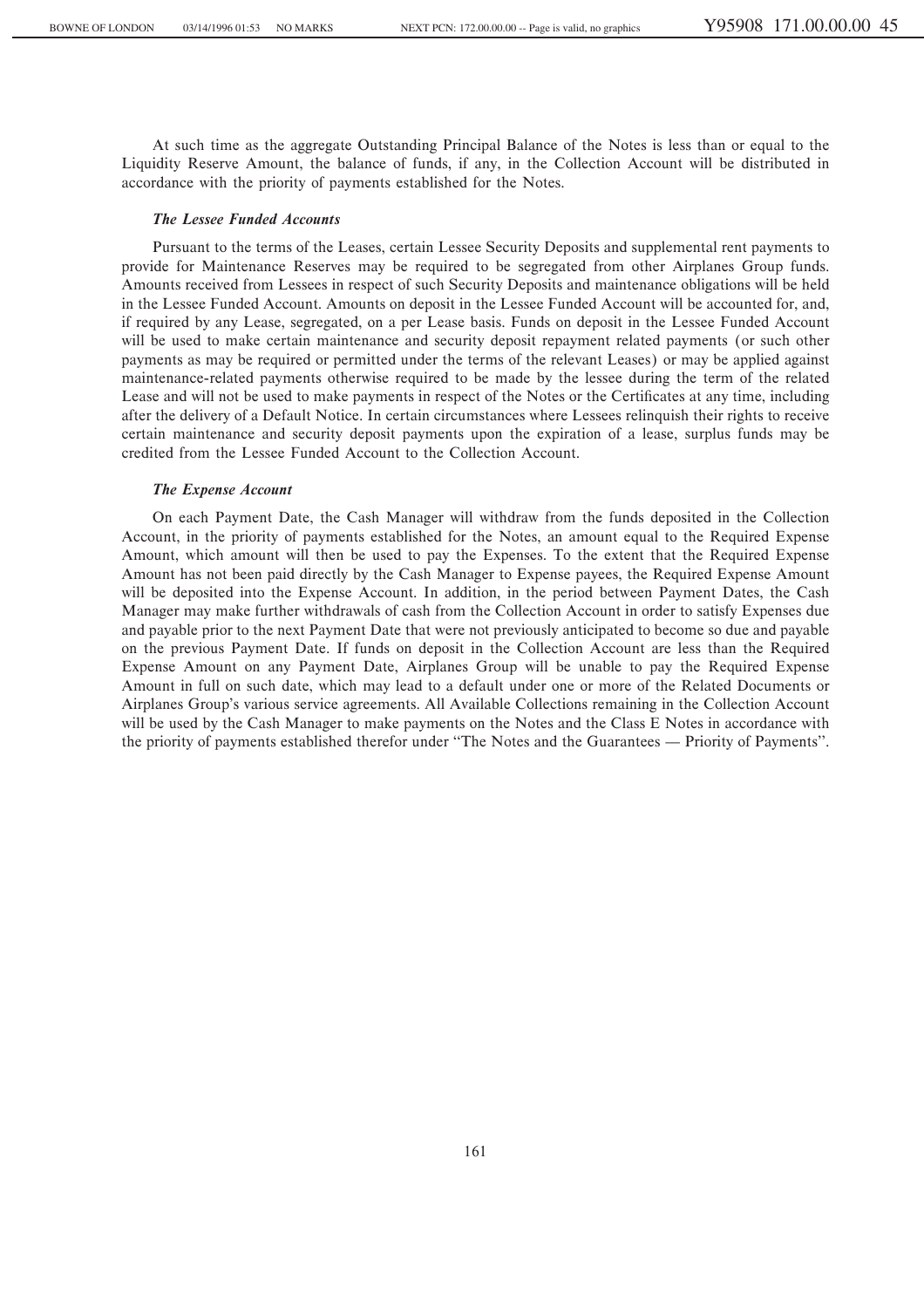At such time as the aggregate Outstanding Principal Balance of the Notes is less than or equal to the Liquidity Reserve Amount, the balance of funds, if any, in the Collection Account will be distributed in accordance with the priority of payments established for the Notes.

# *The Lessee Funded Accounts*

Pursuant to the terms of the Leases, certain Lessee Security Deposits and supplemental rent payments to provide for Maintenance Reserves may be required to be segregated from other Airplanes Group funds. Amounts received from Lessees in respect of such Security Deposits and maintenance obligations will be held in the Lessee Funded Account. Amounts on deposit in the Lessee Funded Account will be accounted for, and, if required by any Lease, segregated, on a per Lease basis. Funds on deposit in the Lessee Funded Account will be used to make certain maintenance and security deposit repayment related payments (or such other payments as may be required or permitted under the terms of the relevant Leases) or may be applied against maintenance-related payments otherwise required to be made by the lessee during the term of the related Lease and will not be used to make payments in respect of the Notes or the Certificates at any time, including after the delivery of a Default Notice. In certain circumstances where Lessees relinquish their rights to receive certain maintenance and security deposit payments upon the expiration of a lease, surplus funds may be credited from the Lessee Funded Account to the Collection Account.

### *The Expense Account*

On each Payment Date, the Cash Manager will withdraw from the funds deposited in the Collection Account, in the priority of payments established for the Notes, an amount equal to the Required Expense Amount, which amount will then be used to pay the Expenses. To the extent that the Required Expense Amount has not been paid directly by the Cash Manager to Expense payees, the Required Expense Amount will be deposited into the Expense Account. In addition, in the period between Payment Dates, the Cash Manager may make further withdrawals of cash from the Collection Account in order to satisfy Expenses due and payable prior to the next Payment Date that were not previously anticipated to become so due and payable on the previous Payment Date. If funds on deposit in the Collection Account are less than the Required Expense Amount on any Payment Date, Airplanes Group will be unable to pay the Required Expense Amount in full on such date, which may lead to a default under one or more of the Related Documents or Airplanes Group's various service agreements. All Available Collections remaining in the Collection Account will be used by the Cash Manager to make payments on the Notes and the Class E Notes in accordance with the priority of payments established therefor under "The Notes and the Guarantees — Priority of Payments".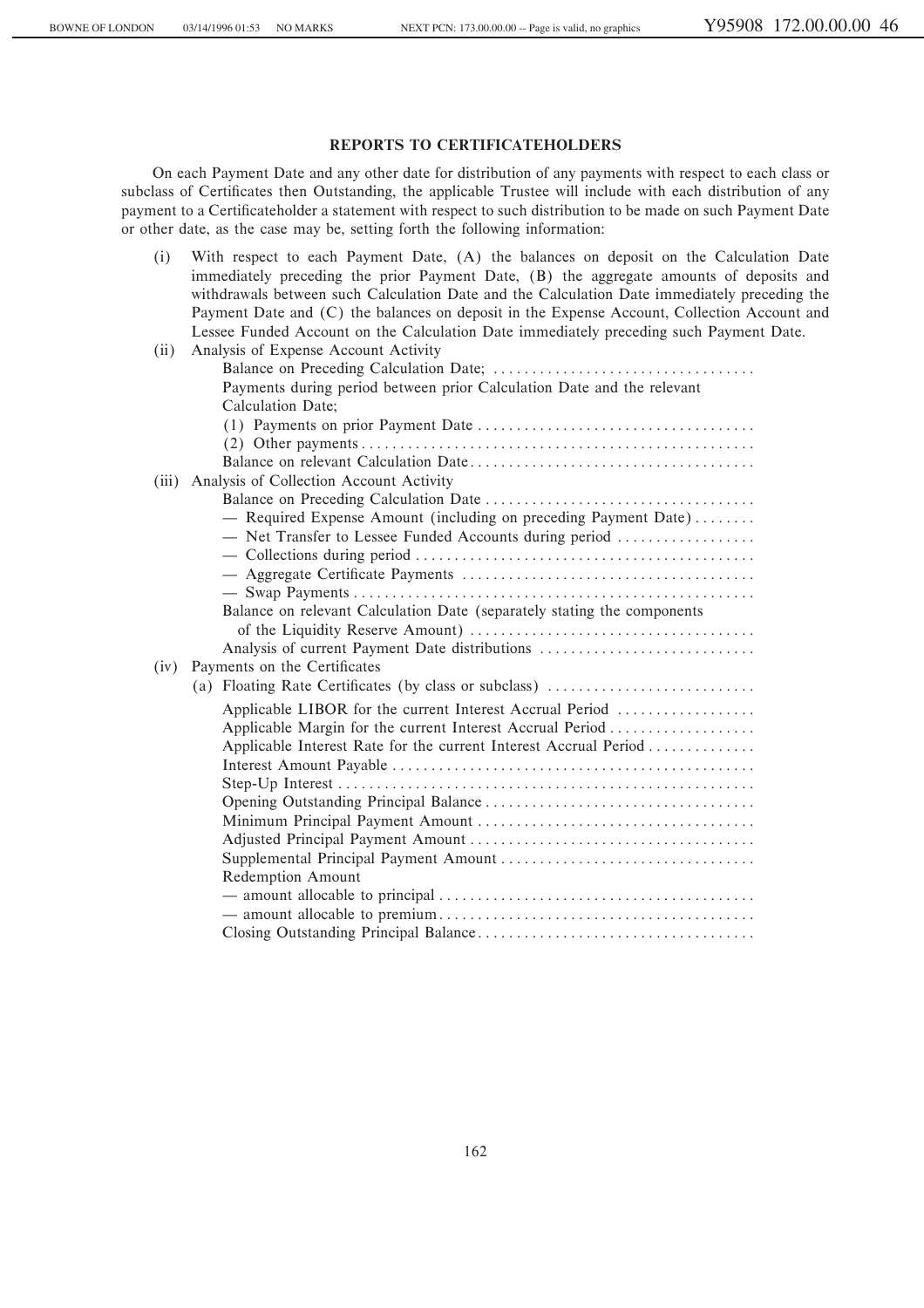# **REPORTS TO CERTIFICATEHOLDERS**

On each Payment Date and any other date for distribution of any payments with respect to each class or subclass of Certificates then Outstanding, the applicable Trustee will include with each distribution of any payment to a Certificateholder a statement with respect to such distribution to be made on such Payment Date or other date, as the case may be, setting forth the following information:

| (i)   | With respect to each Payment Date, (A) the balances on deposit on the Calculation Date       |
|-------|----------------------------------------------------------------------------------------------|
|       | immediately preceding the prior Payment Date, (B) the aggregate amounts of deposits and      |
|       | withdrawals between such Calculation Date and the Calculation Date immediately preceding the |
|       | Payment Date and (C) the balances on deposit in the Expense Account, Collection Account and  |
|       | Lessee Funded Account on the Calculation Date immediately preceding such Payment Date.       |
| (ii)  | Analysis of Expense Account Activity                                                         |
|       |                                                                                              |
|       | Payments during period between prior Calculation Date and the relevant                       |
|       | Calculation Date;                                                                            |
|       |                                                                                              |
|       |                                                                                              |
|       |                                                                                              |
| (iii) | Analysis of Collection Account Activity                                                      |
|       |                                                                                              |
|       | - Required Expense Amount (including on preceding Payment Date)                              |
|       | - Net Transfer to Lessee Funded Accounts during period                                       |
|       |                                                                                              |
|       |                                                                                              |
|       |                                                                                              |
|       | Balance on relevant Calculation Date (separately stating the components                      |
|       |                                                                                              |
|       | Analysis of current Payment Date distributions                                               |
| (iv)  | Payments on the Certificates                                                                 |
|       | (a) Floating Rate Certificates (by class or subclass)                                        |
|       | Applicable LIBOR for the current Interest Accrual Period                                     |
|       | Applicable Margin for the current Interest Accrual Period                                    |
|       | Applicable Interest Rate for the current Interest Accrual Period                             |
|       |                                                                                              |
|       |                                                                                              |
|       |                                                                                              |
|       |                                                                                              |
|       |                                                                                              |
|       |                                                                                              |
|       | Redemption Amount                                                                            |
|       |                                                                                              |
|       |                                                                                              |
|       |                                                                                              |
|       |                                                                                              |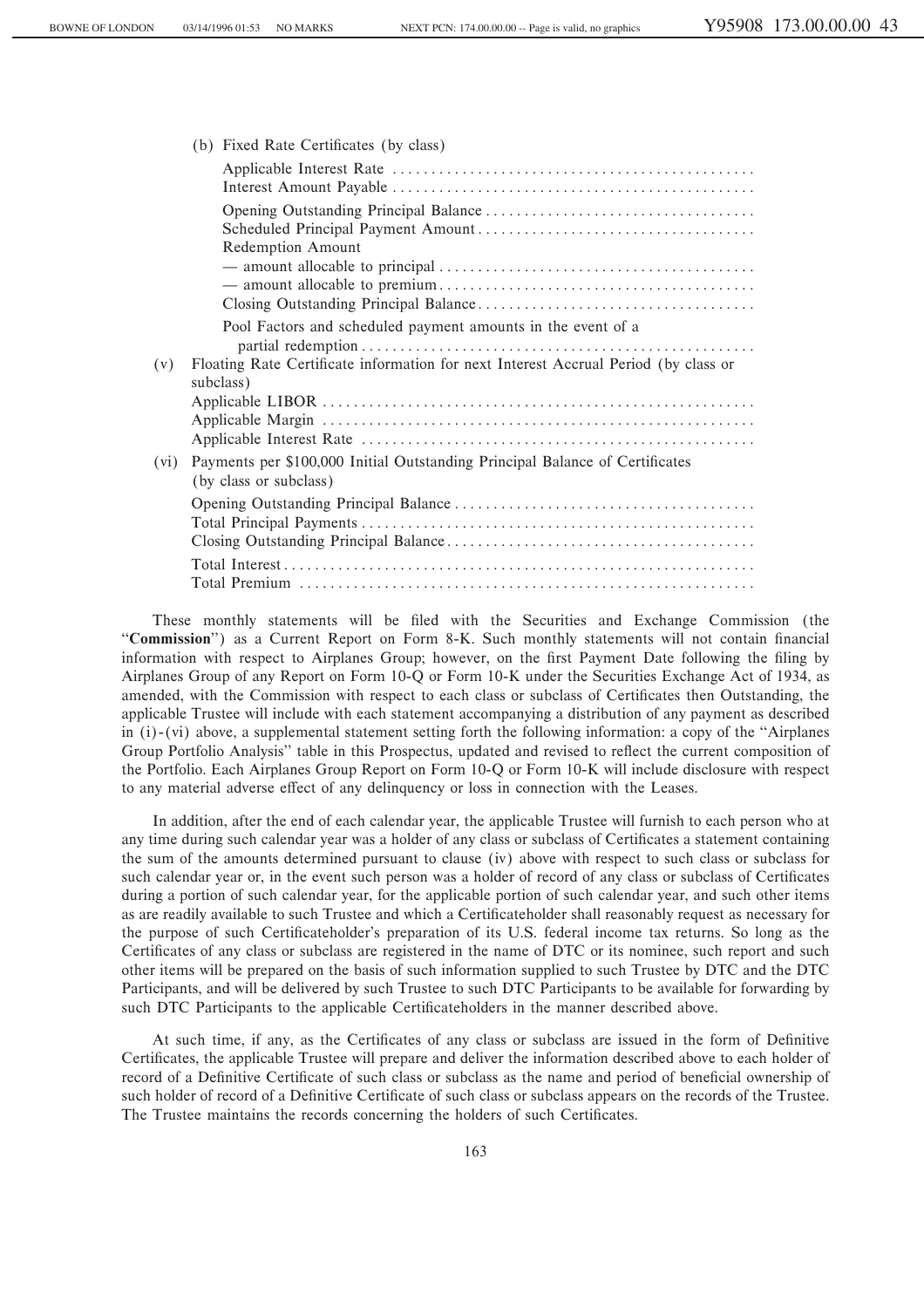| (b) Fixed Rate Certificates (by class)                                                                         |
|----------------------------------------------------------------------------------------------------------------|
|                                                                                                                |
| Redemption Amount                                                                                              |
| Pool Factors and scheduled payment amounts in the event of a                                                   |
| Floating Rate Certificate information for next Interest Accrual Period (by class or<br>(v)<br>subclass)        |
| Payments per \$100,000 Initial Outstanding Principal Balance of Certificates<br>(vi)<br>(by class or subclass) |
|                                                                                                                |
|                                                                                                                |
|                                                                                                                |

These monthly statements will be Ñled with the Securities and Exchange Commission (the "Commission") as a Current Report on Form 8-K. Such monthly statements will not contain financial information with respect to Airplanes Group; however, on the first Payment Date following the filing by Airplanes Group of any Report on Form 10-Q or Form 10-K under the Securities Exchange Act of 1934, as amended, with the Commission with respect to each class or subclass of Certificates then Outstanding, the applicable Trustee will include with each statement accompanying a distribution of any payment as described in  $(i)$ - $(vi)$  above, a supplemental statement setting forth the following information: a copy of the "Airplanes" Group Portfolio Analysis" table in this Prospectus, updated and revised to reflect the current composition of the Portfolio. Each Airplanes Group Report on Form 10-Q or Form 10-K will include disclosure with respect to any material adverse effect of any delinquency or loss in connection with the Leases.

In addition, after the end of each calendar year, the applicable Trustee will furnish to each person who at any time during such calendar year was a holder of any class or subclass of Certificates a statement containing the sum of the amounts determined pursuant to clause (iv) above with respect to such class or subclass for such calendar year or, in the event such person was a holder of record of any class or subclass of Certificates during a portion of such calendar year, for the applicable portion of such calendar year, and such other items as are readily available to such Trustee and which a Certificateholder shall reasonably request as necessary for the purpose of such Certificateholder's preparation of its U.S. federal income tax returns. So long as the Certificates of any class or subclass are registered in the name of DTC or its nominee, such report and such other items will be prepared on the basis of such information supplied to such Trustee by DTC and the DTC Participants, and will be delivered by such Trustee to such DTC Participants to be available for forwarding by such DTC Participants to the applicable Certificateholders in the manner described above.

At such time, if any, as the Certificates of any class or subclass are issued in the form of Definitive Certificates, the applicable Trustee will prepare and deliver the information described above to each holder of record of a Definitive Certificate of such class or subclass as the name and period of beneficial ownership of such holder of record of a Definitive Certificate of such class or subclass appears on the records of the Trustee. The Trustee maintains the records concerning the holders of such Certificates.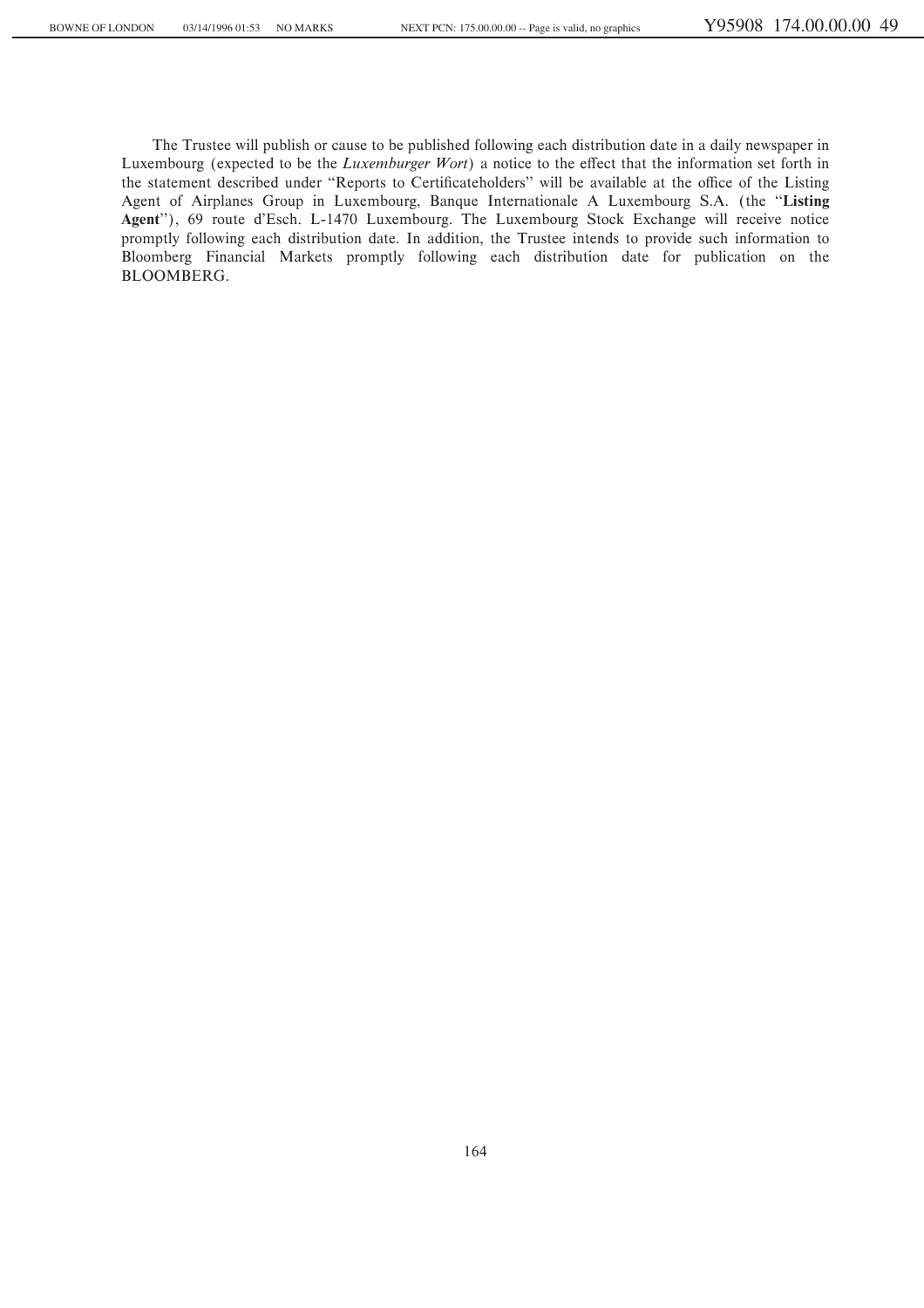The Trustee will publish or cause to be published following each distribution date in a daily newspaper in Luxembourg (expected to be the *Luxemburger Wort*) a notice to the effect that the information set forth in the statement described under "Reports to Certificateholders" will be available at the office of the Listing Agent of Airplanes Group in Luxembourg, Banque Internationale A Luxembourg S.A. (the "Listing **Agent**''), 69 route d'Esch. L-1470 Luxembourg. The Luxembourg Stock Exchange will receive notice promptly following each distribution date. In addition, the Trustee intends to provide such information to Bloomberg Financial Markets promptly following each distribution date for publication on the BLOOMBERG.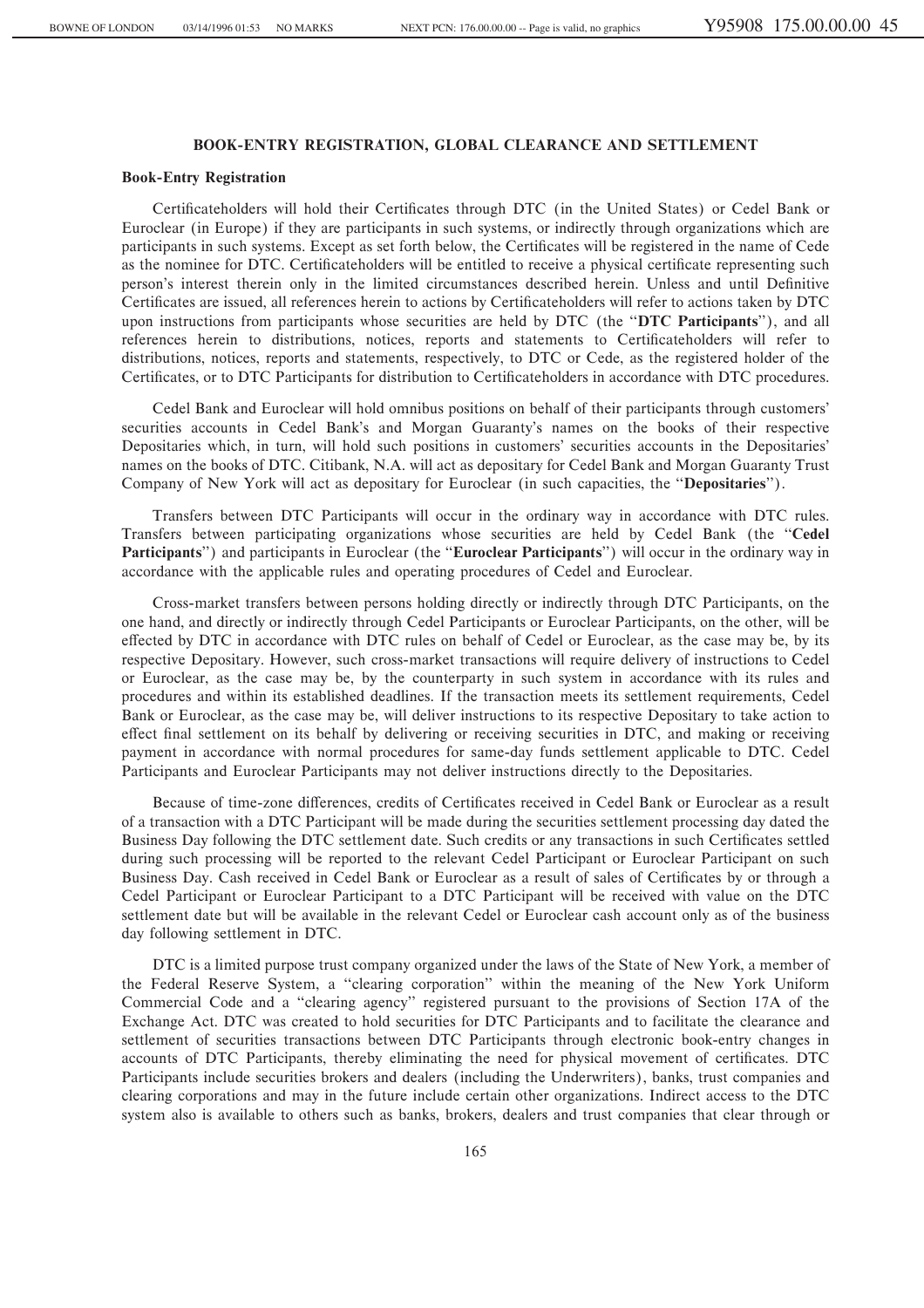# **BOOK-ENTRY REGISTRATION, GLOBAL CLEARANCE AND SETTLEMENT**

### **Book-Entry Registration**

Certificateholders will hold their Certificates through DTC (in the United States) or Cedel Bank or Euroclear (in Europe) if they are participants in such systems, or indirectly through organizations which are participants in such systems. Except as set forth below, the Certificates will be registered in the name of Cede as the nominee for DTC. Certificateholders will be entitled to receive a physical certificate representing such person's interest therein only in the limited circumstances described herein. Unless and until Definitive Certificates are issued, all references herein to actions by Certificateholders will refer to actions taken by DTC upon instructions from participants whose securities are held by DTC (the "DTC Participants"), and all references herein to distributions, notices, reports and statements to Certificateholders will refer to distributions, notices, reports and statements, respectively, to DTC or Cede, as the registered holder of the Certificates, or to DTC Participants for distribution to Certificateholders in accordance with DTC procedures.

Cedel Bank and Euroclear will hold omnibus positions on behalf of their participants through customers' securities accounts in Cedel Bank's and Morgan Guaranty's names on the books of their respective Depositaries which, in turn, will hold such positions in customers' securities accounts in the Depositaries' names on the books of DTC. Citibank, N.A. will act as depositary for Cedel Bank and Morgan Guaranty Trust Company of New York will act as depositary for Euroclear (in such capacities, the ""**Depositaries**'').

Transfers between DTC Participants will occur in the ordinary way in accordance with DTC rules. Transfers between participating organizations whose securities are held by Cedel Bank (the ""**Cedel Participants**'') and participants in Euroclear (the ""**Euroclear Participants**'') will occur in the ordinary way in accordance with the applicable rules and operating procedures of Cedel and Euroclear.

Cross-market transfers between persons holding directly or indirectly through DTC Participants, on the one hand, and directly or indirectly through Cedel Participants or Euroclear Participants, on the other, will be effected by DTC in accordance with DTC rules on behalf of Cedel or Euroclear, as the case may be, by its respective Depositary. However, such cross-market transactions will require delivery of instructions to Cedel or Euroclear, as the case may be, by the counterparty in such system in accordance with its rules and procedures and within its established deadlines. If the transaction meets its settlement requirements, Cedel Bank or Euroclear, as the case may be, will deliver instructions to its respective Depositary to take action to effect final settlement on its behalf by delivering or receiving securities in DTC, and making or receiving payment in accordance with normal procedures for same-day funds settlement applicable to DTC. Cedel Participants and Euroclear Participants may not deliver instructions directly to the Depositaries.

Because of time-zone differences, credits of Certificates received in Cedel Bank or Euroclear as a result of a transaction with a DTC Participant will be made during the securities settlement processing day dated the Business Day following the DTC settlement date. Such credits or any transactions in such Certificates settled during such processing will be reported to the relevant Cedel Participant or Euroclear Participant on such Business Day. Cash received in Cedel Bank or Euroclear as a result of sales of Certificates by or through a Cedel Participant or Euroclear Participant to a DTC Participant will be received with value on the DTC settlement date but will be available in the relevant Cedel or Euroclear cash account only as of the business day following settlement in DTC.

DTC is a limited purpose trust company organized under the laws of the State of New York, a member of the Federal Reserve System, a "clearing corporation" within the meaning of the New York Uniform Commercial Code and a "clearing agency" registered pursuant to the provisions of Section 17A of the Exchange Act. DTC was created to hold securities for DTC Participants and to facilitate the clearance and settlement of securities transactions between DTC Participants through electronic book-entry changes in accounts of DTC Participants, thereby eliminating the need for physical movement of certificates. DTC Participants include securities brokers and dealers (including the Underwriters), banks, trust companies and clearing corporations and may in the future include certain other organizations. Indirect access to the DTC system also is available to others such as banks, brokers, dealers and trust companies that clear through or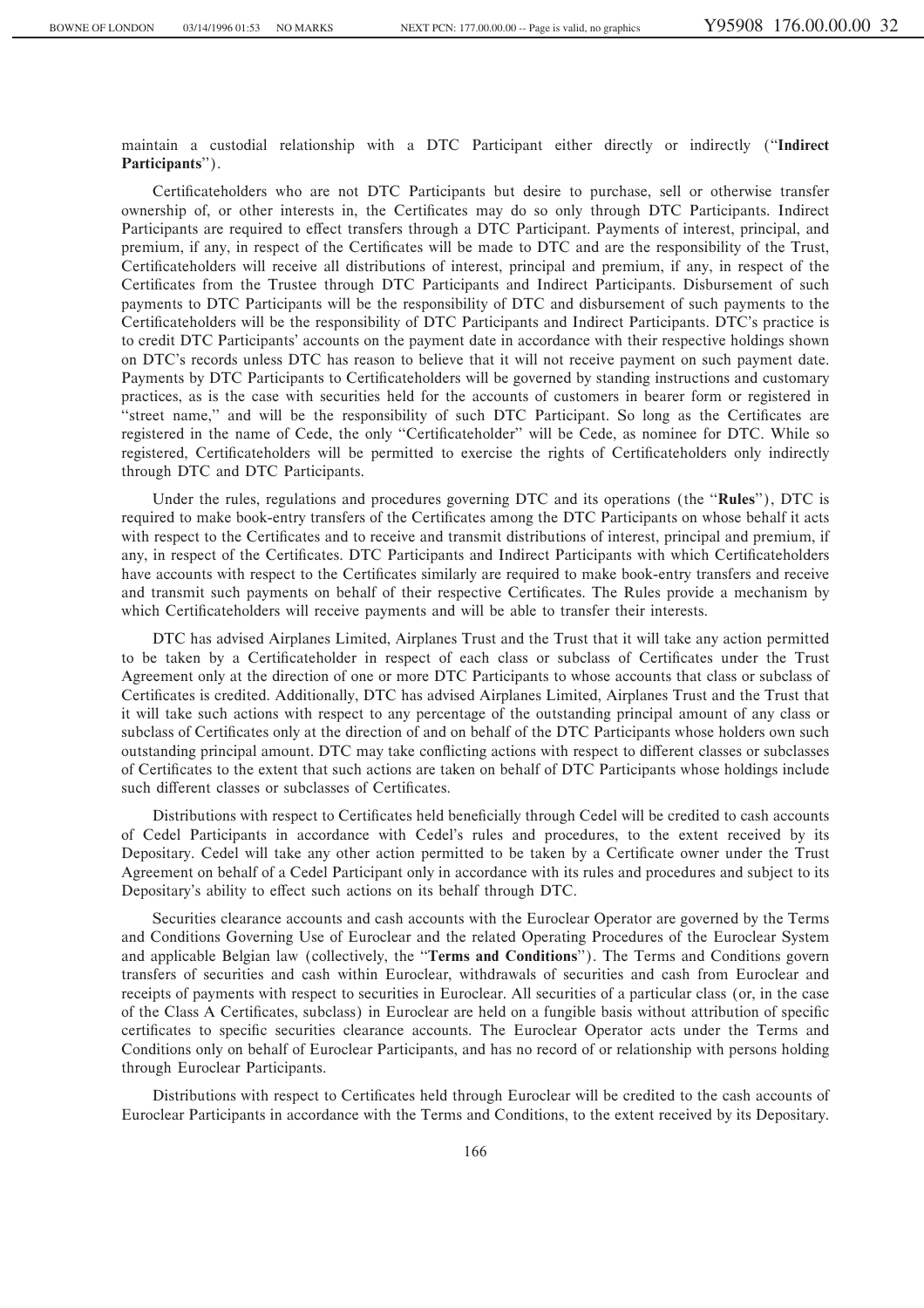maintain a custodial relationship with a DTC Participant either directly or indirectly (""**Indirect Participants**'').

Certificateholders who are not DTC Participants but desire to purchase, sell or otherwise transfer ownership of, or other interests in, the Certificates may do so only through DTC Participants. Indirect Participants are required to effect transfers through a DTC Participant. Payments of interest, principal, and premium, if any, in respect of the Certificates will be made to DTC and are the responsibility of the Trust, Certificateholders will receive all distributions of interest, principal and premium, if any, in respect of the Certificates from the Trustee through DTC Participants and Indirect Participants. Disbursement of such payments to DTC Participants will be the responsibility of DTC and disbursement of such payments to the Certificateholders will be the responsibility of DTC Participants and Indirect Participants. DTC's practice is to credit DTC Participants' accounts on the payment date in accordance with their respective holdings shown on DTC's records unless DTC has reason to believe that it will not receive payment on such payment date. Payments by DTC Participants to Certificateholders will be governed by standing instructions and customary practices, as is the case with securities held for the accounts of customers in bearer form or registered in "street name," and will be the responsibility of such DTC Participant. So long as the Certificates are registered in the name of Cede, the only "Certificateholder" will be Cede, as nominee for DTC. While so registered, Certificateholders will be permitted to exercise the rights of Certificateholders only indirectly through DTC and DTC Participants.

Under the rules, regulations and procedures governing DTC and its operations (the ""**Rules**''), DTC is required to make book-entry transfers of the Certificates among the DTC Participants on whose behalf it acts with respect to the Certificates and to receive and transmit distributions of interest, principal and premium, if any, in respect of the Certificates. DTC Participants and Indirect Participants with which Certificateholders have accounts with respect to the Certificates similarly are required to make book-entry transfers and receive and transmit such payments on behalf of their respective Certificates. The Rules provide a mechanism by which Certificateholders will receive payments and will be able to transfer their interests.

DTC has advised Airplanes Limited, Airplanes Trust and the Trust that it will take any action permitted to be taken by a Certificateholder in respect of each class or subclass of Certificates under the Trust Agreement only at the direction of one or more DTC Participants to whose accounts that class or subclass of Certificates is credited. Additionally, DTC has advised Airplanes Limited, Airplanes Trust and the Trust that it will take such actions with respect to any percentage of the outstanding principal amount of any class or subclass of Certificates only at the direction of and on behalf of the DTC Participants whose holders own such outstanding principal amount. DTC may take conflicting actions with respect to different classes or subclasses of Certificates to the extent that such actions are taken on behalf of DTC Participants whose holdings include such different classes or subclasses of Certificates.

Distributions with respect to Certificates held beneficially through Cedel will be credited to cash accounts of Cedel Participants in accordance with Cedel's rules and procedures, to the extent received by its Depositary. Cedel will take any other action permitted to be taken by a Certificate owner under the Trust Agreement on behalf of a Cedel Participant only in accordance with its rules and procedures and subject to its Depositary's ability to effect such actions on its behalf through DTC.

Securities clearance accounts and cash accounts with the Euroclear Operator are governed by the Terms and Conditions Governing Use of Euroclear and the related Operating Procedures of the Euroclear System and applicable Belgian law (collectively, the ""**Terms and Conditions**''). The Terms and Conditions govern transfers of securities and cash within Euroclear, withdrawals of securities and cash from Euroclear and receipts of payments with respect to securities in Euroclear. All securities of a particular class (or, in the case of the Class A Certificates, subclass) in Euroclear are held on a fungible basis without attribution of specific certificates to specific securities clearance accounts. The Euroclear Operator acts under the Terms and Conditions only on behalf of Euroclear Participants, and has no record of or relationship with persons holding through Euroclear Participants.

Distributions with respect to Certificates held through Euroclear will be credited to the cash accounts of Euroclear Participants in accordance with the Terms and Conditions, to the extent received by its Depositary.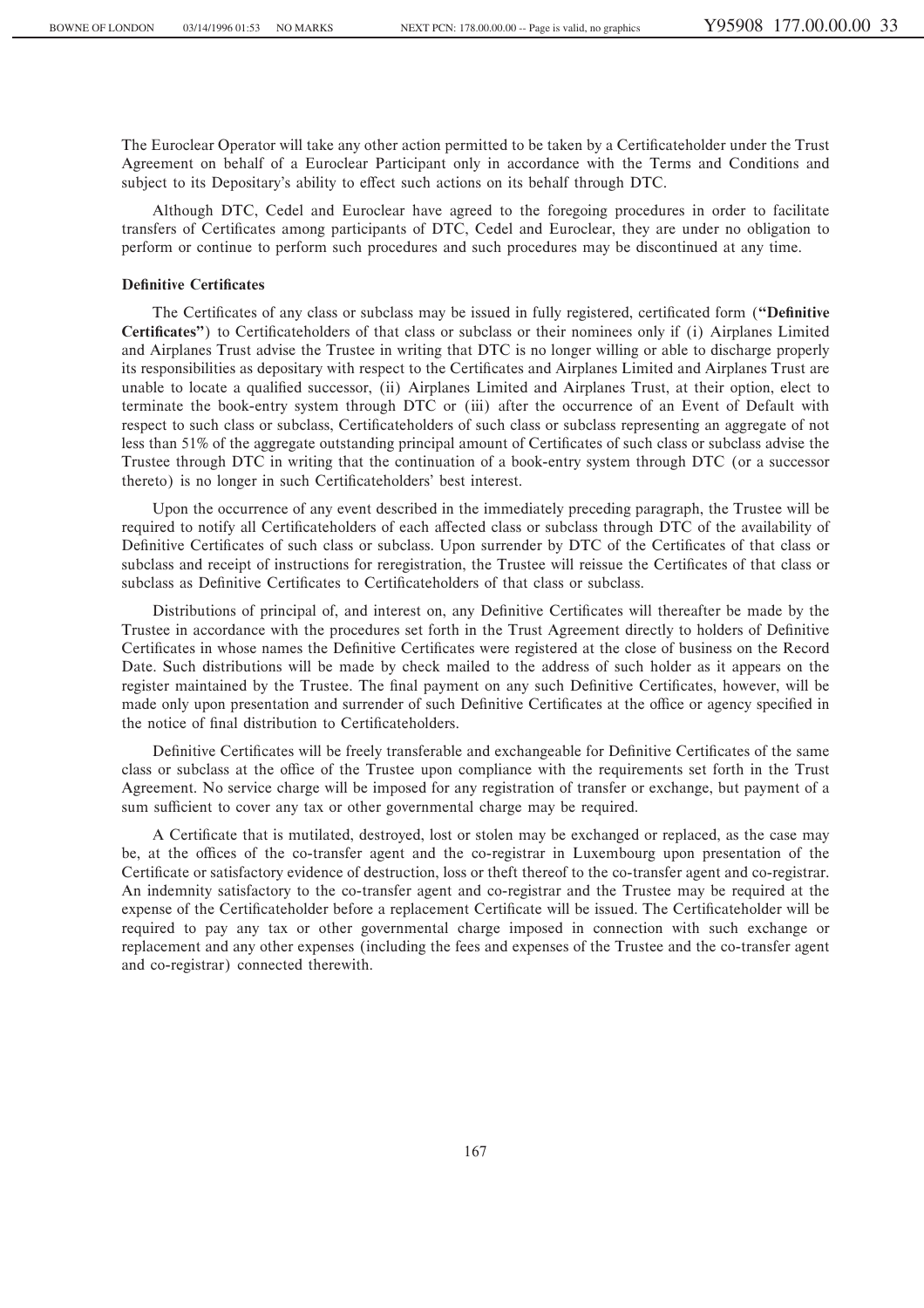The Euroclear Operator will take any other action permitted to be taken by a Certificateholder under the Trust Agreement on behalf of a Euroclear Participant only in accordance with the Terms and Conditions and subject to its Depositary's ability to effect such actions on its behalf through DTC.

Although DTC, Cedel and Euroclear have agreed to the foregoing procedures in order to facilitate transfers of Certificates among participants of DTC, Cedel and Euroclear, they are under no obligation to perform or continue to perform such procedures and such procedures may be discontinued at any time.

### **Definitive Certificates**

The Certificates of any class or subclass may be issued in fully registered, certificated form (**"Definitive** Certificates") to Certificateholders of that class or subclass or their nominees only if (i) Airplanes Limited and Airplanes Trust advise the Trustee in writing that DTC is no longer willing or able to discharge properly its responsibilities as depositary with respect to the Certificates and Airplanes Limited and Airplanes Trust are unable to locate a qualified successor, (ii) Airplanes Limited and Airplanes Trust, at their option, elect to terminate the book-entry system through DTC or (iii) after the occurrence of an Event of Default with respect to such class or subclass, Certificateholders of such class or subclass representing an aggregate of not less than 51% of the aggregate outstanding principal amount of Certificates of such class or subclass advise the Trustee through DTC in writing that the continuation of a book-entry system through DTC (or a successor thereto) is no longer in such Certificateholders' best interest.

Upon the occurrence of any event described in the immediately preceding paragraph, the Trustee will be required to notify all Certificateholders of each affected class or subclass through DTC of the availability of Definitive Certificates of such class or subclass. Upon surrender by DTC of the Certificates of that class or subclass and receipt of instructions for reregistration, the Trustee will reissue the Certificates of that class or subclass as Definitive Certificates to Certificateholders of that class or subclass.

Distributions of principal of, and interest on, any Definitive Certificates will thereafter be made by the Trustee in accordance with the procedures set forth in the Trust Agreement directly to holders of Definitive Certificates in whose names the Definitive Certificates were registered at the close of business on the Record Date. Such distributions will be made by check mailed to the address of such holder as it appears on the register maintained by the Trustee. The final payment on any such Definitive Certificates, however, will be made only upon presentation and surrender of such Definitive Certificates at the office or agency specified in the notice of final distribution to Certificateholders.

Definitive Certificates will be freely transferable and exchangeable for Definitive Certificates of the same class or subclass at the office of the Trustee upon compliance with the requirements set forth in the Trust Agreement. No service charge will be imposed for any registration of transfer or exchange, but payment of a sum sufficient to cover any tax or other governmental charge may be required.

A Certificate that is mutilated, destroyed, lost or stolen may be exchanged or replaced, as the case may be, at the offices of the co-transfer agent and the co-registrar in Luxembourg upon presentation of the Certificate or satisfactory evidence of destruction, loss or theft thereof to the co-transfer agent and co-registrar. An indemnity satisfactory to the co-transfer agent and co-registrar and the Trustee may be required at the expense of the Certificateholder before a replacement Certificate will be issued. The Certificateholder will be required to pay any tax or other governmental charge imposed in connection with such exchange or replacement and any other expenses (including the fees and expenses of the Trustee and the co-transfer agent and co-registrar) connected therewith.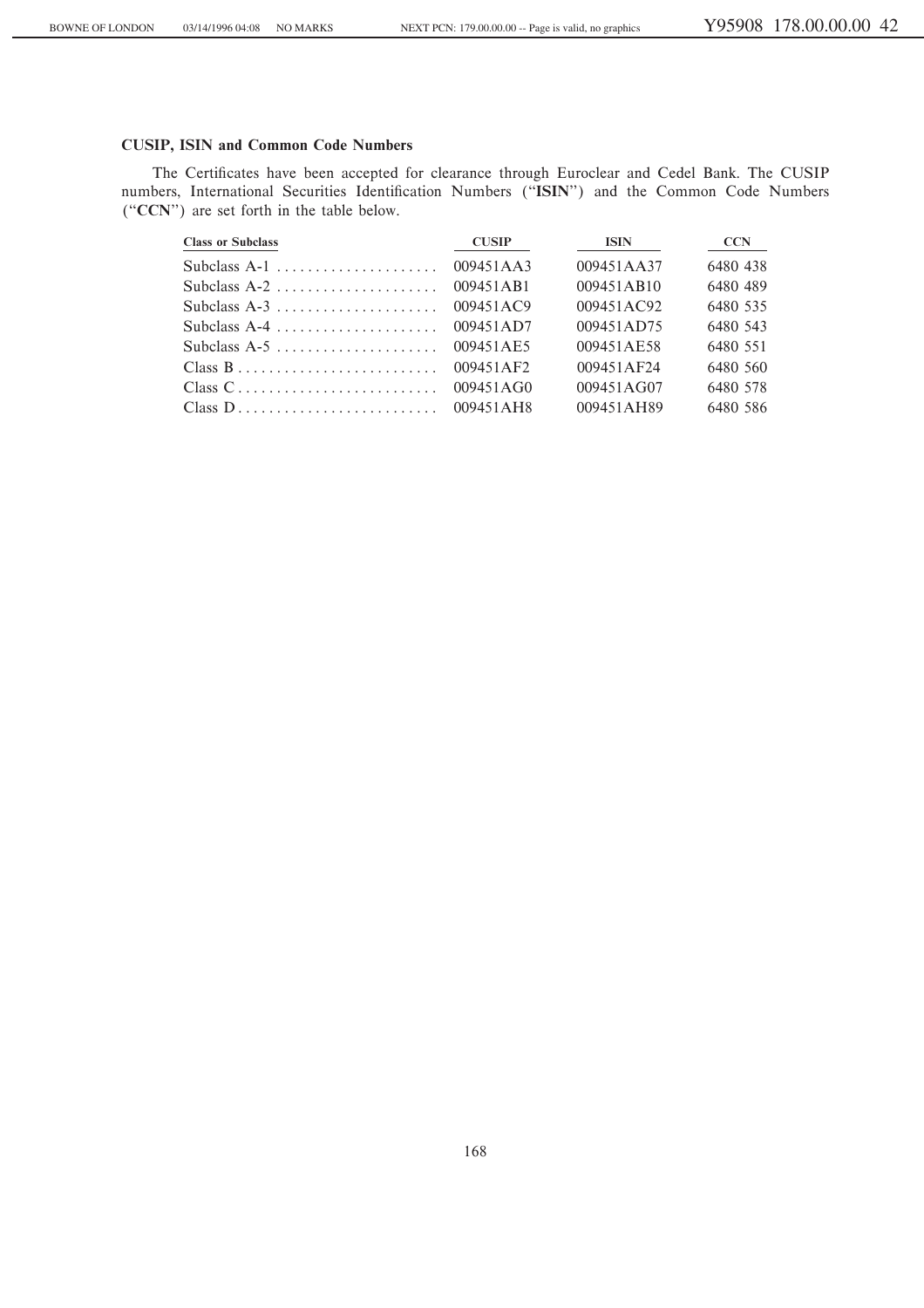# **CUSIP, ISIN and Common Code Numbers**

The Certificates have been accepted for clearance through Euroclear and Cedel Bank. The CUSIP numbers, International Securities Identification Numbers ("ISIN") and the Common Code Numbers ("CCN") are set forth in the table below.

| <b>Class or Subclass</b> | <b>CUSIP</b> | ISIN       | <b>CCN</b> |
|--------------------------|--------------|------------|------------|
|                          | 009451AA3    | 009451AA37 | 6480 438   |
|                          | 009451AB1    | 009451AB10 | 6480 489   |
|                          | 009451AC9    | 009451AC92 | 6480 535   |
| Subclass A-4             | 009451AD7    | 009451AD75 | 6480 543   |
|                          | 009451AE5    | 009451AE58 | 6480 551   |
|                          | 009451AF2    | 009451AF24 | 6480 560   |
|                          |              | 009451AG07 | 6480 578   |
|                          |              | 009451AH89 | 6480 586   |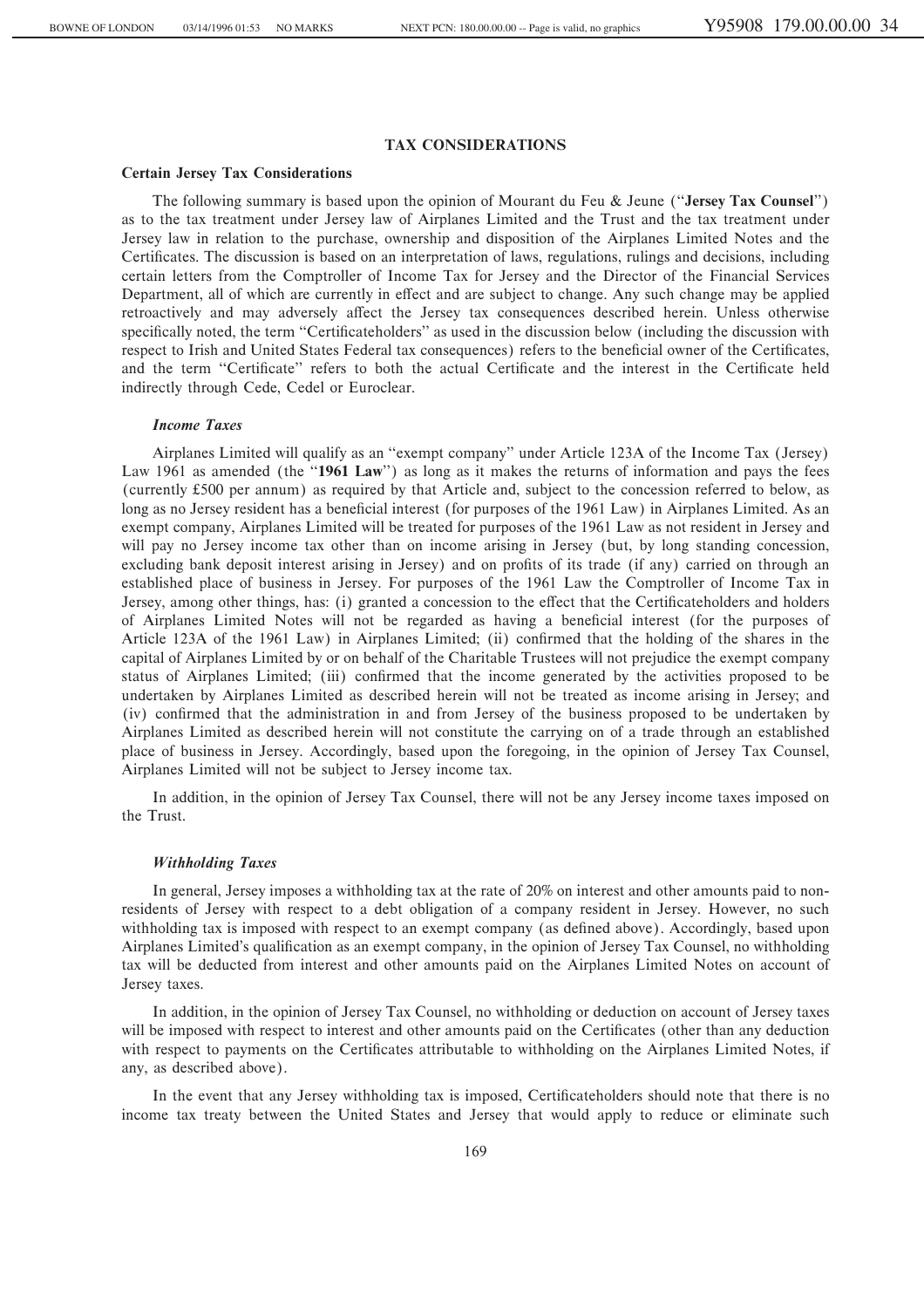# **TAX CONSIDERATIONS**

### **Certain Jersey Tax Considerations**

The following summary is based upon the opinion of Mourant du Feu & Jeune (""**Jersey Tax Counsel**'') as to the tax treatment under Jersey law of Airplanes Limited and the Trust and the tax treatment under Jersey law in relation to the purchase, ownership and disposition of the Airplanes Limited Notes and the Certificates. The discussion is based on an interpretation of laws, regulations, rulings and decisions, including certain letters from the Comptroller of Income Tax for Jersey and the Director of the Financial Services Department, all of which are currently in effect and are subject to change. Any such change may be applied retroactively and may adversely affect the Jersey tax consequences described herein. Unless otherwise specifically noted, the term "Certificateholders" as used in the discussion below (including the discussion with respect to Irish and United States Federal tax consequences) refers to the beneficial owner of the Certificates, and the term "Certificate" refers to both the actual Certificate and the interest in the Certificate held indirectly through Cede, Cedel or Euroclear.

### *Income Taxes*

Airplanes Limited will qualify as an "exempt company" under Article 123A of the Income Tax (Jersey) Law 1961 as amended (the "1961 Law") as long as it makes the returns of information and pays the fees (currently 500 per annum) as required by that Article and, subject to the concession referred to below, as long as no Jersey resident has a beneficial interest (for purposes of the 1961 Law) in Airplanes Limited. As an exempt company, Airplanes Limited will be treated for purposes of the 1961 Law as not resident in Jersey and will pay no Jersey income tax other than on income arising in Jersey (but, by long standing concession, excluding bank deposit interest arising in Jersey) and on profits of its trade (if any) carried on through an established place of business in Jersey. For purposes of the 1961 Law the Comptroller of Income Tax in Jersey, among other things, has: (i) granted a concession to the effect that the Certificateholders and holders of Airplanes Limited Notes will not be regarded as having a beneficial interest (for the purposes of Article 123A of the 1961 Law) in Airplanes Limited; (ii) confirmed that the holding of the shares in the capital of Airplanes Limited by or on behalf of the Charitable Trustees will not prejudice the exempt company status of Airplanes Limited; (iii) confirmed that the income generated by the activities proposed to be undertaken by Airplanes Limited as described herein will not be treated as income arising in Jersey; and (iv) confirmed that the administration in and from Jersey of the business proposed to be undertaken by Airplanes Limited as described herein will not constitute the carrying on of a trade through an established place of business in Jersey. Accordingly, based upon the foregoing, in the opinion of Jersey Tax Counsel, Airplanes Limited will not be subject to Jersey income tax.

In addition, in the opinion of Jersey Tax Counsel, there will not be any Jersey income taxes imposed on the Trust.

### *Withholding Taxes*

In general, Jersey imposes a withholding tax at the rate of 20% on interest and other amounts paid to nonresidents of Jersey with respect to a debt obligation of a company resident in Jersey. However, no such withholding tax is imposed with respect to an exempt company (as defined above). Accordingly, based upon Airplanes Limited's qualification as an exempt company, in the opinion of Jersey Tax Counsel, no withholding tax will be deducted from interest and other amounts paid on the Airplanes Limited Notes on account of Jersey taxes.

In addition, in the opinion of Jersey Tax Counsel, no withholding or deduction on account of Jersey taxes will be imposed with respect to interest and other amounts paid on the Certificates (other than any deduction with respect to payments on the Certificates attributable to withholding on the Airplanes Limited Notes, if any, as described above).

In the event that any Jersey withholding tax is imposed, Certificateholders should note that there is no income tax treaty between the United States and Jersey that would apply to reduce or eliminate such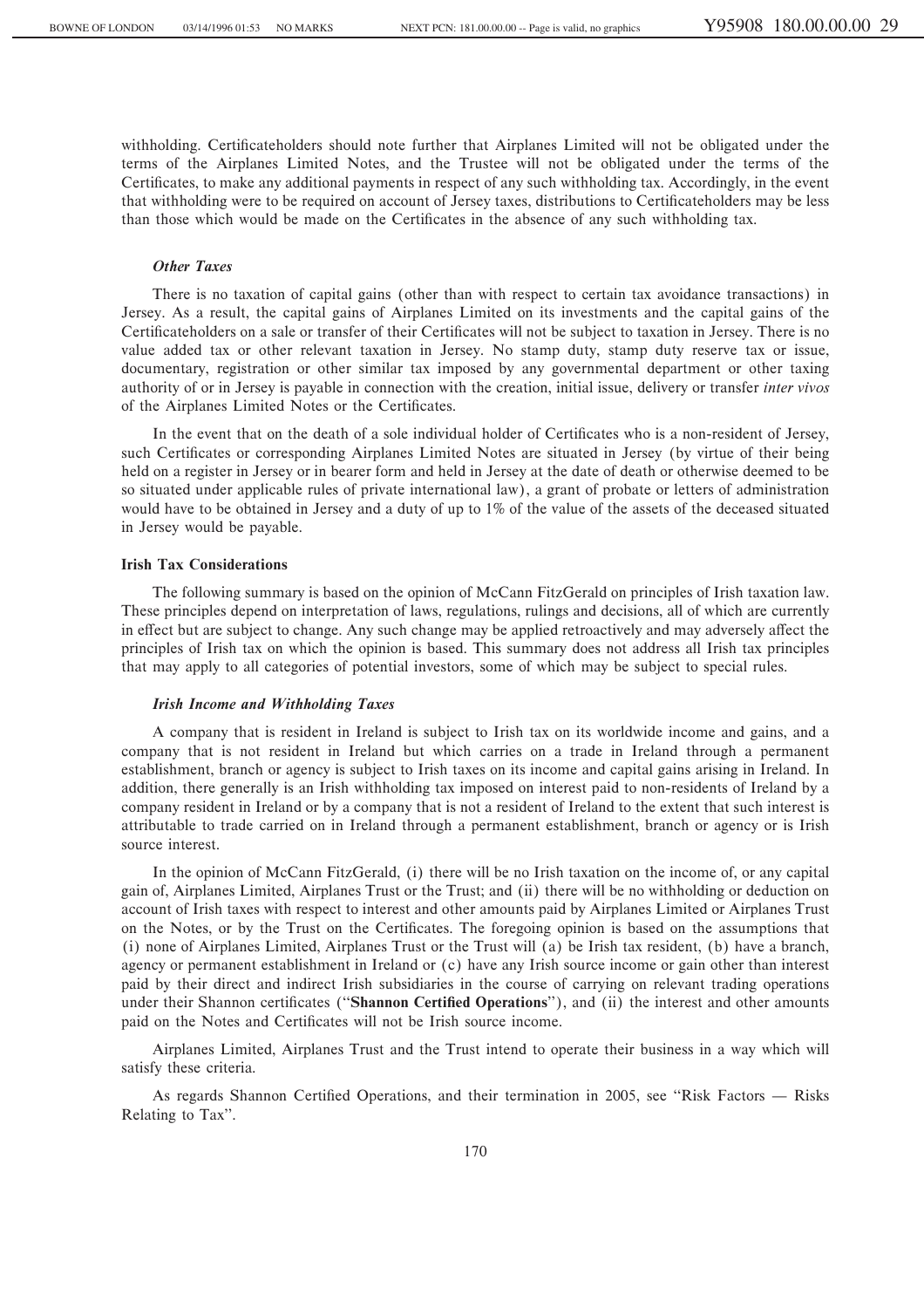withholding. Certificateholders should note further that Airplanes Limited will not be obligated under the terms of the Airplanes Limited Notes, and the Trustee will not be obligated under the terms of the Certificates, to make any additional payments in respect of any such withholding tax. Accordingly, in the event that withholding were to be required on account of Jersey taxes, distributions to Certificateholders may be less than those which would be made on the Certificates in the absence of any such withholding tax.

# *Other Taxes*

There is no taxation of capital gains (other than with respect to certain tax avoidance transactions) in Jersey. As a result, the capital gains of Airplanes Limited on its investments and the capital gains of the Certificateholders on a sale or transfer of their Certificates will not be subject to taxation in Jersey. There is no value added tax or other relevant taxation in Jersey. No stamp duty, stamp duty reserve tax or issue, documentary, registration or other similar tax imposed by any governmental department or other taxing authority of or in Jersey is payable in connection with the creation, initial issue, delivery or transfer *inter vivos* of the Airplanes Limited Notes or the Certificates.

In the event that on the death of a sole individual holder of Certificates who is a non-resident of Jersey, such Certificates or corresponding Airplanes Limited Notes are situated in Jersey (by virtue of their being held on a register in Jersey or in bearer form and held in Jersey at the date of death or otherwise deemed to be so situated under applicable rules of private international law), a grant of probate or letters of administration would have to be obtained in Jersey and a duty of up to 1% of the value of the assets of the deceased situated in Jersey would be payable.

### **Irish Tax Considerations**

The following summary is based on the opinion of McCann FitzGerald on principles of Irish taxation law. These principles depend on interpretation of laws, regulations, rulings and decisions, all of which are currently in effect but are subject to change. Any such change may be applied retroactively and may adversely affect the principles of Irish tax on which the opinion is based. This summary does not address all Irish tax principles that may apply to all categories of potential investors, some of which may be subject to special rules.

# *Irish Income and Withholding Taxes*

A company that is resident in Ireland is subject to Irish tax on its worldwide income and gains, and a company that is not resident in Ireland but which carries on a trade in Ireland through a permanent establishment, branch or agency is subject to Irish taxes on its income and capital gains arising in Ireland. In addition, there generally is an Irish withholding tax imposed on interest paid to non-residents of Ireland by a company resident in Ireland or by a company that is not a resident of Ireland to the extent that such interest is attributable to trade carried on in Ireland through a permanent establishment, branch or agency or is Irish source interest.

In the opinion of McCann FitzGerald, (i) there will be no Irish taxation on the income of, or any capital gain of, Airplanes Limited, Airplanes Trust or the Trust; and (ii) there will be no withholding or deduction on account of Irish taxes with respect to interest and other amounts paid by Airplanes Limited or Airplanes Trust on the Notes, or by the Trust on the Certificates. The foregoing opinion is based on the assumptions that (i) none of Airplanes Limited, Airplanes Trust or the Trust will (a) be Irish tax resident, (b) have a branch, agency or permanent establishment in Ireland or (c) have any Irish source income or gain other than interest paid by their direct and indirect Irish subsidiaries in the course of carrying on relevant trading operations under their Shannon certificates ("Shannon Certified Operations"), and (ii) the interest and other amounts paid on the Notes and Certificates will not be Irish source income.

Airplanes Limited, Airplanes Trust and the Trust intend to operate their business in a way which will satisfy these criteria.

As regards Shannon Certified Operations, and their termination in 2005, see "Risk Factors — Risks Relating to Tax''.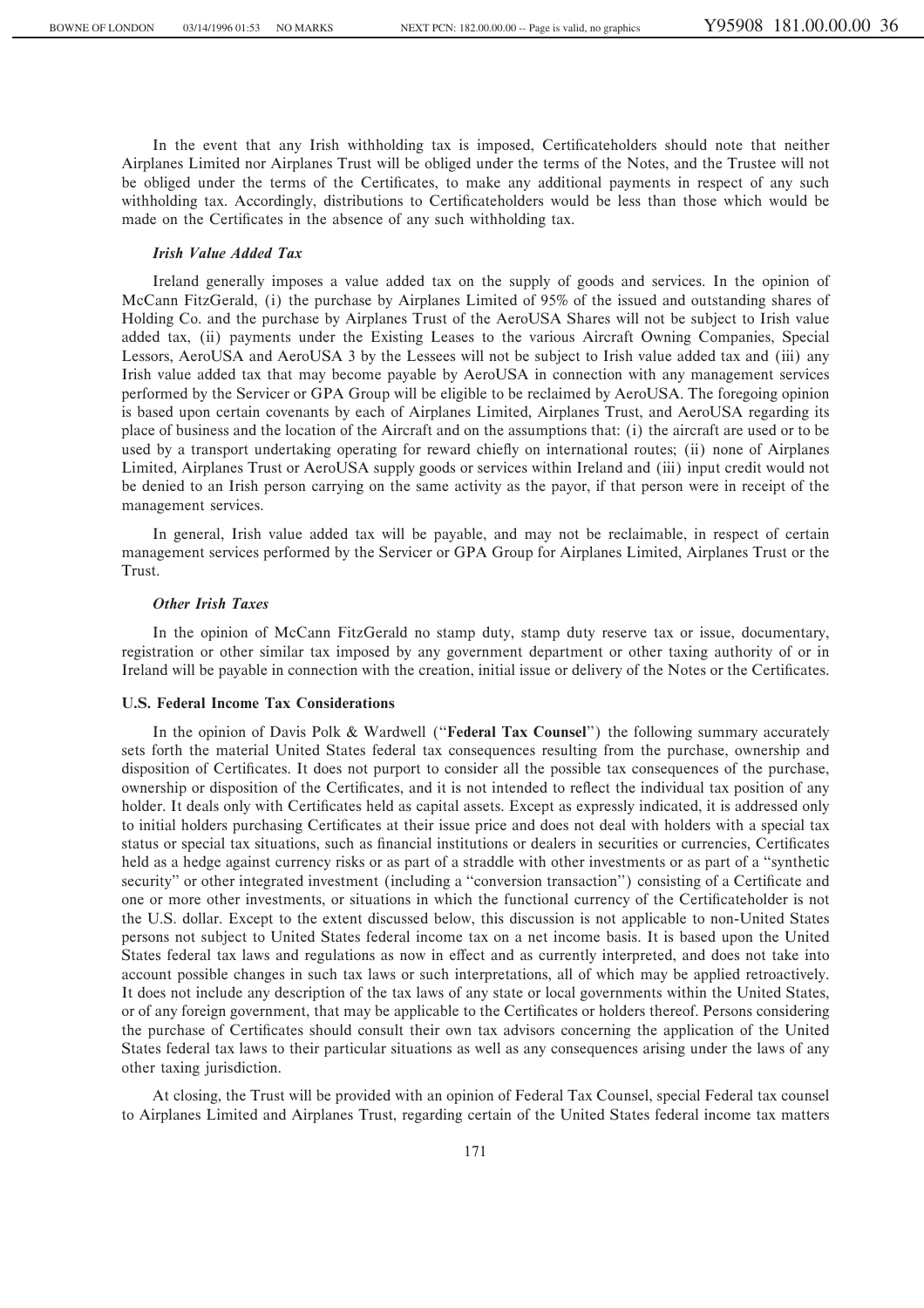In the event that any Irish withholding tax is imposed, Certificateholders should note that neither Airplanes Limited nor Airplanes Trust will be obliged under the terms of the Notes, and the Trustee will not be obliged under the terms of the Certificates, to make any additional payments in respect of any such withholding tax. Accordingly, distributions to Certificateholders would be less than those which would be made on the Certificates in the absence of any such withholding tax.

# *Irish Value Added Tax*

Ireland generally imposes a value added tax on the supply of goods and services. In the opinion of McCann FitzGerald, (i) the purchase by Airplanes Limited of 95% of the issued and outstanding shares of Holding Co. and the purchase by Airplanes Trust of the AeroUSA Shares will not be subject to Irish value added tax, (ii) payments under the Existing Leases to the various Aircraft Owning Companies, Special Lessors, AeroUSA and AeroUSA 3 by the Lessees will not be subject to Irish value added tax and (iii) any Irish value added tax that may become payable by AeroUSA in connection with any management services performed by the Servicer or GPA Group will be eligible to be reclaimed by AeroUSA. The foregoing opinion is based upon certain covenants by each of Airplanes Limited, Airplanes Trust, and AeroUSA regarding its place of business and the location of the Aircraft and on the assumptions that: (i) the aircraft are used or to be used by a transport undertaking operating for reward chiefly on international routes; (ii) none of Airplanes Limited, Airplanes Trust or AeroUSA supply goods or services within Ireland and (iii) input credit would not be denied to an Irish person carrying on the same activity as the payor, if that person were in receipt of the management services.

In general, Irish value added tax will be payable, and may not be reclaimable, in respect of certain management services performed by the Servicer or GPA Group for Airplanes Limited, Airplanes Trust or the Trust.

# *Other Irish Taxes*

In the opinion of McCann FitzGerald no stamp duty, stamp duty reserve tax or issue, documentary, registration or other similar tax imposed by any government department or other taxing authority of or in Ireland will be payable in connection with the creation, initial issue or delivery of the Notes or the Certificates.

# **U.S. Federal Income Tax Considerations**

In the opinion of Davis Polk & Wardwell (""**Federal Tax Counsel**'') the following summary accurately sets forth the material United States federal tax consequences resulting from the purchase, ownership and disposition of Certificates. It does not purport to consider all the possible tax consequences of the purchase, ownership or disposition of the Certificates, and it is not intended to reflect the individual tax position of any holder. It deals only with Certificates held as capital assets. Except as expressly indicated, it is addressed only to initial holders purchasing Certificates at their issue price and does not deal with holders with a special tax status or special tax situations, such as financial institutions or dealers in securities or currencies, Certificates held as a hedge against currency risks or as part of a straddle with other investments or as part of a "synthetic security" or other integrated investment (including a "conversion transaction") consisting of a Certificate and one or more other investments, or situations in which the functional currency of the Certificateholder is not the U.S. dollar. Except to the extent discussed below, this discussion is not applicable to non-United States persons not subject to United States federal income tax on a net income basis. It is based upon the United States federal tax laws and regulations as now in effect and as currently interpreted, and does not take into account possible changes in such tax laws or such interpretations, all of which may be applied retroactively. It does not include any description of the tax laws of any state or local governments within the United States, or of any foreign government, that may be applicable to the Certificates or holders thereof. Persons considering the purchase of Certificates should consult their own tax advisors concerning the application of the United States federal tax laws to their particular situations as well as any consequences arising under the laws of any other taxing jurisdiction.

At closing, the Trust will be provided with an opinion of Federal Tax Counsel, special Federal tax counsel to Airplanes Limited and Airplanes Trust, regarding certain of the United States federal income tax matters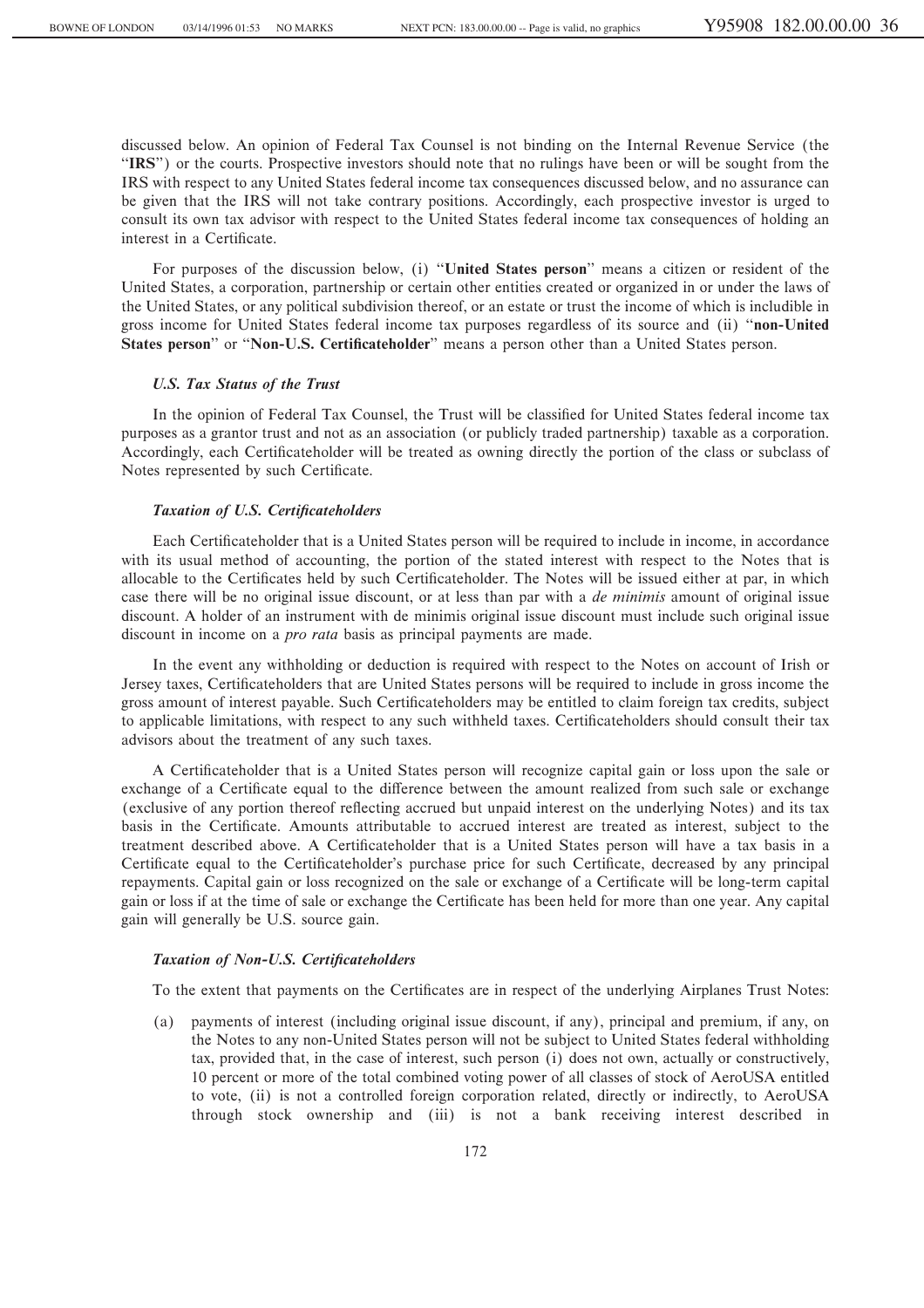discussed below. An opinion of Federal Tax Counsel is not binding on the Internal Revenue Service (the "IRS") or the courts. Prospective investors should note that no rulings have been or will be sought from the IRS with respect to any United States federal income tax consequences discussed below, and no assurance can be given that the IRS will not take contrary positions. Accordingly, each prospective investor is urged to consult its own tax advisor with respect to the United States federal income tax consequences of holding an interest in a Certificate.

For purposes of the discussion below, (i) "United States person" means a citizen or resident of the United States, a corporation, partnership or certain other entities created or organized in or under the laws of the United States, or any political subdivision thereof, or an estate or trust the income of which is includible in gross income for United States federal income tax purposes regardless of its source and (ii) ""**non-United States person**'' or "Non-U.S. Certificateholder" means a person other than a United States person.

## *U.S. Tax Status of the Trust*

In the opinion of Federal Tax Counsel, the Trust will be classified for United States federal income tax purposes as a grantor trust and not as an association (or publicly traded partnership) taxable as a corporation. Accordingly, each Certificateholder will be treated as owning directly the portion of the class or subclass of Notes represented by such Certificate.

# **Taxation of U.S. Certificateholders**

Each Certificateholder that is a United States person will be required to include in income, in accordance with its usual method of accounting, the portion of the stated interest with respect to the Notes that is allocable to the Certificates held by such Certificateholder. The Notes will be issued either at par, in which case there will be no original issue discount, or at less than par with a *de minimis* amount of original issue discount. A holder of an instrument with de minimis original issue discount must include such original issue discount in income on a *pro rata* basis as principal payments are made.

In the event any withholding or deduction is required with respect to the Notes on account of Irish or Jersey taxes, Certificateholders that are United States persons will be required to include in gross income the gross amount of interest payable. Such Certificateholders may be entitled to claim foreign tax credits, subject to applicable limitations, with respect to any such withheld taxes. Certificateholders should consult their tax advisors about the treatment of any such taxes.

A Certificateholder that is a United States person will recognize capital gain or loss upon the sale or exchange of a Certificate equal to the difference between the amount realized from such sale or exchange (exclusive of any portion thereof reÖecting accrued but unpaid interest on the underlying Notes) and its tax basis in the Certificate. Amounts attributable to accrued interest are treated as interest, subject to the treatment described above. A Certificateholder that is a United States person will have a tax basis in a Certificate equal to the Certificateholder's purchase price for such Certificate, decreased by any principal repayments. Capital gain or loss recognized on the sale or exchange of a Certificate will be long-term capital gain or loss if at the time of sale or exchange the Certificate has been held for more than one year. Any capital gain will generally be U.S. source gain.

# **Taxation of Non-U.S. Certificateholders**

To the extent that payments on the Certificates are in respect of the underlying Airplanes Trust Notes:

(a) payments of interest (including original issue discount, if any), principal and premium, if any, on the Notes to any non-United States person will not be subject to United States federal withholding tax, provided that, in the case of interest, such person (i) does not own, actually or constructively, 10 percent or more of the total combined voting power of all classes of stock of AeroUSA entitled to vote, (ii) is not a controlled foreign corporation related, directly or indirectly, to AeroUSA through stock ownership and (iii) is not a bank receiving interest described in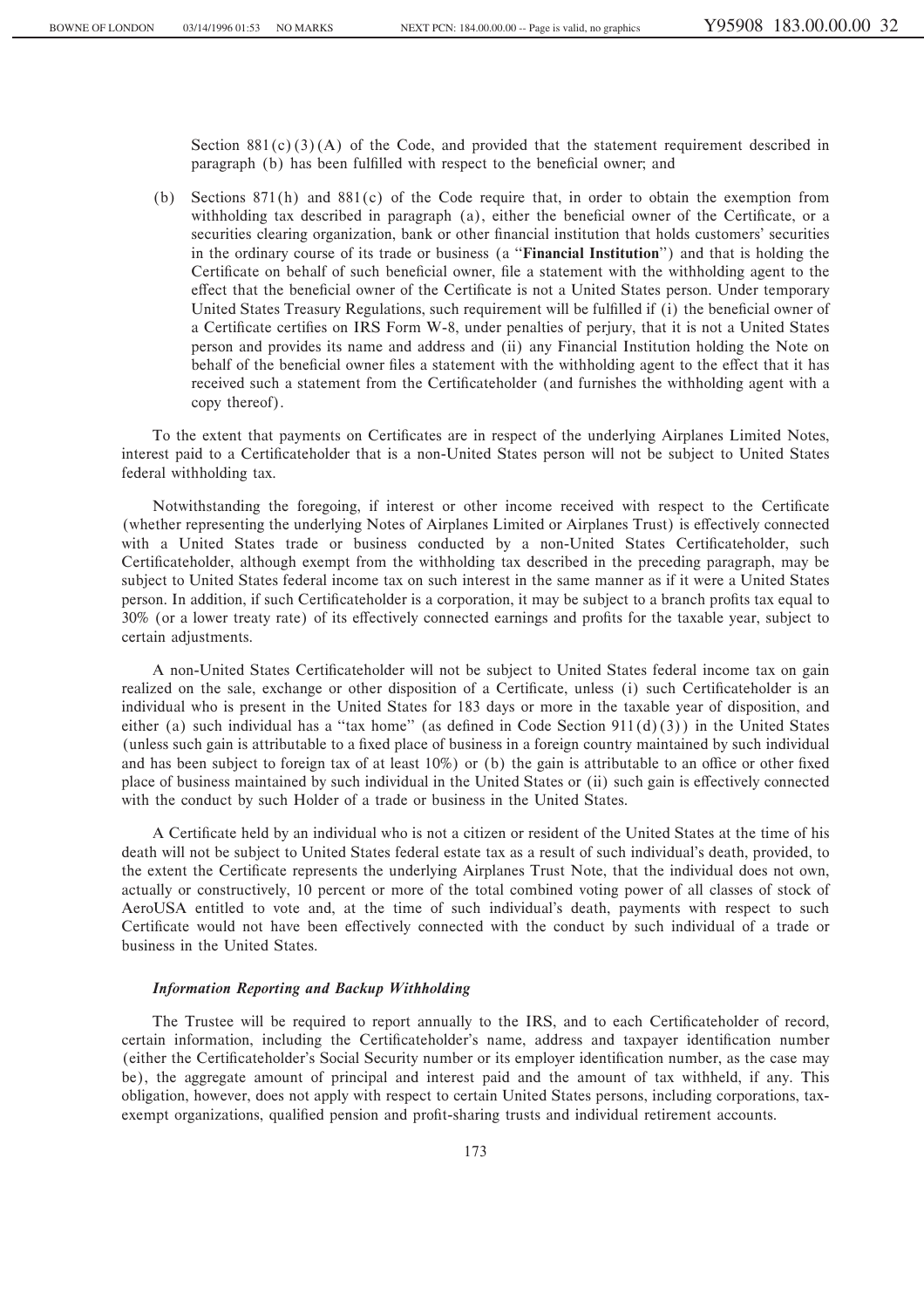Section  $881(c)(3)(A)$  of the Code, and provided that the statement requirement described in paragraph (b) has been fulfilled with respect to the beneficial owner; and

(b) Sections 871(h) and 881(c) of the Code require that, in order to obtain the exemption from withholding tax described in paragraph (a), either the beneficial owner of the Certificate, or a securities clearing organization, bank or other financial institution that holds customers' securities in the ordinary course of its trade or business (a ""**Financial Institution**'') and that is holding the Certificate on behalf of such beneficial owner, file a statement with the withholding agent to the effect that the beneficial owner of the Certificate is not a United States person. Under temporary United States Treasury Regulations, such requirement will be fulfilled if (i) the beneficial owner of a Certificate certifies on IRS Form W-8, under penalties of perjury, that it is not a United States person and provides its name and address and (ii) any Financial Institution holding the Note on behalf of the beneficial owner files a statement with the withholding agent to the effect that it has received such a statement from the Certificateholder (and furnishes the withholding agent with a copy thereof).

To the extent that payments on Certificates are in respect of the underlying Airplanes Limited Notes, interest paid to a Certificateholder that is a non-United States person will not be subject to United States federal withholding tax.

Notwithstanding the foregoing, if interest or other income received with respect to the Certificate (whether representing the underlying Notes of Airplanes Limited or Airplanes Trust) is effectively connected with a United States trade or business conducted by a non-United States Certificateholder, such Certificateholder, although exempt from the withholding tax described in the preceding paragraph, may be subject to United States federal income tax on such interest in the same manner as if it were a United States person. In addition, if such Certificateholder is a corporation, it may be subject to a branch profits tax equal to 30% (or a lower treaty rate) of its effectively connected earnings and profits for the taxable year, subject to certain adjustments.

A non-United States Certificateholder will not be subject to United States federal income tax on gain realized on the sale, exchange or other disposition of a Certificate, unless (i) such Certificateholder is an individual who is present in the United States for 183 days or more in the taxable year of disposition, and either (a) such individual has a "tax home" (as defined in Code Section  $911(d)(3)$ ) in the United States (unless such gain is attributable to a Ñxed place of business in a foreign country maintained by such individual and has been subject to foreign tax of at least  $10\%$ ) or (b) the gain is attributable to an office or other fixed place of business maintained by such individual in the United States or (ii) such gain is effectively connected with the conduct by such Holder of a trade or business in the United States.

A Certificate held by an individual who is not a citizen or resident of the United States at the time of his death will not be subject to United States federal estate tax as a result of such individual's death, provided, to the extent the Certificate represents the underlying Airplanes Trust Note, that the individual does not own, actually or constructively, 10 percent or more of the total combined voting power of all classes of stock of AeroUSA entitled to vote and, at the time of such individual's death, payments with respect to such Certificate would not have been effectively connected with the conduct by such individual of a trade or business in the United States.

### *Information Reporting and Backup Withholding*

The Trustee will be required to report annually to the IRS, and to each Certificateholder of record, certain information, including the Certificateholder's name, address and taxpayer identification number (either the Certificateholder's Social Security number or its employer identification number, as the case may be), the aggregate amount of principal and interest paid and the amount of tax withheld, if any. This obligation, however, does not apply with respect to certain United States persons, including corporations, taxexempt organizations, qualified pension and profit-sharing trusts and individual retirement accounts.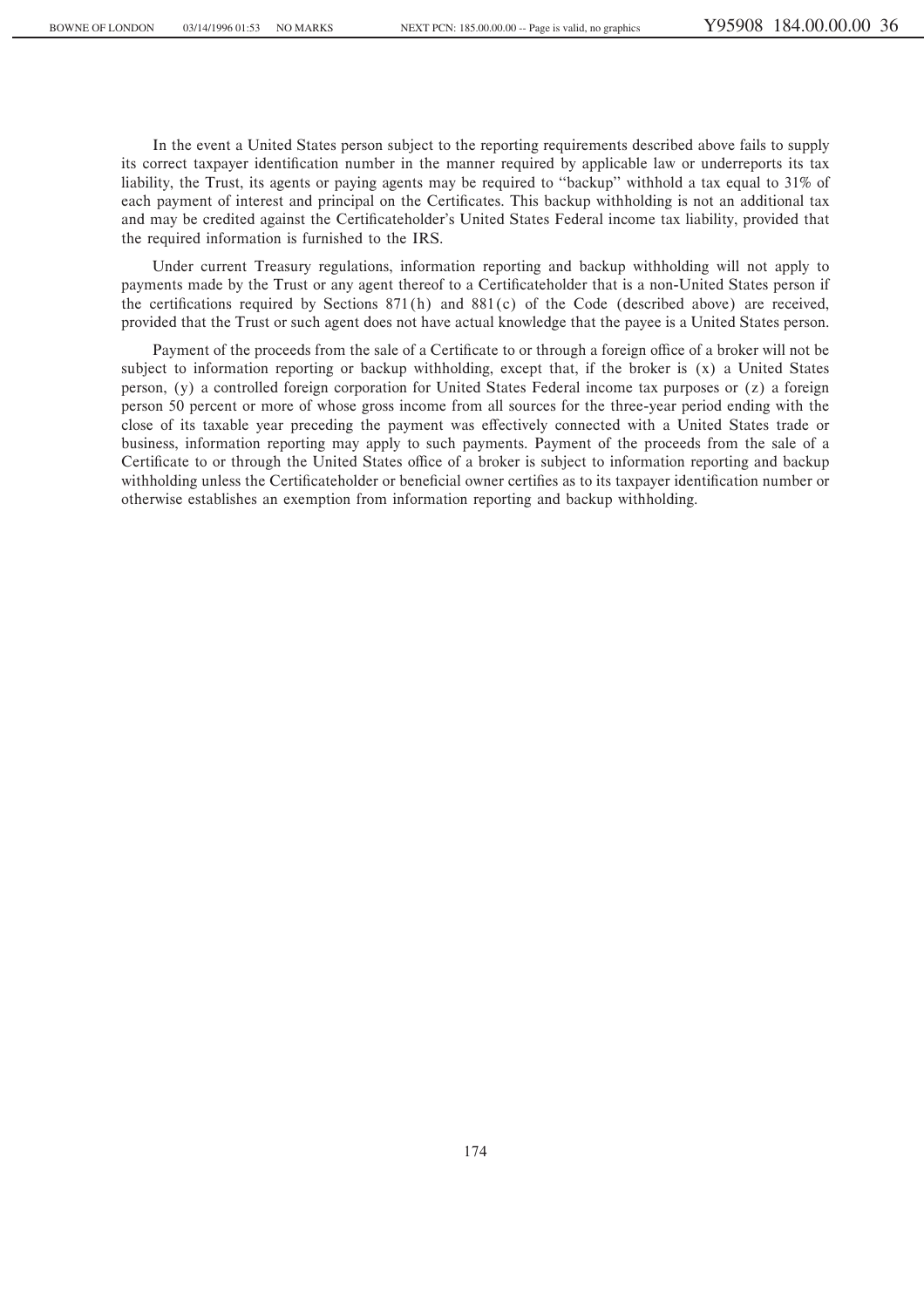In the event a United States person subject to the reporting requirements described above fails to supply its correct taxpayer identification number in the manner required by applicable law or underreports its tax liability, the Trust, its agents or paying agents may be required to ""backup'' withhold a tax equal to 31% of each payment of interest and principal on the Certificates. This backup withholding is not an additional tax and may be credited against the Certificateholder's United States Federal income tax liability, provided that the required information is furnished to the IRS.

Under current Treasury regulations, information reporting and backup withholding will not apply to payments made by the Trust or any agent thereof to a Certificateholder that is a non-United States person if the certifications required by Sections  $871(h)$  and  $881(c)$  of the Code (described above) are received, provided that the Trust or such agent does not have actual knowledge that the payee is a United States person.

Payment of the proceeds from the sale of a Certificate to or through a foreign office of a broker will not be subject to information reporting or backup withholding, except that, if the broker is (x) a United States person, (y) a controlled foreign corporation for United States Federal income tax purposes or (z) a foreign person 50 percent or more of whose gross income from all sources for the three-year period ending with the close of its taxable year preceding the payment was effectively connected with a United States trade or business, information reporting may apply to such payments. Payment of the proceeds from the sale of a Certificate to or through the United States office of a broker is subject to information reporting and backup withholding unless the Certificateholder or beneficial owner certifies as to its taxpayer identification number or otherwise establishes an exemption from information reporting and backup withholding.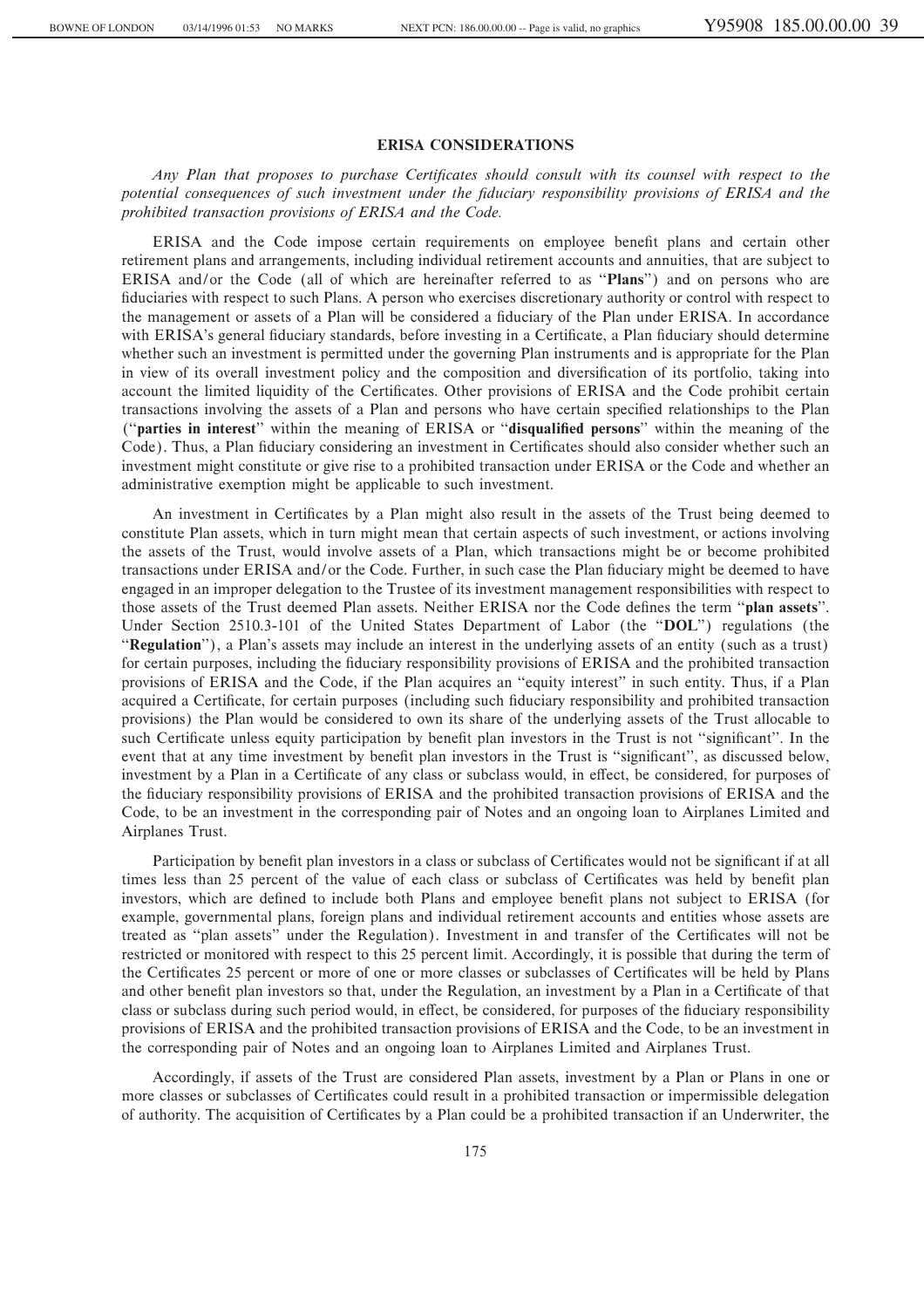#### **ERISA CONSIDERATIONS**

Any Plan that proposes to purchase Certificates should consult with its counsel with respect to the *potential consequences of such investment under the Ñduciary responsibility provisions of ERISA and the prohibited transaction provisions of ERISA and the Code.*

ERISA and the Code impose certain requirements on employee benefit plans and certain other retirement plans and arrangements, including individual retirement accounts and annuities, that are subject to ERISA and/or the Code (all of which are hereinafter referred to as "Plans") and on persons who are fiduciaries with respect to such Plans. A person who exercises discretionary authority or control with respect to the management or assets of a Plan will be considered a Ñduciary of the Plan under ERISA. In accordance with ERISA's general fiduciary standards, before investing in a Certificate, a Plan fiduciary should determine whether such an investment is permitted under the governing Plan instruments and is appropriate for the Plan in view of its overall investment policy and the composition and diversification of its portfolio, taking into account the limited liquidity of the Certificates. Other provisions of ERISA and the Code prohibit certain transactions involving the assets of a Plan and persons who have certain specified relationships to the Plan ("parties in interest" within the meaning of ERISA or "disqualified persons" within the meaning of the Code). Thus, a Plan fiduciary considering an investment in Certificates should also consider whether such an investment might constitute or give rise to a prohibited transaction under ERISA or the Code and whether an administrative exemption might be applicable to such investment.

An investment in Certificates by a Plan might also result in the assets of the Trust being deemed to constitute Plan assets, which in turn might mean that certain aspects of such investment, or actions involving the assets of the Trust, would involve assets of a Plan, which transactions might be or become prohibited transactions under ERISA and/or the Code. Further, in such case the Plan fiduciary might be deemed to have engaged in an improper delegation to the Trustee of its investment management responsibilities with respect to those assets of the Trust deemed Plan assets. Neither ERISA nor the Code defines the term "plan assets". Under Section 2510.3-101 of the United States Department of Labor (the ""**DOL**'') regulations (the "**Regulation**"), a Plan's assets may include an interest in the underlying assets of an entity (such as a trust) for certain purposes, including the fiduciary responsibility provisions of ERISA and the prohibited transaction provisions of ERISA and the Code, if the Plan acquires an ""equity interest'' in such entity. Thus, if a Plan acquired a Certificate, for certain purposes (including such fiduciary responsibility and prohibited transaction provisions) the Plan would be considered to own its share of the underlying assets of the Trust allocable to such Certificate unless equity participation by benefit plan investors in the Trust is not "significant". In the event that at any time investment by benefit plan investors in the Trust is "significant", as discussed below, investment by a Plan in a Certificate of any class or subclass would, in effect, be considered, for purposes of the fiduciary responsibility provisions of ERISA and the prohibited transaction provisions of ERISA and the Code, to be an investment in the corresponding pair of Notes and an ongoing loan to Airplanes Limited and Airplanes Trust.

Participation by benefit plan investors in a class or subclass of Certificates would not be significant if at all times less than 25 percent of the value of each class or subclass of Certificates was held by benefit plan investors, which are defined to include both Plans and employee benefit plans not subject to ERISA (for example, governmental plans, foreign plans and individual retirement accounts and entities whose assets are treated as "plan assets" under the Regulation). Investment in and transfer of the Certificates will not be restricted or monitored with respect to this 25 percent limit. Accordingly, it is possible that during the term of the Certificates 25 percent or more of one or more classes or subclasses of Certificates will be held by Plans and other benefit plan investors so that, under the Regulation, an investment by a Plan in a Certificate of that class or subclass during such period would, in effect, be considered, for purposes of the fiduciary responsibility provisions of ERISA and the prohibited transaction provisions of ERISA and the Code, to be an investment in the corresponding pair of Notes and an ongoing loan to Airplanes Limited and Airplanes Trust.

Accordingly, if assets of the Trust are considered Plan assets, investment by a Plan or Plans in one or more classes or subclasses of Certificates could result in a prohibited transaction or impermissible delegation of authority. The acquisition of Certificates by a Plan could be a prohibited transaction if an Underwriter, the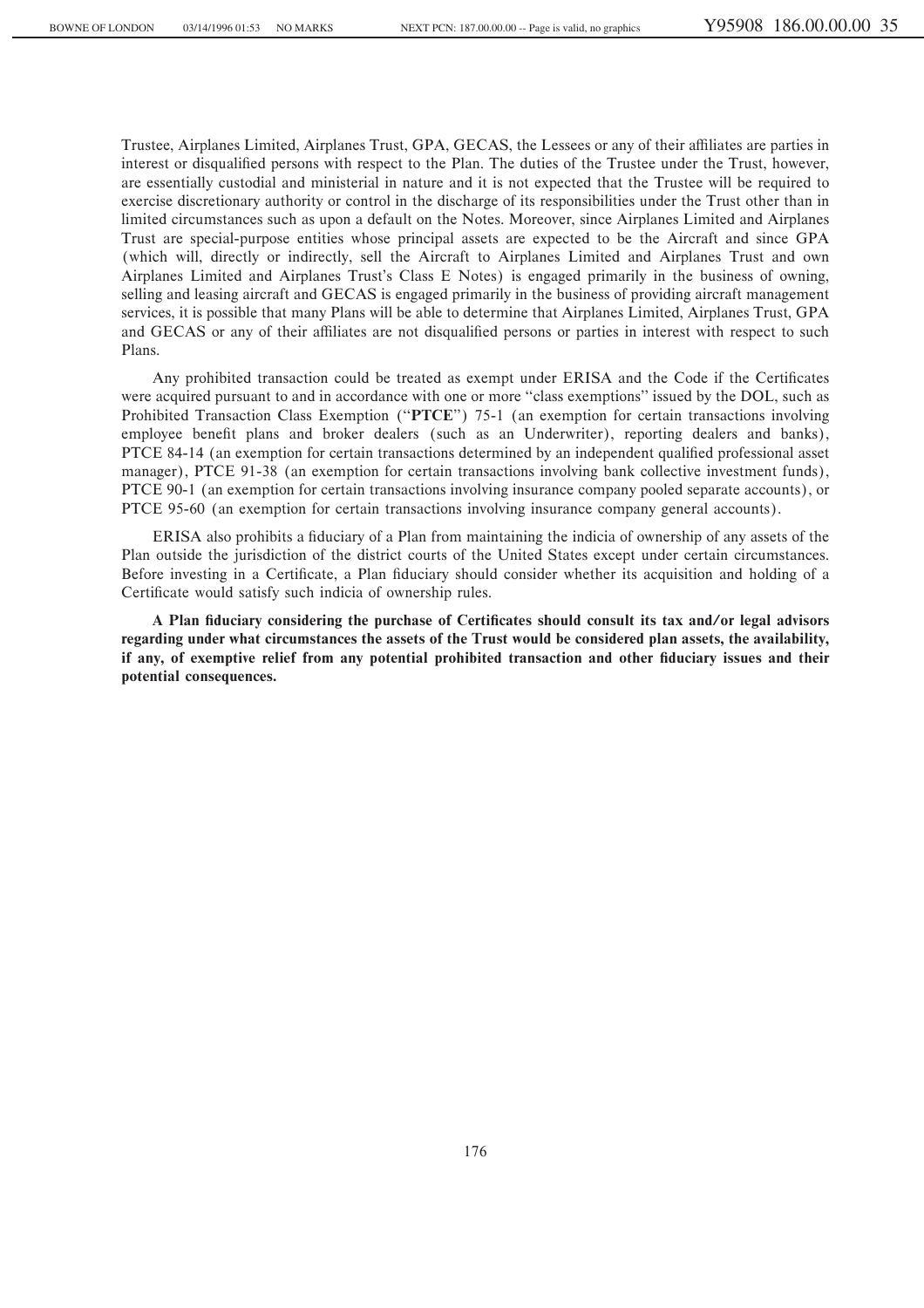Trustee, Airplanes Limited, Airplanes Trust, GPA, GECAS, the Lessees or any of their affiliates are parties in interest or disqualified persons with respect to the Plan. The duties of the Trustee under the Trust, however, are essentially custodial and ministerial in nature and it is not expected that the Trustee will be required to exercise discretionary authority or control in the discharge of its responsibilities under the Trust other than in limited circumstances such as upon a default on the Notes. Moreover, since Airplanes Limited and Airplanes Trust are special-purpose entities whose principal assets are expected to be the Aircraft and since GPA (which will, directly or indirectly, sell the Aircraft to Airplanes Limited and Airplanes Trust and own Airplanes Limited and Airplanes Trust's Class E Notes) is engaged primarily in the business of owning, selling and leasing aircraft and GECAS is engaged primarily in the business of providing aircraft management services, it is possible that many Plans will be able to determine that Airplanes Limited, Airplanes Trust, GPA and GECAS or any of their affiliates are not disqualified persons or parties in interest with respect to such Plans.

Any prohibited transaction could be treated as exempt under ERISA and the Code if the Certificates were acquired pursuant to and in accordance with one or more "class exemptions" issued by the DOL, such as Prohibited Transaction Class Exemption ("PTCE") 75-1 (an exemption for certain transactions involving employee benefit plans and broker dealers (such as an Underwriter), reporting dealers and banks), PTCE 84-14 (an exemption for certain transactions determined by an independent qualified professional asset manager), PTCE 91-38 (an exemption for certain transactions involving bank collective investment funds), PTCE 90-1 (an exemption for certain transactions involving insurance company pooled separate accounts), or PTCE 95-60 (an exemption for certain transactions involving insurance company general accounts).

ERISA also prohibits a Ñduciary of a Plan from maintaining the indicia of ownership of any assets of the Plan outside the jurisdiction of the district courts of the United States except under certain circumstances. Before investing in a Certificate, a Plan fiduciary should consider whether its acquisition and holding of a Certificate would satisfy such indicia of ownership rules.

A Plan fiduciary considering the purchase of Certificates should consult its tax and/or legal advisors **regarding under what circumstances the assets of the Trust would be considered plan assets, the availability,** if any, of exemptive relief from any potential prohibited transaction and other fiduciary issues and their **potential consequences.**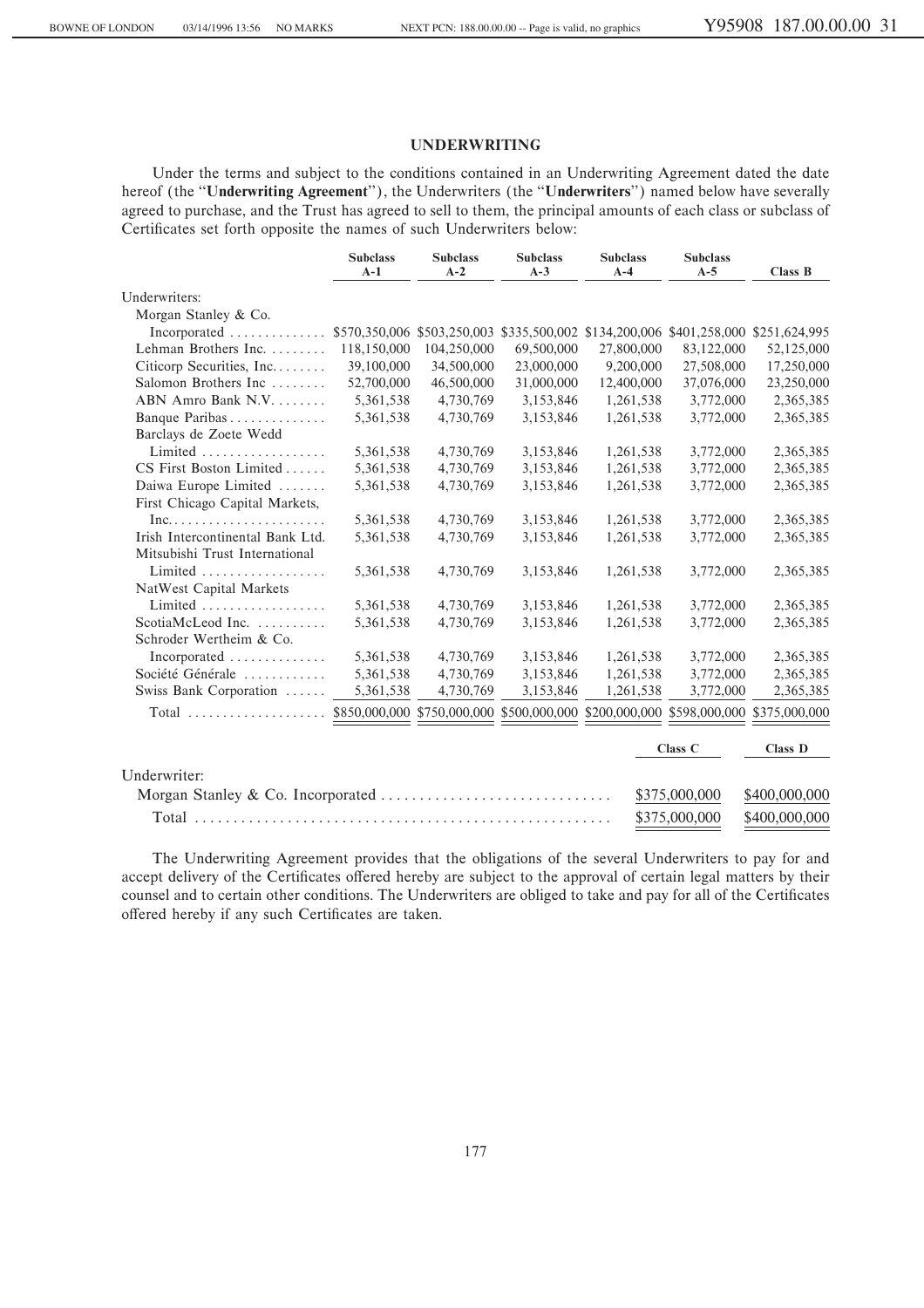## **UNDERWRITING**

Under the terms and subject to the conditions contained in an Underwriting Agreement dated the date hereof (the "Underwriting Agreement"), the Underwriters (the "Underwriters") named below have severally agreed to purchase, and the Trust has agreed to sell to them, the principal amounts of each class or subclass of Certificates set forth opposite the names of such Underwriters below:

|                                                         | <b>Subclass</b><br>$A-1$ | <b>Subclass</b><br>$A-2$    | <b>Subclass</b><br>$A-3$ | <b>Subclass</b><br>$A-4$                                              | <b>Subclass</b><br>$A-5$ | Class B        |
|---------------------------------------------------------|--------------------------|-----------------------------|--------------------------|-----------------------------------------------------------------------|--------------------------|----------------|
| Underwriters:                                           |                          |                             |                          |                                                                       |                          |                |
| Morgan Stanley & Co.                                    |                          |                             |                          |                                                                       |                          |                |
| Incorporated                                            |                          | \$570,350,006 \$503,250,003 |                          | \$335,500,002 \$134,200,006 \$401,258,000                             |                          | \$251,624,995  |
| Lehman Brothers Inc.                                    | 118,150,000              | 104,250,000                 | 69,500,000               | 27,800,000                                                            | 83,122,000               | 52,125,000     |
| Citicorp Securities, Inc                                | 39,100,000               | 34,500,000                  | 23,000,000               | 9,200,000                                                             | 27,508,000               | 17,250,000     |
| Salomon Brothers Inc                                    | 52,700,000               | 46,500,000                  | 31,000,000               | 12,400,000                                                            | 37,076,000               | 23,250,000     |
| ABN Amro Bank N.V.                                      | 5,361,538                | 4,730,769                   | 3,153,846                | 1,261,538                                                             | 3,772,000                | 2,365,385      |
| Banque Paribas                                          | 5,361,538                | 4,730,769                   | 3,153,846                | 1,261,538                                                             | 3,772,000                | 2,365,385      |
| Barclays de Zoete Wedd                                  |                          |                             |                          |                                                                       |                          |                |
| Limited                                                 | 5,361,538                | 4,730,769                   | 3,153,846                | 1,261,538                                                             | 3,772,000                | 2,365,385      |
| CS First Boston Limited                                 | 5,361,538                | 4,730,769                   | 3,153,846                | 1,261,538                                                             | 3,772,000                | 2,365,385      |
| Daiwa Europe Limited                                    | 5,361,538                | 4,730,769                   | 3,153,846                | 1,261,538                                                             | 3,772,000                | 2,365,385      |
| First Chicago Capital Markets,                          |                          |                             |                          |                                                                       |                          |                |
| $Inc. \ldots \ldots \ldots \ldots \ldots \ldots \ldots$ | 5,361,538                | 4,730,769                   | 3,153,846                | 1,261,538                                                             | 3,772,000                | 2,365,385      |
| Irish Intercontinental Bank Ltd.                        | 5,361,538                | 4,730,769                   | 3,153,846                | 1,261,538                                                             | 3,772,000                | 2,365,385      |
| Mitsubishi Trust International                          |                          |                             |                          |                                                                       |                          |                |
| Limited                                                 | 5,361,538                | 4,730,769                   | 3,153,846                | 1,261,538                                                             | 3,772,000                | 2,365,385      |
| NatWest Capital Markets                                 |                          |                             |                          |                                                                       |                          |                |
| Limited                                                 | 5,361,538                | 4,730,769                   | 3,153,846                | 1,261,538                                                             | 3,772,000                | 2,365,385      |
| ScotiaMcLeod Inc.                                       | 5,361,538                | 4,730,769                   | 3,153,846                | 1,261,538                                                             | 3,772,000                | 2,365,385      |
| Schroder Wertheim & Co.                                 |                          |                             |                          |                                                                       |                          |                |
| $Incorporated$                                          | 5,361,538                | 4,730,769                   | 3,153,846                | 1,261,538                                                             | 3,772,000                | 2,365,385      |
| Société Générale                                        | 5,361,538                | 4,730,769                   | 3,153,846                | 1,261,538                                                             | 3,772,000                | 2,365,385      |
| Swiss Bank Corporation                                  | 5,361,538                | 4,730,769                   | 3,153,846                | 1,261,538                                                             | 3,772,000                | 2,365,385      |
| $Total$                                                 |                          |                             |                          | \$850,000,000 \$750,000,000 \$500,000,000 \$200,000,000 \$598,000,000 |                          | \$375,000,000  |
|                                                         |                          |                             |                          |                                                                       | Class C                  | <b>Class D</b> |
| Underwriter:                                            |                          |                             |                          |                                                                       |                          |                |
|                                                         |                          |                             |                          |                                                                       | \$375,000,000            | \$400,000,000  |
| Total                                                   |                          |                             |                          |                                                                       | \$375,000,000            | \$400,000,000  |

The Underwriting Agreement provides that the obligations of the several Underwriters to pay for and accept delivery of the Certificates offered hereby are subject to the approval of certain legal matters by their counsel and to certain other conditions. The Underwriters are obliged to take and pay for all of the Certificates offered hereby if any such Certificates are taken.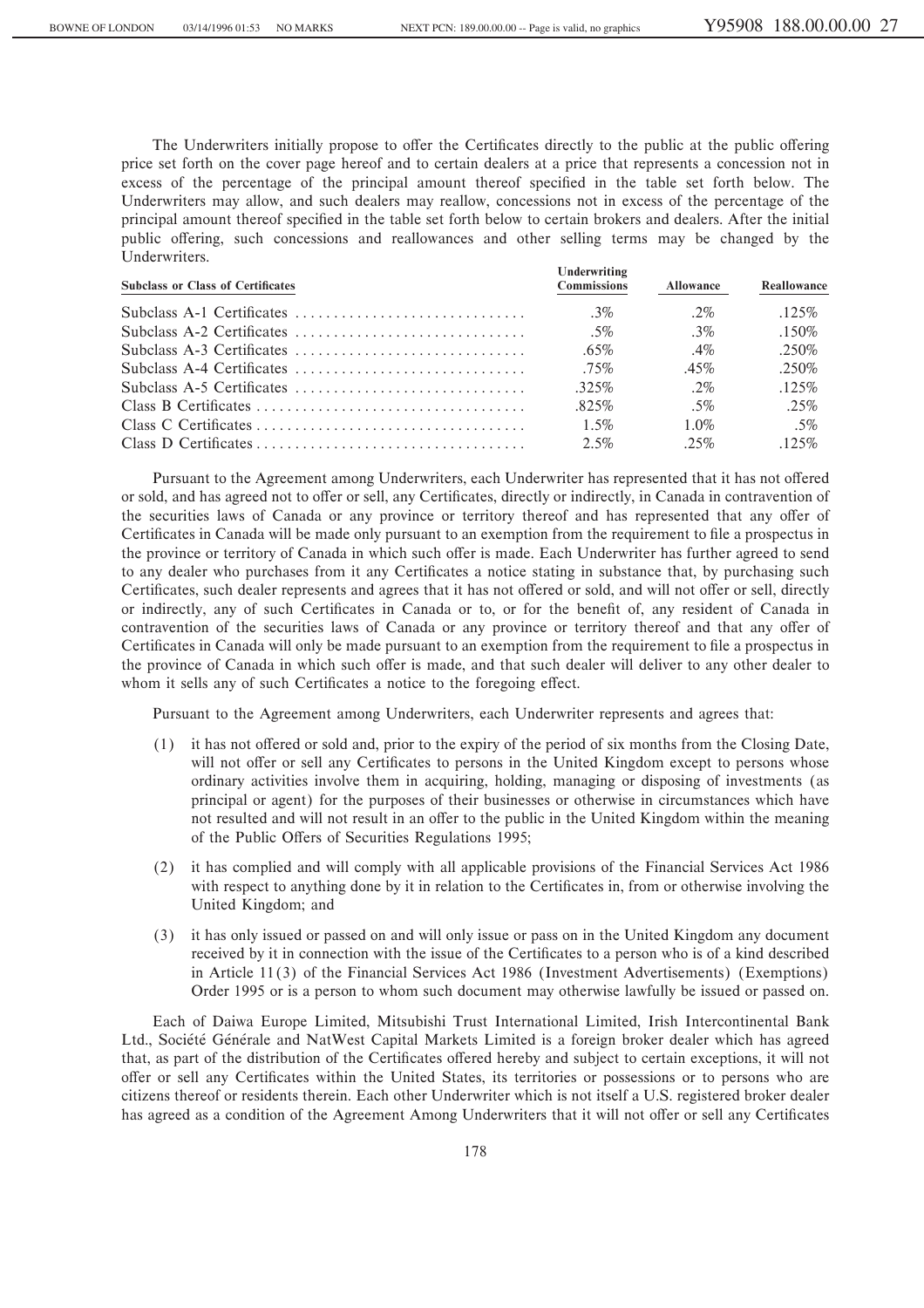The Underwriters initially propose to offer the Certificates directly to the public at the public offering price set forth on the cover page hereof and to certain dealers at a price that represents a concession not in excess of the percentage of the principal amount thereof specified in the table set forth below. The Underwriters may allow, and such dealers may reallow, concessions not in excess of the percentage of the principal amount thereof specified in the table set forth below to certain brokers and dealers. After the initial public offering, such concessions and reallowances and other selling terms may be changed by the Underwriters.

| <b>Subclass or Class of Certificates</b> | Underwriting<br><b>Commissions</b> | <b>Allowance</b> | Reallowance |
|------------------------------------------|------------------------------------|------------------|-------------|
|                                          | $3\%$                              | $2\%$            | .125%       |
|                                          | $.5\%$                             | 3%               | .150%       |
|                                          | $.65\%$                            | $.4\%$           | $.250\%$    |
|                                          | $.75\%$                            | $.45\%$          | .250\%      |
|                                          | $.325\%$                           | $2\%$            | .125%       |
|                                          | $.825\%$                           | $.5\%$           | $.25\%$     |
|                                          | $1.5\%$                            | 1.0%             | $.5\%$      |
|                                          | $2.5\%$                            | $.25\%$          | $.125\%$    |

Pursuant to the Agreement among Underwriters, each Underwriter has represented that it has not offered or sold, and has agreed not to offer or sell, any Certificates, directly or indirectly, in Canada in contravention of the securities laws of Canada or any province or territory thereof and has represented that any offer of Certificates in Canada will be made only pursuant to an exemption from the requirement to file a prospectus in the province or territory of Canada in which such offer is made. Each Underwriter has further agreed to send to any dealer who purchases from it any Certificates a notice stating in substance that, by purchasing such Certificates, such dealer represents and agrees that it has not offered or sold, and will not offer or sell, directly or indirectly, any of such Certificates in Canada or to, or for the benefit of, any resident of Canada in contravention of the securities laws of Canada or any province or territory thereof and that any offer of Certificates in Canada will only be made pursuant to an exemption from the requirement to file a prospectus in the province of Canada in which such offer is made, and that such dealer will deliver to any other dealer to whom it sells any of such Certificates a notice to the foregoing effect.

Pursuant to the Agreement among Underwriters, each Underwriter represents and agrees that:

- (1) it has not offered or sold and, prior to the expiry of the period of six months from the Closing Date, will not offer or sell any Certificates to persons in the United Kingdom except to persons whose ordinary activities involve them in acquiring, holding, managing or disposing of investments (as principal or agent) for the purposes of their businesses or otherwise in circumstances which have not resulted and will not result in an offer to the public in the United Kingdom within the meaning of the Public Offers of Securities Regulations 1995;
- (2) it has complied and will comply with all applicable provisions of the Financial Services Act 1986 with respect to anything done by it in relation to the Certificates in, from or otherwise involving the United Kingdom; and
- (3) it has only issued or passed on and will only issue or pass on in the United Kingdom any document received by it in connection with the issue of the Certificates to a person who is of a kind described in Article 11(3) of the Financial Services Act 1986 (Investment Advertisements) (Exemptions) Order 1995 or is a person to whom such document may otherwise lawfully be issued or passed on.

Each of Daiwa Europe Limited, Mitsubishi Trust International Limited, Irish Intercontinental Bank Ltd., Société Générale and NatWest Capital Markets Limited is a foreign broker dealer which has agreed that, as part of the distribution of the Certificates offered hereby and subject to certain exceptions, it will not offer or sell any Certificates within the United States, its territories or possessions or to persons who are citizens thereof or residents therein. Each other Underwriter which is not itself a U.S. registered broker dealer has agreed as a condition of the Agreement Among Underwriters that it will not offer or sell any Certificates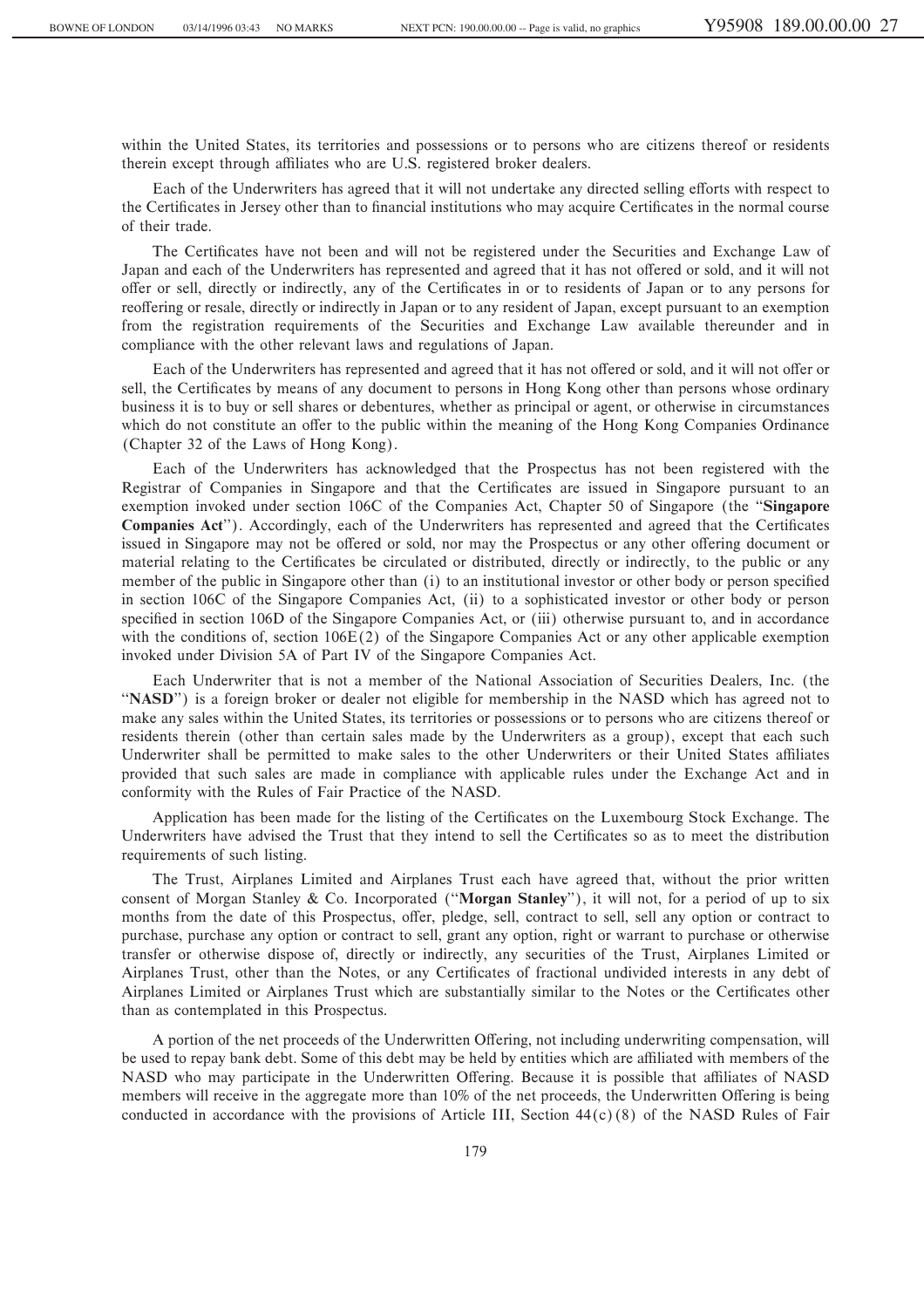within the United States, its territories and possessions or to persons who are citizens thereof or residents therein except through affiliates who are U.S. registered broker dealers.

Each of the Underwriters has agreed that it will not undertake any directed selling efforts with respect to the Certificates in Jersey other than to financial institutions who may acquire Certificates in the normal course of their trade.

The Certificates have not been and will not be registered under the Securities and Exchange Law of Japan and each of the Underwriters has represented and agreed that it has not offered or sold, and it will not offer or sell, directly or indirectly, any of the Certificates in or to residents of Japan or to any persons for reoffering or resale, directly or indirectly in Japan or to any resident of Japan, except pursuant to an exemption from the registration requirements of the Securities and Exchange Law available thereunder and in compliance with the other relevant laws and regulations of Japan.

Each of the Underwriters has represented and agreed that it has not offered or sold, and it will not offer or sell, the Certificates by means of any document to persons in Hong Kong other than persons whose ordinary business it is to buy or sell shares or debentures, whether as principal or agent, or otherwise in circumstances which do not constitute an offer to the public within the meaning of the Hong Kong Companies Ordinance (Chapter 32 of the Laws of Hong Kong).

Each of the Underwriters has acknowledged that the Prospectus has not been registered with the Registrar of Companies in Singapore and that the Certificates are issued in Singapore pursuant to an exemption invoked under section 106C of the Companies Act, Chapter 50 of Singapore (the ""**Singapore Companies Act**"). Accordingly, each of the Underwriters has represented and agreed that the Certificates issued in Singapore may not be offered or sold, nor may the Prospectus or any other offering document or material relating to the Certificates be circulated or distributed, directly or indirectly, to the public or any member of the public in Singapore other than (i) to an institutional investor or other body or person specified in section 106C of the Singapore Companies Act, (ii) to a sophisticated investor or other body or person specified in section 106D of the Singapore Companies Act, or (iii) otherwise pursuant to, and in accordance with the conditions of, section  $106E(2)$  of the Singapore Companies Act or any other applicable exemption invoked under Division 5A of Part IV of the Singapore Companies Act.

Each Underwriter that is not a member of the National Association of Securities Dealers, Inc. (the "NASD") is a foreign broker or dealer not eligible for membership in the NASD which has agreed not to make any sales within the United States, its territories or possessions or to persons who are citizens thereof or residents therein (other than certain sales made by the Underwriters as a group), except that each such Underwriter shall be permitted to make sales to the other Underwriters or their United States affiliates provided that such sales are made in compliance with applicable rules under the Exchange Act and in conformity with the Rules of Fair Practice of the NASD.

Application has been made for the listing of the Certificates on the Luxembourg Stock Exchange. The Underwriters have advised the Trust that they intend to sell the Certificates so as to meet the distribution requirements of such listing.

The Trust, Airplanes Limited and Airplanes Trust each have agreed that, without the prior written consent of Morgan Stanley & Co. Incorporated (""**Morgan Stanley**''), it will not, for a period of up to six months from the date of this Prospectus, offer, pledge, sell, contract to sell, sell any option or contract to purchase, purchase any option or contract to sell, grant any option, right or warrant to purchase or otherwise transfer or otherwise dispose of, directly or indirectly, any securities of the Trust, Airplanes Limited or Airplanes Trust, other than the Notes, or any Certificates of fractional undivided interests in any debt of Airplanes Limited or Airplanes Trust which are substantially similar to the Notes or the Certificates other than as contemplated in this Prospectus.

A portion of the net proceeds of the Underwritten Offering, not including underwriting compensation, will be used to repay bank debt. Some of this debt may be held by entities which are affiliated with members of the NASD who may participate in the Underwritten Offering. Because it is possible that affiliates of NASD members will receive in the aggregate more than 10% of the net proceeds, the Underwritten Offering is being conducted in accordance with the provisions of Article III, Section  $44(c)(8)$  of the NASD Rules of Fair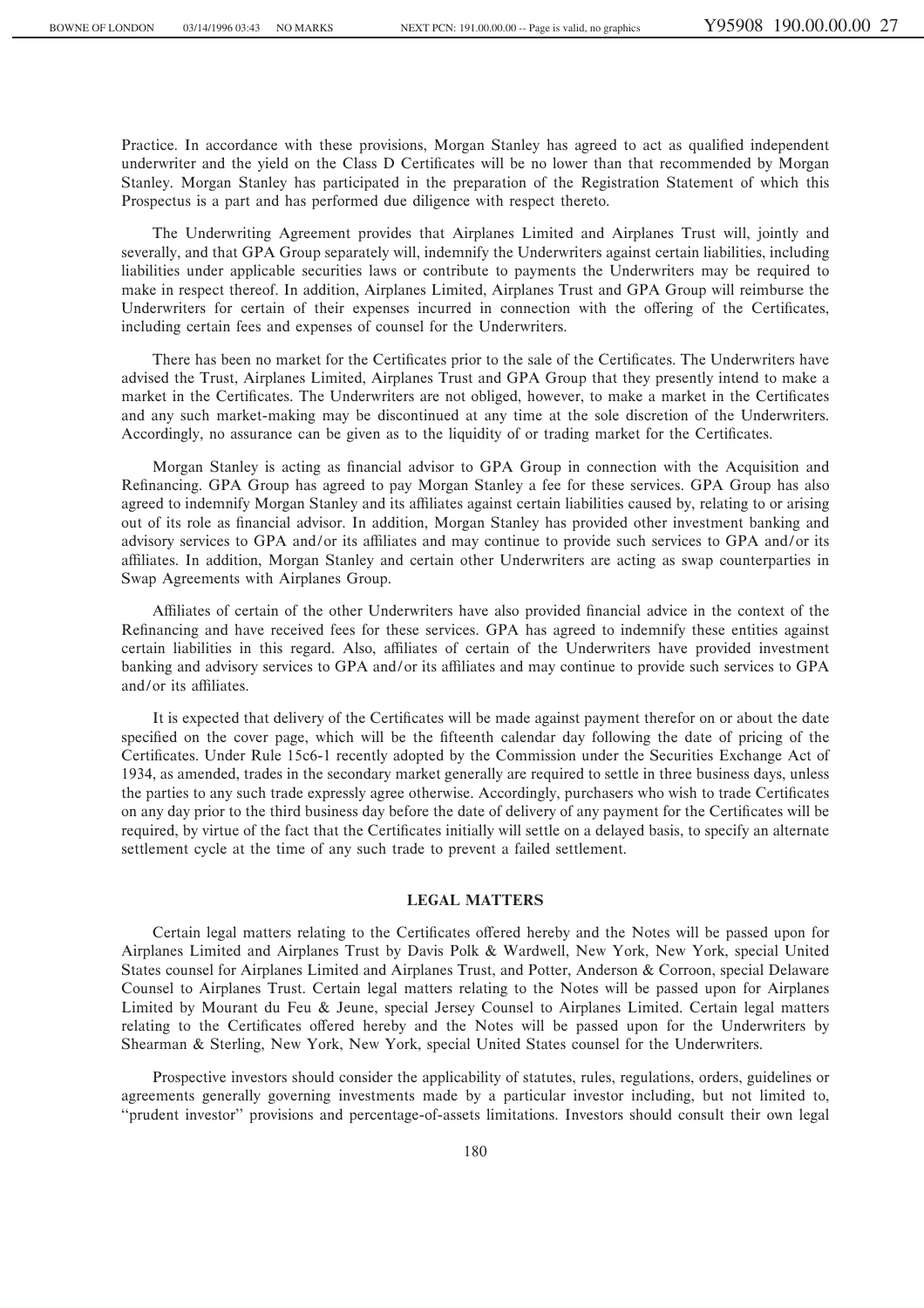Practice. In accordance with these provisions, Morgan Stanley has agreed to act as qualified independent underwriter and the yield on the Class D Certificates will be no lower than that recommended by Morgan Stanley. Morgan Stanley has participated in the preparation of the Registration Statement of which this Prospectus is a part and has performed due diligence with respect thereto.

The Underwriting Agreement provides that Airplanes Limited and Airplanes Trust will, jointly and severally, and that GPA Group separately will, indemnify the Underwriters against certain liabilities, including liabilities under applicable securities laws or contribute to payments the Underwriters may be required to make in respect thereof. In addition, Airplanes Limited, Airplanes Trust and GPA Group will reimburse the Underwriters for certain of their expenses incurred in connection with the offering of the Certificates, including certain fees and expenses of counsel for the Underwriters.

There has been no market for the Certificates prior to the sale of the Certificates. The Underwriters have advised the Trust, Airplanes Limited, Airplanes Trust and GPA Group that they presently intend to make a market in the Certificates. The Underwriters are not obliged, however, to make a market in the Certificates and any such market-making may be discontinued at any time at the sole discretion of the Underwriters. Accordingly, no assurance can be given as to the liquidity of or trading market for the Certificates.

Morgan Stanley is acting as financial advisor to GPA Group in connection with the Acquisition and Refinancing. GPA Group has agreed to pay Morgan Stanley a fee for these services. GPA Group has also agreed to indemnify Morgan Stanley and its affiliates against certain liabilities caused by, relating to or arising out of its role as Ñnancial advisor. In addition, Morgan Stanley has provided other investment banking and advisory services to GPA and/or its affiliates and may continue to provide such services to GPA and/or its affiliates. In addition, Morgan Stanley and certain other Underwriters are acting as swap counterparties in Swap Agreements with Airplanes Group.

Affiliates of certain of the other Underwriters have also provided financial advice in the context of the Refinancing and have received fees for these services. GPA has agreed to indemnify these entities against certain liabilities in this regard. Also, affiliates of certain of the Underwriters have provided investment banking and advisory services to GPA and/or its affiliates and may continue to provide such services to GPA and/or its affiliates.

It is expected that delivery of the Certificates will be made against payment therefor on or about the date specified on the cover page, which will be the fifteenth calendar day following the date of pricing of the Certificates. Under Rule 15c6-1 recently adopted by the Commission under the Securities Exchange Act of 1934, as amended, trades in the secondary market generally are required to settle in three business days, unless the parties to any such trade expressly agree otherwise. Accordingly, purchasers who wish to trade Certificates on any day prior to the third business day before the date of delivery of any payment for the Certificates will be required, by virtue of the fact that the Certificates initially will settle on a delayed basis, to specify an alternate settlement cycle at the time of any such trade to prevent a failed settlement.

#### **LEGAL MATTERS**

Certain legal matters relating to the Certificates offered hereby and the Notes will be passed upon for Airplanes Limited and Airplanes Trust by Davis Polk & Wardwell, New York, New York, special United States counsel for Airplanes Limited and Airplanes Trust, and Potter, Anderson & Corroon, special Delaware Counsel to Airplanes Trust. Certain legal matters relating to the Notes will be passed upon for Airplanes Limited by Mourant du Feu & Jeune, special Jersey Counsel to Airplanes Limited. Certain legal matters relating to the Certificates offered hereby and the Notes will be passed upon for the Underwriters by Shearman & Sterling, New York, New York, special United States counsel for the Underwriters.

Prospective investors should consider the applicability of statutes, rules, regulations, orders, guidelines or agreements generally governing investments made by a particular investor including, but not limited to, ""prudent investor'' provisions and percentage-of-assets limitations. Investors should consult their own legal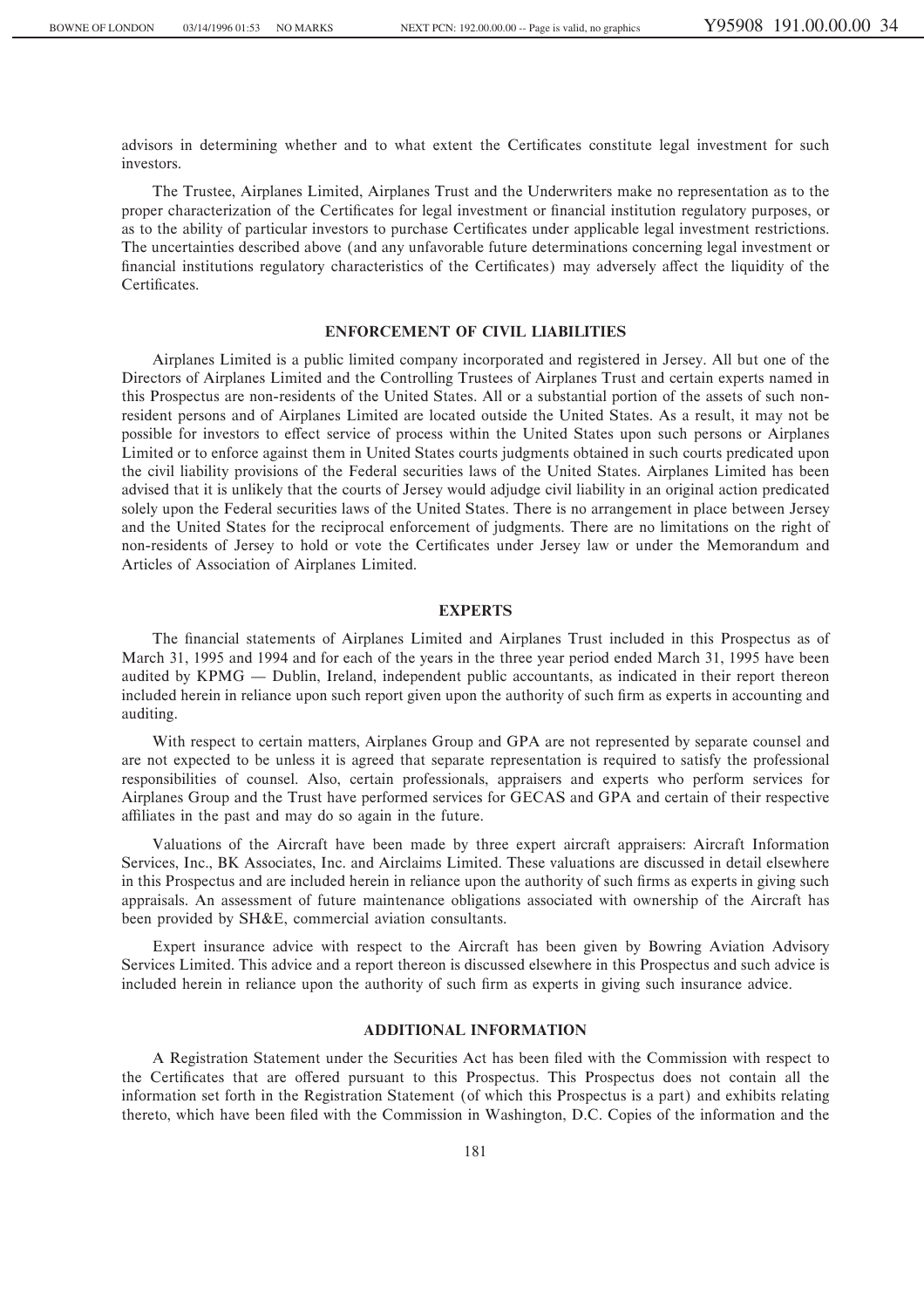advisors in determining whether and to what extent the Certificates constitute legal investment for such investors.

The Trustee, Airplanes Limited, Airplanes Trust and the Underwriters make no representation as to the proper characterization of the Certificates for legal investment or financial institution regulatory purposes, or as to the ability of particular investors to purchase Certificates under applicable legal investment restrictions. The uncertainties described above (and any unfavorable future determinations concerning legal investment or financial institutions regulatory characteristics of the Certificates) may adversely affect the liquidity of the Certificates.

## **ENFORCEMENT OF CIVIL LIABILITIES**

Airplanes Limited is a public limited company incorporated and registered in Jersey. All but one of the Directors of Airplanes Limited and the Controlling Trustees of Airplanes Trust and certain experts named in this Prospectus are non-residents of the United States. All or a substantial portion of the assets of such nonresident persons and of Airplanes Limited are located outside the United States. As a result, it may not be possible for investors to effect service of process within the United States upon such persons or Airplanes Limited or to enforce against them in United States courts judgments obtained in such courts predicated upon the civil liability provisions of the Federal securities laws of the United States. Airplanes Limited has been advised that it is unlikely that the courts of Jersey would adjudge civil liability in an original action predicated solely upon the Federal securities laws of the United States. There is no arrangement in place between Jersey and the United States for the reciprocal enforcement of judgments. There are no limitations on the right of non-residents of Jersey to hold or vote the Certificates under Jersey law or under the Memorandum and Articles of Association of Airplanes Limited.

#### **EXPERTS**

The financial statements of Airplanes Limited and Airplanes Trust included in this Prospectus as of March 31, 1995 and 1994 and for each of the years in the three year period ended March 31, 1995 have been audited by KPMG — Dublin, Ireland, independent public accountants, as indicated in their report thereon included herein in reliance upon such report given upon the authority of such firm as experts in accounting and auditing.

With respect to certain matters, Airplanes Group and GPA are not represented by separate counsel and are not expected to be unless it is agreed that separate representation is required to satisfy the professional responsibilities of counsel. Also, certain professionals, appraisers and experts who perform services for Airplanes Group and the Trust have performed services for GECAS and GPA and certain of their respective affiliates in the past and may do so again in the future.

Valuations of the Aircraft have been made by three expert aircraft appraisers: Aircraft Information Services, Inc., BK Associates, Inc. and Airclaims Limited. These valuations are discussed in detail elsewhere in this Prospectus and are included herein in reliance upon the authority of such firms as experts in giving such appraisals. An assessment of future maintenance obligations associated with ownership of the Aircraft has been provided by SH&E, commercial aviation consultants.

Expert insurance advice with respect to the Aircraft has been given by Bowring Aviation Advisory Services Limited. This advice and a report thereon is discussed elsewhere in this Prospectus and such advice is included herein in reliance upon the authority of such firm as experts in giving such insurance advice.

## **ADDITIONAL INFORMATION**

A Registration Statement under the Securities Act has been filed with the Commission with respect to the Certificates that are offered pursuant to this Prospectus. This Prospectus does not contain all the information set forth in the Registration Statement (of which this Prospectus is a part) and exhibits relating thereto, which have been filed with the Commission in Washington, D.C. Copies of the information and the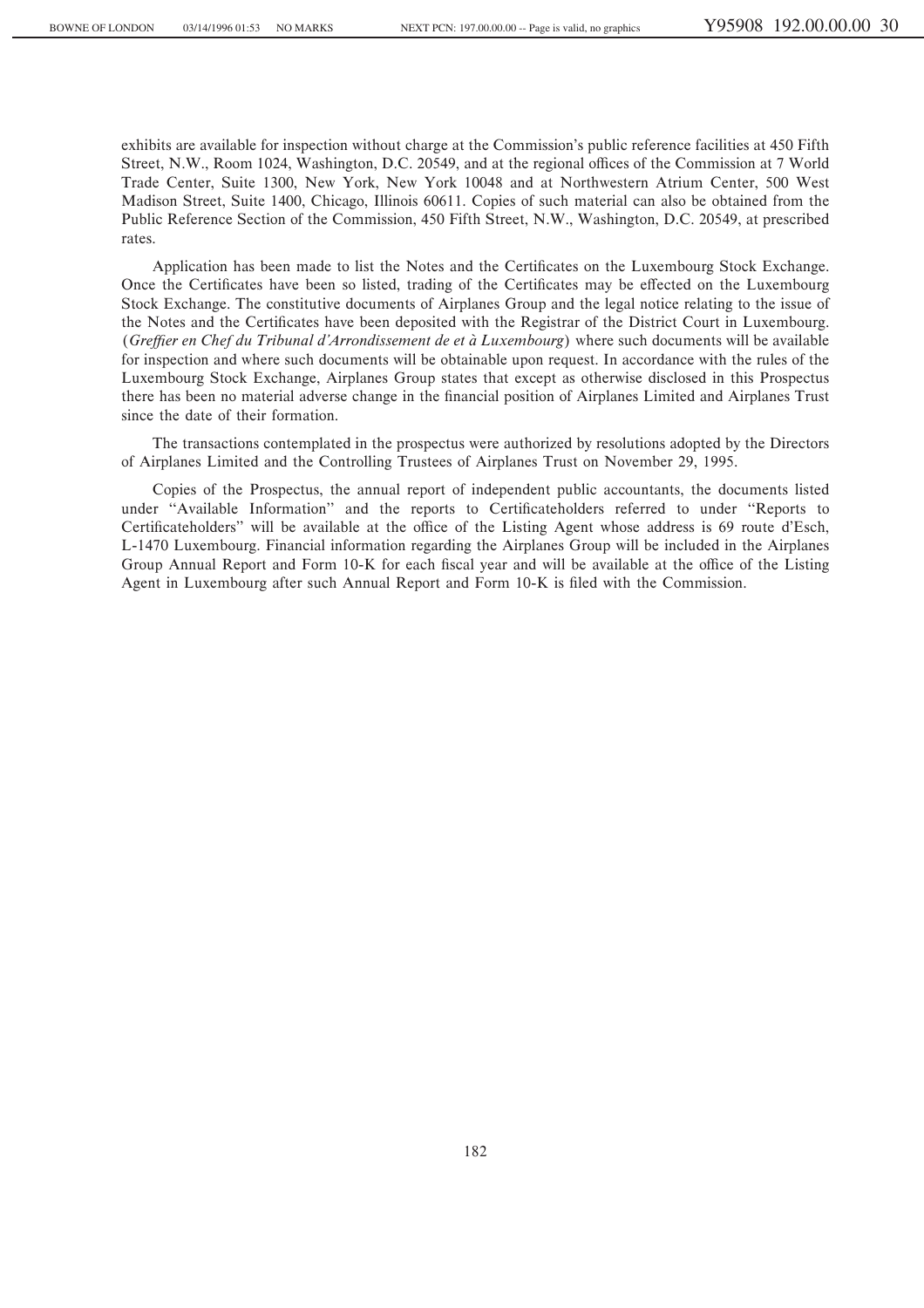exhibits are available for inspection without charge at the Commission's public reference facilities at 450 Fifth Street, N.W., Room 1024, Washington, D.C. 20549, and at the regional offices of the Commission at 7 World Trade Center, Suite 1300, New York, New York 10048 and at Northwestern Atrium Center, 500 West Madison Street, Suite 1400, Chicago, Illinois 60611. Copies of such material can also be obtained from the Public Reference Section of the Commission, 450 Fifth Street, N.W., Washington, D.C. 20549, at prescribed rates.

Application has been made to list the Notes and the Certificates on the Luxembourg Stock Exchange. Once the Certificates have been so listed, trading of the Certificates may be effected on the Luxembourg Stock Exchange. The constitutive documents of Airplanes Group and the legal notice relating to the issue of the Notes and the Certificates have been deposited with the Registrar of the District Court in Luxembourg. (*Greffier en Chef du Tribunal d'Arrondissement de et à Luxembourg*) where such documents will be available for inspection and where such documents will be obtainable upon request. In accordance with the rules of the Luxembourg Stock Exchange, Airplanes Group states that except as otherwise disclosed in this Prospectus there has been no material adverse change in the financial position of Airplanes Limited and Airplanes Trust since the date of their formation.

The transactions contemplated in the prospectus were authorized by resolutions adopted by the Directors of Airplanes Limited and the Controlling Trustees of Airplanes Trust on November 29, 1995.

Copies of the Prospectus, the annual report of independent public accountants, the documents listed under "Available Information" and the reports to Certificateholders referred to under "Reports to Certificateholders'' will be available at the office of the Listing Agent whose address is 69 route d'Esch, L-1470 Luxembourg. Financial information regarding the Airplanes Group will be included in the Airplanes Group Annual Report and Form 10-K for each fiscal year and will be available at the office of the Listing Agent in Luxembourg after such Annual Report and Form 10-K is filed with the Commission.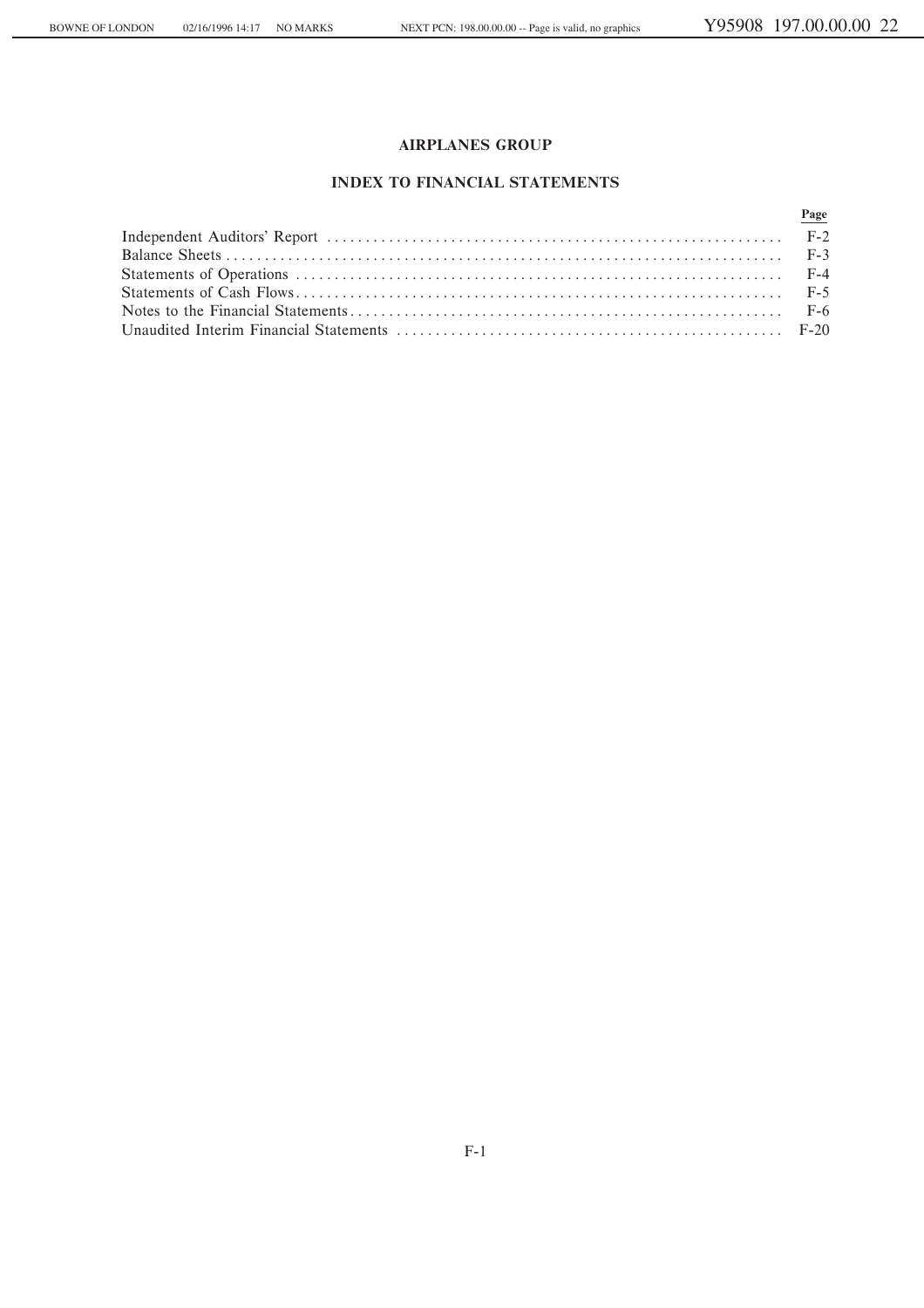# **INDEX TO FINANCIAL STATEMENTS**

| Page |
|------|
|      |
|      |
|      |
|      |
|      |
|      |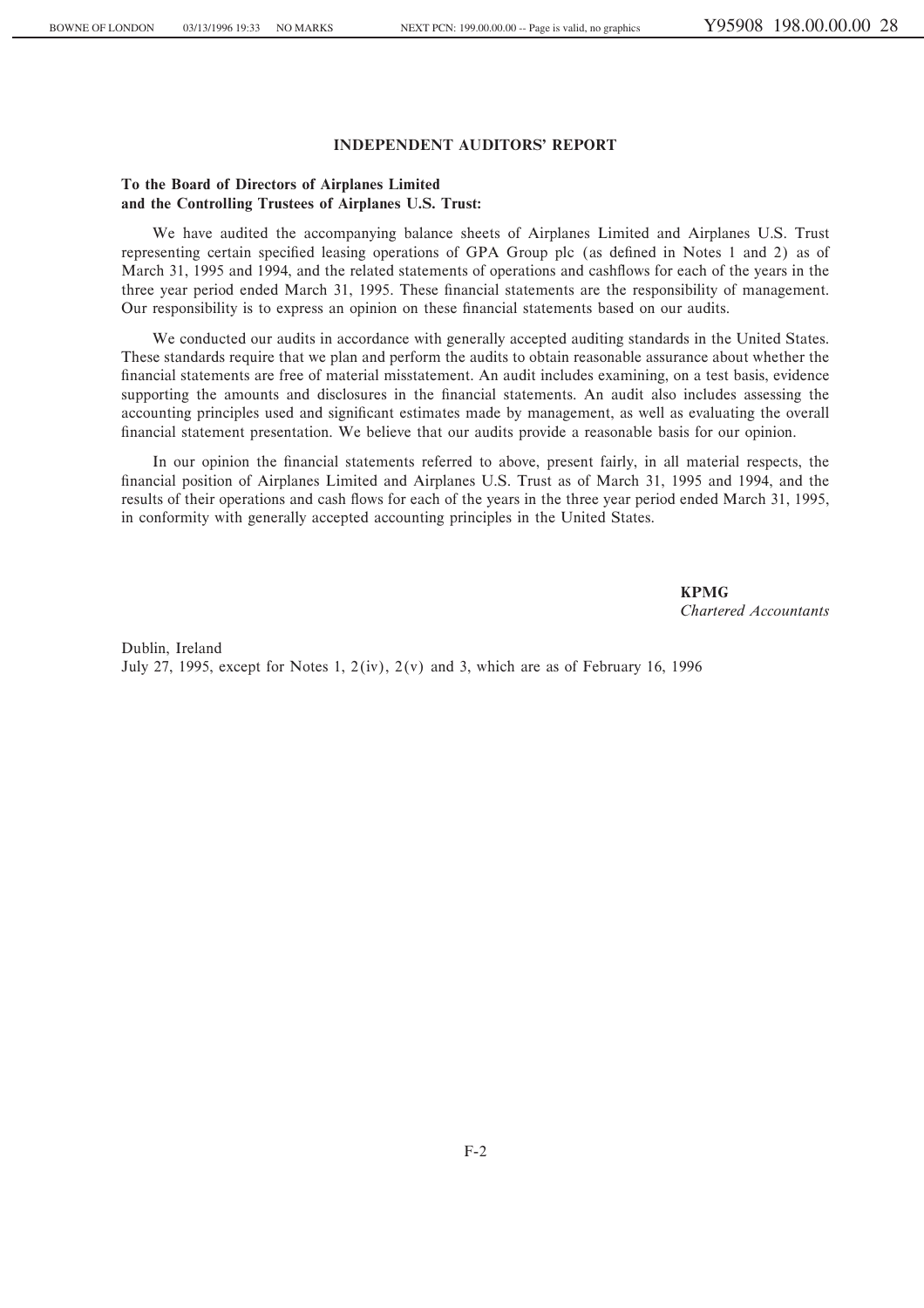## **INDEPENDENT AUDITORS' REPORT**

## **To the Board of Directors of Airplanes Limited and the Controlling Trustees of Airplanes U.S. Trust:**

We have audited the accompanying balance sheets of Airplanes Limited and Airplanes U.S. Trust representing certain specified leasing operations of GPA Group plc (as defined in Notes 1 and 2) as of March 31, 1995 and 1994, and the related statements of operations and cashflows for each of the years in the three year period ended March 31, 1995. These financial statements are the responsibility of management. Our responsibility is to express an opinion on these financial statements based on our audits.

We conducted our audits in accordance with generally accepted auditing standards in the United States. These standards require that we plan and perform the audits to obtain reasonable assurance about whether the financial statements are free of material misstatement. An audit includes examining, on a test basis, evidence supporting the amounts and disclosures in the financial statements. An audit also includes assessing the accounting principles used and significant estimates made by management, as well as evaluating the overall financial statement presentation. We believe that our audits provide a reasonable basis for our opinion.

In our opinion the financial statements referred to above, present fairly, in all material respects, the financial position of Airplanes Limited and Airplanes U.S. Trust as of March 31, 1995 and 1994, and the results of their operations and cash flows for each of the years in the three year period ended March 31, 1995, in conformity with generally accepted accounting principles in the United States.

> **KPMG** *Chartered Accountants*

Dublin, Ireland July 27, 1995, except for Notes 1,  $2(iv)$ ,  $2(v)$  and 3, which are as of February 16, 1996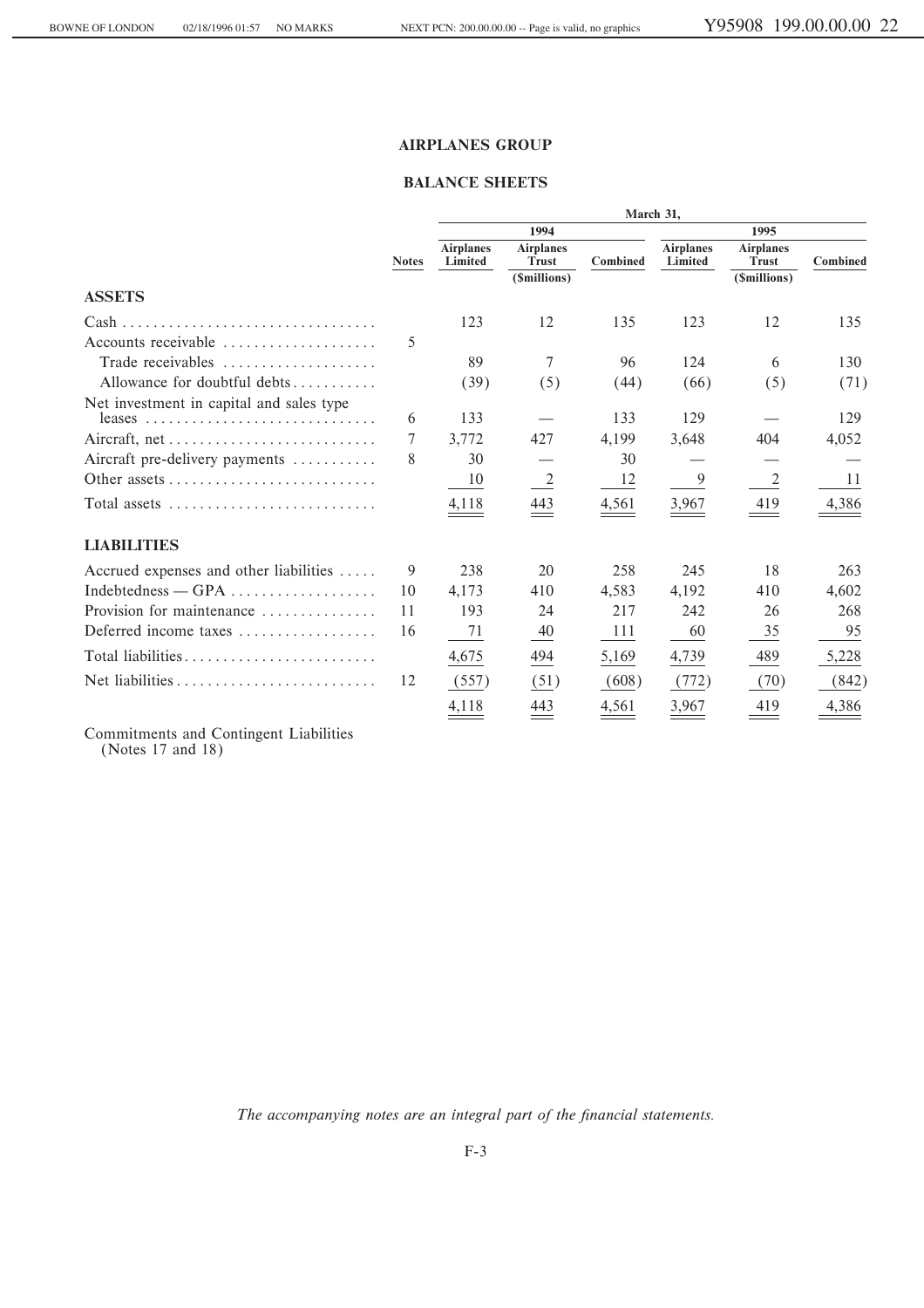## **BALANCE SHEETS**

|                                                                       |              | March 31,                   |                           |          |                             |                                  |          |  |  |
|-----------------------------------------------------------------------|--------------|-----------------------------|---------------------------|----------|-----------------------------|----------------------------------|----------|--|--|
|                                                                       |              |                             | 1994                      |          |                             | 1995                             |          |  |  |
|                                                                       | <b>Notes</b> | <b>Airplanes</b><br>Limited | <b>Airplanes</b><br>Trust | Combined | <b>Airplanes</b><br>Limited | <b>Airplanes</b><br><b>Trust</b> | Combined |  |  |
|                                                                       |              |                             | (\$millions)              |          |                             | (\$millions)                     |          |  |  |
| <b>ASSETS</b>                                                         |              |                             |                           |          |                             |                                  |          |  |  |
| $Cash \ldots \ldots \ldots \ldots \ldots \ldots \ldots \ldots \ldots$ |              | 123                         | 12                        | 135      | 123                         | 12                               | 135      |  |  |
| Accounts receivable                                                   | 5            |                             |                           |          |                             |                                  |          |  |  |
| Trade receivables                                                     |              | 89                          | 7                         | 96       | 124                         | 6                                | 130      |  |  |
| Allowance for doubtful debts                                          |              | (39)                        | (5)                       | (44)     | (66)                        | (5)                              | (71)     |  |  |
| Net investment in capital and sales type                              |              |                             |                           |          |                             |                                  |          |  |  |
|                                                                       | 6            | 133                         |                           | 133      | 129                         |                                  | 129      |  |  |
|                                                                       | 7            | 3,772                       | 427                       | 4,199    | 3,648                       | 404                              | 4,052    |  |  |
| Aircraft pre-delivery payments                                        | 8            | 30                          |                           | 30       |                             |                                  |          |  |  |
|                                                                       |              | 10                          | $\frac{2}{2}$             | 12       | 9                           | 2                                | 11       |  |  |
| Total assets $\dots \dots \dots \dots \dots \dots \dots \dots \dots$  |              | 4,118                       | 443                       | 4,561    | 3,967                       | 419                              | 4,386    |  |  |
| <b>LIABILITIES</b>                                                    |              |                             |                           |          |                             |                                  |          |  |  |
| Accrued expenses and other liabilities                                | 9            | 238                         | 20                        | 258      | 245                         | 18                               | 263      |  |  |
|                                                                       | 10           | 4.173                       | 410                       | 4.583    | 4.192                       | 410                              | 4,602    |  |  |
| Provision for maintenance                                             | 11           | 193                         | 24                        | 217      | 242                         | 26                               | 268      |  |  |
| Deferred income taxes                                                 | 16           | 71                          | $\frac{40}{1}$            | 111      | 60                          | 35                               | 95       |  |  |
|                                                                       |              | 4,675                       | 494                       | 5,169    | 4,739                       | 489                              | 5,228    |  |  |
|                                                                       | 12           | (557)                       | (51)                      | (608)    | (772)                       | (70)                             | (842)    |  |  |
|                                                                       |              | 4,118                       | 443                       | 4,561    | 3,967                       | 419                              | 4,386    |  |  |

Commitments and Contingent Liabilities<br>(Notes 17 and 18)

The accompanying notes are an integral part of the financial statements.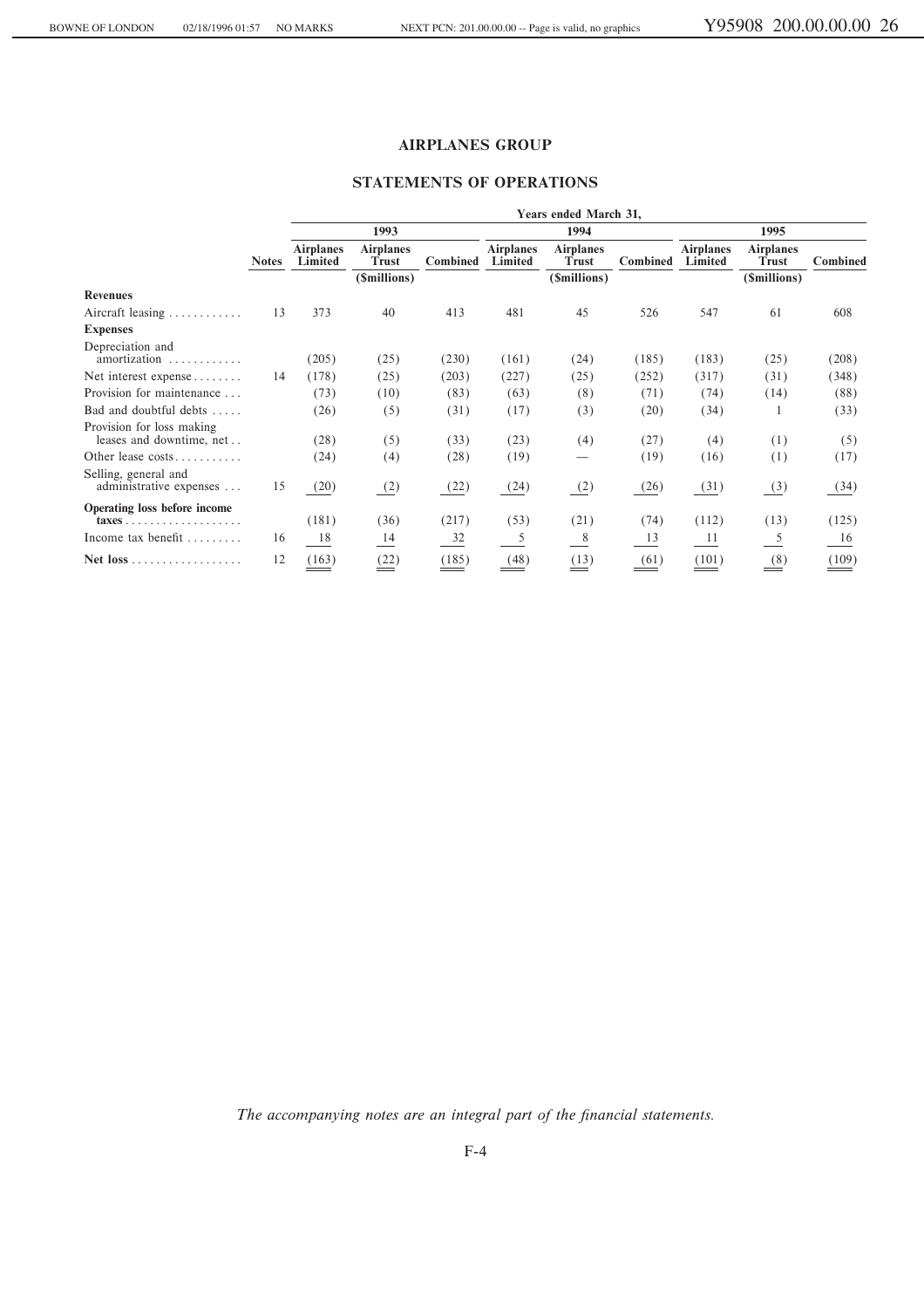## **STATEMENTS OF OPERATIONS**

|                                                                            |              | Years ended March 31,       |                                  |          |                             |                                  |          |                             |                                  |          |
|----------------------------------------------------------------------------|--------------|-----------------------------|----------------------------------|----------|-----------------------------|----------------------------------|----------|-----------------------------|----------------------------------|----------|
|                                                                            |              |                             | 1993                             |          |                             | 1994                             |          |                             | 1995                             |          |
|                                                                            | <b>Notes</b> | <b>Airplanes</b><br>Limited | <b>Airplanes</b><br><b>Trust</b> | Combined | <b>Airplanes</b><br>Limited | <b>Airplanes</b><br><b>Trust</b> | Combined | <b>Airplanes</b><br>Limited | <b>Airplanes</b><br><b>Trust</b> | Combined |
|                                                                            |              |                             | (\$millions)                     |          |                             | (\$millions)                     |          |                             | (\$millions)                     |          |
| <b>Revenues</b>                                                            |              |                             |                                  |          |                             |                                  |          |                             |                                  |          |
| Aircraft leasing $\ldots \ldots \ldots$                                    | 13           | 373                         | 40                               | 413      | 481                         | 45                               | 526      | 547                         | 61                               | 608      |
| <b>Expenses</b>                                                            |              |                             |                                  |          |                             |                                  |          |                             |                                  |          |
| Depreciation and<br>amortization<br>.                                      |              | (205)                       | (25)                             | (230)    | (161)                       | (24)                             | (185)    | (183)                       | (25)                             | (208)    |
| Net interest expense                                                       | 14           | (178)                       | (25)                             | (203)    | (227)                       | (25)                             | (252)    | (317)                       | (31)                             | (348)    |
| Provision for maintenance                                                  |              | (73)                        | (10)                             | (83)     | (63)                        | (8)                              | (71)     | (74)                        | (14)                             | (88)     |
| Bad and doubtful debts                                                     |              | (26)                        | (5)                              | (31)     | (17)                        | (3)                              | (20)     | (34)                        |                                  | (33)     |
| Provision for loss making<br>leases and downtime, net                      |              | (28)                        | (5)                              | (33)     | (23)                        | (4)                              | (27)     | (4)                         | (1)                              | (5)      |
| Other lease costs                                                          |              | (24)                        | (4)                              | (28)     | (19)                        | —                                | (19)     | (16)                        | (1)                              | (17)     |
| Selling, general and<br>administrative expenses                            | 15           | (20)                        | (2)                              | (22)     | (24)                        | (2)                              | (26)     | (31)                        | $\frac{3}{2}$                    | (34)     |
| Operating loss before income<br>$taxes \ldots \ldots \ldots \ldots \ldots$ |              | (181)                       | (36)                             | (217)    | (53)                        | (21)                             | (74)     | (112)                       | (13)                             | (125)    |
| Income tax benefit                                                         | 16           | 18                          | 14                               | 32       | 5                           | - 8                              | 13       | - 11                        | 5                                | 16       |
|                                                                            | 12           | (163)                       | (22)                             | (185)    | (48)                        | (13)                             | (61)     | (101)                       | (8)                              | (109)    |

The accompanying notes are an integral part of the financial statements.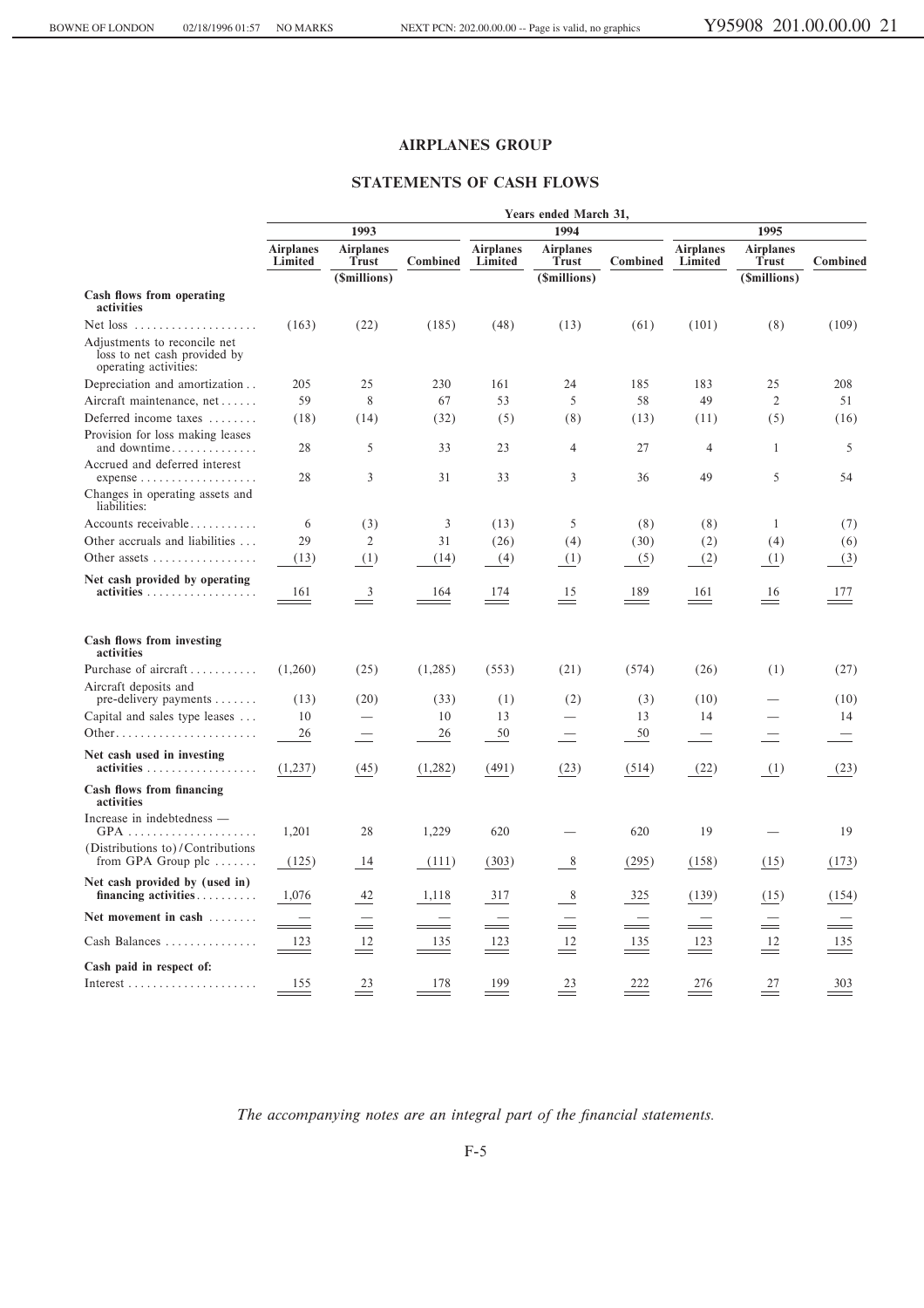## **STATEMENTS OF CASH FLOWS**

|                                                                                                   | Years ended March 31,       |                                  |                |                             |                                  |          |                             |                                  |          |
|---------------------------------------------------------------------------------------------------|-----------------------------|----------------------------------|----------------|-----------------------------|----------------------------------|----------|-----------------------------|----------------------------------|----------|
|                                                                                                   |                             | 1993                             |                |                             | 1995<br>1994                     |          |                             |                                  |          |
|                                                                                                   | <b>Airplanes</b><br>Limited | <b>Airplanes</b><br><b>Trust</b> | Combined       | <b>Airplanes</b><br>Limited | <b>Airplanes</b><br><b>Trust</b> | Combined | <b>Airplanes</b><br>Limited | <b>Airplanes</b><br><b>Trust</b> | Combined |
| Cash flows from operating<br>activities                                                           |                             | (\$millions)                     |                |                             | (\$millions)                     |          |                             | (\$millions)                     |          |
| Net loss<br>Adjustments to reconcile net<br>loss to net cash provided by<br>operating activities: | (163)                       | (22)                             | (185)          | (48)                        | (13)                             | (61)     | (101)                       | (8)                              | (109)    |
| Depreciation and amortization                                                                     | 205                         | 25                               | 230            | 161                         | 24                               | 185      | 183                         | 25                               | 208      |
| Aircraft maintenance, net                                                                         | 59                          | 8                                | 67             | 53                          | 5                                | 58       | 49                          | $\overline{2}$                   | 51       |
| Deferred income taxes                                                                             | (18)                        | (14)                             | (32)           | (5)                         | (8)                              | (13)     | (11)                        | (5)                              | (16)     |
| Provision for loss making leases<br>and downtime                                                  | 28                          | 5                                | 33             | 23                          | 4                                | 27       | $\overline{4}$              | 1                                | 5        |
| Accrued and deferred interest<br>$expense$<br>Changes in operating assets and<br>liabilities:     | 28                          | 3                                | 31             | 33                          | 3                                | 36       | 49                          | 5                                | 54       |
| Accounts receivable                                                                               | 6                           | (3)                              | $\mathfrak{Z}$ | (13)                        | 5                                | (8)      | (8)                         | 1                                | (7)      |
| Other accruals and liabilities                                                                    | 29                          | $\overline{2}$                   | 31             | (26)                        | (4)                              | (30)     | (2)                         | (4)                              | (6)      |
| Other assets $\dots\dots\dots\dots\dots\dots\dots$                                                | (13)                        | (1)                              | (14)           | (4)                         | (1)                              | (5)      | (2)                         | (1)                              | (3)      |
| Net cash provided by operating<br>activities                                                      | 161                         | $\overline{\mathbf{3}}$          | 164            | 174                         | 15                               | 189      | 161                         | 16                               | 177      |
| Cash flows from investing<br>activities                                                           |                             |                                  |                |                             |                                  |          |                             |                                  |          |
| Purchase of aircraft                                                                              | (1,260)                     | (25)                             | (1,285)        | (553)                       | (21)                             | (574)    | (26)                        | (1)                              | (27)     |
| Aircraft deposits and<br>$pre$ -delivery payments $\dots\dots$                                    | (13)                        | (20)                             | (33)           | (1)                         | (2)                              | (3)      | (10)                        |                                  | (10)     |
| Capital and sales type leases                                                                     | 10                          |                                  | 10             | 13                          |                                  | 13       | 14                          |                                  | 14       |
|                                                                                                   | 26                          |                                  | 26             | 50                          |                                  | 50       |                             |                                  |          |
| Net cash used in investing<br>$\text{activities} \dots \dots \dots \dots \dots \dots \dots$       | (1,237)                     | (45)                             | (1,282)        | (491)                       | (23)                             | (514)    | (22)                        | (1)                              | (23)     |
| Cash flows from financing<br>activities                                                           |                             |                                  |                |                             |                                  |          |                             |                                  |          |
| Increase in indebtedness —                                                                        | 1,201                       | 28                               | 1,229          | 620                         |                                  | 620      | 19                          |                                  | 19       |
| (Distributions to)/Contributions<br>from GPA Group plc $\dots$                                    | (125)                       | 14                               | (111)          | (303)                       | 8                                | (295)    | (158)                       | (15)                             | (173)    |
| Net cash provided by (used in)<br>financing activities                                            | 1,076                       | 42                               | 1,118          | 317                         | 8                                | 325      | (139)                       | (15)                             | (154)    |
| Net movement in cash $\dots\dots$                                                                 |                             |                                  |                |                             |                                  |          |                             | Ξ                                |          |
| Cash Balances                                                                                     | 123                         | 12                               | 135            | 123                         | 12                               | 135      | 123                         | 12                               | 135      |
| Cash paid in respect of:                                                                          |                             |                                  |                |                             |                                  |          |                             |                                  |          |
|                                                                                                   | 155                         | 23                               | 178            | 199                         | 23                               | 222      | 276                         | 27                               | 303      |

The accompanying notes are an integral part of the financial statements.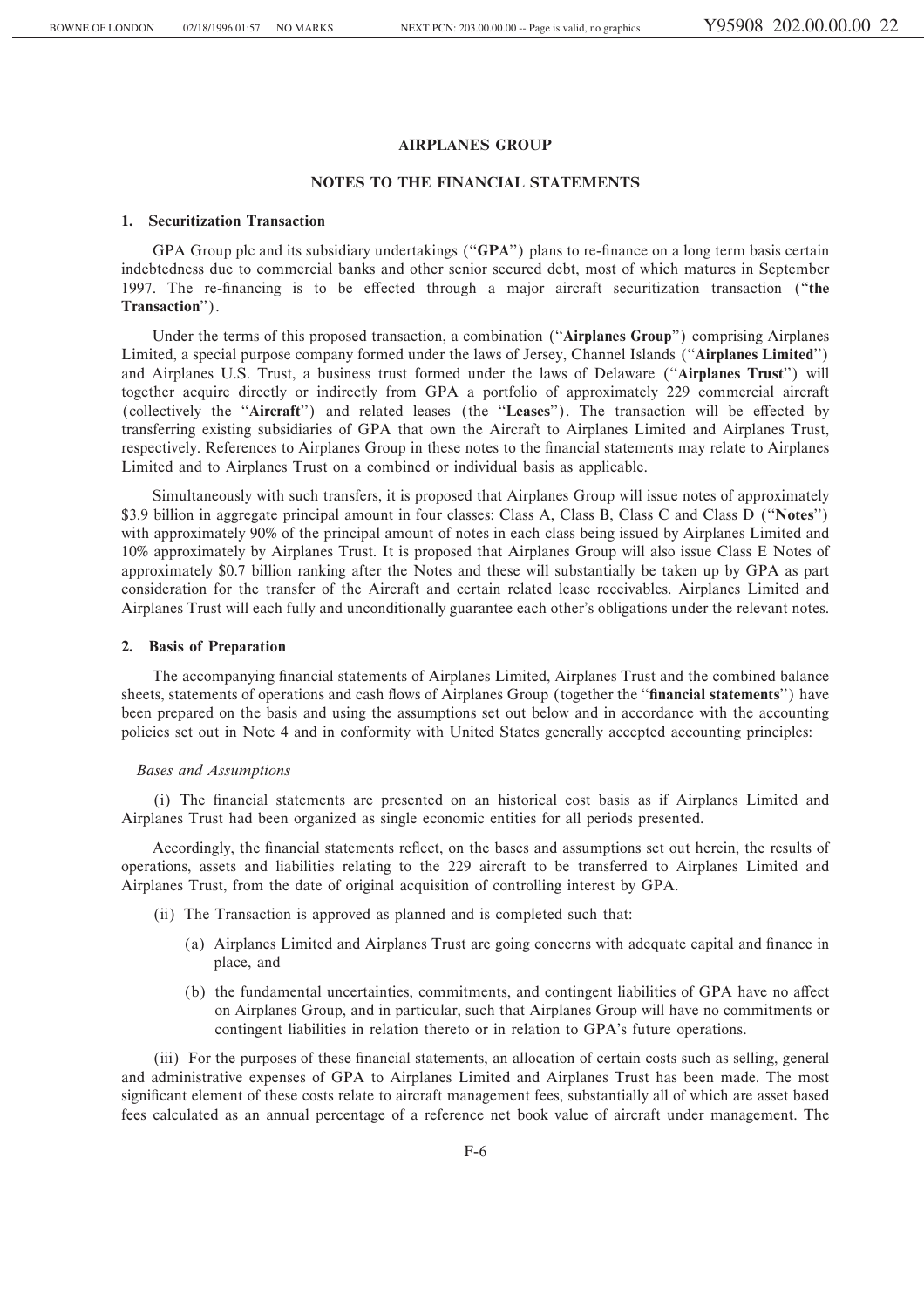#### **NOTES TO THE FINANCIAL STATEMENTS**

#### **1. Securitization Transaction**

GPA Group plc and its subsidiary undertakings ("GPA") plans to re-finance on a long term basis certain indebtedness due to commercial banks and other senior secured debt, most of which matures in September 1997. The re-financing is to be effected through a major aircraft securitization transaction ("the **Transaction**'').

Under the terms of this proposed transaction, a combination (""**Airplanes Group**'') comprising Airplanes Limited, a special purpose company formed under the laws of Jersey, Channel Islands (""**Airplanes Limited**'') and Airplanes U.S. Trust, a business trust formed under the laws of Delaware (""**Airplanes Trust**'') will together acquire directly or indirectly from GPA a portfolio of approximately 229 commercial aircraft (collectively the "Aircraft") and related leases (the "Leases"). The transaction will be effected by transferring existing subsidiaries of GPA that own the Aircraft to Airplanes Limited and Airplanes Trust, respectively. References to Airplanes Group in these notes to the financial statements may relate to Airplanes Limited and to Airplanes Trust on a combined or individual basis as applicable.

Simultaneously with such transfers, it is proposed that Airplanes Group will issue notes of approximately \$3.9 billion in aggregate principal amount in four classes: Class A, Class B, Class C and Class D (""**Notes**'') with approximately 90% of the principal amount of notes in each class being issued by Airplanes Limited and 10% approximately by Airplanes Trust. It is proposed that Airplanes Group will also issue Class E Notes of approximately \$0.7 billion ranking after the Notes and these will substantially be taken up by GPA as part consideration for the transfer of the Aircraft and certain related lease receivables. Airplanes Limited and Airplanes Trust will each fully and unconditionally guarantee each other's obligations under the relevant notes.

#### **2. Basis of Preparation**

The accompanying financial statements of Airplanes Limited, Airplanes Trust and the combined balance sheets, statements of operations and cash flows of Airplanes Group (together the "**financial statements**") have been prepared on the basis and using the assumptions set out below and in accordance with the accounting policies set out in Note 4 and in conformity with United States generally accepted accounting principles:

## *Bases and Assumptions*

(i) The Ñnancial statements are presented on an historical cost basis as if Airplanes Limited and Airplanes Trust had been organized as single economic entities for all periods presented.

Accordingly, the financial statements reflect, on the bases and assumptions set out herein, the results of operations, assets and liabilities relating to the 229 aircraft to be transferred to Airplanes Limited and Airplanes Trust, from the date of original acquisition of controlling interest by GPA.

- (ii) The Transaction is approved as planned and is completed such that:
	- (a) Airplanes Limited and Airplanes Trust are going concerns with adequate capital and Ñnance in place, and
	- (b) the fundamental uncertainties, commitments, and contingent liabilities of GPA have no affect on Airplanes Group, and in particular, such that Airplanes Group will have no commitments or contingent liabilities in relation thereto or in relation to GPA's future operations.

(iii) For the purposes of these financial statements, an allocation of certain costs such as selling, general and administrative expenses of GPA to Airplanes Limited and Airplanes Trust has been made. The most significant element of these costs relate to aircraft management fees, substantially all of which are asset based fees calculated as an annual percentage of a reference net book value of aircraft under management. The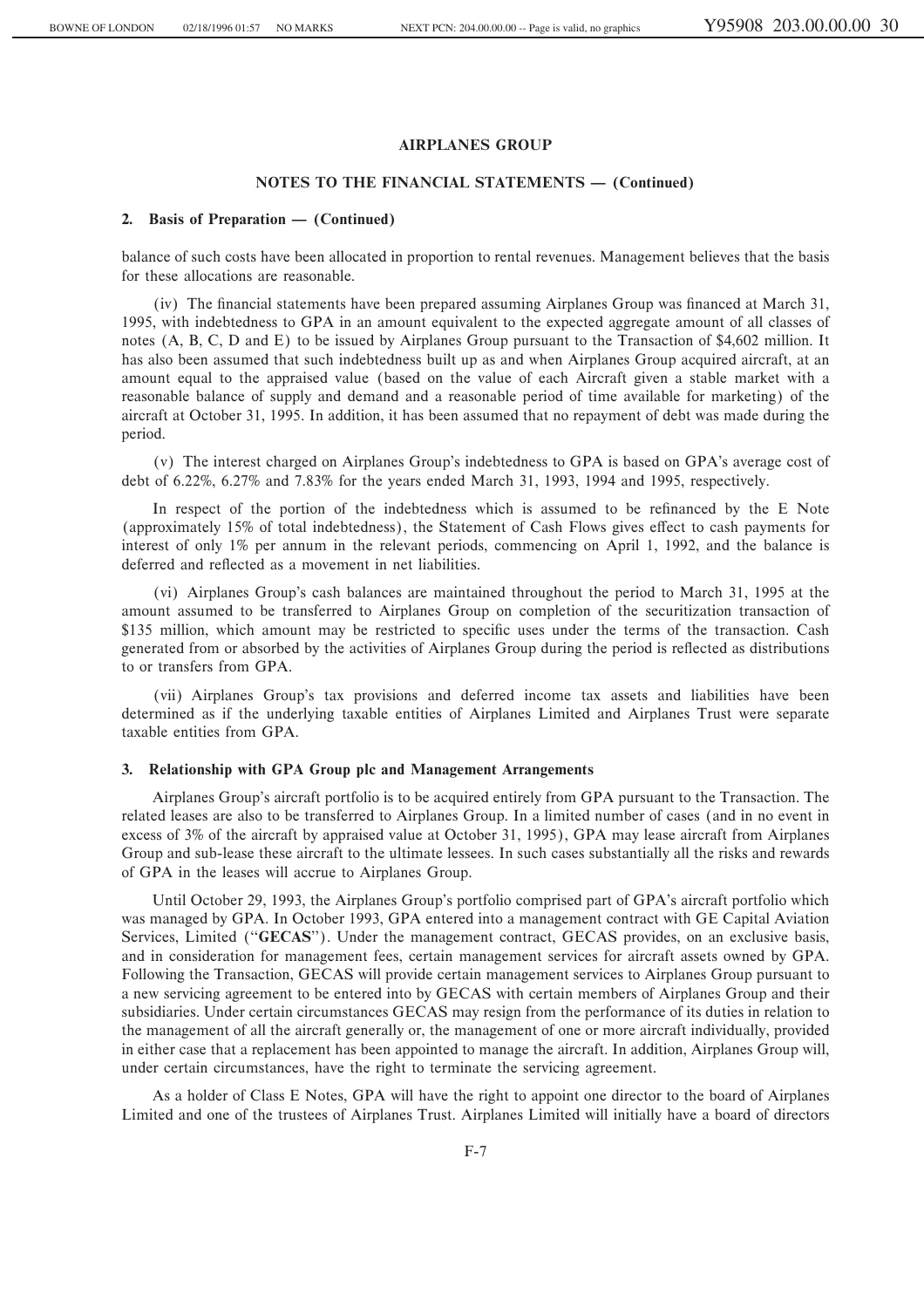## **NOTES TO THE FINANCIAL STATEMENTS – (Continued)**

#### **2.** Basis of Preparation — (Continued)

balance of such costs have been allocated in proportion to rental revenues. Management believes that the basis for these allocations are reasonable.

(iv) The financial statements have been prepared assuming Airplanes Group was financed at March 31, 1995, with indebtedness to GPA in an amount equivalent to the expected aggregate amount of all classes of notes (A, B, C, D and E) to be issued by Airplanes Group pursuant to the Transaction of \$4,602 million. It has also been assumed that such indebtedness built up as and when Airplanes Group acquired aircraft, at an amount equal to the appraised value (based on the value of each Aircraft given a stable market with a reasonable balance of supply and demand and a reasonable period of time available for marketing) of the aircraft at October 31, 1995. In addition, it has been assumed that no repayment of debt was made during the period.

(v) The interest charged on Airplanes Group's indebtedness to GPA is based on GPA's average cost of debt of 6.22%, 6.27% and 7.83% for the years ended March 31, 1993, 1994 and 1995, respectively.

In respect of the portion of the indebtedness which is assumed to be refinanced by the E Note (approximately 15% of total indebtedness), the Statement of Cash Flows gives effect to cash payments for interest of only 1% per annum in the relevant periods, commencing on April 1, 1992, and the balance is deferred and reflected as a movement in net liabilities.

(vi) Airplanes Group's cash balances are maintained throughout the period to March 31, 1995 at the amount assumed to be transferred to Airplanes Group on completion of the securitization transaction of \$135 million, which amount may be restricted to specific uses under the terms of the transaction. Cash generated from or absorbed by the activities of Airplanes Group during the period is reflected as distributions to or transfers from GPA.

(vii) Airplanes Group's tax provisions and deferred income tax assets and liabilities have been determined as if the underlying taxable entities of Airplanes Limited and Airplanes Trust were separate taxable entities from GPA.

#### **3. Relationship with GPA Group plc and Management Arrangements**

Airplanes Group's aircraft portfolio is to be acquired entirely from GPA pursuant to the Transaction. The related leases are also to be transferred to Airplanes Group. In a limited number of cases (and in no event in excess of 3% of the aircraft by appraised value at October 31, 1995), GPA may lease aircraft from Airplanes Group and sub-lease these aircraft to the ultimate lessees. In such cases substantially all the risks and rewards of GPA in the leases will accrue to Airplanes Group.

Until October 29, 1993, the Airplanes Group's portfolio comprised part of GPA's aircraft portfolio which was managed by GPA. In October 1993, GPA entered into a management contract with GE Capital Aviation Services, Limited ("**GECAS**"). Under the management contract, GECAS provides, on an exclusive basis, and in consideration for management fees, certain management services for aircraft assets owned by GPA. Following the Transaction, GECAS will provide certain management services to Airplanes Group pursuant to a new servicing agreement to be entered into by GECAS with certain members of Airplanes Group and their subsidiaries. Under certain circumstances GECAS may resign from the performance of its duties in relation to the management of all the aircraft generally or, the management of one or more aircraft individually, provided in either case that a replacement has been appointed to manage the aircraft. In addition, Airplanes Group will, under certain circumstances, have the right to terminate the servicing agreement.

As a holder of Class E Notes, GPA will have the right to appoint one director to the board of Airplanes Limited and one of the trustees of Airplanes Trust. Airplanes Limited will initially have a board of directors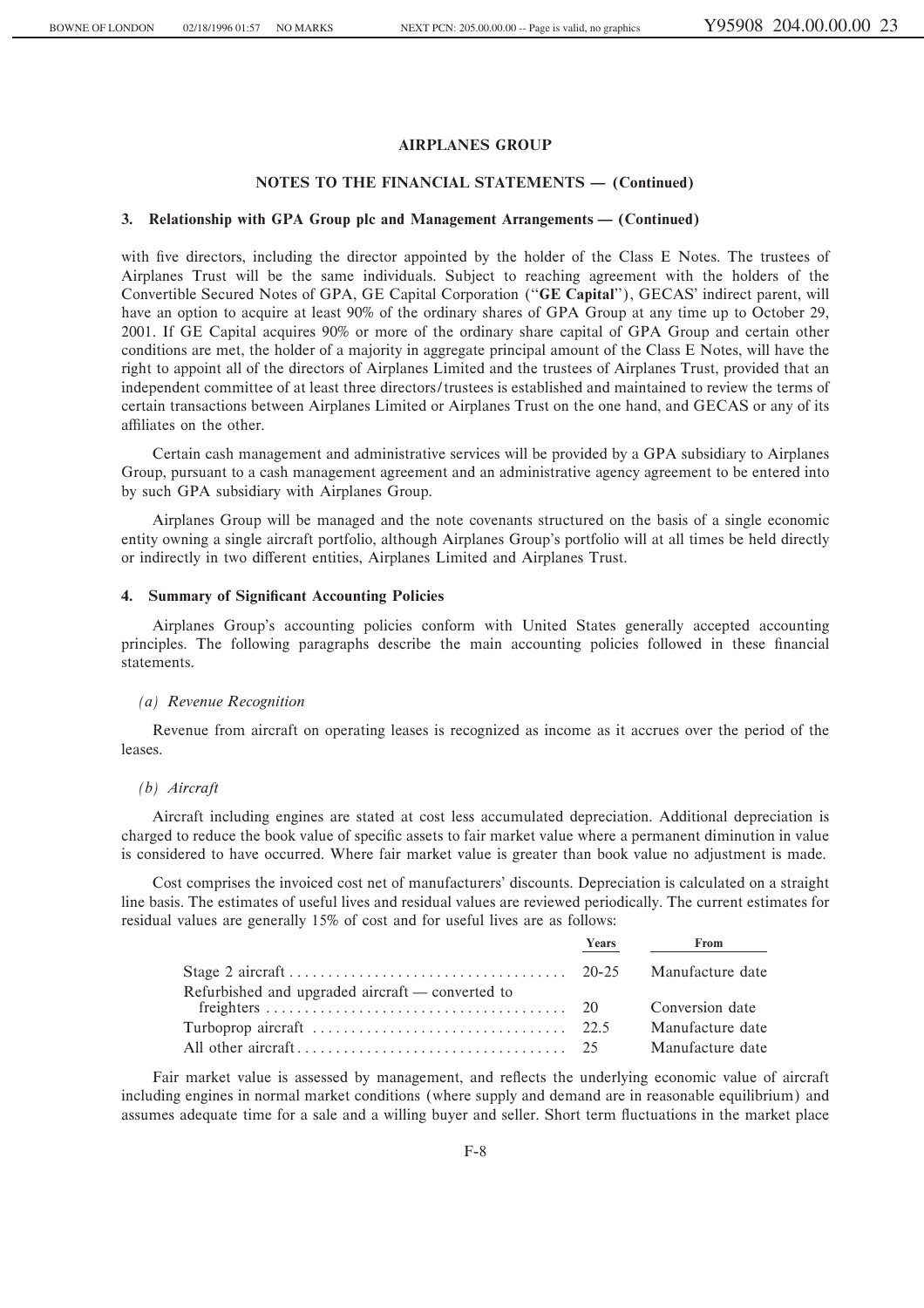#### **NOTES TO THE FINANCIAL STATEMENTS - (Continued)**

#### **3. Relationship with GPA Group plc and Management Arrangements — (Continued)**

with five directors, including the director appointed by the holder of the Class E Notes. The trustees of Airplanes Trust will be the same individuals. Subject to reaching agreement with the holders of the Convertible Secured Notes of GPA, GE Capital Corporation (""**GE Capital**''), GECAS' indirect parent, will have an option to acquire at least 90% of the ordinary shares of GPA Group at any time up to October 29, 2001. If GE Capital acquires 90% or more of the ordinary share capital of GPA Group and certain other conditions are met, the holder of a majority in aggregate principal amount of the Class E Notes, will have the right to appoint all of the directors of Airplanes Limited and the trustees of Airplanes Trust, provided that an independent committee of at least three directors/trustees is established and maintained to review the terms of certain transactions between Airplanes Limited or Airplanes Trust on the one hand, and GECAS or any of its affiliates on the other.

Certain cash management and administrative services will be provided by a GPA subsidiary to Airplanes Group, pursuant to a cash management agreement and an administrative agency agreement to be entered into by such GPA subsidiary with Airplanes Group.

Airplanes Group will be managed and the note covenants structured on the basis of a single economic entity owning a single aircraft portfolio, although Airplanes Group's portfolio will at all times be held directly or indirectly in two different entities, Airplanes Limited and Airplanes Trust.

#### **4. Summary of Significant Accounting Policies**

Airplanes Group's accounting policies conform with United States generally accepted accounting principles. The following paragraphs describe the main accounting policies followed in these financial statements.

#### *(a) Revenue Recognition*

Revenue from aircraft on operating leases is recognized as income as it accrues over the period of the leases.

### *(b) Aircraft*

Aircraft including engines are stated at cost less accumulated depreciation. Additional depreciation is charged to reduce the book value of specific assets to fair market value where a permanent diminution in value is considered to have occurred. Where fair market value is greater than book value no adjustment is made.

Cost comprises the invoiced cost net of manufacturers' discounts. Depreciation is calculated on a straight line basis. The estimates of useful lives and residual values are reviewed periodically. The current estimates for residual values are generally 15% of cost and for useful lives are as follows:

|                                                  | Years $\qquad \qquad \qquad$<br>From |
|--------------------------------------------------|--------------------------------------|
|                                                  | Manufacture date                     |
| Refurbished and upgraded aircraft — converted to |                                      |
|                                                  | Conversion date                      |
|                                                  | Manufacture date                     |
|                                                  | Manufacture date                     |

Fair market value is assessed by management, and reflects the underlying economic value of aircraft including engines in normal market conditions (where supply and demand are in reasonable equilibrium) and assumes adequate time for a sale and a willing buyer and seller. Short term fluctuations in the market place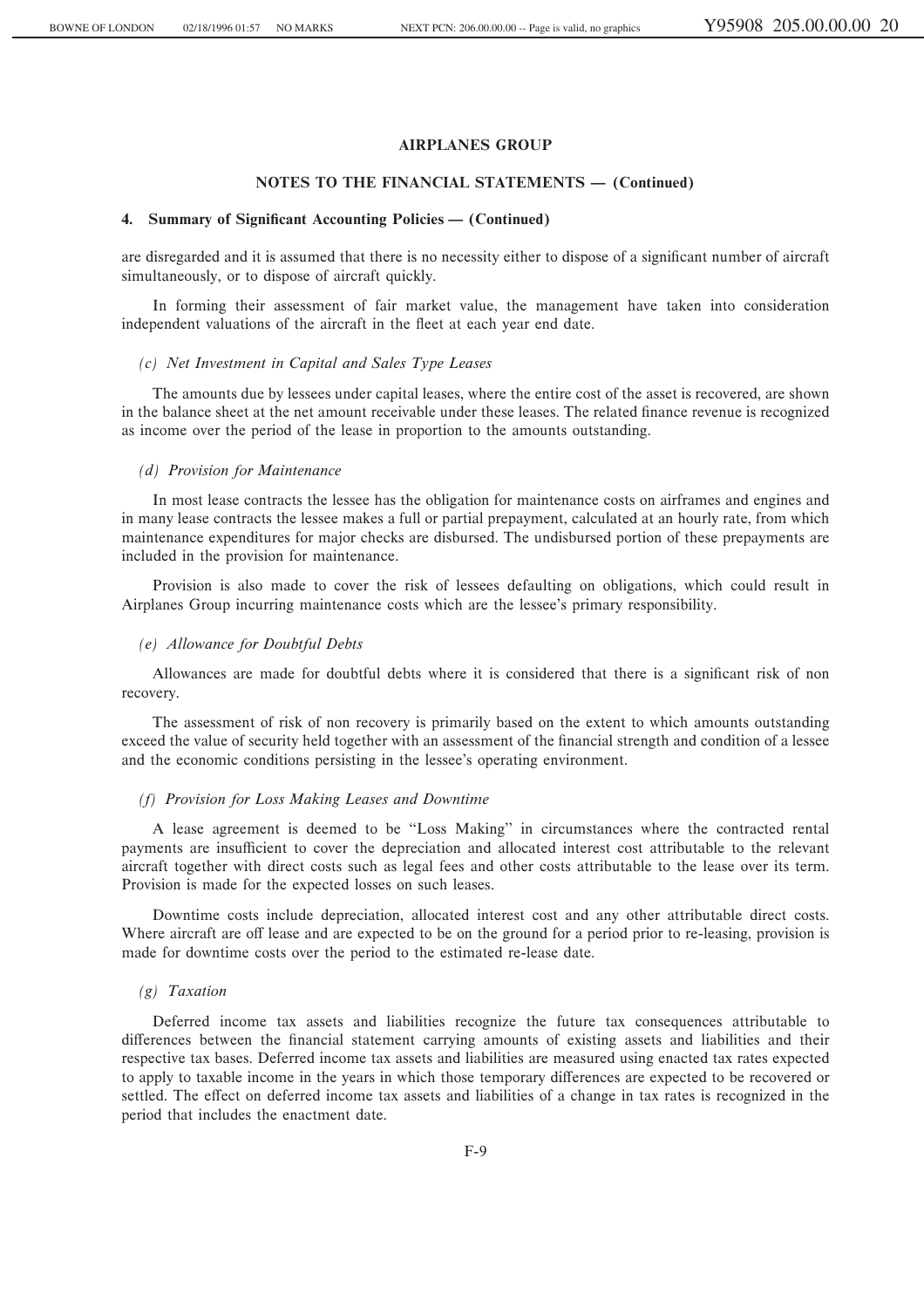## **NOTES TO THE FINANCIAL STATEMENTS - (Continued)**

#### **4. Summary of Significant Accounting Policies — (Continued)**

are disregarded and it is assumed that there is no necessity either to dispose of a significant number of aircraft simultaneously, or to dispose of aircraft quickly.

In forming their assessment of fair market value, the management have taken into consideration independent valuations of the aircraft in the fleet at each year end date.

#### *(c) Net Investment in Capital and Sales Type Leases*

The amounts due by lessees under capital leases, where the entire cost of the asset is recovered, are shown in the balance sheet at the net amount receivable under these leases. The related finance revenue is recognized as income over the period of the lease in proportion to the amounts outstanding.

#### *(d) Provision for Maintenance*

In most lease contracts the lessee has the obligation for maintenance costs on airframes and engines and in many lease contracts the lessee makes a full or partial prepayment, calculated at an hourly rate, from which maintenance expenditures for major checks are disbursed. The undisbursed portion of these prepayments are included in the provision for maintenance.

Provision is also made to cover the risk of lessees defaulting on obligations, which could result in Airplanes Group incurring maintenance costs which are the lessee's primary responsibility.

#### *(e) Allowance for Doubtful Debts*

Allowances are made for doubtful debts where it is considered that there is a significant risk of non recovery.

The assessment of risk of non recovery is primarily based on the extent to which amounts outstanding exceed the value of security held together with an assessment of the financial strength and condition of a lessee and the economic conditions persisting in the lessee's operating environment.

#### *(f) Provision for Loss Making Leases and Downtime*

A lease agreement is deemed to be "Loss Making" in circumstances where the contracted rental payments are insufficient to cover the depreciation and allocated interest cost attributable to the relevant aircraft together with direct costs such as legal fees and other costs attributable to the lease over its term. Provision is made for the expected losses on such leases.

Downtime costs include depreciation, allocated interest cost and any other attributable direct costs. Where aircraft are off lease and are expected to be on the ground for a period prior to re-leasing, provision is made for downtime costs over the period to the estimated re-lease date.

## *(g) Taxation*

Deferred income tax assets and liabilities recognize the future tax consequences attributable to differences between the financial statement carrying amounts of existing assets and liabilities and their respective tax bases. Deferred income tax assets and liabilities are measured using enacted tax rates expected to apply to taxable income in the years in which those temporary differences are expected to be recovered or settled. The effect on deferred income tax assets and liabilities of a change in tax rates is recognized in the period that includes the enactment date.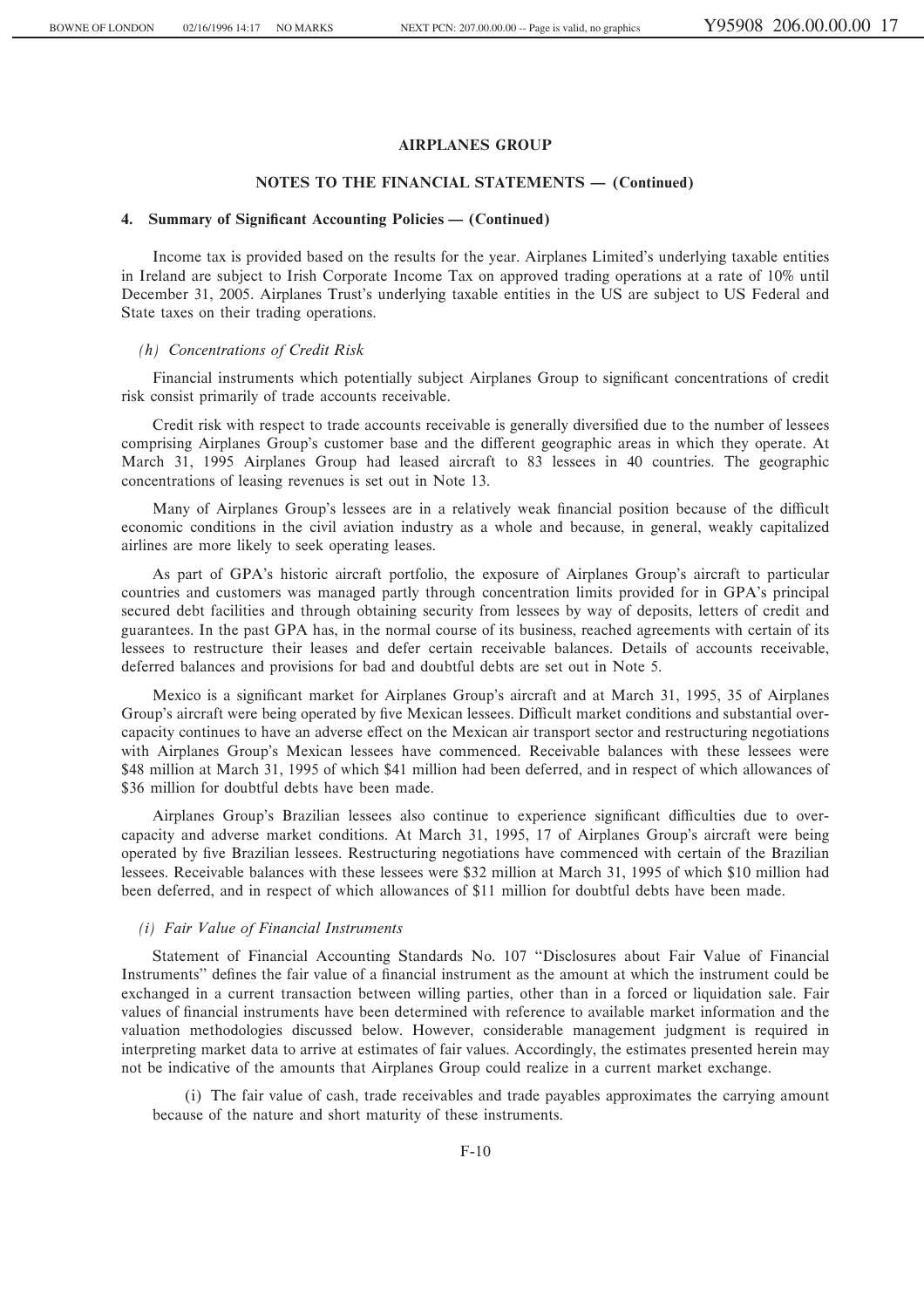## **NOTES TO THE FINANCIAL STATEMENTS – (Continued)**

#### **4. Summary of Significant Accounting Policies — (Continued)**

Income tax is provided based on the results for the year. Airplanes Limited's underlying taxable entities in Ireland are subject to Irish Corporate Income Tax on approved trading operations at a rate of 10% until December 31, 2005. Airplanes Trust's underlying taxable entities in the US are subject to US Federal and State taxes on their trading operations.

#### *(h) Concentrations of Credit Risk*

Financial instruments which potentially subject Airplanes Group to significant concentrations of credit risk consist primarily of trade accounts receivable.

Credit risk with respect to trade accounts receivable is generally diversified due to the number of lessees comprising Airplanes Group's customer base and the different geographic areas in which they operate. At March 31, 1995 Airplanes Group had leased aircraft to 83 lessees in 40 countries. The geographic concentrations of leasing revenues is set out in Note 13.

Many of Airplanes Group's lessees are in a relatively weak financial position because of the difficult economic conditions in the civil aviation industry as a whole and because, in general, weakly capitalized airlines are more likely to seek operating leases.

As part of GPA's historic aircraft portfolio, the exposure of Airplanes Group's aircraft to particular countries and customers was managed partly through concentration limits provided for in GPA's principal secured debt facilities and through obtaining security from lessees by way of deposits, letters of credit and guarantees. In the past GPA has, in the normal course of its business, reached agreements with certain of its lessees to restructure their leases and defer certain receivable balances. Details of accounts receivable, deferred balances and provisions for bad and doubtful debts are set out in Note 5.

Mexico is a significant market for Airplanes Group's aircraft and at March 31, 1995, 35 of Airplanes Group's aircraft were being operated by five Mexican lessees. Difficult market conditions and substantial overcapacity continues to have an adverse effect on the Mexican air transport sector and restructuring negotiations with Airplanes Group's Mexican lessees have commenced. Receivable balances with these lessees were \$48 million at March 31, 1995 of which \$41 million had been deferred, and in respect of which allowances of \$36 million for doubtful debts have been made.

Airplanes Group's Brazilian lessees also continue to experience significant difficulties due to overcapacity and adverse market conditions. At March 31, 1995, 17 of Airplanes Group's aircraft were being operated by five Brazilian lessees. Restructuring negotiations have commenced with certain of the Brazilian lessees. Receivable balances with these lessees were \$32 million at March 31, 1995 of which \$10 million had been deferred, and in respect of which allowances of \$11 million for doubtful debts have been made.

## *(i) Fair Value of Financial Instruments*

Statement of Financial Accounting Standards No. 107 "Disclosures about Fair Value of Financial Instruments" defines the fair value of a financial instrument as the amount at which the instrument could be exchanged in a current transaction between willing parties, other than in a forced or liquidation sale. Fair values of financial instruments have been determined with reference to available market information and the valuation methodologies discussed below. However, considerable management judgment is required in interpreting market data to arrive at estimates of fair values. Accordingly, the estimates presented herein may not be indicative of the amounts that Airplanes Group could realize in a current market exchange.

(i) The fair value of cash, trade receivables and trade payables approximates the carrying amount because of the nature and short maturity of these instruments.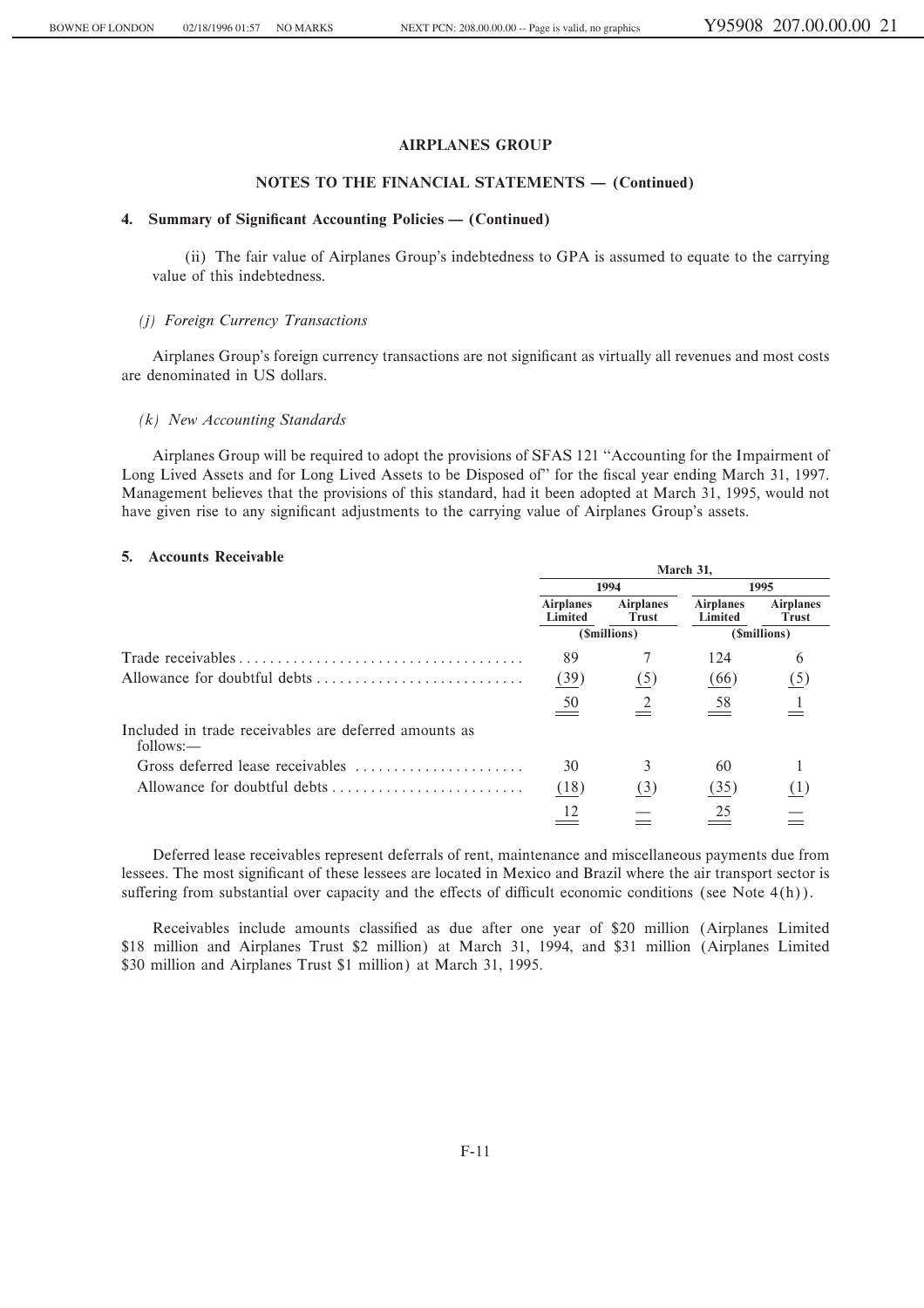## NOTES TO THE FINANCIAL STATEMENTS - (Continued)

## 4. Summary of Significant Accounting Policies — (Continued)

(ii) The fair value of Airplanes Group's indebtedness to GPA is assumed to equate to the carrying value of this indebtedness.

#### (i) Foreign Currency Transactions

Airplanes Group's foreign currency transactions are not significant as virtually all revenues and most costs are denominated in US dollars.

## $(k)$  New Accounting Standards

Airplanes Group will be required to adopt the provisions of SFAS 121 "Accounting for the Impairment of Long Lived Assets and for Long Lived Assets to be Disposed of" for the fiscal year ending March 31, 1997. Management believes that the provisions of this standard, had it been adopted at March 31, 1995, would not have given rise to any significant adjustments to the carrying value of Airplanes Group's assets.

#### 5. Accounts Receivable

| ACCUTTING INCLUSIVE                                                | March 31,                   |                                  |                             |                                  |  |
|--------------------------------------------------------------------|-----------------------------|----------------------------------|-----------------------------|----------------------------------|--|
|                                                                    |                             | 1994                             | 1995                        |                                  |  |
|                                                                    | <b>Airplanes</b><br>Limited | <b>Airplanes</b><br><b>Trust</b> | <b>Airplanes</b><br>Limited | <b>Airplanes</b><br><b>Trust</b> |  |
|                                                                    |                             | (\$millions)                     | (\$millions)                |                                  |  |
|                                                                    | 89                          |                                  | 124                         | 6                                |  |
|                                                                    | (39)                        | (5)                              | (66)                        | (5)                              |  |
|                                                                    | 50                          |                                  | 58                          |                                  |  |
| Included in trade receivables are deferred amounts as<br>follows:— |                             |                                  |                             |                                  |  |
| Gross deferred lease receivables                                   | 30                          | 3                                | 60                          |                                  |  |
|                                                                    | (18)                        | (3)                              | (35)                        | (1)                              |  |
|                                                                    |                             |                                  | 25                          |                                  |  |

Deferred lease receivables represent deferrals of rent, maintenance and miscellaneous payments due from lessees. The most significant of these lessees are located in Mexico and Brazil where the air transport sector is suffering from substantial over capacity and the effects of difficult economic conditions (see Note 4(h)).

Receivables include amounts classified as due after one year of \$20 million (Airplanes Limited \$18 million and Airplanes Trust \$2 million) at March 31, 1994, and \$31 million (Airplanes Limited \$30 million and Airplanes Trust \$1 million) at March 31, 1995.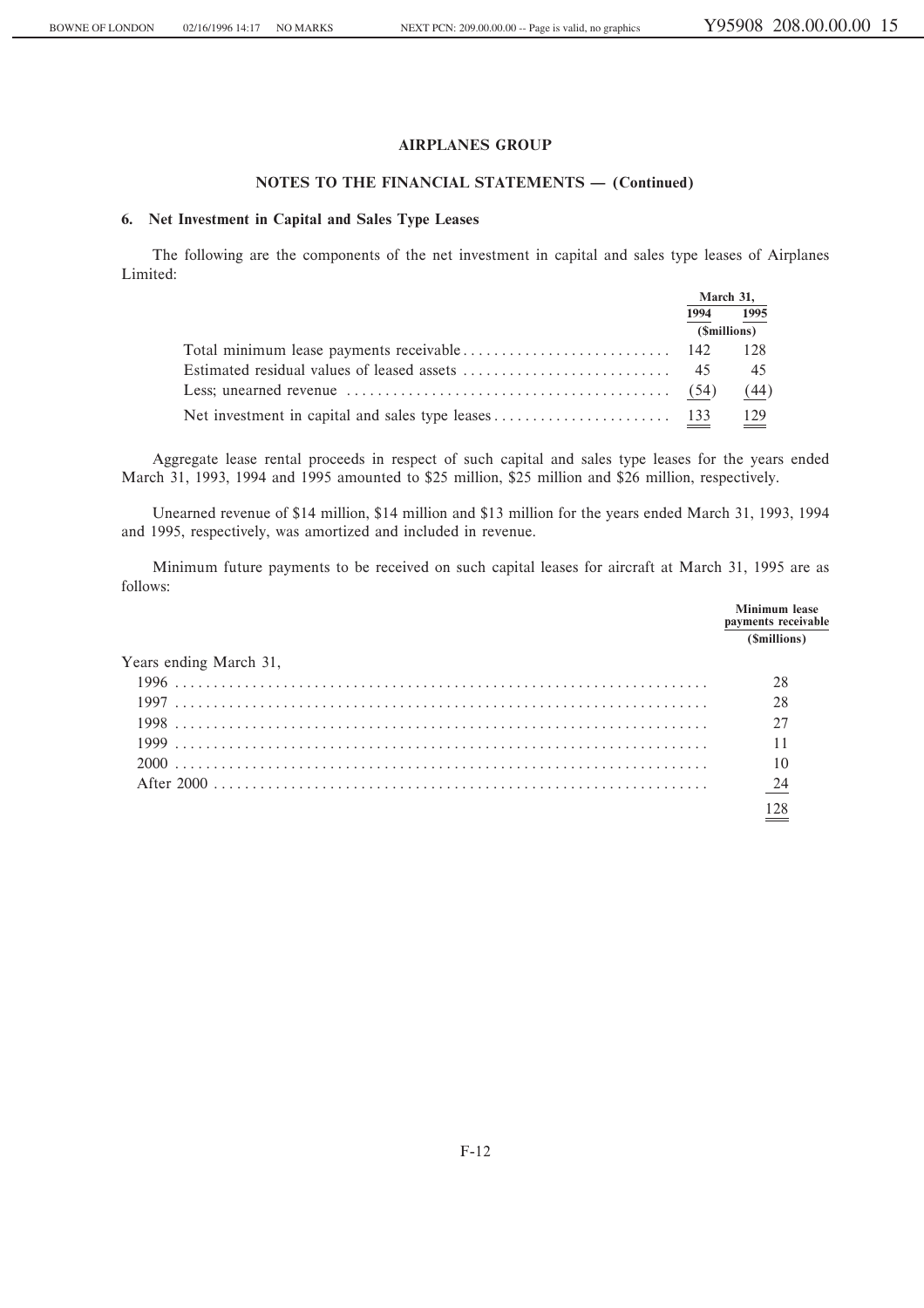## **NOTES TO THE FINANCIAL STATEMENTS - (Continued)**

## **6. Net Investment in Capital and Sales Type Leases**

The following are the components of the net investment in capital and sales type leases of Airplanes Limited:

|                                                                                                                 |      | March 31,    |
|-----------------------------------------------------------------------------------------------------------------|------|--------------|
|                                                                                                                 | 1994 | 1995         |
|                                                                                                                 |      | (\$millions) |
|                                                                                                                 |      | 128          |
|                                                                                                                 |      | 45           |
| Less; unearned revenue $\dots \dots \dots \dots \dots \dots \dots \dots \dots \dots \dots \dots \dots \tag{54}$ |      | (44)         |
|                                                                                                                 |      | 129          |

Aggregate lease rental proceeds in respect of such capital and sales type leases for the years ended March 31, 1993, 1994 and 1995 amounted to \$25 million, \$25 million and \$26 million, respectively.

Unearned revenue of \$14 million, \$14 million and \$13 million for the years ended March 31, 1993, 1994 and 1995, respectively, was amortized and included in revenue.

Minimum future payments to be received on such capital leases for aircraft at March 31, 1995 are as follows:

|                        | <b>Minimum</b> lease<br>payments receivable |
|------------------------|---------------------------------------------|
|                        | (Smillions)                                 |
| Years ending March 31, |                                             |
|                        | 28                                          |
|                        | 28                                          |
|                        | 27                                          |
|                        | 11                                          |
|                        | 10                                          |
|                        | 24                                          |
|                        |                                             |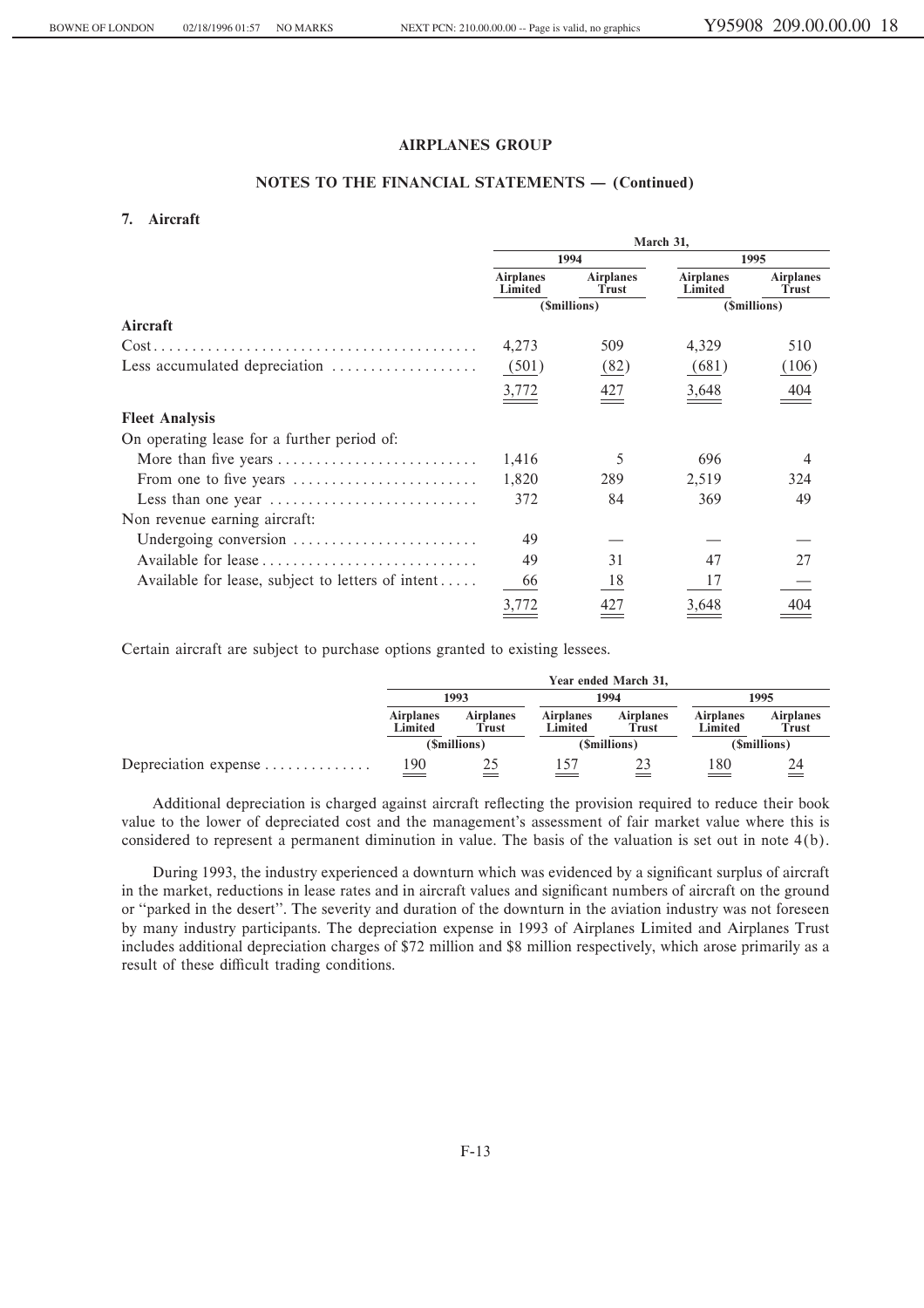## **NOTES TO THE FINANCIAL STATEMENTS - (Continued)**

## **7. Aircraft**

|                                                                         | March 31,                   |                           |                             |                           |  |  |
|-------------------------------------------------------------------------|-----------------------------|---------------------------|-----------------------------|---------------------------|--|--|
|                                                                         |                             | 1994                      | 1995                        |                           |  |  |
|                                                                         | <b>Airplanes</b><br>Limited | <b>Airplanes</b><br>Trust | <b>Airplanes</b><br>Limited | <b>Airplanes</b><br>Trust |  |  |
|                                                                         |                             | (\$millions)              |                             | (\$millions)              |  |  |
| Aircraft                                                                |                             |                           |                             |                           |  |  |
|                                                                         | 4,273                       | 509                       | 4,329                       | 510                       |  |  |
| Less accumulated depreciation                                           | (501)                       | (82)                      | (681)                       | (106)                     |  |  |
|                                                                         | <u>3,772</u>                | 427                       | 3,648                       | 404                       |  |  |
| <b>Fleet Analysis</b>                                                   |                             |                           |                             |                           |  |  |
| On operating lease for a further period of:                             |                             |                           |                             |                           |  |  |
| More than five years                                                    | 1,416                       | 5                         | 696                         | 4                         |  |  |
| From one to five years                                                  | 1,820                       | 289                       | 2,519                       | 324                       |  |  |
| Less than one year $\dots\dots\dots\dots\dots\dots\dots\dots\dots\dots$ | 372                         | 84                        | 369                         | 49                        |  |  |
| Non revenue earning aircraft:                                           |                             |                           |                             |                           |  |  |
| Undergoing conversion                                                   | 49                          |                           |                             |                           |  |  |
|                                                                         | 49                          | 31                        | 47                          | 27                        |  |  |
| Available for lease, subject to letters of intent                       | 66                          | 18                        | 17                          |                           |  |  |
|                                                                         | 3,772                       | 427                       | 3,648                       | 404                       |  |  |

Certain aircraft are subject to purchase options granted to existing lessees.

|                      |                             |                           |                             | Year ended March 31,      |                             |                           |  |
|----------------------|-----------------------------|---------------------------|-----------------------------|---------------------------|-----------------------------|---------------------------|--|
|                      | 1993                        |                           | 1994                        |                           | 1995                        |                           |  |
|                      | <b>Airplanes</b><br>Limited | <b>Airplanes</b><br>Trust | <b>Airplanes</b><br>Limited | <b>Airplanes</b><br>Trust | <b>Airplanes</b><br>Limited | <b>Airplanes</b><br>Trust |  |
|                      | (\$millions)                |                           |                             | (\$millions)              | (\$millions)                |                           |  |
| Depreciation expense | $\frac{190}{2}$             |                           |                             |                           | 180                         | $\stackrel{24}{=}$        |  |

Additional depreciation is charged against aircraft reflecting the provision required to reduce their book value to the lower of depreciated cost and the management's assessment of fair market value where this is considered to represent a permanent diminution in value. The basis of the valuation is set out in note 4(b).

During 1993, the industry experienced a downturn which was evidenced by a significant surplus of aircraft in the market, reductions in lease rates and in aircraft values and significant numbers of aircraft on the ground or "parked in the desert". The severity and duration of the downturn in the aviation industry was not foreseen by many industry participants. The depreciation expense in 1993 of Airplanes Limited and Airplanes Trust includes additional depreciation charges of \$72 million and \$8 million respectively, which arose primarily as a result of these difficult trading conditions.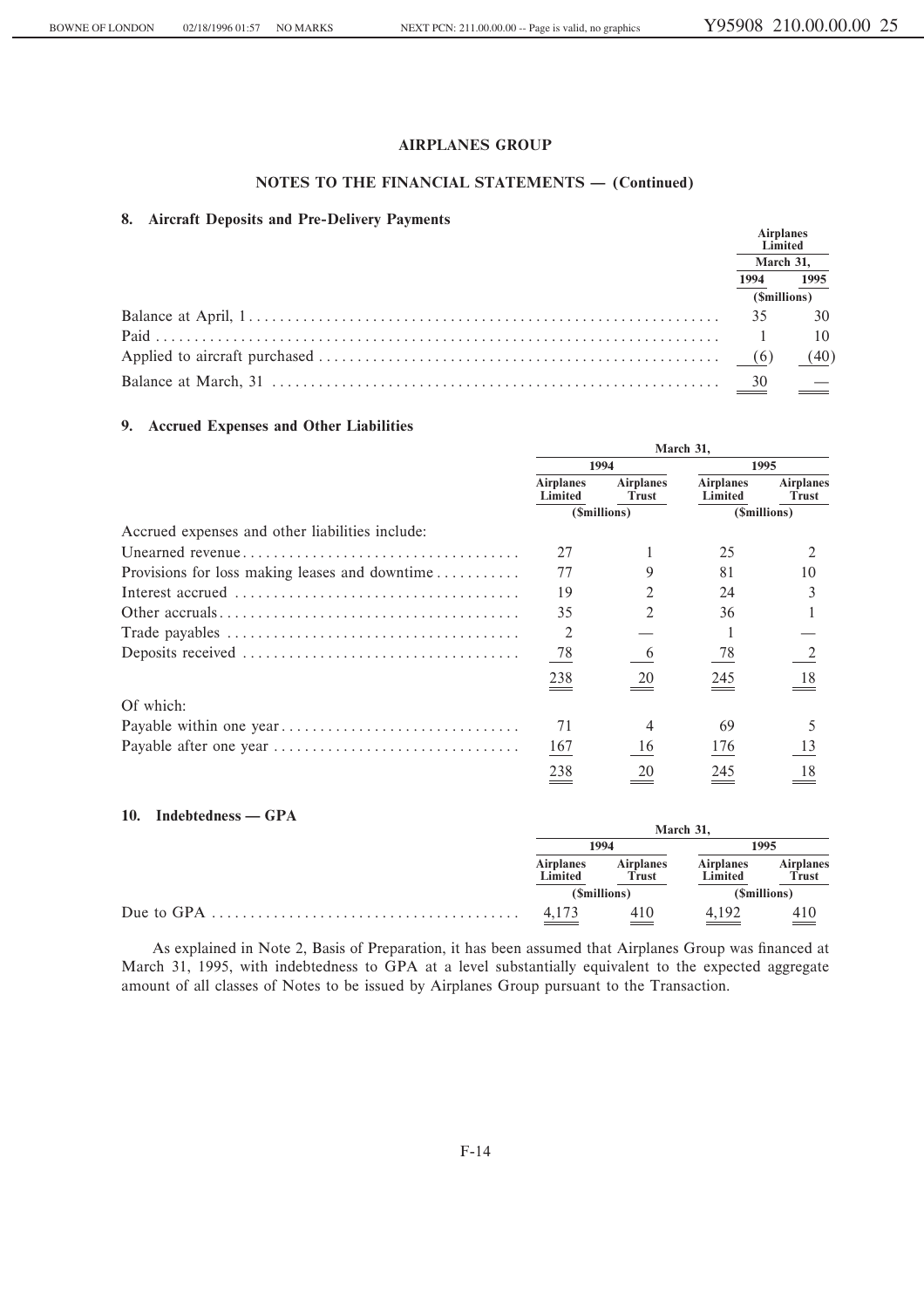## NOTES TO THE FINANCIAL STATEMENTS - (Continued)

## 8. Aircraft Deposits and Pre-Delivery Payments

| $\alpha$ . Allytan Dyposits and Tic-Dynicity Taylingins | <b>Airplanes</b> | Limited |
|---------------------------------------------------------|------------------|---------|
|                                                         | March 31,        |         |
|                                                         | 1994             | 1995    |
|                                                         | (\$millions)     |         |
|                                                         |                  |         |
|                                                         |                  | 10      |
|                                                         |                  | (40)    |
|                                                         |                  |         |

## 9. Accrued Expenses and Other Liabilities

|                                                 | March 31,                   |                                  |                             |                           |
|-------------------------------------------------|-----------------------------|----------------------------------|-----------------------------|---------------------------|
|                                                 | 1994                        |                                  |                             | 1995                      |
|                                                 | <b>Airplanes</b><br>Limited | <b>Airplanes</b><br><b>Trust</b> | <b>Airplanes</b><br>Limited | <b>Airplanes</b><br>Trust |
|                                                 |                             | (\$millions)                     |                             | (\$millions)              |
| Accrued expenses and other liabilities include: |                             |                                  |                             |                           |
|                                                 | 27                          |                                  | 25                          |                           |
| Provisions for loss making leases and downtime  | 77                          |                                  | 81                          | 10                        |
|                                                 | 19                          |                                  | 24                          |                           |
|                                                 | 35                          |                                  | 36                          |                           |
|                                                 | 2                           |                                  |                             |                           |
|                                                 | 78                          | $\mathbf b$                      | 78                          |                           |
|                                                 | 238                         | 20                               | 245                         | 18                        |
| Of which:                                       |                             |                                  |                             |                           |
|                                                 | 71                          |                                  | 69                          |                           |
|                                                 | 167                         | 16                               | 176                         | 13                        |
|                                                 | 238                         | 20                               | 245                         | 18                        |

### 10. Indebtedness — GPA

| $10.$ Indeptedness — GPA | March 31.                   |                                  |                             |                                  |  |
|--------------------------|-----------------------------|----------------------------------|-----------------------------|----------------------------------|--|
|                          |                             | 1994                             |                             | 1995                             |  |
|                          | <b>Airplanes</b><br>Limited | <b>Airplanes</b><br><b>Trust</b> | <b>Airplanes</b><br>Limited | <b>Airplanes</b><br><b>Trust</b> |  |
|                          |                             | (\$millions)                     |                             | ( <i>Smillions</i> )             |  |
|                          | $\frac{4,173}{ }$           | 410                              | 4.192                       | $\frac{410}{2}$                  |  |

As explained in Note 2, Basis of Preparation, it has been assumed that Airplanes Group was financed at March 31, 1995, with indebtedness to GPA at a level substantially equivalent to the expected aggregate amount of all classes of Notes to be issued by Airplanes Group pursuant to the Transaction.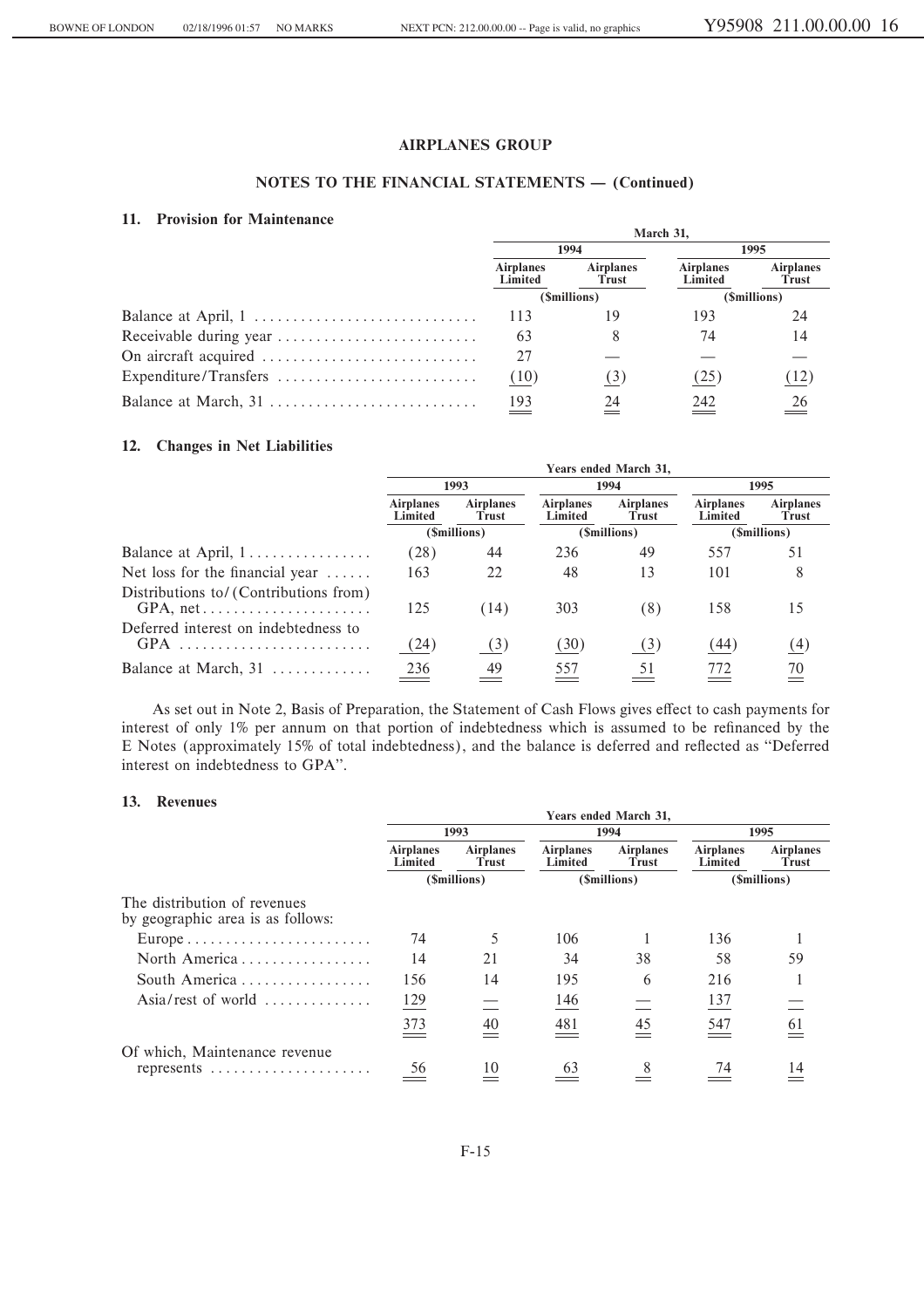## NOTES TO THE FINANCIAL STATEMENTS - (Continued)

## 11. Provision for Maintenance

| 11. 1 TOUSTON TOT MANHULANCU | March 31,                   |                           |                             |                           |  |
|------------------------------|-----------------------------|---------------------------|-----------------------------|---------------------------|--|
|                              | 1994                        |                           |                             | 1995                      |  |
|                              | <b>Airplanes</b><br>Limited | <b>Airplanes</b><br>Trust | <b>Airplanes</b><br>Limited | <b>Airplanes</b><br>Trust |  |
|                              |                             | (\$millions)              |                             | (\$millions)              |  |
|                              | 113                         | 19                        | 193                         | 24                        |  |
|                              | 63                          | 8                         | 74                          | 14                        |  |
|                              | 27                          |                           |                             |                           |  |
| Expenditure/Transfers        | (10)                        | (3)                       | (25)                        | (12)                      |  |
| Balance at March, 31         | 193                         | 24                        | 242                         | 26                        |  |

## 12. Changes in Net Liabilities

|                                             | Years ended March 31,       |                           |                             |                           |                             |                           |  |
|---------------------------------------------|-----------------------------|---------------------------|-----------------------------|---------------------------|-----------------------------|---------------------------|--|
|                                             |                             | 1993                      |                             | 1994                      |                             | 1995                      |  |
|                                             | <b>Airplanes</b><br>Limited | <b>Airplanes</b><br>Trust | <b>Airplanes</b><br>Limited | <b>Airplanes</b><br>Trust | <b>Airplanes</b><br>Limited | <b>Airplanes</b><br>Trust |  |
|                                             | (Smillions)                 |                           |                             | (\$millions)              |                             | (\$millions)              |  |
| Balance at April, 1                         | (28)                        | 44                        | 236                         | 49                        | 557                         | 51                        |  |
| Net loss for the financial year $\dots$ .   | 163                         | 22                        | 48                          | 13                        | 101                         | 8                         |  |
| Distributions to/ (Contributions from)      | 125                         | (14)                      | 303                         | (8)                       | 158                         | 15                        |  |
| Deferred interest on indebtedness to<br>GPA | (24)                        | (3)                       | (30)                        | (3)                       | (44)                        | (4)                       |  |
| Balance at March, 31                        | 236                         | 49                        | 557                         | 51                        | 772                         | 70                        |  |

As set out in Note 2, Basis of Preparation, the Statement of Cash Flows gives effect to cash payments for interest of only 1% per annum on that portion of indebtedness which is assumed to be refinanced by the E Notes (approximately 15% of total indebtedness), and the balance is deferred and reflected as "Deferred interest on indebtedness to GPA".

 $V_{\text{cusp}}$  and all Manda 21

#### 13. Revenues

|                                                                                        |                             |                                  |                             | <b>Teals chucu March 51,</b> |                             |                           |
|----------------------------------------------------------------------------------------|-----------------------------|----------------------------------|-----------------------------|------------------------------|-----------------------------|---------------------------|
|                                                                                        |                             | 1993                             |                             | 1994                         |                             | 1995                      |
|                                                                                        | <b>Airplanes</b><br>Limited | <b>Airplanes</b><br><b>Trust</b> | <b>Airplanes</b><br>Limited | <b>Airplanes</b><br>Trust    | <b>Airplanes</b><br>Limited | <b>Airplanes</b><br>Trust |
|                                                                                        |                             | (\$millions)                     | (\$millions)                |                              | (\$millions)                |                           |
| The distribution of revenues<br>by geographic area is as follows:                      |                             |                                  |                             |                              |                             |                           |
| $Europe \ldots \ldots \ldots \ldots \ldots \ldots \ldots$                              | 74                          |                                  | 106                         |                              | 136                         |                           |
| North America                                                                          | 14                          | 21                               | 34                          | 38                           | 58                          | 59                        |
| South America                                                                          | 156                         | 14                               | 195                         | 6                            | 216                         |                           |
| Asia/rest of world                                                                     | 129                         |                                  | 146                         |                              | 137                         |                           |
|                                                                                        | 373                         | 40                               | 481                         | 45                           | 547                         | 61                        |
| Of which, Maintenance revenue<br>represents $\dots\dots\dots\dots\dots\dots\dots\dots$ | 56                          | 10                               | 63                          |                              | 74                          | 14                        |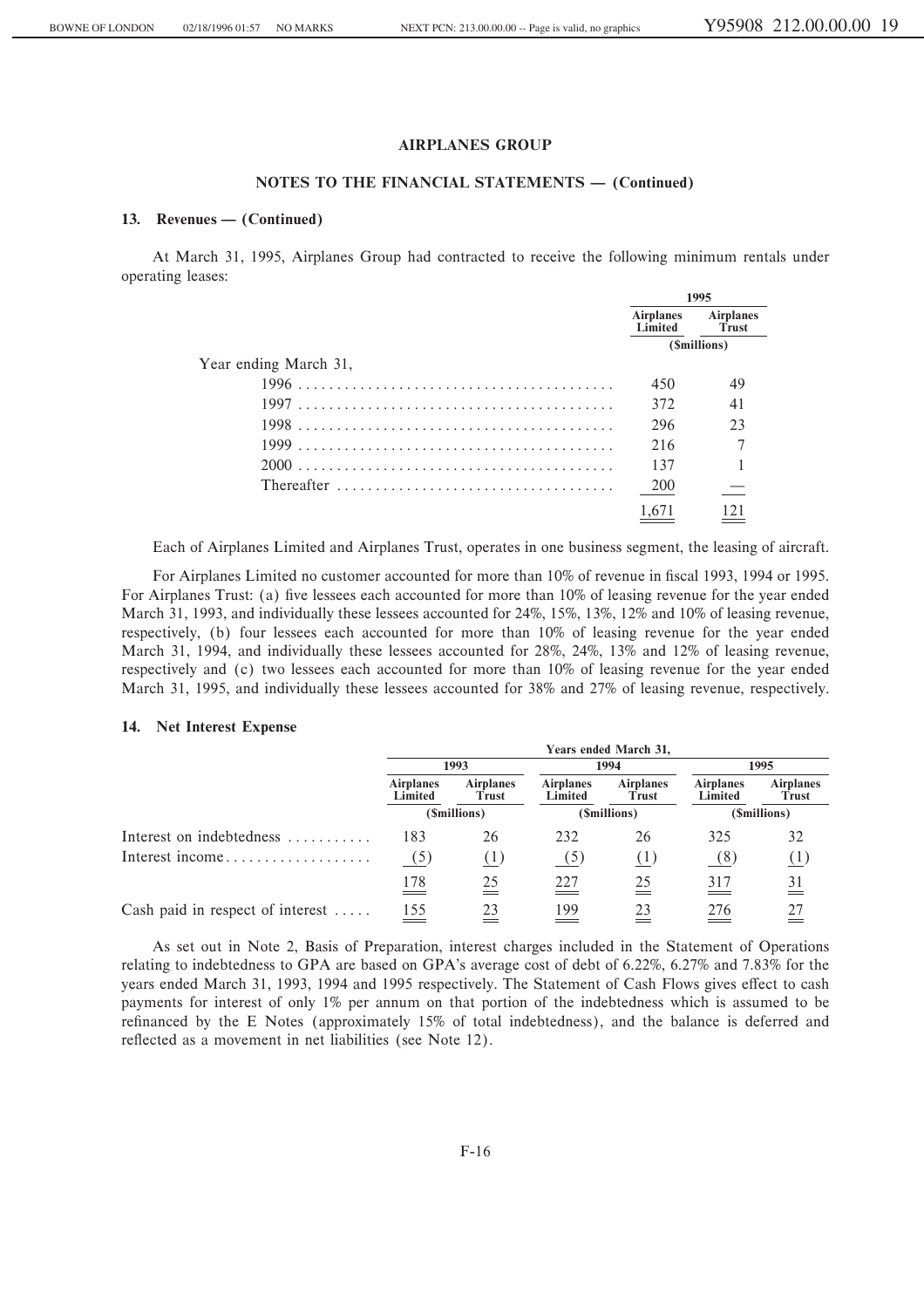#### **NOTES TO THE FINANCIAL STATEMENTS – (Continued)**

#### 13. Revenues — (Continued)

At March 31, 1995, Airplanes Group had contracted to receive the following minimum rentals under operating leases:

|                                                                                    | 1995                        |                           |  |
|------------------------------------------------------------------------------------|-----------------------------|---------------------------|--|
|                                                                                    | <b>Airplanes</b><br>Limited | <b>Airplanes</b><br>Trust |  |
|                                                                                    |                             | (\$millions)              |  |
| Year ending March 31,                                                              |                             |                           |  |
|                                                                                    | 450                         | 49                        |  |
|                                                                                    | 372                         | 41                        |  |
|                                                                                    | 296                         | 23                        |  |
|                                                                                    | 216                         |                           |  |
|                                                                                    | 137                         |                           |  |
| Thereafter $\ldots \ldots \ldots \ldots \ldots \ldots \ldots \ldots \ldots \ldots$ | <b>200</b>                  |                           |  |
|                                                                                    | 1,67                        |                           |  |

Each of Airplanes Limited and Airplanes Trust, operates in one business segment, the leasing of aircraft.

For Airplanes Limited no customer accounted for more than  $10\%$  of revenue in fiscal 1993, 1994 or 1995. For Airplanes Trust: (a) five lessees each accounted for more than 10% of leasing revenue for the year ended March 31, 1993, and individually these lessees accounted for 24%, 15%, 13%, 12% and 10% of leasing revenue, respectively, (b) four lessees each accounted for more than 10% of leasing revenue for the year ended March 31, 1994, and individually these lessees accounted for 28%, 24%, 13% and 12% of leasing revenue, respectively and (c) two lessees each accounted for more than 10% of leasing revenue for the year ended March 31, 1995, and individually these lessees accounted for 38% and 27% of leasing revenue, respectively.

#### **14. Net Interest Expense**

|                                            |                             |                           |                             | Years ended March 31,     |                                 |                           |
|--------------------------------------------|-----------------------------|---------------------------|-----------------------------|---------------------------|---------------------------------|---------------------------|
|                                            |                             | 1993                      | 1994                        |                           | 1995                            |                           |
|                                            | <b>Airplanes</b><br>Limited | <b>Airplanes</b><br>Trust | <b>Airplanes</b><br>Limited | <b>Airplanes</b><br>Trust | <b>Airplanes</b><br>Limited     | <b>Airplanes</b><br>Trust |
|                                            | (\$millions)                |                           | (\$millions)                |                           | (\$millions)                    |                           |
| Interest on indebtedness                   | 183                         | 26                        | 232                         | 26                        | 325                             | 32                        |
| Interest income                            | (5)                         | (1)                       | (5)                         | (1)                       | (8)                             | (1)                       |
|                                            | 178<br>$\equiv$ $\equiv$    | 25                        | 227<br>$\, = \,$            | 25                        | 317<br>$\overline{\phantom{a}}$ | 31                        |
| Cash paid in respect of interest $\dots$ . | 155<br>$=$                  | 23                        | 199                         | 23                        | 276                             | 27                        |

As set out in Note 2, Basis of Preparation, interest charges included in the Statement of Operations relating to indebtedness to GPA are based on GPA's average cost of debt of 6.22%, 6.27% and 7.83% for the years ended March 31, 1993, 1994 and 1995 respectively. The Statement of Cash Flows gives effect to cash payments for interest of only 1% per annum on that portion of the indebtedness which is assumed to be refinanced by the E Notes (approximately 15% of total indebtedness), and the balance is deferred and reflected as a movement in net liabilities (see Note 12).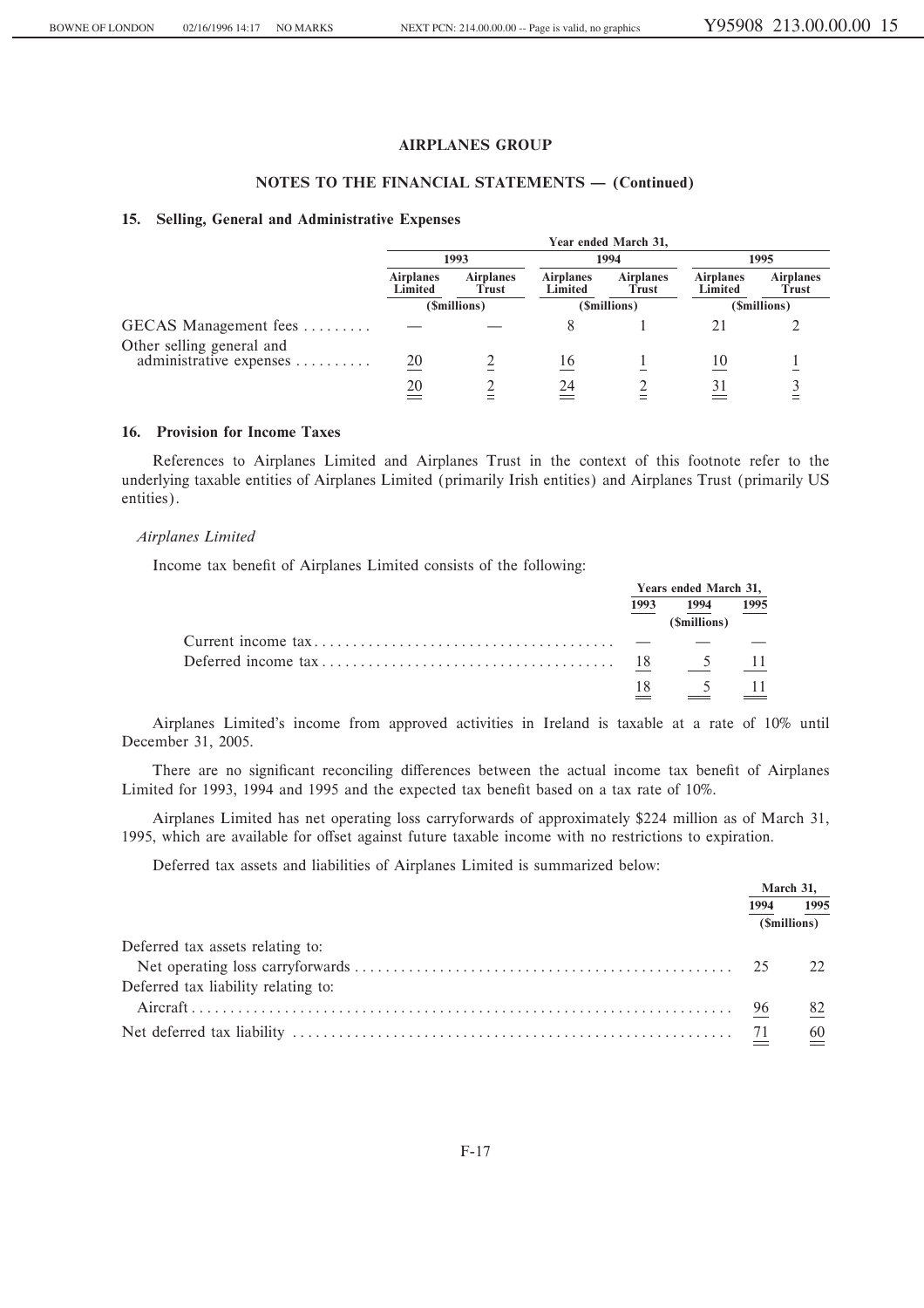## NOTES TO THE FINANCIAL STATEMENTS - (Continued)

#### 15. Selling, General and Administrative Expenses

|                           |                             |                           |                             | Year ended March 31,      |                             |                           |
|---------------------------|-----------------------------|---------------------------|-----------------------------|---------------------------|-----------------------------|---------------------------|
|                           |                             | 1993                      | 1994                        |                           | 1995                        |                           |
|                           | <b>Airplanes</b><br>Limited | <b>Airplanes</b><br>Trust | <b>Airplanes</b><br>Limited | <b>Airplanes</b><br>Trust | <b>Airplanes</b><br>Limited | <b>Airplanes</b><br>Trust |
|                           | (\$millions)                |                           | (\$millions)                |                           | (\$millions)                |                           |
| GECAS Management fees     |                             |                           |                             |                           |                             |                           |
| Other selling general and |                             |                           |                             |                           |                             |                           |
| administrative expenses   | 20                          |                           | 16                          |                           |                             |                           |
|                           | 20                          |                           | 24                          |                           |                             |                           |
|                           |                             |                           |                             |                           |                             |                           |

## 16. Provision for Income Taxes

References to Airplanes Limited and Airplanes Trust in the context of this footnote refer to the underlying taxable entities of Airplanes Limited (primarily Irish entities) and Airplanes Trust (primarily US entities).

## Airplanes Limited

Income tax benefit of Airplanes Limited consists of the following:

| Years ended March 31, |                              |                |  |
|-----------------------|------------------------------|----------------|--|
| 1993                  | 1994<br>( <i>Smillions</i> ) | 1995           |  |
|                       |                              |                |  |
|                       |                              | - 11           |  |
|                       | $\frac{5}{2}$                | $\frac{11}{2}$ |  |

Airplanes Limited's income from approved activities in Ireland is taxable at a rate of 10% until December 31, 2005.

There are no significant reconciling differences between the actual income tax benefit of Airplanes Limited for 1993, 1994 and 1995 and the expected tax benefit based on a tax rate of 10%.

Airplanes Limited has net operating loss carryforwards of approximately \$224 million as of March 31, 1995, which are available for offset against future taxable income with no restrictions to expiration.

Deferred tax assets and liabilities of Airplanes Limited is summarized below:

|                                     | March 31, |                  |
|-------------------------------------|-----------|------------------|
|                                     | 1994      | 1995             |
|                                     |           | (Smillions)      |
| Deferred tax assets relating to:    |           |                  |
|                                     |           | 22               |
| Deferred tax liability relating to: |           |                  |
|                                     |           | 82               |
|                                     |           | $\underline{60}$ |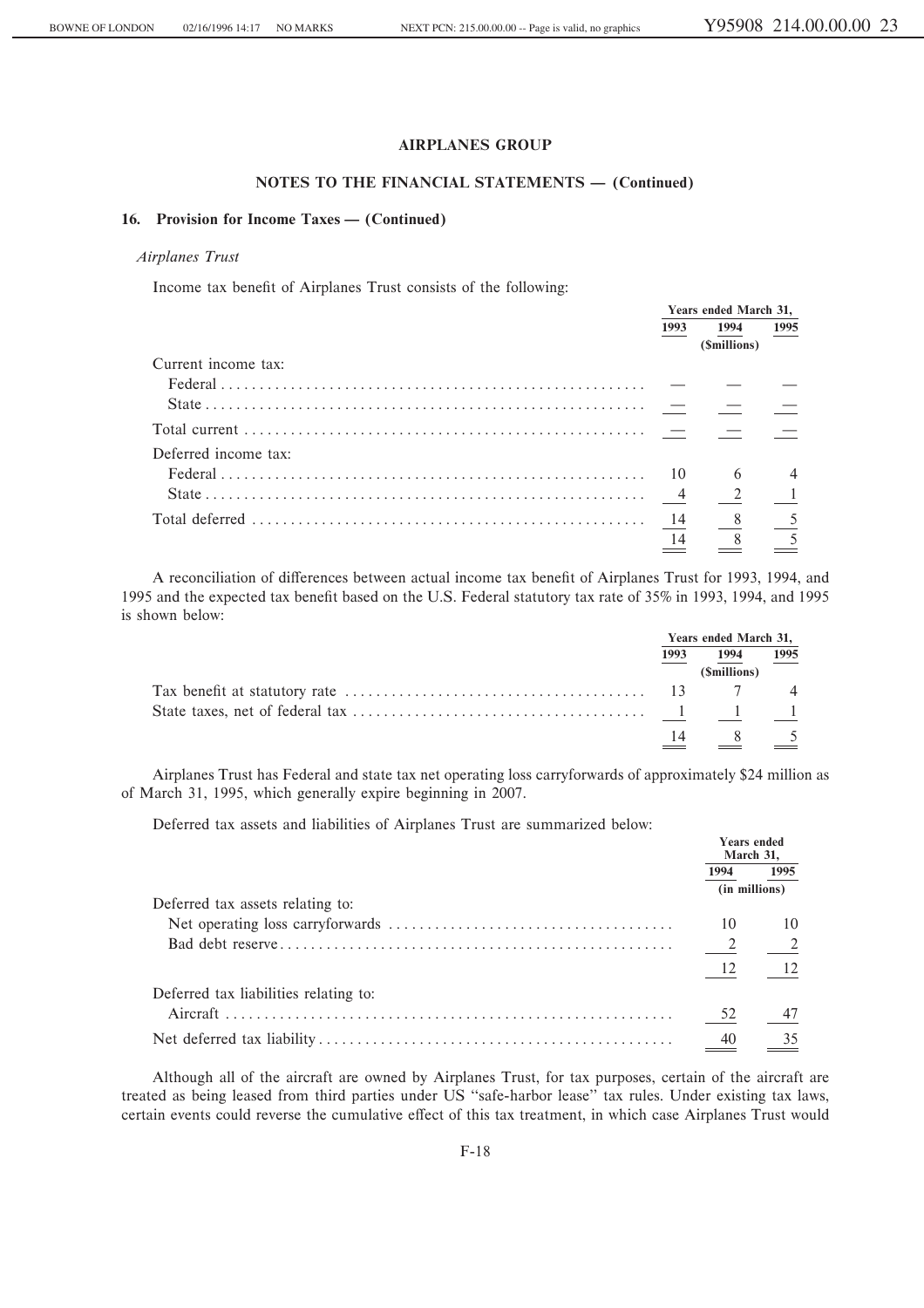## **NOTES TO THE FINANCIAL STATEMENTS - (Continued)**

## 16. Provision for Income Taxes — (Continued)

## *Airplanes Trust*

Income tax benefit of Airplanes Trust consists of the following:

|                      | Years ended March 31, |                |      |
|----------------------|-----------------------|----------------|------|
|                      | 1993                  | 1994           | 1995 |
|                      |                       | (Smillions)    |      |
| Current income tax:  |                       |                |      |
|                      |                       |                |      |
|                      |                       |                |      |
|                      |                       |                |      |
| Deferred income tax: |                       |                |      |
|                      |                       | 6              |      |
|                      |                       | 2              |      |
|                      | $\frac{14}{2}$        | 8 <sup>8</sup> |      |
|                      | 14                    |                |      |

A reconciliation of differences between actual income tax benefit of Airplanes Trust for 1993, 1994, and 1995 and the expected tax benefit based on the U.S. Federal statutory tax rate of 35% in 1993, 1994, and 1995 is shown below:

| Years ended March 31, |              |                |
|-----------------------|--------------|----------------|
| 1993                  | 1994         | 1995           |
|                       | (\$millions) |                |
|                       |              | $\overline{4}$ |
|                       |              |                |
| 14                    |              |                |

Airplanes Trust has Federal and state tax net operating loss carryforwards of approximately \$24 million as of March 31, 1995, which generally expire beginning in 2007.

Deferred tax assets and liabilities of Airplanes Trust are summarized below:

|                                       | <b>Years ended</b><br>March 31. |                          |
|---------------------------------------|---------------------------------|--------------------------|
|                                       | 1994                            | 1995                     |
|                                       |                                 | (in millions)            |
| Deferred tax assets relating to:      |                                 |                          |
|                                       | 10                              |                          |
|                                       | $\overline{\phantom{a}}$        | $\overline{\phantom{a}}$ |
|                                       | -12                             |                          |
| Deferred tax liabilities relating to: |                                 |                          |
|                                       | 52                              |                          |
|                                       | 40                              |                          |

Although all of the aircraft are owned by Airplanes Trust, for tax purposes, certain of the aircraft are treated as being leased from third parties under US "safe-harbor lease" tax rules. Under existing tax laws, certain events could reverse the cumulative effect of this tax treatment, in which case Airplanes Trust would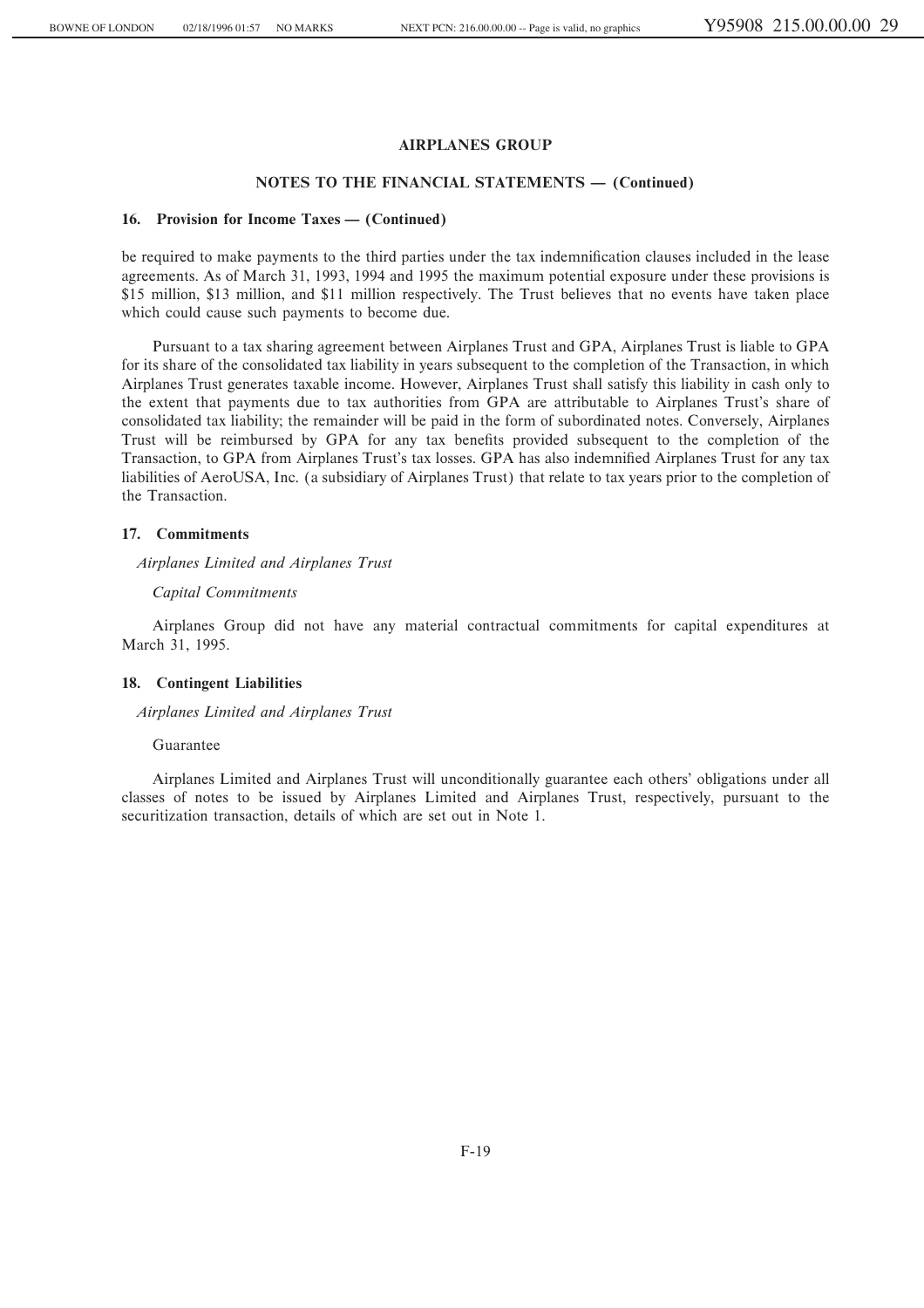#### **NOTES TO THE FINANCIAL STATEMENTS – (Continued)**

#### 16. Provision for Income Taxes — (Continued)

be required to make payments to the third parties under the tax indemnification clauses included in the lease agreements. As of March 31, 1993, 1994 and 1995 the maximum potential exposure under these provisions is \$15 million, \$13 million, and \$11 million respectively. The Trust believes that no events have taken place which could cause such payments to become due.

Pursuant to a tax sharing agreement between Airplanes Trust and GPA, Airplanes Trust is liable to GPA for its share of the consolidated tax liability in years subsequent to the completion of the Transaction, in which Airplanes Trust generates taxable income. However, Airplanes Trust shall satisfy this liability in cash only to the extent that payments due to tax authorities from GPA are attributable to Airplanes Trust's share of consolidated tax liability; the remainder will be paid in the form of subordinated notes. Conversely, Airplanes Trust will be reimbursed by GPA for any tax benefits provided subsequent to the completion of the Transaction, to GPA from Airplanes Trust's tax losses. GPA has also indemnified Airplanes Trust for any tax liabilities of AeroUSA, Inc. (a subsidiary of Airplanes Trust) that relate to tax years prior to the completion of the Transaction.

## **17. Commitments**

*Airplanes Limited and Airplanes Trust*

#### *Capital Commitments*

Airplanes Group did not have any material contractual commitments for capital expenditures at March 31, 1995.

#### **18. Contingent Liabilities**

*Airplanes Limited and Airplanes Trust*

#### Guarantee

Airplanes Limited and Airplanes Trust will unconditionally guarantee each others' obligations under all classes of notes to be issued by Airplanes Limited and Airplanes Trust, respectively, pursuant to the securitization transaction, details of which are set out in Note 1.

F-19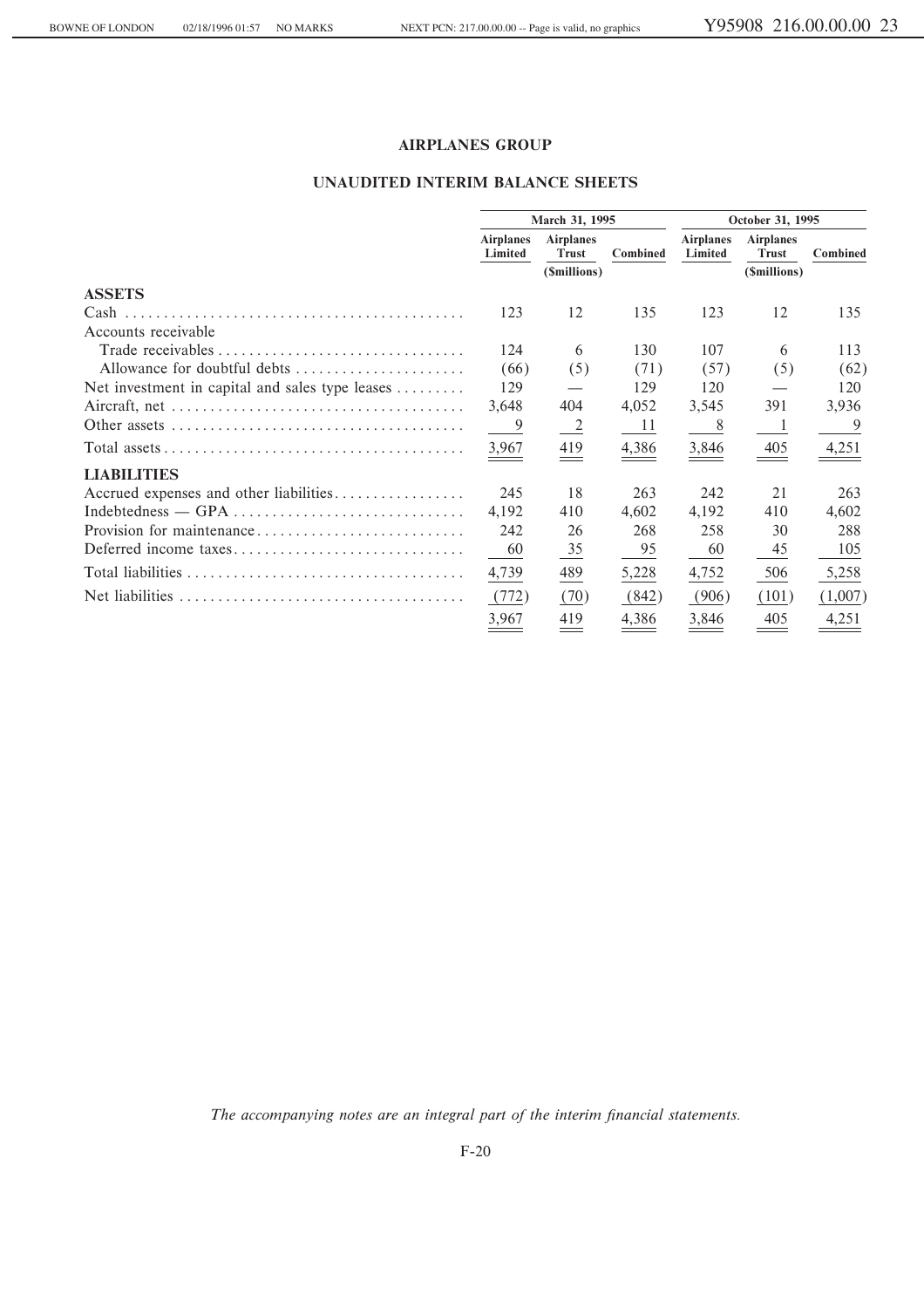## UNAUDITED INTERIM BALANCE SHEETS

|                                                                                         |                             | March 31, 1995                   |                 |                             | October 31, 1995                 |          |
|-----------------------------------------------------------------------------------------|-----------------------------|----------------------------------|-----------------|-----------------------------|----------------------------------|----------|
|                                                                                         | <b>Airplanes</b><br>Limited | <b>Airplanes</b><br><b>Trust</b> | <b>Combined</b> | <b>Airplanes</b><br>Limited | <b>Airplanes</b><br><b>Trust</b> | Combined |
|                                                                                         |                             | (\$millions)                     |                 |                             | (\$millions)                     |          |
| <b>ASSETS</b>                                                                           |                             |                                  |                 |                             |                                  |          |
|                                                                                         | 123                         | 12                               | 135             | 123                         | 12                               | 135      |
| Accounts receivable                                                                     |                             |                                  |                 |                             |                                  |          |
|                                                                                         | 124                         | 6                                | 130             | 107                         | 6                                | 113      |
| Allowance for doubtful debts                                                            | (66)                        | (5)                              | (71)            | (57)                        | (5)                              | (62)     |
| Net investment in capital and sales type leases                                         | 129                         |                                  | 129             | 120                         |                                  | 120      |
| Aircraft, net $\dots \dots \dots \dots \dots \dots \dots \dots \dots \dots \dots \dots$ | 3,648                       | 404                              | 4,052           | 3,545                       | 391                              | 3,936    |
|                                                                                         | 9                           | -2                               | 11              | 8                           | -1                               | 9        |
|                                                                                         | 3,967                       | 419                              | 4,386           | 3,846                       | 405                              | 4,251    |
| <b>LIABILITIES</b>                                                                      |                             |                                  |                 |                             |                                  |          |
| Accrued expenses and other liabilities                                                  | 245                         | 18                               | 263             | 242                         | 21                               | 263      |
|                                                                                         | 4,192                       | 410                              | 4,602           | 4,192                       | 410                              | 4,602    |
|                                                                                         | 242                         | 26                               | 268             | 258                         | 30                               | 288      |
| Deferred income taxes                                                                   | 60                          | $\frac{35}{5}$                   | 95              | 60                          | 45                               | 105      |
|                                                                                         | 4,739                       | 489                              | 5,228           | 4,752                       | 506                              | 5,258    |
|                                                                                         | (772)                       | (70)                             | (842)           | (906)                       | (101)                            | (1,007)  |
|                                                                                         | 3,967                       | 419                              | 4,386           | 3.846                       | 405                              | 4,251    |

The accompanying notes are an integral part of the interim financial statements.

 $F-20$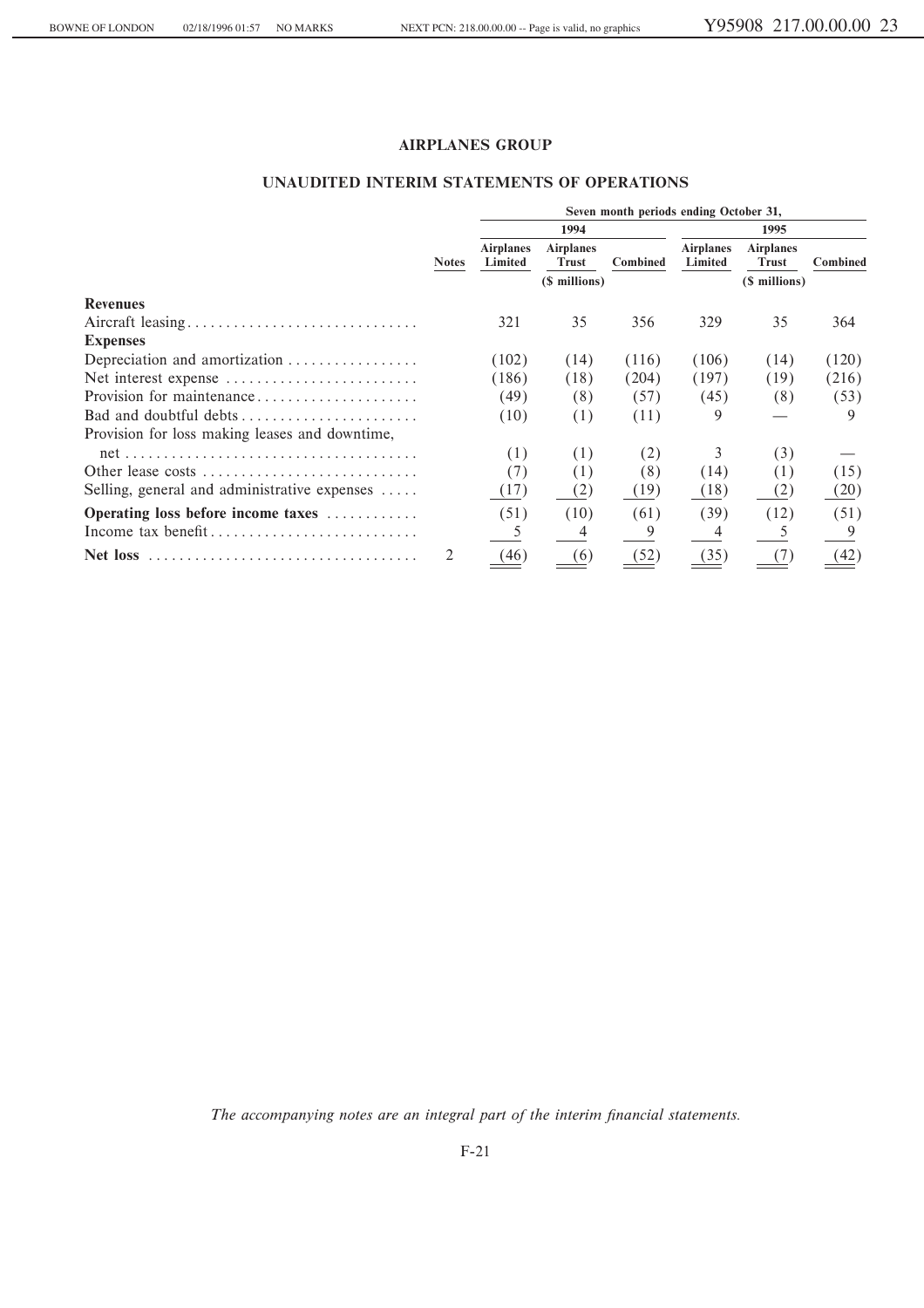## **UNAUDITED INTERIM STATEMENTS OF OPERATIONS**

|                                                                                   |              | Seven month periods ending October 31, |                                  |          |                             |                                  |          |
|-----------------------------------------------------------------------------------|--------------|----------------------------------------|----------------------------------|----------|-----------------------------|----------------------------------|----------|
|                                                                                   |              |                                        | 1994                             |          |                             | 1995                             |          |
|                                                                                   | <b>Notes</b> | <b>Airplanes</b><br>Limited            | <b>Airplanes</b><br><b>Trust</b> | Combined | <b>Airplanes</b><br>Limited | <b>Airplanes</b><br><b>Trust</b> | Combined |
|                                                                                   |              |                                        | (\$ millions)                    |          |                             | (\$ millions)                    |          |
| <b>Revenues</b>                                                                   |              |                                        |                                  |          |                             |                                  |          |
|                                                                                   |              | 321                                    | 35                               | 356      | 329                         | 35                               | 364      |
| <b>Expenses</b>                                                                   |              |                                        |                                  |          |                             |                                  |          |
| Depreciation and amortization                                                     |              | (102)                                  | (14)                             | (116)    | (106)                       | (14)                             | (120)    |
| Net interest expense                                                              |              | (186)                                  | (18)                             | (204)    | (197)                       | (19)                             | (216)    |
| Provision for maintenance                                                         |              | (49)                                   | (8)                              | (57)     | (45)                        | (8)                              | (53)     |
| Bad and doubtful debts                                                            |              | (10)                                   | (1)                              | (11)     | 9                           |                                  | 9        |
| Provision for loss making leases and downtime,                                    |              |                                        |                                  |          |                             |                                  |          |
|                                                                                   |              | (1)                                    | (1)                              | (2)      |                             | (3)                              |          |
| Other lease costs                                                                 |              | (7)                                    | (1)                              | (8)      | (14)                        | (1)                              | (15)     |
| Selling, general and administrative expenses                                      |              | (17)                                   | (2)                              | (19)     | (18)                        | (2)                              | (20)     |
| Operating loss before income taxes                                                |              | (51)                                   | (10)                             | (61)     | (39)                        | (12)                             | (51)     |
| Income tax benefit                                                                |              |                                        | 4                                | 9        |                             |                                  |          |
| Net loss $\dots\dots\dots\dots\dots\dots\dots\dots\dots\dots\dots\dots\dots\dots$ |              | (46)                                   | (6)                              | (52)     | (35)                        |                                  | (42)     |

The accompanying notes are an integral part of the interim financial statements.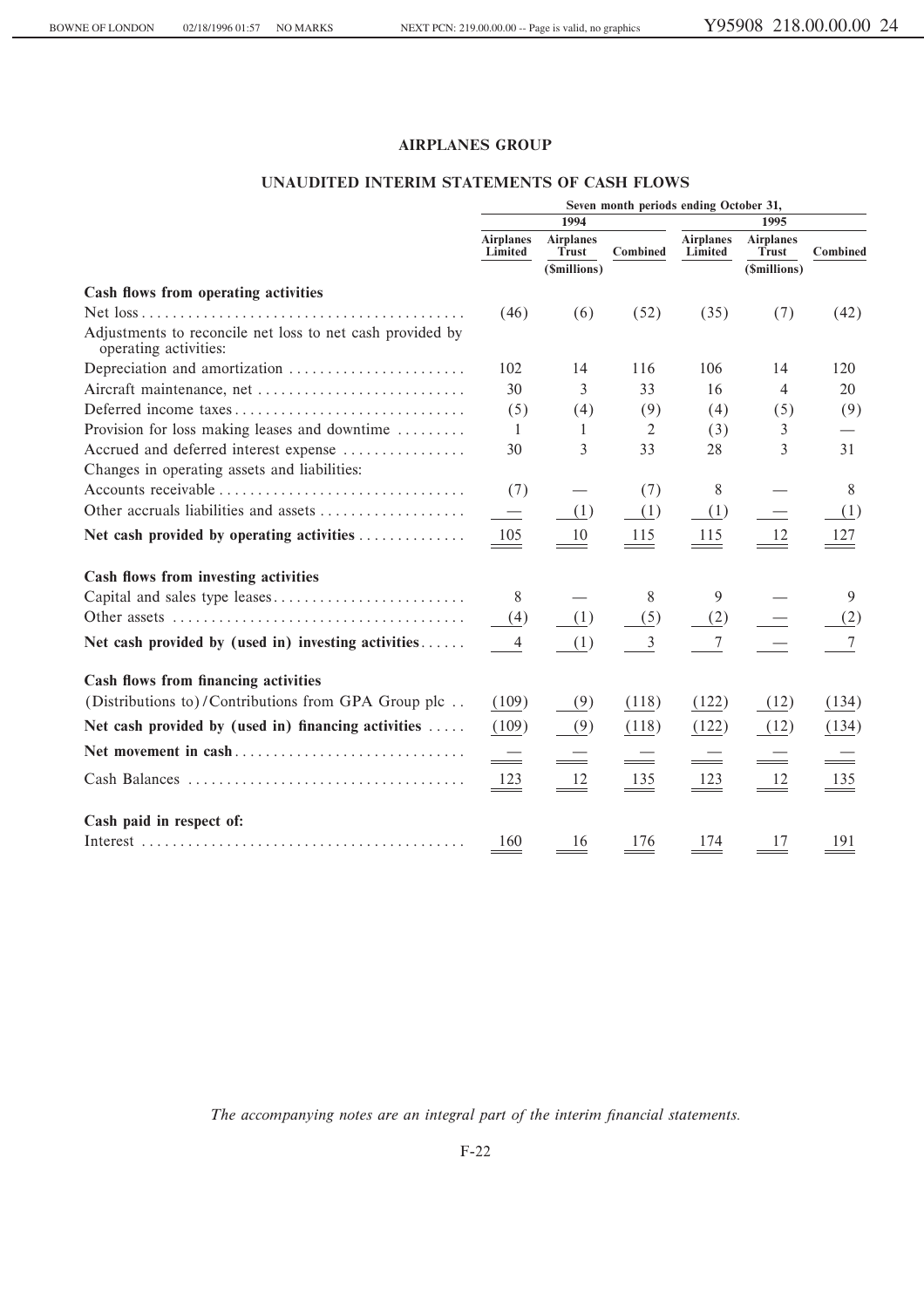## UNAUDITED INTERIM STATEMENTS OF CASH FLOWS

|                                                                                    | Seven month periods ending October 31, |                           |                          |                             |                           |          |  |  |
|------------------------------------------------------------------------------------|----------------------------------------|---------------------------|--------------------------|-----------------------------|---------------------------|----------|--|--|
|                                                                                    |                                        | 1994                      |                          |                             | 1995                      |          |  |  |
|                                                                                    | <b>Airplanes</b><br>Limited            | <b>Airplanes</b><br>Trust | <b>Combined</b>          | <b>Airplanes</b><br>Limited | <b>Airplanes</b><br>Trust | Combined |  |  |
|                                                                                    |                                        | (\$millions)              |                          |                             | (\$millions)              |          |  |  |
| Cash flows from operating activities                                               |                                        |                           |                          |                             |                           |          |  |  |
|                                                                                    | (46)                                   | (6)                       | (52)                     | (35)                        | (7)                       | (42)     |  |  |
| Adjustments to reconcile net loss to net cash provided by<br>operating activities: |                                        |                           |                          |                             |                           |          |  |  |
| Depreciation and amortization                                                      | 102                                    | 14                        | 116                      | 106                         | 14                        | 120      |  |  |
| Aircraft maintenance, net                                                          | 30                                     | 3                         | 33                       | 16                          | $\overline{4}$            | 20       |  |  |
| Deferred income taxes                                                              | (5)                                    | (4)                       | (9)                      | (4)                         | (5)                       | (9)      |  |  |
| Provision for loss making leases and downtime                                      | -1                                     | 1                         | 2                        | (3)                         | 3                         |          |  |  |
| Accrued and deferred interest expense                                              | 30                                     | 3                         | 33                       | 28                          | 3                         | 31       |  |  |
| Changes in operating assets and liabilities:                                       |                                        |                           |                          |                             |                           |          |  |  |
|                                                                                    | (7)                                    |                           | (7)                      | 8                           |                           | 8        |  |  |
| Other accruals liabilities and assets                                              | $\overline{\phantom{0}}$               | (1)                       | (1)                      | (1)                         |                           | (1)      |  |  |
| Net cash provided by operating activities                                          | 105                                    | 10                        | 115                      | 115                         | 12                        | 127      |  |  |
| Cash flows from investing activities                                               |                                        |                           |                          |                             |                           |          |  |  |
|                                                                                    | 8                                      |                           | 8                        | 9                           |                           | 9        |  |  |
|                                                                                    | (4)                                    | (1)                       | (5)                      | (2)                         |                           | (2)      |  |  |
| Net cash provided by (used in) investing activities                                | 4                                      | (1)                       | $\mathfrak{Z}$           | 7                           |                           | 7        |  |  |
| Cash flows from financing activities                                               |                                        |                           |                          |                             |                           |          |  |  |
| (Distributions to)/Contributions from GPA Group plc                                | (109)                                  | (9)                       | (118)                    | (122)                       | (12)                      | (134)    |  |  |
| Net cash provided by (used in) financing activities $\dots$                        | (109)                                  | (9)                       | (118)                    | (122)                       | (12)                      | (134)    |  |  |
| Net movement in cash                                                               | 드                                      |                           | $\overline{\phantom{a}}$ | $\qquad \qquad$             |                           |          |  |  |
|                                                                                    | 123                                    | 12                        | 135                      | 123                         | 12                        | 135      |  |  |
| Cash paid in respect of:                                                           |                                        |                           |                          |                             |                           |          |  |  |
|                                                                                    | 160                                    | 16                        | 176                      | 174                         | 17                        | 191      |  |  |

The accompanying notes are an integral part of the interim financial statements.

 $F-22$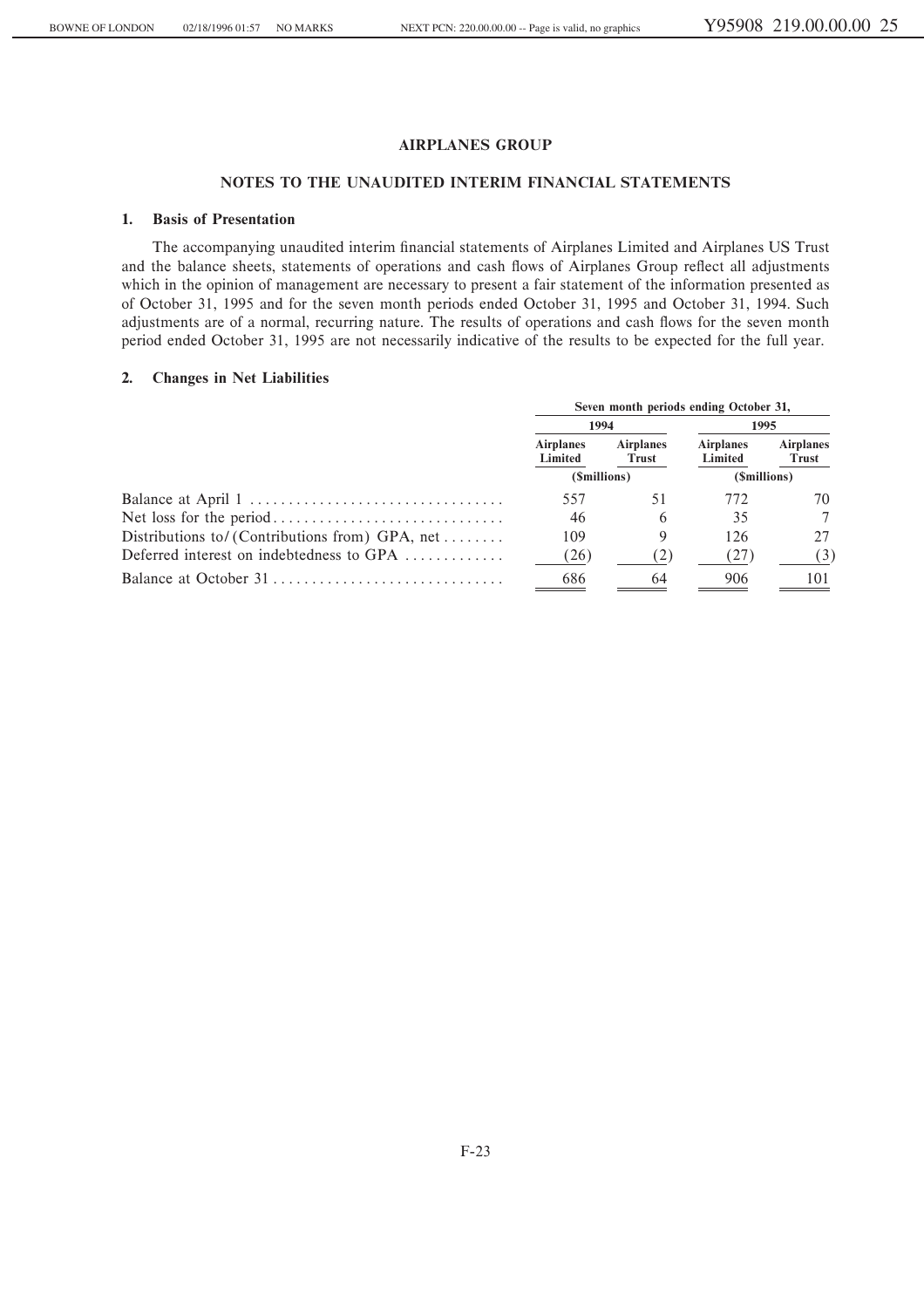## **NOTES TO THE UNAUDITED INTERIM FINANCIAL STATEMENTS**

## **1. Basis of Presentation**

The accompanying unaudited interim financial statements of Airplanes Limited and Airplanes US Trust and the balance sheets, statements of operations and cash flows of Airplanes Group reflect all adjustments which in the opinion of management are necessary to present a fair statement of the information presented as of October 31, 1995 and for the seven month periods ended October 31, 1995 and October 31, 1994. Such adjustments are of a normal, recurring nature. The results of operations and cash flows for the seven month period ended October 31, 1995 are not necessarily indicative of the results to be expected for the full year.

## **2. Changes in Net Liabilities**

|                                                                 | Seven month periods ending October 31, |                           |                             |                           |  |  |
|-----------------------------------------------------------------|----------------------------------------|---------------------------|-----------------------------|---------------------------|--|--|
|                                                                 | 1994                                   |                           | 1995                        |                           |  |  |
|                                                                 | <b>Airplanes</b><br>Limited            | <b>Airplanes</b><br>Trust | <b>Airplanes</b><br>Limited | <b>Airplanes</b><br>Trust |  |  |
|                                                                 | ( <i>Smillions</i> )                   |                           | (\$millions)                |                           |  |  |
|                                                                 | 557                                    | 51                        | 772                         | 70                        |  |  |
|                                                                 | 46                                     | 6                         | 35                          |                           |  |  |
| Distributions to/(Contributions from) GPA, net                  | 109                                    | 9                         | 126                         |                           |  |  |
| Deferred interest on indebtedness to GPA $\dots\dots\dots\dots$ | (26)                                   | (2)                       | (27)                        | (3)                       |  |  |
|                                                                 | 686                                    | 64                        | 906                         | 101                       |  |  |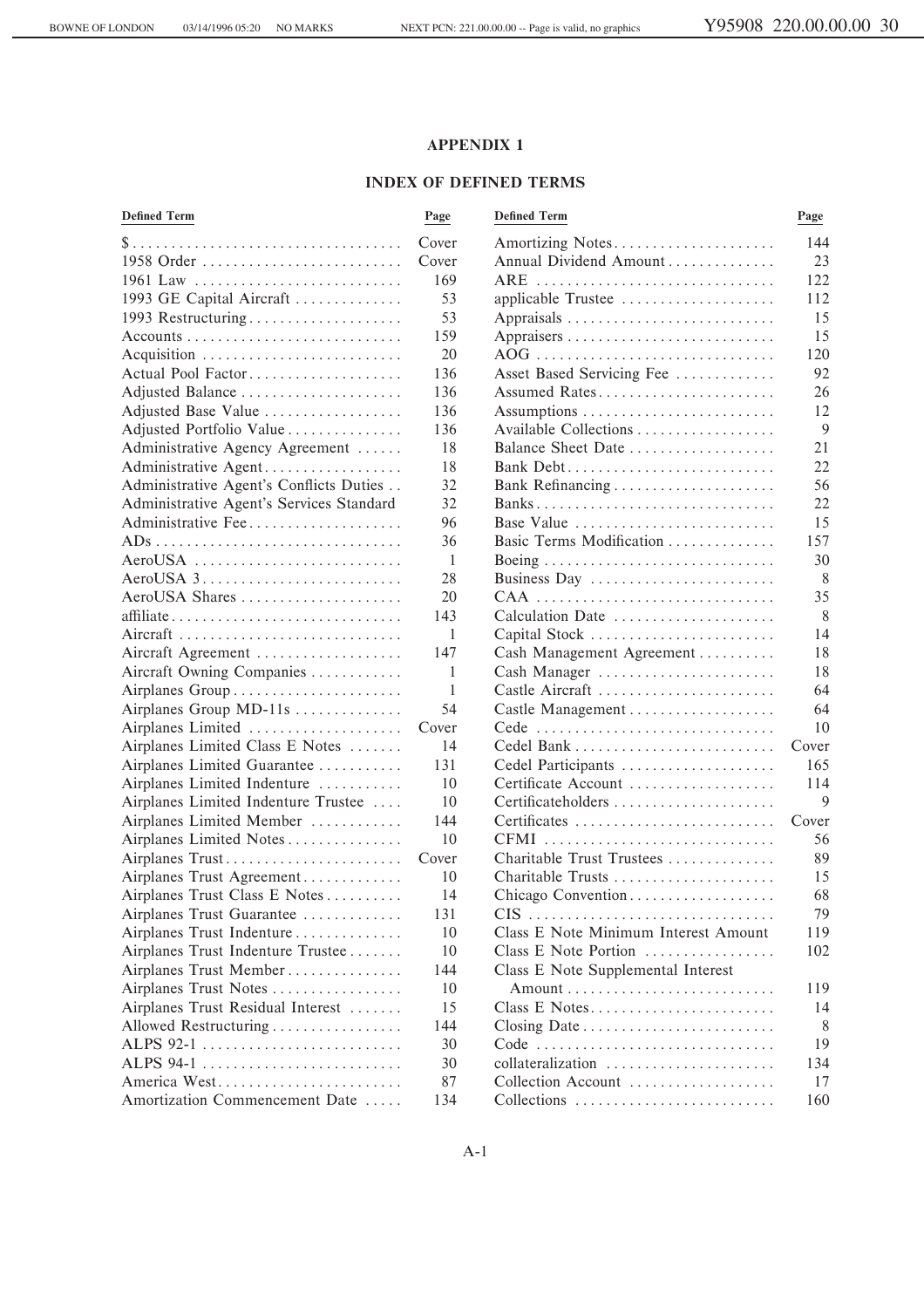1961 Law ÏÏÏÏÏÏÏÏÏÏÏÏÏÏÏÏÏÏÏÏÏÏÏÏÏÏÏ 169 ARE ÏÏÏÏÏÏÏÏÏÏÏÏÏÏÏÏÏÏÏÏÏÏÏÏÏÏÏÏÏÏÏ 122

## **APPENDIX 1**

## **INDEX OF DEFINED TERMS**

# **DeÑned Term Page DeÑned Term Page**

| $m$ $\alpha$ rtizin $\alpha$ |  |
|------------------------------|--|

# \$ ÏÏÏÏÏÏÏÏÏÏÏÏÏÏÏÏÏÏÏÏÏÏÏÏÏÏÏÏÏÏÏÏÏÏÏ Cover Amortizing NotesÏÏÏÏÏÏÏÏÏÏÏÏÏÏÏÏÏÏÏÏÏ 144

1958 Order  $\ldots$   $\ldots$   $\ldots$   $\ldots$   $\ldots$   $\ldots$   $\ldots$   $\ldots$   $\ldots$   $\ldots$   $\ldots$   $\ldots$   $\ldots$   $\ldots$   $\ldots$   $\ldots$   $\ldots$   $\ldots$   $\ldots$   $\ldots$   $\ldots$   $\ldots$   $\ldots$   $\ldots$   $\ldots$   $\ldots$   $\ldots$   $\ldots$   $\ldots$   $\ldots$   $\ldots$   $\ldots$   $\ldots$   $\ldots$   $\ldots$  53 applicable Trustee  $\dots \dots \dots \dots \dots \dots \dots$  112  $\Delta$ ppraisals  $\ldots$  $\ldots$  $\ldots$  $\ldots$  $\ldots$  $\ldots$  $\ldots$  is

| 1993 Restructuring                                                                  | 53    |                                      | 15    |
|-------------------------------------------------------------------------------------|-------|--------------------------------------|-------|
| $\text{Accounts} \dots \dots \dots \dots \dots \dots \dots \dots \dots \dots \dots$ | 159   |                                      | 15    |
| Acquisition                                                                         | 20    |                                      | 120   |
| Actual Pool Factor                                                                  | 136   | Asset Based Servicing Fee            | 92    |
| Adjusted Balance                                                                    | 136   | Assumed Rates                        | 26    |
| Adjusted Base Value                                                                 | 136   | Assumptions                          | 12    |
| Adjusted Portfolio Value                                                            | 136   | Available Collections                | 9     |
| Administrative Agency Agreement                                                     | 18    | Balance Sheet Date                   | 21    |
| Administrative Agent                                                                | 18    |                                      | 22    |
| Administrative Agent's Conflicts Duties                                             | 32    | Bank Refinancing                     | 56    |
| Administrative Agent's Services Standard                                            | 32    |                                      | 22    |
| Administrative Fee                                                                  | 96    | Base Value                           | 15    |
|                                                                                     | 36    | Basic Terms Modification             | 157   |
| AeroUSA                                                                             | 1     | Boeing                               | 30    |
|                                                                                     | 28    | Business Day                         | 8     |
| AeroUSA Shares                                                                      | 20    | CAA                                  | 35    |
| affiliate                                                                           | 143   | Calculation Date                     | 8     |
| Aircraft                                                                            | 1     | Capital Stock                        | 14    |
| Aircraft Agreement                                                                  | 147   | Cash Management Agreement            | 18    |
| Aircraft Owning Companies                                                           | 1     | Cash Manager                         | 18    |
| Airplanes Group                                                                     | 1     | Castle Aircraft                      | 64    |
| Airplanes Group MD-11s                                                              | 54    | Castle Management                    | 64    |
| Airplanes Limited                                                                   | Cover |                                      | 10    |
| Airplanes Limited Class E Notes                                                     | 14    |                                      | Cover |
| Airplanes Limited Guarantee                                                         | 131   | Cedel Participants                   | 165   |
| Airplanes Limited Indenture                                                         | 10    | Certificate Account                  | 114   |
| Airplanes Limited Indenture Trustee                                                 | 10    | Certificateholders                   | 9     |
| Airplanes Limited Member                                                            | 144   | Certificates                         | Cover |
| Airplanes Limited Notes                                                             | 10    | CFMI                                 | 56    |
| Airplanes Trust                                                                     | Cover | Charitable Trust Trustees            | 89    |
| Airplanes Trust Agreement                                                           | 10    | Charitable Trusts                    | 15    |
| Airplanes Trust Class E Notes                                                       | 14    | Chicago Convention                   | 68    |
| Airplanes Trust Guarantee                                                           | 131   | CIS                                  | 79    |
| Airplanes Trust Indenture                                                           | 10    | Class E Note Minimum Interest Amount | 119   |
| Airplanes Trust Indenture Trustee                                                   | 10    | Class E Note Portion                 | 102   |
| Airplanes Trust Member                                                              | 144   | Class E Note Supplemental Interest   |       |
| Airplanes Trust Notes                                                               | 10    |                                      | 119   |
| Airplanes Trust Residual Interest                                                   | 15    | Class E Notes                        | 14    |
| Allowed Restructuring                                                               | 144   |                                      | 8     |
| ALPS 92-1                                                                           | 30    |                                      | 19    |
| ALPS 94-1                                                                           | 30    | collateralization                    | 134   |
| America West                                                                        | 87    | Collection Account                   | 17    |
| Amortization Commencement Date                                                      | 134   | Collections                          | 160   |
|                                                                                     |       |                                      |       |

|                                      | 15    |
|--------------------------------------|-------|
|                                      | 120   |
| Asset Based Servicing Fee            | 92    |
| Assumed Rates                        | 26    |
| Assumptions                          | 12    |
| Available Collections                | 9     |
| Balance Sheet Date                   | 21    |
| Bank Debt                            | 22    |
| Bank Refinancing                     | 56    |
|                                      | 22    |
| Base Value                           | 15    |
| Basic Terms Modification             | 157   |
|                                      | 30    |
| Business Day                         | 8     |
| CAA                                  | 35    |
| Calculation Date                     | 8     |
| Capital Stock                        | 14    |
| Cash Management Agreement            | 18    |
| Cash Manager                         | 18    |
| Castle Aircraft                      | 64    |
|                                      | 64    |
| Cede                                 | 10    |
| Cedel Bank                           | Cover |
| Cedel Participants                   | 165   |
| Certificate Account                  | 114   |
| Certificateholders                   | 9     |
| Certificates                         | Cover |
| CFMI                                 | 56    |
| Charitable Trust Trustees            | 89    |
| Charitable Trusts                    | 15    |
| Chicago Convention                   | 68    |
| CIS                                  | 79    |
| Class E Note Minimum Interest Amount | 119   |
| Class E Note Portion                 | 102   |
| Class E Note Supplemental Interest   |       |
|                                      | 119   |
| Class E Notes                        | 14    |
|                                      | 8     |
| Code                                 | 19    |
| collateralization                    | 134   |
| Collection Account                   | 17    |
| Collections                          | 160   |
|                                      |       |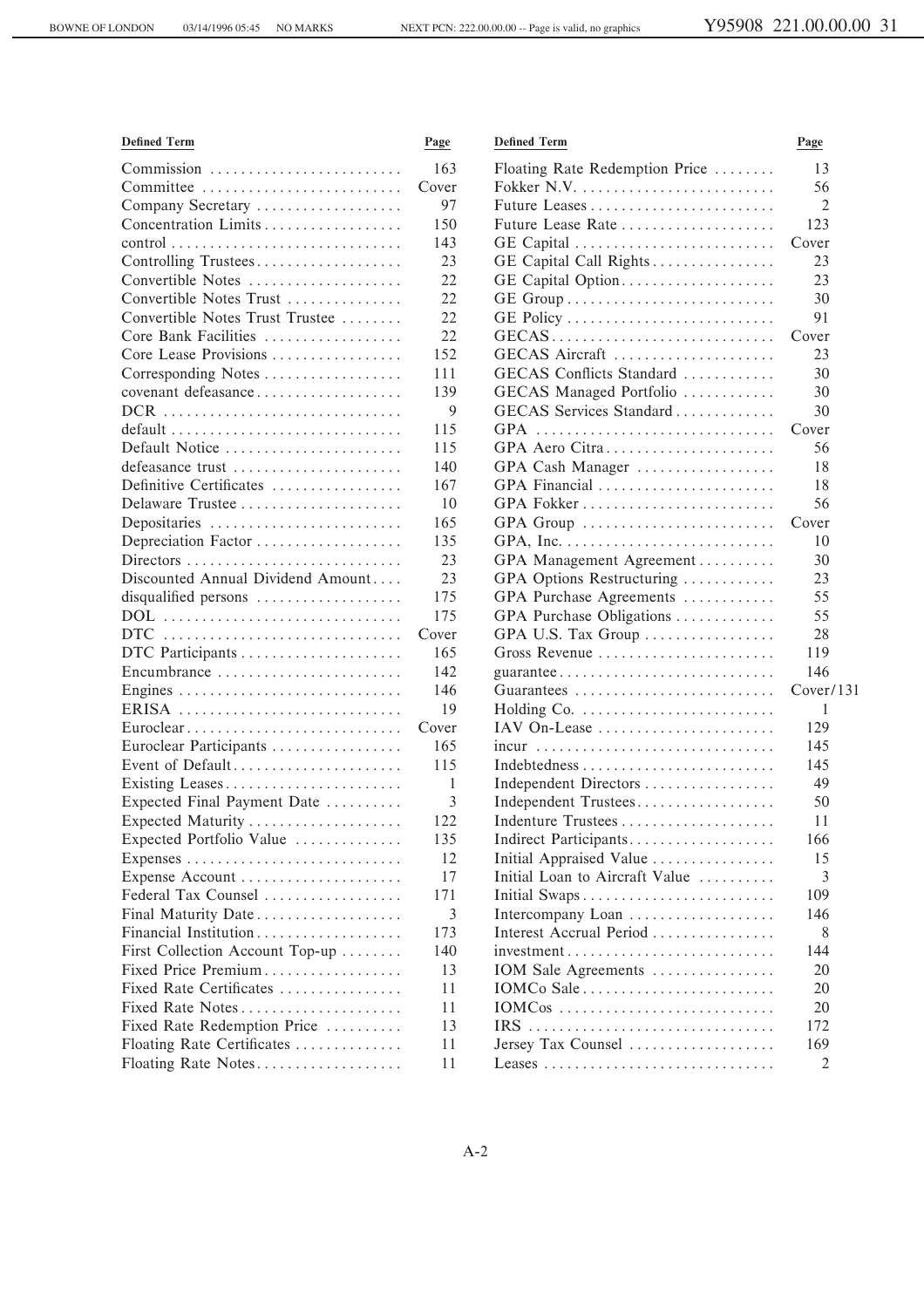| <b>Defined Term</b>                                                         | Page  | <b>Defined Term</b>            | Page      |
|-----------------------------------------------------------------------------|-------|--------------------------------|-----------|
| Commission                                                                  | 163   | Floating Rate Redemption Price | 13        |
| Committee                                                                   | Cover |                                | 56        |
| Company Secretary                                                           | 97    | Future Leases                  | 2         |
| Concentration Limits                                                        | 150   | Future Lease Rate              | 123       |
| $control \dots \dots \dots \dots \dots \dots \dots \dots \dots \dots \dots$ | 143   | GE Capital                     | Cover     |
| Controlling Trustees                                                        | 23    | GE Capital Call Rights         | 23        |
| Convertible Notes                                                           | 22    | GE Capital Option              | 23        |
| Convertible Notes Trust                                                     | 22    |                                | 30        |
| Convertible Notes Trust Trustee                                             | 22    |                                | 91        |
| Core Bank Facilities                                                        | 22    | GECAS                          | Cover     |
| Core Lease Provisions                                                       | 152   | GECAS Aircraft                 | 23        |
| Corresponding Notes                                                         | 111   | GECAS Conflicts Standard       | 30        |
| covenant defeasance                                                         | 139   | GECAS Managed Portfolio        | 30        |
|                                                                             | 9     | GECAS Services Standard        | 30        |
| $default \dots \dots \dots \dots \dots \dots \dots \dots \dots \dots \dots$ | 115   | GPA                            | Cover     |
| Default Notice                                                              | 115   | GPA Aero Citra                 | 56        |
| defeasance trust                                                            | 140   | GPA Cash Manager               | 18        |
| Definitive Certificates                                                     | 167   | GPA Financial                  | 18        |
| Delaware Trustee                                                            | 10    | GPA Fokker                     | 56        |
| Depositaries                                                                | 165   | GPA Group                      | Cover     |
| Depreciation Factor                                                         | 135   |                                | 10        |
| Directors                                                                   | 23    | GPA Management Agreement       | 30        |
| Discounted Annual Dividend Amount                                           | 23    | GPA Options Restructuring      | 23        |
| disqualified persons                                                        | 175   | GPA Purchase Agreements        | 55        |
| $DOL$                                                                       | 175   | GPA Purchase Obligations       | 55        |
|                                                                             | Cover | GPA U.S. Tax Group             | 28        |
|                                                                             | 165   | Gross Revenue                  | 119       |
| Encumbrance                                                                 | 142   |                                | 146       |
|                                                                             | 146   |                                | Cover/131 |
| ERISA                                                                       | 19    |                                | 1         |
| Euroclear                                                                   | Cover | IAV On-Lease                   | 129       |
| Euroclear Participants                                                      | 165   |                                | 145       |
| Event of Default                                                            | 115   |                                | 145       |
| Existing Leases                                                             | 1     | Independent Directors          | 49        |
| Expected Final Payment Date                                                 | 3     | Independent Trustees           | 50        |
|                                                                             | 122   | Indenture Trustees             | 11        |
| Expected Portfolio Value                                                    | 135   | Indirect Participants          | 166       |
|                                                                             | 12    | Initial Appraised Value        | 15        |
| Expense Account                                                             | 17    | Initial Loan to Aircraft Value | 3         |
| Federal Tax Counsel                                                         | 171   | Initial Swaps                  | 109       |
| Final Maturity Date                                                         | 3     | Intercompany Loan              | 146       |
| Financial Institution                                                       | 173   | Interest Accrual Period        | 8         |
| First Collection Account Top-up                                             | 140   | investment                     | 144       |
| Fixed Price Premium                                                         | 13    | IOM Sale Agreements            | 20        |
| Fixed Rate Certificates                                                     | 11    | IOMCo Sale                     | 20        |
| Fixed Rate Notes                                                            | 11    | IOMCos                         | 20        |
| Fixed Rate Redemption Price                                                 | 13    | IRS                            | 172       |
| Floating Rate Certificates                                                  | 11    | Jersey Tax Counsel             | 169       |
| Floating Rate Notes                                                         | 11    |                                | 2         |
|                                                                             |       |                                |           |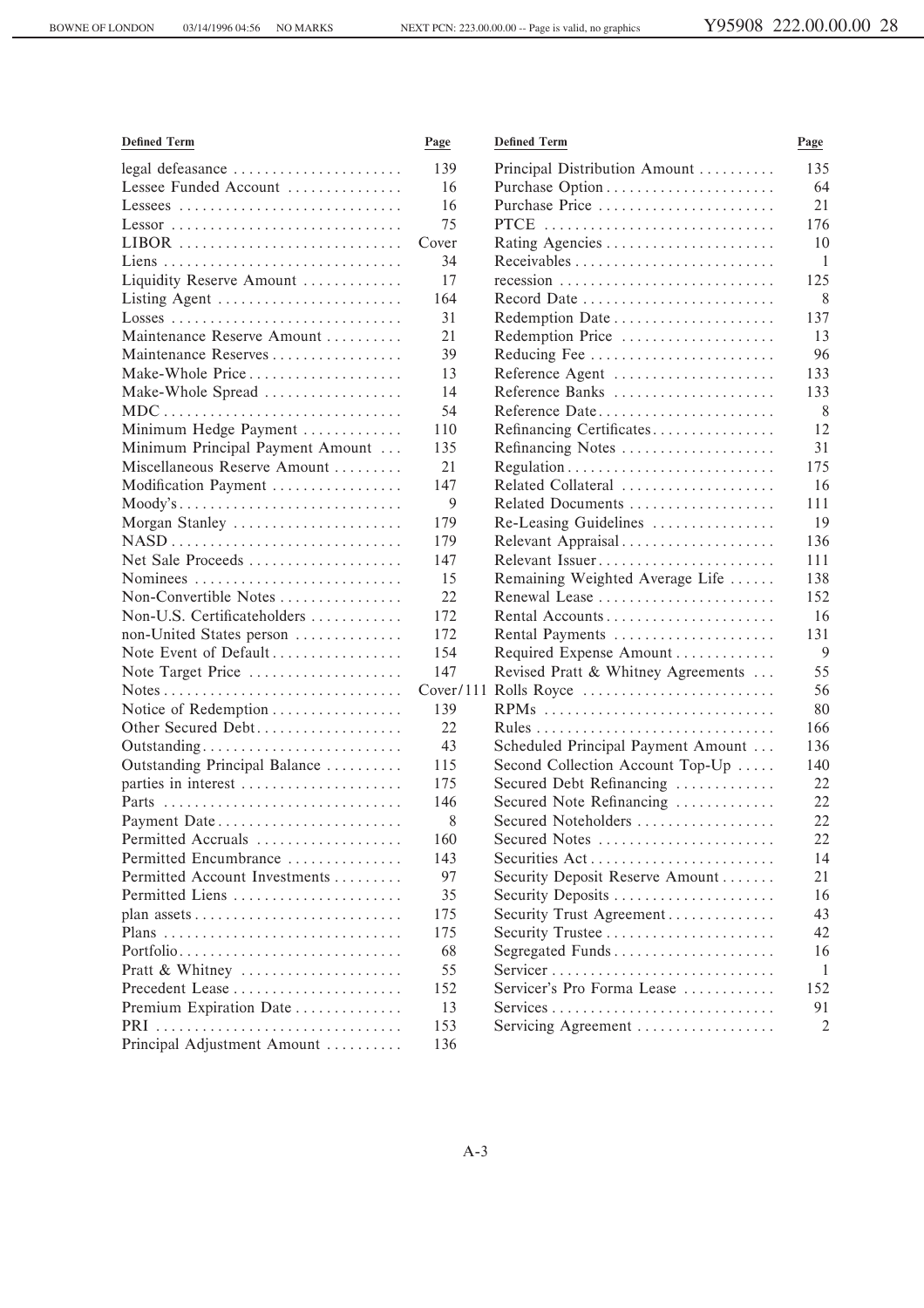| <b>Defined Term</b>              | Page  | <b>Defined Term</b>                | Page         |
|----------------------------------|-------|------------------------------------|--------------|
| legal defeasance                 | 139   | Principal Distribution Amount      | 135          |
| Lessee Funded Account            | 16    | Purchase Option                    | 64           |
| Lessees                          | 16    | Purchase Price                     | 21           |
| Lessor                           | 75    | PTCE                               | 176          |
| LIBOR                            | Cover |                                    | 10           |
|                                  | 34    |                                    | $\mathbf{1}$ |
| Liquidity Reserve Amount         | 17    |                                    | 125          |
| Listing Agent                    | 164   | Record Date                        | 8            |
|                                  | 31    | Redemption Date                    | 137          |
| Maintenance Reserve Amount       | 21    | Redemption Price                   | 13           |
| Maintenance Reserves             | 39    | Reducing Fee                       | 96           |
| Make-Whole Price                 | 13    | Reference Agent                    | 133          |
| Make-Whole Spread                | 14    | Reference Banks                    | 133          |
| MDC                              | 54    | Reference Date                     | 8            |
| Minimum Hedge Payment            | 110   | Refinancing Certificates           | 12           |
| Minimum Principal Payment Amount | 135   | Refinancing Notes                  | 31           |
| Miscellaneous Reserve Amount     | 21    |                                    | 175          |
| Modification Payment             | 147   | Related Collateral                 | 16           |
| Moody's                          | 9     | Related Documents                  | 111          |
| Morgan Stanley                   | 179   | Re-Leasing Guidelines              | 19           |
|                                  | 179   | Relevant Appraisal                 | 136          |
| Net Sale Proceeds                | 147   | Relevant Issuer                    | 111          |
| Nominees                         | 15    | Remaining Weighted Average Life    | 138          |
| Non-Convertible Notes            | 22    | Renewal Lease                      | 152          |
| Non-U.S. Certificateholders      | 172   | Rental Accounts                    | 16           |
| non-United States person         | 172   | Rental Payments                    | 131          |
| Note Event of Default            | 154   | Required Expense Amount            | 9            |
| Note Target Price                | 147   | Revised Pratt & Whitney Agreements | 55           |
|                                  |       | Cover/111 Rolls Royce              | 56           |
| Notice of Redemption             | 139   | RPMs                               | 80           |
| Other Secured Debt               | 22    |                                    | 166          |
| Outstanding                      | 43    | Scheduled Principal Payment Amount | 136          |
| Outstanding Principal Balance    | 115   | Second Collection Account Top-Up   | 140          |
| parties in interest              | 175   | Secured Debt Refinancing           | 22           |
|                                  | 146   | Secured Note Refinancing           | 22           |
| Payment Date                     | 8     | Secured Noteholders                | 22           |
| Permitted Accruals               | 160   | Secured Notes                      | 22           |
| Permitted Encumbrance            | 143   | Securities Act                     | 14           |
| Permitted Account Investments    | 97    | Security Deposit Reserve Amount    | 21           |
| Permitted Liens                  | 35    | Security Deposits                  | 16           |
|                                  | 175   | Security Trust Agreement           | 43           |
|                                  | 175   | Security Trustee                   | 42           |
| Portfolio                        | 68    | Segregated Funds                   | 16           |
| Pratt & Whitney                  | 55    | Servicer                           | -1           |
| Precedent Lease                  | 152   | Servicer's Pro Forma Lease         | 152          |
| Premium Expiration Date          | 13    |                                    | 91           |
| PRI                              | 153   | Servicing Agreement                | 2            |
| Principal Adjustment Amount      | 136   |                                    |              |
|                                  |       |                                    |              |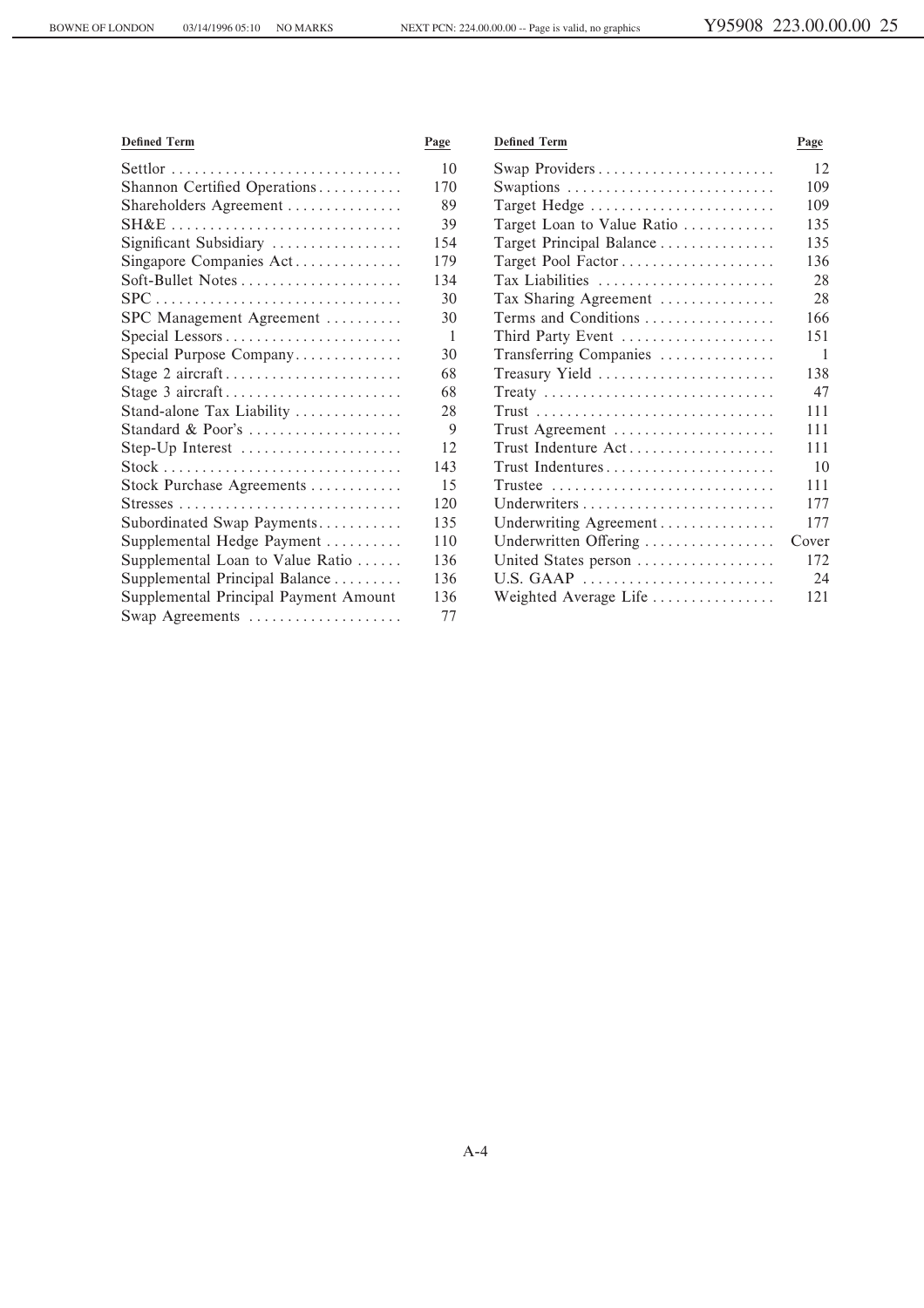| <b>Defined Term</b>                                                            | Page | <b>Defined Term</b>        | Page  |
|--------------------------------------------------------------------------------|------|----------------------------|-------|
|                                                                                | 10   | Swap Providers             | 12    |
| Shannon Certified Operations                                                   | 170  | Swaptions                  | 109   |
| Shareholders Agreement                                                         | 89   | Target Hedge               | 109   |
| $SH&E$                                                                         | 39   | Target Loan to Value Ratio | 135   |
| Significant Subsidiary                                                         | 154  | Target Principal Balance   | 135   |
| Singapore Companies Act                                                        | 179  | Target Pool Factor         | 136   |
| Soft-Bullet Notes                                                              | 134  | Tax Liabilities            | 28    |
| $\text{SPC} \dots \dots \dots \dots \dots \dots \dots \dots \dots \dots \dots$ | 30   | Tax Sharing Agreement      | 28    |
| SPC Management Agreement                                                       | 30   | Terms and Conditions       | 166   |
|                                                                                | -1   | Third Party Event          | 151   |
| Special Purpose Company                                                        | 30   | Transferring Companies     | -1    |
| Stage 2 aircraft                                                               | 68   | Treasury Yield             | 138   |
| Stage 3 aircraft                                                               | 68   | Treaty                     | 47    |
| Stand-alone Tax Liability                                                      | 28   |                            | 111   |
| Standard & Poor's                                                              | 9    | Trust Agreement            | 111   |
| Step-Up Interest                                                               | 12   | Trust Indenture Act        | 111   |
| $Stock \dots \dots \dots \dots \dots \dots \dots \dots \dots \dots \dots$      | 143  | Trust Indentures           | 10    |
| Stock Purchase Agreements                                                      | 15   | $Trustee$                  | 111   |
|                                                                                | 120  |                            | 177   |
| Subordinated Swap Payments                                                     | 135  | Underwriting Agreement     | 177   |
| Supplemental Hedge Payment                                                     | 110  | Underwritten Offering      | Cover |
| Supplemental Loan to Value Ratio                                               | 136  | United States person       | 172   |
| Supplemental Principal Balance                                                 | 136  | U.S. GAAP                  | 24    |
| Supplemental Principal Payment Amount                                          | 136  | Weighted Average Life      | 121   |
| Swap Agreements                                                                | 77   |                            |       |

A-4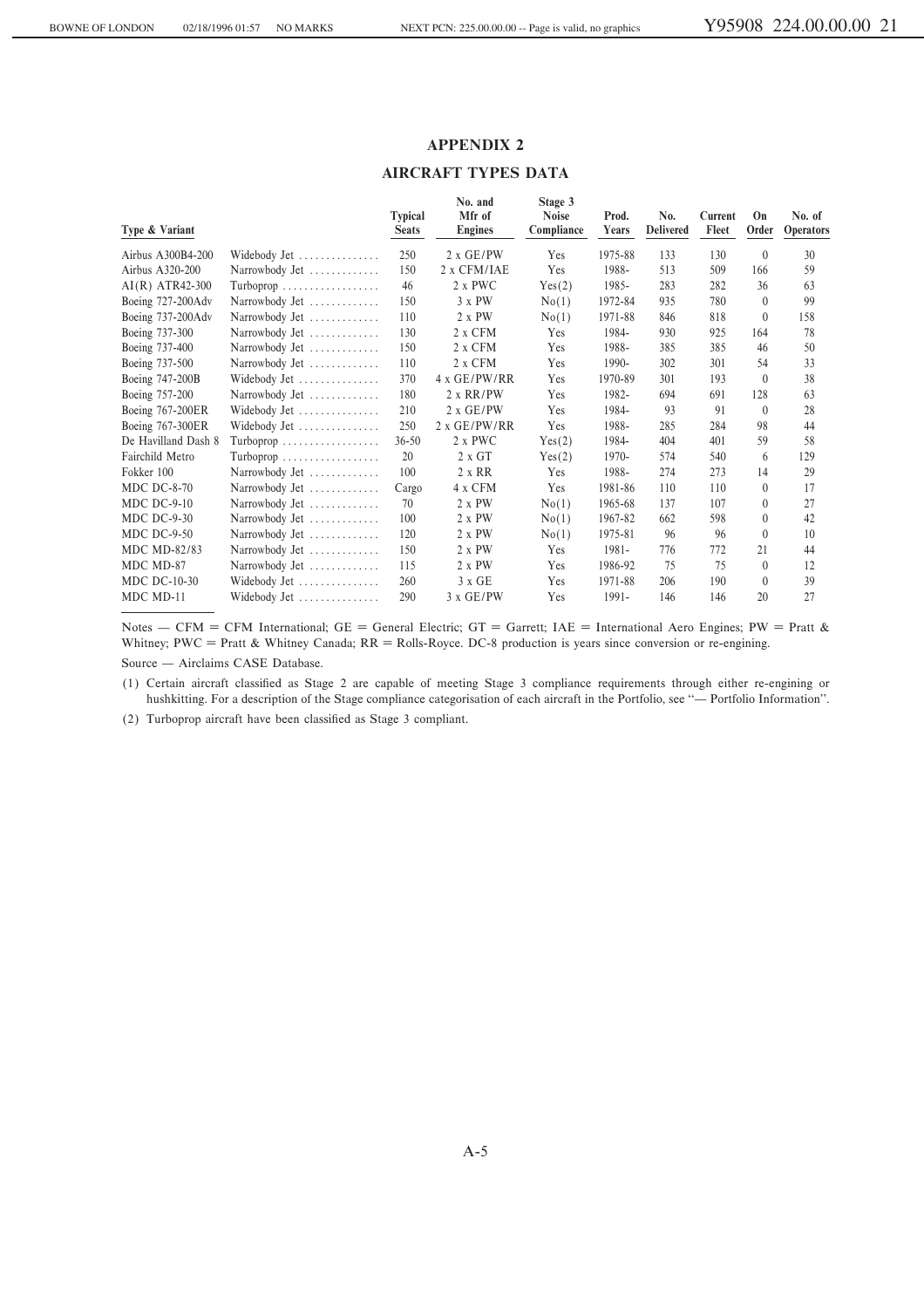## **APPENDIX 2**

## **AIRCRAFT TYPES DATA**

| Type & Variant      |                                                | <b>Typical</b><br><b>Seats</b> | No. and<br>Mfr of<br><b>Engines</b> | Stage 3<br><b>Noise</b><br>Compliance | Prod.<br>Years | No.<br><b>Delivered</b> | Current<br>Fleet | On<br>Order    | No. of<br>Operators |
|---------------------|------------------------------------------------|--------------------------------|-------------------------------------|---------------------------------------|----------------|-------------------------|------------------|----------------|---------------------|
| Airbus A300B4-200   | Widebody Jet                                   | 250                            | $2 \times$ GE/PW                    | Yes                                   | 1975-88        | 133                     | 130              | $\overline{0}$ | 30                  |
| Airbus A320-200     | Narrowbody Jet                                 | 150                            | 2 x CFM/IAE                         | Yes                                   | 1988-          | 513                     | 509              | 166            | 59                  |
| $AI(R) ATR42-300$   |                                                | 46                             | 2 x PWC                             | Yes(2)                                | 1985-          | 283                     | 282              | 36             | 63                  |
| Boeing 727-200Adv   | Narrowbody Jet                                 | 150                            | $3 \times PW$                       | No(1)                                 | 1972-84        | 935                     | 780              | $\Omega$       | 99                  |
| Boeing 737-200Adv   | Narrowbody Jet                                 | 110                            | $2 \times PW$                       | No(1)                                 | 1971-88        | 846                     | 818              | $\mathbf{0}$   | 158                 |
| Boeing 737-300      | Narrowbody Jet                                 | 130                            | 2 x CFM                             | Yes                                   | 1984-          | 930                     | 925              | 164            | 78                  |
| Boeing 737-400      | Narrowbody Jet                                 | 150                            | 2 x CFM                             | Yes                                   | 1988-          | 385                     | 385              | 46             | 50                  |
| Boeing 737-500      | Narrowbody Jet                                 | 110                            | 2 x CFM                             | Yes                                   | 1990-          | 302                     | 301              | 54             | 33                  |
| Boeing 747-200B     | Widebody Jet                                   | 370                            | $4 \times$ GE/PW/RR                 | Yes                                   | 1970-89        | 301                     | 193              | $\Omega$       | 38                  |
| Boeing 757-200      | Narrowbody Jet $\dots\dots\dots\dots$          | 180                            | $2 \times RR/PW$                    | Yes                                   | 1982-          | 694                     | 691              | 128            | 63                  |
| Boeing 767-200ER    | Widebody Jet                                   | 210                            | $2 \times$ GE/PW                    | Yes                                   | 1984-          | 93                      | 91               | $\Omega$       | 28                  |
| Boeing 767-300ER    | Widebody Jet                                   | 250                            | 2 x GE/PW/RR                        | Yes                                   | 1988-          | 285                     | 284              | 98             | 44                  |
| De Havilland Dash 8 | $Turboprop \ldots \ldots \ldots \ldots \ldots$ | $36 - 50$                      | 2 x PWC                             | Yes(2)                                | 1984-          | 404                     | 401              | 59             | 58                  |
| Fairchild Metro     |                                                | 20                             | 2 x GT                              | Yes(2)                                | 1970-          | 574                     | 540              | 6              | 129                 |
| Fokker 100          | Narrowbody Jet                                 | 100                            | $2 \times RR$                       | Yes                                   | 1988-          | 274                     | 273              | 14             | 29                  |
| <b>MDC DC-8-70</b>  | Narrowbody Jet                                 | Cargo                          | 4 x CFM                             | Yes                                   | 1981-86        | 110                     | 110              | $\Omega$       | 17                  |
| $MDC$ DC-9-10       | Narrowbody Jet                                 | 70                             | $2 \times PW$                       | No(1)                                 | 1965-68        | 137                     | 107              | $\Omega$       | 27                  |
| $MDC$ DC-9-30       | Narrowbody Jet                                 | 100                            | $2 \times PW$                       | No(1)                                 | 1967-82        | 662                     | 598              | $\mathbf{0}$   | 42                  |
| $MDC$ DC-9-50       | Narrowbody Jet                                 | 120                            | $2 \times PW$                       | No(1)                                 | 1975-81        | 96                      | 96               | $\Omega$       | 10                  |
| MDC MD-82/83        | Narrowbody Jet                                 | 150                            | $2 \times PW$                       | Yes                                   | 1981-          | 776                     | 772              | 21             | 44                  |
| MDC MD-87           | Narrowbody Jet                                 | 115                            | $2 \times PW$                       | Yes                                   | 1986-92        | 75                      | 75               | $\Omega$       | 12                  |
| <b>MDC DC-10-30</b> | Widebody Jet                                   | 260                            | $3 \times GE$                       | Yes                                   | 1971-88        | 206                     | 190              | $\Omega$       | 39                  |
| MDC MD-11           | Widebody Jet                                   | 290                            | $3 \times$ GE/PW                    | Yes                                   | 1991-          | 146                     | 146              | 20             | 27                  |

Notes – CFM = CFM International; GE = General Electric; GT = Garrett; IAE = International Aero Engines; PW = Pratt & Whitney; PWC = Pratt & Whitney Canada;  $RR =$  Rolls-Royce. DC-8 production is years since conversion or re-engining. Source — Airclaims CASE Database.

(1) Certain aircraft classified as Stage 2 are capable of meeting Stage 3 compliance requirements through either re-engining or hushkitting. For a description of the Stage compliance categorisation of each aircraft in the Portfolio, see "- Portfolio Information".

(2) Turboprop aircraft have been classified as Stage 3 compliant.

A-5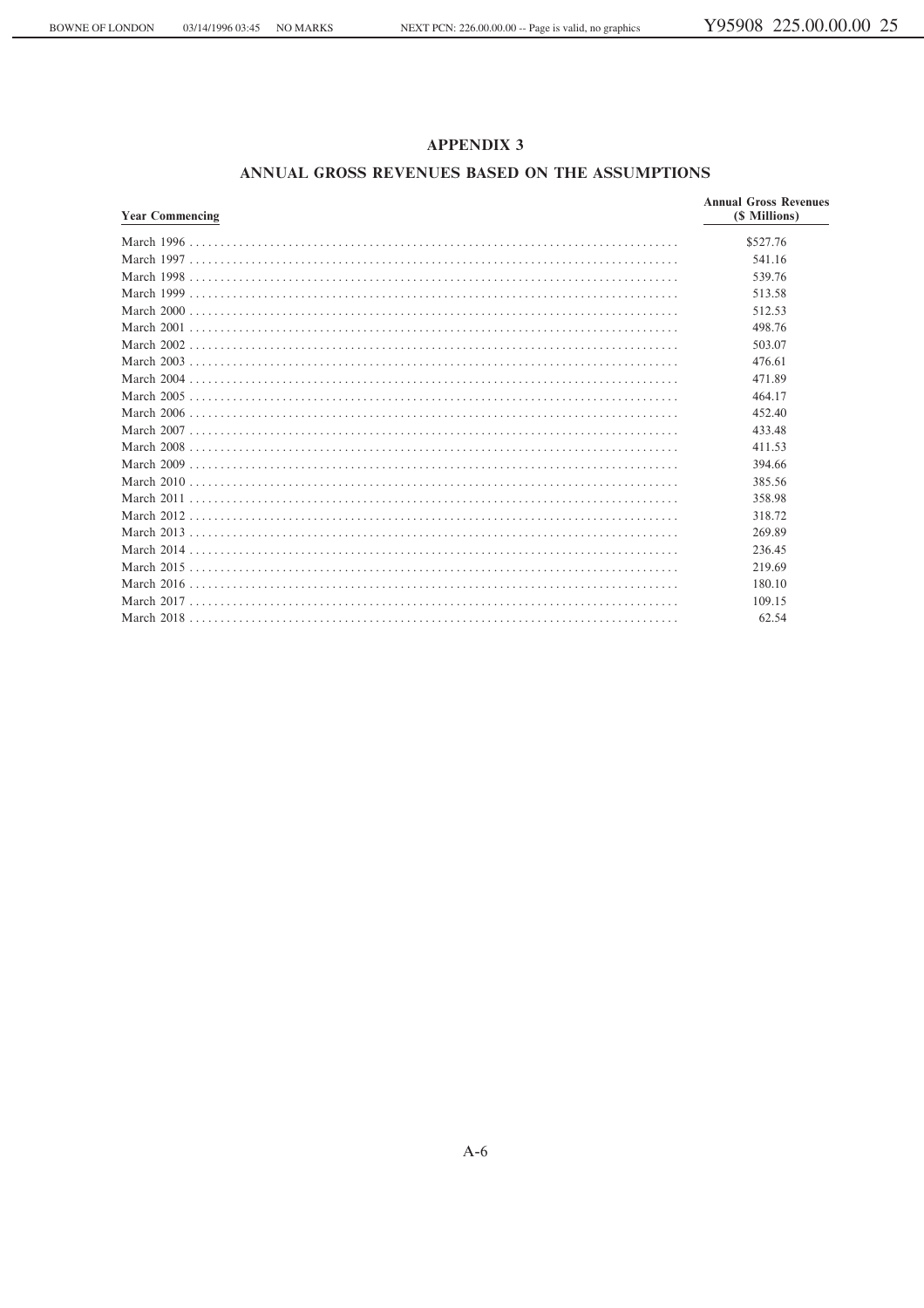## **ANNUAL GROSS REVENUES BASED ON THE ASSUMPTIONS**

| <b>Year Commencing</b> | <b>Annual Gross Revenues</b><br>(\$ Millions) |
|------------------------|-----------------------------------------------|
|                        | \$527.76                                      |
|                        | 541.16                                        |
|                        | 539.76                                        |
|                        | 513.58                                        |
|                        | 512.53                                        |
|                        | 498.76                                        |
|                        | 503.07                                        |
|                        | 476.61                                        |
|                        | 471.89                                        |
|                        | 464.17                                        |
|                        | 452.40                                        |
|                        | 433.48                                        |
|                        | 411.53                                        |
|                        | 394.66                                        |
|                        | 385.56                                        |
|                        | 358.98                                        |
|                        | 318.72                                        |
|                        | 269.89                                        |
|                        | 236.45                                        |
|                        | 219.69                                        |
|                        | 180.10                                        |
|                        | 109.15                                        |
|                        | 62.54                                         |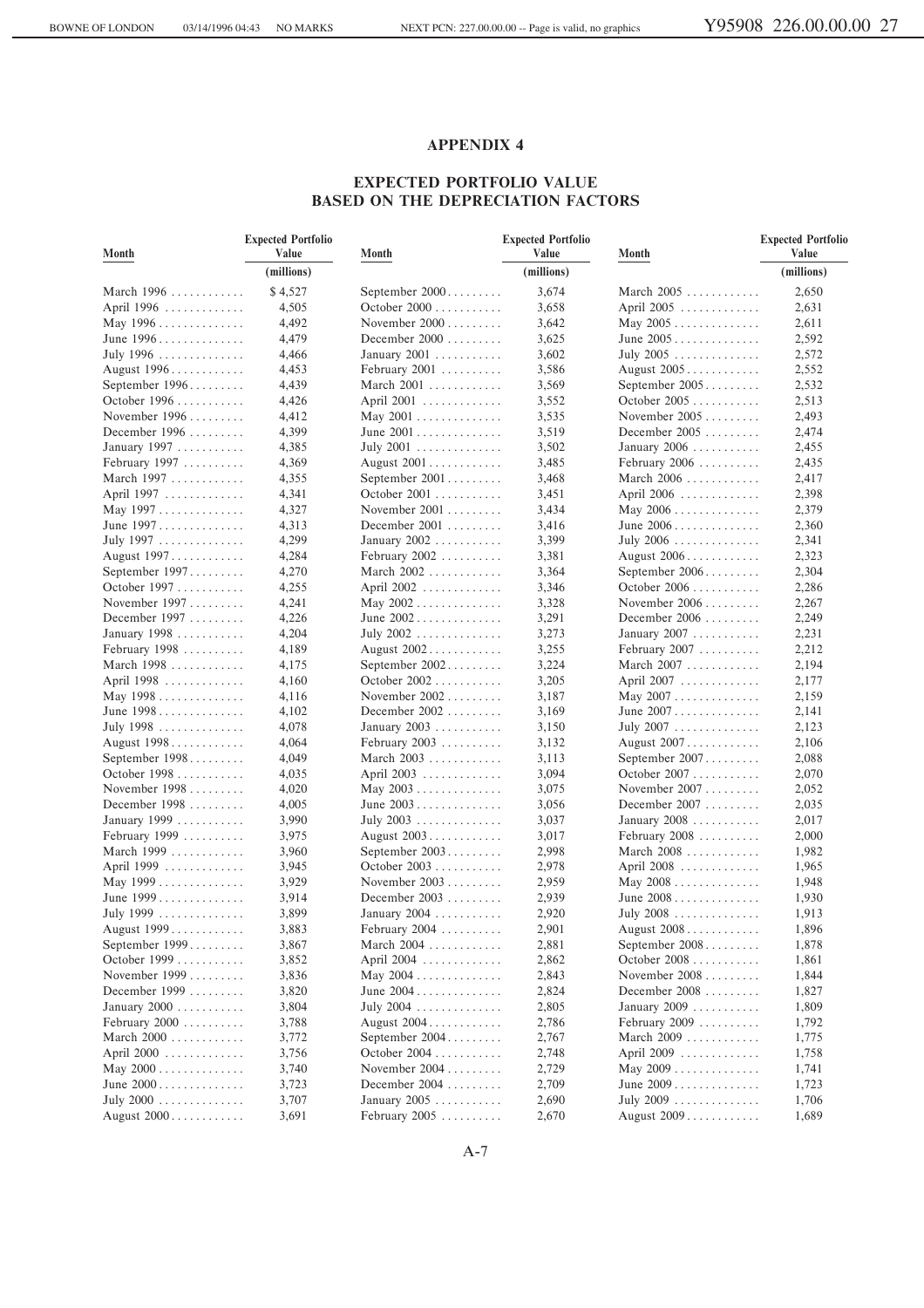#### **EXPECTED PORTFOLIO VALUE BASED ON THE DEPRECIATION FACTORS**

| Month                                  | <b>Expected Portfolio</b><br>Value | Month            | <b>Expected Portfolio</b><br>Value | Month                                   | <b>Expected Portfolio</b><br>Value |
|----------------------------------------|------------------------------------|------------------|------------------------------------|-----------------------------------------|------------------------------------|
|                                        | (millions)                         |                  | (millions)                         |                                         | (millions)                         |
| March $1996$                           | \$4,527                            | September $2000$ | 3,674                              | March $2005$                            | 2,650                              |
| April 1996                             | 4,505                              | October 2000     | 3,658                              | April 2005                              | 2,631                              |
| May $1996 \ldots \ldots \ldots \ldots$ | 4,492                              | November $2000$  | 3,642                              | May $2005 \ldots \ldots \ldots \ldots$  | 2,611                              |
| June 1996                              | 4,479                              | December $2000$  | 3,625                              | June 2005                               | 2,592                              |
| July 1996                              | 4,466                              | January $2001$   | 3,602                              | July $2005$                             | 2,572                              |
| August 1996                            | 4,453                              | February $2001$  | 3,586                              | August 2005                             | 2,552                              |
| September 1996                         | 4,439                              | March 2001       | 3,569                              | September 2005                          | 2,532                              |
| October 1996                           | 4,426                              | April 2001       | 3,552                              | October 2005                            | 2,513                              |
| November $1996 \ldots \ldots$          | 4,412                              | May $2001$       | 3,535                              | November $2005$                         | 2,493                              |
| December 1996                          | 4,399                              | June 2001        | 3,519                              | December $2005$                         | 2,474                              |
| January 1997                           | 4,385                              | July 2001        | 3,502                              | January 2006                            | 2,455                              |
| February $1997 \ldots \ldots$          | 4,369                              | August 2001      | 3,485                              | February 2006                           | 2,435                              |
| March 1997                             | 4,355                              | September 2001   | 3,468                              | March 2006                              | 2,417                              |
| April 1997                             | 4,341                              | October $2001$   | 3,451                              | April 2006                              | 2,398                              |
| May 1997                               | 4,327                              | November $2001$  | 3,434                              | May $2006 \ldots \ldots \ldots \ldots$  | 2,379                              |
| June 1997                              | 4,313                              | December $2001$  | 3,416                              | June $2006 \ldots \ldots \ldots \ldots$ | 2,360                              |
| July 1997                              | 4,299                              | January 2002     | 3,399                              | July $2006 \ldots \ldots \ldots \ldots$ | 2,341                              |
| August 1997                            | 4,284                              | February $2002$  | 3,381                              | August 2006                             | 2,323                              |
| September 1997                         | 4,270                              | March 2002       | 3,364                              | September 2006                          | 2,304                              |
| October 1997                           | 4,255                              | April 2002       | 3,346                              | October $2006$                          | 2,286                              |
| November $1997$                        | 4,241                              | May $2002$       | 3,328                              | November $2006$                         | 2,267                              |
| December 1997                          | 4,226                              | June $2002$      | 3,291                              | December $2006$                         | 2,249                              |
| January 1998                           | 4,204                              | July 2002        | 3,273                              | January 2007                            | 2,231                              |
| February $1998$                        | 4,189                              | August 2002      | 3,255                              | February $2007$                         | 2,212                              |
| March 1998                             | 4,175                              | September 2002   | 3,224                              | March $2007$                            | 2,194                              |
| April 1998                             | 4,160                              | October 2002     | 3,205                              | April 2007                              | 2,177                              |
| May 1998                               | 4,116                              | November $2002$  | 3,187                              | May $2007 \ldots \ldots \ldots \ldots$  | 2,159                              |
| June 1998                              | 4,102                              | December $2002$  | 3,169                              | June $2007 \ldots \ldots \ldots \ldots$ | 2,141                              |
| July 1998                              | 4,078                              | January $2003$   | 3,150                              | July 2007                               | 2,123                              |
| August 1998                            | 4,064                              | February $2003$  | 3,132                              | August 2007                             | 2,106                              |
| September 1998                         | 4,049                              | March 2003       | 3,113                              | September 2007                          | 2,088                              |
| October 1998                           | 4,035                              | April 2003       | 3,094                              | October 2007                            | 2,070                              |
| November $1998$                        | 4,020                              | May $2003$       | 3,075                              | November $2007$                         | 2,052                              |
| December 1998                          | 4,005                              | June $2003$      | 3,056                              | December $2007$                         | 2,035                              |
| January 1999                           | 3,990                              | July 2003        | 3,037                              | January 2008                            | 2,017                              |
| February 1999                          | 3,975                              | August 2003      | 3,017                              | February $2008$                         | 2,000                              |
| March 1999                             | 3,960                              | September 2003   | 2,998                              | March $2008$                            | 1,982                              |
| April 1999                             | 3,945                              | October 2003     | 2,978                              | April 2008                              | 1,965                              |
| May $1999$                             | 3,929                              | November $2003$  | 2,959                              | May 2008                                | 1,948                              |
| June $1999$                            | 3,914                              | December $2003$  | 2,939                              | June $2008$                             | 1,930                              |
| July 1999                              | 3,899                              | January $2004$   | 2,920                              | July 2008                               | 1,913                              |
| August 1999                            | 3,883                              | February $2004$  | 2,901                              | August 2008                             | 1,896                              |
| September 1999                         | 3,867                              | March 2004       | 2,881                              | September 2008                          | 1,878                              |
| October 1999                           | 3,852                              | April 2004       | 2,862                              | October 2008                            | 1,861                              |
| November $1999$                        | 3,836                              | May $2004$       | 2,843                              | November $2008$                         | 1,844                              |
| December 1999                          | 3,820                              | June $2004$      | 2,824                              | December $2008$                         | 1,827                              |
| January 2000                           | 3,804                              | July 2004        | 2,805                              | January 2009                            | 1,809                              |
| February $2000$                        | 3,788                              | August 2004      | 2,786                              | February $2009$                         | 1,792                              |
| March $2000$                           | 3,772                              | September 2004   | 2,767                              | March 2009                              | 1,775                              |
| April $2000$                           | 3,756                              | October 2004     | 2,748                              | April 2009                              | 1,758                              |
| May 2000                               | 3,740                              | November $2004$  | 2,729                              | May $2009$                              | 1,741                              |
| June $2000$                            | 3,723                              | December $2004$  | 2,709                              | June $2009$                             | 1,723                              |
| July $2000$                            | 3,707                              | January $2005$   | 2,690                              | July 2009                               | 1,706                              |
| August 2000                            | 3,691                              | February 2005    | 2,670                              | August 2009                             | 1,689                              |
|                                        |                                    |                  |                                    |                                         |                                    |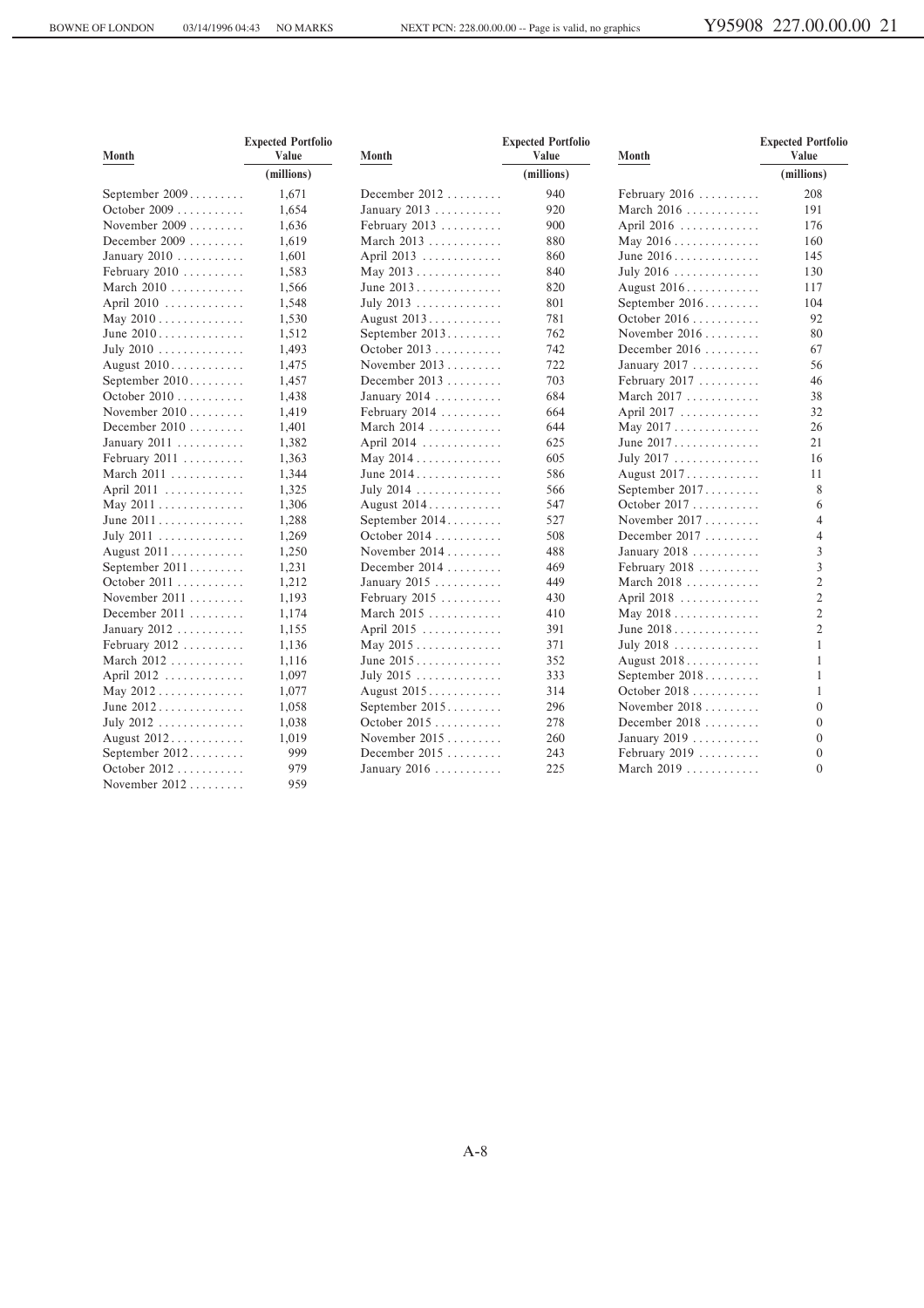| Month                                 | <b>Expected Portfolio</b><br>Value | Month                                  | <b>Expected Portfolio</b><br>Value | Month                                  | <b>Expected Portfolio</b><br>Value |  |
|---------------------------------------|------------------------------------|----------------------------------------|------------------------------------|----------------------------------------|------------------------------------|--|
|                                       | (millions)                         |                                        | (millions)                         |                                        | (millions)                         |  |
| September 2009                        | 1,671                              | December $2012$                        | 940                                | February $2016$                        | 208                                |  |
| October 2009                          | 1,654                              | January 2013                           | 920                                | March $2016$                           | 191                                |  |
| November 2009                         | 1,636                              | February 2013                          | 900                                | April 2016                             | 176                                |  |
| December $2009$                       | 1,619                              | March $2013$                           | 880                                | May $2016$                             | 160                                |  |
| January 2010                          | 1,601                              | April 2013                             | 860                                |                                        | 145                                |  |
| February $2010$                       | 1,583                              | May 2013                               | 840                                | July 2016                              | 130                                |  |
| March $2010$                          | 1,566                              | June $2013$                            | 820                                | August 2016                            | 117                                |  |
| April 2010                            | 1,548                              | July 2013                              | 801                                | September 2016                         | 104                                |  |
| May $2010$                            | 1,530                              | August 2013                            | 781                                | October 2016                           | 92                                 |  |
| June 2010                             | 1,512                              | September 2013                         | 762                                | November $2016$                        | 80                                 |  |
| July 2010 $\dots\dots\dots\dots\dots$ | 1,493                              | October 2013                           | 742                                | December $2016$                        | 67                                 |  |
| August 2010                           | 1,475                              | November $2013$                        | 722                                | January $2017$                         | 56                                 |  |
| September 2010                        | 1,457                              | December $2013$                        | 703                                | February $2017$                        | 46                                 |  |
| October 2010                          | 1,438                              | January 2014                           | 684                                | March 2017                             | 38                                 |  |
| November $2010$                       | 1,419                              | February $2014$                        | 664                                | April 2017                             | 32                                 |  |
| December $2010$                       | 1,401                              | March $2014$                           | 644                                | May $2017 \ldots \ldots \ldots \ldots$ | 26                                 |  |
| January 2011                          | 1,382                              | April 2014                             | 625                                | June 2017                              | 21                                 |  |
| February $2011$                       | 1,363                              | May 2014                               | 605                                | July 2017                              | 16                                 |  |
| March 2011                            | 1,344                              | June $2014$                            | 586                                | August 2017.                           | 11                                 |  |
| April 2011                            | 1,325                              | July 2014                              | 566                                | September 2017                         | 8                                  |  |
| May 2011                              | 1,306                              | August 2014                            | 547                                | October 2017                           | 6                                  |  |
| June 2011                             | 1,288                              | September $2014$                       | 527                                | November $2017$                        | $\overline{4}$                     |  |
| July 2011                             | 1,269                              | October 2014                           | 508                                | December 2017                          | 4                                  |  |
| August 2011                           | 1,250                              | November $2014$                        | 488                                | January 2018                           | 3                                  |  |
| September 2011                        | 1,231                              | December $2014$                        | 469                                | February 2018                          | 3                                  |  |
| October 2011                          | 1,212                              | January $2015$                         | 449                                | March $2018$                           | $\overline{c}$                     |  |
| November $2011$                       | 1,193                              | February $2015$                        | 430                                | April 2018                             | $\mathfrak{2}$                     |  |
| December $2011$                       | 1,174                              | March 2015                             | 410                                | May $2018$                             | $\overline{c}$                     |  |
| January 2012                          | 1,155                              | April 2015                             | 391                                | June 2018                              | $\overline{c}$                     |  |
| February 2012                         | 1,136                              | May $2015 \ldots \ldots \ldots \ldots$ | 371                                | July $2018$                            | 1                                  |  |
| March $2012$                          | 1,116                              | June $2015$                            | 352                                | August 2018                            | 1                                  |  |
| April 2012                            | 1,097                              | July 2015                              | 333                                | September 2018                         | 1                                  |  |
| May 2012                              | 1,077                              | August 2015                            | 314                                | October 2018                           | 1                                  |  |
| June $2012$                           | 1,058                              | September 2015                         | 296                                | November $2018$                        | $\mathbf{0}$                       |  |
| July 2012                             | 1,038                              | October 2015                           | 278                                | December $2018$                        | $\mathbf{0}$                       |  |
| August 2012                           | 1,019                              | November $2015$                        | 260                                | January 2019                           | $\mathbf{0}$                       |  |
| September 2012                        | 999                                | December 2015                          | 243                                | February $2019$                        | $\mathbf{0}$                       |  |
| October 2012                          | 979                                | January 2016                           | 225                                | March 2019                             | $\Omega$                           |  |
| November $2012$                       | 959                                |                                        |                                    |                                        |                                    |  |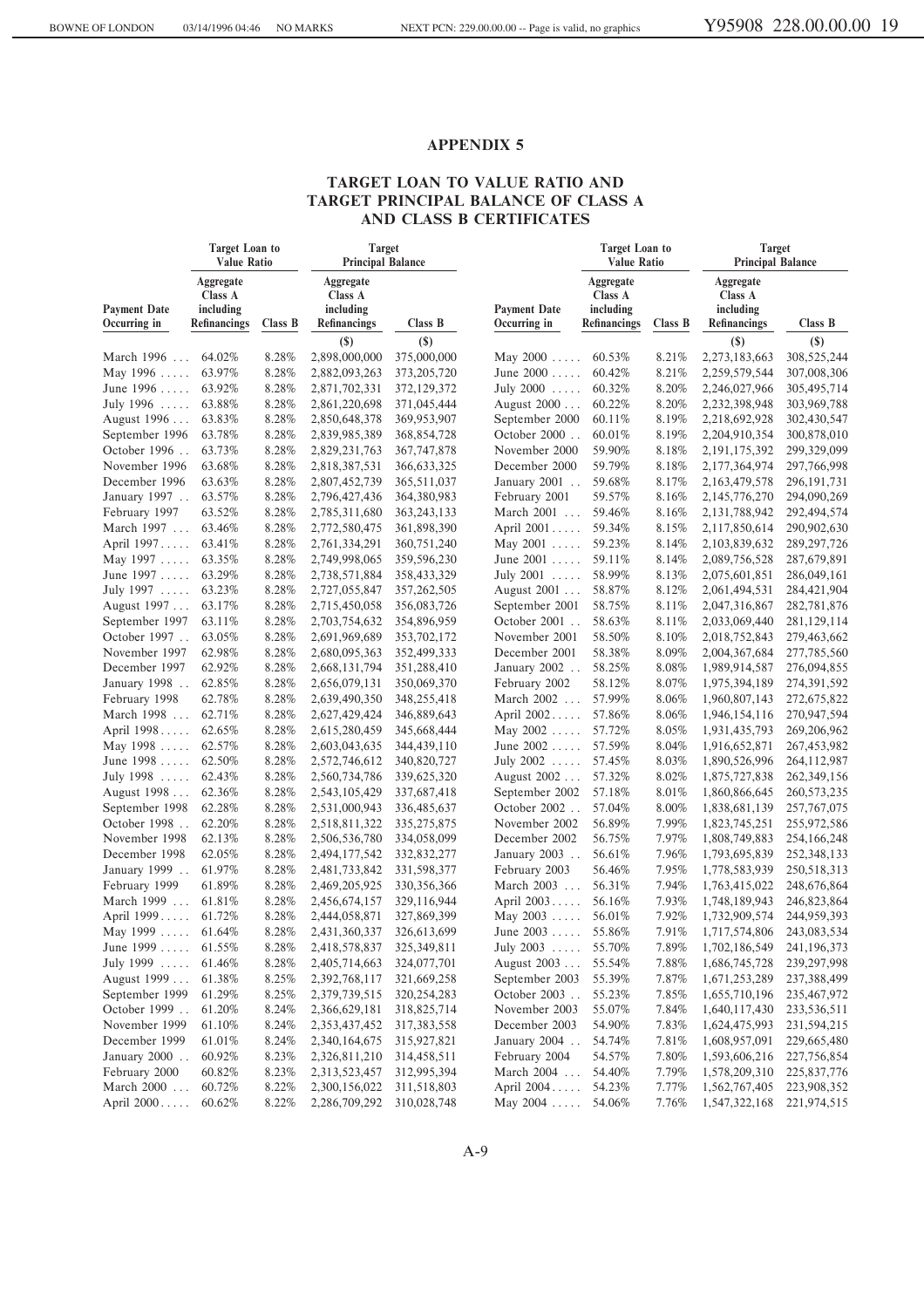## **TARGET LOAN TO VALUE RATIO AND TARGET PRINCIPAL BALANCE OF CLASS A AND CLASS B CERTIFICATES**

|                     | Target Loan to<br><b>Value Ratio</b> | Target<br><b>Principal Balance</b> |                                   |               | Target Loan to<br><b>Value Ratio</b> |                                   |         | Target<br><b>Principal Balance</b> |               |
|---------------------|--------------------------------------|------------------------------------|-----------------------------------|---------------|--------------------------------------|-----------------------------------|---------|------------------------------------|---------------|
| <b>Payment Date</b> | Aggregate<br>Class A<br>including    |                                    | Aggregate<br>Class A<br>including |               | <b>Payment Date</b>                  | Aggregate<br>Class A<br>including |         | Aggregate<br>Class A<br>including  |               |
| Occurring in        | Refinancings                         | Class B                            | <b>Refinancings</b>               | Class B       | Occurring in                         | Refinancings                      | Class B | <b>Refinancings</b>                | Class B       |
|                     |                                      |                                    | $\left( \mathbf{S}\right)$        | $($)$         |                                      |                                   |         | $\left( \text{\$}\right)$          | $(\$)$        |
| March 1996          | 64.02%                               | 8.28%                              | 2,898,000,000                     | 375,000,000   | May $2000$                           | 60.53%                            | 8.21%   | 2,273,183,663                      | 308,525,244   |
| May 1996            | 63.97%                               | 8.28%                              | 2,882,093,263                     | 373, 205, 720 | June $2000 \ldots$ .                 | 60.42%                            | 8.21%   | 2,259,579,544                      | 307,008,306   |
| June 1996           | 63.92%                               | 8.28%                              | 2,871,702,331                     | 372,129,372   | July 2000                            | 60.32%                            | 8.20%   | 2,246,027,966                      | 305,495,714   |
| July 1996           | 63.88%                               | 8.28%                              | 2,861,220,698                     | 371,045,444   | August 2000                          | 60.22%                            | 8.20%   | 2,232,398,948                      | 303,969,788   |
| August 1996         | 63.83%                               | 8.28%                              | 2,850,648,378                     | 369,953,907   | September 2000                       | 60.11%                            | 8.19%   | 2,218,692,928                      | 302,430,547   |
| September 1996      | 63.78%                               | 8.28%                              | 2,839,985,389                     | 368,854,728   | October 2000                         | 60.01%                            | 8.19%   | 2,204,910,354                      | 300,878,010   |
| October 1996        | 63.73%                               | 8.28%                              | 2,829,231,763                     | 367,747,878   | November 2000                        | 59.90%                            | 8.18%   | 2, 191, 175, 392                   | 299,329,099   |
| November 1996       | 63.68%                               | 8.28%                              | 2,818,387,531                     | 366, 633, 325 | December 2000                        | 59.79%                            | 8.18%   | 2,177,364,974                      | 297,766,998   |
| December 1996       | 63.63%                               | 8.28%                              | 2,807,452,739                     | 365,511,037   | January 2001                         | 59.68%                            | 8.17%   | 2,163,479,578                      | 296, 191, 731 |
| January 1997        | 63.57%                               | 8.28%                              | 2,796,427,436                     | 364,380,983   | February 2001                        | 59.57%                            | 8.16%   | 2,145,776,270                      | 294,090,269   |
| February 1997       | 63.52%                               | 8.28%                              | 2,785,311,680                     | 363, 243, 133 | March 2001                           | 59.46%                            | 8.16%   | 2, 131, 788, 942                   | 292,494,574   |
| March 1997          | 63.46%                               | 8.28%                              | 2,772,580,475                     | 361,898,390   | April 2001                           | 59.34%                            | 8.15%   | 2,117,850,614                      | 290,902,630   |
| April 1997          | 63.41%                               | 8.28%                              | 2,761,334,291                     | 360,751,240   | May $2001 \ldots$ .                  | 59.23%                            | 8.14%   | 2,103,839,632                      | 289, 297, 726 |
| May 1997            | 63.35%                               | 8.28%                              | 2,749,998,065                     | 359,596,230   | June $2001 \ldots$ .                 | 59.11%                            | 8.14%   | 2,089,756,528                      | 287,679,891   |
| June 1997           | 63.29%                               | 8.28%                              | 2,738,571,884                     | 358,433,329   | July 2001                            | 58.99%                            | 8.13%   | 2,075,601,851                      | 286,049,161   |
| July 1997           | 63.23%                               | 8.28%                              | 2,727,055,847                     | 357,262,505   | August 2001                          | 58.87%                            | 8.12%   | 2,061,494,531                      | 284,421,904   |
| August 1997         | 63.17%                               | 8.28%                              | 2,715,450,058                     | 356,083,726   | September 2001                       | 58.75%                            | 8.11%   | 2,047,316,867                      | 282,781,876   |
| September 1997      | 63.11%                               | 8.28%                              | 2,703,754,632                     | 354,896,959   | October 2001                         | 58.63%                            | 8.11%   | 2,033,069,440                      | 281,129,114   |
| October 1997        | 63.05%                               | 8.28%                              | 2,691,969,689                     | 353,702,172   | November 2001                        | 58.50%                            | 8.10%   | 2,018,752,843                      | 279,463,662   |
| November 1997       | 62.98%                               | 8.28%                              | 2,680,095,363                     | 352,499,333   | December 2001                        | 58.38%                            | 8.09%   | 2,004,367,684                      | 277,785,560   |
| December 1997       | 62.92%                               | 8.28%                              | 2,668,131,794                     | 351,288,410   | January 2002                         | 58.25%                            | 8.08%   | 1,989,914,587                      | 276,094,855   |
| January 1998        | 62.85%                               | 8.28%                              | 2,656,079,131                     | 350,069,370   | February 2002                        | 58.12%                            | 8.07%   | 1,975,394,189                      | 274,391,592   |
| February 1998       | 62.78%                               | 8.28%                              | 2,639,490,350                     | 348,255,418   | March 2002                           | 57.99%                            | 8.06%   | 1,960,807,143                      | 272,675,822   |
| March 1998          | 62.71%                               | 8.28%                              | 2,627,429,424                     | 346,889,643   | April 2002                           | 57.86%                            | 8.06%   | 1,946,154,116                      | 270,947,594   |
| April 1998          | 62.65%                               | 8.28%                              | 2,615,280,459                     | 345,668,444   | May 2002                             | 57.72%                            | 8.05%   | 1,931,435,793                      | 269, 206, 962 |
| May 1998            | 62.57%                               | 8.28%                              | 2,603,043,635                     | 344,439,110   | June $2002 \ldots$ .                 | 57.59%                            | 8.04%   | 1,916,652,871                      | 267,453,982   |
| June 1998           | 62.50%                               | 8.28%                              | 2,572,746,612                     | 340,820,727   | July 2002                            | 57.45%                            | 8.03%   | 1,890,526,996                      | 264,112,987   |
| July 1998           | 62.43%                               | 8.28%                              | 2,560,734,786                     | 339,625,320   | August 2002                          | 57.32%                            | 8.02%   | 1,875,727,838                      | 262, 349, 156 |
| August 1998         | 62.36%                               | 8.28%                              | 2,543,105,429                     | 337,687,418   | September 2002                       | 57.18%                            | 8.01%   | 1,860,866,645                      | 260, 573, 235 |
| September 1998      | 62.28%                               | 8.28%                              | 2,531,000,943                     | 336,485,637   | October 2002                         | 57.04%                            | 8.00%   | 1,838,681,139                      | 257, 767, 075 |
| October 1998        | 62.20%                               | 8.28%                              | 2,518,811,322                     | 335,275,875   | November 2002                        | 56.89%                            | 7.99%   | 1,823,745,251                      | 255,972,586   |
| November 1998       | 62.13%                               | 8.28%                              | 2,506,536,780                     | 334,058,099   | December 2002                        | 56.75%                            | 7.97%   | 1,808,749,883                      | 254,166,248   |
| December 1998       | 62.05%                               | 8.28%                              | 2,494,177,542                     | 332,832,277   | January 2003                         | 56.61%                            | 7.96%   | 1,793,695,839                      | 252,348,133   |
| January 1999        | 61.97%                               | 8.28%                              | 2,481,733,842                     | 331,598,377   | February 2003                        | 56.46%                            | 7.95%   | 1,778,583,939                      | 250,518,313   |
| February 1999       | 61.89%                               | 8.28%                              | 2,469,205,925                     | 330, 356, 366 | March 2003                           | 56.31%                            | 7.94%   | 1,763,415,022                      | 248,676,864   |
| March 1999          | 61.81%                               | 8.28%                              | 2,456,674,157                     | 329,116,944   | April 2003                           | 56.16%                            | 7.93%   | 1,748,189,943                      | 246,823,864   |
| April 1999          | 61.72%                               | 8.28%                              | 2,444,058,871                     | 327,869,399   | May 2003                             | 56.01%                            | 7.92%   | 1,732,909,574                      | 244,959,393   |
| May 1999            | 61.64%                               | 8.28%                              | 2,431,360,337                     | 326,613,699   | June $2003$                          | 55.86%                            | 7.91%   | 1,717,574,806                      | 243,083,534   |
| June 1999           | 61.55%                               | 8.28%                              | 2,418,578,837                     | 325,349,811   | July 2003                            | 55.70%                            | 7.89%   | 1,702,186,549                      | 241,196,373   |
| July 1999           | 61.46%                               | 8.28%                              | 2,405,714,663                     | 324,077,701   | August 2003                          | 55.54%                            | 7.88%   | 1,686,745,728                      | 239,297,998   |
| August 1999         | 61.38%                               | 8.25%                              | 2,392,768,117                     | 321,669,258   | September 2003                       | 55.39%                            | 7.87%   | 1,671,253,289                      | 237,388,499   |
| September 1999      | 61.29%                               | 8.25%                              | 2,379,739,515                     | 320,254,283   | October 2003                         | 55.23%                            | 7.85%   | 1,655,710,196                      | 235,467,972   |
| October 1999        | 61.20%                               | 8.24%                              | 2,366,629,181                     | 318,825,714   | November 2003                        | 55.07%                            | 7.84%   | 1,640,117,430                      | 233,536,511   |
| November 1999       | 61.10%                               | 8.24%                              | 2,353,437,452                     | 317,383,558   | December 2003                        | 54.90%                            | 7.83%   | 1,624,475,993                      | 231,594,215   |
| December 1999       | 61.01%                               | 8.24%                              | 2,340,164,675                     | 315,927,821   | January 2004                         | 54.74%                            | 7.81%   | 1,608,957,091                      | 229,665,480   |
| January 2000        | 60.92%                               | 8.23%                              | 2,326,811,210                     | 314,458,511   | February 2004                        | 54.57%                            | 7.80%   | 1,593,606,216                      | 227,756,854   |
| February 2000       | 60.82%                               | 8.23%                              | 2,313,523,457                     | 312,995,394   | March 2004                           | 54.40%                            | 7.79%   | 1,578,209,310                      | 225,837,776   |
| March 2000          | 60.72%                               | 8.22%                              | 2,300,156,022                     | 311,518,803   | April 2004                           | 54.23%                            | 7.77%   | 1,562,767,405                      | 223,908,352   |
| April 2000          | 60.62%                               | 8.22%                              | 2,286,709,292                     | 310,028,748   | May 2004                             | 54.06%                            | 7.76%   | 1,547,322,168                      | 221,974,515   |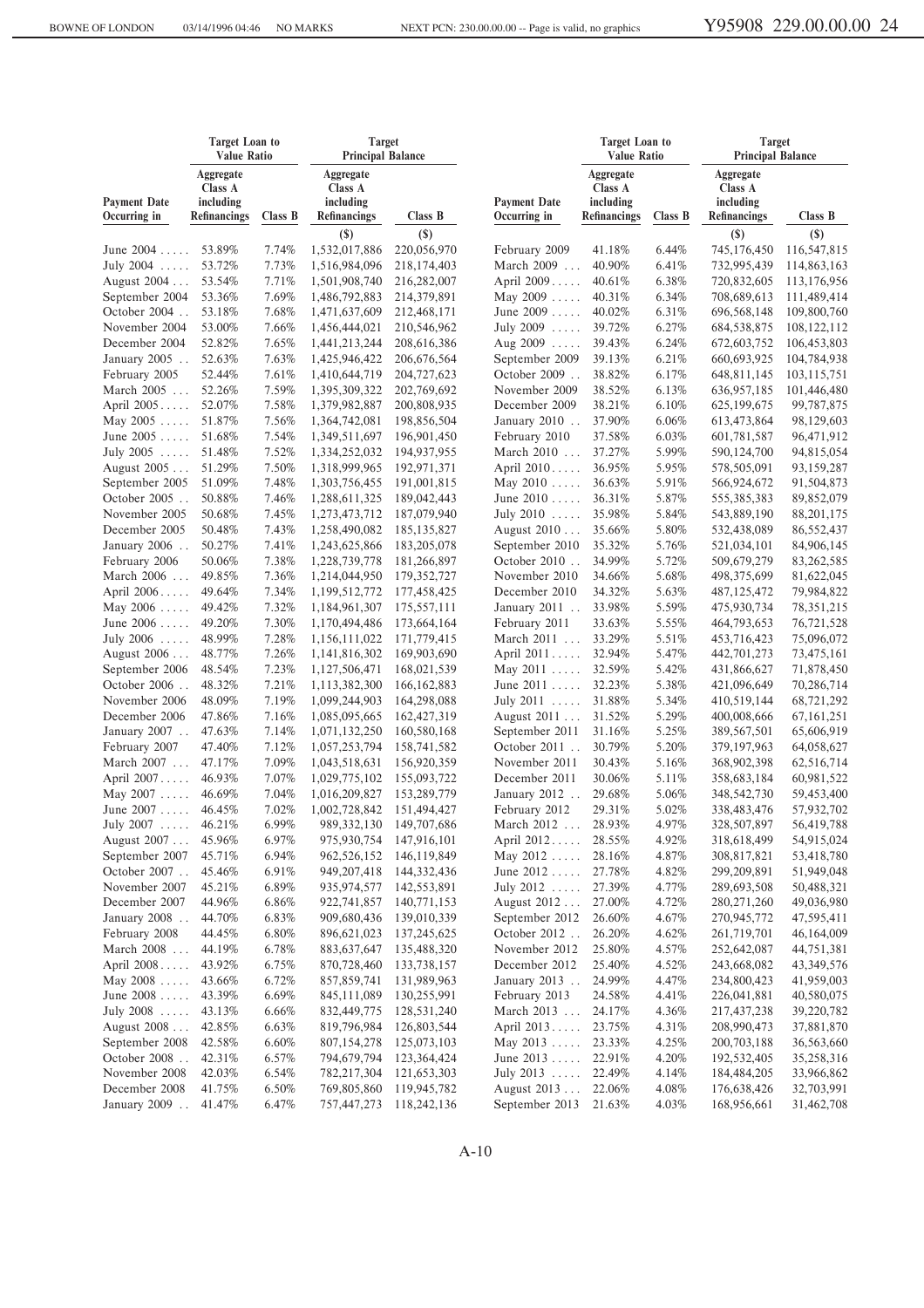|                                     | <b>Target Loan to</b><br><b>Target</b><br><b>Value Ratio</b><br><b>Principal Balance</b> |          |                                                   |               | <b>Target Loan to</b><br><b>Value Ratio</b> |                                                   | <b>Target</b><br><b>Principal Balance</b> |                                                          |               |
|-------------------------------------|------------------------------------------------------------------------------------------|----------|---------------------------------------------------|---------------|---------------------------------------------|---------------------------------------------------|-------------------------------------------|----------------------------------------------------------|---------------|
| <b>Payment Date</b><br>Occurring in | Aggregate<br>Class A<br>including<br>Refinancings                                        | Class B  | Aggregate<br>Class A<br>including<br>Refinancings | Class B       | <b>Payment Date</b><br>Occurring in         | Aggregate<br>Class A<br>including<br>Refinancings | Class B                                   | Aggregate<br>Class A<br>including<br><b>Refinancings</b> | Class B       |
|                                     |                                                                                          |          | $(\$)$                                            | $(\$)$        |                                             |                                                   |                                           | $(\$)$                                                   | $(\$)$        |
| June $2004$                         | 53.89%                                                                                   | 7.74%    | 1,532,017,886                                     | 220,056,970   | February 2009                               | 41.18%                                            | 6.44%                                     | 745,176,450                                              | 116,547,815   |
| July 2004                           | 53.72%                                                                                   | 7.73%    | 1,516,984,096                                     | 218, 174, 403 | March 2009                                  | 40.90%                                            | 6.41%                                     | 732,995,439                                              | 114,863,163   |
| August 2004                         | 53.54%                                                                                   | 7.71%    | 1,501,908,740                                     | 216,282,007   | April 2009                                  | 40.61%                                            | 6.38%                                     | 720,832,605                                              | 113,176,956   |
| September 2004                      | 53.36%                                                                                   | 7.69%    | 1,486,792,883                                     | 214,379,891   | May $2009 \ldots$ .                         | 40.31%                                            | 6.34%                                     | 708,689,613                                              | 111,489,414   |
| October 2004                        | 53.18%                                                                                   | 7.68%    | 1,471,637,609                                     | 212,468,171   | June $2009$                                 | 40.02%                                            | 6.31%                                     | 696,568,148                                              | 109,800,760   |
| November 2004                       | 53.00%                                                                                   | 7.66%    | 1,456,444,021                                     | 210,546,962   | July 2009                                   | 39.72%                                            | 6.27%                                     | 684,538,875                                              | 108, 122, 112 |
| December 2004                       | 52.82%                                                                                   | 7.65%    | 1,441,213,244                                     | 208, 616, 386 | Aug $2009$                                  | 39.43%                                            | 6.24%                                     | 672,603,752                                              | 106,453,803   |
| January 2005                        | 52.63%                                                                                   | 7.63%    | 1,425,946,422                                     | 206, 676, 564 | September 2009                              | 39.13%                                            | 6.21%                                     | 660,693,925                                              | 104,784,938   |
| February 2005                       | 52.44%                                                                                   | 7.61%    | 1,410,644,719                                     | 204,727,623   | October 2009                                | 38.82%                                            | 6.17%                                     | 648,811,145                                              | 103,115,751   |
| March 2005                          | 52.26%                                                                                   | 7.59%    | 1,395,309,322                                     | 202,769,692   | November 2009                               | 38.52%                                            | 6.13%                                     | 636,957,185                                              | 101,446,480   |
| April 2005                          | 52.07%                                                                                   | 7.58%    | 1,379,982,887                                     | 200,808,935   | December 2009                               | 38.21%                                            | 6.10%                                     | 625, 199, 675                                            | 99,787,875    |
| May $2005$                          | 51.87%                                                                                   | 7.56%    | 1,364,742,081                                     | 198,856,504   | January 2010                                | 37.90%                                            | 6.06%                                     | 613,473,864                                              | 98,129,603    |
| June $2005$                         | 51.68%                                                                                   | 7.54%    | 1,349,511,697                                     | 196,901,450   | February 2010                               | 37.58%                                            | 6.03%                                     | 601,781,587                                              | 96,471,912    |
| July 2005                           | 51.48%                                                                                   | 7.52%    | 1,334,252,032                                     | 194,937,955   | March 2010                                  | 37.27%                                            | 5.99%                                     | 590,124,700                                              | 94,815,054    |
| August 2005                         | 51.29%                                                                                   | 7.50%    | 1,318,999,965                                     | 192,971,371   | April 2010                                  | 36.95%                                            | 5.95%                                     | 578,505,091                                              | 93,159,287    |
| September 2005                      | 51.09%                                                                                   | 7.48%    | 1,303,756,455                                     | 191,001,815   | May $2010$                                  | 36.63%                                            | 5.91%                                     | 566,924,672                                              | 91,504,873    |
| October 2005                        | 50.88%                                                                                   | 7.46%    | 1,288,611,325                                     | 189,042,443   | June 2010                                   | 36.31%                                            | 5.87%                                     | 555,385,383                                              | 89,852,079    |
| November 2005                       | 50.68%                                                                                   | 7.45%    | 1,273,473,712                                     | 187,079,940   | July $2010$                                 | 35.98%                                            | 5.84%                                     | 543,889,190                                              | 88, 201, 175  |
| December 2005                       | 50.48%                                                                                   | 7.43%    | 1,258,490,082                                     | 185, 135, 827 | August 2010                                 | 35.66%                                            | 5.80%                                     | 532,438,089                                              | 86,552,437    |
| January 2006                        | 50.27%                                                                                   | 7.41%    | 1,243,625,866                                     | 183,205,078   | September 2010                              | 35.32%                                            | 5.76%                                     | 521,034,101                                              | 84,906,145    |
| February 2006                       | 50.06%                                                                                   | 7.38%    | 1,228,739,778                                     | 181,266,897   | October 2010                                | 34.99%                                            | 5.72%                                     | 509,679,279                                              | 83, 262, 585  |
| March 2006                          | 49.85%                                                                                   | 7.36%    | 1,214,044,950                                     | 179,352,727   | November 2010                               | 34.66%                                            | 5.68%                                     | 498,375,699                                              | 81,622,045    |
| April 2006                          | 49.64%                                                                                   | 7.34%    | 1,199,512,772                                     | 177,458,425   | December 2010                               | 34.32%                                            | 5.63%                                     | 487,125,472                                              | 79,984,822    |
| May $2006 \ldots$                   | 49.42%                                                                                   | 7.32%    | 1,184,961,307                                     | 175,557,111   | January 2011                                | 33.98%                                            | 5.59%                                     | 475,930,734                                              | 78, 351, 215  |
| June $2006 \ldots$ .                | 49.20%                                                                                   | 7.30%    | 1,170,494,486                                     | 173,664,164   | February 2011                               | 33.63%                                            | 5.55%                                     | 464,793,653                                              | 76,721,528    |
| July 2006                           | 48.99%                                                                                   | 7.28%    | 1,156,111,022                                     | 171,779,415   | March 2011                                  | 33.29%                                            | 5.51%                                     | 453,716,423                                              | 75,096,072    |
| August 2006                         | 48.77%                                                                                   | 7.26%    | 1,141,816,302                                     | 169,903,690   | April 2011                                  | 32.94%                                            | 5.47%                                     | 442,701,273                                              | 73,475,161    |
| September 2006                      | 48.54%                                                                                   | 7.23%    | 1,127,506,471                                     | 168,021,539   | May $2011 \ldots$                           | 32.59%                                            | 5.42%                                     | 431,866,627                                              | 71,878,450    |
| October 2006                        | 48.32%                                                                                   | 7.21%    | 1,113,382,300                                     | 166, 162, 883 | June 2011                                   | 32.23%                                            | 5.38%                                     | 421,096,649                                              | 70,286,714    |
| November 2006                       | 48.09%                                                                                   | 7.19%    | 1,099,244,903                                     | 164,298,088   | July 2011                                   | 31.88%                                            | 5.34%                                     | 410,519,144                                              | 68,721,292    |
| December 2006                       | 47.86%                                                                                   | 7.16%    | 1,085,095,665                                     | 162,427,319   | August 2011                                 | 31.52%                                            | 5.29%                                     | 400,008,666                                              | 67, 161, 251  |
| January 2007                        | 47.63%                                                                                   | 7.14%    | 1,071,132,250                                     | 160,580,168   | September 2011                              | 31.16%                                            | 5.25%                                     | 389,567,501                                              | 65,606,919    |
| February 2007                       | 47.40%                                                                                   | 7.12%    | 1,057,253,794                                     | 158,741,582   | October $2011$                              | 30.79%                                            | 5.20%                                     | 379, 197, 963                                            | 64,058,627    |
| March 2007                          | 47.17%                                                                                   | 7.09%    | 1,043,518,631                                     | 156,920,359   | November 2011                               | 30.43%                                            | 5.16%                                     | 368,902,398                                              | 62,516,714    |
| April 2007                          | 46.93%                                                                                   | 7.07%    | 1,029,775,102                                     | 155,093,722   | December 2011                               | 30.06%                                            | 5.11%                                     | 358,683,184                                              | 60,981,522    |
| May $2007 \ldots$ .                 | 46.69%                                                                                   | 7.04%    | 1,016,209,827                                     | 153,289,779   | January 2012                                | 29.68%                                            | 5.06%                                     | 348,542,730                                              | 59,453,400    |
| June 2007                           | 46.45%                                                                                   | 7.02%    | 1,002,728,842                                     | 151,494,427   | February 2012                               | 29.31%                                            | 5.02%                                     | 338,483,476                                              | 57,932,702    |
| July 2007                           | 46.21%                                                                                   | 6.99%    | 989,332,130                                       | 149,707,686   | March 2012 .                                | 28.93%                                            | 4.97%                                     | 328,507,897                                              | 56,419,788    |
| August 2007                         | 45.96%                                                                                   | 6.97%    | 975,930,754                                       | 147,916,101   | April 2012 28.55%                           |                                                   | 4.92%                                     | 318,618,499                                              | 54,915,024    |
| September 2007                      | 45.71%                                                                                   | 6.94%    | 962,526,152                                       | 146,119,849   | May $2012 \ldots$                           | 28.16%                                            | 4.87%                                     | 308,817,821                                              | 53,418,780    |
| October 2007                        | 45.46%                                                                                   | 6.91%    | 949, 207, 418                                     | 144, 332, 436 | June $2012 \ldots$                          | 27.78%                                            | 4.82%                                     | 299,209,891                                              | 51,949,048    |
| November 2007                       | 45.21%                                                                                   | 6.89%    | 935,974,577                                       | 142,553,891   | July 2012                                   | 27.39%                                            | 4.77%                                     | 289,693,508                                              | 50,488,321    |
| December 2007                       | 44.96%                                                                                   | 6.86%    | 922,741,857                                       | 140,771,153   | August 2012                                 | 27.00%                                            | 4.72%                                     | 280, 271, 260                                            | 49,036,980    |
| January 2008                        | 44.70%                                                                                   | 6.83%    | 909,680,436                                       | 139,010,339   | September 2012                              | 26.60%                                            | 4.67%                                     | 270,945,772                                              | 47,595,411    |
| February 2008                       | 44.45%                                                                                   | $6.80\%$ | 896,621,023                                       | 137,245,625   | October 2012                                | 26.20%                                            | 4.62%                                     | 261,719,701                                              | 46,164,009    |
| March 2008                          | 44.19%                                                                                   | 6.78%    | 883,637,647                                       | 135,488,320   | November 2012                               | 25.80%                                            | 4.57%                                     | 252,642,087                                              | 44,751,381    |
| April 2008                          | 43.92%                                                                                   | 6.75%    | 870,728,460                                       | 133,738,157   | December 2012                               | 25.40%                                            | 4.52%                                     | 243,668,082                                              | 43, 349, 576  |
| May $2008 \ldots$ .                 | 43.66%                                                                                   | 6.72%    | 857,859,741                                       | 131,989,963   | January 2013                                | 24.99%                                            | 4.47%                                     | 234,800,423                                              | 41,959,003    |
| June $2008$                         | 43.39%                                                                                   | 6.69%    | 845,111,089                                       | 130,255,991   | February 2013                               | 24.58%                                            | 4.41%                                     | 226,041,881                                              | 40,580,075    |
| July 2008                           | 43.13%                                                                                   | 6.66%    | 832,449,775                                       | 128,531,240   | March 2013                                  | 24.17%                                            | 4.36%                                     | 217,437,238                                              | 39,220,782    |
| August 2008                         | 42.85%                                                                                   | 6.63%    | 819,796,984                                       | 126,803,544   | April 2013                                  | 23.75%                                            | 4.31%                                     | 208,990,473                                              | 37,881,870    |
| September 2008                      | 42.58%                                                                                   | 6.60%    | 807,154,278                                       | 125,073,103   | May $2013 \ldots$ .                         | 23.33%                                            | 4.25%                                     | 200, 703, 188                                            | 36,563,660    |
| October 2008                        | 42.31%                                                                                   | 6.57%    | 794,679,794                                       | 123,364,424   | June $2013 \ldots$                          | 22.91%                                            | 4.20%                                     | 192,532,405                                              | 35,258,316    |
| November 2008                       | 42.03%                                                                                   | 6.54%    | 782,217,304                                       | 121,653,303   | July $2013$                                 | 22.49%                                            | 4.14%                                     | 184,484,205                                              | 33,966,862    |
| December 2008                       | 41.75%                                                                                   | 6.50%    | 769,805,860                                       | 119,945,782   | August 2013                                 | 22.06%                                            | 4.08%                                     | 176,638,426                                              | 32,703,991    |
| January 2009                        | 41.47%                                                                                   | 6.47%    | 757,447,273                                       | 118,242,136   | September 2013                              | 21.63%                                            | 4.03%                                     | 168,956,661                                              | 31,462,708    |
|                                     |                                                                                          |          |                                                   |               |                                             |                                                   |                                           |                                                          |               |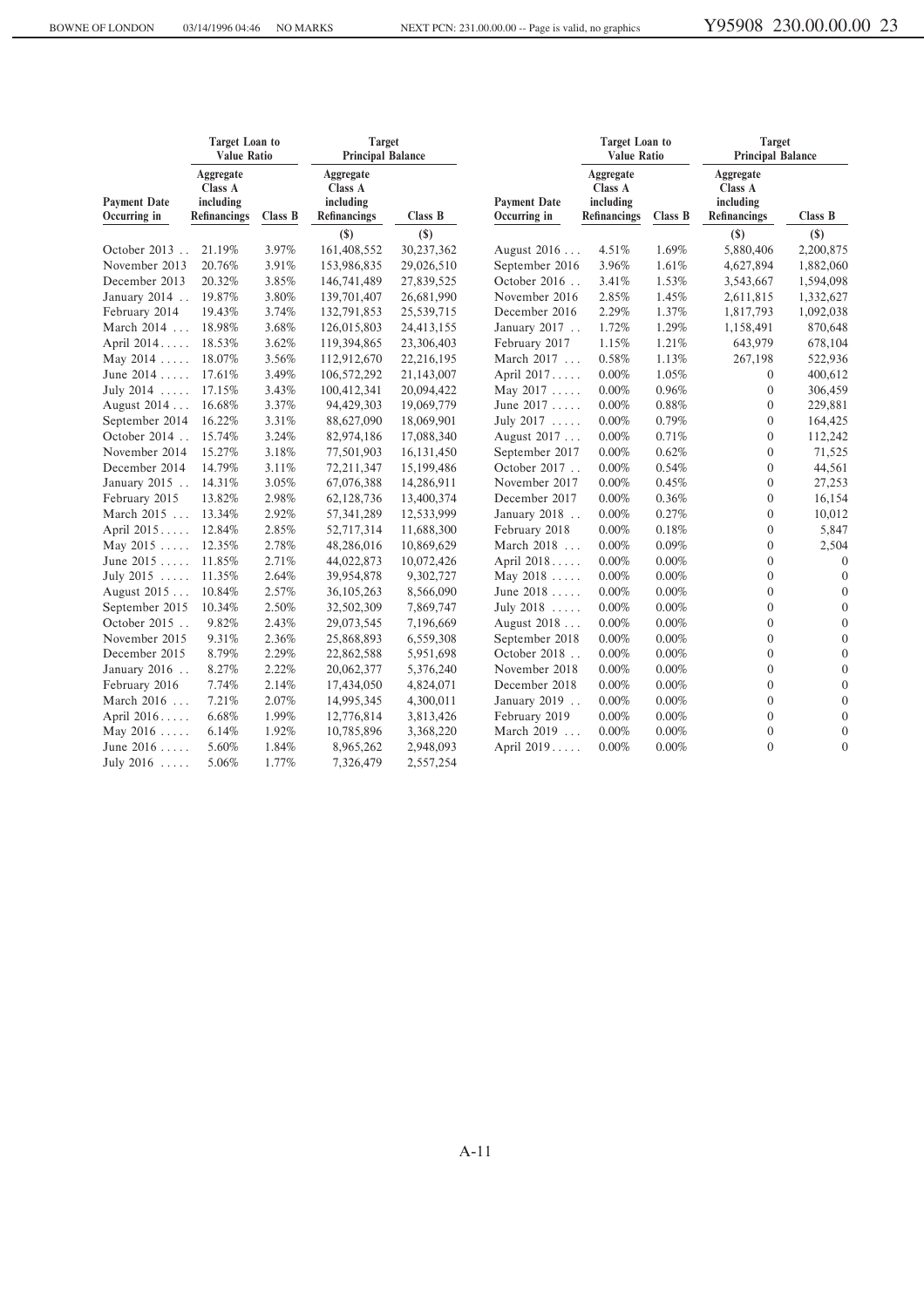|                                     | <b>Target Loan to</b><br><b>Value Ratio</b>       |         | <b>Target</b><br><b>Principal Balance</b>                |              |                                     | <b>Target Loan to</b><br><b>Value Ratio</b>       |          | <b>Target</b><br><b>Principal Balance</b>                |                |
|-------------------------------------|---------------------------------------------------|---------|----------------------------------------------------------|--------------|-------------------------------------|---------------------------------------------------|----------|----------------------------------------------------------|----------------|
| <b>Payment Date</b><br>Occurring in | Aggregate<br>Class A<br>including<br>Refinancings | Class B | Aggregate<br>Class A<br>including<br><b>Refinancings</b> | Class B      | <b>Payment Date</b><br>Occurring in | Aggregate<br>Class A<br>including<br>Refinancings | Class B  | Aggregate<br>Class A<br>including<br><b>Refinancings</b> | Class B        |
|                                     |                                                   |         | $(\$)$                                                   | $(\$)$       |                                     |                                                   |          | $(\$)$                                                   | $(\$)$         |
| October 2013                        | 21.19%                                            | 3.97%   | 161,408,552                                              | 30,237,362   | August 2016                         | 4.51%                                             | 1.69%    | 5,880,406                                                | 2,200,875      |
| November 2013                       | 20.76%                                            | 3.91%   | 153,986,835                                              | 29,026,510   | September 2016                      | 3.96%                                             | 1.61%    | 4,627,894                                                | 1,882,060      |
| December 2013                       | 20.32%                                            | 3.85%   | 146,741,489                                              | 27,839,525   | October 2016                        | 3.41%                                             | 1.53%    | 3,543,667                                                | 1,594,098      |
| January 2014                        | 19.87%                                            | 3.80%   | 139,701,407                                              | 26,681,990   | November 2016                       | 2.85%                                             | 1.45%    | 2,611,815                                                | 1,332,627      |
| February 2014                       | 19.43%                                            | 3.74%   | 132,791,853                                              | 25,539,715   | December 2016                       | 2.29%                                             | 1.37%    | 1,817,793                                                | 1,092,038      |
| March 2014                          | 18.98%                                            | 3.68%   | 126,015,803                                              | 24,413,155   | January 2017                        | 1.72%                                             | 1.29%    | 1,158,491                                                | 870,648        |
| April 2014                          | 18.53%                                            | 3.62%   | 119,394,865                                              | 23,306,403   | February 2017                       | 1.15%                                             | 1.21%    | 643,979                                                  | 678,104        |
| May $2014$                          | 18.07%                                            | 3.56%   | 112,912,670                                              | 22,216,195   | March 2017                          | 0.58%                                             | 1.13%    | 267,198                                                  | 522,936        |
| June $2014$                         | 17.61%                                            | 3.49%   | 106,572,292                                              | 21,143,007   | April 2017                          | 0.00%                                             | 1.05%    | 0                                                        | 400,612        |
| July $2014$                         | 17.15%                                            | 3.43%   | 100,412,341                                              | 20,094,422   | May $2017 \ldots$ .                 | 0.00%                                             | 0.96%    | $\boldsymbol{0}$                                         | 306,459        |
| August 2014                         | 16.68%                                            | 3.37%   | 94,429,303                                               | 19,069,779   | June 2017                           | 0.00%                                             | 0.88%    | $\boldsymbol{0}$                                         | 229,881        |
| September 2014                      | 16.22%                                            | 3.31%   | 88,627,090                                               | 18,069,901   | July 2017                           | 0.00%                                             | 0.79%    | $\mathbf{0}$                                             | 164,425        |
| October 2014                        | 15.74%                                            | 3.24%   | 82,974,186                                               | 17,088,340   | August 2017                         | 0.00%                                             | 0.71%    | $\overline{0}$                                           | 112,242        |
| November 2014                       | 15.27%                                            | 3.18%   | 77,501,903                                               | 16, 131, 450 | September 2017                      | 0.00%                                             | 0.62%    | $\Omega$                                                 | 71,525         |
| December 2014                       | 14.79%                                            | 3.11%   | 72,211,347                                               | 15,199,486   | October 2017                        | $0.00\%$                                          | 0.54%    | $\boldsymbol{0}$                                         | 44,561         |
| January 2015                        | 14.31%                                            | 3.05%   | 67,076,388                                               | 14,286,911   | November 2017                       | 0.00%                                             | 0.45%    | $\boldsymbol{0}$                                         | 27,253         |
| February 2015                       | 13.82%                                            | 2.98%   | 62,128,736                                               | 13,400,374   | December 2017                       | 0.00%                                             | 0.36%    | $\boldsymbol{0}$                                         | 16,154         |
| March 2015                          | 13.34%                                            | 2.92%   | 57, 341, 289                                             | 12,533,999   | January 2018                        | 0.00%                                             | 0.27%    | $\overline{0}$                                           | 10,012         |
| April 2015                          | 12.84%                                            | 2.85%   | 52,717,314                                               | 11,688,300   | February 2018                       | 0.00%                                             | 0.18%    | $\boldsymbol{0}$                                         | 5,847          |
| May $2015$                          | 12.35%                                            | 2.78%   | 48,286,016                                               | 10,869,629   | March 2018                          | 0.00%                                             | 0.09%    | $\overline{0}$                                           | 2,504          |
| June $2015$                         | 11.85%                                            | 2.71%   | 44,022,873                                               | 10,072,426   | April 2018                          | 0.00%                                             | $0.00\%$ | $\overline{0}$                                           | $\overline{0}$ |
| July $2015$                         | 11.35%                                            | 2.64%   | 39,954,878                                               | 9,302,727    | May $2018$                          | 0.00%                                             | 0.00%    | $\boldsymbol{0}$                                         | $\mathbf{0}$   |
| August 2015                         | 10.84%                                            | 2.57%   | 36, 105, 263                                             | 8,566,090    | June $2018$                         | 0.00%                                             | 0.00%    | $\overline{0}$                                           | $\mathbf{0}$   |
| September 2015                      | 10.34%                                            | 2.50%   | 32,502,309                                               | 7,869,747    | July 2018                           | 0.00%                                             | 0.00%    | $\overline{0}$                                           | $\mathbf{0}$   |
| October 2015                        | 9.82%                                             | 2.43%   | 29,073,545                                               | 7,196,669    | August 2018                         | 0.00%                                             | 0.00%    | $\Omega$                                                 | $\mathbf{0}$   |
| November 2015                       | 9.31%                                             | 2.36%   | 25,868,893                                               | 6,559,308    | September 2018                      | $0.00\%$                                          | 0.00%    | $\overline{0}$                                           | $\mathbf{0}$   |
| December 2015                       | 8.79%                                             | 2.29%   | 22,862,588                                               | 5,951,698    | October 2018                        | 0.00%                                             | 0.00%    | $\overline{0}$                                           | $\mathbf{0}$   |
| January 2016                        | 8.27%                                             | 2.22%   | 20,062,377                                               | 5,376,240    | November 2018                       | 0.00%                                             | 0.00%    | $\boldsymbol{0}$                                         | $\mathbf{0}$   |
| February 2016                       | 7.74%                                             | 2.14%   | 17,434,050                                               | 4,824,071    | December 2018                       | 0.00%                                             | 0.00%    | $\overline{0}$                                           | $\mathbf{0}$   |
| March 2016                          | 7.21%                                             | 2.07%   | 14,995,345                                               | 4,300,011    | January 2019                        | 0.00%                                             | 0.00%    | $\mathbf{0}$                                             | $\mathbf{0}$   |
| April 2016                          | 6.68%                                             | 1.99%   | 12,776,814                                               | 3,813,426    | February 2019                       | 0.00%                                             | 0.00%    | $\overline{0}$                                           | $\mathbf{0}$   |
| May $2016 \ldots$ .                 | 6.14%                                             | 1.92%   | 10,785,896                                               | 3,368,220    | March 2019                          | 0.00%                                             | 0.00%    | $\boldsymbol{0}$                                         | $\mathbf{0}$   |
| June 2016                           | 5.60%                                             | 1.84%   | 8,965,262                                                | 2,948,093    | April 2019                          | 0.00%                                             | 0.00%    | $\boldsymbol{0}$                                         | $\mathbf{0}$   |
| July $2016$                         | 5.06%                                             | 1.77%   | 7,326,479                                                | 2,557,254    |                                     |                                                   |          |                                                          |                |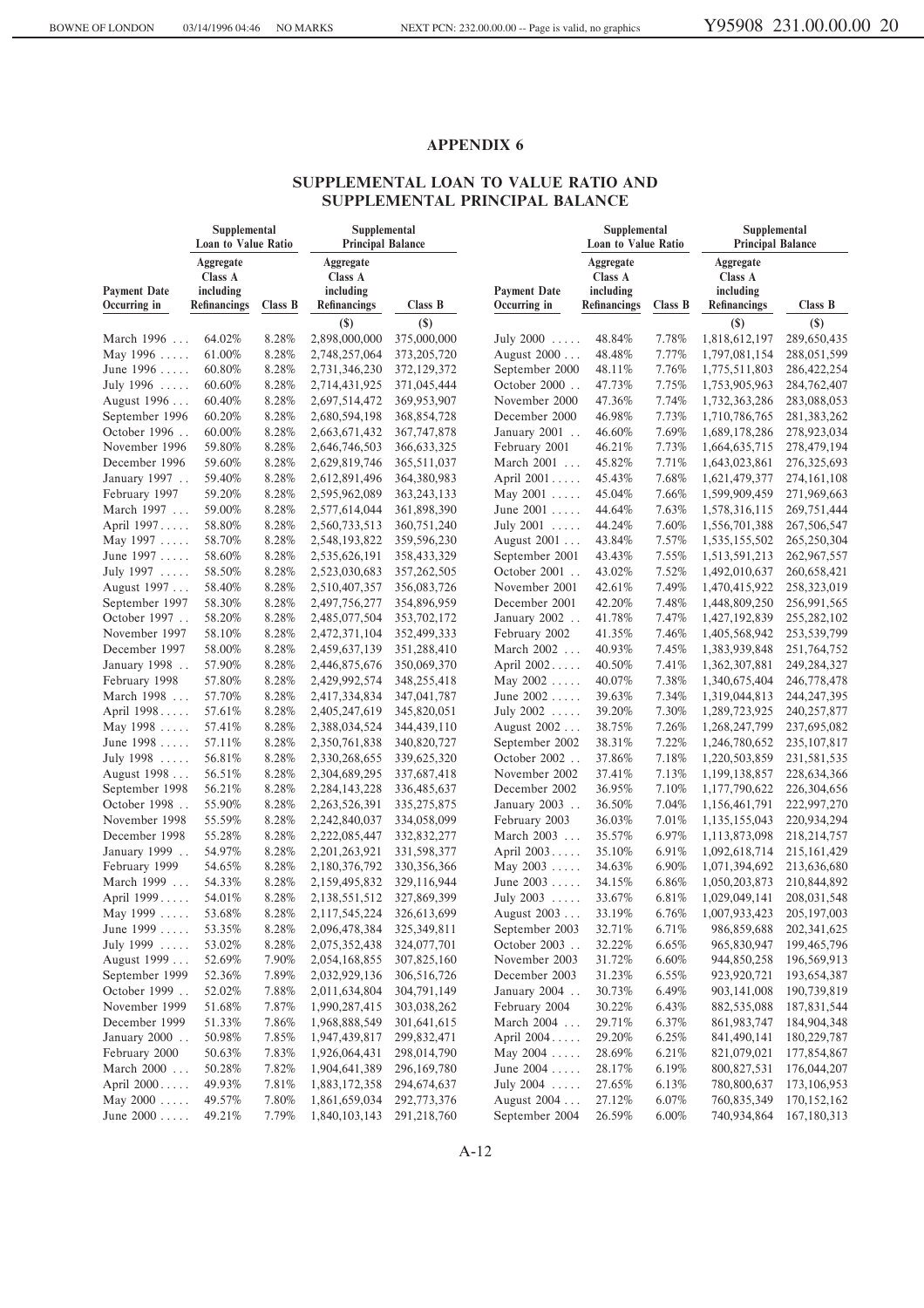#### **SUPPLEMENTAL LOAN TO VALUE RATIO AND SUPPLEMENTAL PRINCIPAL BALANCE**

|                                     | Supplemental<br>Loan to Value Ratio               |         | Supplemental<br><b>Principal Balance</b>          |               |                                     | Supplemental<br><b>Loan to Value Ratio</b>               |         | Supplemental<br><b>Principal Balance</b>          |               |  |
|-------------------------------------|---------------------------------------------------|---------|---------------------------------------------------|---------------|-------------------------------------|----------------------------------------------------------|---------|---------------------------------------------------|---------------|--|
| <b>Payment Date</b><br>Occurring in | Aggregate<br>Class A<br>including<br>Refinancings | Class B | Aggregate<br>Class A<br>including<br>Refinancings | Class B       | <b>Payment Date</b><br>Occurring in | Aggregate<br>Class A<br>including<br><b>Refinancings</b> | Class B | Aggregate<br>Class A<br>including<br>Refinancings | Class B       |  |
|                                     |                                                   |         | $\left( \mathbf{S}\right)$                        | $($)$         |                                     |                                                          |         | $($)$                                             | $(\$)$        |  |
| March 1996                          | 64.02%                                            | 8.28%   | 2,898,000,000                                     | 375,000,000   | July 2000                           | 48.84%                                                   | 7.78%   | 1,818,612,197                                     | 289,650,435   |  |
| May 1996                            | 61.00%                                            | 8.28%   | 2,748,257,064                                     | 373, 205, 720 | August 2000                         | 48.48%                                                   | 7.77%   | 1,797,081,154                                     | 288,051,599   |  |
| June 1996                           | 60.80%                                            | 8.28%   | 2,731,346,230                                     | 372,129,372   | September 2000                      | 48.11%                                                   | 7.76%   | 1,775,511,803                                     | 286, 422, 254 |  |
| July 1996                           | 60.60%                                            | 8.28%   | 2,714,431,925                                     | 371,045,444   | October 2000                        | 47.73%                                                   | 7.75%   | 1,753,905,963                                     | 284,762,407   |  |
| August 1996                         | 60.40%                                            | 8.28%   | 2,697,514,472                                     | 369,953,907   | November 2000                       | 47.36%                                                   | 7.74%   | 1,732,363,286                                     | 283,088,053   |  |
| September 1996                      | 60.20%                                            | 8.28%   | 2,680,594,198                                     | 368,854,728   | December 2000                       | 46.98%                                                   | 7.73%   | 1,710,786,765                                     | 281,383,262   |  |
| October 1996                        | 60.00%                                            | 8.28%   | 2,663,671,432                                     | 367, 747, 878 | January 2001                        | 46.60%                                                   | 7.69%   | 1,689,178,286                                     | 278,923,034   |  |
| November 1996                       | 59.80%                                            | 8.28%   | 2,646,746,503                                     | 366, 633, 325 | February 2001                       | 46.21%                                                   | 7.73%   | 1,664,635,715                                     | 278,479,194   |  |
| December 1996                       | 59.60%                                            | 8.28%   | 2,629,819,746                                     | 365,511,037   | March 2001                          | 45.82%                                                   | 7.71%   | 1,643,023,861                                     | 276, 325, 693 |  |
| January 1997                        | 59.40%                                            | 8.28%   | 2,612,891,496                                     | 364,380,983   | April 2001                          | 45.43%                                                   | 7.68%   | 1,621,479,377                                     | 274,161,108   |  |
| February 1997                       | 59.20%                                            | 8.28%   | 2,595,962,089                                     | 363, 243, 133 | May 2001                            | 45.04%                                                   | 7.66%   | 1,599,909,459                                     | 271,969,663   |  |
| March 1997                          | 59.00%                                            | 8.28%   | 2,577,614,044                                     | 361,898,390   | June 2001                           | 44.64%                                                   | 7.63%   | 1,578,316,115                                     | 269,751,444   |  |
| April 1997                          | 58.80%                                            | 8.28%   | 2,560,733,513                                     | 360,751,240   | July 2001                           | 44.24%                                                   | 7.60%   | 1,556,701,388                                     | 267,506,547   |  |
| May 1997                            | 58.70%                                            | 8.28%   | 2,548,193,822                                     | 359,596,230   | August 2001                         | 43.84%                                                   | 7.57%   | 1,535,155,502                                     | 265,250,304   |  |
| June 1997                           | 58.60%                                            | 8.28%   | 2,535,626,191                                     | 358,433,329   | September 2001                      | 43.43%                                                   | 7.55%   | 1,513,591,213                                     | 262,967,557   |  |
| July 1997                           | 58.50%                                            | 8.28%   | 2,523,030,683                                     | 357, 262, 505 | October 2001                        | 43.02%                                                   | 7.52%   | 1,492,010,637                                     | 260,658,421   |  |
| August 1997                         | 58.40%                                            | 8.28%   | 2,510,407,357                                     | 356,083,726   | November 2001                       | 42.61%                                                   | 7.49%   | 1,470,415,922                                     | 258,323,019   |  |
| September 1997                      | 58.30%                                            | 8.28%   | 2,497,756,277                                     | 354,896,959   | December 2001                       | 42.20%                                                   | 7.48%   | 1,448,809,250                                     | 256,991,565   |  |
| October 1997                        | 58.20%                                            | 8.28%   | 2,485,077,504                                     | 353,702,172   | January 2002                        | 41.78%                                                   | 7.47%   | 1,427,192,839                                     | 255,282,102   |  |
| November 1997                       | 58.10%                                            | 8.28%   | 2,472,371,104                                     | 352,499,333   | February 2002                       | 41.35%                                                   | 7.46%   | 1,405,568,942                                     | 253,539,799   |  |
| December 1997                       | 58.00%                                            | 8.28%   | 2,459,637,139                                     | 351,288,410   | March 2002                          | 40.93%                                                   | 7.45%   | 1,383,939,848                                     | 251,764,752   |  |
| January 1998                        | 57.90%                                            | 8.28%   | 2,446,875,676                                     | 350,069,370   | April 2002                          | 40.50%                                                   | 7.41%   | 1,362,307,881                                     | 249,284,327   |  |
| February 1998                       | 57.80%                                            | 8.28%   | 2,429,992,574                                     | 348,255,418   | May 2002                            | 40.07%                                                   | 7.38%   | 1,340,675,404                                     | 246,778,478   |  |
| March 1998                          | 57.70%                                            | 8.28%   | 2,417,334,834                                     | 347,041,787   | June 2002                           | 39.63%                                                   | 7.34%   | 1,319,044,813                                     | 244, 247, 395 |  |
| April 1998                          | 57.61%                                            | 8.28%   | 2,405,247,619                                     | 345,820,051   | July 2002                           | 39.20%                                                   | 7.30%   | 1,289,723,925                                     | 240,257,877   |  |
| May 1998                            | 57.41%                                            | 8.28%   | 2,388,034,524                                     | 344,439,110   | August 2002                         | 38.75%                                                   | 7.26%   | 1,268,247,799                                     | 237,695,082   |  |
| June 1998                           | 57.11%                                            | 8.28%   | 2,350,761,838                                     | 340,820,727   | September 2002                      | 38.31%                                                   | 7.22%   | 1,246,780,652                                     | 235, 107, 817 |  |
| July 1998                           | 56.81%                                            | 8.28%   | 2,330,268,655                                     | 339,625,320   | October 2002                        | 37.86%                                                   | 7.18%   | 1,220,503,859                                     | 231,581,535   |  |
| August 1998                         | 56.51%                                            | 8.28%   | 2,304,689,295                                     | 337,687,418   | November 2002                       | 37.41%                                                   | 7.13%   | 1,199,138,857                                     | 228, 634, 366 |  |
| September 1998                      | 56.21%                                            | 8.28%   | 2, 284, 143, 228                                  | 336,485,637   | December 2002                       | 36.95%                                                   | 7.10%   | 1,177,790,622                                     | 226, 304, 656 |  |
| October 1998                        | 55.90%                                            | 8.28%   | 2, 263, 526, 391                                  | 335,275,875   | January 2003                        | 36.50%                                                   | 7.04%   | 1,156,461,791                                     | 222,997,270   |  |
| November 1998                       | 55.59%                                            | 8.28%   | 2,242,840,037                                     | 334,058,099   | February 2003                       | 36.03%                                                   | 7.01%   | 1,135,155,043                                     | 220,934,294   |  |
| December 1998                       | 55.28%                                            | 8.28%   | 2,222,085,447                                     | 332,832,277   | March 2003                          | 35.57%                                                   | 6.97%   | 1,113,873,098                                     | 218,214,757   |  |
| January 1999                        | 54.97%                                            | 8.28%   | 2,201,263,921                                     | 331,598,377   | April 2003                          | 35.10%                                                   | 6.91%   | 1,092,618,714                                     | 215, 161, 429 |  |
| February 1999                       | 54.65%                                            | 8.28%   | 2,180,376,792                                     | 330, 356, 366 | May 2003                            | 34.63%                                                   | 6.90%   | 1,071,394,692                                     | 213,636,680   |  |
| March 1999                          | 54.33%                                            | 8.28%   | 2,159,495,832                                     | 329,116,944   | June 2003                           | 34.15%                                                   | 6.86%   | 1,050,203,873                                     | 210,844,892   |  |
| April 1999                          | 54.01%                                            | 8.28%   | 2,138,551,512                                     | 327,869,399   | July 2003                           | 33.67%                                                   | 6.81%   | 1,029,049,141                                     | 208,031,548   |  |
| May 1999                            | 53.68%                                            | 8.28%   | 2,117,545,224                                     | 326,613,699   | August 2003                         | 33.19%                                                   | 6.76%   | 1,007,933,423                                     | 205,197,003   |  |
| June 1999                           | 53.35%                                            | 8.28%   | 2,096,478,384                                     | 325,349,811   | September 2003                      | 32.71%                                                   | 6.71%   | 986,859,688                                       | 202,341,625   |  |
| July 1999                           | 53.02%                                            | 8.28%   | 2,075,352,438                                     | 324,077,701   | October 2003                        | 32.22%                                                   | 6.65%   | 965,830,947                                       | 199,465,796   |  |
| August 1999                         | 52.69%                                            | 7.90%   | 2,054,168,855                                     | 307,825,160   | November 2003                       | 31.72%                                                   | 6.60%   | 944,850,258                                       | 196,569,913   |  |
| September 1999                      | 52.36%                                            | 7.89%   | 2,032,929,136                                     | 306,516,726   | December 2003                       | 31.23%                                                   | 6.55%   | 923,920,721                                       | 193,654,387   |  |
| October 1999                        | 52.02%                                            | 7.88%   | 2,011,634,804                                     | 304,791,149   | January 2004                        | 30.73%                                                   | 6.49%   | 903,141,008                                       | 190,739,819   |  |
| November 1999                       | 51.68%                                            | 7.87%   | 1,990,287,415                                     | 303,038,262   | February 2004                       | 30.22%                                                   | 6.43%   | 882,535,088                                       | 187,831,544   |  |
| December 1999                       | 51.33%                                            | 7.86%   | 1,968,888,549                                     | 301,641,615   | March 2004                          | 29.71%                                                   | 6.37%   | 861,983,747                                       | 184,904,348   |  |
| January 2000                        | 50.98%                                            | 7.85%   | 1,947,439,817                                     | 299,832,471   | April 2004                          | 29.20%                                                   | 6.25%   | 841,490,141                                       | 180,229,787   |  |
| February 2000                       | 50.63%                                            | 7.83%   | 1,926,064,431                                     | 298,014,790   | May $2004 \ldots$ .                 | 28.69%                                                   | 6.21%   | 821,079,021                                       | 177,854,867   |  |
| March 2000                          | 50.28%                                            | 7.82%   | 1,904,641,389                                     | 296,169,780   | June 2004                           | 28.17%                                                   | 6.19%   | 800, 827, 531                                     | 176,044,207   |  |
| April 2000                          | 49.93%                                            | 7.81%   | 1,883,172,358                                     | 294,674,637   | July 2004                           | 27.65%                                                   | 6.13%   | 780,800,637                                       | 173,106,953   |  |
| May $2000 \ldots$ .                 | 49.57%                                            | 7.80%   | 1,861,659,034                                     | 292,773,376   | August 2004                         | 27.12%                                                   | 6.07%   | 760,835,349                                       | 170,152,162   |  |
| June 2000                           | 49.21%                                            | 7.79%   | 1,840,103,143                                     | 291,218,760   | September 2004                      | 26.59%                                                   | 6.00%   | 740,934,864                                       | 167,180,313   |  |
|                                     |                                                   |         |                                                   |               |                                     |                                                          |         |                                                   |               |  |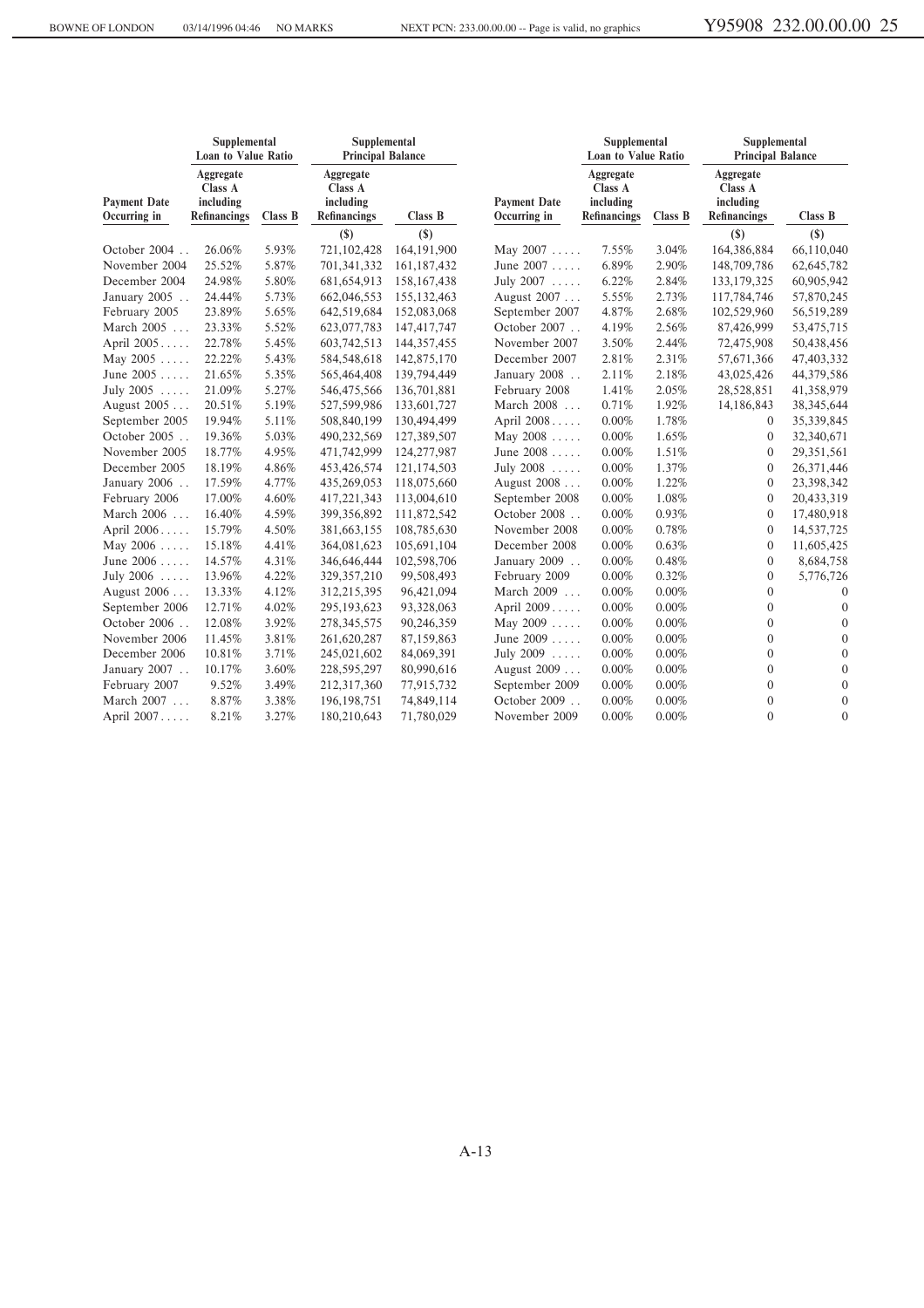|                                     | Supplemental<br><b>Loan to Value Ratio</b>               |         | Supplemental<br><b>Principal Balance</b>                 |               |                                     | Supplemental<br>Loan to Value Ratio               |         | Supplemental<br><b>Principal Balance</b>          |                |  |
|-------------------------------------|----------------------------------------------------------|---------|----------------------------------------------------------|---------------|-------------------------------------|---------------------------------------------------|---------|---------------------------------------------------|----------------|--|
| <b>Payment Date</b><br>Occurring in | Aggregate<br>Class A<br>including<br><b>Refinancings</b> | Class B | Aggregate<br>Class A<br>including<br><b>Refinancings</b> | Class B       | <b>Payment Date</b><br>Occurring in | Aggregate<br>Class A<br>including<br>Refinancings | Class B | Aggregate<br>Class A<br>including<br>Refinancings | Class B        |  |
|                                     |                                                          |         | $(\$)$                                                   | $(\$)$        |                                     |                                                   |         | $(\$)$                                            | $($)$          |  |
| October 2004                        | 26.06%                                                   | 5.93%   | 721,102,428                                              | 164,191,900   | May 2007                            | 7.55%                                             | 3.04%   | 164,386,884                                       | 66,110,040     |  |
| November 2004                       | 25.52%                                                   | 5.87%   | 701,341,332                                              | 161,187,432   | June 2007                           | 6.89%                                             | 2.90%   | 148,709,786                                       | 62,645,782     |  |
| December 2004                       | 24.98%                                                   | 5.80%   | 681,654,913                                              | 158, 167, 438 | July 2007                           | 6.22%                                             | 2.84%   | 133, 179, 325                                     | 60,905,942     |  |
| January 2005                        | 24.44%                                                   | 5.73%   | 662,046,553                                              | 155, 132, 463 | August 2007                         | 5.55%                                             | 2.73%   | 117,784,746                                       | 57,870,245     |  |
| February 2005                       | 23.89%                                                   | 5.65%   | 642,519,684                                              | 152,083,068   | September 2007                      | 4.87%                                             | 2.68%   | 102,529,960                                       | 56,519,289     |  |
| March 2005                          | 23.33%                                                   | 5.52%   | 623,077,783                                              | 147,417,747   | October 2007                        | 4.19%                                             | 2.56%   | 87,426,999                                        | 53,475,715     |  |
| April 2005                          | 22.78%                                                   | 5.45%   | 603,742,513                                              | 144, 357, 455 | November 2007                       | 3.50%                                             | 2.44%   | 72,475,908                                        | 50,438,456     |  |
| May 2005                            | 22.22%                                                   | 5.43%   | 584,548,618                                              | 142,875,170   | December 2007                       | 2.81%                                             | 2.31%   | 57,671,366                                        | 47,403,332     |  |
| June 2005                           | 21.65%                                                   | 5.35%   | 565,464,408                                              | 139,794,449   | January 2008                        | 2.11%                                             | 2.18%   | 43,025,426                                        | 44,379,586     |  |
| July $2005$                         | 21.09%                                                   | 5.27%   | 546,475,566                                              | 136,701,881   | February 2008                       | 1.41%                                             | 2.05%   | 28,528,851                                        | 41,358,979     |  |
| August 2005                         | 20.51%                                                   | 5.19%   | 527,599,986                                              | 133,601,727   | March 2008                          | 0.71%                                             | 1.92%   | 14,186,843                                        | 38,345,644     |  |
| September 2005                      | 19.94%                                                   | 5.11%   | 508,840,199                                              | 130,494,499   | April 2008                          | $0.00\%$                                          | 1.78%   | 0                                                 | 35,339,845     |  |
| October 2005                        | 19.36%                                                   | 5.03%   | 490,232,569                                              | 127,389,507   | May 2008                            | 0.00%                                             | 1.65%   | $\mathbf{0}$                                      | 32,340,671     |  |
| November 2005                       | 18.77%                                                   | 4.95%   | 471,742,999                                              | 124,277,987   | June 2008                           | 0.00%                                             | 1.51%   | $\mathbf{0}$                                      | 29,351,561     |  |
| December 2005                       | 18.19%                                                   | 4.86%   | 453,426,574                                              | 121,174,503   | July 2008                           | 0.00%                                             | 1.37%   | $\boldsymbol{0}$                                  | 26,371,446     |  |
| January 2006                        | 17.59%                                                   | 4.77%   | 435,269,053                                              | 118,075,660   | August 2008                         | 0.00%                                             | 1.22%   | 0                                                 | 23,398,342     |  |
| February 2006                       | 17.00%                                                   | 4.60%   | 417,221,343                                              | 113,004,610   | September 2008                      | 0.00%                                             | 1.08%   | $\mathbf{0}$                                      | 20,433,319     |  |
| March 2006                          | 16.40%                                                   | 4.59%   | 399,356,892                                              | 111,872,542   | October 2008                        | 0.00%                                             | 0.93%   | $\mathbf{0}$                                      | 17,480,918     |  |
| April 2006                          | 15.79%                                                   | 4.50%   | 381,663,155                                              | 108,785,630   | November 2008                       | 0.00%                                             | 0.78%   | $\mathbf{0}$                                      | 14,537,725     |  |
| May $2006 \ldots$ .                 | 15.18%                                                   | 4.41%   | 364,081,623                                              | 105,691,104   | December 2008                       | 0.00%                                             | 0.63%   | 0                                                 | 11,605,425     |  |
| June 2006                           | 14.57%                                                   | 4.31%   | 346,646,444                                              | 102,598,706   | January 2009                        | 0.00%                                             | 0.48%   | 0                                                 | 8,684,758      |  |
| July 2006                           | 13.96%                                                   | 4.22%   | 329, 357, 210                                            | 99,508,493    | February 2009                       | 0.00%                                             | 0.32%   | 0                                                 | 5,776,726      |  |
| August 2006                         | 13.33%                                                   | 4.12%   | 312,215,395                                              | 96,421,094    | March 2009                          | 0.00%                                             | 0.00%   | $\overline{0}$                                    | $\overline{0}$ |  |
| September 2006                      | 12.71%                                                   | 4.02%   | 295,193,623                                              | 93,328,063    | April 2009                          | 0.00%                                             | 0.00%   | $\overline{0}$                                    | $\mathbf{0}$   |  |
| October 2006                        | 12.08%                                                   | 3.92%   | 278, 345, 575                                            | 90,246,359    | May $2009 \ldots$ .                 | 0.00%                                             | 0.00%   | $\mathbf{0}$                                      | $\mathbf{0}$   |  |
| November 2006                       | 11.45%                                                   | 3.81%   | 261,620,287                                              | 87,159,863    | June 2009                           | 0.00%                                             | 0.00%   | $\overline{0}$                                    | $\mathbf{0}$   |  |
| December 2006                       | 10.81%                                                   | 3.71%   | 245,021,602                                              | 84,069,391    | July $2009$                         | 0.00%                                             | 0.00%   | $\overline{0}$                                    | $\mathbf{0}$   |  |
| January 2007                        | 10.17%                                                   | 3.60%   | 228,595,297                                              | 80,990,616    | August 2009                         | 0.00%                                             | 0.00%   | $\boldsymbol{0}$                                  | $\mathbf{0}$   |  |
| February 2007                       | 9.52%                                                    | 3.49%   | 212,317,360                                              | 77,915,732    | September 2009                      | 0.00%                                             | 0.00%   | 0                                                 | $\mathbf{0}$   |  |
| March 2007                          | 8.87%                                                    | 3.38%   | 196, 198, 751                                            | 74,849,114    | October 2009                        | 0.00%                                             | 0.00%   | $\mathbf{0}$                                      | $\mathbf{0}$   |  |
| April 2007                          | 8.21%                                                    | 3.27%   | 180,210,643                                              | 71,780,029    | November 2009                       | 0.00%                                             | 0.00%   | $\Omega$                                          | $\mathbf{0}$   |  |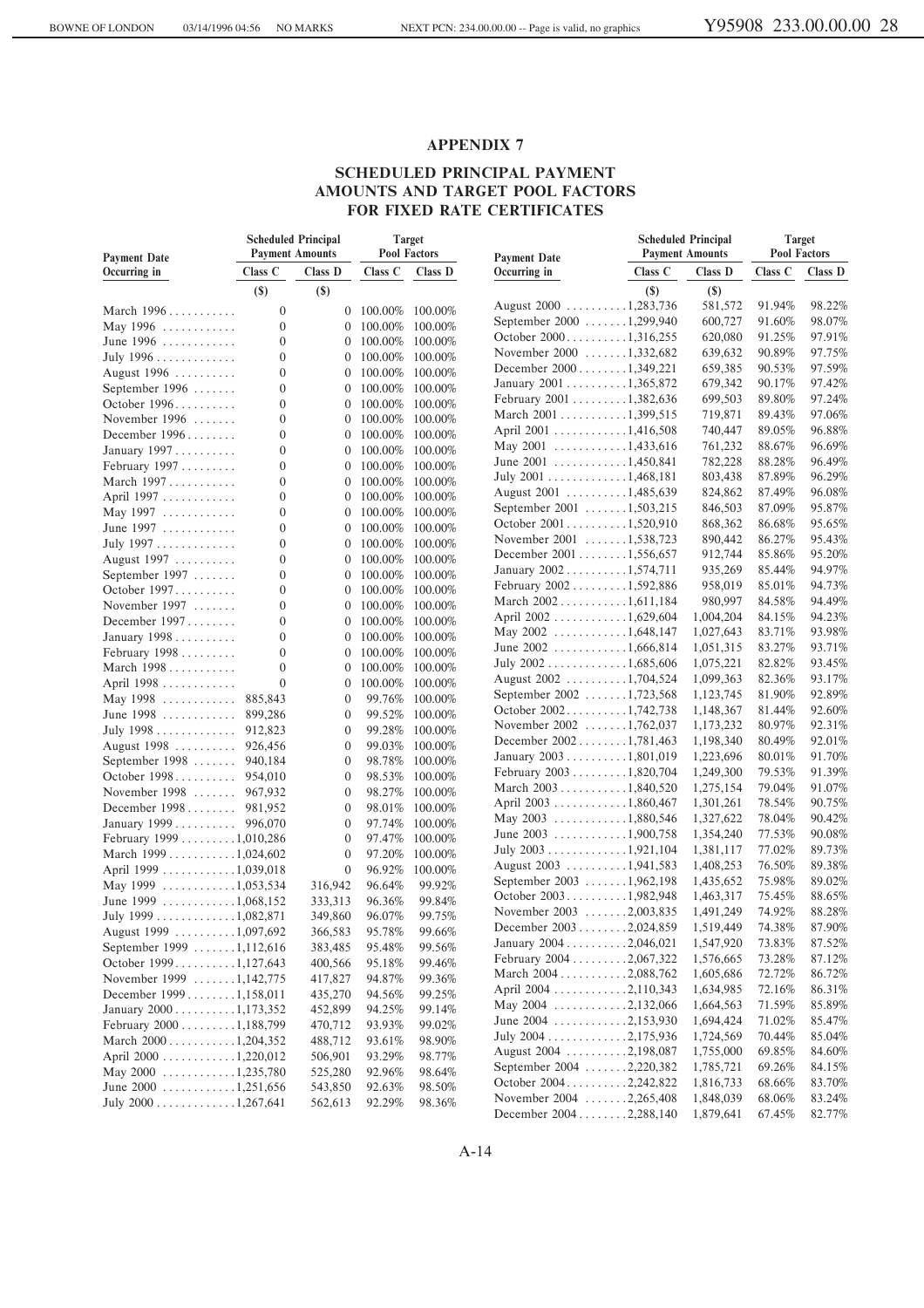#### **SCHEDULED PRINCIPAL PAYMENT AMOUNTS AND TARGET POOL FACTORS FOR FIXED RATE CERTIFICATES**

| <b>Payment Date</b>                                | <b>Scheduled Principal</b><br><b>Payment Amounts</b> |                                  |                 | Target<br>Pool Factors             | <b>Payment Date</b>                              |         | <b>Scheduled Principal</b><br><b>Payment Amounts</b> | <b>Target</b><br><b>Pool Factors</b> |                  |
|----------------------------------------------------|------------------------------------------------------|----------------------------------|-----------------|------------------------------------|--------------------------------------------------|---------|------------------------------------------------------|--------------------------------------|------------------|
| Occurring in                                       | Class C                                              | Class D                          | Class C         | Class D                            | Occurring in                                     | Class C | Class D                                              | Class C                              | Class D          |
|                                                    | $(\$)$                                               | $(s)$                            |                 |                                    |                                                  | $(\$)$  | $(\$)$                                               |                                      |                  |
| March 1996                                         | $\mathbf{0}$                                         | $\overline{0}$                   | 100.00% 100.00% |                                    | August 2000 1,283,736                            |         | 581,572                                              | 91.94%                               | 98.22%           |
| May 1996                                           | $\mathbf{0}$                                         | $\mathbf{0}$                     |                 |                                    | September 2000 1,299,940                         |         | 600,727                                              | 91.60%                               | 98.07%           |
| June 1996                                          | $\overline{0}$                                       | 0                                |                 | 100.00% 100.00%<br>100.00% 100.00% | October 20001,316,255                            |         | 620,080                                              | 91.25%                               | 97.91%           |
| July 1996                                          | $\mathbf{0}$                                         | $\mathbf{0}$                     |                 | 100.00% 100.00%                    | November 2000 1,332,682                          |         | 639,632                                              | 90.89%                               | 97.75%           |
| August 1996                                        | $\mathbf{0}$                                         | $\boldsymbol{0}$                 |                 | 100.00% 100.00%                    | December $2000$ 1,349,221                        |         | 659,385                                              | 90.53%                               | 97.59%           |
| September 1996                                     | $\overline{0}$                                       | $\mathbf{0}$                     |                 | 100.00% 100.00%                    | January 2001 1,365,872                           |         | 679,342                                              | 90.17%                               | 97.42%           |
| October 1996                                       | $\mathbf{0}$                                         | $\mathbf{0}$                     |                 | 100.00% 100.00%                    | February 2001 1,382,636                          |         | 699,503                                              | 89.80%                               | 97.24%           |
| November $1996$                                    | $\mathbf{0}$                                         | $\boldsymbol{0}$                 |                 | 100.00% 100.00%                    | March 2001 1,399,515                             |         | 719,871                                              | 89.43%                               | 97.06%           |
| December 1996                                      | $\overline{0}$                                       | $\mathbf{0}$                     |                 | 100.00% 100.00%                    | April 2001 1,416,508                             |         | 740,447                                              | 89.05%                               | 96.88%           |
| January 1997                                       | $\overline{0}$                                       | $\boldsymbol{0}$                 |                 | 100.00% 100.00%                    | May 2001 $\dots \dots \dots \dots 1,433,616$     |         | 761,232                                              | 88.67%                               | 96.69%           |
| February 1997                                      | $\mathbf{0}$                                         |                                  | 100.00% 100.00% |                                    | June $2001$ 1,450,841                            |         | 782,228                                              | 88.28%                               | 96.49%           |
|                                                    | $\overline{0}$                                       | $\boldsymbol{0}$<br>$\mathbf{0}$ |                 |                                    | July 2001 1,468,181                              |         | 803,438                                              | 87.89%                               | 96.29%           |
| March 1997                                         | $\overline{0}$                                       |                                  |                 | 100.00% 100.00%                    | August 2001 1,485,639                            |         | 824,862                                              | 87.49%                               | 96.08%           |
| April 1997                                         |                                                      | $\boldsymbol{0}$                 |                 | 100.00% 100.00%                    | September 2001 1,503,215                         |         | 846,503                                              | 87.09%                               | 95.87%           |
| May 1997                                           | $\mathbf{0}$                                         | $\boldsymbol{0}$                 |                 | 100.00% 100.00%                    | October 20011,520,910                            |         | 868,362                                              | 86.68%                               | 95.65%           |
| June 1997                                          | $\mathbf{0}$                                         | $\mathbf{0}$                     |                 | 100.00% 100.00%                    | November 2001 1,538,723                          |         | 890,442                                              | 86.27%                               | 95.43%           |
| July 1997                                          | $\mathbf{0}$                                         | $\mathbf{0}$                     |                 | 100.00% 100.00%                    | December 2001 1,556,657                          |         | 912,744                                              | 85.86%                               | 95.20%           |
| August 1997                                        | $\mathbf{0}$                                         | $\boldsymbol{0}$                 |                 | 100.00% 100.00%                    | January 2002 1,574,711                           |         | 935,269                                              | 85.44%                               | 94.97%           |
| September 1997                                     | $\overline{0}$                                       | $\mathbf{0}$                     |                 | 100.00% 100.00%                    | February 2002 1,592,886                          |         | 958,019                                              | 85.01%                               | 94.73%           |
| October 1997.                                      | $\overline{0}$                                       | $\boldsymbol{0}$                 |                 | 100.00% 100.00%                    | March $2002$ 1,611,184                           |         | 980,997                                              | 84.58%                               | 94.49%           |
| November $1997$                                    | $\mathbf{0}$                                         | $\boldsymbol{0}$                 |                 | 100.00% 100.00%                    | April 2002 1,629,604                             |         | 1,004,204                                            | 84.15%                               | 94.23%           |
| December 1997                                      | $\overline{0}$                                       | $\mathbf{0}$                     |                 | 100.00% 100.00%                    | May 2002 $\dots \dots \dots \dots 1,648,147$     |         | 1,027,643                                            | 83.71%                               | 93.98%           |
| January 1998                                       | $\overline{0}$                                       | $\boldsymbol{0}$                 |                 | 100.00% 100.00%                    | June $2002$ 1,666,814                            |         | 1,051,315                                            | 83.27%                               | 93.71%           |
| February 1998                                      | $\overline{0}$                                       | $\mathbf{0}$                     |                 | 100.00% 100.00%                    | July 2002 1,685,606                              |         | 1,075,221                                            | 82.82%                               | 93.45%           |
| March 1998                                         | $\mathbf{0}$                                         | $\mathbf{0}$                     |                 | 100.00% 100.00%                    | August 2002 1,704,524                            |         | 1,099,363                                            | 82.36%                               | 93.17%           |
| April 1998                                         | $\overline{0}$                                       | $\mathbf{0}$                     |                 | 100.00% 100.00%                    | September 2002 1,723,568                         |         | 1,123,745                                            | 81.90%                               | 92.89%           |
| May 1998  885,843                                  |                                                      | $\mathbf{0}$                     |                 | 99.76% 100.00%                     | October 20021,742,738                            |         | 1,148,367                                            | 81.44%                               | 92.60%           |
| June $1998$                                        | 899,286                                              | $\mathbf{0}$                     |                 | 99.52% 100.00%                     | November 2002 1,762,037                          |         | 1,173,232                                            | 80.97%                               | 92.31%           |
| July 1998 912,823                                  |                                                      | $\mathbf{0}$                     |                 | 99.28% 100.00%                     | December 20021,781,463                           |         | 1,198,340                                            | 80.49%                               | 92.01%           |
| August 1998  926,456                               |                                                      | $\mathbf{0}$                     |                 | 99.03% 100.00%                     | January 2003 1,801,019                           |         | 1,223,696                                            | 80.01%                               | 91.70%           |
| September $1998$                                   | 940,184                                              | $\mathbf{0}$                     | 98.78%          | 100.00%                            |                                                  |         |                                                      | 79.53%                               | 91.39%           |
| October 1998 954,010                               |                                                      | $\mathbf{0}$                     | 98.53%          | 100.00%                            | February $2003$ 1,820,704                        |         | 1,249,300                                            |                                      | 91.07%           |
| November $1998$                                    | 967,932                                              | $\mathbf{0}$                     | 98.27%          | 100.00%                            | March $2003$ 1,840,520<br>April 2003 1,860,467   |         | 1,275,154                                            | 79.04%<br>78.54%                     | 90.75%           |
| December 1998 981,952                              |                                                      | $\mathbf{0}$                     |                 | 98.01% 100.00%                     |                                                  |         | 1,301,261                                            | 78.04%                               | 90.42%           |
| January 1999  996,070                              |                                                      | $\mathbf{0}$                     |                 | 97.74% 100.00%                     | May 2003 1,880,546                               |         | 1,327,622                                            |                                      |                  |
| February 1999 1,010,286                            |                                                      | $\mathbf{0}$                     |                 | 97.47% 100.00%                     | June $2003$ 1,900,758                            |         | 1,354,240                                            | 77.53%<br>77.02%                     | 90.08%<br>89.73% |
| March $1999$ 1,024,602                             |                                                      | $\mathbf{0}$                     | 97.20%          | 100.00%                            | July 2003 1,921,104                              |         | 1,381,117                                            |                                      | 89.38%           |
| April 1999 1,039,018                               |                                                      | $\mathbf{0}$                     | 96.92%          | 100.00%                            | August 2003 1,941,583                            |         | 1,408,253                                            | 76.50%                               |                  |
| May 1999 $\ldots \ldots \ldots \ldots 1,053,534$   |                                                      | 316,942                          | 96.64%          | 99.92%                             | September 2003 1,962,198                         |         | 1,435,652                                            | 75.98%                               | 89.02%           |
| June 1999 $\ldots \ldots \ldots \ldots 1,068,152$  |                                                      | 333,313                          | 96.36%          | 99.84%                             | October 20031,982,948<br>November 2003 2,003,835 |         | 1,463,317                                            | 75.45%<br>74.92%                     | 88.65%<br>88.28% |
| July 1999 1,082,871                                |                                                      | 349,860                          | 96.07%          | 99.75%                             |                                                  |         | 1,491,249                                            |                                      | 87.90%           |
| August 1999 1,097,692                              |                                                      | 366,583                          | 95.78%          | 99.66%                             | December 20032,024,859                           |         | 1,519,449                                            | 74.38%                               |                  |
| September 1999 1,112,616                           |                                                      | 383,485                          | 95.48%          | 99.56%                             | January 2004 2,046,021                           |         | 1,547,920                                            | 73.83%                               | 87.52%           |
| October 19991,127,643                              |                                                      | 400,566                          | 95.18%          | 99.46%                             | February 2004 2,067,322                          |         | 1,576,665                                            | 73.28%                               | 87.12%           |
| November 1999 1,142,775                            |                                                      | 417,827                          | 94.87%          | 99.36%                             | March $2004$ 2,088,762                           |         | 1,605,686                                            | 72.72%                               | 86.72%           |
| December 19991,158,011                             |                                                      | 435,270                          | 94.56%          | 99.25%                             | April 2004 2,110,343                             |         | 1,634,985                                            | 72.16%                               | 86.31%           |
| January 2000 1,173,352                             |                                                      | 452,899                          | 94.25%          | 99.14%                             | May 2004 2,132,066                               |         | 1,664,563                                            | 71.59%                               | 85.89%           |
| February 2000 1,188,799                            |                                                      | 470,712                          | 93.93%          | 99.02%                             | June 2004 2,153,930                              |         | 1,694,424                                            | 71.02%                               | 85.47%           |
| March $2000$ 1,204,352                             |                                                      | 488,712                          | 93.61%          | 98.90%                             | July $2004$ 2,175,936                            |         | 1,724,569                                            | 70.44%                               | 85.04%           |
| April 2000 1,220,012                               |                                                      | 506,901                          | 93.29%          | 98.77%                             | August 2004 2,198,087                            |         | 1,755,000                                            | 69.85%                               | 84.60%           |
| May 2000 $\dots \dots \dots \dots \dots 1,235,780$ |                                                      | 525,280                          | 92.96%          | 98.64%                             | September 2004 2,220,382                         |         | 1,785,721                                            | 69.26%                               | 84.15%           |
| June $2000$ 1,251,656                              |                                                      | 543,850                          | 92.63%          | 98.50%                             | October 20042,242,822                            |         | 1,816,733                                            | 68.66%                               | 83.70%           |
| July $2000$ 1,267,641                              |                                                      | 562,613                          | 92.29%          | 98.36%                             | November 2004 2,265,408                          |         | 1,848,039                                            | 68.06%                               | 83.24%           |
|                                                    |                                                      |                                  |                 |                                    | December 20042,288,140                           |         | 1,879,641                                            | 67.45%                               | 82.77%           |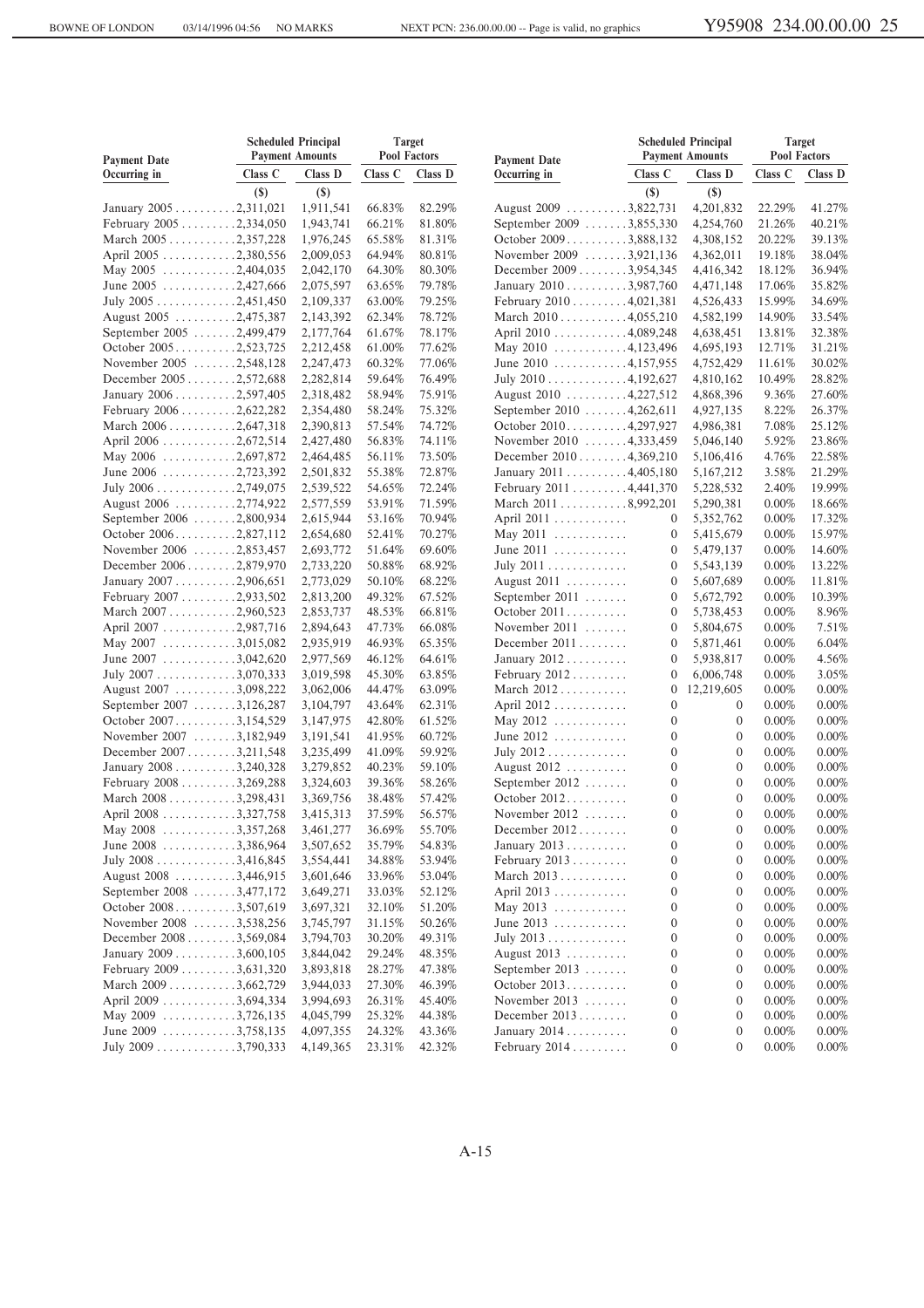| <b>Scheduled Principal</b><br><b>Payment Amounts</b><br><b>Payment Date</b> |         | <b>Target</b><br><b>Pool Factors</b> |         | <b>Payment Date</b> |                                               | <b>Scheduled Principal</b><br><b>Payment Amounts</b> | <b>Target</b><br>Pool Factors |          |          |
|-----------------------------------------------------------------------------|---------|--------------------------------------|---------|---------------------|-----------------------------------------------|------------------------------------------------------|-------------------------------|----------|----------|
| Occurring in                                                                | Class C | Class D                              | Class C | Class D             | Occurring in                                  | Class C                                              | Class D                       | Class C  | Class D  |
|                                                                             | $(\$)$  | $($)$                                |         |                     |                                               | $($)$                                                | $(\$)$                        |          |          |
| January 2005 2,311,021                                                      |         | 1,911,541                            | 66.83%  | 82.29%              | August 2009 3,822,731                         |                                                      | 4,201,832                     | 22.29%   | 41.27%   |
| February 2005 2,334,050                                                     |         | 1,943,741                            | 66.21%  | 81.80%              | September 2009 3,855,330                      |                                                      | 4,254,760                     | 21.26%   | 40.21%   |
| March 2005 2,357,228                                                        |         | 1,976,245                            | 65.58%  | 81.31%              | October 20093,888,132                         |                                                      | 4,308,152                     | 20.22%   | 39.13%   |
| April 2005 2,380,556                                                        |         | 2,009,053                            | 64.94%  | 80.81%              | November 2009 3,921,136                       |                                                      | 4,362,011                     | 19.18%   | 38.04%   |
| May 2005 $\ldots \ldots \ldots \ldots 2,404,035$                            |         | 2,042,170                            | 64.30%  | 80.30%              | December 20093,954,345                        |                                                      | 4,416,342                     | 18.12%   | 36.94%   |
| June 2005 2,427,666                                                         |         | 2,075,597                            | 63.65%  | 79.78%              | January 2010 3,987,760                        |                                                      | 4,471,148                     | 17.06%   | 35.82%   |
| July 2005 2,451,450                                                         |         | 2,109,337                            | 63.00%  | 79.25%              | February $2010$ 4,021,381                     |                                                      | 4,526,433                     | 15.99%   | 34.69%   |
| August 2005 2,475,387                                                       |         | 2,143,392                            | 62.34%  | 78.72%              | March $2010$ 4,055,210                        |                                                      | 4,582,199                     | 14.90%   | 33.54%   |
| September 2005 2,499,479                                                    |         | 2,177,764                            | 61.67%  | 78.17%              | April 2010 4,089,248                          |                                                      | 4,638,451                     | 13.81%   | 32.38%   |
| October 20052,523,725                                                       |         | 2,212,458                            | 61.00%  | 77.62%              | May 2010 $\dots \dots \dots \dots 4,123,496$  |                                                      | 4,695,193                     | 12.71%   | 31.21%   |
| November 2005 2,548,128                                                     |         | 2,247,473                            | 60.32%  | 77.06%              | June 2010 $\dots \dots \dots \dots 4,157,955$ |                                                      | 4,752,429                     | 11.61%   | 30.02%   |
| December 20052,572,688                                                      |         | 2,282,814                            | 59.64%  | 76.49%              | July 2010 4,192,627                           |                                                      | 4,810,162                     | 10.49%   | 28.82%   |
| January 2006 2,597,405                                                      |         | 2,318,482                            | 58.94%  | 75.91%              | August 2010 4,227,512                         |                                                      | 4,868,396                     | 9.36%    | 27.60%   |
| February $2006$ 2,622,282                                                   |         | 2,354,480                            | 58.24%  | 75.32%              | September 2010 4,262,611                      |                                                      | 4,927,135                     | 8.22%    | 26.37%   |
| March $2006$ 2,647,318                                                      |         | 2,390,813                            | 57.54%  | 74.72%              | October 20104,297,927                         |                                                      | 4,986,381                     | 7.08%    | 25.12%   |
| April 2006 2,672,514                                                        |         | 2,427,480                            | 56.83%  | 74.11%              | November 2010 4,333,459                       |                                                      | 5,046,140                     | 5.92%    | 23.86%   |
| May 2006 $\ldots \ldots \ldots \ldots 2,697,872$                            |         | 2,464,485                            | 56.11%  | 73.50%              | December 20104,369,210                        |                                                      | 5,106,416                     | 4.76%    | 22.58%   |
| June 2006 2,723,392                                                         |         | 2,501,832                            | 55.38%  | 72.87%              | January 2011 4,405,180                        |                                                      | 5,167,212                     | 3.58%    | 21.29%   |
| July $2006$ 2,749,075                                                       |         | 2,539,522                            | 54.65%  | 72.24%              | February 2011 4,441,370                       |                                                      | 5,228,532                     | 2.40%    | 19.99%   |
| August 2006 2,774,922                                                       |         | 2,577,559                            | 53.91%  | 71.59%              | March $2011$ 8,992,201                        |                                                      | 5,290,381                     | $0.00\%$ | 18.66%   |
| September 2006 2,800,934                                                    |         | 2,615,944                            | 53.16%  | 70.94%              | April 2011                                    | 0                                                    | 5,352,762                     | $0.00\%$ | 17.32%   |
| October 20062,827,112                                                       |         | 2,654,680                            | 52.41%  | 70.27%              | May 2011                                      | 0                                                    | 5,415,679                     | $0.00\%$ | 15.97%   |
| November 2006 2,853,457                                                     |         | 2,693,772                            | 51.64%  | 69.60%              | June $2011$                                   | 0                                                    | 5,479,137                     | $0.00\%$ | 14.60%   |
| December 20062,879,970                                                      |         | 2,733,220                            | 50.88%  | 68.92%              | July 2011                                     | 0                                                    | 5,543,139                     | $0.00\%$ | 13.22%   |
| January 2007 2,906,651                                                      |         | 2,773,029                            | 50.10%  | 68.22%              | August 2011                                   | 0                                                    | 5,607,689                     | $0.00\%$ | 11.81%   |
| February 2007 2,933,502                                                     |         | 2,813,200                            | 49.32%  | 67.52%              | September 2011                                | 0                                                    | 5,672,792                     | $0.00\%$ | 10.39%   |
| March $2007$ 2,960,523                                                      |         | 2,853,737                            | 48.53%  | 66.81%              | October 2011                                  | 0                                                    | 5,738,453                     | $0.00\%$ | 8.96%    |
| April 2007 2,987,716                                                        |         | 2,894,643                            | 47.73%  | 66.08%              | November $2011$                               | 0                                                    | 5,804,675                     | $0.00\%$ | 7.51%    |
| May 2007 $\ldots \ldots \ldots \ldots 3,015,082$                            |         | 2,935,919                            | 46.93%  | 65.35%              | December $2011$                               | 0                                                    | 5,871,461                     | $0.00\%$ | 6.04%    |
| June 2007 3,042,620                                                         |         | 2,977,569                            | 46.12%  | 64.61%              | January 2012                                  | 0                                                    | 5,938,817                     | $0.00\%$ | 4.56%    |
| July 2007 3,070,333                                                         |         | 3,019,598                            | 45.30%  | 63.85%              | February 2012                                 | 0                                                    | 6,006,748                     | $0.00\%$ | 3.05%    |
| August 2007 3,098,222                                                       |         | 3,062,006                            | 44.47%  | 63.09%              | March $2012$                                  | 0                                                    | 12,219,605                    | $0.00\%$ | 0.00%    |
| September 2007 3,126,287                                                    |         | 3,104,797                            | 43.64%  | 62.31%              | April 2012                                    | 0                                                    | $\mathbf{0}$                  | $0.00\%$ | $0.00\%$ |
| October 20073,154,529                                                       |         | 3,147,975                            | 42.80%  | 61.52%              | May 2012                                      | 0                                                    | $\boldsymbol{0}$              | $0.00\%$ | $0.00\%$ |
| November 2007 3,182,949                                                     |         | 3,191,541                            | 41.95%  | 60.72%              | June $2012$                                   | 0                                                    | $\boldsymbol{0}$              | 0.00%    | $0.00\%$ |
| December 20073,211,548                                                      |         | 3,235,499                            | 41.09%  | 59.92%              | July 2012                                     | 0                                                    | $\boldsymbol{0}$              | $0.00\%$ | $0.00\%$ |
| January 2008 3,240,328                                                      |         | 3,279,852                            | 40.23%  | 59.10%              | August 2012                                   | $\overline{0}$                                       | $\boldsymbol{0}$              | $0.00\%$ | 0.00%    |
| February $2008$ 3,269,288                                                   |         | 3,324,603                            | 39.36%  | 58.26%              | September 2012                                | 0                                                    | $\boldsymbol{0}$              | 0.00%    | $0.00\%$ |
| March 2008 3,298,431                                                        |         | 3,369,756                            | 38.48%  | 57.42%              | October 2012                                  | $\mathbf{0}$                                         | $\mathbf{0}$                  | $0.00\%$ | $0.00\%$ |
| April 2008 3,327,758                                                        |         | 3,415,313                            | 37.59%  | 56.57%              | November $2012$                               | $\overline{0}$                                       | $\mathbf{0}$                  | $0.00\%$ | $0.00\%$ |
| May 2008 3,357,268                                                          |         | 3,461,277                            | 36.69%  | 55.70%              | December 2012                                 | $\boldsymbol{0}$                                     | $\boldsymbol{0}$              | $0.00\%$ | $0.00\%$ |
| June 2008 3,386,964                                                         |         | 3,507,652                            | 35.79%  | 54.83%              | January 2013                                  | 0                                                    | $\boldsymbol{0}$              | $0.00\%$ | 0.00%    |
| July $2008$ 3,416,845                                                       |         | 3,554,441                            | 34.88%  | 53.94%              | February 2013                                 | 0                                                    | $\boldsymbol{0}$              | $0.00\%$ | 0.00%    |
| August 2008 3,446,915                                                       |         | 3,601,646                            | 33.96%  | 53.04%              | March 2013                                    | 0                                                    | $\boldsymbol{0}$              | $0.00\%$ | 0.00%    |
| September 2008 3,477,172                                                    |         | 3,649,271                            | 33.03%  | 52.12%              | April 2013                                    | 0                                                    | $\boldsymbol{0}$              | $0.00\%$ | 0.00%    |
| October 20083,507,619                                                       |         | 3,697,321                            | 32.10%  | 51.20%              | May $2013$                                    | 0                                                    | $\boldsymbol{0}$              | $0.00\%$ | 0.00%    |
| November 2008 3,538,256                                                     |         | 3,745,797                            | 31.15%  | 50.26%              | June 2013                                     | 0                                                    | 0                             | 0.00%    | 0.00%    |
| December 20083,569,084                                                      |         | 3,794,703                            | 30.20%  | 49.31%              | July 2013                                     | 0                                                    | $\boldsymbol{0}$              | $0.00\%$ | 0.00%    |
| January $2009$ 3,600,105                                                    |         | 3,844,042                            | 29.24%  | 48.35%              | August 2013                                   | 0                                                    | $\boldsymbol{0}$              | $0.00\%$ | 0.00%    |
| February $2009$ 3,631,320                                                   |         | 3,893,818                            | 28.27%  | 47.38%              | September 2013                                | 0                                                    | $\boldsymbol{0}$              | 0.00%    | 0.00%    |
| March $2009$ 3,662,729                                                      |         | 3,944,033                            | 27.30%  | 46.39%              | October 2013                                  | 0                                                    | $\boldsymbol{0}$              | $0.00\%$ | 0.00%    |
| April 2009 3,694,334                                                        |         | 3,994,693                            | 26.31%  | 45.40%              | November $2013$                               | 0                                                    | $\boldsymbol{0}$              | $0.00\%$ | 0.00%    |
| May 2009 $\ldots \ldots \ldots \ldots 3,726,135$                            |         | 4,045,799                            | 25.32%  | 44.38%              | December 2013                                 | 0                                                    | $\boldsymbol{0}$              | $0.00\%$ | 0.00%    |
| June 2009 $\ldots \ldots \ldots \ldots 3,758,135$                           |         | 4,097,355                            | 24.32%  | 43.36%              | January 2014                                  | 0                                                    | $\mathbf{0}$                  | $0.00\%$ | $0.00\%$ |
| July $2009$ 3,790,333                                                       |         | 4,149,365                            | 23.31%  | 42.32%              | February 2014                                 | 0                                                    | $\mathbf{0}$                  | $0.00\%$ | 0.00%    |
|                                                                             |         |                                      |         |                     |                                               |                                                      |                               |          |          |